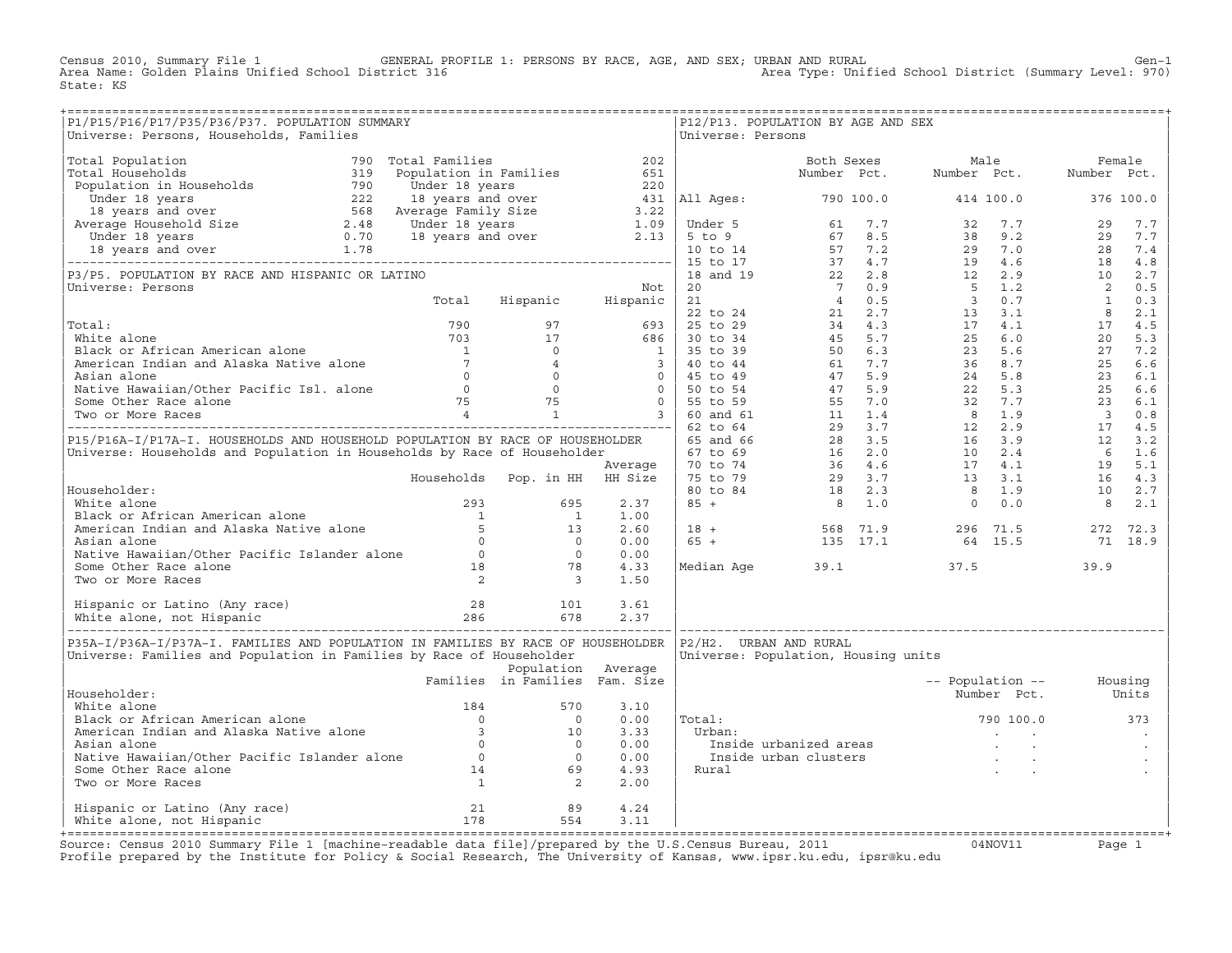Census 2010, Summary File 1 GENERAL PROFILE 1: PERSONS BY RACE, AGE, AND SEX; URBAN AND RURAL Gen−1 Area Name: Golden Plains Unified School District 316 Area Type: Unified School District (Summary Level: 970) State: KS

| P1/P15/P16/P17/P35/P36/P37. POPULATION SUMMARY<br>Universe: Persons, Households, Families                                                                                                                                                       |                                |                    |      | Universe: Persons      | P12/P13. POPULATION BY AGE AND SEX  |                                                                                                                                                                                                                                  |      |  |
|-------------------------------------------------------------------------------------------------------------------------------------------------------------------------------------------------------------------------------------------------|--------------------------------|--------------------|------|------------------------|-------------------------------------|----------------------------------------------------------------------------------------------------------------------------------------------------------------------------------------------------------------------------------|------|--|
| Universite income increase increase the special control of the special control in the special control in the special control of the special control in the special control of the special control in the special control of t                   |                                |                    |      |                        |                                     |                                                                                                                                                                                                                                  |      |  |
|                                                                                                                                                                                                                                                 |                                |                    |      |                        |                                     |                                                                                                                                                                                                                                  |      |  |
|                                                                                                                                                                                                                                                 |                                |                    |      |                        |                                     |                                                                                                                                                                                                                                  |      |  |
|                                                                                                                                                                                                                                                 |                                |                    |      |                        |                                     |                                                                                                                                                                                                                                  |      |  |
|                                                                                                                                                                                                                                                 |                                |                    |      |                        |                                     |                                                                                                                                                                                                                                  |      |  |
|                                                                                                                                                                                                                                                 |                                |                    |      |                        |                                     |                                                                                                                                                                                                                                  |      |  |
|                                                                                                                                                                                                                                                 |                                |                    |      |                        |                                     |                                                                                                                                                                                                                                  |      |  |
|                                                                                                                                                                                                                                                 |                                |                    |      |                        |                                     |                                                                                                                                                                                                                                  |      |  |
|                                                                                                                                                                                                                                                 |                                |                    |      |                        |                                     |                                                                                                                                                                                                                                  |      |  |
|                                                                                                                                                                                                                                                 |                                |                    |      |                        |                                     |                                                                                                                                                                                                                                  |      |  |
|                                                                                                                                                                                                                                                 |                                |                    |      |                        |                                     |                                                                                                                                                                                                                                  |      |  |
|                                                                                                                                                                                                                                                 |                                |                    |      |                        |                                     |                                                                                                                                                                                                                                  |      |  |
|                                                                                                                                                                                                                                                 |                                |                    |      |                        |                                     |                                                                                                                                                                                                                                  |      |  |
|                                                                                                                                                                                                                                                 |                                |                    |      |                        |                                     |                                                                                                                                                                                                                                  |      |  |
|                                                                                                                                                                                                                                                 |                                |                    |      |                        |                                     |                                                                                                                                                                                                                                  |      |  |
|                                                                                                                                                                                                                                                 |                                |                    |      |                        |                                     |                                                                                                                                                                                                                                  |      |  |
|                                                                                                                                                                                                                                                 |                                |                    |      |                        |                                     |                                                                                                                                                                                                                                  |      |  |
|                                                                                                                                                                                                                                                 |                                |                    |      |                        |                                     |                                                                                                                                                                                                                                  |      |  |
|                                                                                                                                                                                                                                                 |                                |                    |      |                        |                                     |                                                                                                                                                                                                                                  |      |  |
|                                                                                                                                                                                                                                                 |                                |                    |      |                        |                                     |                                                                                                                                                                                                                                  |      |  |
|                                                                                                                                                                                                                                                 |                                |                    |      |                        |                                     |                                                                                                                                                                                                                                  |      |  |
|                                                                                                                                                                                                                                                 |                                |                    |      |                        |                                     |                                                                                                                                                                                                                                  |      |  |
|                                                                                                                                                                                                                                                 |                                |                    |      |                        |                                     |                                                                                                                                                                                                                                  |      |  |
|                                                                                                                                                                                                                                                 |                                |                    |      |                        |                                     | $\begin{array}{cccccccc} 18 & + & & & & 568 & 71.9 & & & 296 & 71.5 & & 272 & 72.3 \\ 65 & + & & & & 135 & 17.1 & & 64 & 15.5 & & 71 & 18.9 \end{array}$                                                                         |      |  |
|                                                                                                                                                                                                                                                 |                                |                    |      |                        |                                     |                                                                                                                                                                                                                                  |      |  |
|                                                                                                                                                                                                                                                 |                                |                    |      |                        |                                     |                                                                                                                                                                                                                                  |      |  |
| Mhite alone<br>Mhite alone<br>American Indian and Alaska Native alone<br>American Indian and Alaska Native alone<br>Asian alone<br>Mative Hawaiian/Other Pacific Islander alone<br>Some Other Race alone<br>Two or More Races<br>2<br>3<br>1.50 |                                |                    |      |                        | Median Age 39.1                     | 37.5                                                                                                                                                                                                                             | 39.9 |  |
|                                                                                                                                                                                                                                                 |                                |                    |      |                        |                                     |                                                                                                                                                                                                                                  |      |  |
|                                                                                                                                                                                                                                                 |                                |                    |      |                        |                                     |                                                                                                                                                                                                                                  |      |  |
|                                                                                                                                                                                                                                                 |                                |                    |      |                        |                                     |                                                                                                                                                                                                                                  |      |  |
| P35A-I/P36A-I/P37A-I. FAMILIES AND POPULATION IN FAMILIES BY RACE OF HOUSEHOLDER<br>Universe: Families and Population in Families by Race of Householder                                                                                        |                                |                    |      | P2/H2. URBAN AND RURAL | Universe: Population, Housing units |                                                                                                                                                                                                                                  |      |  |
|                                                                                                                                                                                                                                                 |                                | Population Average |      |                        |                                     |                                                                                                                                                                                                                                  |      |  |
|                                                                                                                                                                                                                                                 | Families in Families Fam. Size |                    |      |                        |                                     | -- Population -- Housing                                                                                                                                                                                                         |      |  |
| Householder:                                                                                                                                                                                                                                    |                                |                    | 3.10 |                        |                                     | Number Pct. Units                                                                                                                                                                                                                |      |  |
|                                                                                                                                                                                                                                                 |                                |                    | 0.00 | Total:                 |                                     | 790 100.0 373                                                                                                                                                                                                                    |      |  |
|                                                                                                                                                                                                                                                 |                                |                    | 3.33 | Urban:                 |                                     | and the company of the                                                                                                                                                                                                           |      |  |
|                                                                                                                                                                                                                                                 |                                |                    | 0.00 |                        |                                     |                                                                                                                                                                                                                                  |      |  |
|                                                                                                                                                                                                                                                 |                                |                    | 0.00 |                        |                                     | Inside urbanized areas in the set of the state of the state of the state of the state of the state of the stat<br>Inside urban clusters in the state of the state of the state of the state of the state of the state of the sta |      |  |
|                                                                                                                                                                                                                                                 |                                |                    | 4.93 | Rural                  |                                     |                                                                                                                                                                                                                                  |      |  |
| Householder:<br>White alone<br>Black or African American alone<br>Merican Indian and Alaska Native alone<br>Asian alone<br>Native Hawaiian/Other Pacific Islander alone<br>Some Other Race alone<br>Two or More Races<br>14                     |                                |                    | 2.00 |                        |                                     |                                                                                                                                                                                                                                  |      |  |
|                                                                                                                                                                                                                                                 |                                |                    | 4.24 |                        |                                     |                                                                                                                                                                                                                                  |      |  |
| Hispanic or Latino (Any race) 121 99<br>White alone, not Hispanic 178 554                                                                                                                                                                       |                                | 554                | 3.11 |                        |                                     |                                                                                                                                                                                                                                  |      |  |
|                                                                                                                                                                                                                                                 |                                |                    |      |                        |                                     |                                                                                                                                                                                                                                  |      |  |

+===================================================================================================================================================+Source: Census 2010 Summary File 1 [machine−readable data file]/prepared by the U.S.Census Bureau, 2011 04NOV11 Page 1 Profile prepared by the Institute for Policy & Social Research, The University of Kansas, www.ipsr.ku.edu, ipsr@ku.edu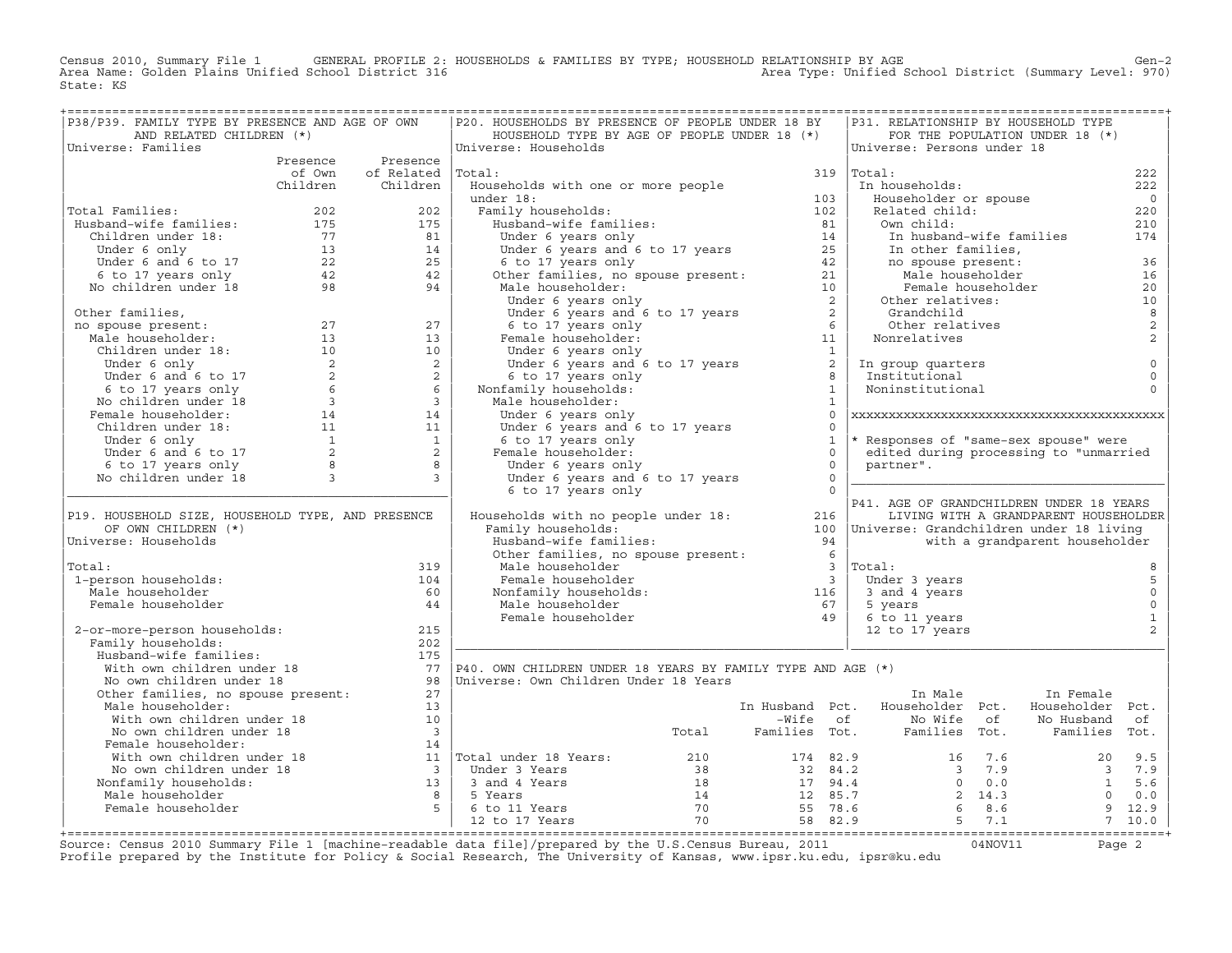Census 2010, Summary File 1 GENERAL PROFILE 2: HOUSEHOLDS & FAMILIES BY TYPE; HOUSEHOLD RELATIONSHIP BY AGE Gen−2 Area Name: Golden Plains Unified School District 316 Area Type: Unified School District (Summary Level: 970) State: KS

| P38/P39. FAMILY TYPE BY PRESENCE AND AGE OF OWN                                                                                                                                                                                                      |                          | P20. HOUSEHOLDS BY PRESENCE OF PEOPLE UNDER 18 BY                                                                                                                                                                                                                                         |                                                         |              | P31. RELATIONSHIP BY HOUSEHOLD TYPE                                                                                                                                                                           | ;===================================  |                                  |
|------------------------------------------------------------------------------------------------------------------------------------------------------------------------------------------------------------------------------------------------------|--------------------------|-------------------------------------------------------------------------------------------------------------------------------------------------------------------------------------------------------------------------------------------------------------------------------------------|---------------------------------------------------------|--------------|---------------------------------------------------------------------------------------------------------------------------------------------------------------------------------------------------------------|---------------------------------------|----------------------------------|
| AND RELATED CHILDREN (*)                                                                                                                                                                                                                             |                          | HOUSEHOLD TYPE BY AGE OF PEOPLE UNDER 18 (*)                                                                                                                                                                                                                                              |                                                         |              |                                                                                                                                                                                                               | FOR THE POPULATION UNDER 18 (*)       |                                  |
| Universe: Families                                                                                                                                                                                                                                   | Presence Presence        | Universe: Households                                                                                                                                                                                                                                                                      |                                                         |              | Universe: Persons under 18                                                                                                                                                                                    |                                       |                                  |
|                                                                                                                                                                                                                                                      |                          |                                                                                                                                                                                                                                                                                           |                                                         |              |                                                                                                                                                                                                               |                                       |                                  |
|                                                                                                                                                                                                                                                      | of Own of Related Total: |                                                                                                                                                                                                                                                                                           |                                                         |              | $319$ Total:                                                                                                                                                                                                  |                                       | 222                              |
|                                                                                                                                                                                                                                                      | Children Children        | Households with one or more people<br>For all Households with one or more people<br>under 18:<br>Households:<br>Households:<br>Households:<br>Households:<br>Under 6 years and 6 to 17 years<br>6 to 17 years and 6 to 17 years<br>25<br>other families, no spouse present:<br>21<br>Male |                                                         |              | In households:                                                                                                                                                                                                |                                       | 222                              |
|                                                                                                                                                                                                                                                      |                          |                                                                                                                                                                                                                                                                                           |                                                         |              | Householder or spouse                                                                                                                                                                                         |                                       | $\overline{0}$                   |
| Total Families:                                                                                                                                                                                                                                      |                          |                                                                                                                                                                                                                                                                                           |                                                         |              | Related child:                                                                                                                                                                                                |                                       | 220                              |
|                                                                                                                                                                                                                                                      |                          |                                                                                                                                                                                                                                                                                           |                                                         |              |                                                                                                                                                                                                               |                                       | 210                              |
|                                                                                                                                                                                                                                                      |                          |                                                                                                                                                                                                                                                                                           |                                                         |              |                                                                                                                                                                                                               | In husband-wife families              | 174                              |
|                                                                                                                                                                                                                                                      |                          |                                                                                                                                                                                                                                                                                           |                                                         |              |                                                                                                                                                                                                               |                                       |                                  |
|                                                                                                                                                                                                                                                      |                          |                                                                                                                                                                                                                                                                                           |                                                         |              |                                                                                                                                                                                                               |                                       | 36                               |
|                                                                                                                                                                                                                                                      |                          |                                                                                                                                                                                                                                                                                           |                                                         |              | Related child:<br>Own child:<br>In other families,<br>In other families,<br>no spouse present:<br>Male householder<br>Female householder<br>Other relatives:<br>Grandchild<br>Other relatives<br>Noncalitives |                                       | 16                               |
|                                                                                                                                                                                                                                                      |                          |                                                                                                                                                                                                                                                                                           |                                                         |              |                                                                                                                                                                                                               |                                       | 20                               |
|                                                                                                                                                                                                                                                      |                          |                                                                                                                                                                                                                                                                                           |                                                         |              |                                                                                                                                                                                                               |                                       | 10                               |
|                                                                                                                                                                                                                                                      |                          |                                                                                                                                                                                                                                                                                           |                                                         |              | Grandchiiq<br>Other relatives                                                                                                                                                                                 |                                       | $\boldsymbol{8}$                 |
|                                                                                                                                                                                                                                                      |                          |                                                                                                                                                                                                                                                                                           |                                                         |              | Nonrelatives                                                                                                                                                                                                  |                                       | $\overline{c}$<br>$\overline{c}$ |
|                                                                                                                                                                                                                                                      |                          |                                                                                                                                                                                                                                                                                           |                                                         |              |                                                                                                                                                                                                               |                                       |                                  |
|                                                                                                                                                                                                                                                      |                          |                                                                                                                                                                                                                                                                                           |                                                         |              |                                                                                                                                                                                                               |                                       | $\mathsf 0$                      |
|                                                                                                                                                                                                                                                      |                          |                                                                                                                                                                                                                                                                                           |                                                         |              | In group quarters<br>Institutional                                                                                                                                                                            |                                       | $\mathsf 0$                      |
|                                                                                                                                                                                                                                                      |                          | Nonfamily households:                                                                                                                                                                                                                                                                     |                                                         |              | Noninstitutional                                                                                                                                                                                              |                                       | $\circ$                          |
|                                                                                                                                                                                                                                                      |                          | Male householder:                                                                                                                                                                                                                                                                         | $\begin{array}{c} 8 \\ 1 \end{array}$<br>$\overline{1}$ |              |                                                                                                                                                                                                               |                                       |                                  |
|                                                                                                                                                                                                                                                      |                          | Under 6 years only                                                                                                                                                                                                                                                                        |                                                         | $\circ$      |                                                                                                                                                                                                               |                                       |                                  |
|                                                                                                                                                                                                                                                      |                          |                                                                                                                                                                                                                                                                                           |                                                         | $\cap$       |                                                                                                                                                                                                               |                                       |                                  |
|                                                                                                                                                                                                                                                      |                          | Under 6 years only<br>Under 6 years and 6 to 17 years<br>6 to 17 years only                                                                                                                                                                                                               |                                                         | $\mathbf{1}$ | * Responses of "same-sex spouse" were                                                                                                                                                                         |                                       |                                  |
|                                                                                                                                                                                                                                                      |                          |                                                                                                                                                                                                                                                                                           |                                                         | $\Omega$     | edited during processing to "unmarried                                                                                                                                                                        |                                       |                                  |
|                                                                                                                                                                                                                                                      |                          |                                                                                                                                                                                                                                                                                           | $\bigcap$                                               |              | partner".                                                                                                                                                                                                     |                                       |                                  |
|                                                                                                                                                                                                                                                      |                          | U LU Years only<br>Female householder:<br>Under 6 years only<br>Under 6 years and C<br>Under 6 years only<br>Under 6 years and 6 to 17 years                                                                                                                                              | $\overline{0}$                                          |              |                                                                                                                                                                                                               |                                       |                                  |
|                                                                                                                                                                                                                                                      |                          | 6 to 17 years only                                                                                                                                                                                                                                                                        | $\bigcap$                                               |              |                                                                                                                                                                                                               |                                       |                                  |
|                                                                                                                                                                                                                                                      |                          |                                                                                                                                                                                                                                                                                           |                                                         |              | P41. AGE OF GRANDCHILDREN UNDER 18 YEARS                                                                                                                                                                      |                                       |                                  |
| P19. HOUSEHOLD SIZE, HOUSEHOLD TYPE, AND PRESENCE                                                                                                                                                                                                    |                          | Households with no people under 18: 216                                                                                                                                                                                                                                                   |                                                         |              |                                                                                                                                                                                                               | LIVING WITH A GRANDPARENT HOUSEHOLDER |                                  |
| OF OWN CHILDREN (*)                                                                                                                                                                                                                                  |                          | Family households:                                                                                                                                                                                                                                                                        |                                                         |              | 100   Universe: Grandchildren under 18 living                                                                                                                                                                 |                                       |                                  |
| Universe: Households                                                                                                                                                                                                                                 |                          | Pamily nouseholds.<br>Husband-wife families: 94<br>Other families, no spouse present: 6                                                                                                                                                                                                   | 94                                                      |              | with a grandparent householder                                                                                                                                                                                |                                       |                                  |
|                                                                                                                                                                                                                                                      |                          |                                                                                                                                                                                                                                                                                           |                                                         |              |                                                                                                                                                                                                               |                                       |                                  |
| Total:                                                                                                                                                                                                                                               | 319                      |                                                                                                                                                                                                                                                                                           |                                                         |              |                                                                                                                                                                                                               |                                       |                                  |
| 1-person households:                                                                                                                                                                                                                                 | 104                      |                                                                                                                                                                                                                                                                                           |                                                         |              | Under 3 years                                                                                                                                                                                                 |                                       | 5                                |
| Male householder                                                                                                                                                                                                                                     | 60                       |                                                                                                                                                                                                                                                                                           |                                                         |              | $3$ and $4$ years<br>5 years                                                                                                                                                                                  |                                       | $\mathsf 0$                      |
| Female householder                                                                                                                                                                                                                                   | 44                       |                                                                                                                                                                                                                                                                                           |                                                         |              | 5 years                                                                                                                                                                                                       |                                       | $\circ$                          |
|                                                                                                                                                                                                                                                      |                          |                                                                                                                                                                                                                                                                                           |                                                         |              |                                                                                                                                                                                                               |                                       | $\mathbf{1}$                     |
| 2-or-more-person households:                                                                                                                                                                                                                         | 215                      | Male householder<br>Female householder<br>Nonfamily households:<br>Male householder<br>Male householder<br>Female householder<br>Female householder<br>The Communication of Spear<br>The Communication of Spear<br>The Communication of Spear<br>T                                        |                                                         |              | 6 to 11 years<br>12 to 17 years                                                                                                                                                                               |                                       | $\overline{2}$                   |
| Family households:                                                                                                                                                                                                                                   | 202                      |                                                                                                                                                                                                                                                                                           |                                                         |              |                                                                                                                                                                                                               |                                       |                                  |
|                                                                                                                                                                                                                                                      |                          |                                                                                                                                                                                                                                                                                           |                                                         |              |                                                                                                                                                                                                               |                                       |                                  |
|                                                                                                                                                                                                                                                      |                          |                                                                                                                                                                                                                                                                                           |                                                         |              |                                                                                                                                                                                                               |                                       |                                  |
|                                                                                                                                                                                                                                                      |                          |                                                                                                                                                                                                                                                                                           |                                                         |              |                                                                                                                                                                                                               |                                       |                                  |
|                                                                                                                                                                                                                                                      |                          |                                                                                                                                                                                                                                                                                           |                                                         |              | In Male                                                                                                                                                                                                       | In Female                             |                                  |
|                                                                                                                                                                                                                                                      |                          |                                                                                                                                                                                                                                                                                           |                                                         |              | In Husband Pct. Householder Pct. Householder Pct.                                                                                                                                                             |                                       |                                  |
|                                                                                                                                                                                                                                                      |                          |                                                                                                                                                                                                                                                                                           |                                                         |              |                                                                                                                                                                                                               |                                       |                                  |
|                                                                                                                                                                                                                                                      |                          |                                                                                                                                                                                                                                                                                           |                                                         |              |                                                                                                                                                                                                               |                                       |                                  |
|                                                                                                                                                                                                                                                      |                          |                                                                                                                                                                                                                                                                                           |                                                         |              |                                                                                                                                                                                                               |                                       |                                  |
|                                                                                                                                                                                                                                                      |                          |                                                                                                                                                                                                                                                                                           |                                                         |              |                                                                                                                                                                                                               |                                       |                                  |
|                                                                                                                                                                                                                                                      |                          |                                                                                                                                                                                                                                                                                           |                                                         |              |                                                                                                                                                                                                               |                                       |                                  |
|                                                                                                                                                                                                                                                      |                          |                                                                                                                                                                                                                                                                                           |                                                         |              |                                                                                                                                                                                                               |                                       |                                  |
|                                                                                                                                                                                                                                                      |                          |                                                                                                                                                                                                                                                                                           |                                                         |              |                                                                                                                                                                                                               |                                       |                                  |
|                                                                                                                                                                                                                                                      |                          |                                                                                                                                                                                                                                                                                           |                                                         |              |                                                                                                                                                                                                               |                                       |                                  |
| Male householder<br>Male householder<br>Male householder<br>Male box children under 18<br>Male box children under 18<br>Male householder<br>Male householder<br>Male householder<br>Male householder<br>Male householder<br>Male householder<br>Male |                          |                                                                                                                                                                                                                                                                                           |                                                         |              |                                                                                                                                                                                                               |                                       |                                  |
|                                                                                                                                                                                                                                                      |                          |                                                                                                                                                                                                                                                                                           |                                                         |              |                                                                                                                                                                                                               |                                       |                                  |

+===================================================================================================================================================+Source: Census 2010 Summary File 1 [machine−readable data file]/prepared by the U.S.Census Bureau, 2011 04NOV11 Page 2 Profile prepared by the Institute for Policy & Social Research, The University of Kansas, www.ipsr.ku.edu, ipsr@ku.edu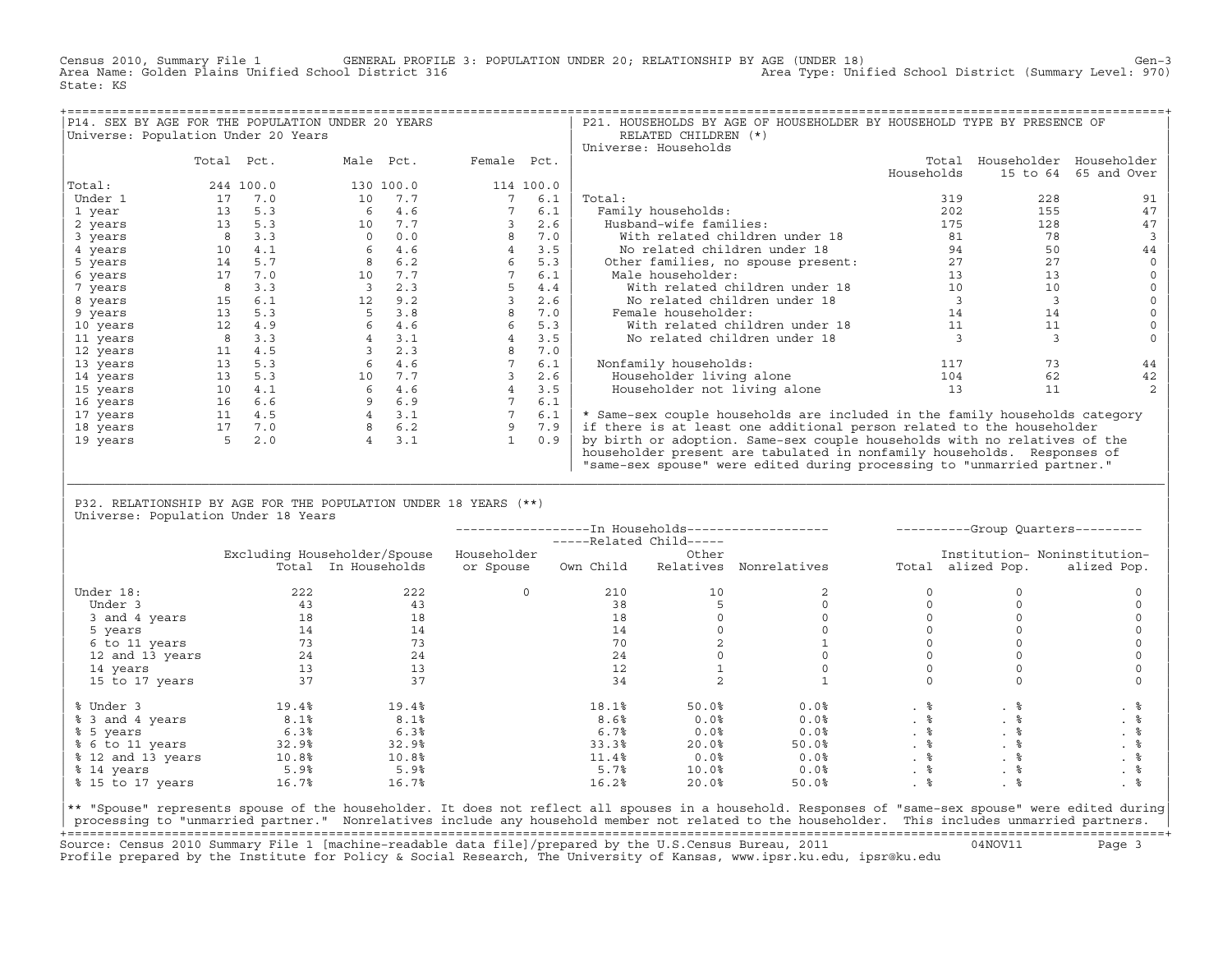Census 2010, Summary File 1 GENERAL PROFILE 3: POPULATION UNDER 20; RELATIONSHIP BY AGE (UNDER 18) Gen−3<br>Area Name: Golden Plains Unified School District 316 area Type: Unified School District (Summary Level: 970) Area Type: Unified School District (Summary Level: 970) State: KS

|                                     |            |           | P14. SEX BY AGE FOR THE POPULATION UNDER 20 YEARS |             |           | P21. HOUSEHOLDS BY AGE OF HOUSEHOLDER BY HOUSEHOLD TYPE BY PRESENCE OF      |            |          |                         |
|-------------------------------------|------------|-----------|---------------------------------------------------|-------------|-----------|-----------------------------------------------------------------------------|------------|----------|-------------------------|
| Universe: Population Under 20 Years |            |           |                                                   |             |           | RELATED CHILDREN (*)                                                        |            |          |                         |
|                                     |            |           |                                                   |             |           | Universe: Households                                                        |            |          |                         |
|                                     | Total Pct. |           | Male Pct.                                         | Female Pct. |           |                                                                             | Total      |          | Householder Householder |
|                                     |            |           |                                                   |             |           |                                                                             | Households | 15 to 64 | 65 and Over             |
| Total:                              |            | 244 100.0 | 130 100.0                                         |             | 114 100.0 |                                                                             |            |          |                         |
| Under 1                             | 17         | 7.0       | 10<br>7.7                                         |             | 6.1       | Total:                                                                      | 319        | 228      | 91                      |
| 1 year                              | 13         | 5.3       | 4.6<br>6                                          |             | 6.1       | Family households:                                                          | 202        | 155      | 47                      |
| 2 years                             | 13         | 5.3       | 7.7<br>10                                         |             | 2.6       | Husband-wife families:                                                      | 175        | 128      | 47                      |
| 3 years                             |            | 3.3       | 0.0                                               |             | 7.0       | With related children under 18                                              | 81         | 78       |                         |
| 4 years                             | 10         | 4.1       | 4.6<br>6                                          |             | 3.5       | No related children under 18                                                | 94         | 50       | 44                      |
| 5 years                             | 14         | 5.7       | 6.2                                               | 6           | 5.3       | Other families, no spouse present:                                          | 27         | 27       |                         |
| 6 years                             | 17         | 7.0       | 7.7<br>10                                         |             | 6.1       | Male householder:                                                           | 13         | 13       |                         |
| 7 years                             |            | 3.3       | 2.3                                               |             | 4.4       | With related children under 18                                              | 10         | 10       |                         |
| 8 years                             | 15         | 6.1       | 12<br>9.2                                         |             | 2.6       | No related children under 18                                                | 3          |          |                         |
| 9 years                             | 13         | 5.3       | 3.8                                               |             | 7.0       | Female householder:                                                         | 14         | 14       |                         |
| 10 years                            | 12         | 4.9       | 6<br>4.6                                          |             | 5.3       | With related children under 18                                              | 11         | 11       |                         |
| 11 years                            |            | 3.3       | 3.1                                               |             | 3.5       | No related children under 18                                                |            |          |                         |
| 12 years                            | 11         | 4.5       | 2.3                                               |             | 7.0       |                                                                             |            |          |                         |
| 13 years                            | 13         | 5.3       | 4.6<br>6                                          |             | 6.1       | Nonfamily households:                                                       | 117        | 73       | 44                      |
| 14 years                            | 13         | 5.3       | 7.7<br>10                                         |             | 2.6       | Householder living alone                                                    | 104        | 62       | 42                      |
| 15 years                            | 10         | 4.1       | 4.6<br>6                                          |             | 3.5       | Householder not living alone                                                | 13         | 11       |                         |
| 16 years                            | 16         | 6.6       | 6.9                                               |             | 6.1       |                                                                             |            |          |                         |
| 17 years                            | 11         | 4.5       | $\overline{4}$<br>3.1                             |             | 6.1       | * Same-sex couple households are included in the family households category |            |          |                         |
| 18 years                            | 17         | 7.0       | 6.2                                               |             | 7.9       | if there is at least one additional person related to the householder       |            |          |                         |
| 19 years                            | 5          | 2.0       | 3.1                                               |             | 0.9       | by birth or adoption. Same-sex couple households with no relatives of the   |            |          |                         |
|                                     |            |           |                                                   |             |           | householder present are tabulated in nonfamily households. Responses of     |            |          |                         |
|                                     |            |           |                                                   |             |           | "same-sex spouse" were edited during processing to "unmarried partner."     |            |          |                         |

## | P32. RELATIONSHIP BY AGE FOR THE POPULATION UNDER 18 YEARS (\*\*) | Universe: Population Under 18 Years

|                   |       |                              |             |                         |           | --------------In Households------------------- |      |                   | ----------Group Quarters--------- |
|-------------------|-------|------------------------------|-------------|-------------------------|-----------|------------------------------------------------|------|-------------------|-----------------------------------|
|                   |       |                              |             | -----Related Child----- |           |                                                |      |                   |                                   |
|                   |       | Excluding Householder/Spouse | Householder |                         | Other     |                                                |      |                   | Institution- Noninstitution-      |
|                   |       | Total In Households          | or Spouse   | Own Child               | Relatives | Nonrelatives                                   |      | Total alized Pop. | alized Pop.                       |
| Under 18:         | 222   | 222                          |             | 210                     | 10        |                                                |      |                   |                                   |
| Under 3           | 43    | 43                           |             | 38                      |           |                                                |      |                   |                                   |
| 3 and 4 years     | 18    | 18                           |             | 18                      |           |                                                |      |                   |                                   |
| 5 years           | 14    | 14                           |             | 14                      |           |                                                |      |                   |                                   |
| 6 to 11 years     | 73    | 73                           |             | 70                      |           |                                                |      |                   |                                   |
| 12 and 13 years   | 24    | 24                           |             | 24                      |           |                                                |      |                   |                                   |
| 14 years          | 13    | 13                           |             | 12                      |           |                                                |      |                   |                                   |
| 15 to 17 years    | 37    | 37                           |             | 34                      |           |                                                |      |                   |                                   |
| % Under 3         | 19.4% | 19.4%                        |             | 18.1%                   | 50.0%     | 0.0%                                           |      | . 응               | . る                               |
| % 3 and 4 years   | 8.1%  | 8.1%                         |             | 8.6%                    | 0.0%      | 0.0%                                           | .  응 |                   | . 응                               |
| % 5 years         | 6.3%  | 6.3%                         |             | 6.7%                    | 0.0%      | 0.0%                                           | .  응 | . 응               | . 응                               |
| % 6 to 11 years   | 32.9% | 32.9%                        |             | 33.3%                   | 20.0%     | 50.0%                                          | . 응  | . 응               | . 응                               |
| % 12 and 13 years | 10.8% | 10.8%                        |             | 11.4%                   | 0.0%      | 0.0%                                           | .  응 |                   | . 응                               |
| % 14 years        | 5.9%  | 5.9%                         |             | 5.7%                    | 10.0%     | 0.0%                                           | . 응  | . 응               | . 응                               |
| % 15 to 17 years  | 16.7% | 16.7%                        |             | 16.2%                   | 20.0%     | 50.0%                                          | .  응 | . 응               |                                   |
|                   |       |                              |             |                         |           |                                                |      |                   |                                   |

|\_\_\_\_\_\_\_\_\_\_\_\_\_\_\_\_\_\_\_\_\_\_\_\_\_\_\_\_\_\_\_\_\_\_\_\_\_\_\_\_\_\_\_\_\_\_\_\_\_\_\_\_\_\_\_\_\_\_\_\_\_\_\_\_\_\_\_\_\_\_\_\_\_\_\_\_\_\_\_\_\_\_\_\_\_\_\_\_\_\_\_\_\_\_\_\_\_\_\_\_\_\_\_\_\_\_\_\_\_\_\_\_\_\_\_\_\_\_\_\_\_\_\_\_\_\_\_\_\_\_\_\_\_\_\_\_\_\_\_\_\_\_\_\_\_\_\_| | |

|\*\* "Spouse" represents spouse of the householder. It does not reflect all spouses in a household. Responses of "same−sex spouse" were edited during| processing to "unmarried partner." Nonrelatives include any household member not related to the householder. This includes unmarried partners. +===================================================================================================================================================+ Source: Census 2010 Summary File 1 [machine−readable data file]/prepared by the U.S.Census Bureau, 2011 04NOV11 Page 3 Profile prepared by the Institute for Policy & Social Research, The University of Kansas, www.ipsr.ku.edu, ipsr@ku.edu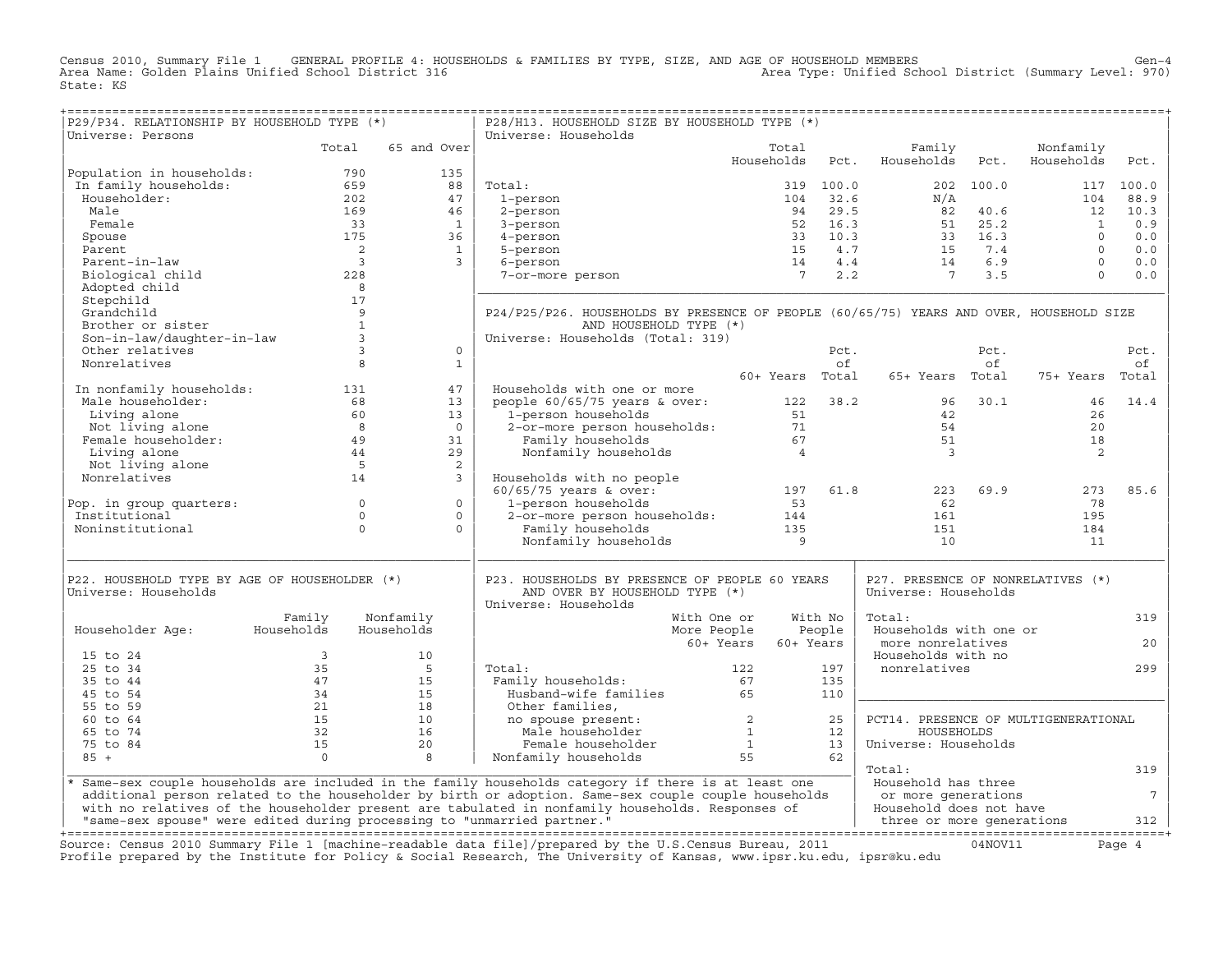Census 2010, Summary File 1 GENERAL PROFILE 4: HOUSEHOLDS & FAMILIES BY TYPE, SIZE, AND AGE OF HOUSEHOLD MEMBERS<br>Area Name: Golden Plains Unified School District 316 Area Type: Unified Sch State: KS

| P29/P34. RELATIONSHIP BY HOUSEHOLD TYPE (*)                                              |                                        |                                                                      | P28/H13. HOUSEHOLD SIZE BY HOUSEHOLD TYPE (*)                                                                                                                                                                                  |                        |           |                                                                                                                                                                        |           |                                      |                 |
|------------------------------------------------------------------------------------------|----------------------------------------|----------------------------------------------------------------------|--------------------------------------------------------------------------------------------------------------------------------------------------------------------------------------------------------------------------------|------------------------|-----------|------------------------------------------------------------------------------------------------------------------------------------------------------------------------|-----------|--------------------------------------|-----------------|
| Universe: Persons                                                                        |                                        | 65 and Over                                                          | Universe: Households                                                                                                                                                                                                           |                        |           |                                                                                                                                                                        |           |                                      |                 |
|                                                                                          | Total                                  |                                                                      |                                                                                                                                                                                                                                | Total<br>Households    | Pct.      | Family<br>Households                                                                                                                                                   | Pct.      | Nonfamily<br>Households              | Pct.            |
|                                                                                          |                                        | 135                                                                  |                                                                                                                                                                                                                                |                        |           |                                                                                                                                                                        |           |                                      |                 |
| Population in households:<br>In family households:<br>Householder:<br>Male<br>169<br>169 |                                        | 88                                                                   | Total:                                                                                                                                                                                                                         |                        | 319 100.0 |                                                                                                                                                                        | 202 100.0 |                                      | 117 100.0       |
|                                                                                          |                                        | 47                                                                   | 1-person                                                                                                                                                                                                                       |                        |           |                                                                                                                                                                        |           | 104                                  | 88.9            |
|                                                                                          |                                        | 46                                                                   | 2-person                                                                                                                                                                                                                       |                        |           |                                                                                                                                                                        |           | 12                                   | 10.3            |
| Female                                                                                   |                                        | 33<br>1                                                              | 3-person                                                                                                                                                                                                                       |                        |           |                                                                                                                                                                        |           |                                      | 0.9             |
| Spouse                                                                                   | 175                                    | 36                                                                   | 4-person                                                                                                                                                                                                                       |                        |           |                                                                                                                                                                        |           | $\begin{matrix} 1 \\ 0 \end{matrix}$ | 0.0             |
| Parent                                                                                   |                                        | $\mathbf{1}$                                                         | 5-person                                                                                                                                                                                                                       |                        |           |                                                                                                                                                                        |           | $\overline{0}$                       | 0.0             |
| Parent-in-law                                                                            | $\frac{2}{3}$                          | $\overline{3}$                                                       | 6-person                                                                                                                                                                                                                       |                        |           | 104 32.6<br>94 29.5<br>52 16.3<br>51 25.2<br>33 10.3<br>51 25.2<br>33 10.3<br>51 25.2<br>33 16.3<br>51 25.2<br>33 16.3<br>51 25.2<br>54.7<br>54 4.4<br>54 4.4<br>7 2.2 |           | $\overline{0}$                       | 0.0             |
| Biological child                                                                         | 228                                    |                                                                      | 7-or-more person                                                                                                                                                                                                               |                        |           |                                                                                                                                                                        |           | $\Omega$                             | 0.0             |
| Adopted child                                                                            |                                        |                                                                      |                                                                                                                                                                                                                                |                        |           |                                                                                                                                                                        |           |                                      |                 |
| Stepchild                                                                                | $\begin{array}{c} 8 \\ 17 \end{array}$ |                                                                      |                                                                                                                                                                                                                                |                        |           |                                                                                                                                                                        |           |                                      |                 |
| Grandchild                                                                               |                                        | 9                                                                    | P24/P25/P26. HOUSEHOLDS BY PRESENCE OF PEOPLE (60/65/75) YEARS AND OVER, HOUSEHOLD SIZE                                                                                                                                        |                        |           |                                                                                                                                                                        |           |                                      |                 |
| Brother or sister                                                                        |                                        | $\mathbf{1}$                                                         | AND HOUSEHOLD TYPE (*)                                                                                                                                                                                                         |                        |           |                                                                                                                                                                        |           |                                      |                 |
| Son-in-law/daughter-in-law                                                               | $\begin{array}{c} 1 \\ 3 \end{array}$  |                                                                      | Universe: Households (Total: 319)                                                                                                                                                                                              |                        |           |                                                                                                                                                                        |           |                                      |                 |
| Other relatives                                                                          |                                        | $\Omega$<br>$\overline{\mathbf{3}}$                                  |                                                                                                                                                                                                                                |                        | Pct.      |                                                                                                                                                                        | Pct.      |                                      | Pct.            |
| Nonrelatives                                                                             |                                        | 8<br>1                                                               |                                                                                                                                                                                                                                |                        | of        |                                                                                                                                                                        | of        |                                      | of              |
|                                                                                          |                                        |                                                                      |                                                                                                                                                                                                                                | 60+ Years Total        |           | 65+ Years Total                                                                                                                                                        |           | 75+ Years Total                      |                 |
|                                                                                          |                                        | 47                                                                   | Households with one or more                                                                                                                                                                                                    |                        |           |                                                                                                                                                                        |           |                                      |                 |
|                                                                                          |                                        | 13                                                                   | people 60/65/75 years & over: 122 38.2 96 30.1                                                                                                                                                                                 |                        |           |                                                                                                                                                                        |           | 46                                   | 14.4            |
|                                                                                          |                                        | 13                                                                   | or to the second property of the second property of the second property of the second property of the second second second second second second second second second second second second second second second second second s |                        |           | 42                                                                                                                                                                     |           | 26                                   |                 |
|                                                                                          |                                        | $\overline{0}$                                                       |                                                                                                                                                                                                                                |                        |           | 54                                                                                                                                                                     |           | 20                                   |                 |
|                                                                                          |                                        | 31                                                                   |                                                                                                                                                                                                                                |                        |           | 51                                                                                                                                                                     |           | 18                                   |                 |
|                                                                                          |                                        | 29                                                                   | Nonfamily households                                                                                                                                                                                                           | $\overline{4}$         |           | $\overline{\mathbf{3}}$                                                                                                                                                |           | 2                                    |                 |
|                                                                                          |                                        | 2                                                                    |                                                                                                                                                                                                                                |                        |           |                                                                                                                                                                        |           |                                      |                 |
|                                                                                          |                                        | $\overline{\mathbf{3}}$                                              | Households with no people                                                                                                                                                                                                      |                        |           |                                                                                                                                                                        |           |                                      |                 |
|                                                                                          |                                        |                                                                      | Households with no people<br>60/65/75 years & over: 197<br>1-person households 53<br>2-or-more person households: 144<br>114                                                                                                   | 197 61.8<br>53         |           |                                                                                                                                                                        | 223 69.9  | 273                                  | 85.6            |
| Pop. in group quarters: 0                                                                |                                        | $\overline{0}$                                                       |                                                                                                                                                                                                                                |                        |           | 62                                                                                                                                                                     |           | 78                                   |                 |
| Institutional                                                                            |                                        | $\circ$<br>$\circ$                                                   |                                                                                                                                                                                                                                |                        |           | 161                                                                                                                                                                    |           | 195                                  |                 |
| Noninstitutional                                                                         |                                        | $\Omega$<br>$\Omega$                                                 |                                                                                                                                                                                                                                |                        |           | 151                                                                                                                                                                    |           | 184                                  |                 |
|                                                                                          |                                        |                                                                      | Nonfamily households 135<br>Nonfamily households 9                                                                                                                                                                             |                        |           | 10                                                                                                                                                                     |           | 11                                   |                 |
|                                                                                          |                                        |                                                                      |                                                                                                                                                                                                                                |                        |           |                                                                                                                                                                        |           |                                      |                 |
| P22. HOUSEHOLD TYPE BY AGE OF HOUSEHOLDER (*)                                            |                                        |                                                                      | P23. HOUSEHOLDS BY PRESENCE OF PEOPLE 60 YEARS                                                                                                                                                                                 |                        |           | P27. PRESENCE OF NONRELATIVES (*)                                                                                                                                      |           |                                      |                 |
| Universe: Households                                                                     |                                        |                                                                      | AND OVER BY HOUSEHOLD TYPE (*)                                                                                                                                                                                                 |                        |           | Universe: Households                                                                                                                                                   |           |                                      |                 |
|                                                                                          |                                        |                                                                      | Universe: Households                                                                                                                                                                                                           |                        |           |                                                                                                                                                                        |           |                                      |                 |
|                                                                                          | Family                                 | Nonfamily                                                            |                                                                                                                                                                                                                                | With One or            | With No   | Total:                                                                                                                                                                 |           |                                      | 319             |
| Householder Age: Households                                                              |                                        | Households                                                           |                                                                                                                                                                                                                                | More People<br>People  |           | Households with one or                                                                                                                                                 |           |                                      |                 |
|                                                                                          |                                        |                                                                      |                                                                                                                                                                                                                                | 60+ Years<br>60+ Years |           | more nonrelatives                                                                                                                                                      |           |                                      | 20              |
| 15 to 24                                                                                 | $\overline{\mathbf{3}}$                | 10                                                                   |                                                                                                                                                                                                                                |                        |           | Households with no                                                                                                                                                     |           |                                      |                 |
| 25 to 34                                                                                 | 35                                     | $5^{\circ}$                                                          | Total:                                                                                                                                                                                                                         | 122                    | 197       | nonrelatives                                                                                                                                                           |           |                                      | 299             |
| 35 to 44                                                                                 | 47                                     | $\begin{array}{r} 15 \\ 15 \\ 18 \\ 10 \\ 16 \\ 20 \\ 8 \end{array}$ | <br>Family households:<br>amily households: 67<br>Husband-wife families 65                                                                                                                                                     |                        | 135       |                                                                                                                                                                        |           |                                      |                 |
| 45 to 54                                                                                 | 34                                     |                                                                      |                                                                                                                                                                                                                                |                        | 110       |                                                                                                                                                                        |           |                                      |                 |
| 55 to 59                                                                                 | $\frac{21}{15}$<br>$\frac{32}{15}$     |                                                                      | nusband<br>Other families,<br>no spouse present:<br>Male householder<br>Female householder<br>Nonfamily households<br>55                                                                                                       |                        |           |                                                                                                                                                                        |           |                                      |                 |
| 60 to 64                                                                                 |                                        |                                                                      |                                                                                                                                                                                                                                |                        | 25        | PCT14. PRESENCE OF MULTIGENERATIONAL                                                                                                                                   |           |                                      |                 |
| 65 to 74                                                                                 |                                        |                                                                      |                                                                                                                                                                                                                                |                        | 12        | HOUSEHOLDS                                                                                                                                                             |           |                                      |                 |
| 75 to 84                                                                                 |                                        |                                                                      |                                                                                                                                                                                                                                |                        | 13        | Universe: Households                                                                                                                                                   |           |                                      |                 |
| $85 +$                                                                                   | $\overline{0}$                         |                                                                      |                                                                                                                                                                                                                                |                        | 62        |                                                                                                                                                                        |           |                                      |                 |
|                                                                                          |                                        |                                                                      |                                                                                                                                                                                                                                |                        |           | Total:                                                                                                                                                                 |           |                                      | 319             |
|                                                                                          |                                        |                                                                      | * Same-sex couple households are included in the family households category if there is at least one                                                                                                                           |                        |           | Household has three                                                                                                                                                    |           |                                      |                 |
|                                                                                          |                                        |                                                                      | additional person related to the householder by birth or adoption. Same-sex couple couple households                                                                                                                           |                        |           | or more generations                                                                                                                                                    |           |                                      | $7\overline{ }$ |
|                                                                                          |                                        |                                                                      | with no relatives of the householder present are tabulated in nonfamily households. Responses of                                                                                                                               |                        |           | Household does not have                                                                                                                                                |           |                                      |                 |
|                                                                                          |                                        |                                                                      |                                                                                                                                                                                                                                |                        |           |                                                                                                                                                                        |           |                                      |                 |
|                                                                                          |                                        |                                                                      |                                                                                                                                                                                                                                |                        |           |                                                                                                                                                                        |           |                                      |                 |
|                                                                                          |                                        |                                                                      | Source: Census 2010 Summary File 1 [machine-readable data file]/prepared by the U.S.Census Bureau, 2011                                                                                                                        |                        |           |                                                                                                                                                                        | 04NOV11   |                                      | Page 4          |
|                                                                                          |                                        |                                                                      | Profile prepared by the Institute for Policy & Social Research, The University of Kansas, www.ipsr.ku.edu, ipsr@ku.edu                                                                                                         |                        |           |                                                                                                                                                                        |           |                                      |                 |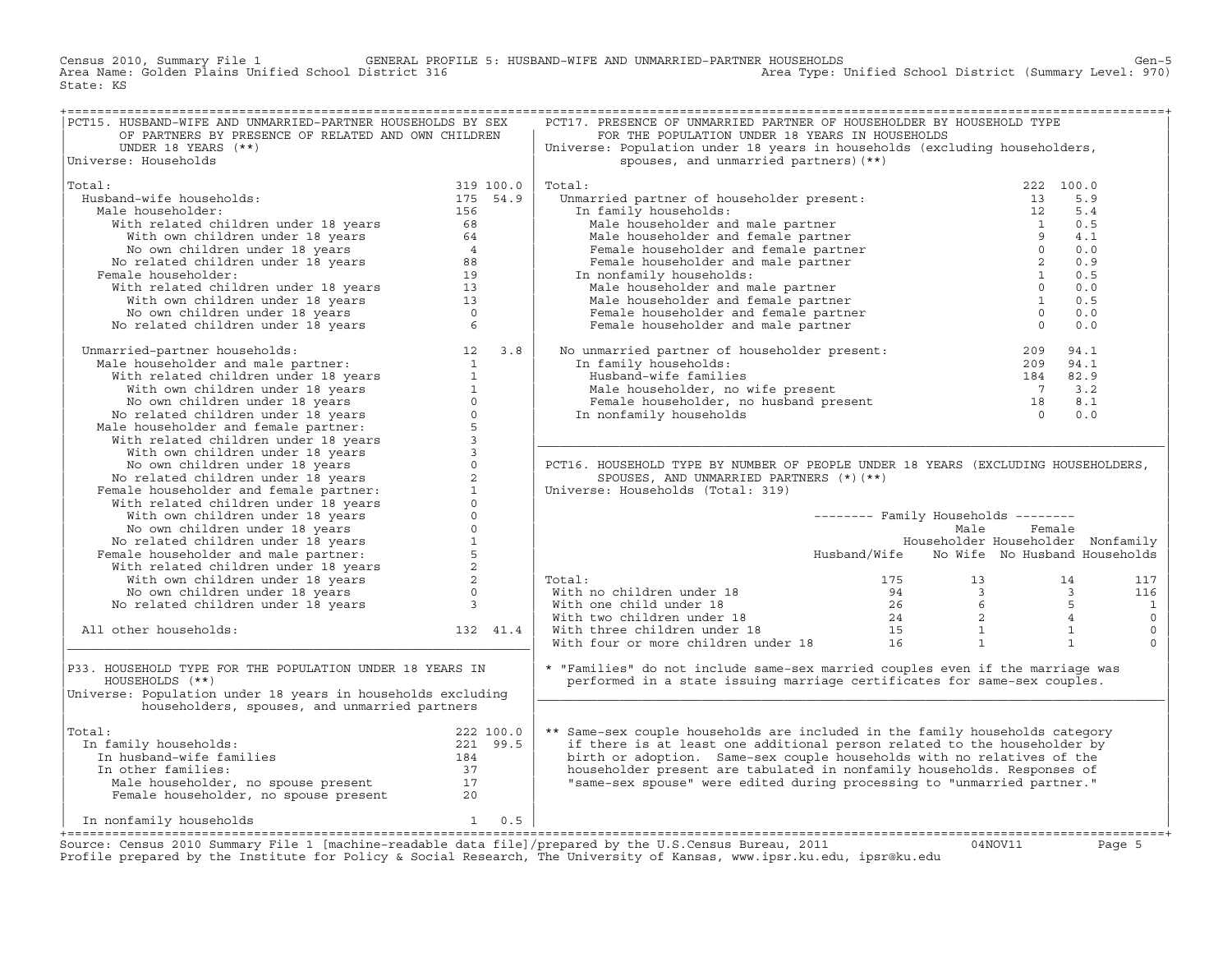Census 2010, Summary File 1 GENERAL PROFILE 5: HUSBAND−WIFE AND UNMARRIED−PARTNER HOUSEHOLDS Gen−5 Area Name: Golden Plains Unified School District 316 Area Type: Unified School District (Summary Level: 970) State: KS

| PCT15. HUSBAND-WIFE AND UNMARRIED-PARTNER HOUSEHOLDS BY SEX                                                                                                                                                                                                |  | PCT17. PRESENCE OF UNMARRIED PARTNER OF HOUSEHOLDER BY HOUSEHOLD TYPE                                                                                                                                                                                                                                                                                                                                                                                                      |                                            |           |                         |
|------------------------------------------------------------------------------------------------------------------------------------------------------------------------------------------------------------------------------------------------------------|--|----------------------------------------------------------------------------------------------------------------------------------------------------------------------------------------------------------------------------------------------------------------------------------------------------------------------------------------------------------------------------------------------------------------------------------------------------------------------------|--------------------------------------------|-----------|-------------------------|
| OF PARTNERS BY PRESENCE OF RELATED AND OWN CHILDREN                                                                                                                                                                                                        |  | FOR THE POPULATION UNDER 18 YEARS IN HOUSEHOLDS                                                                                                                                                                                                                                                                                                                                                                                                                            |                                            |           |                         |
| UNDER 18 YEARS (**)                                                                                                                                                                                                                                        |  | Universe: Population under 18 years in households (excluding householders,                                                                                                                                                                                                                                                                                                                                                                                                 |                                            |           |                         |
| Universe: Households                                                                                                                                                                                                                                       |  | spouses, and unmarried partners) (**)                                                                                                                                                                                                                                                                                                                                                                                                                                      |                                            |           |                         |
|                                                                                                                                                                                                                                                            |  |                                                                                                                                                                                                                                                                                                                                                                                                                                                                            |                                            |           |                         |
| 319 100.0<br>idale households:<br>idale householder:<br>With related children under 18 years<br>68<br>With own children under 18 years<br>156<br>Woo won children under 18 years<br>20 No related children under 18 years<br>20 No related child<br>Total: |  | Total:<br>Spouses, une annumerated the control of the property of the family householder present:<br>In family households:<br>Male householder and male partner<br>Male householder and female partner<br>Female householder and female partner<br>                                                                                                                                                                                                                        |                                            | 222 100.0 |                         |
| Husband-wife households:                                                                                                                                                                                                                                   |  |                                                                                                                                                                                                                                                                                                                                                                                                                                                                            |                                            | 5.9       |                         |
| Male householder:                                                                                                                                                                                                                                          |  |                                                                                                                                                                                                                                                                                                                                                                                                                                                                            |                                            | 5.4       |                         |
|                                                                                                                                                                                                                                                            |  |                                                                                                                                                                                                                                                                                                                                                                                                                                                                            |                                            |           |                         |
|                                                                                                                                                                                                                                                            |  |                                                                                                                                                                                                                                                                                                                                                                                                                                                                            |                                            | 0.5       |                         |
|                                                                                                                                                                                                                                                            |  |                                                                                                                                                                                                                                                                                                                                                                                                                                                                            |                                            | 4.1       |                         |
|                                                                                                                                                                                                                                                            |  |                                                                                                                                                                                                                                                                                                                                                                                                                                                                            |                                            | 0.0       |                         |
|                                                                                                                                                                                                                                                            |  |                                                                                                                                                                                                                                                                                                                                                                                                                                                                            |                                            | 0.9       |                         |
| Female householder:                                                                                                                                                                                                                                        |  |                                                                                                                                                                                                                                                                                                                                                                                                                                                                            |                                            | 0.5       |                         |
|                                                                                                                                                                                                                                                            |  |                                                                                                                                                                                                                                                                                                                                                                                                                                                                            |                                            | 0.0       |                         |
|                                                                                                                                                                                                                                                            |  |                                                                                                                                                                                                                                                                                                                                                                                                                                                                            |                                            | 0.5       |                         |
|                                                                                                                                                                                                                                                            |  |                                                                                                                                                                                                                                                                                                                                                                                                                                                                            |                                            | 0.0       |                         |
|                                                                                                                                                                                                                                                            |  |                                                                                                                                                                                                                                                                                                                                                                                                                                                                            |                                            | 0.0       |                         |
|                                                                                                                                                                                                                                                            |  |                                                                                                                                                                                                                                                                                                                                                                                                                                                                            |                                            |           |                         |
| No related children under 18 years<br>Manarried-partner households:<br>Male householder and male partner:<br>With related children under 18 years<br>12 With own children under 18 years<br>15 Wo come children under 18 years<br>No relat                 |  | No unmarried partner of householder present: $209$ 9<br>In family households: $209$ 9<br>Husband-wife families 209<br>Male householder, no wife present 7<br>Female householder, no husband present 28<br>In nonfamily households 0                                                                                                                                                                                                                                        |                                            | 94.1      |                         |
|                                                                                                                                                                                                                                                            |  |                                                                                                                                                                                                                                                                                                                                                                                                                                                                            |                                            | 94.1      |                         |
|                                                                                                                                                                                                                                                            |  |                                                                                                                                                                                                                                                                                                                                                                                                                                                                            |                                            | 82.9      |                         |
|                                                                                                                                                                                                                                                            |  |                                                                                                                                                                                                                                                                                                                                                                                                                                                                            |                                            | 3.2       |                         |
|                                                                                                                                                                                                                                                            |  |                                                                                                                                                                                                                                                                                                                                                                                                                                                                            |                                            | 8.1       |                         |
|                                                                                                                                                                                                                                                            |  |                                                                                                                                                                                                                                                                                                                                                                                                                                                                            |                                            |           |                         |
|                                                                                                                                                                                                                                                            |  |                                                                                                                                                                                                                                                                                                                                                                                                                                                                            |                                            | 0.0       |                         |
|                                                                                                                                                                                                                                                            |  |                                                                                                                                                                                                                                                                                                                                                                                                                                                                            |                                            |           |                         |
|                                                                                                                                                                                                                                                            |  |                                                                                                                                                                                                                                                                                                                                                                                                                                                                            |                                            |           |                         |
|                                                                                                                                                                                                                                                            |  |                                                                                                                                                                                                                                                                                                                                                                                                                                                                            |                                            |           |                         |
|                                                                                                                                                                                                                                                            |  | PCT16. HOUSEHOLD TYPE BY NUMBER OF PEOPLE UNDER 18 YEARS (EXCLUDING HOUSEHOLDERS,                                                                                                                                                                                                                                                                                                                                                                                          |                                            |           |                         |
|                                                                                                                                                                                                                                                            |  | SPOUSES, AND UNMARRIED PARTNERS (*) (**)                                                                                                                                                                                                                                                                                                                                                                                                                                   |                                            |           |                         |
|                                                                                                                                                                                                                                                            |  | Universe: Households (Total: 319)                                                                                                                                                                                                                                                                                                                                                                                                                                          |                                            |           |                         |
|                                                                                                                                                                                                                                                            |  |                                                                                                                                                                                                                                                                                                                                                                                                                                                                            |                                            |           |                         |
|                                                                                                                                                                                                                                                            |  |                                                                                                                                                                                                                                                                                                                                                                                                                                                                            | -------- Family Households --------        |           |                         |
|                                                                                                                                                                                                                                                            |  |                                                                                                                                                                                                                                                                                                                                                                                                                                                                            | Male                                       | Female    |                         |
|                                                                                                                                                                                                                                                            |  |                                                                                                                                                                                                                                                                                                                                                                                                                                                                            | Householder Householder Nonfamily          |           |                         |
|                                                                                                                                                                                                                                                            |  |                                                                                                                                                                                                                                                                                                                                                                                                                                                                            | Husband/Wife No Wife No Husband Households |           |                         |
|                                                                                                                                                                                                                                                            |  |                                                                                                                                                                                                                                                                                                                                                                                                                                                                            |                                            |           |                         |
|                                                                                                                                                                                                                                                            |  | Total:                                                                                                                                                                                                                                                                                                                                                                                                                                                                     |                                            |           | 117                     |
|                                                                                                                                                                                                                                                            |  |                                                                                                                                                                                                                                                                                                                                                                                                                                                                            |                                            |           | 116                     |
|                                                                                                                                                                                                                                                            |  |                                                                                                                                                                                                                                                                                                                                                                                                                                                                            |                                            |           |                         |
|                                                                                                                                                                                                                                                            |  |                                                                                                                                                                                                                                                                                                                                                                                                                                                                            |                                            |           | $\overline{\mathbf{1}}$ |
|                                                                                                                                                                                                                                                            |  |                                                                                                                                                                                                                                                                                                                                                                                                                                                                            |                                            |           | $\circ$                 |
| All other households:<br>132 41.4                                                                                                                                                                                                                          |  |                                                                                                                                                                                                                                                                                                                                                                                                                                                                            |                                            |           | $\mathbb O$             |
|                                                                                                                                                                                                                                                            |  | $\begin{tabular}{lllllllllllll} \multicolumn{3}{c}{\text{\textwidth}} & & & & & & & 175 & & 13 & & 14 \\ \multicolumn{3}{c}{\text{With}} & \multicolumn{3}{c}{\text{with}} & \multicolumn{3}{c}{\text{in}} & & & & 175 & & 13 & & 14 \\ \multicolumn{3}{c}{\text{With}} & \multicolumn{3}{c}{\text{With}} & \multicolumn{3}{c}{\text{in}} & & & 94 & & 3 & & 3 \\ \multicolumn{3}{c}{\text{With}} & \multicolumn{3}{c}{\text{With}} & \multicolumn{3}{c}{\text{in}} & & &$ |                                            |           | $\mathbf 0$             |
|                                                                                                                                                                                                                                                            |  |                                                                                                                                                                                                                                                                                                                                                                                                                                                                            |                                            |           |                         |
| P33. HOUSEHOLD TYPE FOR THE POPULATION UNDER 18 YEARS IN                                                                                                                                                                                                   |  | * "Families" do not include same-sex married couples even if the marriage was                                                                                                                                                                                                                                                                                                                                                                                              |                                            |           |                         |
| HOUSEHOLDS (**)                                                                                                                                                                                                                                            |  | performed in a state issuing marriage certificates for same-sex couples.                                                                                                                                                                                                                                                                                                                                                                                                   |                                            |           |                         |
| Universe: Population under 18 years in households excluding                                                                                                                                                                                                |  |                                                                                                                                                                                                                                                                                                                                                                                                                                                                            |                                            |           |                         |
| householders, spouses, and unmarried partners                                                                                                                                                                                                              |  |                                                                                                                                                                                                                                                                                                                                                                                                                                                                            |                                            |           |                         |
|                                                                                                                                                                                                                                                            |  |                                                                                                                                                                                                                                                                                                                                                                                                                                                                            |                                            |           |                         |
| Total:                                                                                                                                                                                                                                                     |  | ** Same-sex couple households are included in the family households category                                                                                                                                                                                                                                                                                                                                                                                               |                                            |           |                         |
|                                                                                                                                                                                                                                                            |  | if there is at least one additional person related to the householder by                                                                                                                                                                                                                                                                                                                                                                                                   |                                            |           |                         |
|                                                                                                                                                                                                                                                            |  | birth or adoption. Same-sex couple households with no relatives of the                                                                                                                                                                                                                                                                                                                                                                                                     |                                            |           |                         |
|                                                                                                                                                                                                                                                            |  | householder present are tabulated in nonfamily households. Responses of                                                                                                                                                                                                                                                                                                                                                                                                    |                                            |           |                         |
|                                                                                                                                                                                                                                                            |  | "same-sex spouse" were edited during processing to "unmarried partner."                                                                                                                                                                                                                                                                                                                                                                                                    |                                            |           |                         |
| otal:<br>10.0 In family households:<br>1222 100.0<br>184 In other families:<br>231 99.5<br>184 In other families:<br>237 Male householder, no spouse present<br>20                                                                                         |  |                                                                                                                                                                                                                                                                                                                                                                                                                                                                            |                                            |           |                         |
|                                                                                                                                                                                                                                                            |  |                                                                                                                                                                                                                                                                                                                                                                                                                                                                            |                                            |           |                         |
| In nonfamily households 1 0.5                                                                                                                                                                                                                              |  |                                                                                                                                                                                                                                                                                                                                                                                                                                                                            |                                            |           |                         |
|                                                                                                                                                                                                                                                            |  |                                                                                                                                                                                                                                                                                                                                                                                                                                                                            |                                            |           |                         |
| $\frac{1}{2}$                                                                                                                                                                                                                                              |  |                                                                                                                                                                                                                                                                                                                                                                                                                                                                            |                                            |           |                         |

Source: Census 2010 Summary File 1 [machine-readable data file]/prepared by the U.S.Census Bureau, 2011 Page 5<br>Profile prepared by the Institute for Policy & Social Research, The University of Kansas, www.ip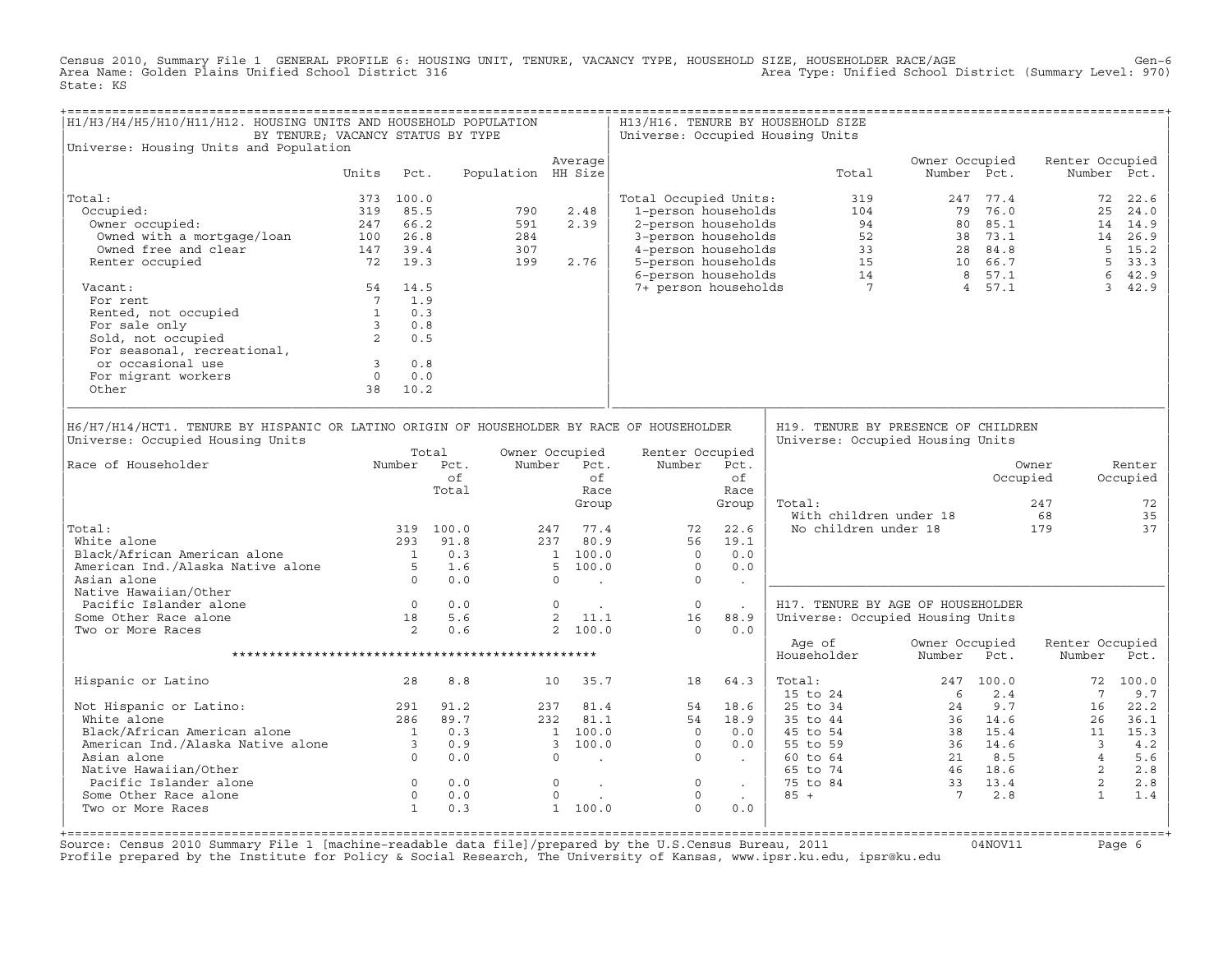Census 2010, Summary File 1 GENERAL PROFILE 6: HOUSING UNIT, TENURE, VACANCY TYPE, HOUSEHOLD SIZE, HOUSEHOLDER RACE/AGE<br>Area Name: Golden Plains Unified School District 316 State: KS

| H1/H3/H4/H5/H10/H11/H12. HOUSING UNITS AND HOUSEHOLD POPULATION<br>BY TENURE; VACANCY STATUS BY TYPE                                                                                                                           |                                                                  |           |                                                                 |                    |                                                                                                                            |                                          |                                                                                                                                                                                                                                                                                                                |                                                                 | H13/H16. TENURE BY HOUSEHOLD SIZE<br>Universe: Occupied Housing Units                                                                                                                                                                                       |                                                |             |                                                                                                                                                                                           |                                      |
|--------------------------------------------------------------------------------------------------------------------------------------------------------------------------------------------------------------------------------|------------------------------------------------------------------|-----------|-----------------------------------------------------------------|--------------------|----------------------------------------------------------------------------------------------------------------------------|------------------------------------------|----------------------------------------------------------------------------------------------------------------------------------------------------------------------------------------------------------------------------------------------------------------------------------------------------------------|-----------------------------------------------------------------|-------------------------------------------------------------------------------------------------------------------------------------------------------------------------------------------------------------------------------------------------------------|------------------------------------------------|-------------|-------------------------------------------------------------------------------------------------------------------------------------------------------------------------------------------|--------------------------------------|
| Universe: Housing Units and Population                                                                                                                                                                                         |                                                                  |           |                                                                 |                    | Average                                                                                                                    |                                          |                                                                                                                                                                                                                                                                                                                |                                                                 |                                                                                                                                                                                                                                                             | Owner Occupied                                 |             | Renter Occupied                                                                                                                                                                           |                                      |
|                                                                                                                                                                                                                                | Units                                                            | Pct.      |                                                                 | Population HH Size |                                                                                                                            |                                          |                                                                                                                                                                                                                                                                                                                |                                                                 | Total                                                                                                                                                                                                                                                       |                                                | Number Pct. |                                                                                                                                                                                           | Number Pct.                          |
| Total:                                                                                                                                                                                                                         |                                                                  | 373 100.0 |                                                                 |                    |                                                                                                                            |                                          | Total Occupied Units:                                                                                                                                                                                                                                                                                          |                                                                 | 319                                                                                                                                                                                                                                                         |                                                | 247 77.4    |                                                                                                                                                                                           | 72 22.6                              |
| Occupied:                                                                                                                                                                                                                      |                                                                  | 319 85.5  |                                                                 | 790                | 2.48                                                                                                                       |                                          |                                                                                                                                                                                                                                                                                                                |                                                                 |                                                                                                                                                                                                                                                             |                                                |             |                                                                                                                                                                                           | 25 24.0                              |
| Owner occupied:                                                                                                                                                                                                                |                                                                  | 247 66.2  |                                                                 | 591                | 2.39                                                                                                                       |                                          |                                                                                                                                                                                                                                                                                                                |                                                                 |                                                                                                                                                                                                                                                             |                                                |             |                                                                                                                                                                                           | 14 14.9                              |
| Owned with a mortgage/loan                                                                                                                                                                                                     | 100 26.8                                                         |           |                                                                 | 284                |                                                                                                                            |                                          |                                                                                                                                                                                                                                                                                                                |                                                                 |                                                                                                                                                                                                                                                             |                                                |             |                                                                                                                                                                                           | 14 26.9                              |
| Owned free and clear                                                                                                                                                                                                           | 147 39.4                                                         |           |                                                                 | 307                |                                                                                                                            |                                          |                                                                                                                                                                                                                                                                                                                |                                                                 |                                                                                                                                                                                                                                                             |                                                |             |                                                                                                                                                                                           | $5 \t15.2$                           |
| Renter occupied                                                                                                                                                                                                                | 147 39.4<br>72 19.3                                              |           |                                                                 | 199                | 2.76                                                                                                                       |                                          |                                                                                                                                                                                                                                                                                                                |                                                                 |                                                                                                                                                                                                                                                             |                                                |             |                                                                                                                                                                                           | 5 33.3                               |
|                                                                                                                                                                                                                                |                                                                  |           |                                                                 |                    |                                                                                                                            |                                          |                                                                                                                                                                                                                                                                                                                |                                                                 | 3-19 UCupied Units: 319<br>2-17 76.0<br>2-person households<br>3-person households<br>4-person households<br>5-person households<br>5-person households<br>5-person households<br>5-person households<br>5-person households<br>5-person household          |                                                |             |                                                                                                                                                                                           | 642.9                                |
| Vacant:                                                                                                                                                                                                                        |                                                                  | 54 14.5   |                                                                 |                    |                                                                                                                            |                                          |                                                                                                                                                                                                                                                                                                                |                                                                 |                                                                                                                                                                                                                                                             |                                                |             |                                                                                                                                                                                           | 3, 42.9                              |
| For rent                                                                                                                                                                                                                       |                                                                  | $7 \t1.9$ |                                                                 |                    |                                                                                                                            |                                          |                                                                                                                                                                                                                                                                                                                |                                                                 |                                                                                                                                                                                                                                                             |                                                |             |                                                                                                                                                                                           |                                      |
|                                                                                                                                                                                                                                |                                                                  |           |                                                                 |                    |                                                                                                                            |                                          |                                                                                                                                                                                                                                                                                                                |                                                                 |                                                                                                                                                                                                                                                             |                                                |             |                                                                                                                                                                                           |                                      |
|                                                                                                                                                                                                                                |                                                                  |           |                                                                 |                    |                                                                                                                            |                                          |                                                                                                                                                                                                                                                                                                                |                                                                 |                                                                                                                                                                                                                                                             |                                                |             |                                                                                                                                                                                           |                                      |
|                                                                                                                                                                                                                                |                                                                  |           |                                                                 |                    |                                                                                                                            |                                          |                                                                                                                                                                                                                                                                                                                |                                                                 |                                                                                                                                                                                                                                                             |                                                |             |                                                                                                                                                                                           |                                      |
| For feur (a) Referred, not occupied<br>For sale only<br>Sold, not occupied<br>For seasonal, recreational,<br>For seasonal, recreational,                                                                                       |                                                                  |           |                                                                 |                    |                                                                                                                            |                                          |                                                                                                                                                                                                                                                                                                                |                                                                 |                                                                                                                                                                                                                                                             |                                                |             |                                                                                                                                                                                           |                                      |
| or occasional use                                                                                                                                                                                                              |                                                                  |           |                                                                 |                    |                                                                                                                            |                                          |                                                                                                                                                                                                                                                                                                                |                                                                 |                                                                                                                                                                                                                                                             |                                                |             |                                                                                                                                                                                           |                                      |
|                                                                                                                                                                                                                                |                                                                  |           |                                                                 |                    |                                                                                                                            |                                          |                                                                                                                                                                                                                                                                                                                |                                                                 |                                                                                                                                                                                                                                                             |                                                |             |                                                                                                                                                                                           |                                      |
| For migrant workers                                                                                                                                                                                                            | $\begin{array}{ccc} 3 & 0.8 \\ 0 & 0.0 \\ 38 & 10.2 \end{array}$ |           |                                                                 |                    |                                                                                                                            |                                          |                                                                                                                                                                                                                                                                                                                |                                                                 |                                                                                                                                                                                                                                                             |                                                |             |                                                                                                                                                                                           |                                      |
| Other                                                                                                                                                                                                                          |                                                                  |           |                                                                 |                    |                                                                                                                            |                                          |                                                                                                                                                                                                                                                                                                                |                                                                 |                                                                                                                                                                                                                                                             |                                                |             |                                                                                                                                                                                           |                                      |
| Universe: Occupied Housing Units<br>Number Pct.<br>Race of Householder<br>Total:<br>White alone<br>Black/African American alone 1 0.3<br>American Ind./Alaska Native alone 5 1.6<br>Asian alone 0 0.0<br>Native Hawaiian/Other |                                                                  |           | Total<br>of<br>Total<br>319 100.0<br>293 91.8                   |                    | Owner Occupied<br>Number Pct.<br>247 77.4<br>237 80.9<br>$\begin{array}{cc} 1 & 100.0 \\ 5 & 100.0 \end{array}$<br>$\circ$ | of<br>Race<br>Group<br><b>Contractor</b> | Renter Occupied<br>Number Pct.<br>72<br>56<br>$\Omega$<br>$\overline{0}$<br>$\overline{0}$                                                                                                                                                                                                                     | of<br>Race<br>Group<br>22.6<br>19.1<br>0.0<br>0.0<br>$\sim 100$ | Universe: Occupied Housing Units<br>Total:                                                                                                                                                                                                                  | With children under 18<br>No children under 18 |             | Owner<br>Occupied<br>247<br>68<br>179                                                                                                                                                     | Renter<br>Occupied<br>72<br>35<br>37 |
| Pacific Islander alone                                                                                                                                                                                                         |                                                                  |           | $\begin{array}{ccc} 0 & 0.0 \\ 18 & 5.6 \\ 2 & 0.6 \end{array}$ |                    | $0 \qquad \qquad .$                                                                                                        |                                          | $\overline{0}$                                                                                                                                                                                                                                                                                                 | $\sim 10^{-11}$                                                 | H17. TENURE BY AGE OF HOUSEHOLDER                                                                                                                                                                                                                           |                                                |             |                                                                                                                                                                                           |                                      |
| Some Other Race alone                                                                                                                                                                                                          |                                                                  |           |                                                                 |                    | 2 11.1                                                                                                                     |                                          | 16                                                                                                                                                                                                                                                                                                             | 88.9                                                            | Universe: Occupied Housing Units                                                                                                                                                                                                                            |                                                |             |                                                                                                                                                                                           |                                      |
| Two or More Races                                                                                                                                                                                                              |                                                                  |           |                                                                 |                    | 2, 100.0                                                                                                                   |                                          | $\Omega$                                                                                                                                                                                                                                                                                                       | 0.0                                                             |                                                                                                                                                                                                                                                             |                                                |             |                                                                                                                                                                                           |                                      |
|                                                                                                                                                                                                                                |                                                                  |           |                                                                 |                    |                                                                                                                            |                                          |                                                                                                                                                                                                                                                                                                                |                                                                 | Age of<br>Householder                                                                                                                                                                                                                                       | Owner Occupied<br>Number                       | Pct.        | Renter Occupied<br>Number                                                                                                                                                                 | Pct.                                 |
| Hispanic or Latino                                                                                                                                                                                                             |                                                                  | 28        | 8.8                                                             |                    | 10 35.7                                                                                                                    |                                          | 18                                                                                                                                                                                                                                                                                                             | 64.3                                                            | Total:                                                                                                                                                                                                                                                      |                                                | 247 100.0   |                                                                                                                                                                                           | 72 100.0                             |
| Not Hispanic or Latino: 291<br>White alone 286                                                                                                                                                                                 |                                                                  |           |                                                                 |                    |                                                                                                                            |                                          |                                                                                                                                                                                                                                                                                                                |                                                                 | 15 to 24                                                                                                                                                                                                                                                    | 6                                              | 2.4         | $7\phantom{0}$                                                                                                                                                                            | 9.7                                  |
|                                                                                                                                                                                                                                |                                                                  |           | 91.2                                                            |                    | 237 81.4                                                                                                                   |                                          |                                                                                                                                                                                                                                                                                                                | 54 18.6                                                         |                                                                                                                                                                                                                                                             |                                                |             | 16                                                                                                                                                                                        | 22.2                                 |
|                                                                                                                                                                                                                                |                                                                  |           | 89.7                                                            |                    |                                                                                                                            |                                          |                                                                                                                                                                                                                                                                                                                |                                                                 |                                                                                                                                                                                                                                                             |                                                |             |                                                                                                                                                                                           | 36.1                                 |
|                                                                                                                                                                                                                                |                                                                  |           |                                                                 |                    |                                                                                                                            |                                          |                                                                                                                                                                                                                                                                                                                |                                                                 |                                                                                                                                                                                                                                                             |                                                |             |                                                                                                                                                                                           | 15.3                                 |
|                                                                                                                                                                                                                                |                                                                  |           |                                                                 |                    |                                                                                                                            |                                          |                                                                                                                                                                                                                                                                                                                |                                                                 |                                                                                                                                                                                                                                                             |                                                |             |                                                                                                                                                                                           | 4.2                                  |
| White alone<br>Black/African American alone 1 0.3<br>American Ind./Alaska Native alone 3 0.9<br>Asian alone 0 0.0                                                                                                              |                                                                  |           |                                                                 |                    |                                                                                                                            |                                          |                                                                                                                                                                                                                                                                                                                |                                                                 |                                                                                                                                                                                                                                                             |                                                |             |                                                                                                                                                                                           | 5.6                                  |
| Native Hawaiian/Other                                                                                                                                                                                                          |                                                                  |           |                                                                 |                    |                                                                                                                            |                                          | $\begin{bmatrix} 1 & 100.0 & 54 & 18.9 \\ 1 & 100.0 & 0 & 0.0 \\ 3 & 100.0 & 0 & 0.0 \\ 0 & 0 & 0 & 0.0 \\ 0 & 0 & 0 & 0.0 \\ 0 & 0 & 0 & 0.0 \\ 0 & 0 & 0 & 0.0 \\ 0 & 0 & 0 & 0.0 \\ 0 & 0 & 0 & 0.0 \\ 0 & 0 & 0 & 0.0 \\ 0 & 0 & 0 & 0.0 \\ 0 & 0 & 0 & 0.0 \\ 0 & 0 & 0 & 0.0 \\ 0 & 0 & 0 & 0.0 \\ 0 & $ |                                                                 | 25 to 34<br>35 to 34<br>35 to 44<br>45 to 54<br>36 14.6<br>45 to 54<br>38 15.4<br>55 to 59<br>36 14.6<br>60 to 64<br>21 8.5<br>46 18.5<br>46 33 13.4<br>46 33 13.4<br>46 33 13.4<br>46 33 13.4<br>55 to 84<br>46 33 13.4<br>55 to 84<br>46 33 13.4<br>7 2.8 |                                                |             | $\begin{array}{cccc} 24 & 9.7 & 16 & 2 \\ 36 & 14.6 & 26 & 3 \\ 38 & 15.4 & 11 & 1 \\ 36 & 14.6 & 11 & 1 \\ 21 & 8.5 & 4 \\ 46 & 18.6 & 2 \\ 33 & 13.4 & 2 \\ 7 & 3.9 & 2 \\ \end{array}$ | $2.8\,$                              |
| Pacific Islander alone                                                                                                                                                                                                         |                                                                  |           |                                                                 |                    | $\circ$                                                                                                                    |                                          | $\overline{0}$                                                                                                                                                                                                                                                                                                 | <b>Contractor</b>                                               |                                                                                                                                                                                                                                                             |                                                |             |                                                                                                                                                                                           | 2.8                                  |
| Some Other Race alone                                                                                                                                                                                                          |                                                                  |           |                                                                 |                    | $\circ$                                                                                                                    | $\mathcal{L}$                            | $\circ$                                                                                                                                                                                                                                                                                                        | $\sim 10^{-11}$                                                 | $85 +$                                                                                                                                                                                                                                                      |                                                |             | $\sim$ 1                                                                                                                                                                                  | 1.4                                  |
| Two or More Races                                                                                                                                                                                                              |                                                                  |           | $\begin{array}{ccc} 0 & 0.0 \ 0 & 0.0 \ 1 & 0.3 \end{array}$    |                    | 1 100.0                                                                                                                    |                                          | $\Omega$                                                                                                                                                                                                                                                                                                       | 0.0                                                             |                                                                                                                                                                                                                                                             |                                                |             |                                                                                                                                                                                           |                                      |
|                                                                                                                                                                                                                                |                                                                  |           |                                                                 |                    |                                                                                                                            |                                          |                                                                                                                                                                                                                                                                                                                |                                                                 |                                                                                                                                                                                                                                                             |                                                |             |                                                                                                                                                                                           |                                      |

+===================================================================================================================================================+Source: Census 2010 Summary File 1 [machine−readable data file]/prepared by the U.S.Census Bureau, 2011 04NOV11 Page 6 Profile prepared by the Institute for Policy & Social Research, The University of Kansas, www.ipsr.ku.edu, ipsr@ku.edu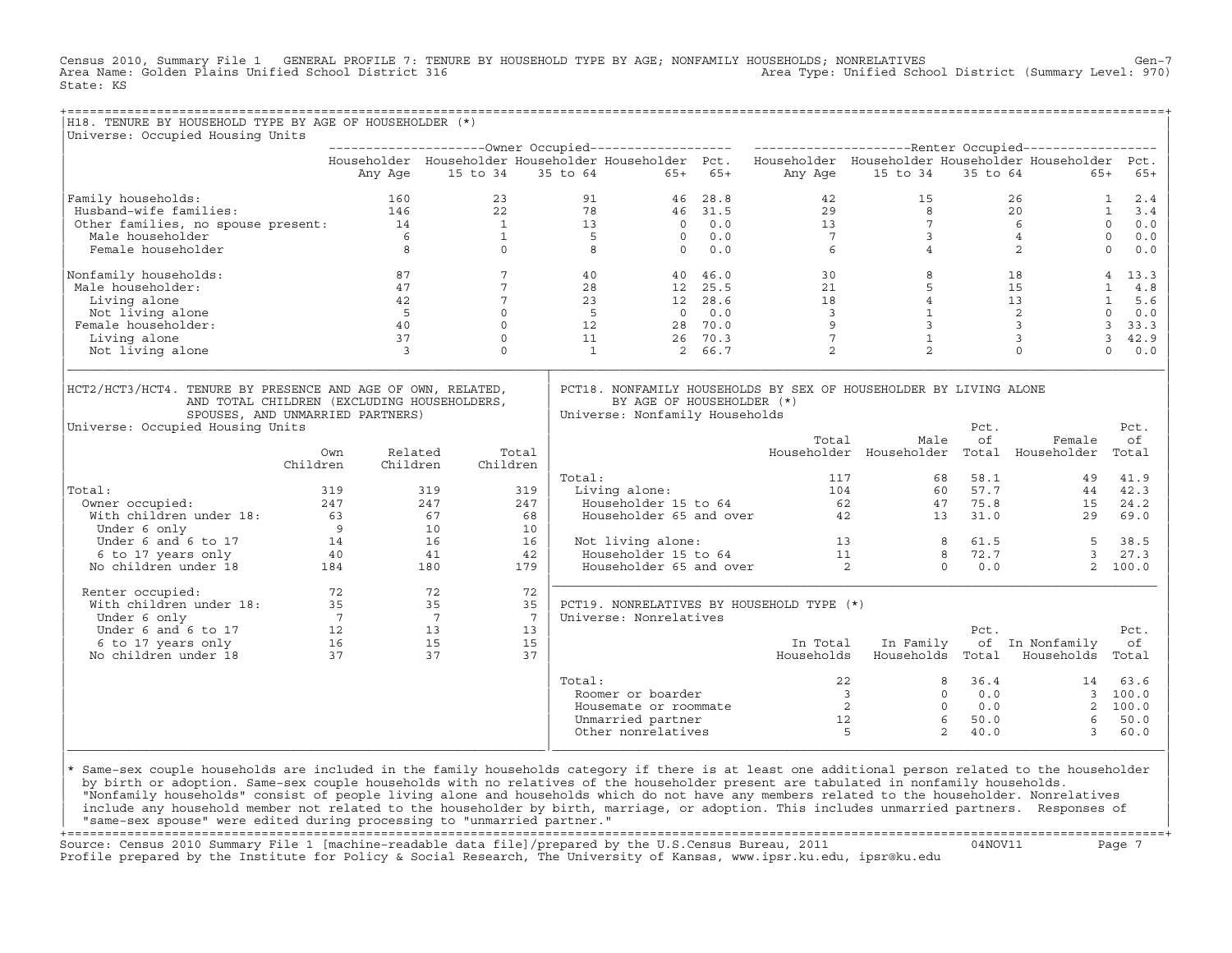Census 2010, Summary File 1 GENERAL PROFILE 7: TENURE BY HOUSEHOLD TYPE BY AGE; NONFAMILY HOUSEHOLDS; NONRELATIVES Gen−7<br>Area Name: Golden Plains Unified School District 316 Area Type: Unified School District (Summary Level: 970) State: KS

| H18. TENURE BY HOUSEHOLD TYPE BY AGE OF HOUSEHOLDER (*)                                                                                                                                                                                                     |                 |                                              |                         |                                           |                                        |                                   |                                           |                                                                                                                                                                                                                                                                                                                                       |                     |                 |                  |
|-------------------------------------------------------------------------------------------------------------------------------------------------------------------------------------------------------------------------------------------------------------|-----------------|----------------------------------------------|-------------------------|-------------------------------------------|----------------------------------------|-----------------------------------|-------------------------------------------|---------------------------------------------------------------------------------------------------------------------------------------------------------------------------------------------------------------------------------------------------------------------------------------------------------------------------------------|---------------------|-----------------|------------------|
| Universe: Occupied Housing Units                                                                                                                                                                                                                            |                 |                                              |                         |                                           |                                        |                                   |                                           |                                                                                                                                                                                                                                                                                                                                       |                     |                 |                  |
|                                                                                                                                                                                                                                                             |                 |                                              |                         |                                           |                                        |                                   |                                           | Householder Householder Householder Householder Pct. Householder Householder Householder Householder Pct.                                                                                                                                                                                                                             |                     |                 |                  |
|                                                                                                                                                                                                                                                             |                 |                                              |                         |                                           |                                        | Any Age 15 to 34 35 to 64 65+ 65+ |                                           | Any Age 15 to 34 35 to 64 65+ 65+                                                                                                                                                                                                                                                                                                     |                     |                 |                  |
|                                                                                                                                                                                                                                                             |                 |                                              |                         |                                           |                                        |                                   |                                           |                                                                                                                                                                                                                                                                                                                                       |                     |                 |                  |
| Family households:                                                                                                                                                                                                                                          |                 |                                              |                         |                                           |                                        |                                   |                                           |                                                                                                                                                                                                                                                                                                                                       |                     | $26$ 1 2.4      |                  |
|                                                                                                                                                                                                                                                             |                 |                                              |                         |                                           |                                        |                                   |                                           |                                                                                                                                                                                                                                                                                                                                       |                     |                 | $1 \quad 3.4$    |
|                                                                                                                                                                                                                                                             |                 |                                              |                         |                                           |                                        |                                   |                                           |                                                                                                                                                                                                                                                                                                                                       |                     |                 | $0 \t 0.0$       |
|                                                                                                                                                                                                                                                             |                 |                                              |                         |                                           |                                        |                                   |                                           |                                                                                                                                                                                                                                                                                                                                       |                     |                 | $\circ$<br>0.0   |
| 91 Family households:<br>Husband-wife families:<br>Other families, no spouse present:<br>Male householder<br>Male householder<br>Female householder<br>8 0 8 0 0.0 7 3 4<br>8 0 0.0 7 3 4<br>20<br>8 0 0.0 7 3 4<br>20<br>8 20<br>8 20<br>8 20<br>8 20<br>8 |                 |                                              |                         |                                           |                                        |                                   |                                           |                                                                                                                                                                                                                                                                                                                                       |                     |                 | $\circ$<br>$0.0$ |
| Nonfamily households:                                                                                                                                                                                                                                       |                 | $87$<br>$47$                                 | 87 8<br>$7\overline{ }$ | $\frac{4 \text{ C}}{28}$<br>28<br>23<br>5 |                                        | 40                                |                                           | $\begin{array}{cccccccc} 4\,0 & 4\,6\,.\,0 & & & & 3\,0 & & & 8 & & 18 & & 4 & 13\,.3 \\ 12 & 25.\,5 & & & 21 & & 5 & & 15 & & 1 & 4\,.8 \\ 12 & 28.\,6 & & & 18 & & 4 & 13 & & 1 & 5\,.6 \\ 0 & 0\,.0 & & & 3 & & 1 & & 2 & & 0 & 0\,.0 \\ 28 & 70.\,0 & & & 9 & & 3 & & 3 & & 3 & 3\,.3 \\ 26 & 70.\,3 & & & 7 & & 1 & & 3 & & 3 &$ |                     |                 |                  |
| Male householder:                                                                                                                                                                                                                                           |                 |                                              | $7\overline{ }$         |                                           |                                        |                                   |                                           |                                                                                                                                                                                                                                                                                                                                       |                     |                 |                  |
| Living alone                                                                                                                                                                                                                                                |                 |                                              | $\overline{7}$          |                                           |                                        |                                   |                                           |                                                                                                                                                                                                                                                                                                                                       |                     |                 |                  |
| Not living alone                                                                                                                                                                                                                                            |                 |                                              | $\overline{0}$          |                                           | $\begin{array}{c} 5 \\ 12 \end{array}$ |                                   |                                           |                                                                                                                                                                                                                                                                                                                                       |                     |                 |                  |
| Female householder:                                                                                                                                                                                                                                         |                 | $\begin{array}{c} 42 \\ 5 \\ 40 \end{array}$ | $\Omega$                |                                           |                                        |                                   |                                           |                                                                                                                                                                                                                                                                                                                                       |                     |                 |                  |
| Living alone                                                                                                                                                                                                                                                | $\frac{37}{3}$  |                                              | $\circ$                 |                                           | 11                                     |                                   |                                           |                                                                                                                                                                                                                                                                                                                                       |                     |                 |                  |
| Not living alone                                                                                                                                                                                                                                            |                 | $\overline{\phantom{a}}$                     | $\Omega$                |                                           | $\overline{1}$                         |                                   |                                           |                                                                                                                                                                                                                                                                                                                                       |                     |                 |                  |
| SPOUSES, AND UNMARRIED PARTNERS)<br>Universe: Occupied Housing Units                                                                                                                                                                                        |                 |                                              |                         |                                           |                                        | Universe: Nonfamily Households    |                                           | Total<br>Male                                                                                                                                                                                                                                                                                                                         | Pct.<br>of          | Female          | Pct.<br>оf       |
|                                                                                                                                                                                                                                                             | Own<br>Children | Related<br>Children                          | Children                | Total                                     |                                        |                                   |                                           | Householder Householder Total Householder Total                                                                                                                                                                                                                                                                                       |                     |                 |                  |
|                                                                                                                                                                                                                                                             |                 |                                              |                         |                                           | Total:                                 |                                   |                                           |                                                                                                                                                                                                                                                                                                                                       |                     |                 |                  |
| Total:                                                                                                                                                                                                                                                      |                 |                                              |                         | 319                                       |                                        |                                   |                                           |                                                                                                                                                                                                                                                                                                                                       |                     |                 |                  |
|                                                                                                                                                                                                                                                             |                 |                                              |                         | 247                                       |                                        |                                   |                                           |                                                                                                                                                                                                                                                                                                                                       |                     |                 |                  |
|                                                                                                                                                                                                                                                             |                 |                                              |                         | 68                                        |                                        |                                   |                                           |                                                                                                                                                                                                                                                                                                                                       |                     |                 |                  |
|                                                                                                                                                                                                                                                             |                 |                                              |                         | 10                                        |                                        |                                   |                                           |                                                                                                                                                                                                                                                                                                                                       |                     |                 |                  |
|                                                                                                                                                                                                                                                             |                 |                                              |                         | 16                                        |                                        |                                   |                                           |                                                                                                                                                                                                                                                                                                                                       |                     |                 | 38.5             |
|                                                                                                                                                                                                                                                             |                 |                                              |                         | 42                                        |                                        |                                   |                                           |                                                                                                                                                                                                                                                                                                                                       |                     |                 | 3, 27.3          |
|                                                                                                                                                                                                                                                             |                 |                                              |                         | 179                                       |                                        |                                   |                                           | Not living alone:<br>Householder 15 to 64 11 8 72.7 3<br>Householder 65 and over 2 0 0.0 2                                                                                                                                                                                                                                            |                     |                 | 2, 100.0         |
| Renter occupied:                                                                                                                                                                                                                                            |                 |                                              |                         | 72                                        |                                        |                                   |                                           |                                                                                                                                                                                                                                                                                                                                       |                     |                 |                  |
|                                                                                                                                                                                                                                                             |                 |                                              |                         | 35                                        |                                        |                                   | PCT19. NONRELATIVES BY HOUSEHOLD TYPE (*) |                                                                                                                                                                                                                                                                                                                                       |                     |                 |                  |
|                                                                                                                                                                                                                                                             |                 |                                              |                         | $7\overline{ }$                           |                                        | Universe: Nonrelatives            |                                           |                                                                                                                                                                                                                                                                                                                                       |                     |                 |                  |
|                                                                                                                                                                                                                                                             |                 |                                              |                         | 13                                        |                                        |                                   |                                           |                                                                                                                                                                                                                                                                                                                                       | Pct.                |                 | Pct.             |
|                                                                                                                                                                                                                                                             |                 |                                              |                         | 15                                        |                                        |                                   | In Total                                  | In Family                                                                                                                                                                                                                                                                                                                             |                     | of In Nonfamily | оf               |
| Renter occupied:<br>72 72<br>With children under 18:<br>735 35<br>Under 6 only 75<br>77 7<br>Under 6 and 6 to 17<br>6 to 17 years only 16<br>No children under 18 37 37                                                                                     |                 |                                              |                         | 37                                        |                                        |                                   |                                           | Households Households Total Households Total                                                                                                                                                                                                                                                                                          |                     |                 |                  |
|                                                                                                                                                                                                                                                             |                 |                                              |                         |                                           | Total:                                 |                                   |                                           |                                                                                                                                                                                                                                                                                                                                       |                     |                 |                  |
|                                                                                                                                                                                                                                                             |                 |                                              |                         |                                           |                                        | Roomer or boarder                 |                                           |                                                                                                                                                                                                                                                                                                                                       |                     |                 |                  |
|                                                                                                                                                                                                                                                             |                 |                                              |                         |                                           |                                        | Housemate or roommate             |                                           |                                                                                                                                                                                                                                                                                                                                       |                     |                 |                  |
|                                                                                                                                                                                                                                                             |                 |                                              |                         |                                           |                                        | Unmarried partner                 |                                           | $\begin{array}{cccccc} 22 & 8 & 36.4 & 14 & 63.6 \\ 3 & 0 & 0.0 & 3 & 100.0 \\ 2 & 0 & 0.0 & 2 & 100.0 \\ 12 & 6 & 50.0 & 6 & 50.0 \\ 5 & 6 & 50.0 & 3 & 60.0 \\ \end{array}$                                                                                                                                                         |                     |                 |                  |
|                                                                                                                                                                                                                                                             |                 |                                              |                         |                                           |                                        | Other nonrelatives                |                                           | $-5$                                                                                                                                                                                                                                                                                                                                  | $2^{\circ}$<br>40.0 | 3               | 60.0             |

design to the control of the control of the control of the control of the control of the control of the control of the control of the control of the control of the control of the control of the control of the control of th |\* Same−sex couple households are included in the family households category if there is at least one additional person related to the householder | | by birth or adoption. Same−sex couple households with no relatives of the householder present are tabulated in nonfamily households. | | "Nonfamily households" consist of people living alone and households which do not have any members related to the householder. Nonrelatives | include any household member not related to the householder by birth, marriage, or adoption. This includes unmarried partners. Responses of | "same−sex spouse" were edited during processing to "unmarried partner." |

|\_\_\_\_\_\_\_\_\_\_\_\_\_\_\_\_\_\_\_\_\_\_\_\_\_\_\_\_\_\_\_\_\_\_\_\_\_\_\_\_\_\_\_\_\_\_\_\_\_\_\_\_\_\_\_\_\_\_\_\_\_\_\_\_|\_\_\_\_\_\_\_\_\_\_\_\_\_\_\_\_\_\_\_\_\_\_\_\_\_\_\_\_\_\_\_\_\_\_\_\_\_\_\_\_\_\_\_\_\_\_\_\_\_\_\_\_\_\_\_\_\_\_\_\_\_\_\_\_\_\_\_\_\_\_\_\_\_\_\_\_\_\_\_\_\_\_|

+===================================================================================================================================================+ Source: Census 2010 Summary File 1 [machine−readable data file]/prepared by the U.S.Census Bureau, 2011 04NOV11 Page 7 Profile prepared by the Institute for Policy & Social Research, The University of Kansas, www.ipsr.ku.edu, ipsr@ku.edu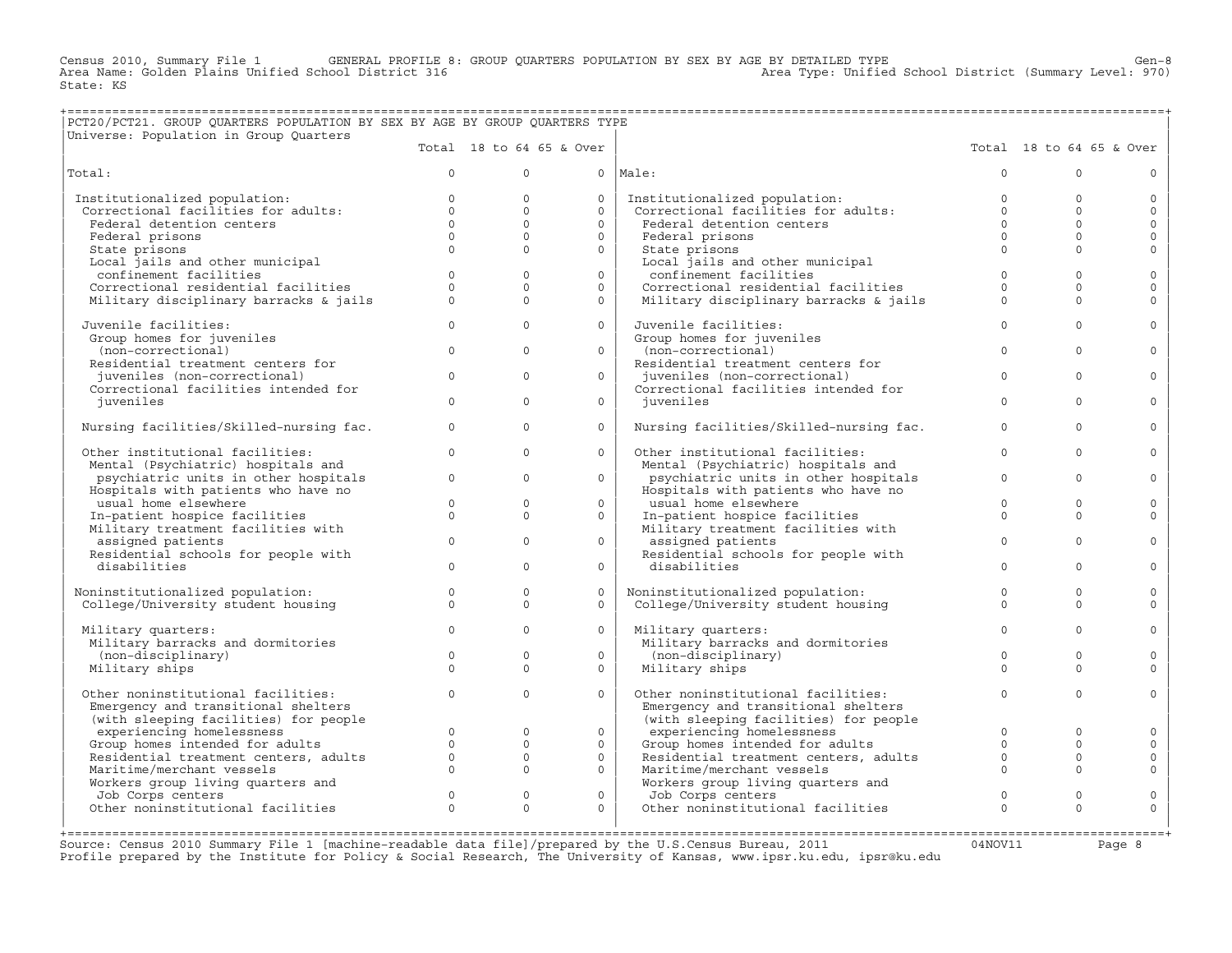Census 2010, Summary File 1 GENERAL PROFILE 8: GROUP QUARTERS POPULATION BY SEX BY AGE BY DETAILED TYPE Ghool District (Summary Level: 970)<br>Area Name: Golden Plains Unified School District 316 (Summary Level: 970) State: KS

## +===================================================================================================================================================+ |PCT20/PCT21. GROUP QUARTERS POPULATION BY SEX BY AGE BY GROUP QUARTERS TYPE |

| Universe: Population in Group Quarters                   |          |              |                          |                                                                      |              |                          |              |
|----------------------------------------------------------|----------|--------------|--------------------------|----------------------------------------------------------------------|--------------|--------------------------|--------------|
|                                                          |          |              | Total 18 to 64 65 & Over |                                                                      |              | Total 18 to 64 65 & Over |              |
| Total:                                                   | $\Omega$ | $\Omega$     |                          | $0$  Male:                                                           | $\Omega$     | $\cap$                   | $\Omega$     |
| Institutionalized population:                            | $\Omega$ | $\Omega$     | $\circ$                  | Institutionalized population:<br>Correctional facilities for adults: | $\Omega$     | $\Omega$                 | $\circ$      |
| Correctional facilities for adults:                      | $\Omega$ | $\Omega$     | $\Omega$                 |                                                                      | $\Omega$     | $\Omega$                 | $\circ$      |
| Federal detention centers                                | $\Omega$ | $\Omega$     | $\Omega$                 | Federal detention centers                                            | $\Omega$     | $\Omega$                 | $\Omega$     |
| Federal prisons                                          | $\Omega$ | $\Omega$     | $\circ$                  | Federal prisons                                                      | $\Omega$     | $\Omega$                 | $\circ$      |
| State prisons                                            | $\Omega$ | $\Omega$     | $\Omega$                 | State prisons                                                        | $\Omega$     | $\Omega$                 | $\circ$      |
| Local jails and other municipal                          |          |              |                          | Local jails and other municipal                                      |              |                          |              |
| confinement facilities                                   | $\Omega$ | $\Omega$     | $\Omega$                 | confinement facilities                                               | $\Omega$     | $\Omega$                 | $\mathbf 0$  |
| Correctional residential facilities                      | $\Omega$ | $\Omega$     | $\Omega$                 | Correctional residential facilities                                  | $\Omega$     | $\Omega$                 | $\circ$      |
| Military disciplinary barracks & jails                   | $\Omega$ | $\Omega$     | $\Omega$                 | Military disciplinary barracks & jails                               | $\Omega$     | $\Omega$                 | $\Omega$     |
| Juvenile facilities:                                     | $\Omega$ | $\Omega$     | $\Omega$                 | Juvenile facilities:                                                 | $\Omega$     | $\Omega$                 | $\Omega$     |
| Group homes for juveniles                                |          |              |                          | Group homes for juveniles                                            |              |                          |              |
| (non-correctional)                                       | $\circ$  | $\Omega$     | $\circ$                  | (non-correctional)                                                   | $\Omega$     | $\Omega$                 | $\circ$      |
| Residential treatment centers for                        |          |              |                          | Residential treatment centers for                                    |              |                          |              |
| juveniles (non-correctional)                             | $\Omega$ | $\Omega$     | $\Omega$                 | juveniles (non-correctional)                                         | $\Omega$     | $\Omega$                 | $\Omega$     |
| Correctional facilities intended for                     |          |              |                          | Correctional facilities intended for                                 |              |                          |              |
| juveniles                                                | $\Omega$ | $\Omega$     | $\Omega$                 | iuveniles                                                            | $\Omega$     | $\Omega$                 | $\circ$      |
| Nursing facilities/Skilled-nursing fac.                  | $\Omega$ | $\Omega$     | $\Omega$                 | Nursing facilities/Skilled-nursing fac.                              | $\Omega$     | $\Omega$                 | $\Omega$     |
| Other institutional facilities:                          | $\Omega$ | $\Omega$     | $\circ$                  | Other institutional facilities:                                      | $\Omega$     | $\Omega$                 | $\circ$      |
| Mental (Psychiatric) hospitals and                       |          |              |                          | Mental (Psychiatric) hospitals and                                   |              |                          |              |
| psychiatric units in other hospitals                     | $\Omega$ | $\Omega$     | $\Omega$                 | psychiatric units in other hospitals                                 | $\Omega$     | $\Omega$                 | $\Omega$     |
| Hospitals with patients who have no                      |          |              |                          | Hospitals with patients who have no                                  |              |                          |              |
| usual home elsewhere                                     | $\Omega$ | $\Omega$     | $\Omega$                 | usual home elsewhere                                                 | $\Omega$     | $\Omega$                 | $\circ$      |
| In-patient hospice facilities                            | $\Omega$ | $\Omega$     | $\Omega$                 | In-patient hospice facilities                                        | $\Omega$     | $\Omega$                 | $\Omega$     |
| Military treatment facilities with                       | $\Omega$ | $\Omega$     | $\Omega$                 | Military treatment facilities with                                   | $\Omega$     | $\Omega$                 | $\circ$      |
| assigned patients<br>Residential schools for people with |          |              |                          | assigned patients<br>Residential schools for people with             |              |                          |              |
| disabilities                                             | $\Omega$ | $\Omega$     | $\Omega$                 | disabilities                                                         | $\Omega$     | $\Omega$                 | $\Omega$     |
|                                                          |          |              |                          |                                                                      |              |                          |              |
| Noninstitutionalized population:                         | $\circ$  | $\mathbf{0}$ | $\Omega$                 | Noninstitutionalized population:                                     | $\circ$      | $\Omega$                 | $\circ$      |
| College/University student housing                       | $\Omega$ | $\Omega$     | $\Omega$                 | College/University student housing                                   | $\Omega$     | $\Omega$                 | $\Omega$     |
| Military quarters:                                       | $\Omega$ | $\Omega$     | $\Omega$                 | Military quarters:                                                   | $\Omega$     | $\Omega$                 | $\Omega$     |
| Military barracks and dormitories                        |          |              |                          | Military barracks and dormitories                                    |              |                          |              |
| (non-disciplinary)                                       | $\Omega$ | $\Omega$     | $\Omega$                 | (non-disciplinary)                                                   | $\Omega$     | $\Omega$                 | $\circ$      |
| Military ships                                           | $\Omega$ | $\Omega$     | $\Omega$                 | Military ships                                                       | $\Omega$     | $\Omega$                 | $\Omega$     |
| Other noninstitutional facilities:                       | $\circ$  | $\Omega$     | $\Omega$                 | Other noninstitutional facilities:                                   | $\mathbf{0}$ | $\Omega$                 | $\circ$      |
| Emergency and transitional shelters                      |          |              |                          | Emergency and transitional shelters                                  |              |                          |              |
| (with sleeping facilities) for people                    |          |              |                          | (with sleeping facilities) for people                                |              |                          |              |
| experiencing homelessness                                | $\Omega$ | $\Omega$     | $\Omega$                 | experiencing homelessness                                            | $\Omega$     | $\Omega$                 | $\Omega$     |
| Group homes intended for adults                          | $\Omega$ | $\circ$      | $\circ$                  | Group homes intended for adults                                      | $\circ$      | $\Omega$                 | $\circ$      |
| Residential treatment centers, adults                    | $\circ$  | $\mathbf{0}$ | $\circ$                  | Residential treatment centers, adults                                | $\Omega$     | $\Omega$                 | $\circ$      |
| Maritime/merchant vessels                                | $\Omega$ | $\Omega$     | $\Omega$                 | Maritime/merchant vessels                                            | $\Omega$     | $\Omega$                 | $\mathbf{0}$ |
| Workers group living quarters and                        |          |              |                          | Workers group living quarters and                                    |              |                          |              |
| Job Corps centers                                        | $\Omega$ | $\mathbf{0}$ | $\circ$                  | Job Corps centers                                                    | $\mathbf 0$  | $\Omega$                 | $\circ$      |
| Other noninstitutional facilities                        | $\Omega$ | $\Omega$     | $\Omega$                 | Other noninstitutional facilities                                    | $\Omega$     | $\Omega$                 | $\Omega$     |
|                                                          |          |              |                          |                                                                      |              |                          |              |

Source: Census 2010 Summary File 1 [machine-readable data file]/prepared by the U.S.Census Bureau, 2011 Page 8<br>Profile prepared by the Institute for Policy & Social Research, The University of Kansas, www.ip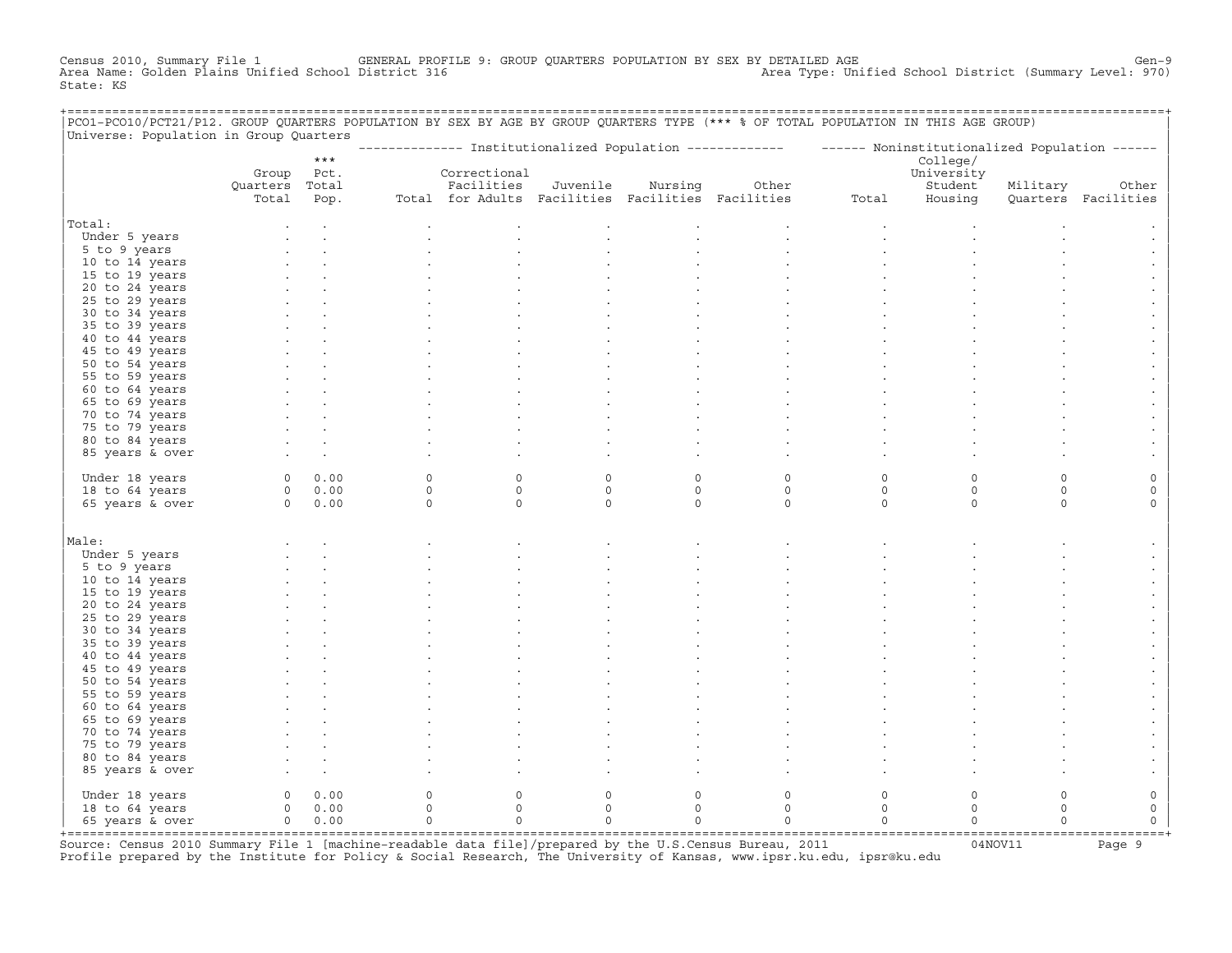Census 2010, Summary File 1 GENERAL PROFILE 9: GROUP QUARTERS POPULATION BY SEX BY DETAILED AGE Gen−9 Area Name: Golden Plains Unified School District 316 Area Type: Unified School District (Summary Level: 970) State: KS

| PCO1-PCO10/PCT21/P12. GROUP QUARTERS POPULATION BY SEX BY AGE BY GROUP QUARTERS TYPE (*** % OF TOTAL POPULATION IN THIS AGE GROUP)<br>Universe: Population in Group Quarters |                              |             |          |                                                   |             |          |                                                                                                         |          |                                   |          |                     |
|------------------------------------------------------------------------------------------------------------------------------------------------------------------------------|------------------------------|-------------|----------|---------------------------------------------------|-------------|----------|---------------------------------------------------------------------------------------------------------|----------|-----------------------------------|----------|---------------------|
|                                                                                                                                                                              |                              | $***$       |          |                                                   |             |          | -------------- Institutionalized Population ------------- ------ Noninstitutionalized Population ------ |          |                                   |          |                     |
|                                                                                                                                                                              | Group Pct.<br>Quarters Total |             |          | Correctional<br>Facilities                        | Juvenile    | Nursing  | Other                                                                                                   |          | College/<br>University<br>Student | Military | Other               |
|                                                                                                                                                                              | Total                        | Pop.        |          | Total for Adults Facilities Facilities Facilities |             |          |                                                                                                         | Total    | Housing                           |          | Quarters Facilities |
| Total:                                                                                                                                                                       |                              |             |          |                                                   |             |          |                                                                                                         |          |                                   |          |                     |
| Under 5 years                                                                                                                                                                |                              |             |          |                                                   |             |          |                                                                                                         |          |                                   |          |                     |
| 5 to 9 years                                                                                                                                                                 |                              |             |          |                                                   |             |          |                                                                                                         |          |                                   |          |                     |
| 10 to 14 years                                                                                                                                                               |                              |             |          |                                                   |             |          |                                                                                                         |          |                                   |          |                     |
| 15 to 19 years                                                                                                                                                               |                              |             |          |                                                   |             |          |                                                                                                         |          |                                   |          |                     |
| 20 to 24 years                                                                                                                                                               |                              |             |          |                                                   |             |          |                                                                                                         |          |                                   |          |                     |
| 25 to 29 years                                                                                                                                                               |                              |             |          |                                                   |             |          |                                                                                                         |          |                                   |          |                     |
| 30 to 34 years                                                                                                                                                               |                              |             |          |                                                   |             |          |                                                                                                         |          |                                   |          |                     |
| 35 to 39 years                                                                                                                                                               |                              |             |          |                                                   |             |          |                                                                                                         |          |                                   |          |                     |
| 40 to 44 years                                                                                                                                                               |                              |             |          |                                                   |             |          |                                                                                                         |          |                                   |          |                     |
| 45 to 49 years                                                                                                                                                               |                              |             |          |                                                   |             |          |                                                                                                         |          |                                   |          |                     |
| 50 to 54 years                                                                                                                                                               |                              |             |          |                                                   |             |          |                                                                                                         |          |                                   |          |                     |
| 55 to 59 years                                                                                                                                                               |                              |             |          |                                                   |             |          |                                                                                                         |          |                                   |          |                     |
| 60 to 64 years                                                                                                                                                               |                              |             |          |                                                   |             |          |                                                                                                         |          |                                   |          |                     |
| 65 to 69 years<br>70 to 74 years                                                                                                                                             |                              |             |          |                                                   |             |          |                                                                                                         |          |                                   |          |                     |
| 75 to 79 years                                                                                                                                                               |                              |             |          |                                                   |             |          |                                                                                                         |          |                                   |          |                     |
| 80 to 84 years                                                                                                                                                               |                              |             |          |                                                   |             |          |                                                                                                         |          |                                   |          |                     |
| 85 years & over                                                                                                                                                              |                              |             |          |                                                   |             |          |                                                                                                         |          |                                   |          |                     |
|                                                                                                                                                                              |                              |             |          |                                                   |             |          |                                                                                                         |          |                                   |          |                     |
| Under 18 years                                                                                                                                                               |                              | 0 0.00      | 0        | $\mathsf{O}$                                      | 0           | 0        | 0                                                                                                       | 0        | $\mathbf 0$                       | $\Omega$ | 0                   |
| 18 to 64 years                                                                                                                                                               |                              | 0 0.00      | $\circ$  | $\circ$                                           | $\mathbf 0$ | $\circ$  | $\circ$                                                                                                 | $\circ$  | $\circ$                           | $\circ$  | 0                   |
| 65 years & over                                                                                                                                                              |                              | $0 \t 0.00$ | $\circ$  | $\Omega$                                          | $\Omega$    | $\circ$  | $\Omega$                                                                                                | $\Omega$ | $\Omega$                          | $\Omega$ | $\Omega$            |
|                                                                                                                                                                              |                              |             |          |                                                   |             |          |                                                                                                         |          |                                   |          |                     |
| Male:                                                                                                                                                                        |                              |             |          |                                                   |             |          |                                                                                                         |          |                                   |          |                     |
| Under 5 years                                                                                                                                                                |                              |             |          |                                                   |             |          |                                                                                                         |          |                                   |          |                     |
| 5 to 9 years                                                                                                                                                                 |                              |             |          |                                                   |             |          |                                                                                                         |          |                                   |          |                     |
| 10 to 14 years                                                                                                                                                               |                              |             |          |                                                   |             |          |                                                                                                         |          |                                   |          |                     |
| 15 to 19 years                                                                                                                                                               |                              |             |          |                                                   |             |          |                                                                                                         |          |                                   |          |                     |
| 20 to 24 years                                                                                                                                                               |                              |             |          |                                                   |             |          |                                                                                                         |          |                                   |          |                     |
| 25 to 29 years                                                                                                                                                               |                              |             |          |                                                   |             |          |                                                                                                         |          |                                   |          |                     |
| 30 to 34 years                                                                                                                                                               |                              |             |          |                                                   |             |          |                                                                                                         |          |                                   |          |                     |
| 35 to 39 years                                                                                                                                                               |                              |             |          |                                                   |             |          |                                                                                                         |          |                                   |          |                     |
| 40 to 44 years<br>45 to 49 years                                                                                                                                             |                              |             |          |                                                   |             |          |                                                                                                         |          |                                   |          |                     |
| 50 to 54 years                                                                                                                                                               |                              |             |          |                                                   |             |          |                                                                                                         |          |                                   |          |                     |
| 55 to 59 years                                                                                                                                                               |                              |             |          |                                                   |             |          |                                                                                                         |          |                                   |          |                     |
| 60 to 64 years                                                                                                                                                               |                              |             |          |                                                   |             |          |                                                                                                         |          |                                   |          |                     |
| 65 to 69 years                                                                                                                                                               |                              |             |          |                                                   |             |          |                                                                                                         |          |                                   |          |                     |
| 70 to 74 years                                                                                                                                                               |                              |             |          |                                                   |             |          |                                                                                                         |          |                                   |          |                     |
| 75 to 79 years                                                                                                                                                               |                              |             |          |                                                   |             |          |                                                                                                         |          |                                   |          |                     |
| 80 to 84 years                                                                                                                                                               |                              |             |          |                                                   |             |          |                                                                                                         |          |                                   |          |                     |
| 85 years & over                                                                                                                                                              |                              |             |          |                                                   |             |          |                                                                                                         |          |                                   |          |                     |
| Under 18 years                                                                                                                                                               | $\circ$                      | 0.00        | $\circ$  | $\circ$                                           | $\mathbf 0$ | $\circ$  | $\mathbf 0$                                                                                             | $\circ$  | $\circ$                           | $\circ$  | 0                   |
| 18 to 64 years                                                                                                                                                               |                              | $0 \t 0.00$ | $\Omega$ | $\Omega$                                          | $\Omega$    | $\Omega$ | $\Omega$                                                                                                | $\Omega$ | $\Omega$                          | $\Omega$ | 0                   |
| 65 years & over                                                                                                                                                              |                              | $0 \t 0.00$ | $\circ$  | $\mathbf{0}$                                      | $\circ$     | $\Omega$ | $\Omega$                                                                                                | $\Omega$ | $\Omega$                          | $\Omega$ | $\Omega$            |
|                                                                                                                                                                              |                              |             |          |                                                   |             |          |                                                                                                         |          |                                   |          |                     |

+===================================================================================================================================================+Source: Census 2010 Summary File 1 [machine−readable data file]/prepared by the U.S.Census Bureau, 2011 04NOV11 Page 9 Profile prepared by the Institute for Policy & Social Research, The University of Kansas, www.ipsr.ku.edu, ipsr@ku.edu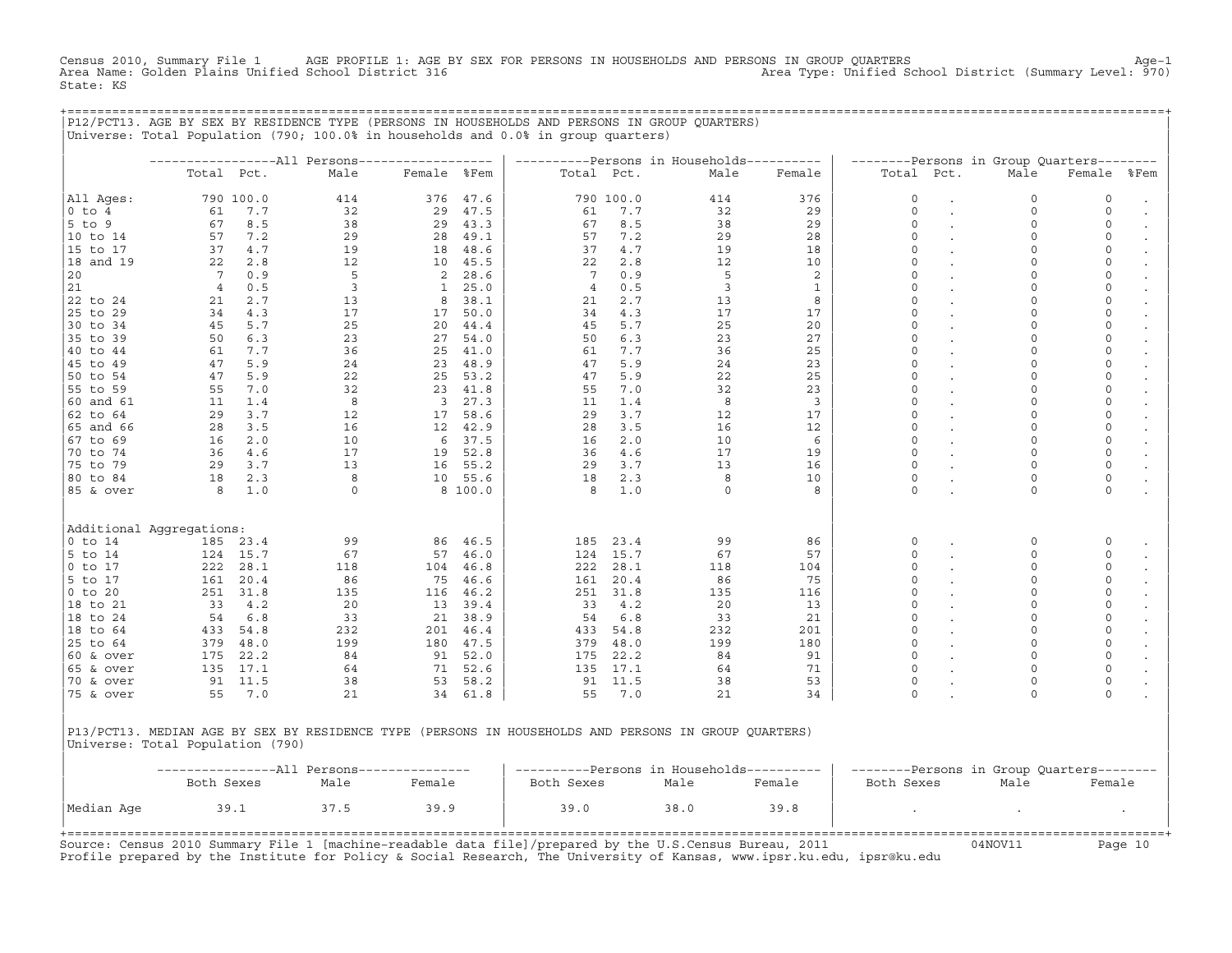Census 2010, Summary File 1 AGE PROFILE 1: AGE BY SEX FOR PERSONS IN HOUSEHOLDS AND PERSONS IN GROUP QUARTERS<br>Area Name: Golden Plains Unified School District 316 Area Type: Unified School District (Summary Level: 970) State: KS

+===================================================================================================================================================+

|                                                                                                      |                 |           |                |                         |          |                |           | ----------Persons in Households---------- |              |             |           | --------Persons in Group Quarters-------- |              |                      |
|------------------------------------------------------------------------------------------------------|-----------------|-----------|----------------|-------------------------|----------|----------------|-----------|-------------------------------------------|--------------|-------------|-----------|-------------------------------------------|--------------|----------------------|
|                                                                                                      | Total Pct.      |           | Male           | Female %Fem             |          | Total Pct.     |           | Male                                      | Female       | Total Pct.  |           | Male                                      | Female       | %Fem                 |
| All Aqes:                                                                                            |                 | 790 100.0 | 414            |                         | 376 47.6 |                | 790 100.0 | 414                                       | 376          | 0           |           | 0                                         | 0            | $\ddot{\phantom{a}}$ |
| $0$ to $4$                                                                                           | 61              | 7.7       | 32             | 29                      | 47.5     | 61             | 7.7       | 32                                        | 29           | $\Omega$    |           | $\mathsf{O}\xspace$                       | 0            |                      |
| $5$ to $9$                                                                                           | 67              | 8.5       | 38             | 29                      | 43.3     | 67             | 8.5       | 38                                        | 29           | $\Omega$    |           | $\circ$                                   | 0            |                      |
| 10 to 14                                                                                             | 57              | 7.2       | 29             | 28                      | 49.1     | 57             | 7.2       | 29                                        | 28           | $\Omega$    |           | $\circ$                                   | $\mathbf 0$  |                      |
| 15 to 17                                                                                             | 37              | 4.7       | 19             | 18                      | 48.6     | 37             | 4.7       | 19                                        | 18           | $\mathbf 0$ |           | 0                                         | $\circ$      |                      |
| 18 and 19                                                                                            | 22              | 2.8       | 12             |                         | 10 45.5  | 22             | 2.8       | 12                                        | 10           | $\Omega$    |           | $\circ$                                   | $\mathbf 0$  |                      |
| 20                                                                                                   | $7\phantom{.0}$ | 0.9       | 5              | 2                       | 28.6     | 7              | 0.9       | 5                                         | 2            | $\mathbf 0$ |           | $\circ$                                   | $\circ$      |                      |
| 21                                                                                                   | $\overline{4}$  | 0.5       | $\overline{3}$ | $\mathbf{1}$            | 25.0     | $\overline{4}$ | 0.5       | $\overline{3}$                            | $\mathbf{1}$ | $\Omega$    |           | $\mathbf 0$                               | $\circ$      |                      |
| 22 to 24                                                                                             | 21              | 2.7       | 13             | 8                       | 38.1     | 21             | 2.7       | 13                                        | 8            | $\mathbf 0$ |           | 0                                         | $\circ$      | $\bullet$            |
| 25 to 29                                                                                             | 34              | 4.3       | 17             | 17                      | 50.0     | 34             | 4.3       | 17                                        | 17           | $\Omega$    |           | $\circ$                                   | $\mathsf{O}$ | $\cdot$              |
| 30 to 34                                                                                             | 45              | 5.7       | 25             | 20                      | 44.4     | 45             | 5.7       | 25                                        | 20           | $\Omega$    |           | $\mathsf{O}\xspace$                       | 0            | $\bullet$            |
| 35 to 39                                                                                             | 50              | 6.3       | 23             | 27                      | 54.0     | 50             | 6.3       | 23                                        | 27           | $\Omega$    |           | $\circ$                                   | $\circ$      |                      |
| 40 to 44                                                                                             | 61              | 7.7       | 36             | 25                      | 41.0     | 61             | 7.7       | 36                                        | 25           | $\mathbf 0$ |           | $\circ$                                   | $\circ$      | $\bullet$            |
| 45 to 49                                                                                             | 47              | 5.9       | 24             | 23                      | 48.9     | 47             | 5.9       | 24                                        | 23           | $\Omega$    |           | 0                                         | 0            | $\bullet$            |
| 50 to 54                                                                                             | 47              | 5.9       | 22             | 25                      | 53.2     | 47             | 5.9       | 22                                        | 25           | $\Omega$    |           | 0                                         | 0            |                      |
| 55 to 59                                                                                             | 55              | 7.0       | 32             |                         | 23 41.8  | 55             | 7.0       | 32                                        | 23           | $\Omega$    |           | 0                                         | 0            | $\bullet$            |
| 60 and 61                                                                                            | 11              | 1.4       | 8              | $\overline{\mathbf{3}}$ | 27.3     | 11             | 1.4       | 8                                         | 3            | $\Omega$    |           | $\circ$                                   | 0            | $\bullet$            |
| 62 to 64                                                                                             | 29              | 3.7       | 12             | 17                      | 58.6     | 29             | 3.7       | 12                                        | 17           | $\Omega$    |           | $\circ$                                   | 0            | $\bullet$            |
| 65 and 66                                                                                            | 28              | 3.5       | 16             | 12                      | 42.9     | 28             | 3.5       | 16                                        | 12           | $\Omega$    |           | $\circ$                                   | 0            |                      |
| 67 to 69                                                                                             | 16              | 2.0       | 10             | 6                       | 37.5     | 16             | 2.0       | 10                                        | 6            | $\Omega$    |           | $\circ$                                   | $\mathsf{O}$ |                      |
| 70 to 74                                                                                             | 36              | 4.6       | 17             | 19                      | 52.8     | 36             | 4.6       | 17                                        | 19           | $\Omega$    |           | $\mathbf 0$                               | $\mathbb O$  |                      |
| 75 to 79                                                                                             | 29              | 3.7       | 13             |                         | 16 55.2  | 29             | 3.7       | 13                                        | 16           | $\Omega$    |           | $\circ$                                   | $\mathsf{O}$ |                      |
| 80 to 84                                                                                             | 18              | 2.3       | 8              |                         | 10 55.6  | 18             | 2.3       | 8                                         | 10           | $\mathbf 0$ |           | 0                                         | $\mathsf{O}$ |                      |
| 85 & over                                                                                            | 8               | 1.0       | $\circ$        |                         | 8 100.0  | 8              | 1.0       | $\Omega$                                  | 8            | $\Omega$    |           | $\Omega$                                  | $\circ$      |                      |
| Additional Aqqreqations:                                                                             |                 |           |                |                         |          |                |           |                                           |              |             |           |                                           |              |                      |
| $0$ to 14                                                                                            | 185             | 23.4      | 99             | 86                      | 46.5     | 185            | 23.4      | 99                                        | 86           | 0           |           | 0                                         | 0            | $\bullet$            |
| 5 to 14                                                                                              | 124             | 15.7      | 67             | 57                      | 46.0     | 124            | 15.7      | 67                                        | 57           | $\mathbf 0$ |           | $\circ$                                   | $\circ$      |                      |
| $0$ to $17$                                                                                          | 222             | 28.1      | 118            | 104                     | 46.8     | 222            | 28.1      | 118                                       | 104          | $\Omega$    |           | $\circ$                                   | $\circ$      |                      |
| 5 to 17                                                                                              | 161             | 20.4      | 86             | 75                      | 46.6     | 161            | 20.4      | 86                                        | 75           | $\Omega$    |           | 0                                         | 0            | $\bullet$            |
| $0$ to $20$                                                                                          | 251             | 31.8      | 135            | 116                     | 46.2     | 251            | 31.8      | 135                                       | 116          | $\Omega$    |           | 0                                         | 0            | $\bullet$            |
| 18 to 21                                                                                             | 33              | 4.2       | 20             |                         | 13 39.4  | 33             | 4.2       | 20                                        | 13           | $\Omega$    |           | $\mathbf 0$                               | 0            | $\bullet$            |
| 18 to 24                                                                                             | 54              | 6.8       | 33             |                         | 21 38.9  | 54             | 6.8       | 33                                        | 21           | $\Omega$    |           | $\circ$                                   | $\circ$      | $\bullet$            |
| 18 to 64                                                                                             | 433             | 54.8      | 232            |                         | 201 46.4 | 433            | 54.8      | 232                                       | 201          | $\Omega$    |           | $\circ$                                   | $\mathsf{O}$ | $\bullet$            |
| 25 to 64                                                                                             | 379             | 48.0      | 199            | 180                     | 47.5     | 379            | 48.0      | 199                                       | 180          | $\Omega$    |           | $\circ$                                   | $\mathsf{O}$ |                      |
| $60$ & over                                                                                          | 175             | 22.2      | 84             |                         | 91 52.0  | 175            | 22.2      | 84                                        | 91           | $\Omega$    |           | $\circ$                                   | $\mathbf 0$  |                      |
| $65$ & over                                                                                          | 135             | 17.1      | 64             | 71                      | 52.6     | 135            | 17.1      | 64                                        | 71           | $\Omega$    |           | $\mathbf 0$                               | $\mathsf O$  |                      |
| 70 & over                                                                                            | 91              | 11.5      | 38             | 53                      | 58.2     |                | 91 11.5   | 38                                        | 53           | $\mathbf 0$ | $\bullet$ | $\circ$                                   | $\mathsf{O}$ | $\ddot{\phantom{0}}$ |
| 75 & over                                                                                            | 55              | 7.0       | 21             |                         | 34 61.8  | 55             | 7.0       | 21                                        | 34           | $\Omega$    |           | $\Omega$                                  | $\circ$      |                      |
| P13/PCT13. MEDIAN AGE BY SEX BY RESIDENCE TYPE (PERSONS IN HOUSEHOLDS AND PERSONS IN GROUP QUARTERS) |                 |           |                |                         |          |                |           |                                           |              |             |           |                                           |              |                      |

|            |            |      |        |            |      | --------Persons in Households---------- | --------Persons in Group Quarters-------- |      |        |  |  |
|------------|------------|------|--------|------------|------|-----------------------------------------|-------------------------------------------|------|--------|--|--|
|            | Both Sexes | Male | Female | Both Sexes | Male | Female                                  | Both Sexes                                | Male | Female |  |  |
| Median Age | 39.1       | 37.5 | 39.9   | 39.0       | 38.0 | 39.8                                    |                                           |      |        |  |  |
|            |            |      |        |            |      |                                         |                                           |      |        |  |  |

Source: Census 2010 Summary File 1 [machine-readable data file]/prepared by the U.S.Census Bureau, 2011 Page 10<br>Profile prepared by the Institute for Policy & Social Research, The University of Kansas, www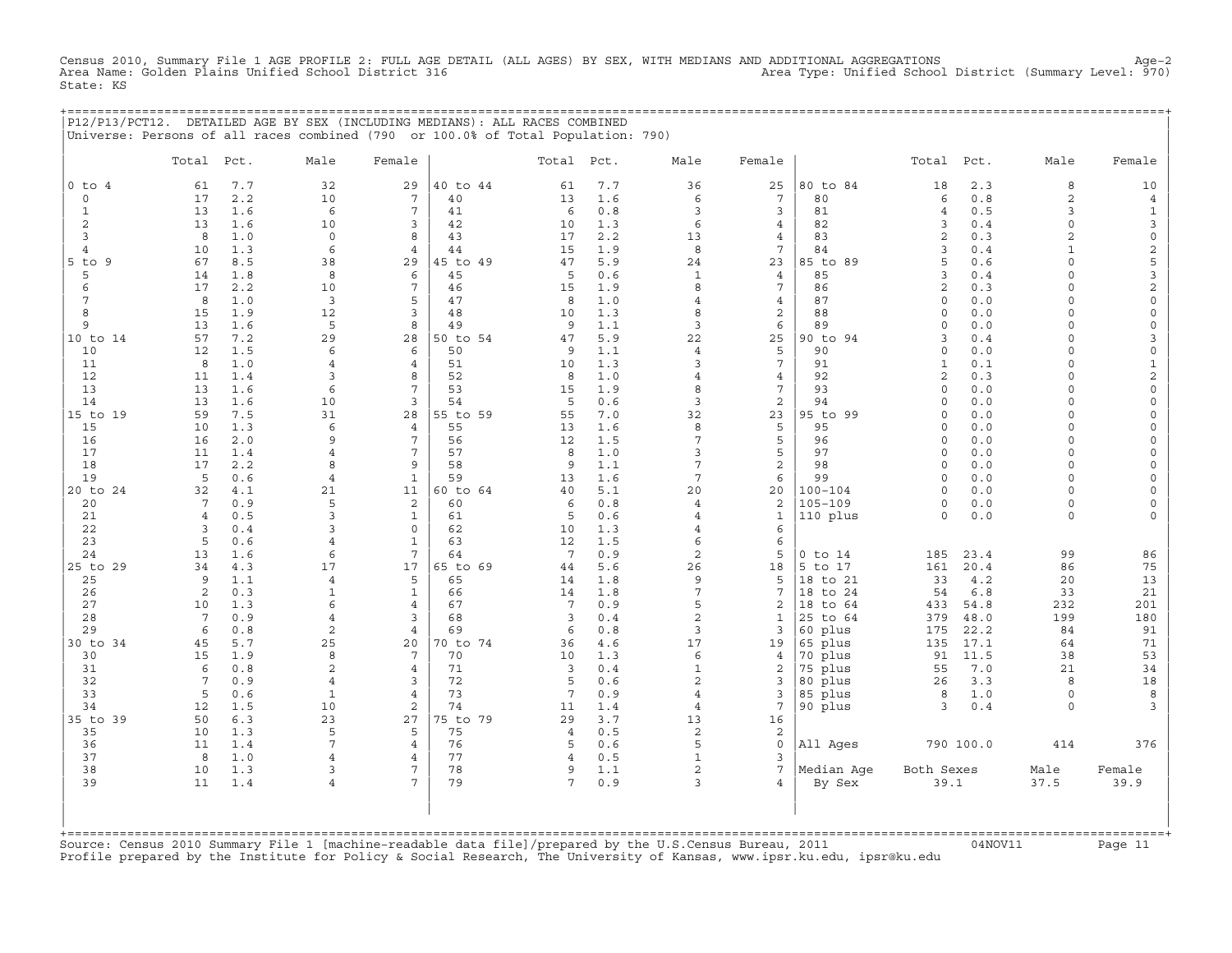Census 2010, Summary File 1 AGE PROFILE 2: FULL AGE DETAIL (ALL AGES) BY SEX, WITH MEDIANS AND ADDITIONAL AGGREGATIONS<br>Area Name: Golden Plains Unified School District 316 Area Type: Unified State: KS

|  | P12/P13/PCT12. DETAILED AGE BY SEX (INCLUDING MEDIANS): ALL RACES COMBINED       |  |
|--|----------------------------------------------------------------------------------|--|
|  | Universe: Persons of all races combined (790 or 100.0% of Total Population: 790) |  |

|                | Total           | Pct.       | Male               | Female                           |          | Total Pct.            |            | Male                             | Female                            |                    | Total               | Pct.       | Male                | Female                                |
|----------------|-----------------|------------|--------------------|----------------------------------|----------|-----------------------|------------|----------------------------------|-----------------------------------|--------------------|---------------------|------------|---------------------|---------------------------------------|
| $0$ to $4$     | 61              | 7.7        | 32                 | 29                               | 40 to 44 | 61                    | 7.7        | 36                               | 25                                | 80 to 84           | 18                  | 2.3        | 8                   | 10                                    |
| $\mathbf 0$    | 17              | 2.2        | 10                 | $7\phantom{.0}$                  | 40       | 13                    | 1.6        | $\epsilon$                       | $7\phantom{.0}$                   | 80                 | 6                   | 0.8        | $\overline{a}$      | $\overline{4}$                        |
| $\mathbf{1}$   | 13              | 1.6        | 6                  | 7                                | 41       | 6                     | 0.8        | $\overline{3}$                   | $\overline{3}$                    | 81                 | $\overline{4}$      | 0.5        | 3                   | $\mathbf{1}$                          |
| 2              | 13              | 1.6        | 10                 | 3                                | 42       | 10                    | 1.3        | $\epsilon$                       | $\overline{4}$                    | 82                 | 3                   | 0.4        | $\circ$             | $\mathbf{3}$                          |
| $\overline{3}$ | 8               | 1.0        | $\mathbf 0$        | 8                                | 43       | 17                    | 2.2        | 13                               | $\overline{4}$                    | 83                 | 2                   | 0.3        | 2                   | $\mathsf{O}\xspace$                   |
| $\overline{4}$ | 10              | 1.3        | 6                  | $\overline{4}$                   | 44       | 15                    | 1.9        | 8                                | $7\phantom{.0}$                   | 84                 | 3                   | 0.4        | $\mathbf{1}$        | $\overline{\mathbf{c}}$               |
| $5$ to $9$     | 67              | 8.5        | 38                 | 29                               | 45 to 49 | 47                    | 5.9        | 24                               | 23                                | 85 to 89           | 5                   | 0.6        | $\Omega$            | 5                                     |
| 5              | 14              | 1.8        | 8                  | 6                                | 45       | 5                     | 0.6        | $\mathbf{1}$                     | $\overline{4}$                    | 85                 | $\mathbf{z}$        | 0.4        | $\Omega$            | 3                                     |
| 6              | 17              | 2.2        | 10                 | 7                                | 46       | 15                    | 1.9        | 8                                | $7\overline{ }$                   | 86                 | 2                   | 0.3        | $\cap$              | $\overline{a}$                        |
| 7              | 8               | 1.0        | $\mathbf{3}$       | 5                                | 47       | 8                     | 1.0        | $\overline{4}$                   | $\overline{4}$                    | 87                 | $\Omega$            | 0.0        | $\Omega$            | $\mathbf 0$                           |
| 8              | 15              | 1.9        | 12                 | 3                                | 48       | 10                    | 1.3        | 8                                | 2                                 | 88                 | $\Omega$            | 0.0        | $\Omega$            | $\mathsf O$                           |
| 9              | 13              | 1.6        | 5                  | 8                                | 49       | 9                     | 1.1        | 3                                | 6                                 | 89                 | $\Omega$            | 0.0        | $\Omega$            | $\mathsf{O}$                          |
| 10 to 14       | 57              | 7.2        | 29                 | 28                               | 50 to 54 | 47                    | 5.9        | 22                               | 25                                | 90 to 94           | 3                   | 0.4        | $\circ$             | 3                                     |
| 10             | 12              | 1.5        | 6                  | 6                                | 50       | 9                     | 1.1        | $\overline{4}$                   | 5                                 | 90                 | $\mathbf 0$         | 0.0        | $\circ$             | $\mathsf{O}\xspace$                   |
| 11             | 8               | 1.0        | 4                  | $\overline{4}$                   | 51       | 10                    | 1.3        | $\overline{3}$                   | $7\overline{ }$                   | 91                 | $\mathbf{1}$        | 0.1        | $\circ$             | $\mathbf{1}$                          |
| 12             | 11<br>13        | 1.4<br>1.6 | 3<br>6             | 8<br>$\overline{7}$              | 52<br>53 | 8                     | 1.0        | $\overline{4}$<br>8              | $\overline{4}$<br>$7\overline{ }$ | 92<br>93           | 2<br>$\Omega$       | 0.3<br>0.0 | $\Omega$<br>$\cap$  | $\overline{a}$<br>$\mathsf{O}\xspace$ |
| 13<br>14       | 13              | 1.6        | 10                 | 3                                | 54       | 15<br>5               | 1.9<br>0.6 | $\overline{3}$                   | 2                                 | 94                 | $\Omega$            | 0.0        | $\Omega$            | $\mathsf{O}\xspace$                   |
| 15 to 19       | 59              | 7.5        | 31                 | 28                               | 55 to 59 | 55                    | 7.0        | 32                               | 23                                | 95 to 99           | $\Omega$            | 0.0        | $\Omega$            | $\mathsf{O}\xspace$                   |
| 15             | 10              | 1.3        | 6                  | $\overline{4}$                   | 55       | 13                    | 1.6        | 8                                | 5                                 | 95                 | $\Omega$            | 0.0        | $\Omega$            | $\mathsf{O}\xspace$                   |
| 16             | 16              | 2.0        | 9                  | 7                                | 56       | 12                    | 1.5        | $\overline{7}$                   | 5                                 | 96                 | $\Omega$            | 0.0        | $\Omega$            | $\mathsf{O}\xspace$                   |
| 17             | 11              | 1.4        | $\overline{4}$     | 7                                | 57       | 8                     | 1.0        | $\overline{3}$                   | 5                                 | 97                 | $\Omega$            | 0.0        | $\circ$             | $\mathsf{O}\xspace$                   |
| 18             | 17              | 2.2        | 8                  | 9                                | 58       | 9                     | 1.1        | $\overline{7}$                   | $\overline{c}$                    | 98                 | $\Omega$            | 0.0        | $\Omega$            | $\mathsf{O}\xspace$                   |
| 19             | 5               | 0.6        | $\overline{4}$     | $\mathbf{1}$                     | 59       | 13                    | 1.6        | $7\overline{ }$                  | 6                                 | 99                 | $\Omega$            | 0.0        | $\circ$             | $\circ$                               |
| 20 to 24       | 32              | 4.1        | 21                 | 11                               | 60 to 64 | 40                    | 5.1        | 20                               | 20                                | $100 - 104$        | $\Omega$            | 0.0        | $\Omega$            | $\circ$                               |
| 20             | $7\phantom{.0}$ | 0.9        | 5                  | $\overline{a}$                   | 60       | 6                     | 0.8        | $\overline{4}$                   | 2                                 | $105 - 109$        | $\Omega$            | 0.0        | $\Omega$            | $\mathsf{O}\xspace$                   |
| 21             | $\overline{4}$  | 0.5        | 3                  | $\mathbf{1}$                     | 61       | 5                     | 0.6        | $\overline{4}$                   | $\mathbf{1}$                      | 110 plus           | $\Omega$            | 0.0        | $\circ$             | $\mathbf 0$                           |
| 22             | 3               | 0.4        | 3                  | $\Omega$                         | 62       | 10                    | 1.3        | $\overline{4}$                   | 6                                 |                    |                     |            |                     |                                       |
| 23             | 5               | 0.6        | $\overline{4}$     | $\mathbf{1}$                     | 63       | 12                    | 1.5        | $\epsilon$                       | 6                                 |                    |                     |            |                     |                                       |
| 24             | 13              | 1.6        | 6                  | 7                                | 64       | $7\phantom{.0}$       | 0.9        | 2                                | 5                                 | $0$ to $14$        | 185                 | 23.4       | 99                  | 86                                    |
| 25 to 29       | 34              | 4.3        | 17                 | 17                               | 65 to 69 | 44                    | 5.6        | 26                               | 18                                | 5 to 17            | 161                 | 20.4       | 86                  | 75                                    |
| 25             | 9               | 1.1        | $\overline{4}$     | 5                                | 65       | 14                    | 1.8        | 9                                | 5                                 | 18 to 21           | 33                  | 4.2        | 20                  | 13                                    |
| 26             | 2               | 0.3        | $\mathbf{1}$       | $\mathbf{1}$                     | 66       | 14                    | 1.8        | 7                                | $7\phantom{.0}$                   | 18 to 24           | 54                  | 6.8        | 33                  | 21                                    |
| 27             | 10              | 1.3        | 6                  | $\overline{4}$                   | 67       | $7\phantom{.0}$       | 0.9        | 5                                | 2                                 | 18<br>to 64        | 433                 | 54.8       | 232                 | 201                                   |
| 28             | $7\phantom{.0}$ | 0.9        | $\overline{4}$     | 3                                | 68       | 3                     | 0.4        | $\overline{c}$                   | $\mathbf{1}$                      | 25 to 64           | 379                 | 48.0       | 199                 | 180                                   |
| 29             | 6               | 0.8        | $\overline{c}$     | $\overline{4}$                   | 69       | 6                     | 0.8        | $\overline{3}$                   | 3                                 | 60 plus            | 175                 | 22.2       | 84                  | 91                                    |
| 30 to 34       | 45              | 5.7        | 25                 | 20                               | 70 to 74 | 36                    | 4.6        | 17                               | 19                                | 65 plus            | 135                 | 17.1       | 64                  | 71                                    |
| 30             | 15              | 1.9        | 8                  | $7\phantom{.0}$                  | 70       | 10                    | 1.3        | $\epsilon$                       | $\overline{4}$                    | 70 plus            | 91                  | 11.5       | 38                  | 53                                    |
| 31             | 6               | 0.8        | 2                  | $\overline{4}$                   | 71       | 3                     | 0.4        | $1\,$                            | 2                                 | 75 plus            | 55                  | 7.0        | 21                  | 34                                    |
| 32             | $7\overline{ }$ | 0.9        | 4                  | 3                                | 72       | 5                     | 0.6        | $\overline{c}$                   | 3                                 | 80 plus            | 26                  | 3.3        | 8                   | 18                                    |
| 33<br>34       | 5<br>12         | 0.6<br>1.5 | $\mathbf{1}$<br>10 | $\overline{4}$<br>$\overline{c}$ | 73<br>74 | $7\phantom{.0}$<br>11 | 0.9<br>1.4 | $\overline{4}$<br>$\overline{4}$ | 3<br>$7\phantom{.0}$              | 85 plus<br>90 plus | 8<br>$\overline{3}$ | 1.0<br>0.4 | $\circ$<br>$\Omega$ | 8<br>3                                |
| 35 to 39       | 50              | 6.3        | 23                 | 27                               | 75 to 79 | 29                    | 3.7        | 13                               | 16                                |                    |                     |            |                     |                                       |
| 35             | 10              | 1.3        | 5                  | 5                                | 75       | $\overline{4}$        | 0.5        | 2                                | 2                                 |                    |                     |            |                     |                                       |
| 36             | 11              | 1.4        | 7                  | $\overline{4}$                   | 76       | 5                     | 0.6        | 5                                | $\circ$                           | All Ages           |                     | 790 100.0  | 414                 | 376                                   |
| 37             | 8               | 1.0        | $\overline{4}$     | $\overline{4}$                   | 77       | $\overline{4}$        | 0.5        | $\mathbf{1}$                     | $\overline{3}$                    |                    |                     |            |                     |                                       |
| 38             | 10              | 1.3        | 3                  | 7                                | 78       | 9                     | 1.1        | $\overline{2}$                   | $7\phantom{.0}$                   | Median Age         | Both Sexes          |            | Male                | Female                                |
| 39             | 11              | 1.4        | 4                  | 7                                | 79       | 7                     | 0.9        | 3                                | $\overline{4}$                    | By Sex             | 39.1                |            | 37.5                | 39.9                                  |
|                |                 |            |                    |                                  |          |                       |            |                                  |                                   |                    |                     |            |                     |                                       |

+===================================================================================================================================================+Source: Census 2010 Summary File 1 [machine−readable data file]/prepared by the U.S.Census Bureau, 2011 04NOV11 Page 11 Profile prepared by the Institute for Policy & Social Research, The University of Kansas, www.ipsr.ku.edu, ipsr@ku.edu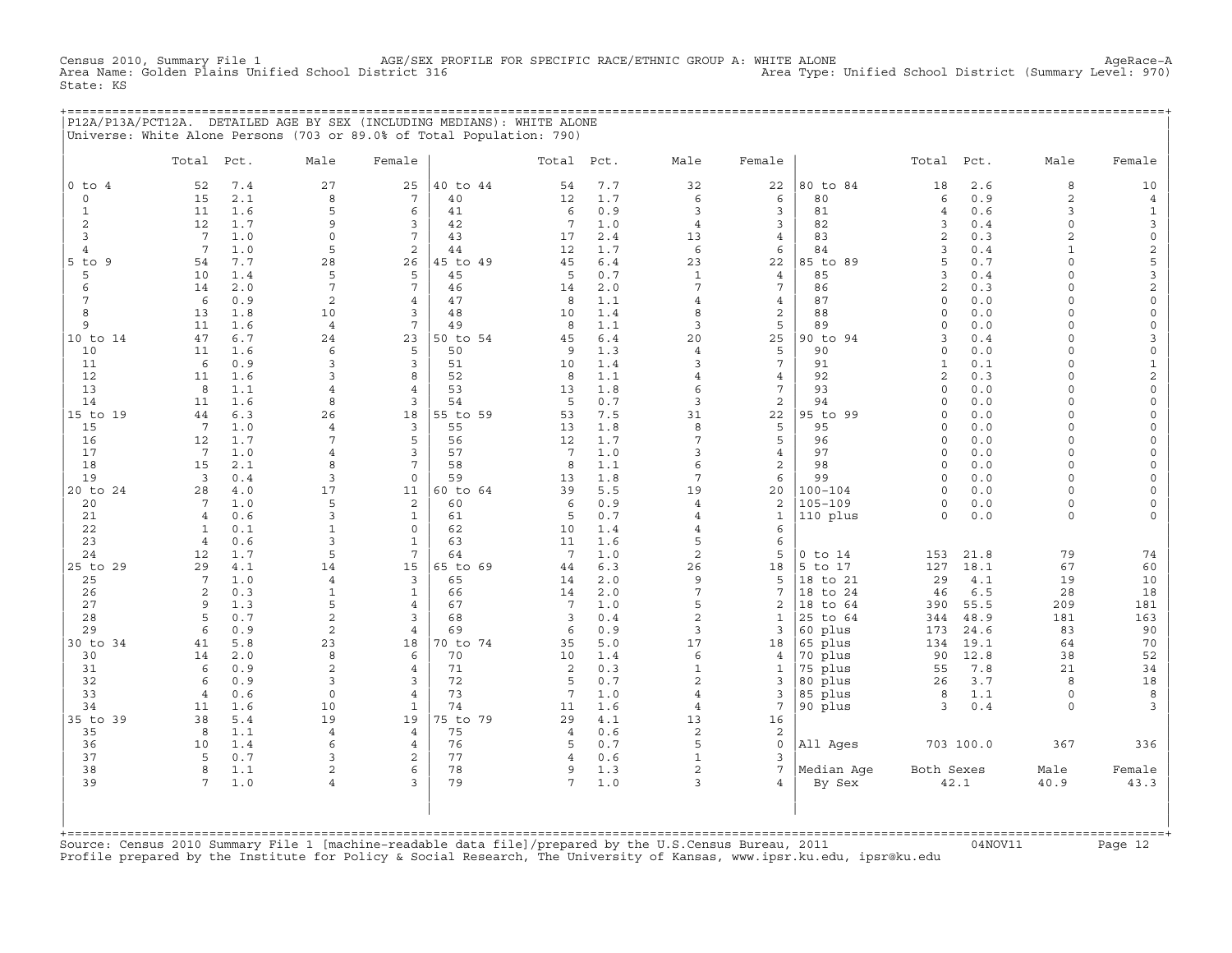AGE/SEX PROFILE FOR SPECIFIC RACE/ETHNIC GROUP A: WHITE ALONE<br>Gtrict 316 Area Type: Unified School District (Summary Level: 970) Census 2010, Summary File 1 AGE/SEX PR<br>Area Name: Golden Plains Unified School District 316 State: KS

+===================================================================================================================================================+ |P12A/P13A/PCT12A. DETAILED AGE BY SEX (INCLUDING MEDIANS): WHITE ALONE | |Universe: White Alone Persons (703 or 89.0% of Total Population: 790) |

|                | Total                 | Pct.       | Male             | Female              |                | Total Pct.      |            | Male                 | Female              |                            | Total               | Pct.       | Male                 | Female                             |
|----------------|-----------------------|------------|------------------|---------------------|----------------|-----------------|------------|----------------------|---------------------|----------------------------|---------------------|------------|----------------------|------------------------------------|
| $0$ to $4$     | 52                    | 7.4        | 27               | 25                  | 40 to 44       | 54              | 7.7        | 32                   | 22                  | 80 to 84                   | 18                  | 2.6        | 8                    | 10                                 |
| $\circ$        | 15                    | 2.1        | 8                | $7\phantom{.0}$     | 40             | 12              | 1.7        | 6                    | 6                   | 80                         | 6                   | 0.9        | $\overline{a}$       | $\overline{4}$                     |
| $\mathbf{1}$   | 11                    | 1.6        | 5                | 6                   | 41             | 6               | 0.9        | 3                    | 3                   | 81                         | $\overline{4}$      | 0.6        | 3                    | $\mathbf{1}$                       |
| 2              | 12                    | 1.7        | 9                | 3                   | 42             | 7               | 1.0        | $\overline{4}$       | 3                   | 82                         | 3                   | 0.4        | $\circ$              | 3                                  |
| 3              | $7\overline{ }$       | 1.0        | $\circ$          | $\overline{7}$      | 43             | 17              | 2.4        | 13                   | $\overline{4}$      | 83                         | 2                   | 0.3        | $\overline{2}$       | $\mathsf{O}\xspace$                |
| $\overline{4}$ | $7\overline{ }$       | 1.0        | 5                | 2                   | 44             | 12              | 1.7        | 6                    | 6                   | 84                         | $\mathbf{R}$        | 0.4        | $\mathbf{1}$         | $\overline{c}$                     |
| $5$ to $9$     | 54                    | 7.7        | 28               | 26                  | 45 to 49       | 45              | 6.4        | 23                   | 22                  | 85 to 89                   | 5                   | 0.7        | $\Omega$             | 5                                  |
| 5              | 10                    | 1.4        | 5                | 5                   | 45             | 5               | 0.7        | $\mathbf{1}$         | 4                   | 85                         | 3                   | 0.4        | $\Omega$             | 3                                  |
| 6              | 14                    | 2.0        | 7                | 7                   | 46             | 14              | 2.0        | 7                    | $7\phantom{.0}$     | 86                         | 2                   | 0.3        | $\Omega$             | $\mathbf{2}$                       |
| 7<br>8         | 6<br>13               | 0.9<br>1.8 | $\sqrt{2}$<br>10 | $\overline{4}$<br>3 | 47<br>48       | 8<br>10         | 1.1<br>1.4 | $\overline{4}$<br>8  | $\overline{4}$<br>2 | 87<br>88                   | $\circ$<br>$\Omega$ | 0.0<br>0.0 | $\Omega$<br>$\Omega$ | $\mathsf{O}\xspace$<br>$\mathbf 0$ |
| 9              | 11                    | 1.6        | $\overline{4}$   | $\overline{7}$      | 49             | 8               | 1.1        | 3                    | 5                   | 89                         | $\Omega$            | 0.0        | $\Omega$             | $\mathsf{O}\xspace$                |
| 10 to 14       | 47                    | 6.7        | 24               | 23                  | 50 to 54       | 45              | $6.4$      | 20                   | 25                  | 90 to 94                   | 3                   | 0.4        | $\Omega$             | 3                                  |
| 10             | 11                    | 1.6        | 6                | 5                   | 50             | 9               | 1.3        | $\overline{4}$       | 5                   | 90                         | $\Omega$            | 0.0        | $\Omega$             | $\mathsf{O}$                       |
| 11             | 6                     | 0.9        | 3                | $\overline{3}$      | 51             | 10              | 1.4        | 3                    | $7\phantom{.0}$     | 91                         | $\mathbf{1}$        | 0.1        | $\circ$              | $\mathbf{1}$                       |
| 12             | 11                    | 1.6        | 3                | 8                   | 52             | 8               | 1.1        | $\overline{4}$       | $\overline{4}$      | 92                         | 2                   | 0.3        | $\Omega$             | $\overline{c}$                     |
| 13             | 8                     | 1.1        | 4                | $\overline{4}$      | 53             | 13              | 1.8        | 6                    | $7\phantom{.0}$     | 93                         | $\Omega$            | 0.0        | $\Omega$             | 0                                  |
| 14             | 11                    | 1.6        | 8                | 3                   | 54             | 5               | 0.7        | 3                    | 2                   | 94                         | $\Omega$            | 0.0        | $\Omega$             | $\mathsf O$                        |
| 15 to 19       | 44                    | 6.3        | 26               | 18                  | 55 to 59       | 53              | 7.5        | 31                   | 22                  | 95 to 99                   | $\Omega$            | 0.0        | $\Omega$             | $\mathsf O$                        |
| 15             | $7^{\circ}$           | 1.0        | $\overline{4}$   | $\overline{3}$      | 55             | 13              | 1.8        | 8                    | 5                   | 95                         | $\Omega$            | 0.0        | $\Omega$             | $\circ$                            |
| 16             | 12                    | 1.7        | 7                | 5                   | 56             | 12              | 1.7        | 7                    | 5                   | 96                         | $\Omega$            | 0.0        | $\circ$              | $\circ$                            |
| 17             | $7\overline{ }$       | 1.0        | $\overline{4}$   | 3                   | 57             | $7\phantom{.0}$ | 1.0        | 3                    | $\overline{4}$      | 97                         | $\circ$             | 0.0        | $\circ$              | $\mathsf{O}$                       |
| 18             | 15                    | 2.1        | 8                | 7                   | 58             | 8               | 1.1        | 6                    | 2                   | 98                         | $\mathbf 0$         | 0.0        | $\circ$              | $\mathsf{O}\xspace$                |
| 19             | $\overline{3}$        | 0.4        | 3                | $\mathbf 0$         | 59             | 13              | 1.8        | $\overline{7}$       | 6                   | 99                         | $\circ$             | 0.0        | $\Omega$<br>$\cap$   | $\mathsf O$                        |
| 20 to 24<br>20 | 28<br>$7\overline{ }$ | 4.0<br>1.0 | 17<br>5          | 11<br>2             | 60 to 64<br>60 | 39<br>6         | 5.5<br>0.9 | 19<br>$\overline{4}$ | 20<br>2             | $100 - 104$<br>$105 - 109$ | $\Omega$<br>$\circ$ | 0.0<br>0.0 | $\circ$              | $\circ$<br>$\mathsf{O}\xspace$     |
| 21             | $\overline{4}$        | 0.6        | $\mathbf{3}$     | $\mathbf{1}$        | 61             | 5               | 0.7        | $\overline{4}$       | $\mathbf{1}$        | 110 plus                   | $\circ$             | 0.0        | $\circ$              | $\circ$                            |
| 22             | $\mathbf{1}$          | 0.1        | $\mathbf{1}$     | $\Omega$            | 62             | 10              | 1.4        | $\overline{4}$       | 6                   |                            |                     |            |                      |                                    |
| 23             | $\overline{4}$        | 0.6        | 3                | $\mathbf{1}$        | 63             | 11              | 1.6        | 5                    | 6                   |                            |                     |            |                      |                                    |
| 24             | 12                    | 1.7        | 5                | 7                   | 64             | 7               | 1.0        | 2                    | 5                   | $0$ to $14$                | 153                 | 21.8       | 79                   | 74                                 |
| 25 to 29       | 29                    | 4.1        | 14               | 15                  | 65 to 69       | 44              | 6.3        | 26                   | 18                  | 5 to 17                    | 127                 | 18.1       | 67                   | 60                                 |
| 25             | $7\phantom{.0}$       | 1.0        | $\overline{4}$   | 3                   | 65             | 14              | 2.0        | 9                    | 5                   | 18 to 21                   | 29                  | 4.1        | 19                   | 10                                 |
| 26             | $\overline{2}$        | 0.3        | $\mathbf{1}$     | $\mathbf{1}$        | 66             | 14              | 2.0        | 7                    | 7                   | 18 to 24                   | 46                  | 6.5        | 28                   | 18                                 |
| 27             | 9                     | 1.3        | 5                | $\overline{4}$      | 67             | $7\phantom{.0}$ | 1.0        | 5                    | 2                   | 18 to 64                   | 390                 | 55.5       | 209                  | 181                                |
| 28             | 5                     | 0.7        | $\overline{c}$   | 3                   | 68             | 3               | 0.4        | $\overline{c}$       | 1                   | 25 to 64                   | 344                 | 48.9       | 181                  | 163                                |
| 29             | 6                     | 0.9        | 2                | $\overline{4}$      | 69             | 6               | 0.9        | 3                    | 3                   | 60 plus                    | 173                 | 24.6       | 83                   | 90                                 |
| 30 to 34       | 41                    | 5.8        | 23               | 18                  | 70 to 74       | 35              | 5.0        | 17                   | 18                  | 65 plus                    | 134                 | 19.1       | 64                   | 70                                 |
| 30             | 14                    | 2.0        | 8                | 6                   | 70             | 10<br>2         | 1.4<br>0.3 | 6<br>$\mathbf{1}$    | 4                   | 70 plus                    | 90                  | 12.8       | 38                   | 52                                 |
| 31<br>32       | 6<br>6                | 0.9<br>0.9 | 2<br>3           | $\overline{4}$<br>3 | 71<br>72       | 5               | 0.7        | $\overline{c}$       | 1<br>3              | 75 plus<br>80 plus         | 55<br>26            | 7.8<br>3.7 | 21<br>8              | 34<br>18                           |
| 33             | $\overline{4}$        | 0.6        | $\mathbf 0$      | $\overline{4}$      | 73             | $7\phantom{.0}$ | 1.0        | $\overline{4}$       | 3                   | 85 plus                    | 8                   | 1.1        | $\circ$              | 8                                  |
| 34             | 11                    | 1.6        | 10               | $\mathbf{1}$        | 74             | 11              | 1.6        | $\overline{4}$       | 7                   | 90 plus                    | 3                   | 0.4        | $\Omega$             | 3                                  |
| 35 to 39       | 38                    | 5.4        | 19               | 19                  | 75 to 79       | 29              | 4.1        | 13                   | 16                  |                            |                     |            |                      |                                    |
| 35             | 8                     | 1.1        | $\overline{4}$   | $\overline{4}$      | 75             | 4               | 0.6        | 2                    | 2                   |                            |                     |            |                      |                                    |
| 36             | 10                    | 1.4        | 6                | $\overline{4}$      | 76             | 5               | 0.7        | 5                    | $\circ$             | All Ages                   |                     | 703 100.0  | 367                  | 336                                |
| 37             | 5                     | 0.7        | 3                | $\overline{2}$      | 77             | $\overline{4}$  | 0.6        | $\mathbf{1}$         | 3                   |                            |                     |            |                      |                                    |
| 38             | 8                     | 1.1        | 2                | 6                   | 78             | 9               | 1.3        | $\overline{c}$       | 7                   | Median Age                 | Both Sexes          |            | Male                 | Female                             |
| 39             | $7\phantom{.0}$       | 1.0        | 4                | 3                   | 79             | 7               | 1.0        | 3                    | $\overline{4}$      | By Sex                     |                     | 42.1       | 40.9                 | 43.3                               |
|                |                       |            |                  |                     |                |                 |            |                      |                     |                            |                     |            |                      |                                    |

+===================================================================================================================================================+Source: Census 2010 Summary File 1 [machine−readable data file]/prepared by the U.S.Census Bureau, 2011 04NOV11 Page 12 Profile prepared by the Institute for Policy & Social Research, The University of Kansas, www.ipsr.ku.edu, ipsr@ku.edu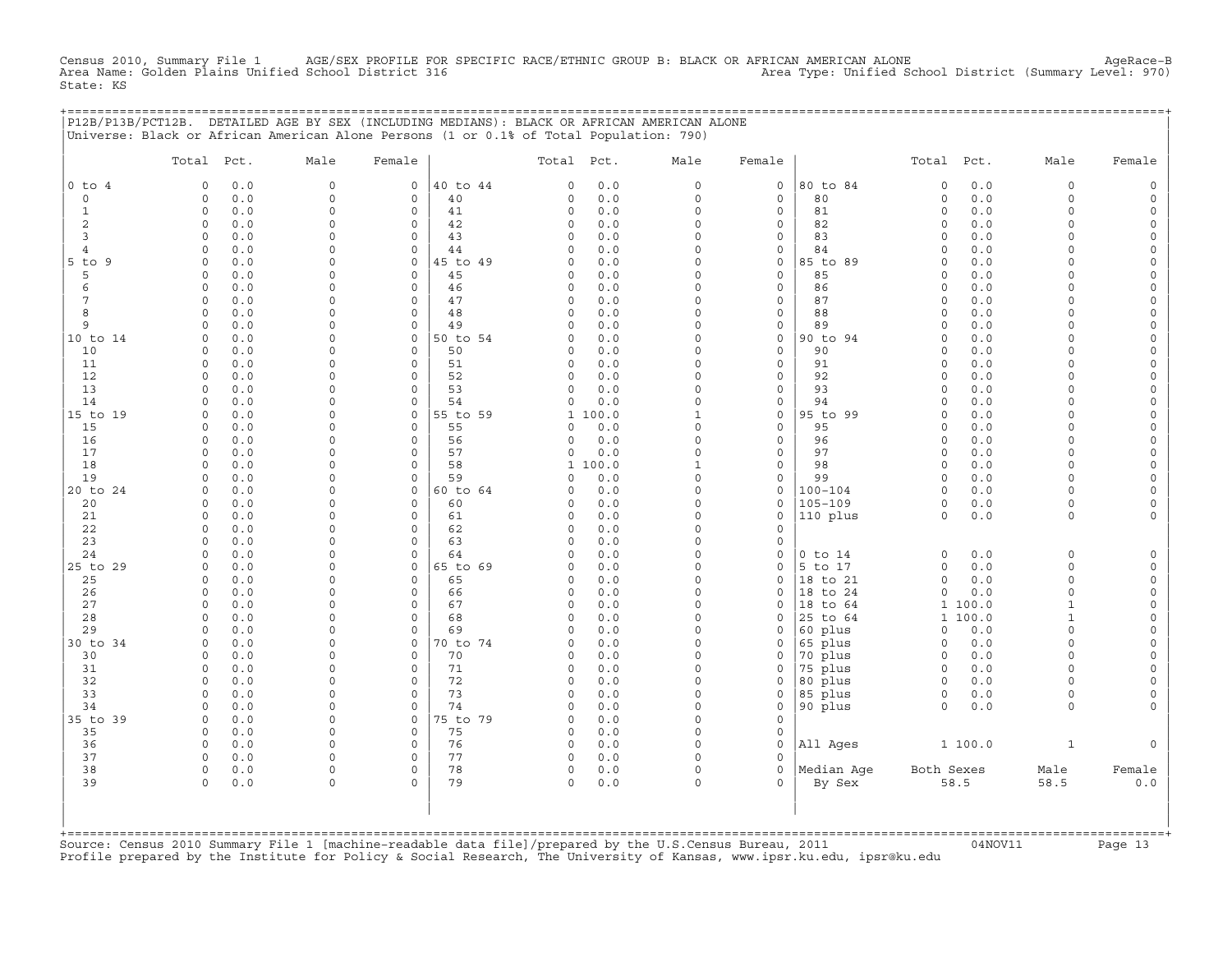Census 2010, Summary File 1 AGE/SEX PROFILE FOR SPECIFIC RACE/ETHNIC GROUP B: BLACK OR AFRICAN AMERICAN ALONE AgeRace−B Area Name: Golden Plains Unified School District 316 Area Type: Unified School District (Summary Level: 970) State: KS

| , = = = = = = = = = = = = = = = = = | P12B/P13B/PCT12B. DETAILED AGE BY SEX (INCLUDING MEDIANS): BLACK OR AFRICAN AMERICAN ALONE<br>Universe: Black or African American Alone Persons (1 or 0.1% of Total Population: 790) |                      |                                     |          |               |            |                      |                              |                    |                        |            |                      |                      |
|-------------------------------------|--------------------------------------------------------------------------------------------------------------------------------------------------------------------------------------|----------------------|-------------------------------------|----------|---------------|------------|----------------------|------------------------------|--------------------|------------------------|------------|----------------------|----------------------|
|                                     | Total Pct.                                                                                                                                                                           | Male                 | Female                              |          | Total Pct.    |            | Male                 | Female                       |                    | Total Pct.             |            | Male                 | Female               |
| $0$ to $4$                          | 0.0<br>$\circ$                                                                                                                                                                       | $\mathbf 0$          | $\mathbf{0}$                        | 40 to 44 | $\circ$       | 0.0        | $\circ$              | $\mathbf 0$                  | 80 to 84           | $\circ$                | 0.0        | $\Omega$             | $\Omega$             |
| $\circ$                             | 0.0<br>$\Omega$                                                                                                                                                                      | $\mathbf 0$          | 40<br>0                             |          | 0             | 0.0        | $\circ$              | 0                            | 80                 | $\circ$                | 0.0        | $\circ$              | $\Omega$             |
| 1                                   | $\mathbf{0}$<br>0.0                                                                                                                                                                  | $\Omega$             | $\circ$<br>41                       |          | 0             | 0.0        | $\Omega$             | $\circ$                      | 81                 | $\circ$                | 0.0        | $\Omega$             | $\Omega$             |
| 2                                   | 0<br>0.0                                                                                                                                                                             | $\mathbf 0$          | $\mathbb O$<br>42                   |          | $\circ$       | 0.0        | 0                    | $\circ$                      | 82                 | $\circ$                | 0.0        | $\Omega$<br>$\Omega$ | $\Omega$             |
| 3<br>$\overline{4}$                 | $0.0$<br>$\Omega$<br>0.0<br>$\Omega$                                                                                                                                                 | $\Omega$<br>$\Omega$ | 43<br>$\circ$<br>$\Omega$<br>44     |          | 0<br>$\Omega$ | 0.0<br>0.0 | $\Omega$<br>$\Omega$ | $\mathbf{0}$<br>$\mathbf{0}$ | 83<br>84           | $\Omega$<br>$\Omega$   | 0.0<br>0.0 | $\Omega$             | $\Omega$             |
| 5 to 9                              | $\circ$<br>0.0                                                                                                                                                                       | 0                    | $\circ$                             | 45 to 49 | $\circ$       | 0.0        | $\circ$              | 0                            | 85 to 89           | $\circ$                | 0.0        | $\Omega$             | $\Omega$             |
| 5                                   | $\circ$<br>0.0                                                                                                                                                                       | $\Omega$             | $\mathbf{0}$<br>45                  |          | $\circ$       | 0.0        | $\circ$              | 0                            | 85                 | $\circ$                | 0.0        | $\Omega$             | $\circ$              |
| 6                                   | 0.0<br>$\circ$                                                                                                                                                                       | $\mathbf 0$          | $\circ$<br>46                       |          | $\circ$       | 0.0        | $\circ$              | $\circ$                      | 86                 | $\circ$                | 0.0        | $\circ$              | $\Omega$             |
| 7                                   | $\Omega$<br>0.0                                                                                                                                                                      | $\Omega$             | $\mathbf{0}$<br>47                  |          | $\circ$       | 0.0        | $\Omega$             | $\mathbf{0}$                 | 87                 | $\Omega$               | 0.0        | $\Omega$             | $\Omega$             |
| 8                                   | $\Omega$<br>0.0                                                                                                                                                                      | $\Omega$             | $\Omega$<br>48                      |          | $\circ$       | 0.0        | $\circ$              | $\mathbf{0}$                 | 88                 | $\circ$                | 0.0        | $\Omega$             | $\Omega$             |
| 9                                   | $\circ$<br>0.0                                                                                                                                                                       | $\mathbf 0$          | 49<br>$\mathsf{O}$                  |          | $\circ$       | 0.0        | $\circ$              | 0                            | 89                 | $\circ$                | 0.0        | $\Omega$             | $\circ$              |
| 10 to 14                            | 0.0<br>$\circ$                                                                                                                                                                       | $\Omega$             | $\mathsf{O}\xspace$                 | 50 to 54 | 0             | 0.0        | $\circ$              | 0                            | 90 to 94           | $\mathbf 0$            | 0.0        | $\Omega$             | $\Omega$             |
| 10                                  | 0.0<br>$\Omega$                                                                                                                                                                      | $\Omega$             | $\circ$<br>50                       |          | $\circ$       | 0.0        | $\Omega$             | $\circ$                      | 90                 | $\Omega$               | 0.0        | $\Omega$             | $\Omega$             |
| 11                                  | 0.0<br>$\circ$                                                                                                                                                                       | $\Omega$             | $\circ$<br>51                       |          | 0             | 0.0        | $\circ$              | 0                            | 91                 | $\circ$                | 0.0        | $\Omega$             | $\Omega$             |
| 12                                  | $\Omega$<br>0.0                                                                                                                                                                      | $\Omega$             | $\mathbf{0}$<br>52                  |          | $\circ$       | 0.0        | $\circ$              | $\circ$                      | 92                 | $\mathbf 0$            | 0.0        | $\Omega$             | $\circ$              |
| 13                                  | $\circ$<br>0.0                                                                                                                                                                       | $\Omega$             | $\mathsf{O}\xspace$<br>53           |          | 0             | 0.0        | 0                    | $\circ$                      | 93                 | $\mathbf 0$            | 0.0        | $\Omega$             | $\Omega$             |
| 14                                  | 0.0<br>$\Omega$                                                                                                                                                                      | $\Omega$             | $\Omega$<br>54                      |          | $\Omega$      | 0.0        | $\Omega$             | 0                            | 94                 | $\Omega$               | 0.0        | $\Omega$             | $\Omega$             |
| 15 to 19                            | 0.0<br>$\Omega$                                                                                                                                                                      | $\Omega$             | $\Omega$                            | 55 to 59 |               | 1 100.0    | $\mathbf{1}$         | $\mathbf{0}$                 | 95 to 99           | $\Omega$               | 0.0        | $\Omega$             | $\Omega$             |
| 15<br>16                            | 0.0<br>$\mathbf 0$<br>0.0<br>$\circ$                                                                                                                                                 | $\circ$<br>$\Omega$  | $\circ$<br>55<br>56<br>$\mathsf{O}$ |          | 0<br>0        | 0.0<br>0.0 | $\circ$<br>$\circ$   | $\mathbf{0}$<br>0            | 95<br>96           | $\mathbf 0$<br>$\circ$ | 0.0<br>0.0 | $\Omega$<br>$\Omega$ | $\Omega$<br>$\circ$  |
| 17                                  | 0.0<br>$\circ$                                                                                                                                                                       | $\Omega$             | $\circ$<br>57                       |          | 0             | 0.0        | $\circ$              | $\circ$                      | 97                 | $\circ$                | 0.0        | $\Omega$             |                      |
| 18                                  | $\circ$<br>0.0                                                                                                                                                                       | $\Omega$             | 58<br>$\circ$                       |          |               | 1 100.0    | $\mathbf{1}$         | $\mathbf{0}$                 | 98                 | $\circ$                | 0.0        | $\Omega$             | $\Omega$             |
| 19                                  | $\Omega$<br>0.0                                                                                                                                                                      | $\Omega$             | 59<br>$\circ$                       |          | $\circ$       | 0.0        | $\circ$              | $\mathbf{0}$                 | 99                 | $\circ$                | 0.0        | $\Omega$             | $\Omega$             |
| 20 to 24                            | 0.0<br>$\circ$                                                                                                                                                                       | $\Omega$             | $\mathsf{O}$                        | 60 to 64 | 0             | 0.0        | $\circ$              | $\circ$                      | $100 - 104$        | $\circ$                | 0.0        | $\Omega$             | $\Omega$             |
| 20                                  | 0.0<br>$\circ$                                                                                                                                                                       | $\Omega$             | $\mathbf{0}$<br>60                  |          | 0             | 0.0        | $\circ$              | $\mathbf{0}$                 | $105 - 109$        | $\circ$                | 0.0        | $\circ$              |                      |
| 21                                  | $\Omega$<br>0.0                                                                                                                                                                      | $\cap$               | $\Omega$<br>61                      |          | $\circ$       | 0.0        | $\Omega$             | $\mathbf{0}$                 | 110 plus           | $\circ$                | 0.0        | $\Omega$             | $\Omega$             |
| 22                                  | 0.0<br>$\circ$                                                                                                                                                                       | $\Omega$             | $\circ$<br>62                       |          | $\circ$       | 0.0        | $\circ$              | $\mathbf{0}$                 |                    |                        |            |                      |                      |
| 23                                  | 0.0<br>$\Omega$                                                                                                                                                                      | $\Omega$             | $\mathbf{0}$<br>63                  |          | $\circ$       | 0.0        | $\circ$              | $\mathbf{0}$                 |                    |                        |            |                      |                      |
| 24                                  | 0.0<br>$\circ$                                                                                                                                                                       | $\Omega$             | $\mathbf{0}$<br>64                  |          | $\circ$       | 0.0        | $\circ$              | 0                            | $0$ to $14$        | $\mathsf O$            | 0.0        | $\circ$              |                      |
| 25 to 29                            | 0.0<br>$\Omega$                                                                                                                                                                      | $\Omega$             | $\mathsf{O}$                        | 65 to 69 | 0             | 0.0        | $\Omega$             | 0                            | 5 to 17            | $\circ$                | 0.0        | $\Omega$             | $\cap$               |
| 25                                  | 0.0<br>$\Omega$                                                                                                                                                                      | $\cap$               | 65<br>$\Omega$                      |          | 0             | 0.0        | $\Omega$             | $\mathbf{0}$                 | 18 to 21           | $\circ$                | 0.0        | $\Omega$             | $\mathbf 0$          |
| 26                                  | 0.0<br>$\mathbf 0$                                                                                                                                                                   | $\mathbf 0$          | $\mathsf{O}$<br>66                  |          | 0             | 0.0        | $\circ$              | 0                            | 18 to 24           | 0                      | 0.0        | $\circ$              | $\mathbf 0$          |
| 27                                  | 0.0<br>$\circ$                                                                                                                                                                       | $\Omega$             | 67<br>$\circ$                       |          | 0             | 0.0        | $\circ$              | 0                            | 18 to 64           |                        | 1 100.0    | $\mathbf{1}$         | $\Omega$             |
| 28                                  | $0.0$<br>$\Omega$                                                                                                                                                                    | $\cap$               | $\mathbf{0}$<br>68                  |          | $\circ$       | 0.0        | $\Omega$             | $\circ$                      | 25 to 64           |                        | 1 100.0    | $\mathbf{1}$         | $\cap$               |
| 29<br>30 to 34                      | $\Omega$<br>0.0<br>0.0<br>$\Omega$                                                                                                                                                   | $\Omega$<br>$\Omega$ | $\circ$<br>69<br>$\circ$            | 70 to 74 | $\circ$<br>0  | 0.0<br>0.0 | $\circ$<br>$\circ$   | $\mathbf{0}$<br>0            | 60 plus<br>65 plus | $\circ$<br>$\circ$     | 0.0<br>0.0 | $\Omega$<br>$\Omega$ | $\Omega$<br>$\Omega$ |
| 30                                  | 0.0<br>$\circ$                                                                                                                                                                       | $\Omega$             | $\mathbf{0}$<br>70                  |          | 0             | 0.0        | $\circ$              | $\mathbf{0}$                 | 70 plus            | $\circ$                | 0.0        | $\Omega$             |                      |
| 31                                  | 0<br>0.0                                                                                                                                                                             | $\Omega$             | $\mathbf{0}$<br>71                  |          | $\circ$       | 0.0        | $\circ$              | 0                            | 75 plus            | $\circ$                | 0.0        | $\Omega$             |                      |
| 32                                  | $\Omega$<br>0.0                                                                                                                                                                      | $\Omega$             | 72<br>$\circ$                       |          | $\circ$       | 0.0        | $\circ$              | $\circ$                      | 80 plus            | $\circ$                | 0.0        | $\Omega$             | $\Omega$             |
| 33                                  | 0.0<br>$\Omega$                                                                                                                                                                      | $\Omega$             | 73<br>$\circ$                       |          | $\circ$       | 0.0        | $\Omega$             | $\circ$                      | 85 plus            | $\circ$                | 0.0        | $\Omega$             |                      |
| 34                                  | 0.0<br>$\circ$                                                                                                                                                                       | $\circ$              | $\mathbf{0}$<br>74                  |          | 0             | 0.0        | $\circ$              | $\mathbf{0}$                 | 90 plus            | $\circ$                | 0.0        | $\circ$              |                      |
| 35 to 39                            | $\circ$<br>0.0                                                                                                                                                                       | $\circ$              | $\mathbf{0}$                        | 75 to 79 | $\circ$       | 0.0        | $\circ$              | $\mathbf{0}$                 |                    |                        |            |                      |                      |
| 35                                  | $\Omega$<br>0.0                                                                                                                                                                      | $\Omega$             | 75<br>$\mathsf{O}$                  |          | $\circ$       | 0.0        | 0                    | 0                            |                    |                        |            |                      |                      |
| 36                                  | 0.0<br>$\Omega$                                                                                                                                                                      | $\Omega$             | $\mathbf{0}$<br>76                  |          | $\circ$       | 0.0        | $\Omega$             | $\mathbf{0}$                 | All Ages           |                        | 1 100.0    | $\mathbf{1}$         |                      |
| 37                                  | $\circ$<br>0.0                                                                                                                                                                       | 0                    | 77<br>$\circ$                       |          | 0             | 0.0        | $\circ$              | 0                            |                    |                        |            |                      |                      |
| 38                                  | $\circ$<br>0.0                                                                                                                                                                       | $\mathbf 0$          | $\mathbf{0}$<br>78                  |          | $\circ$       | 0.0        | $\circ$              | $\mathbf 0$                  | Median Age         | Both Sexes             |            | Male                 | Female               |
| 39                                  | $\Omega$<br>0.0                                                                                                                                                                      | $\Omega$             | 79<br>$\Omega$                      |          | 0             | 0.0        | $\circ$              | $\Omega$                     | By Sex             |                        | 58.5       | 58.5                 | 0.0                  |
|                                     |                                                                                                                                                                                      |                      |                                     |          |               |            |                      |                              |                    |                        |            |                      |                      |

+===================================================================================================================================================+Source: Census 2010 Summary File 1 [machine−readable data file]/prepared by the U.S.Census Bureau, 2011 04NOV11 Page 13 Profile prepared by the Institute for Policy & Social Research, The University of Kansas, www.ipsr.ku.edu, ipsr@ku.edu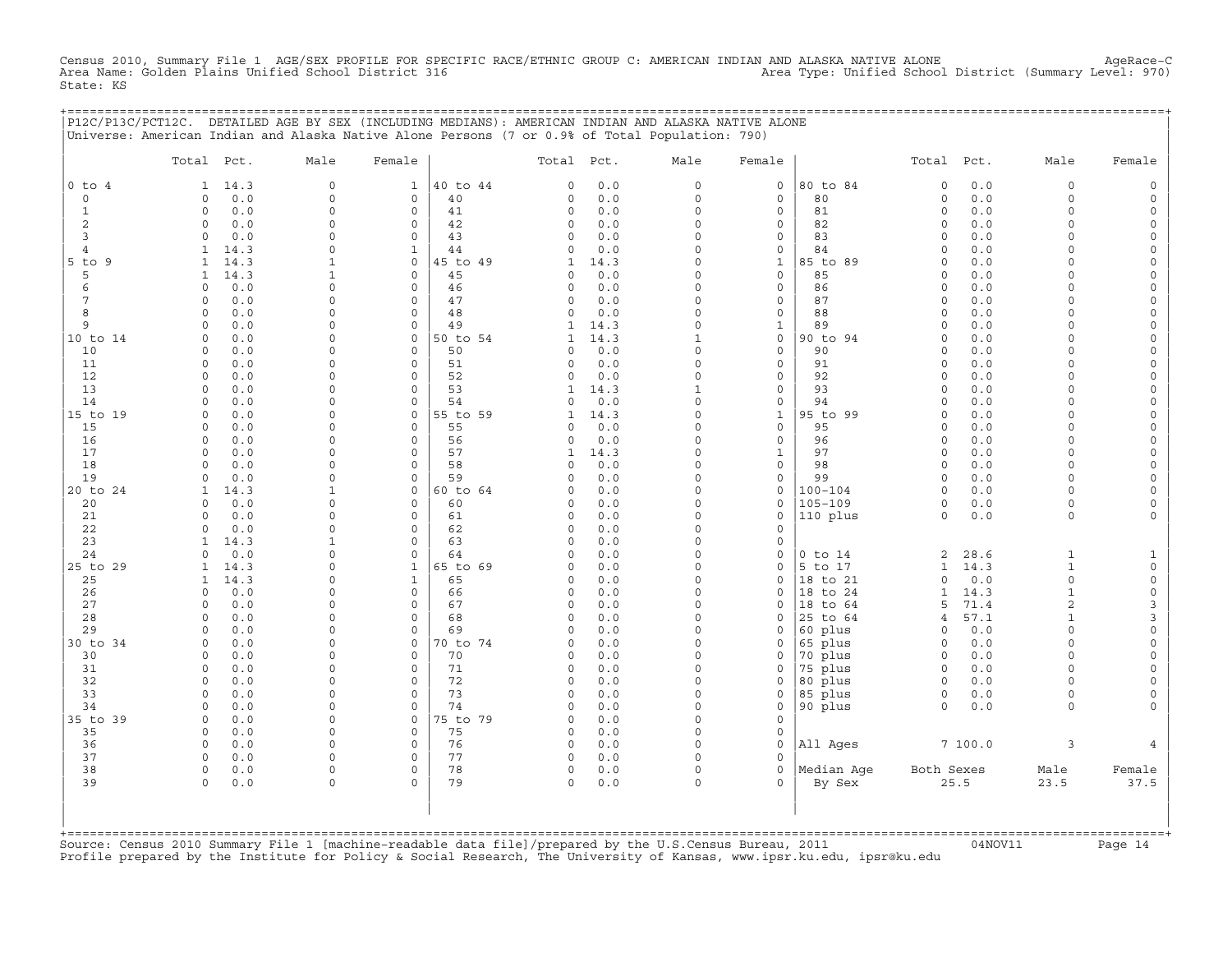Census 2010, Summary File 1 AGE/SEX PROFILE FOR SPECIFIC RACE/ETHNIC GROUP C: AMERICAN INDIAN AND ALASKA NATIVE ALONE AgeRace−C Area Name: Golden Plains Unified School District 316 Area Type: Unified School District (Summary Level: 970) State: KS

|                     | P12C/P13C/PCT12C. DETAILED AGE BY SEX (INCLUDING MEDIANS): AMERICAN INDIAN AND ALASKA NATIVE ALONE<br>Universe: American Indian and Alaska Native Alone Persons (7 or 0.9% of Total Population: 790) |                      |                              |          |                    |             |                      |                              | ;========================= |                           |             |                      |                            |
|---------------------|------------------------------------------------------------------------------------------------------------------------------------------------------------------------------------------------------|----------------------|------------------------------|----------|--------------------|-------------|----------------------|------------------------------|----------------------------|---------------------------|-------------|----------------------|----------------------------|
|                     |                                                                                                                                                                                                      |                      |                              |          |                    |             |                      |                              |                            |                           |             |                      |                            |
|                     | Total Pct.                                                                                                                                                                                           | Male                 | Female                       |          | Total Pct.         |             | Male                 | Female                       |                            | Total Pct.                |             | Male                 | Female                     |
| $0$ to $4$          | 14.3<br>$\mathbf{1}$                                                                                                                                                                                 | $\circ$              | $\mathbf{1}$                 | 40 to 44 | 0                  | 0.0         | $\circ$              | $\mathsf{O}$                 | 80 to 84                   | $\mathbf 0$               | 0.0         | $\Omega$             |                            |
| $\mathbf 0$         | 0.0<br>$\Omega$                                                                                                                                                                                      | $\circ$              | $\circ$                      | 40       | 0                  | 0.0         | $\circ$              | 0                            | 80                         | $\circ$                   | 0.0         | $\circ$              |                            |
| 1<br>$\overline{c}$ | 0.0<br>$\Omega$<br>$\circ$<br>0.0                                                                                                                                                                    | $\Omega$<br>$\Omega$ | $\mathbf{0}$<br>$\mathbf{0}$ | 41<br>42 | 0<br>0             | 0.0<br>0.0  | $\Omega$<br>$\circ$  | $\circ$<br>0                 | 81<br>82                   | $\Omega$<br>$\mathbf 0$   | 0.0<br>0.0  | $\Omega$<br>$\Omega$ |                            |
| 3                   | 0.0<br>$\Omega$                                                                                                                                                                                      | $\cap$               | $\mathbf 0$                  | 43       | 0                  | 0.0         | $\Omega$             | 0                            | 83                         | $\circ$                   | 0.0         | $\cap$               |                            |
| 4                   | 14.3<br>1                                                                                                                                                                                            | $\Omega$             | $\mathbf{1}$                 | 44       | 0                  | 0.0         | $\circ$              | $\mathbf{0}$                 | 84                         | $\Omega$                  | 0.0         | $\Omega$             |                            |
| $5$ to $9$          | 14.3<br>1                                                                                                                                                                                            |                      | $\mathbf{0}$                 | 45 to 49 | 1                  | 14.3        | $\Omega$             | $\mathbf{1}$                 | 85 to 89                   | $\circ$                   | 0.0         | $\Omega$             |                            |
| 5                   | 14.3<br>1                                                                                                                                                                                            |                      | $\circ$                      | 45       | $\circ$            | 0.0         | $\circ$              | $\mathbf 0$                  | 85                         | $\mathbf 0$               | 0.0         |                      |                            |
| 6<br>7              | 0.0<br>$\Omega$<br>0.0<br>$\Omega$                                                                                                                                                                   | $\cap$<br>$\cap$     | $\circ$<br>$\Omega$          | 46<br>47 | 0<br>0             | 0.0<br>0.0  | $\Omega$<br>$\Omega$ | $\mathbf{0}$<br>$\mathbf{0}$ | 86<br>87                   | $\Omega$<br>$\Omega$      | 0.0<br>0.0  | $\cap$<br>$\cap$     |                            |
| 8                   | 0.0<br>$\Omega$                                                                                                                                                                                      | $\Omega$             | $\circ$                      | 48       | $\circ$            | 0.0         | $\circ$              | $\mathbf{0}$                 | 88                         | $\mathbf 0$               | 0.0         | $\Omega$             |                            |
| 9                   | 0.0<br>$\Omega$                                                                                                                                                                                      | <sup>0</sup>         | $\circ$                      | 49       | 1                  | 14.3        | 0                    | $\mathbf{1}$                 | 89                         | $\mathbf 0$               | 0.0         | $\Omega$             |                            |
| 10 to 14            | 0.0<br>$\Omega$                                                                                                                                                                                      | n                    | $\mathbf 0$                  | 50 to 54 | 1                  | 14.3        | 1                    | 0                            | 90 to 94                   | $\Omega$                  | 0.0         | $\cap$               |                            |
| 10                  | $\circ$<br>0.0                                                                                                                                                                                       | $\cap$               | $\mathbf 0$                  | 50       | 0                  | 0.0         | $\circ$              | $\circ$                      | 90                         | $\mathbf 0$               | 0.0         | $\Omega$             |                            |
| 11<br>12            | 0.0<br>$\circ$<br>0.0                                                                                                                                                                                | $\Omega$             | $\mathbf 0$<br>$\circ$       | 51<br>52 | 0                  | 0.0         | $\circ$<br>$\Omega$  | 0<br>$\mathbf{0}$            | 91<br>92                   | $\circ$<br>$\Omega$       | 0.0<br>0.0  | $\Omega$<br>$\Omega$ |                            |
| 13                  | 0<br>0.0<br>0                                                                                                                                                                                        | $\Omega$             | $\circ$                      | 53       | 0<br>1             | 0.0<br>14.3 | 1                    | $\mathbf{0}$                 | 93                         | $\mathbf 0$               | 0.0         | $\Omega$             |                            |
| 14                  | $\circ$<br>0.0                                                                                                                                                                                       | $\Omega$             | $\mathbf 0$                  | 54       | 0                  | 0.0         | $\circ$              | 0                            | 94                         | $\mathbf 0$               | 0.0         | $\Omega$             |                            |
| 15 to 19            | 0.0<br>0                                                                                                                                                                                             | $\cap$               | $\mathsf{O}$                 | 55 to 59 | $\mathbf{1}$       | 14.3        | $\circ$              | $\mathbf{1}$                 | 95 to 99                   | $\mathbf 0$               | 0.0         | $\cap$               |                            |
| 15                  | 0.0<br>$\Omega$                                                                                                                                                                                      | $\Omega$             | $\Omega$                     | 55       | $\Omega$           | 0.0         | $\Omega$             | $\mathbf{0}$                 | 95                         | $\Omega$                  | 0.0         | $\Omega$             |                            |
| 16                  | 0.0<br>$\circ$                                                                                                                                                                                       | <sup>0</sup>         | $\circ$                      | 56       | 0                  | 0.0         | $\circ$              | $\mathbf{0}$                 | 96                         | $\mathbf 0$               | 0.0         | $\Omega$             |                            |
| 17<br>18            | 0.0<br>$\Omega$<br>0.0<br>$\Omega$                                                                                                                                                                   | $\Omega$<br>$\cap$   | $\circ$<br>$\Omega$          | 57<br>58 | 1<br>$\Omega$      | 14.3<br>0.0 | $\Omega$<br>$\Omega$ | 1<br>$\mathbf{0}$            | 97<br>98                   | $\mathbf 0$<br>$\Omega$   | 0.0<br>0.0  | $\Omega$<br>$\cap$   |                            |
| 19                  | 0.0<br>$\circ$                                                                                                                                                                                       | $\Omega$             | $\mathbf 0$                  | 59       | $\circ$            | 0.0         | $\circ$              | $\circ$                      | 99                         | $\circ$                   | 0.0         | $\Omega$             |                            |
| 20 to 24            | 14.3<br>1                                                                                                                                                                                            |                      | $\mathsf{O}$                 | 60 to 64 | 0                  | 0.0         | $\circ$              | 0                            | $100 - 104$                | $\circ$                   | 0.0         | $\cap$               |                            |
| 20                  | 0.0<br>$\Omega$                                                                                                                                                                                      | $\Omega$             | $\mathbf{0}$                 | 60       | 0                  | 0.0         | $\Omega$             | $\mathbf{0}$                 | 105-109                    | $\circ$                   | 0.0         | $\Omega$             |                            |
| 21                  | 0.0<br>$\Omega$                                                                                                                                                                                      | $\Omega$             | $\mathbf 0$                  | 61       | 0                  | 0.0         | $\circ$              | 0                            | 110 plus                   | $\circ$                   | 0.0         | $\Omega$             |                            |
| 22<br>23            | $\Omega$<br>0.0<br>14.3<br>1                                                                                                                                                                         | $\Omega$<br>-1       | $\circ$<br>$\mathsf{O}$      | 62<br>63 | $\circ$<br>0       | 0.0<br>0.0  | $\circ$<br>$\circ$   | $\mathbf 0$<br>0             |                            |                           |             |                      |                            |
| 24                  | 0.0<br>$\Omega$                                                                                                                                                                                      | $\Omega$             | $\Omega$                     | 64       | $\Omega$           | 0.0         | $\Omega$             | 0                            | $0$ to $14$                | 2                         | 28.6        | 1                    |                            |
| 25 to 29            | 14.3<br>1                                                                                                                                                                                            | $\Omega$             | $\mathbf{1}$                 | 65 to 69 | $\mathbf 0$        | 0.0         | $\Omega$             | 0                            | 5 to 17                    | $\mathbf{1}$              | 14.3        | $\mathbf{1}$         |                            |
| 25                  | 14.3<br>1                                                                                                                                                                                            | $\cap$               | $\mathbf{1}$                 | 65       | 0                  | 0.0         | $\Omega$             | 0                            | 18 to 21                   | $\circ$                   | 0.0         | $\Omega$             | $\Omega$                   |
| 26                  | 0.0<br>$\Omega$                                                                                                                                                                                      | $\cap$               | $\Omega$                     | 66       | 0                  | 0.0         | $\Omega$             | $\Omega$                     | 18 to 24                   | 1                         | 14.3        | $\mathbf{1}$         | $\circ$                    |
| 27<br>28            | $\circ$<br>0.0                                                                                                                                                                                       | $\Omega$             | $\mathsf O$                  | 67       | 0                  | 0.0         | $\circ$<br>$\Omega$  | 0                            | 18 to 64                   | 5                         | 71.4        | $\overline{a}$       | 3                          |
| 29                  | 0.0<br>$\Omega$<br>0.0<br>$\Omega$                                                                                                                                                                   | $\Omega$<br>$\Omega$ | $\circ$<br>$\Omega$          | 68<br>69 | 0<br>$\Omega$      | 0.0<br>0.0  | $\Omega$             | 0<br>$\Omega$                | 25 to 64<br>60 plus        | $\overline{4}$<br>$\circ$ | 57.1<br>0.0 | $\Omega$             | $\overline{3}$<br>$\Omega$ |
| 30 to 34            | 0.0<br>$\circ$                                                                                                                                                                                       | $\Omega$             | $\mathbf 0$                  | 70 to 74 | 0                  | 0.0         | $\circ$              | 0                            | 65 plus                    | $\circ$                   | 0.0         | $\Omega$             |                            |
| 30                  | $\circ$<br>0.0                                                                                                                                                                                       | $\cap$               | $\mathbf 0$                  | 70       | 0                  | 0.0         | $\circ$              | 0                            | 70 plus                    | $\circ$                   | 0.0         | $\Omega$             |                            |
| 31                  | 0.0<br>0                                                                                                                                                                                             | $\Omega$             | $\mathsf{O}$                 | 71       | 0                  | 0.0         | $\circ$              | 0                            | 75 plus                    | $\circ$                   | 0.0         | $\Omega$             |                            |
| 32                  | 0.0<br>$\Omega$                                                                                                                                                                                      | $\Omega$<br>$\cap$   | $\Omega$                     | 72       | 0                  | 0.0         | $\Omega$             | 0                            | 80 plus                    | 0                         | 0.0         | $\cap$               |                            |
| 33<br>34            | $\Omega$<br>0.0<br>0.0<br>$\Omega$                                                                                                                                                                   | $\Omega$             | $\Omega$<br>$\mathbf 0$      | 73<br>74 | $\circ$<br>0       | 0.0<br>0.0  | $\Omega$<br>$\Omega$ | $\mathbf{0}$<br>0            | 85 plus<br>90 plus         | $\circ$<br>$\Omega$       | 0.0<br>0.0  | $\Omega$<br>$\Omega$ |                            |
| 35 to 39            | 0.0<br>$\Omega$                                                                                                                                                                                      | $\cap$               | $\mathbf 0$                  | 75 to 79 | 0                  | 0.0         | $\Omega$             | $\mathbf{0}$                 |                            |                           |             |                      |                            |
| 35                  | 0.0<br>$\circ$                                                                                                                                                                                       | $\Omega$             | $\circ$                      | 75       | $\circ$            | 0.0         | $\Omega$             | $\mathbf 0$                  |                            |                           |             |                      |                            |
| 36                  | $\Omega$<br>0.0                                                                                                                                                                                      | <sup>0</sup>         | $\mathsf{O}$                 | 76       | $\circ$            | 0.0         | $\Omega$             | $\mathbf 0$                  | All Ages                   |                           | 7100.0      | 3                    |                            |
| 37                  | $\Omega$<br>0.0                                                                                                                                                                                      | $\Omega$             | $\mathbf 0$                  | 77       | $\circ$            | 0.0         | $\Omega$             | $\Omega$                     |                            |                           |             |                      |                            |
| 38<br>39            | $\circ$<br>0.0<br>$\circ$<br>0.0                                                                                                                                                                     | $\Omega$<br>$\Omega$ | $\mathbf 0$<br>$\Omega$      | 78<br>79 | $\circ$<br>$\circ$ | 0.0<br>0.0  | $\circ$<br>$\circ$   | $\circ$<br>$\Omega$          | Median Aqe<br>By Sex       | Both Sexes                | 25.5        | Male<br>23.5         | Female<br>37.5             |
|                     |                                                                                                                                                                                                      |                      |                              |          |                    |             |                      |                              |                            |                           |             |                      |                            |
|                     |                                                                                                                                                                                                      |                      |                              |          |                    |             |                      |                              |                            |                           |             |                      |                            |
|                     |                                                                                                                                                                                                      |                      |                              |          |                    |             |                      |                              |                            |                           |             |                      |                            |

+===================================================================================================================================================+Source: Census 2010 Summary File 1 [machine−readable data file]/prepared by the U.S.Census Bureau, 2011 04NOV11 Page 14 Profile prepared by the Institute for Policy & Social Research, The University of Kansas, www.ipsr.ku.edu, ipsr@ku.edu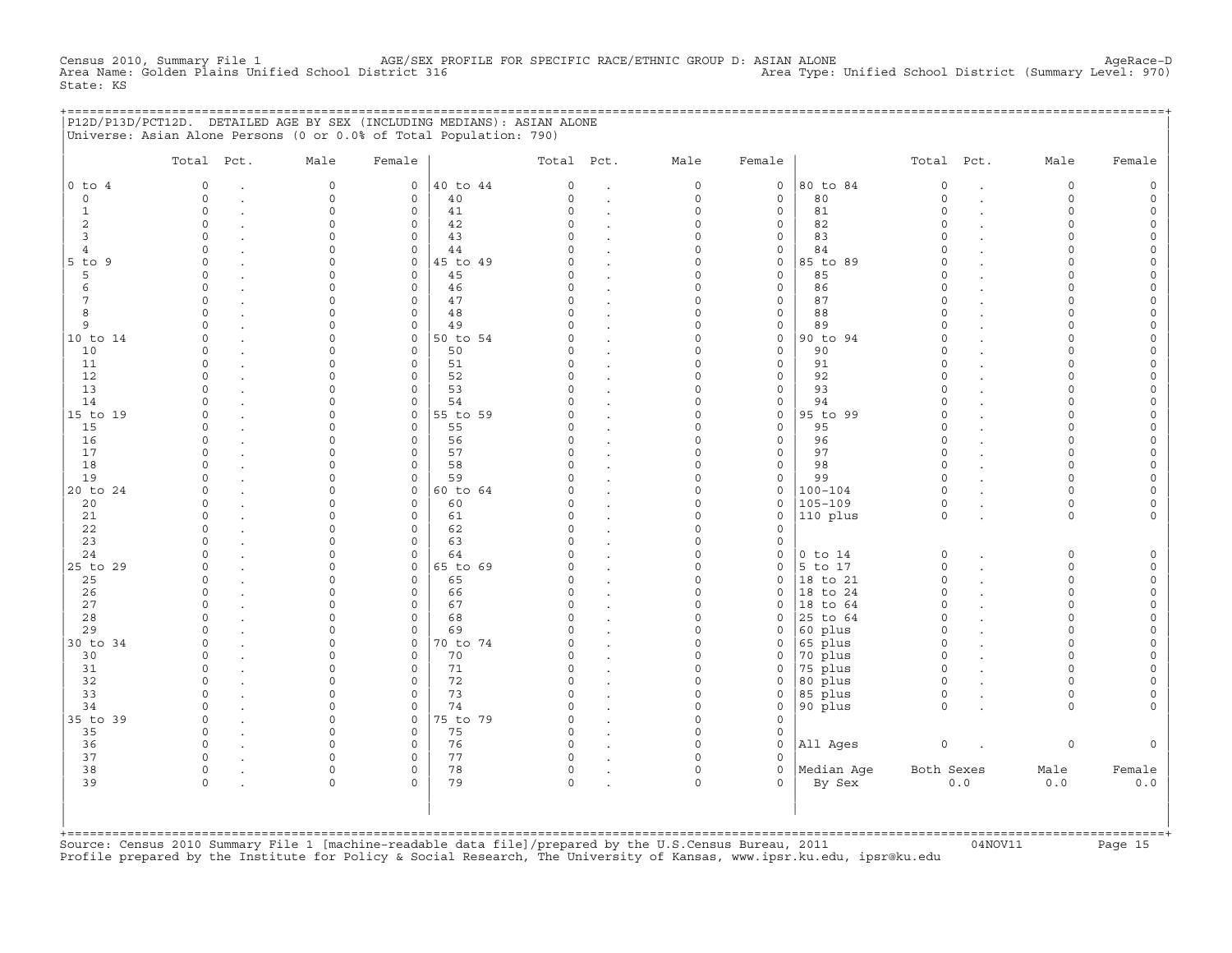Census 2010, Summary File 1 AGE/SEX PROFILE FOR SPECIFIC RACE/ETHNIC GROUP D: ASIAN ALONE AgeRace−D Area Name: Golden Plains Unified School District 316 Area Type: Unified School District (Summary Level: 970) State: KS

|                | P12D/P13D/PCT12D. DETAILED AGE BY SEX (INCLUDING MEDIANS): ASIAN ALONE<br>Universe: Asian Alone Persons (0 or 0.0% of Total Population: 790) |                         |                            |                |                          |                              |                     |                              |                            |                      |     |                                   |         |
|----------------|----------------------------------------------------------------------------------------------------------------------------------------------|-------------------------|----------------------------|----------------|--------------------------|------------------------------|---------------------|------------------------------|----------------------------|----------------------|-----|-----------------------------------|---------|
|                | Total Pct.                                                                                                                                   | Male                    | Female                     |                | Total Pct.               |                              | Male                | Female                       |                            | Total Pct.           |     | Male                              | Female  |
| $0$ to $4$     | $\mathbf 0$                                                                                                                                  | $\mathsf O$             | $\circ$                    | 40 to 44       | 0                        | $\ddot{\phantom{a}}$         | 0                   | $\mathsf{O}\xspace$          | 80 to 84                   | $\circ$              |     | $\mathbf 0$                       |         |
| $\mathbf 0$    | $\mathbf 0$<br>$\cdot$                                                                                                                       | $\mathsf{O}\xspace$     | $\circ$                    | 40             | $\circ$                  | $\ddot{\phantom{a}}$         | 0                   | $\mathsf{O}$                 | 80                         | $\circ$              |     | $\mathbf 0$                       | $\circ$ |
| 1              | $\Omega$                                                                                                                                     | $\Omega$                | $\Omega$                   | 41             | $\Omega$                 | $\ddot{\phantom{a}}$         | $\Omega$            | $\Omega$                     | 81                         | $\Omega$             |     | $\Omega$                          |         |
| 2<br>3         | $\Omega$<br>$\Omega$                                                                                                                         | $\Omega$<br>$\Omega$    | $\circ$<br>$\Omega$        | 42<br>43       | $\Omega$<br>$\cap$       |                              | $\Omega$<br>$\cap$  | $\mathbf{0}$<br>$\mathbf{0}$ | 82<br>83                   | $\Omega$<br>$\Omega$ |     | $\Omega$                          |         |
| $\overline{4}$ | $\Omega$                                                                                                                                     | $\Omega$                | $\circ$                    | 44             | $\cap$                   |                              | $\Omega$            | $\mathbf{0}$                 | 84                         | $\Omega$             |     | $\cap$                            |         |
| $5$ to $9$     | $\Omega$                                                                                                                                     | $\Omega$                | $\circ$                    | 45 to 49       | <sup>n</sup>             | $\sim$                       | $\Omega$            | $\circ$                      | 85 to 89                   | $\Omega$             |     |                                   |         |
| 5              | $\Omega$                                                                                                                                     | $\Omega$                | $\circ$                    | 45             | <sup>0</sup>             | $\sim$                       | $\Omega$            | $\circ$                      | 85                         | $\Omega$             |     |                                   |         |
| 6              | $\Omega$                                                                                                                                     | $\Omega$                | $\circ$                    | 46             | $\Omega$                 | $\cdot$                      | $\Omega$            | 0                            | 86                         | $\Omega$             |     |                                   |         |
| 7              | $\Omega$                                                                                                                                     | $\Omega$                | $\Omega$                   | 47             | $\Omega$                 |                              | $\Omega$            | $\mathbf{0}$                 | 87                         | $\Omega$             |     | ∩                                 |         |
| 8              | $\Omega$                                                                                                                                     | $\Omega$                | $\mathbf 0$                | 48             | $\Omega$                 | $\mathbf{r}$                 | 0                   | $\circ$                      | 88                         | $\Omega$             |     | $\cap$                            |         |
| 9              | $\cap$                                                                                                                                       | $\Omega$                | $\circ$                    | 49             | $\Omega$                 | $\mathbf{r}$                 | $\circ$<br>$\Omega$ | $\mathsf{O}$                 | 89                         | $\Omega$<br>$\Omega$ |     | $\cap$                            |         |
| 10 to 14<br>10 | $\Omega$<br>$\Omega$                                                                                                                         | $\Omega$<br>$\Omega$    | $\circ$<br>$\mathbf 0$     | 50 to 54<br>50 | $\Omega$                 | $\mathbf{r}$                 | $\Omega$            | $\mathbf 0$<br>$\mathbf{0}$  | 90 to 94<br>90             | $\Omega$             |     |                                   |         |
| 11             | $\Omega$                                                                                                                                     | $\Omega$                | $\Omega$                   | 51             | $\Omega$                 |                              | $\Omega$            | $\circ$                      | 91                         | $\Omega$             |     | $\cap$                            |         |
| 12             | $\Omega$                                                                                                                                     | $\Omega$                | $\circ$                    | 52             | $\Omega$                 | $\mathbf{r}$                 | $\Omega$            | $\circ$                      | 92                         | $\Omega$             |     |                                   |         |
| 13             | $\cap$                                                                                                                                       | $\Omega$                | $\mathbf 0$                | 53             | $\Omega$                 | $\cdot$                      | $\Omega$            | $\circ$                      | 93                         | $\Omega$             |     |                                   |         |
| 14             | $\Omega$                                                                                                                                     | $\Omega$                | $\circ$                    | 54             | $\Omega$                 | $\cdot$                      | $\Omega$            | $\mathsf{O}\xspace$          | 94                         | $\Omega$             |     |                                   |         |
| 15 to 19       | $\Omega$                                                                                                                                     | $\Omega$                | $\mathsf{O}$               | 55 to 59       | $\Omega$                 | $\ddot{\phantom{a}}$         | $\circ$             | $\mathsf{O}$                 | 95 to 99                   | $\Omega$             |     |                                   |         |
| 15             | $\Omega$                                                                                                                                     | $\Omega$                | $\mathbf 0$                | 55             | $\Omega$                 |                              | $\Omega$            | $\mathbf{0}$                 | 95                         | $\Omega$             |     | $\cap$                            |         |
| 16             | $\Omega$                                                                                                                                     | $\mathbf 0$             | $\mathbf 0$                | 56             | 0                        |                              | 0                   | $\mathsf{O}$                 | 96                         | $\circ$              |     | $\cap$<br>$\cap$                  |         |
| 17<br>18       | $\cap$<br>$\cap$                                                                                                                             | $\Omega$<br>$\Omega$    | $\circ$<br>$\circ$         | 57<br>58       | 0<br>$\cap$              | $\mathbf{r}$                 | $\Omega$<br>$\cap$  | 0<br>$\mathbf{0}$            | 97<br>98                   | $\Omega$<br>$\Omega$ |     |                                   |         |
| 19             | $\cap$                                                                                                                                       | $\Omega$                | 0                          | 59             | $\cap$                   |                              | $\Omega$            | 0                            | 99                         | $\Omega$             |     |                                   |         |
| 20 to 24       | $\cap$                                                                                                                                       | $\Omega$                | $\mathbf 0$                | 60 to 64       | <sup>n</sup>             |                              | $\cap$              | $\circ$                      | $100 - 104$                | $\Omega$             |     | $\cap$                            |         |
| 20             | $\Omega$                                                                                                                                     | $\Omega$                | $\circ$                    | 60             | $\Omega$                 |                              | $\Omega$            | $\circ$                      | $105 - 109$                | $\circ$              |     | $\cap$                            |         |
| 21             | $\Omega$                                                                                                                                     | $\Omega$                | $\Omega$                   | 61             | $\Omega$                 | $\sim$                       | $\Omega$            | $\circ$                      | $110$ plus                 | $\Omega$             |     | $\Omega$                          |         |
| 22             | $\Omega$                                                                                                                                     | $\Omega$                | $\Omega$                   | 62             | $\Omega$                 | $\cdot$                      | $\Omega$            | $\Omega$                     |                            |                      |     |                                   |         |
| 23             | $\Omega$                                                                                                                                     | $\Omega$                | $\circ$                    | 63             | $\Omega$                 |                              | $\Omega$            | $\mathbf 0$                  |                            |                      |     |                                   |         |
| 24             | $\Omega$                                                                                                                                     | $\Omega$                | $\Omega$                   | 64             | $\cap$                   |                              | $\Omega$            | $\circ$                      | $0$ to $14$                | $\circ$              |     | $\Omega$                          | $\cap$  |
| 25 to 29<br>25 | $\Omega$<br><sup>0</sup>                                                                                                                     | $\Omega$<br>$\Omega$    | $\circ$<br>$\circ$         | 65 to 69<br>65 | $\Omega$<br><sup>0</sup> |                              | $\circ$<br>$\Omega$ | $\circ$<br>$\circ$           | $ 5 \t{to} 17$<br>18 to 21 | $\circ$<br>$\circ$   |     | $\Omega$<br>$\Omega$              |         |
| 26             | $\Omega$                                                                                                                                     | $\Omega$                | $\circ$                    | 66             | <sup>0</sup>             | $\cdot$<br>$\cdot$           | $\Omega$            | $\circ$                      | 18 to 24                   | $\Omega$             |     | ∩                                 |         |
| 27             | $\Omega$                                                                                                                                     | $\Omega$                | $\mathbf 0$                | 67             | $\Omega$                 |                              | $\Omega$            | $\mathbf{0}$                 | 18 to 64                   | $\Omega$             |     |                                   |         |
| 28             | $\cap$                                                                                                                                       | $\Omega$                | $\Omega$                   | 68             | $\cap$                   |                              | $\Omega$            | $\circ$                      | 25 to 64                   | $\Omega$             |     | $\cap$                            |         |
| 29             | $\cap$                                                                                                                                       | $\Omega$                | $\mathbf 0$                | 69             | $\Omega$                 | $\ddot{\phantom{a}}$         | $\circ$             | $\circ$                      | 60 plus                    | $\Omega$             |     | $\cap$                            |         |
| 30 to 34       | $\cap$                                                                                                                                       | $\Omega$                | $\circ$                    | 70 to 74       | U                        | $\sim$                       | $\Omega$            | $\mathbf{0}$                 | 65 plus                    | $\Omega$             |     | $\cap$                            |         |
| 30             | $\Omega$                                                                                                                                     | $\Omega$                | $\mathbf 0$                | 70             | $\Omega$                 | $\cdot$                      | $\Omega$            | $\mathbf{0}$                 | 70 plus                    | $\mathbf 0$          |     | $\Omega$                          |         |
| 31             | $\Omega$                                                                                                                                     | $\Omega$                | $\mathbf 0$                | 71             | $\Omega$                 | $\ddot{\phantom{a}}$         | $\circ$             | 0                            | 75 plus                    | $\circ$              |     | $\Omega$                          |         |
| 32<br>33       | $\Omega$<br>$\Omega$                                                                                                                         | $\Omega$<br>$\mathbf 0$ | $\mathbf 0$<br>$\mathbf 0$ | 72<br>73       | $\Omega$<br>0            |                              | $\Omega$<br>$\circ$ | $\mathbf{0}$<br>0            | 80 plus<br>85 plus         | $\Omega$<br>$\circ$  |     | $\Omega$                          |         |
| 34             | $\Omega$                                                                                                                                     | $\mathbf 0$             | $\circ$                    | 74             | $\Omega$                 | $\mathbf{r}$<br>$\mathbf{r}$ | $\circ$             | 0                            | 90 plus                    | $\mathbf 0$          |     | $\Omega$                          |         |
| 35 to 39       | $\mathbf 0$                                                                                                                                  | $\Omega$                | $\circ$                    | 75 to 79       | $\Omega$                 | $\ddot{\phantom{a}}$         | $\Omega$            | 0                            |                            |                      |     |                                   |         |
| 35             | $\mathbf 0$                                                                                                                                  | $\Omega$                | $\circ$                    | 75             | 0                        |                              | $\circ$             | $\mathsf{O}$                 |                            |                      |     |                                   |         |
| 36             | $\Omega$                                                                                                                                     | $\cap$                  | $\circ$                    | 76             | $\Omega$                 |                              | $\Omega$            | $\mathsf{O}$                 | All Ages                   | $\circ$              |     | $\mathbf 0$                       |         |
| 37             | $\Omega$                                                                                                                                     | $\Omega$                | $\circ$                    | 77             | $\Omega$                 |                              | $\Omega$            | $\Omega$                     |                            |                      |     |                                   |         |
| 38             | $\Omega$                                                                                                                                     | $\Omega$                | $\Omega$                   | 78             | $\Omega$                 | $\bullet$                    | $\Omega$            | $\Omega$                     | Median Age                 | Both Sexes           |     | Male                              | Female  |
| 39             | $\Omega$                                                                                                                                     | $\Omega$                | $\Omega$                   | 79             | $\Omega$                 |                              | $\Omega$            | $\Omega$                     | By Sex                     |                      | 0.0 | 0.0                               | 0.0     |
|                |                                                                                                                                              |                         |                            |                |                          |                              |                     |                              |                            |                      |     |                                   |         |
|                |                                                                                                                                              |                         |                            |                |                          |                              |                     |                              |                            |                      |     | --------------------------------- |         |

+===================================================================================================================================================+Source: Census 2010 Summary File 1 [machine−readable data file]/prepared by the U.S.Census Bureau, 2011 04NOV11 Page 15 Profile prepared by the Institute for Policy & Social Research, The University of Kansas, www.ipsr.ku.edu, ipsr@ku.edu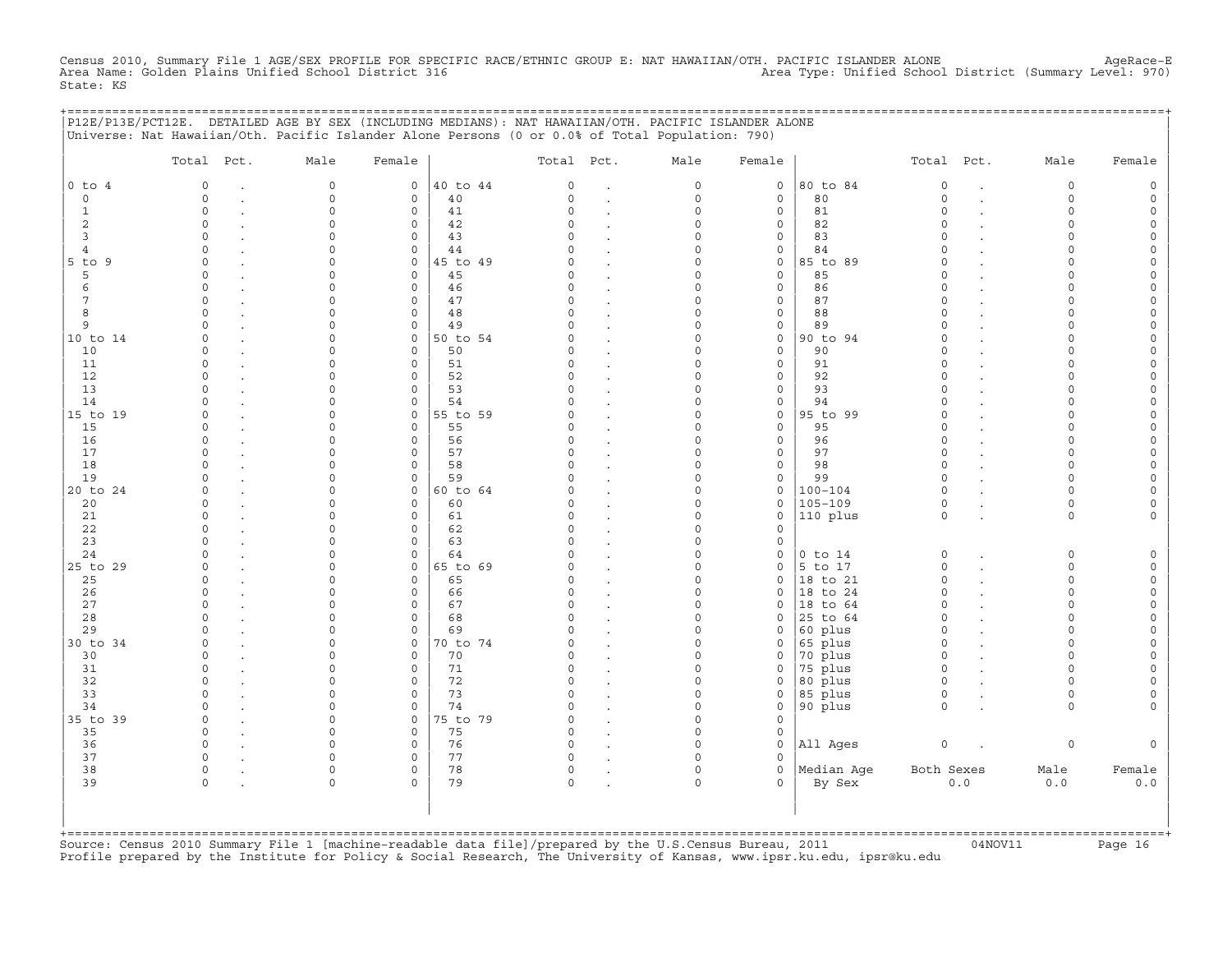Census 2010, Summary File 1 AGE/SEX PROFILE FOR SPECIFIC RACE/ETHNIC GROUP E: NAT HAWAIIAN/OTH. PACIFIC ISLANDER ALONE AgeRace-E<br>Area Name: Golden Plains Unified School District 316 State: KS

|                | P12E/P13E/PCT12E. DETAILED AGE BY SEX (INCLUDING MEDIANS): NAT HAWAIIAN/OTH. PACIFIC ISLANDER ALONE<br>Universe: Nat Hawaiian/Oth. Pacific Islander Alone Persons (0 or 0.0% of Total Population: 790) |              |                         |                |                      |                      |                      |              | ========================= |                         |        |                  |        |
|----------------|--------------------------------------------------------------------------------------------------------------------------------------------------------------------------------------------------------|--------------|-------------------------|----------------|----------------------|----------------------|----------------------|--------------|---------------------------|-------------------------|--------|------------------|--------|
|                | Total Pct.                                                                                                                                                                                             | Male         | Female                  |                | Total Pct.           |                      | Male                 | Female       |                           | Total Pct.              |        | Male             | Female |
| $0$ to $4$     | $\circ$                                                                                                                                                                                                | $\mathbf 0$  | $\circ$                 | 40 to 44       | $\circ$              | $\ddot{\phantom{a}}$ | $\circ$              | $\mathbf 0$  | 80 to 84                  | $\mathbf 0$             |        | $\circ$          |        |
| $\Omega$       | $\Omega$                                                                                                                                                                                               | $\mathbf 0$  | $\circ$                 | 40             | $\Omega$             | $\cdot$              | $\circ$              | $\mathbf{0}$ | 80                        | $\circ$                 | $\sim$ | $\Omega$         |        |
| 1              | $\Omega$                                                                                                                                                                                               | $\cap$       | $\circ$                 | 41             | $\Omega$             | $\cdot$              | $\Omega$             | $\mathbf{0}$ | 81                        | $\Omega$                |        | $\cap$           |        |
| 2              | $\Omega$                                                                                                                                                                                               | n            | $\circ$                 | 42             | $\Omega$             |                      | $\Omega$             | 0            | 82                        | $\Omega$                |        | $\cap$           |        |
| 3              | $\cap$                                                                                                                                                                                                 | ∩            | $\Omega$                | 43             | $\Omega$             |                      | $\Omega$             | 0            | 83                        | $\Omega$                |        | ∩                |        |
| $\overline{4}$ | $\Omega$<br>$\Omega$                                                                                                                                                                                   | n            | $\circ$<br>$\mathbf{0}$ | 44             | $\Omega$             |                      | 0<br>$\Omega$        | 0            | 84<br>85 to 89            | $\Omega$<br>$\Omega$    |        | $\cap$           |        |
| 5 to 9<br>5    | $\Omega$                                                                                                                                                                                               |              | $\mathbf{0}$            | 45 to 49<br>45 | $\Omega$<br>$\Omega$ | $\sim$<br>$\cdot$    | $\Omega$             | 0<br>$\circ$ | 85                        | $\Omega$                |        |                  |        |
| 6              | $\Omega$                                                                                                                                                                                               |              | $\circ$                 | 46             | 0                    | $\cdot$              | $\Omega$             | 0            | 86                        | $\Omega$                |        |                  |        |
| 7              | $\Omega$                                                                                                                                                                                               |              | $\mathbf{0}$            | 47             | $\Omega$             |                      | $\Omega$             | $\mathbf{0}$ | 87                        | $\Omega$                |        | $\cap$           |        |
| 8              | $\Omega$                                                                                                                                                                                               | U            | $\mathsf{O}\xspace$     | 48             | 0                    |                      | $\Omega$             | 0            | 88                        | $\Omega$                |        | $\cap$           |        |
| 9              | $\Omega$                                                                                                                                                                                               |              | $\circ$                 | 49             | $\Omega$             | $\cdot$              | 0                    | 0            | 89                        | $\Omega$                |        | $\cap$           |        |
| 10 to 14       | $\Omega$                                                                                                                                                                                               |              | $\circ$                 | 50 to 54       |                      |                      | O                    | 0            | 90 to 94                  | $\Omega$                |        |                  |        |
| 10             | $\Omega$                                                                                                                                                                                               | ∩            | $\mathbf 0$             | 50             | $\Omega$             |                      | $\Omega$             | 0            | 90                        | $\Omega$                |        |                  |        |
| 11             | $\Omega$                                                                                                                                                                                               |              | $\circ$                 | 51             | 0                    |                      | U                    | 0            | 91                        | $\mathbf 0$             |        | $\cap$           |        |
| 12             | $\Omega$                                                                                                                                                                                               |              | $\circ$                 | 52             | $\Omega$             | $\cdot$              | O                    | 0            | 92                        | $\Omega$                |        |                  |        |
| 13             | $\cap$                                                                                                                                                                                                 |              | $\circ$                 | 53             | $\Omega$             | $\sim$               | $\Omega$             | $\mathbf{0}$ | 93                        | $\Omega$                |        | $\cap$           |        |
| 14             | $\cap$                                                                                                                                                                                                 |              | $\circ$                 | 54             | $\Omega$             |                      | $\Omega$             | $\mathbf{0}$ | 94                        | $\Omega$                |        |                  |        |
| 15 to 19       | $\Omega$                                                                                                                                                                                               | ∩            | $\circ$                 | 55 to 59       | $\Omega$             |                      | $\Omega$             | $\mathsf{O}$ | 95 to 99                  | $\Omega$                |        | ∩                |        |
| 15             | $\Omega$                                                                                                                                                                                               |              | $\mathbf 0$             | 55             | $\Omega$             |                      | $\Omega$             | $\mathbf{0}$ | 95                        | $\Omega$                |        | $\cap$<br>$\cap$ |        |
| 16<br>17       | 0                                                                                                                                                                                                      |              | $\circ$                 | 56<br>57       | 0<br>$\Omega$        |                      | 0<br>U               | $\mathbf{0}$ | 96<br>97                  | $\mathbf 0$<br>$\Omega$ |        |                  |        |
| 18             |                                                                                                                                                                                                        |              | $\circ$<br>$\Omega$     | 58             | $\Omega$             | $\ddot{\phantom{a}}$ | U                    | 0<br>0       | 98                        | $\Omega$                |        | $\cap$           |        |
| 19             | $\Omega$                                                                                                                                                                                               | <sup>n</sup> | $\mathbf 0$             | 59             | $\Omega$             |                      | $\Omega$             | 0            | 99                        | $\Omega$                |        | $\Omega$         |        |
| 20 to 24       | $\Omega$                                                                                                                                                                                               | ∩            | $\circ$                 | 60 to 64       | $\Omega$             |                      | $\Omega$             | 0            | $100 - 104$               | $\mathbf 0$             |        | $\cap$           |        |
| 20             | $\Omega$                                                                                                                                                                                               | O            | $\mathbf{0}$            | 60             | 0                    | $\cdot$              | $\circ$              | $\circ$      | $105 - 109$               | $\mathbf 0$             |        | $\Omega$         |        |
| 21             | $\Omega$                                                                                                                                                                                               |              | $\mathbf{0}$            | 61             | 0                    | $\cdot$              | $\Omega$             | 0            | 110 plus                  | $\circ$                 |        | $\circ$          |        |
| 22             | $\Omega$                                                                                                                                                                                               | n            | $\circ$                 | 62             | 0                    |                      | $\Omega$             | $\mathbf{0}$ |                           |                         |        |                  |        |
| 23             | $\Omega$                                                                                                                                                                                               | $\Omega$     | $\circ$                 | 63             | 0                    |                      | 0                    | 0            |                           |                         |        |                  |        |
| 24             | $\Omega$                                                                                                                                                                                               |              | $\mathbf 0$             | 64             | $\Omega$             |                      | $\Omega$             | 0            | $0$ to $14$               | $\circ$                 |        | $\Omega$         |        |
| 25 to 29       | $\Omega$                                                                                                                                                                                               |              | $\mathsf{O}$            | 65 to 69       | $\Omega$             |                      | $\Omega$             | 0            | $5$ to 17                 | $\mathsf O$             |        | $\Omega$         |        |
| 25             |                                                                                                                                                                                                        |              | $\mathsf{O}$            | 65             | $\Omega$             |                      | O                    | 0            | 18 to 21                  | $\circ$                 |        | $\cap$           |        |
| 26             | $\Omega$                                                                                                                                                                                               |              | $\Omega$                | 66             | $\Omega$             |                      | $\Omega$             | $\Omega$     | 18 to 24                  | $\Omega$                |        |                  |        |
| 27             | $\Omega$                                                                                                                                                                                               |              | $\mathbf 0$             | 67             | $\Omega$             |                      | $\Omega$             | 0            | $ 18$ to $64$             | $\mathbf 0$             |        | $\cap$           |        |
| 28             | $\cap$                                                                                                                                                                                                 |              | $\circ$                 | 68             | $\Omega$             | $\cdot$              | $\Omega$             | 0            | 25 to 64                  | $\Omega$                |        | $\cap$           |        |
| 29             | $\Omega$                                                                                                                                                                                               |              | $\circ$<br>$\circ$      | 69             | $\Omega$<br>$\Omega$ | $\sim$               | $\Omega$<br>$\Omega$ | 0            | 60 plus                   | $\Omega$<br>$\circ$     |        | $\cap$<br>$\cap$ |        |
| 30 to 34<br>30 | $\Omega$                                                                                                                                                                                               |              | $\circ$                 | 70 to 74<br>70 | $\Omega$             | $\ddot{\phantom{0}}$ | $\Omega$             | 0<br>0       | 65 plus<br>70 plus        | $\circ$                 |        | ∩                |        |
| 31             | $\Omega$                                                                                                                                                                                               | <sup>n</sup> | $\mathsf{O}$            | 71             | $\Omega$             | $\cdot$              | $\circ$              | 0            | 75 plus                   | $\circ$                 |        | ∩                |        |
| 32             | $\Omega$                                                                                                                                                                                               |              | $\mathbf{0}$            | 72             | $\Omega$             |                      | $\Omega$             | $\mathbf{0}$ | 80 plus                   | $\circ$                 |        | $\cap$           |        |
| 33             | $\Omega$                                                                                                                                                                                               |              | $\mathbf{0}$            | 73             | $\Omega$             | $\ddot{\phantom{a}}$ | O                    | $\mathbf{0}$ | 85 plus                   | $\circ$                 |        | $\Omega$         |        |
| 34             |                                                                                                                                                                                                        |              | $\circ$                 | 74             | $\Omega$             | $\ddot{\phantom{a}}$ | $\Omega$             | 0            | 90 plus                   | $\circ$                 |        | $\Omega$         |        |
| 35 to 39       | $\Omega$                                                                                                                                                                                               | $\cap$       | $\circ$                 | 75 to 79       | $\Omega$             |                      | $\Omega$             | $\Omega$     |                           |                         |        |                  |        |
| 35             | $\circ$                                                                                                                                                                                                | $\cap$       | $\mathsf{O}$            | 75             | 0                    |                      | $\circ$              | $\mathsf{O}$ |                           |                         |        |                  |        |
| 36             | $\circ$                                                                                                                                                                                                |              | $\mathsf{O}$            | 76             | 0                    | $\cdot$              | $\Omega$             | 0            | All Ages                  | $\circ$                 |        | $\circ$          |        |
| 37             | $\circ$                                                                                                                                                                                                |              | $\mathsf{O}$            | 77             | 0                    |                      | $\Omega$             | 0            |                           |                         |        |                  |        |
| 38             | 0                                                                                                                                                                                                      | $\cap$       | $\circ$                 | 78             | 0                    |                      | $\circ$              | 0            | Median Age                | Both Sexes              |        | Male             | Female |
| 39             | $\Omega$                                                                                                                                                                                               | $\cap$       | $\Omega$                | 79             | $\Omega$             |                      | $\Omega$             | $\Omega$     | By Sex                    |                         | 0.0    | 0.0              | 0.0    |
|                |                                                                                                                                                                                                        |              |                         |                |                      |                      |                      |              |                           |                         |        |                  |        |
|                |                                                                                                                                                                                                        |              |                         |                |                      |                      |                      |              |                           |                         |        |                  |        |
|                |                                                                                                                                                                                                        |              |                         |                |                      |                      |                      |              |                           |                         |        |                  |        |
|                |                                                                                                                                                                                                        |              |                         |                |                      |                      |                      |              |                           |                         |        |                  |        |

+===================================================================================================================================================+Source: Census 2010 Summary File 1 [machine−readable data file]/prepared by the U.S.Census Bureau, 2011 04NOV11 Page 16 Profile prepared by the Institute for Policy & Social Research, The University of Kansas, www.ipsr.ku.edu, ipsr@ku.edu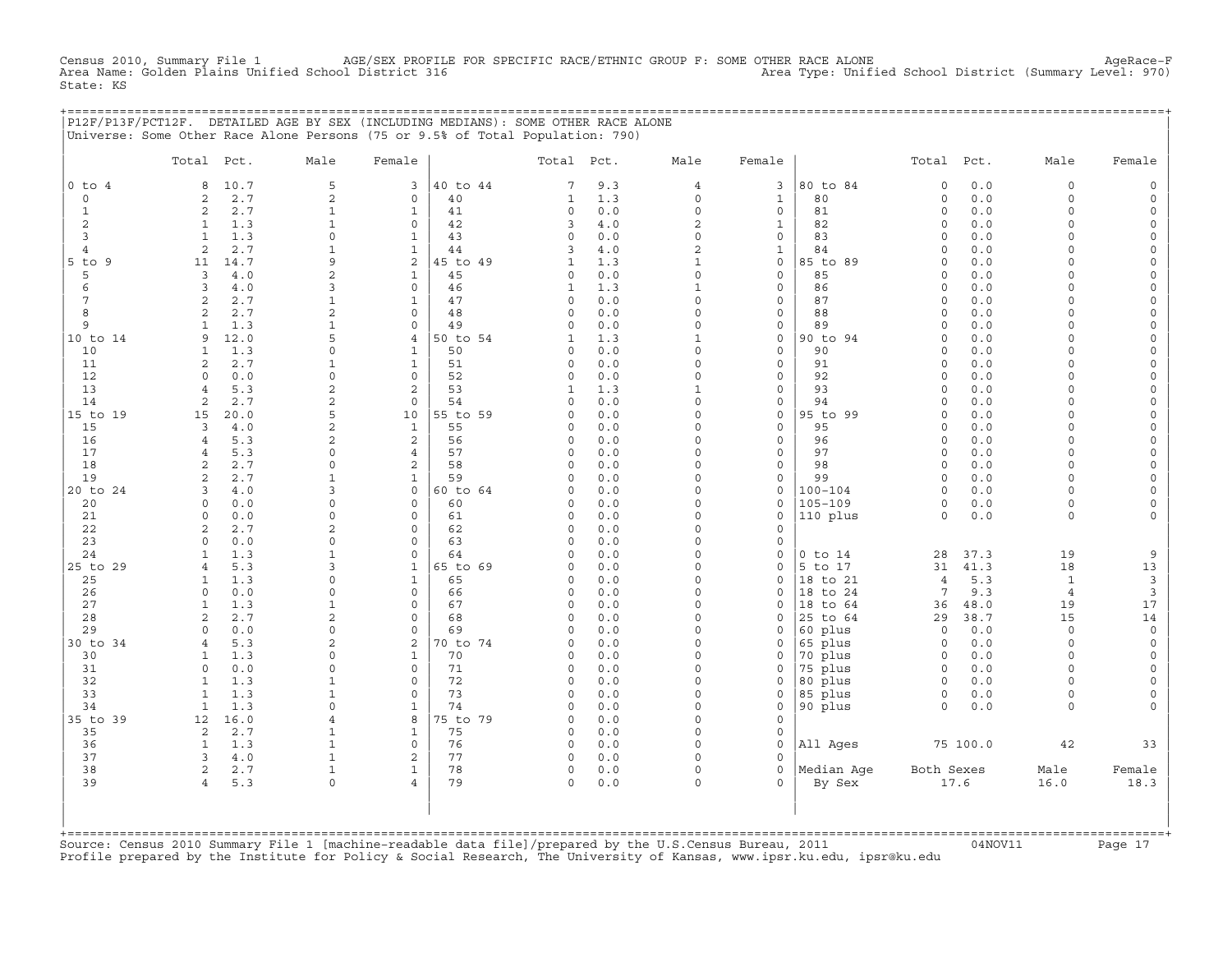CHE 1 AGE/SEX PROFILE FOR SPECIFIC RACE/ETHNIC GROUP F: SOME OTHER RACE ALONE<br>Ool District (Summary Level: 970) Area Type: Unified School District (Summary Level: 970) Census 2010, Summary File 1 AGE/SEX PROFILE<br>Area Name: Golden Plains Unified School District 316 State: KS

|                     |                     |            | P12F/P13F/PCT12F. DETAILED AGE BY SEX (INCLUDING MEDIANS): SOME OTHER RACE ALONE<br>Universe: Some Other Race Alone Persons (75 or 9.5% of Total Population: 790) |                              |                |                            |            |                      |                              |                    |                      |            |                      |                         |
|---------------------|---------------------|------------|-------------------------------------------------------------------------------------------------------------------------------------------------------------------|------------------------------|----------------|----------------------------|------------|----------------------|------------------------------|--------------------|----------------------|------------|----------------------|-------------------------|
|                     | Total Pct.          |            | Male                                                                                                                                                              | Female                       |                | Total Pct.                 |            | Male                 | Female                       |                    | Total Pct.           |            | Male                 | Female                  |
| $0$ to $4$          | 8                   | 10.7       | 5                                                                                                                                                                 | 3                            | 40 to 44       | 7                          | 9.3        | $\overline{4}$       | $\overline{\mathbf{3}}$      | 80 to 84           | $\mathsf{O}\xspace$  | 0.0        | $\circ$              | $\Omega$                |
| $\circ$             | 2                   | 2.7        | $\mathbf{2}$                                                                                                                                                      | $\mathbf 0$                  | 40             | 1                          | 1.3        | $\circ$              | 1                            | 80                 | 0                    | 0.0        | $\circ$              | $\circ$                 |
| 1                   | 2                   | 2.7        | $\mathbf{1}$                                                                                                                                                      | $\mathbf{1}$                 | 41             | $\Omega$                   | $0.0$      | $\Omega$             | $\mathbf{0}$                 | 81                 | $\Omega$             | 0.0        | $\Omega$             | $\Omega$                |
| 2                   | 1                   | 1.3        | 1                                                                                                                                                                 | $\circ$                      | 42             | 3                          | 4.0        | 2<br>$\Omega$        | $\mathbf{1}$                 | 82                 | $\circ$              | 0.0        | $\Omega$<br>$\Omega$ | $\Omega$                |
| 3<br>$\overline{4}$ | 1<br>$\overline{2}$ | 1.3<br>2.7 | $\Omega$<br>1                                                                                                                                                     | $\mathbf{1}$<br>$\mathbf{1}$ | 43<br>44       | $\mathbf 0$<br>3           | 0.0<br>4.0 | $\overline{c}$       | $\mathbf{0}$<br>$\mathbf{1}$ | 83<br>84           | $\circ$<br>$\Omega$  | 0.0<br>0.0 | $\Omega$             | $\circ$                 |
| $5$ to $9$          | 11                  | 14.7       | 9                                                                                                                                                                 | $\mathbf{2}$                 | 45 to 49       | 1                          | 1.3        | $\mathbf{1}$         | 0                            | 85 to 89           | $\circ$              | 0.0        | $\Omega$             | $\Omega$                |
| 5                   | 3                   | $4.0$      | $\overline{c}$                                                                                                                                                    | $\mathbf{1}$                 | 45             | $\Omega$                   | 0.0        | $\Omega$             | 0                            | 85                 | $\Omega$             | 0.0        | $\cap$               | $\Omega$                |
| 6                   | 3                   | 4.0        | 3                                                                                                                                                                 | $\Omega$                     | 46             | 1                          | 1.3        | $\mathbf{1}$         | $\mathbf{0}$                 | 86                 | $\Omega$             | 0.0        | $\Omega$             | $\Omega$                |
| 7                   | 2                   | 2.7        | 1                                                                                                                                                                 | $\mathbf{1}$                 | 47             | $\mathbf 0$                | 0.0        | $\Omega$             | $\mathbf{0}$                 | 87                 | $\Omega$             | 0.0        | $\Omega$             | $\Omega$                |
| 8                   | 2                   | 2.7        | $\mathbf{2}$                                                                                                                                                      | $\Omega$                     | 48             | $\mathbf 0$                | 0.0        | $\circ$              | $\mathbf{0}$                 | 88                 | $\Omega$             | $0.0$      | $\Omega$             | $\Omega$                |
| 9                   | $\mathbf{1}$        | 1.3        | $\mathbf{1}$                                                                                                                                                      | $\mathbf 0$                  | 49             | $\mathbf 0$                | 0.0        | $\Omega$             | 0                            | 89                 | $\Omega$             | 0.0        | $\Omega$             | $\Omega$                |
| 10 to 14            | 9                   | 12.0       | 5                                                                                                                                                                 | $\overline{4}$               | 50 to 54       | 1                          | 1.3        | $\mathbf{1}$         | 0                            | 90 to 94           | $\circ$              | 0.0        | $\Omega$             | $\Omega$                |
| 10                  | 1                   | 1.3        | $\Omega$                                                                                                                                                          | $\mathbf{1}$                 | 50             | $\mathbf 0$                | $0.0$      | $\Omega$             | $\mathbf{0}$                 | 90                 | $\circ$              | 0.0        | $\Omega$             | $\Omega$                |
| 11<br>12            | 2<br>$\Omega$       | 2.7<br>0.0 | 1<br>$\Omega$                                                                                                                                                     | $\mathbf{1}$<br>$\Omega$     | 51<br>52       | $\mathbf 0$<br>$\Omega$    | 0.0<br>0.0 | $\Omega$<br>$\Omega$ | 0<br>$\mathbf{0}$            | 91<br>92           | $\Omega$<br>$\Omega$ | 0.0<br>0.0 | $\Omega$<br>$\cap$   | $\Omega$<br>$\Omega$    |
| 13                  | $\overline{4}$      | 5.3        | $\overline{c}$                                                                                                                                                    | 2                            | 53             | 1                          | 1.3        | $\mathbf{1}$         | 0                            | 93                 | $\circ$              | 0.0        | $\Omega$             | $\Omega$                |
| 14                  | 2                   | 2.7        | $\overline{c}$                                                                                                                                                    | $\mathbf 0$                  | 54             | $\mathbf 0$                | 0.0        | 0                    | 0                            | 94                 | $\circ$              | 0.0        | $\Omega$             | $\Omega$                |
| 15 to 19            | 15                  | 20.0       | 5                                                                                                                                                                 | 10                           | 55 to 59       | $\Omega$                   | 0.0        | $\Omega$             | $\Omega$                     | 95 to 99           | $\Omega$             | 0.0        | $\Omega$             |                         |
| 15                  | 3                   | 4.0        | $\overline{c}$                                                                                                                                                    | $\mathbf{1}$                 | 55             | $\mathbf 0$                | 0.0        | $\Omega$             | $\mathbf{0}$                 | 95                 | $\Omega$             | 0.0        | $\Omega$             | $\Omega$                |
| 16                  | $\overline{4}$      | 5.3        | 2                                                                                                                                                                 | 2                            | 56             | $\circ$                    | 0.0        | $\Omega$             | 0                            | 96                 | $\Omega$             | 0.0        | $\cap$               | $\Omega$                |
| 17                  | $\overline{4}$      | 5.3        | $\Omega$                                                                                                                                                          | $\overline{4}$               | 57             | $\circ$                    | 0.0        | $\Omega$             | $\mathbf{0}$                 | 97                 | $\circ$              | 0.0        | $\Omega$             | $\Omega$                |
| 18                  | 2                   | 2.7        | $\Omega$                                                                                                                                                          | 2                            | 58             | $\mathbf 0$                | 0.0        | $\Omega$             | $\mathbf{0}$                 | 98                 | $\circ$              | 0.0        | $\Omega$             |                         |
| 19                  | 2                   | 2.7        | $\mathbf{1}$                                                                                                                                                      | $\mathbf{1}$                 | 59             | $\Omega$                   | 0.0        | $\Omega$             | 0                            | 99                 | $\circ$              | 0.0        | $\Omega$             | $\Omega$                |
| 20 to 24            | 3                   | 4.0        | 3                                                                                                                                                                 | $\circ$                      | 60 to 64       | $\Omega$                   | $0.0$      | $\Omega$             | $\circ$                      | $100 - 104$        | $\Omega$             | 0.0        | $\cap$               | $\Omega$                |
| 20                  | $\Omega$            | 0.0        | $\Omega$<br>$\Omega$                                                                                                                                              | $\Omega$<br>$\mathbf 0$      | 60             | $\mathbf 0$                | 0.0        | $\Omega$<br>$\Omega$ | 0<br>0                       | $105 - 109$        | $\Omega$<br>$\circ$  | 0.0        | $\Omega$<br>$\circ$  | $\Omega$                |
| 21<br>22            | $\mathbf 0$<br>2    | 0.0<br>2.7 | $\overline{c}$                                                                                                                                                    | $\mathbf 0$                  | 61<br>62       | $\mathbf 0$<br>$\circ$     | 0.0<br>0.0 | $\Omega$             | 0                            | 110 plus           |                      | 0.0        |                      |                         |
| 23                  | $\Omega$            | 0.0        | $\Omega$                                                                                                                                                          | $\mathbf 0$                  | 63             | $\Omega$                   | 0.0        | $\Omega$             | 0                            |                    |                      |            |                      |                         |
| 24                  | $\mathbf{1}$        | 1.3        | $\mathbf{1}$                                                                                                                                                      | $\mathsf{O}$                 | 64             | 0                          | 0.0        | $\Omega$             | 0                            | $0$ to $14$        | 28                   | 37.3       | 19                   | 9                       |
| 25 to 29            | $\overline{4}$      | 5.3        | 3                                                                                                                                                                 | $\mathbf{1}$                 | 65 to 69       | $\Omega$                   | 0.0        | $\Omega$             | 0                            | 5 to 17            | 31                   | 41.3       | 18                   | 13                      |
| 25                  | -1                  | 1.3        | $\Omega$                                                                                                                                                          | $\mathbf{1}$                 | 65             | $\Omega$                   | 0.0        | $\Omega$             | $\Omega$                     | 18 to 21           | $\overline{4}$       | 5.3        | $\mathbf{1}$         | 3                       |
| 26                  | $\circ$             | 0.0        | $\Omega$                                                                                                                                                          | $\mathbf 0$                  | 66             | $\mathbf 0$                | 0.0        | $\Omega$             | 0                            | 18 to 24           | 7                    | 9.3        | $\overline{4}$       | $\overline{3}$          |
| 27                  | 1                   | 1.3        | $\mathbf{1}$                                                                                                                                                      | $\mathbf 0$                  | 67             | $\circ$                    | 0.0        | $\Omega$             | 0                            | 18 to 64           | 36                   | 48.0       | 19                   | 17                      |
| 28                  | 2                   | 2.7        | $\overline{2}$                                                                                                                                                    | $\mathbf 0$                  | 68             | $\circ$                    | 0.0        | $\Omega$             | 0                            | 25 to 64           | 29                   | 38.7       | 15                   | 14                      |
| 29                  | $\Omega$            | 0.0        | $\Omega$                                                                                                                                                          | $\Omega$                     | 69             | $\Omega$                   | 0.0        | $\Omega$             | $\Omega$                     | 60 plus            | $\Omega$             | 0.0        | $\Omega$<br>$\Omega$ | $\circ$                 |
| 30 to 34<br>30      | $\overline{4}$<br>1 | 5.3<br>1.3 | $\overline{c}$<br>$\Omega$                                                                                                                                        | 2<br>$\mathbf{1}$            | 70 to 74<br>70 | $\mathbf 0$<br>$\mathbf 0$ | 0.0<br>0.0 | 0<br>$\Omega$        | 0<br>0                       | 65 plus<br>70 plus | $\circ$<br>$\circ$   | 0.0<br>0.0 | $\Omega$             | $\mathbf 0$<br>$\Omega$ |
| 31                  | $\circ$             | 0.0        | $\Omega$                                                                                                                                                          | $\mathbf 0$                  | 71             | $\circ$                    | 0.0        | $\Omega$             | 0                            | 75 plus            | $\circ$              | 0.0        | $\Omega$             | $\circ$                 |
| 32                  | $\mathbf{1}$        | 1.3        | $\mathbf{1}$                                                                                                                                                      | $\mathbf 0$                  | 72             | 0                          | 0.0        | $\circ$              | 0                            | 80 plus            | $\circ$              | 0.0        | $\Omega$             |                         |
| 33                  | 1                   | 1.3        | 1                                                                                                                                                                 | $\mathbf 0$                  | 73             | $\mathbf 0$                | 0.0        | 0                    | 0                            | 85 plus            | 0                    | 0.0        | $\circ$              | $\Omega$                |
| 34                  | <sup>1</sup>        | 1.3        | $\cap$                                                                                                                                                            | $\mathbf{1}$                 | 74             | $\Omega$                   | 0.0        | $\Omega$             | 0                            | 90 plus            | $\cap$               | 0.0        | $\Omega$             |                         |
| 35 to 39            | 12                  | 16.0       | 4                                                                                                                                                                 | 8                            | 75 to 79       | $\circ$                    | 0.0        | $\circ$              | 0                            |                    |                      |            |                      |                         |
| 35                  | 2                   | 2.7        | 1                                                                                                                                                                 | 1                            | 75             | $\mathbf 0$                | 0.0        | $\Omega$             | 0                            |                    |                      |            |                      |                         |
| 36                  | 1                   | 1.3        | $\mathbf{1}$                                                                                                                                                      | $\mathbf 0$                  | 76             | $\circ$                    | 0.0        | $\Omega$             | $\Omega$                     | All Ages           |                      | 75 100.0   | 42                   | 33                      |
| 37                  | 3                   | $4.0$      | 1                                                                                                                                                                 | 2                            | 77             | 0                          | 0.0        | $\circ$              | 0                            |                    |                      |            |                      |                         |
| 38                  | $\overline{a}$      | 2.7        | $\mathbf{1}$                                                                                                                                                      | $\mathbf{1}$                 | 78             | $\circ$                    | 0.0        | $\Omega$             | $\mathbf{0}$                 | Median Aqe         | Both Sexes           |            | Male                 | Female                  |
| 39                  | $\overline{4}$      | 5.3        | $\Omega$                                                                                                                                                          | $\overline{4}$               | 79             | $\Omega$                   | 0.0        | $\Omega$             | $\Omega$                     | By Sex             |                      | 17.6       | 16.0                 | 18.3                    |
|                     |                     |            |                                                                                                                                                                   |                              |                |                            |            |                      |                              |                    |                      |            |                      |                         |
|                     |                     |            |                                                                                                                                                                   |                              |                |                            |            |                      |                              |                    |                      |            |                      |                         |
| +===========        |                     |            |                                                                                                                                                                   |                              |                |                            |            |                      |                              |                    |                      |            |                      |                         |

+===================================================================================================================================================+Source: Census 2010 Summary File 1 [machine−readable data file]/prepared by the U.S.Census Bureau, 2011 04NOV11 Page 17 Profile prepared by the Institute for Policy & Social Research, The University of Kansas, www.ipsr.ku.edu, ipsr@ku.edu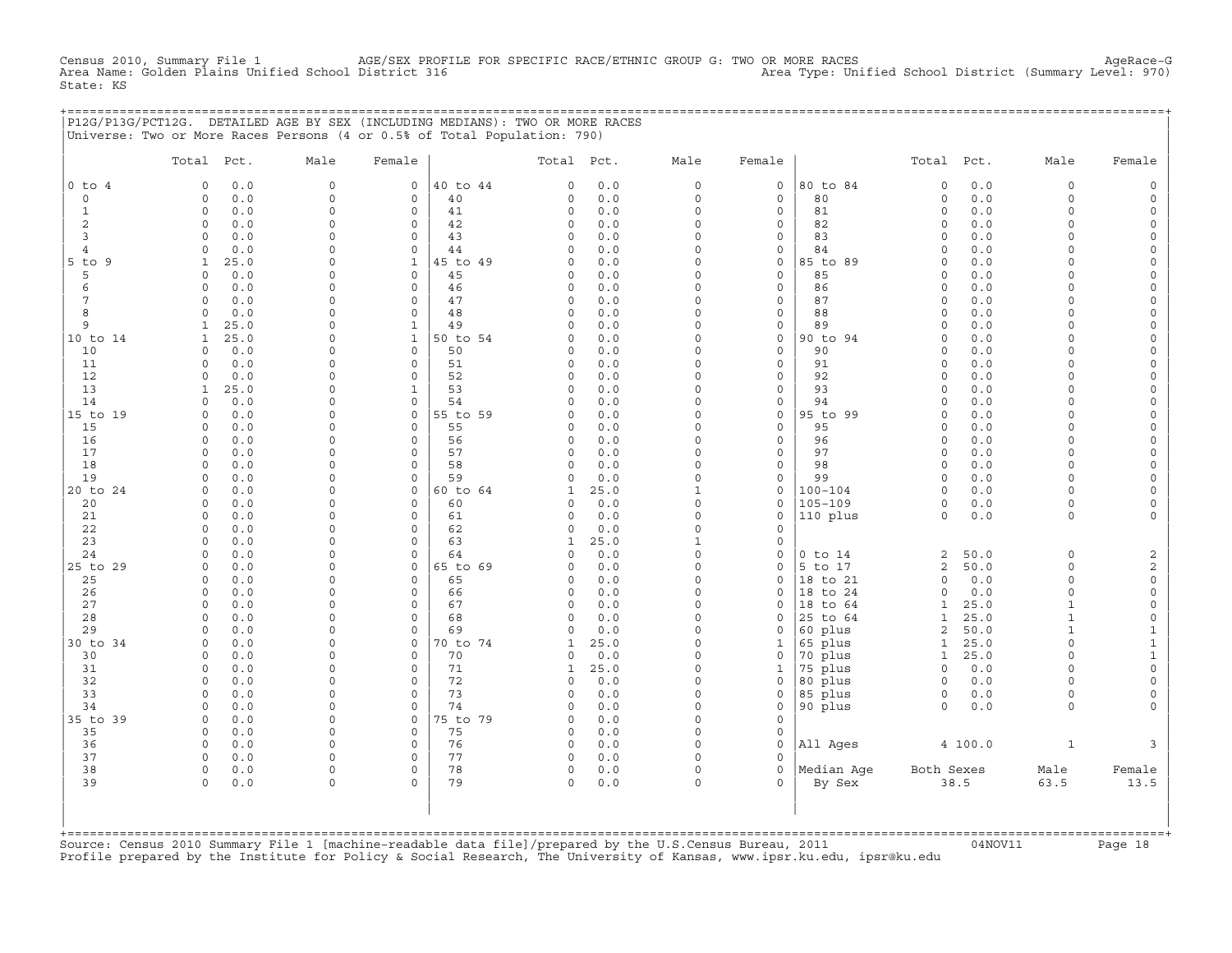CHELL TO DE RACENSUS 2010, SUMMAR RACE/SEX PROFILE FOR SPECIFIC RACE/ETHNIC GROUP G: TWO OR MORE RACES AgeRace-G<br>O District 316 (Summary Level: 970) Census 2010, Summary File 1 AGE/SEX PROFI<br>Area Name: Golden Plains Unified School District 316 State: KS

|                 | P12G/P13G/PCT12G. DETAILED AGE BY SEX (INCLUDING MEDIANS): TWO OR MORE RACES |                      |                            |                |                      |             |                      |                         |                    |                              |              |                          |                       |
|-----------------|------------------------------------------------------------------------------|----------------------|----------------------------|----------------|----------------------|-------------|----------------------|-------------------------|--------------------|------------------------------|--------------|--------------------------|-----------------------|
|                 | Universe: Two or More Races Persons (4 or 0.5% of Total Population: 790)     |                      |                            |                |                      |             |                      |                         |                    |                              |              |                          |                       |
|                 |                                                                              |                      |                            |                |                      |             |                      |                         |                    |                              |              |                          |                       |
|                 | Total Pct.                                                                   | Male                 | Female                     |                | Total Pct.           |             | Male                 | Female                  |                    | Total Pct.                   |              | Male                     | Female                |
| $0$ to $4$      | 0.0<br>$\Omega$                                                              | $\Omega$             | $\mathbf{0}$               | 40 to 44       | $\Omega$             | 0.0         | $\Omega$             | $\circ$                 | 80 to 84           | 0                            | 0.0          | $\Omega$                 | 0                     |
| $\circ$         | $\Omega$<br>0.0                                                              | $\Omega$             | $\Omega$                   | 40             | $\Omega$             | 0.0         | $\Omega$             | $\Omega$                | 80                 | $\Omega$                     | 0.0          | $\Omega$                 | $\mathsf{O}$          |
| $\mathbf{1}$    | $\circ$<br>0.0                                                               | $\Omega$             | $\mathbf 0$                | 41             | $\circ$              | 0.0         | $\circ$              | $\circ$                 | 81                 | $\circ$                      | 0.0          | 0                        | 0                     |
| 2               | $\Omega$<br>0.0                                                              | $\Omega$             | $\mathbf 0$                | 42             | $\circ$              | 0.0         | $\circ$              | $\circ$                 | 82                 | $\circ$                      | 0.0          | $\Omega$                 | 0                     |
| 3               | 0.0<br>$\Omega$                                                              | $\Omega$             | $\Omega$                   | 43             | $\Omega$             | 0.0         | $\Omega$             | $\mathbf{0}$            | 83                 | $\circ$                      | 0.0          | $\Omega$                 | 0                     |
| $\overline{4}$  | 0.0<br>$\Omega$                                                              | $\Omega$             | $\Omega$                   | 44             | $\Omega$             | 0.0         | $\Omega$             | $\mathbf{0}$            | 84                 | $\Omega$                     | 0.0          | $\Omega$                 | 0                     |
| $5$ to $9$      | $\mathbf{1}$<br>25.0                                                         | $\Omega$             | $\mathbf{1}$               | 45 to 49       | $\Omega$             | 0.0         | $\Omega$             | $\circ$                 | 85 to 89           | $\Omega$                     | 0.0          | $\cap$                   | 0                     |
| 5               | 0.0<br>$\Omega$                                                              | $\Omega$             | $\Omega$                   | 45             | $\Omega$             | 0.0         | $\Omega$             | $\circ$                 | 85                 | 0                            | 0.0          | $\Omega$                 | 0                     |
| 6               | 0.0<br>$\Omega$                                                              | $\Omega$             | $\Omega$                   | 46             | $\circ$              | 0.0         | $\Omega$             | $\circ$                 | 86                 | $\Omega$                     | 0.0          | $\cap$                   | 0                     |
| $7\phantom{.0}$ | $\Omega$<br>0.0                                                              | $\Omega$             | $\mathbf 0$                | 47             | $\circ$              | 0.0         | $\circ$              | $\circ$                 | 87                 | $\circ$                      | 0.0          | $\Omega$                 | 0                     |
| 8               | 0.0<br>$\Omega$                                                              | $\Omega$             | $\mathbf 0$                | 48             | $\Omega$             | 0.0         | $\Omega$             | 0                       | 88                 | 0                            | 0.0          | $\Omega$                 | 0                     |
| 9               | 25.0<br>$\mathbf{1}$                                                         | $\Omega$             | $\mathbf{1}$               | 49             | $\Omega$             | 0.0         | $\Omega$             | $\Omega$                | 89                 | $\Omega$                     | 0.0          | $\Omega$                 | 0                     |
| 10 to 14        | $\mathbf{1}$<br>25.0                                                         | $\Omega$             | $\mathbf{1}$               | 50 to 54       | $\mathbf 0$          | 0.0         | $\Omega$             | $\circ$                 | 90 to 94           | $\circ$                      | 0.0          | $\Omega$                 | 0                     |
| 10              | 0.0<br>$\Omega$                                                              | $\Omega$             | $\Omega$                   | 50             | $\mathbf 0$          | 0.0         | $\Omega$             | $\mathbf 0$             | 90                 | $\circ$                      | 0.0          | $\Omega$                 | 0                     |
| 11              | 0.0<br>$\Omega$                                                              | $\Omega$             | $\Omega$                   | 51             | $\circ$              | 0.0         | $\Omega$             | $\circ$                 | 91                 | $\circ$                      | 0.0          | $\Omega$                 | $\mathsf{O}$          |
| 12              | 0.0<br>$\Omega$                                                              | $\Omega$             | $\Omega$                   | 52             | $\Omega$             | 0.0         | $\Omega$             | $\mathbf{0}$            | 92                 | $\circ$                      | 0.0          | $\Omega$                 | 0                     |
| 13              | 25.0<br>$\mathbf{1}$                                                         | $\Omega$<br>$\Omega$ | $\mathbf{1}$               | 53             | $\Omega$             | 0.0         | $\Omega$<br>$\Omega$ | $\Omega$                | 93                 | $\Omega$                     | 0.0          | $\Omega$<br>$\Omega$     | 0                     |
| 14              | 0.0<br>$\Omega$<br>$\Omega$                                                  | $\cap$               | $\mathbf 0$<br>$\Omega$    | 54<br>55 to 59 | $\Omega$<br>$\Omega$ | 0.0<br>0.0  | $\Omega$             | $\mathbf{0}$<br>$\circ$ | 94<br>95 to 99     | 0<br>$\Omega$                | 0.0<br>0.0   | $\cap$                   | 0                     |
| 15 to 19<br>15  | 0.0<br>$\Omega$<br>0.0                                                       | $\Omega$             | $\mathbf 0$                | 55             | $\mathbf 0$          | 0.0         | $\Omega$             | $\mathbf{0}$            | 95                 | $\circ$                      | 0.0          | $\Omega$                 | 0<br>0                |
| 16              | 0.0<br>$\Omega$                                                              | $\Omega$             | $\mathbf 0$                | 56             | $\circ$              | 0.0         | $\Omega$             | $\circ$                 | 96                 | $\circ$                      | 0.0          | $\Omega$                 | 0                     |
| 17              | 0.0<br>$\Omega$                                                              | $\Omega$             | $\Omega$                   | 57             | $\Omega$             | 0.0         | $\Omega$             | $\Omega$                | 97                 | $\Omega$                     | 0.0          | $\Omega$                 | 0                     |
| 18              | $\Omega$<br>0.0                                                              | $\Omega$             | $\Omega$                   | 58             | $\Omega$             | 0.0         | $\Omega$             | $\Omega$                | 98                 | $\circ$                      | 0.0          | $\Omega$                 | 0                     |
| 19              | $\Omega$<br>0.0                                                              | $\Omega$             | $\Omega$                   | 59             | $\circ$              | 0.0         | $\Omega$             | $\circ$                 | 99                 | $\Omega$                     | 0.0          | $\Omega$                 | 0                     |
| 20 to 24        | 0.0<br>$\Omega$                                                              | $\Omega$             | $\mathbf 0$                | 60 to 64       | $\mathbf{1}$         | 25.0        | $\mathbf{1}$         | $\circ$                 | 100-104            | $\circ$                      | 0.0          | $\Omega$                 | 0                     |
| 20              | 0.0<br>$\Omega$                                                              | $\Omega$             | $\Omega$                   | 60             | $\Omega$             | 0.0         | $\Omega$             | $\Omega$                | $105 - 109$        | $\Omega$                     | 0.0          | $\Omega$                 | 0                     |
| 21              | $\Omega$<br>0.0                                                              | $\Omega$             | $\Omega$                   | 61             | $\Omega$             | 0.0         | $\Omega$             | $\Omega$                | 110 plus           | $\circ$                      | 0.0          | $\Omega$                 | 0                     |
| 22              | 0.0<br>$\Omega$                                                              | $\Omega$             | $\Omega$                   | 62             | $\Omega$             | 0.0         | $\Omega$             | $\Omega$                |                    |                              |              |                          |                       |
| 23              | $\Omega$<br>0.0                                                              | $\Omega$             | $\Omega$                   | 63             | $\mathbf{1}$         | 25.0        | $\mathbf{1}$         | $\Omega$                |                    |                              |              |                          |                       |
| 24              | $\Omega$<br>0.0                                                              | $\Omega$             | $\mathbf 0$                | 64             | $\circ$              | 0.0         | $\circ$              | $\circ$                 | $0$ to $14$        | 2                            | 50.0         | $\circ$                  | 2                     |
| 25 to 29        | 0.0<br>$\Omega$                                                              | $\Omega$             | $\mathbf 0$                | 65 to 69       | $\circ$              | 0.0         | $\Omega$             | $\circ$                 | 5 to 17            | 2                            | 50.0         | $\Omega$                 | $\overline{c}$        |
| 25              | 0.0<br>$\Omega$                                                              | $\Omega$             | $\Omega$                   | 65             | $\Omega$             | 0.0         | $\Omega$             | $\Omega$                | 18 to 21           | $\Omega$                     | 0.0          | $\Omega$                 | 0                     |
| 26              | 0.0<br>$\Omega$                                                              | $\Omega$             | $\Omega$                   | 66             | $\Omega$             | 0.0         | $\Omega$             | $\Omega$                | 18 to 24           | $\Omega$                     | 0.0          | $\Omega$                 | 0                     |
| 27              | $\Omega$<br>0.0                                                              | $\Omega$             | $\Omega$                   | 67             | $\Omega$             | 0.0         | $\Omega$             | $\Omega$                | 18 to 64           | $\mathbf{1}$                 | 25.0         | $\mathbf{1}$             | 0                     |
| 28              | $\Omega$<br>0.0                                                              | $\Omega$             | $\mathbf 0$                | 68             | $\circ$              | 0.0         | $\Omega$             | $\circ$                 | 25 to 64           | $\mathbf{1}$                 | 25.0         | $\mathbf{1}$             | 0                     |
| 29              | 0.0<br>$\Omega$                                                              | $\Omega$             | $\Omega$                   | 69             | $\Omega$             | 0.0         | $\Omega$             | $\Omega$                | 60 plus            | 2                            | 50.0         | $\mathbf{1}$<br>$\Omega$ | $\mathbf{1}$          |
| 30 to 34<br>30  | 0.0<br>$\circ$<br>0.0<br>$\Omega$                                            | $\Omega$<br>$\Omega$ | $\mathbf 0$<br>$\mathbf 0$ | 70 to 74<br>70 | 1<br>$\Omega$        | 25.0<br>0.0 | $\circ$<br>$\Omega$  | $\mathbf 1$<br>$\circ$  | 65 plus<br>70 plus | $\mathbf{1}$<br>$\mathbf{1}$ | 25.0<br>25.0 | $\Omega$                 | $\mathbf{1}$<br>$1\,$ |
| 31              | 0.0<br>$\Omega$                                                              | $\Omega$             | $\Omega$                   | 71             | $\mathbf{1}$         | 25.0        | $\Omega$             | $\mathbf{1}$            | 75 plus            | $\Omega$                     | 0.0          | $\cap$                   | 0                     |
| 32              | $\circ$<br>0.0                                                               | $\Omega$             | $\mathbf 0$                | 72             | $\circ$              | 0.0         | $\circ$              | $\mathbf{0}$            | 80 plus            | $\circ$                      | 0.0          | $\Omega$                 | 0                     |
| 33              | 0.0<br>$\Omega$                                                              | $\Omega$             | $\mathbf 0$                | 73             | $\Omega$             | 0.0         | $\Omega$             | 0                       | 85 plus            | $\circ$                      | 0.0          | $\Omega$                 | 0                     |
| 34              | 0.0<br>$\Omega$                                                              | $\Omega$             | $\Omega$                   | 74             | $\Omega$             | 0.0         | $\Omega$             | $\circ$                 | 90 plus            | $\Omega$                     | 0.0          | $\Omega$                 | $\Omega$              |
| 35 to 39        | 0.0<br>$\Omega$                                                              | $\Omega$             | $\mathbf 0$                | 75 to 79       | $\Omega$             | 0.0         | $\Omega$             | $\Omega$                |                    |                              |              |                          |                       |
| 35              | $\Omega$<br>0.0                                                              | $\Omega$             | $\Omega$                   | 75             | $\Omega$             | 0.0         | $\Omega$             | $\Omega$                |                    |                              |              |                          |                       |
| 36              | 0.0<br>$\Omega$                                                              | $\Omega$             | $\mathbf 0$                | 76             | $\circ$              | 0.0         | $\Omega$             | $\Omega$                | All Ages           |                              | 4 100.0      | $\mathbf{1}$             | 3                     |
| 37              | 0.0<br>$\Omega$                                                              | $\Omega$             | $\Omega$                   | 77             | $\Omega$             | 0.0         | $\Omega$             | $\Omega$                |                    |                              |              |                          |                       |
| 38              | $\mathbf 0$<br>0.0                                                           | $\Omega$             | $\Omega$                   | 78             | $\circ$              | 0.0         | $\circ$              | $\Omega$                | Median Age         | Both Sexes                   |              | Male                     | Female                |
| 39              | 0.0<br>$\Omega$                                                              | $\Omega$             | $\Omega$                   | 79             | $\Omega$             | 0.0         | $\Omega$             | $\Omega$                | By Sex             |                              | 38.5         | 63.5                     | 13.5                  |
|                 |                                                                              |                      |                            |                |                      |             |                      |                         |                    |                              |              |                          |                       |
|                 |                                                                              |                      |                            |                |                      |             |                      |                         |                    |                              |              |                          |                       |
|                 |                                                                              |                      |                            |                |                      |             |                      |                         |                    |                              |              |                          |                       |
|                 |                                                                              |                      |                            |                |                      |             |                      |                         |                    |                              |              |                          |                       |

Source: Census 2010 Summary File 1 [machine-readable data file]/prepared by the U.S.Census Bureau, 2011 Page 18<br>Profile prepared by the Institute for Policy & Social Research, The University of Kansas, www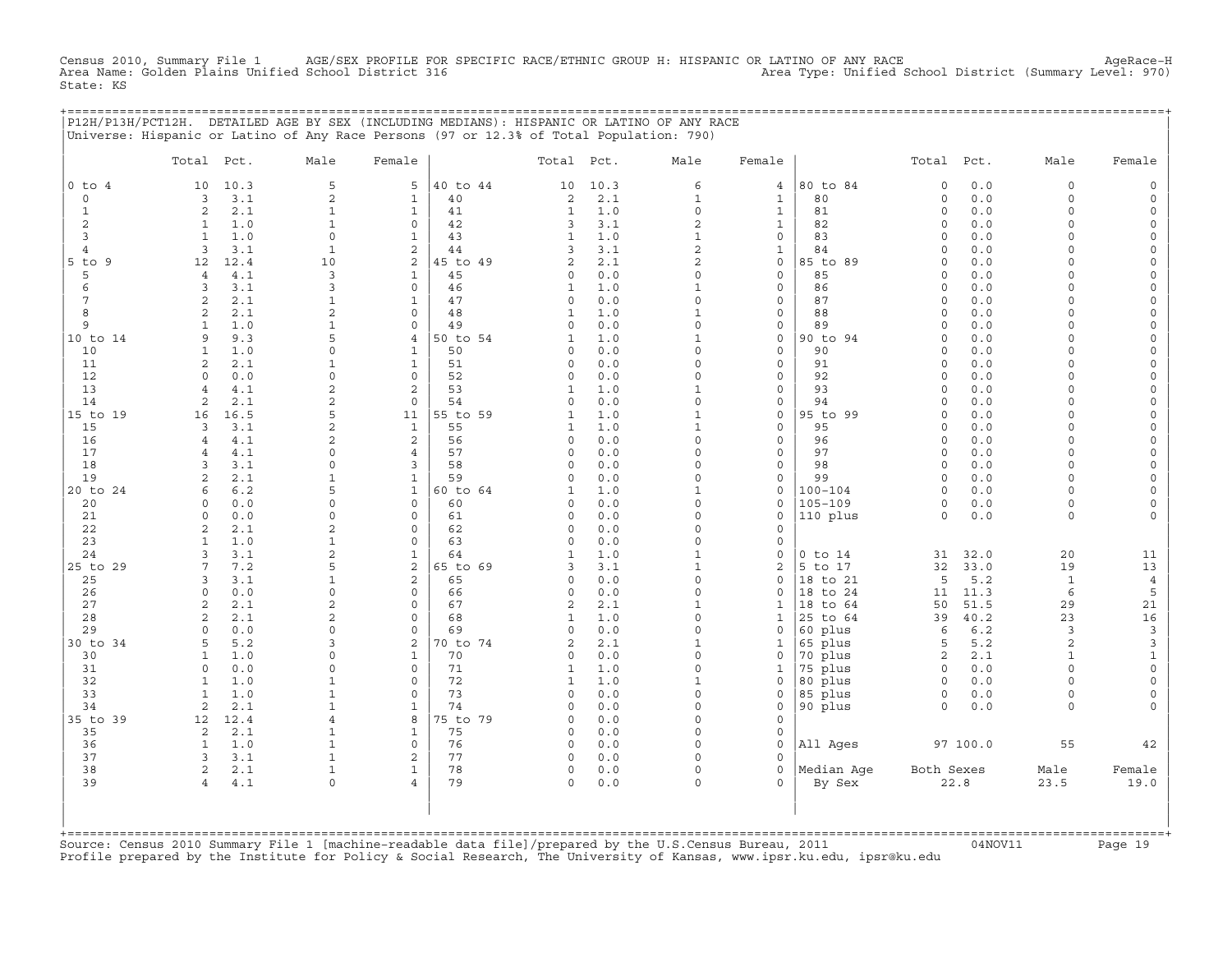Census 2010, Summary File 1 AGE/SEX PROFILE FOR SPECIFIC RACE/ETHNIC GROUP H: HISPANIC OR LATINO OF ANY RACE AgeRace−H Area Name: Golden Plains Unified School District 316 Area Type: Unified School District (Summary Level: 970) State: KS

+===================================================================================================================================================+

|                | P12H/P13H/PCT12H. DETAILED AGE BY SEX (INCLUDING MEDIANS): HISPANIC OR LATINO OF ANY RACE<br>Universe: Hispanic or Latino of Any Race Persons (97 or 12.3% of Total Population: 790) |                            |                             |          |                         |            |                         |                                    |                    |                     |             |                    |                                            |
|----------------|--------------------------------------------------------------------------------------------------------------------------------------------------------------------------------------|----------------------------|-----------------------------|----------|-------------------------|------------|-------------------------|------------------------------------|--------------------|---------------------|-------------|--------------------|--------------------------------------------|
|                | Pct.<br>Total                                                                                                                                                                        | Male                       | Female                      |          | Total                   | Pct.       | Male                    | Female                             |                    | Total               | Pct.        | Male               | Female                                     |
| $0$ to $4$     | 10<br>10.3                                                                                                                                                                           | 5                          | 5                           | 40 to 44 | 10                      | 10.3       | 6                       | $\overline{4}$                     | 80 to 84           | $\mathbf 0$         | 0.0         | $\circ$            | $\mathsf{O}$                               |
| 0              | 3.1<br>3                                                                                                                                                                             | 2                          | $\mathbf{1}$                | 40       | 2                       | 2.1        | $\mathbf{1}$            | $\mathbf{1}$                       | 80                 | $\mathsf{O}\xspace$ | 0.0         | $\circ$            | $\mathsf{O}\xspace$                        |
| $\mathbf{1}$   | 2<br>2.1                                                                                                                                                                             | $\mathbf{1}$               | $\mathbf{1}$                | 41       | $\mathbf{1}$            | 1.0        | $\mathsf{O}\xspace$     | $\mathbf{1}$                       | 81                 | $\mathsf{O}\xspace$ | 0.0         | $\circ$            | $\mathsf{O}\xspace$                        |
| 2              | $\mathbf{1}$<br>1.0                                                                                                                                                                  | $\mathbf{1}$               | $\mathbf 0$                 | 42       | 3                       | 3.1        | $\overline{2}$          | $\mathbf{1}$                       | 82                 | $\Omega$            | 0.0         | $\circ$            | 0                                          |
| 3              | 1.0<br>$\mathbf{1}$                                                                                                                                                                  | $\circ$                    | $\mathbf{1}$                | 43       | $\mathbf{1}$            | 1.0        | $\mathbf{1}$            | $\mathbf 0$                        | 83                 | $\circ$             | 0.0         | $\circ$            | 0                                          |
| $\overline{4}$ | 3<br>3.1                                                                                                                                                                             | $\mathbf{1}$               | $\mathbf{2}$                | 44       | 3                       | 3.1        | $\overline{c}$          | $1\,$                              | 84                 | $\mathbf 0$         | 0.0         | $\circ$            | $\mathsf{O}\xspace$                        |
| $5$ to $9$     | 12.4<br>12                                                                                                                                                                           | 10                         | 2                           | 45 to 49 | $\overline{a}$          | 2.1        | $\overline{2}$          | $\mathbf 0$                        | 85 to 89           | $\Omega$            | 0.0         | $\Omega$           | 0                                          |
| 5<br>6         | 4.1<br>$\overline{4}$<br>3<br>3.1                                                                                                                                                    | 3<br>3                     | $\mathbf{1}$<br>$\mathbf 0$ | 45       | $\circ$                 | 0.0<br>1.0 | $\mathbf 0$<br>$1\,$    | $\mathbf 0$<br>$\mathsf{O}\xspace$ | 85<br>86           | $\circ$             | 0.0<br>0.0  | 0<br>$\Omega$      | $\circ$                                    |
| 7              | 2<br>2.1                                                                                                                                                                             | 1                          | 1                           | 46<br>47 | $\mathbf{1}$<br>0       | 0.0        | $\Omega$                | $\mathbf 0$                        | 87                 | $\circ$<br>$\Omega$ | 0.0         | $\Omega$           | $\mathsf O$<br>0                           |
| 8              | 2<br>2.1                                                                                                                                                                             | $\overline{2}$             | $\mathbf 0$                 | 48       | $\mathbf{1}$            | 1.0        | $\mathbf{1}$            | $\mathsf{O}\xspace$                | 88                 | $\circ$             | 0.0         | $\circ$            | $\circ$                                    |
| 9              | 1.0<br>$\mathbf{1}$                                                                                                                                                                  | $\mathbf{1}$               | 0                           | 49       | 0                       | 0.0        | $\mathbf 0$             | $\mathsf{O}\xspace$                | 89                 | $\circ$             | 0.0         | $\circ$            | $\mathsf{O}\xspace$                        |
| 10 to 14       | 9.3<br>9                                                                                                                                                                             | 5                          | 4                           | 50 to 54 | 1                       | 1.0        | $\mathbf{1}$            | $\mathsf{O}\xspace$                | 90 to 94           | $\Omega$            | 0.0         | $\Omega$           | 0                                          |
| 10             | $\mathbf{1}$<br>1.0                                                                                                                                                                  | $\Omega$                   | $\mathbf{1}$                | 50       | 0                       | 0.0        | $\Omega$                | $\mathbf 0$                        | 90                 | $\Omega$            | 0.0         | $\Omega$           | $\mathsf{O}\xspace$                        |
| 11             | 2<br>2.1                                                                                                                                                                             | $\mathbf{1}$               | $\mathbf{1}$                | 51       | 0                       | 0.0        | $\Omega$                | $\mathsf{O}\xspace$                | 91                 | $\mathsf{O}\xspace$ | 0.0         | $\Omega$           | $\mathsf{O}\xspace$                        |
| 12             | $\Omega$<br>0.0                                                                                                                                                                      | $\Omega$                   | $\mathbf 0$                 | 52       | 0                       | 0.0        | $\Omega$                | $\mathbf 0$                        | 92                 | $\Omega$            | 0.0         | $\Omega$           | $\mathsf{O}\xspace$                        |
| 13             | $4.1$<br>$\overline{4}$                                                                                                                                                              | $\overline{c}$             | $\mathbf{2}$                | 53       | $\mathbf{1}$            | 1.0        | $\mathbf{1}$            | $\mathbf 0$                        | 93                 | $\Omega$            | 0.0         | $\Omega$           | $\mathsf{O}\xspace$                        |
| 14             | 2<br>2.1                                                                                                                                                                             | $\overline{2}$             | $\mathbf 0$                 | 54       | 0                       | 0.0        | $\Omega$                | $\mathbf 0$                        | 94                 | $\Omega$            | 0.0         | $\Omega$           | $\mathsf{O}\xspace$                        |
| 15 to 19       | 16.5<br>16                                                                                                                                                                           | 5                          | 11                          | 55 to 59 | $\mathbf{1}$            | 1.0        | $\mathbf{1}$            | $\mathbf 0$                        | 95 to 99           | $\circ$             | 0.0         | $\Omega$           | 0                                          |
| 15             | 3.1<br>3                                                                                                                                                                             | $\overline{c}$             | $\mathbf{1}$                | 55       | $\mathbf{1}$            | 1.0        | $\mathbf{1}$            | $\mathbf 0$                        | 95                 | $\Omega$            | 0.0         | $\Omega$           | $\mathsf{O}\xspace$                        |
| 16             | 4.1<br>$\overline{4}$                                                                                                                                                                | $\overline{2}$             | 2                           | 56       | 0                       | 0.0        | $\mathbf 0$<br>$\Omega$ | $\mathbf 0$                        | 96                 | $\Omega$            | 0.0         | $\Omega$           | $\mathsf{O}\xspace$                        |
| 17<br>18       | 4.1<br>$\overline{4}$<br>3.1<br>3                                                                                                                                                    | $\Omega$<br>$\Omega$       | $\overline{4}$<br>3         | 57<br>58 | 0<br>$\circ$            | 0.0<br>0.0 | $\Omega$                | $\mathbf 0$<br>$\mathbf 0$         | 97<br>98           | $\circ$<br>$\circ$  | 0.0<br>0.0  | $\circ$<br>$\circ$ | 0                                          |
| 19             | $\overline{a}$<br>2.1                                                                                                                                                                | $\mathbf{1}$               | $\mathbf{1}$                | 59       | 0                       | 0.0        | $\Omega$                | $\mathbf 0$                        | 99                 | $\circ$             | 0.0         | $\Omega$           | $\mathsf{O}\xspace$<br>$\mathsf{O}\xspace$ |
| 20 to 24       | 6.2<br>6                                                                                                                                                                             | 5                          | $\mathbf{1}$                | 60 to 64 | 1                       | 1.0        | $\mathbf{1}$            | $\mathbf 0$                        | $100 - 104$        | $\circ$             | 0.0         | 0                  | 0                                          |
| 20             | 0.0<br>$\Omega$                                                                                                                                                                      | $\Omega$                   | $\mathbf{0}$                | 60       | 0                       | 0.0        | $\mathbf 0$             | $\mathbf 0$                        | $105 - 109$        | $\mathsf{O}\xspace$ | 0.0         | $\circ$            | $\mathsf{O}\xspace$                        |
| 21             | 0.0<br>$\Omega$                                                                                                                                                                      | $\Omega$                   | $\mathbf 0$                 | 61       | 0                       | 0.0        | $\Omega$                | $\mathbf 0$                        | 110 plus           | $\circ$             | 0.0         | $\circ$            | 0                                          |
| 22             | 2<br>2.1                                                                                                                                                                             | 2                          | $\mathbf 0$                 | 62       | 0                       | 0.0        | $\Omega$                | $\mathbf 0$                        |                    |                     |             |                    |                                            |
| 23             | $\mathbf{1}$<br>1.0                                                                                                                                                                  | $\mathbf{1}$               | 0                           | 63       | 0                       | 0.0        | $\mathbf 0$             | $\mathsf{O}$                       |                    |                     |             |                    |                                            |
| 24             | 3.1<br>3                                                                                                                                                                             | $\overline{2}$             | $\mathbf{1}$                | 64       | 1                       | 1.0        | $\mathbf{1}$            | $\mathbf 0$                        | $0$ to $14$        | 31                  | 32.0        | 20                 | 11                                         |
| 25 to 29       | 7.2<br>7                                                                                                                                                                             | 5                          | $\overline{c}$              | 65 to 69 | 3                       | 3.1        | $1\,$                   | $\sqrt{2}$                         | 5 to 17            | 32                  | 33.0        | 19                 | $13$                                       |
| 25             | 3.1<br>3                                                                                                                                                                             | $\mathbf{1}$               | $\mathbf{2}$                | 65       | 0                       | 0.0        | $\mathbf 0$             | $\mathsf{O}\xspace$                | 18 to 21           | 5                   | 5.2         | $\mathbf{1}$       | $\overline{4}$                             |
| 26             | $\circ$<br>0.0                                                                                                                                                                       | $\Omega$                   | $\mathbf 0$                 | 66       | 0                       | 0.0        | $\circ$                 | $\Omega$                           | 18 to 24           | 11                  | 11.3        | 6                  | 5                                          |
| 27             | $\overline{c}$<br>2.1                                                                                                                                                                | $\overline{c}$             | $\mathbf 0$                 | 67       | $\overline{c}$          | 2.1        | $\mathbf{1}$            | $\mathbf{1}$                       | 18<br>to 64        | 50                  | 51.5        | 29                 | $2\sqrt{1}$                                |
| 28<br>29       | 2.1<br>2<br>0.0<br>$\Omega$                                                                                                                                                          | $\overline{2}$<br>$\Omega$ | 0<br>$\Omega$               | 68<br>69 | $\mathbf{1}$<br>$\circ$ | 1.0<br>0.0 | $\Omega$<br>$\Omega$    | $\mathbf{1}$<br>$\Omega$           | 25 to 64           | 39<br>6             | 40.2<br>6.2 | 23<br>3            | $16\,$<br>$\mathbf{3}$                     |
| 30 to 34       | 5.2<br>5                                                                                                                                                                             | 3                          | 2                           | 70 to 74 | $\overline{a}$          | 2.1        | $\mathbf{1}$            | $1\,$                              | 60 plus<br>65 plus | 5                   | 5.2         | $\overline{a}$     | $\mathbf{3}$                               |
| 30             | 1.0<br>$\mathbf{1}$                                                                                                                                                                  | 0                          | $\mathbf{1}$                | 70       | 0                       | 0.0        | $\Omega$                | $\mathbf 0$                        | 70 plus            | $\mathbf{2}$        | 2.1         | $\mathbf{1}$       | $\mathbf{1}$                               |
| 31             | $\Omega$<br>0.0                                                                                                                                                                      | $\Omega$                   | $\Omega$                    | 71       | $\mathbf{1}$            | 1.0        | $\Omega$                | $\mathbf{1}$                       | 75 plus            | $\Omega$            | 0.0         | $\Omega$           | $\circ$                                    |
| 32             | $\mathbf{1}$<br>1.0                                                                                                                                                                  | $\mathbf{1}$               | $\mathsf{O}\xspace$         | 72       | $\mathbf{1}$            | 1.0        | $\mathbf{1}$            | $\mathsf{O}\xspace$                | 80 plus            | $\mathsf{O}$        | 0.0         | $\circ$            | $\mathsf{O}\xspace$                        |
| 33             | 1.0<br>$\mathbf{1}$                                                                                                                                                                  | $\mathbf{1}$               | $\mathbf 0$                 | 73       | $\Omega$                | 0.0        | $\Omega$                | $\Omega$                           | 85 plus            | 0                   | 0.0         | $\circ$            | 0                                          |
| 34             | 2<br>2.1                                                                                                                                                                             | $\mathbf{1}$               | $\mathbf 1$                 | 74       | $\Omega$                | 0.0        | $\Omega$                | $\mathbf 0$                        | 90 plus            | $\circ$             | 0.0         | $\circ$            | $\mathbf{0}$                               |
| 35 to 39       | 12<br>12.4                                                                                                                                                                           | $\overline{4}$             | 8                           | 75 to 79 | 0                       | 0.0        | $\mathbf 0$             | $\mathbf 0$                        |                    |                     |             |                    |                                            |
| 35             | 2<br>2.1                                                                                                                                                                             | $\mathbf{1}$               | $\mathbf{1}$                | 75       | 0                       | 0.0        | $\Omega$                | $\mathbf 0$                        |                    |                     |             |                    |                                            |
| 36             | 1.0<br>$\mathbf{1}$                                                                                                                                                                  | $\mathbf{1}$               | $\mathbf 0$                 | 76       | 0                       | $0.0$      | $\Omega$                | $\mathbf 0$                        | All Ages           |                     | 97 100.0    | 55                 | 42                                         |
| 37             | 3<br>3.1                                                                                                                                                                             | $\mathbf{1}$               | $\mathbf{2}$                | 77       | 0                       | 0.0        | $\mathbf 0$             | $\Omega$                           |                    |                     |             |                    |                                            |
| 38             | 2<br>2.1                                                                                                                                                                             | $\mathbf{1}$               | $\mathbf{1}$                | 78       | 0                       | 0.0        | $\circ$                 | $\Omega$                           | Median Age         | Both Sexes          |             | Male               | Female                                     |
| 39             | 4.1<br>4                                                                                                                                                                             | $\Omega$                   | 4                           | 79       | $\circ$                 | 0.0        | $\Omega$                | $\Omega$                           | By Sex             |                     | 22.8        | 23.5               | 19.0                                       |
| +========      |                                                                                                                                                                                      |                            |                             |          |                         |            |                         |                                    |                    |                     |             |                    |                                            |

+===================================================================================================================================================+Source: Census 2010 Summary File 1 [machine−readable data file]/prepared by the U.S.Census Bureau, 2011 04NOV11 Page 19 Profile prepared by the Institute for Policy & Social Research, The University of Kansas, www.ipsr.ku.edu, ipsr@ku.edu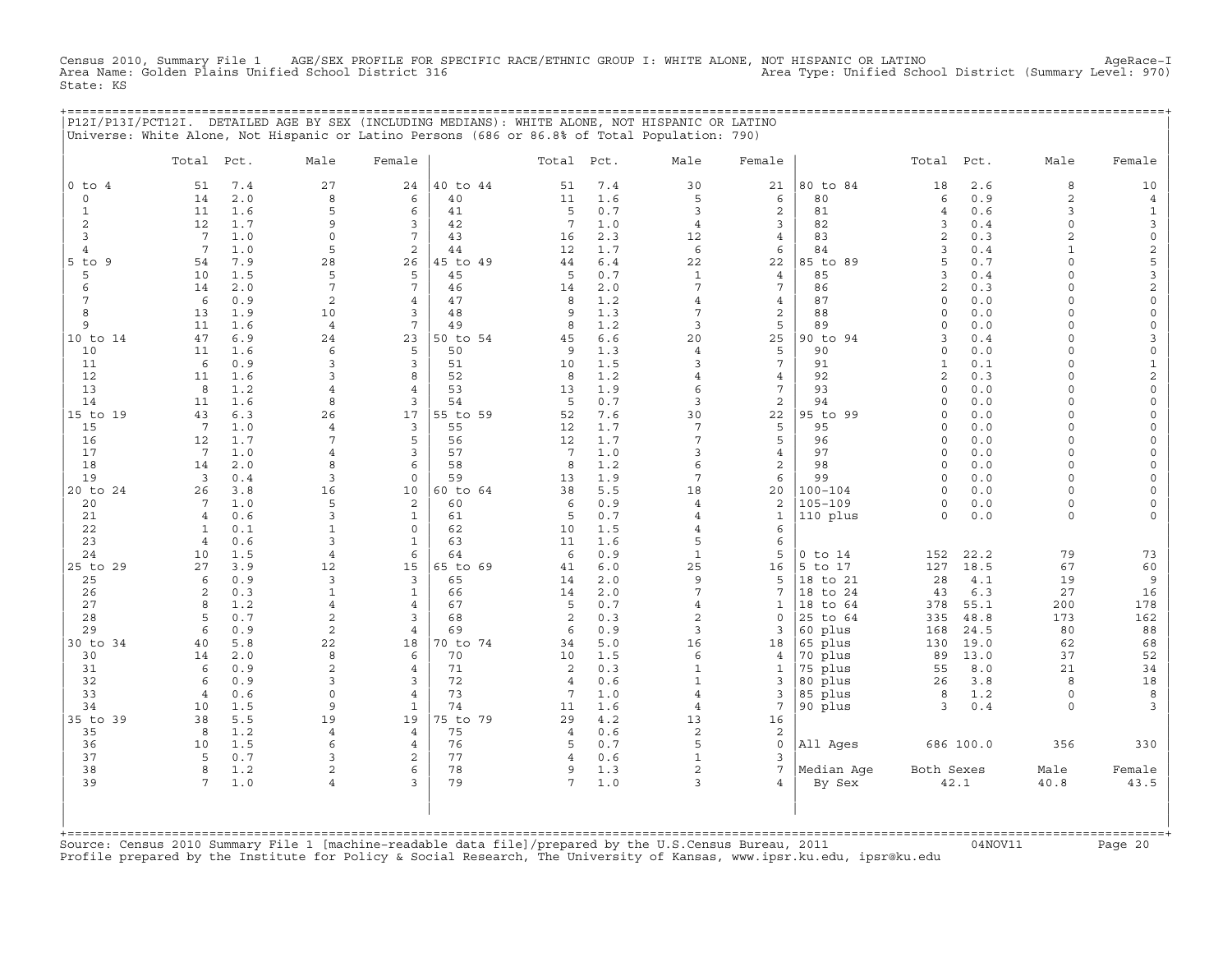Census 2010, Summary File 1 AGE/SEX PROFILE FOR SPECIFIC RACE/ETHNIC GROUP I: WHITE ALONE, NOT HISPANIC OR LATINO AgeRace−I Area Name: Golden Plains Unified School District 316 Area Type: Unified School District (Summary Level: 970) State: KS

|                |                       |            |                     |                      |                |                     |            | P12I/P13I/PCT12I. DETAILED AGE BY SEX (INCLUDING MEDIANS): WHITE ALONE, NOT HISPANIC OR LATINO |                     |                     |                      |             |                           |                          |
|----------------|-----------------------|------------|---------------------|----------------------|----------------|---------------------|------------|------------------------------------------------------------------------------------------------|---------------------|---------------------|----------------------|-------------|---------------------------|--------------------------|
|                |                       |            |                     |                      |                |                     |            | Universe: White Alone, Not Hispanic or Latino Persons (686 or 86.8% of Total Population: 790)  |                     |                     |                      |             |                           |                          |
|                | Total Pct.            |            | Male                | Female               |                | Total Pct.          |            | Male                                                                                           | Female              |                     | Total Pct.           |             | Male                      | Female                   |
| $0$ to $4$     | 51                    | 7.4        | 27                  | 24                   | 40 to 44       | 51                  | $7.4$      | 30                                                                                             | 21                  | 80 to 84            | 18                   | 2.6         | 8                         | 10                       |
| $\circ$        | 14                    | 2.0        | 8                   | 6                    | 40             | 11                  | 1.6        | 5                                                                                              | 6                   | 80                  | 6                    | 0.9         | $\mathbf{2}$              | 4                        |
| 1              | 11                    | 1.6        | 5                   | 6                    | 41             | 5                   | 0.7        | 3                                                                                              | $\overline{c}$      | 81                  | 4                    | 0.6         | 3                         | 1                        |
| 2<br>3         | 12<br>$7\overline{ }$ | 1.7<br>1.0 | 9<br>$\mathbf 0$    | 3<br>$7\overline{ }$ | 42<br>43       | 7                   | 1.0        | $\overline{4}$                                                                                 | 3<br>$\overline{4}$ | 82<br>83            | 3<br>$\mathbf{2}$    | 0.4<br>0.3  | $\circ$<br>$\overline{2}$ | 3<br>$\mathsf{O}\xspace$ |
| $\overline{4}$ | $7\overline{ }$       | 1.0        | 5                   | 2                    | 44             | 16<br>12            | 2.3<br>1.7 | 12<br>6                                                                                        | 6                   | 84                  | 3                    | 0.4         | $\mathbf{1}$              | $\mathbf 2$              |
| $5$ to<br>9    | 54                    | 7.9        | 28                  | 26                   | 45 to 49       | 44                  | $6.4$      | 22                                                                                             | 22                  | 85 to 89            | 5                    | 0.7         | $\Omega$                  | 5                        |
| 5              | 10                    | 1.5        | 5                   | 5                    | 45             | 5                   | 0.7        | 1                                                                                              | 4                   | 85                  | 3                    | 0.4         | $\cap$                    | 3                        |
| 6              | 14                    | 2.0        | $7\phantom{.0}$     | $7\overline{ }$      | 46             | 14                  | 2.0        | 7                                                                                              | 7                   | 86                  | 2                    | 0.3         | $\Omega$                  | $\sqrt{2}$               |
| 7              | 6                     | 0.9        | $\mathbf{2}$        | $\overline{4}$       | 47             | 8                   | 1.2        | $\overline{4}$                                                                                 | $\overline{4}$      | 87                  | $\circ$              | 0.0         | $\Omega$                  | $\mathsf{O}\xspace$      |
| 8              | 13                    | 1.9        | 10                  | 3                    | 48             | 9                   | 1.3        | 7                                                                                              | 2                   | 88                  | $\circ$              | 0.0         | $\Omega$                  | $\mathsf O$              |
| 9              | 11                    | 1.6        | 4                   | $7\overline{ }$      | 49             | 8                   | 1.2        | 3                                                                                              | 5                   | 89                  | $\Omega$             | 0.0         | $\Omega$<br>$\Omega$      | $\circ$                  |
| 10 to 14<br>10 | 47<br>11              | 6.9<br>1.6 | 24<br>6             | 23<br>5              | 50 to 54<br>50 | 45<br>9             | 6.6        | 20<br>$\overline{4}$                                                                           | 25<br>5             | 90 to 94<br>90      | 3<br>$\circ$         | 0.4<br>0.0  | $\Omega$                  | 3<br>$\mathsf O$         |
| 11             | 6                     | 0.9        | 3                   | 3                    | 51             | 10                  | 1.3<br>1.5 | 3                                                                                              | $7\phantom{.0}$     | 91                  | $\mathbf{1}$         | 0.1         | $\Omega$                  | $\mathbf 1$              |
| 12             | 11                    | 1.6        | 3                   | 8                    | 52             | 8                   | 1.2        | $\overline{4}$                                                                                 | $\overline{4}$      | 92                  | 2                    | 0.3         | $\Omega$                  | $\sqrt{2}$               |
| 13             | 8                     | 1.2        | 4                   | 4                    | 53             | 13                  | 1.9        | 6                                                                                              | $7\overline{ }$     | 93                  | $\circ$              | 0.0         | $\Omega$                  | $\circ$                  |
| 14             | 11                    | 1.6        | 8                   | 3                    | 54             | 5                   | 0.7        | 3                                                                                              | 2                   | 94                  | $\Omega$             | 0.0         | $\Omega$                  | $\Omega$                 |
| 15 to 19       | 43                    | 6.3        | 26                  | 17                   | 55 to 59       | 52                  | 7.6        | 30                                                                                             | 22                  | 95 to 99            | $\Omega$             | 0.0         | $\Omega$                  | $\Omega$                 |
| 15             | $7\overline{ }$       | 1.0        | 4                   | 3                    | 55             | 12                  | 1.7        | $7\overline{ }$                                                                                | 5                   | 95                  | $\circ$              | 0.0         | $\Omega$                  | $\Omega$                 |
| 16             | 12                    | 1.7        | 7                   | 5                    | 56             | 12                  | 1.7        | 7                                                                                              | 5                   | 96                  | $\circ$              | 0.0         | $\Omega$                  | $\Omega$                 |
| 17<br>18       | $7\phantom{.0}$       | 1.0<br>2.0 | $\overline{4}$<br>8 | 3<br>6               | 57<br>58       | 7<br>8              | 1.0        | 3<br>6                                                                                         | 4<br>$\mathbf{2}$   | 97<br>98            | $\Omega$<br>$\Omega$ | 0.0<br>0.0  | $\Omega$<br>$\Omega$      |                          |
| 19             | 14<br>3               | 0.4        | 3                   | $\mathbf 0$          | 59             | 13                  | 1.2<br>1.9 | 7                                                                                              | 6                   | 99                  | $\Omega$             | 0.0         | $\cap$                    | $\Omega$                 |
| 20 to 24       | 26                    | 3.8        | 16                  | 10                   | 60 to 64       | 38                  | 5.5        | 18                                                                                             | 20                  | $100 - 104$         | $\circ$              | 0.0         | $\Omega$                  | $\Omega$                 |
| 20             | $7\phantom{.0}$       | 1.0        | 5                   | 2                    | 60             | 6                   | 0.9        | $\overline{4}$                                                                                 | 2                   | $105 - 109$         | $\circ$              | 0.0         | $\circ$                   |                          |
| 21             | $\overline{4}$        | 0.6        | 3                   | $\mathbf{1}$         | 61             | 5                   | 0.7        | $\overline{4}$                                                                                 | $\mathbf{1}$        | 110 plus            | $\Omega$             | $0.0$       | $\Omega$                  |                          |
| 22             | $\mathbf{1}$          | 0.1        | 1                   | $\mathbf 0$          | 62             | 10                  | 1.5        | 4                                                                                              | 6                   |                     |                      |             |                           |                          |
| 23             | $\overline{4}$        | 0.6        | 3                   | $\mathbf{1}$         | 63             | 11                  | 1.6        | 5                                                                                              | 6                   |                     |                      |             |                           |                          |
| 24             | 10                    | 1.5        | $\overline{4}$      | 6                    | 64             | 6                   | 0.9        | $\mathbf{1}$                                                                                   | 5                   | $0$ to $14$         | 152                  | 22.2        | 79                        | 73                       |
| 25 to 29<br>25 | 27<br>6               | 3.9<br>0.9 | 12<br>3             | 15<br>3              | 65 to 69<br>65 | 41<br>14            | 6.0<br>2.0 | 25<br>9                                                                                        | 16<br>5             | 5 to 17<br>18 to 21 | 127<br>28            | 18.5<br>4.1 | 67<br>19                  | 60<br>9                  |
| 26             | 2                     | 0.3        | $\mathbf{1}$        | $\mathbf{1}$         | 66             | 14                  | 2.0        | 7                                                                                              | 7                   | 18 to 24            | 43                   | 6.3         | 27                        | 16                       |
| 27             | 8                     | 1.2        | 4                   | $\overline{4}$       | 67             | 5                   | 0.7        | 4                                                                                              | 1                   | 18 to 64            | 378                  | 55.1        | 200                       | 178                      |
| 28             | 5                     | 0.7        | $\overline{c}$      | 3                    | 68             | 2                   | 0.3        | $\overline{a}$                                                                                 | $\mathbf{0}$        | 25 to 64            | 335                  | 48.8        | 173                       | 162                      |
| 29             | 6                     | 0.9        | $\overline{c}$      | $\overline{4}$       | 69             | 6                   | 0.9        | 3                                                                                              | 3                   | 60 plus             | 168                  | 24.5        | 80                        | 88                       |
| 30 to 34       | 40                    | 5.8        | 22                  | 18                   | 70 to 74       | 34                  | 5.0        | 16                                                                                             | 18                  | 65 plus             | 130                  | 19.0        | 62                        | 68                       |
| 30             | 14                    | 2.0        | 8                   | 6                    | 70             | 10                  | 1.5        | 6                                                                                              | 4                   | 70 plus             | 89                   | 13.0        | 37                        | 52                       |
| 31             | 6                     | 0.9        | 2                   | 4                    | 71             | 2                   | 0.3        | 1                                                                                              | 1                   | 75 plus             | 55                   | 8.0         | 21                        | 34                       |
| 32<br>33       | 6<br>$\overline{4}$   | 0.9<br>0.6 | 3<br>$\mathbf 0$    | 3<br>$\overline{4}$  | 72<br>73       | $\overline{4}$<br>7 | 0.6<br>1.0 | $\mathbf{1}$<br>$\overline{4}$                                                                 | 3<br>3              | 80 plus<br>85 plus  | 26<br>8              | 3.8<br>1.2  | 8<br>$\circ$              | 18<br>8                  |
| 34             | 10                    | 1.5        | 9                   | $\mathbf{1}$         | 74             | 11                  | 1.6        | $\overline{4}$                                                                                 | 7                   | 90 plus             | 3                    | $0.4$       | $\circ$                   | 3                        |
| 35 to 39       | 38                    | 5.5        | 19                  | 19                   | 75 to 79       | 29                  | 4.2        | 13                                                                                             | 16                  |                     |                      |             |                           |                          |
| 35             | 8                     | 1.2        | 4                   | 4                    | 75             | 4                   | 0.6        | 2                                                                                              | 2                   |                     |                      |             |                           |                          |
| 36             | 10                    | 1.5        | 6                   | $\overline{4}$       | 76             | 5                   | 0.7        | 5                                                                                              | 0                   | All Ages            |                      | 686 100.0   | 356                       | 330                      |
| 37             | 5                     | 0.7        | 3                   | 2                    | 77             | 4                   | 0.6        | $\mathbf{1}$                                                                                   | 3                   |                     |                      |             |                           |                          |
| 38             | 8                     | 1.2        | 2                   | 6                    | 78             | 9                   | 1.3        | 2                                                                                              | $7\phantom{.0}$     | Median Aqe          | Both Sexes           |             | Male                      | Female                   |
| 39             | 7                     | 1.0        | 4                   | 3                    | 79             | $7\overline{ }$     | 1.0        | 3                                                                                              | 4                   | By Sex              |                      | 42.1        | 40.8                      | 43.5                     |
|                |                       |            |                     |                      |                |                     |            |                                                                                                |                     |                     |                      |             |                           |                          |
|                |                       |            |                     |                      |                |                     |            |                                                                                                |                     |                     |                      |             |                           |                          |
|                |                       |            |                     |                      |                |                     |            |                                                                                                |                     |                     |                      |             |                           |                          |

+===================================================================================================================================================+Source: Census 2010 Summary File 1 [machine−readable data file]/prepared by the U.S.Census Bureau, 2011 04NOV11 Page 20 Profile prepared by the Institute for Policy & Social Research, The University of Kansas, www.ipsr.ku.edu, ipsr@ku.edu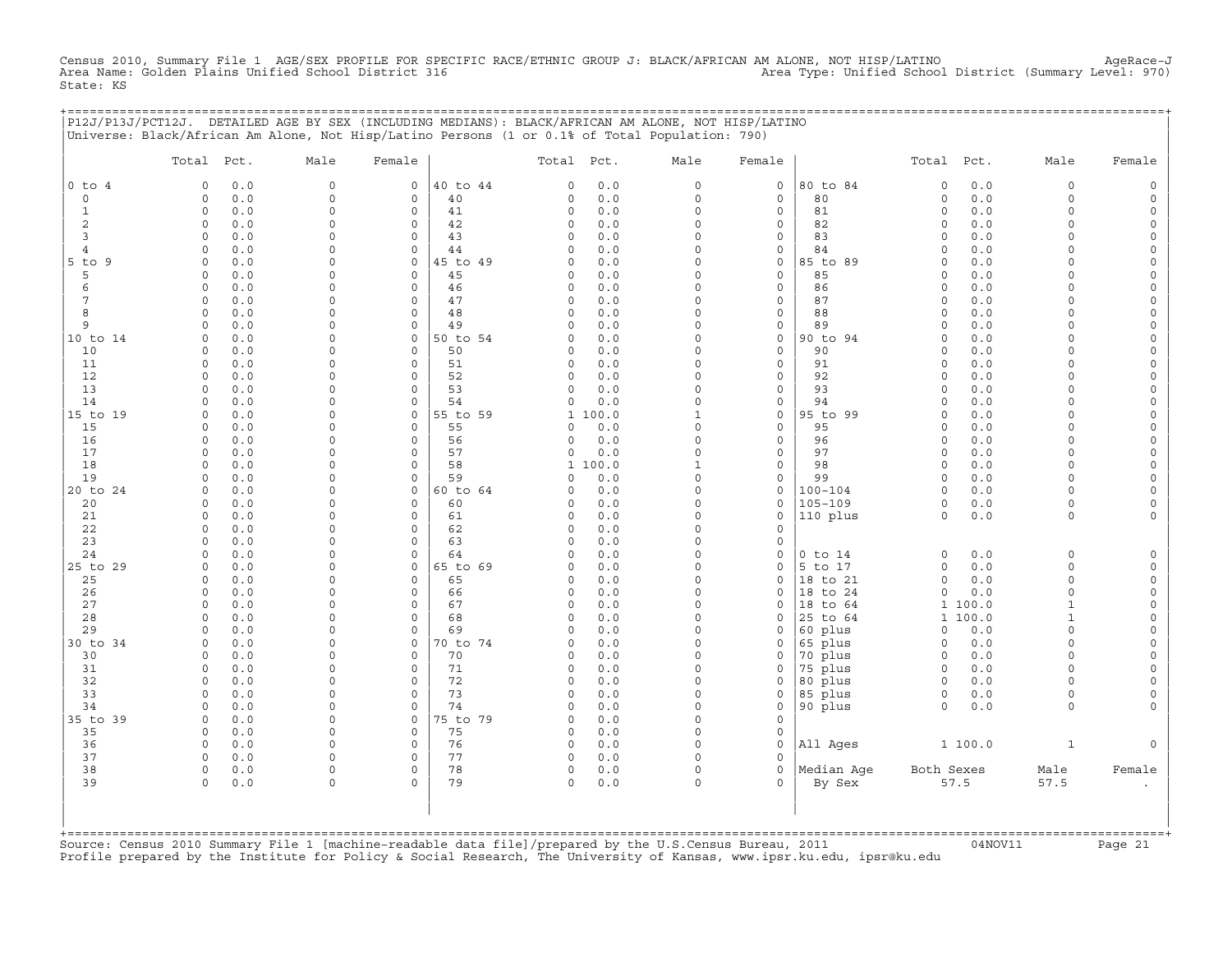Census 2010, Summary File 1 AGE/SEX PROFILE FOR SPECIFIC RACE/ETHNIC GROUP J: BLACK/AFRICAN AM ALONE, NOT HISP/LATINO<br>Area Name: Golden Plains Unified School District 316 Area Type: Unifie State: KS

|                | P12J/P13J/PCT12J. DETAILED AGE BY SEX (INCLUDING MEDIANS): BLACK/AFRICAN AM ALONE, NOT HISP/LATINO<br>Universe: Black/African Am Alone, Not Hisp/Latino Persons (1 or 0.1% of Total Population: 790) |                            |                                    |                |                      |            |                      |                     | ===================================== |                      |                    |                              |                      |
|----------------|------------------------------------------------------------------------------------------------------------------------------------------------------------------------------------------------------|----------------------------|------------------------------------|----------------|----------------------|------------|----------------------|---------------------|---------------------------------------|----------------------|--------------------|------------------------------|----------------------|
|                | Total Pct.                                                                                                                                                                                           | Male                       | Female                             |                | Total Pct.           |            | Male                 | Female              |                                       | Total Pct.           |                    | Male                         | Female               |
| $0$ to $4$     | $\mathbf 0$<br>0.0                                                                                                                                                                                   | $\mathsf{O}$               | $\mathsf{O}$                       | 40 to 44       | 0                    | 0.0        | 0                    | $\circ$             | 80 to 84                              | $\mathsf O$          | 0.0                | $\mathsf O$                  |                      |
| $\mathbf 0$    | 0.0<br>$\Omega$                                                                                                                                                                                      | $\mathbf 0$                | 0                                  | 40             | $\Omega$             | 0.0        | $\circ$              | 0                   | 80                                    | $\circ$              | 0.0                | $\mathbf 0$                  |                      |
| 1              | $\Omega$<br>0.0                                                                                                                                                                                      | $\Omega$                   | $\mathbf 0$                        | 41             | 0                    | 0.0        | $\Omega$             | 0                   | 81                                    | $\mathbf 0$          | 0.0                | $\Omega$                     |                      |
| 2<br>3         | $\circ$<br>0.0<br>$\mathbf 0$<br>0.0                                                                                                                                                                 | $\mathbf 0$<br>$\mathbf 0$ | $\mathsf{O}\xspace$<br>$\mathbf 0$ | 42<br>43       | 0<br>$\Omega$        | 0.0<br>0.0 | 0<br>$\Omega$        | $\circ$<br>0        | 82<br>83                              | 0<br>$\Omega$        | 0.0<br>0.0         | $\Omega$<br>$\cap$           | $\Omega$<br>$\Omega$ |
| $\overline{4}$ | 0.0<br>$\mathbf 0$                                                                                                                                                                                   | $\Omega$                   | $\circ$                            | 44             | $\Omega$             | 0.0        | $\Omega$             | 0                   | 84                                    | $\Omega$             | 0.0                | $\Omega$                     |                      |
| 5 to 9         | $\Omega$<br>0.0                                                                                                                                                                                      | $\Omega$                   | $\mathbf{0}$                       | 45 to 49       | 0                    | 0.0        | $\circ$              | 0                   | 85 to 89                              | $\mathbf 0$          | 0.0                | $\cap$                       | $\Omega$             |
| 5              | 0.0<br>$\Omega$                                                                                                                                                                                      | $\Omega$                   | $\mathbf 0$                        | 45             | 0                    | 0.0        | $\circ$              | $\mathbf{0}$        | 85                                    | $\mathbf 0$          | 0.0                | $\cap$                       | $\Omega$             |
| 6              | 0.0<br>$\circ$                                                                                                                                                                                       | $\mathbf 0$                | $\circ$                            | 46             | 0                    | 0.0        | $\Omega$             | 0                   | 86                                    | $\Omega$             | 0.0                | $\Omega$                     | $\Omega$             |
| 7              | $\mathbf 0$<br>0.0                                                                                                                                                                                   | $\mathbf 0$                | $\circ$                            | 47             | 0                    | 0.0        | $\Omega$             | 0                   | 87                                    | $\Omega$             | 0.0                | $\Omega$                     |                      |
| 8              | $\mathbf 0$<br>0.0                                                                                                                                                                                   | $\Omega$                   | $\mathbf 0$                        | 48             | $\mathbf 0$          | 0.0        | $\Omega$             | 0                   | 88                                    | $\mathbf 0$          | 0.0                | $\Omega$                     | $\Omega$             |
| 9              | 0.0<br>$\Omega$                                                                                                                                                                                      | $\Omega$                   | $\mathbf 0$                        | 49             | 0                    | 0.0        | $\Omega$             | 0                   | 89                                    | $\Omega$             | 0.0                | $\cap$                       | $\Omega$             |
| 10 to 14       | 0.0<br>$\Omega$<br>0.0<br>$\mathbf 0$                                                                                                                                                                | $\Omega$<br>$\Omega$       | $\mathbf 0$<br>$\mathbf 0$         | 50 to 54<br>50 | $\Omega$             | 0.0<br>0.0 | $\Omega$<br>$\Omega$ | 0<br>$\mathbf 0$    | 90 to 94<br>90                        | $\Omega$<br>$\Omega$ | 0.0<br>0.0         | $\cap$<br>$\Omega$           |                      |
| 10<br>11       | $\mathbf 0$<br>0.0                                                                                                                                                                                   | $\Omega$                   | $\mathsf O$                        | 51             | 0<br>0               | 0.0        | $\Omega$             | 0                   | 91                                    | $\mathbf 0$          | 0.0                | $\Omega$                     | $\Omega$             |
| 12             | $\Omega$<br>0.0                                                                                                                                                                                      | $\Omega$                   | $\circ$                            | 52             | $\Omega$             | 0.0        | $\Omega$             | 0                   | 92                                    | $\circ$              | 0.0                | $\Omega$                     | $\Omega$             |
| 13             | $\mathbf 0$<br>0.0                                                                                                                                                                                   | $\Omega$                   | $\mathbf 0$                        | 53             | $\Omega$             | $0.0$      | $\circ$              | $\mathbf{0}$        | 93                                    | $\mathbf 0$          | 0.0                | $\Omega$                     | $\Omega$             |
| 14             | 0.0<br>$\Omega$                                                                                                                                                                                      | $\Omega$                   | 0                                  | 54             | 0                    | 0.0        | $\circ$              | 0                   | 94                                    | $\Omega$             | 0.0                | $\Omega$                     | $\Omega$             |
| 15 to 19       | 0.0<br>$\Omega$                                                                                                                                                                                      | $\Omega$                   | 0                                  | 55 to 59       |                      | 1 100.0    | 1                    | 0                   | 95 to 99                              | $\Omega$             | 0.0                | $\Omega$                     | $\Omega$             |
| 15             | $\mathbf 0$<br>0.0                                                                                                                                                                                   | $\mathbf 0$                | $\mathsf{O}\xspace$                | 55             | $\Omega$             | 0.0        | 0                    | $\circ$             | 95                                    | $\mathbf 0$          | 0.0                | $\Omega$                     |                      |
| 16             | $\mathbf 0$<br>0.0                                                                                                                                                                                   | $\mathbf 0$                | 0                                  | 56             | 0                    | 0.0        | 0                    | 0                   | 96                                    | $\circ$              | 0.0                | $\Omega$                     | $\Omega$             |
| 17             | 0.0<br>$\Omega$                                                                                                                                                                                      | $\Omega$                   | 0                                  | 57             | $\Omega$             | 0.0        | $\Omega$             | 0                   | 97                                    | $\Omega$             | 0.0                | $\Omega$                     |                      |
| 18             | 0.0<br>$\Omega$                                                                                                                                                                                      | $\Omega$                   | $\mathbf 0$                        | 58             | $\mathbf{1}$         | 100.0      | 1                    | $\mathbf{0}$        | 98                                    | $\Omega$             | 0.0                | $\Omega$                     |                      |
| 19<br>20 to 24 | 0.0<br>$\Omega$<br>0.0<br>$\mathbf 0$                                                                                                                                                                | $\Omega$<br>$\mathbf 0$    | $\mathbf 0$<br>$\mathsf{O}$        | 59<br>60 to 64 | $\Omega$<br>$\Omega$ | 0.0<br>0.0 | $\circ$<br>0         | $\mathbf{0}$<br>0   | 99<br>$100 - 104$                     | $\circ$<br>$\Omega$  | 0.0<br>0.0         | $\Omega$<br>$\Omega$         | $\Omega$<br>$\Omega$ |
| 20             | 0.0<br>$\mathbf 0$                                                                                                                                                                                   | $\mathbf 0$                | $\mathsf{O}\xspace$                | 60             | $\Omega$             | 0.0        | $\Omega$             | 0                   | $105 - 109$                           | $\circ$              | 0.0                | $\mathbf 0$                  |                      |
| 21             | $\Omega$<br>0.0                                                                                                                                                                                      | $\Omega$                   | 0                                  | 61             | 0                    | 0.0        | $\Omega$             | 0                   | 110 plus                              | $\mathsf O$          | $0.0$              | $\mathsf{O}$                 |                      |
| 22             | 0.0<br>$\Omega$                                                                                                                                                                                      | $\Omega$                   | 0                                  | 62             | 0                    | 0.0        | 0                    | 0                   |                                       |                      |                    |                              |                      |
| 23             | 0.0<br>$\Omega$                                                                                                                                                                                      | $\Omega$                   | $\mathbf 0$                        | 63             | $\Omega$             | 0.0        | 0                    | 0                   |                                       |                      |                    |                              |                      |
| 24             | $\mathbf 0$<br>0.0                                                                                                                                                                                   | $\mathbf 0$                | $\mathsf{O}\xspace$                | 64             | $\mathbf 0$          | 0.0        | 0                    | $\mathsf{O}\xspace$ | $0$ to $14$                           | $\circ$              | 0.0                | $\mathbf 0$                  |                      |
| 25 to 29       | 0.0<br>$\mathbf 0$                                                                                                                                                                                   | $\mathbf 0$                | 0                                  | 65 to 69       | $\Omega$             | 0.0        | $\Omega$             | 0                   | 5 to 17                               | 0                    | 0.0                | $\mathbf 0$                  |                      |
| 25             | $\Omega$<br>0.0                                                                                                                                                                                      | $\Omega$                   | $\mathbf 0$                        | 65             | $\Omega$             | 0.0        | $\Omega$             | $\mathbf 0$         | 18 to 21                              | $\circ$              | $0.0$              | $\Omega$                     | $\Omega$             |
| 26             | $\mathbf 0$<br>0.0                                                                                                                                                                                   | $\Omega$                   | 0                                  | 66             | 0                    | 0.0        | 0                    | 0                   | 18 to 24                              | $\mathbf 0$          | 0.0                | $\Omega$                     | $\Omega$             |
| 27<br>28       | 0.0<br>$\Omega$<br>0.0<br>$\Omega$                                                                                                                                                                   | $\Omega$<br>$\Omega$       | $\mathbf 0$<br>$\mathbf 0$         | 67<br>68       | 0<br>$\Omega$        | 0.0<br>0.0 | $\Omega$<br>$\Omega$ | 0<br>$\mathbf 0$    | 18 to 64<br>25 to 64                  |                      | 1 100.0<br>1 100.0 | $\mathbf{1}$<br>$\mathbf{1}$ |                      |
| 29             | $\Omega$<br>0.0                                                                                                                                                                                      | $\mathbf 0$                | $\mathsf O$                        | 69             | 0                    | 0.0        | $\circ$              | 0                   | 60 plus                               | $\circ$              | 0.0                | $\Omega$                     | $\Omega$             |
| 30 to 34       | $\mathbf 0$<br>0.0                                                                                                                                                                                   | $\Omega$                   | 0                                  | 70 to 74       | 0                    | 0.0        | $\circ$              | 0                   | 65 plus                               | $\circ$              | 0.0                | $\Omega$                     | $\Omega$             |
| 30             | 0.0<br>$\circ$                                                                                                                                                                                       | $\Omega$                   | $\mathbf 0$                        | 70             | 0                    | 0.0        | $\circ$              | 0                   | 70 plus                               | $\circ$              | 0.0                | $\Omega$                     |                      |
| 31             | 0.0<br>$\mathbf 0$                                                                                                                                                                                   | $\Omega$                   | $\mathbf 0$                        | 71             | 0                    | 0.0        | $\Omega$             | 0                   | 75 plus                               | $\mathbf 0$          | 0.0                | $\Omega$                     |                      |
| 32             | $\Omega$<br>0.0                                                                                                                                                                                      | $\Omega$                   | $\mathbf 0$                        | 72             | 0                    | 0.0        | $\Omega$             | 0                   | 80 plus                               | $\circ$              | 0.0                | $\Omega$                     | $\Omega$             |
| 33             | $\mathbf 0$<br>0.0                                                                                                                                                                                   | $\Omega$                   | 0                                  | 73             | $\circ$              | 0.0        | $\Omega$             | 0                   | 85 plus                               | $\circ$              | 0.0                | $\mathbf 0$                  |                      |
| 34             | 0.0<br>$\Omega$                                                                                                                                                                                      | $\mathbf 0$                | $\circ$                            | 74             | $\Omega$             | 0.0        | $\Omega$             | 0                   | 90 plus                               | $\circ$              | 0.0                | $\Omega$                     |                      |
| 35 to 39       | $\mathbf 0$<br>0.0                                                                                                                                                                                   | $\mathbf 0$                | $\circ$                            | 75 to 79       | 0                    | 0.0        | $\Omega$             | $\mathbf 0$         |                                       |                      |                    |                              |                      |
| 35             | $\mathbf 0$<br>0.0                                                                                                                                                                                   | $\Omega$                   | 0                                  | 75             | 0                    | 0.0        | $\Omega$             | 0                   |                                       |                      |                    |                              |                      |
| 36<br>37       | 0.0<br>$\Omega$<br>$\circ$<br>0.0                                                                                                                                                                    | $\Omega$<br>$\mathsf{O}$   | $\mathbf 0$<br>$\mathbf 0$         | 76<br>77       | $\circ$<br>$\circ$   | 0.0<br>0.0 | $\circ$<br>0         | $\mathbf 0$<br>0    | All Ages                              |                      | 1 100.0            | $\mathbf{1}$                 |                      |
| 38             | $\circ$<br>0.0                                                                                                                                                                                       | $\mathsf{O}$               | $\circ$                            | 78             | $\circ$              | 0.0        | 0                    | 0                   | Median Aqe                            | Both Sexes           |                    | Male                         | Female               |
| 39             | 0.0<br>$\Omega$                                                                                                                                                                                      | $\Omega$                   | $\Omega$                           | 79             | $\Omega$             | 0.0        | $\Omega$             | $\Omega$            | By Sex                                |                      | 57.5               | 57.5                         |                      |
|                |                                                                                                                                                                                                      |                            |                                    |                |                      |            |                      |                     |                                       |                      |                    |                              |                      |

+===================================================================================================================================================+Source: Census 2010 Summary File 1 [machine−readable data file]/prepared by the U.S.Census Bureau, 2011 04NOV11 Page 21 Profile prepared by the Institute for Policy & Social Research, The University of Kansas, www.ipsr.ku.edu, ipsr@ku.edu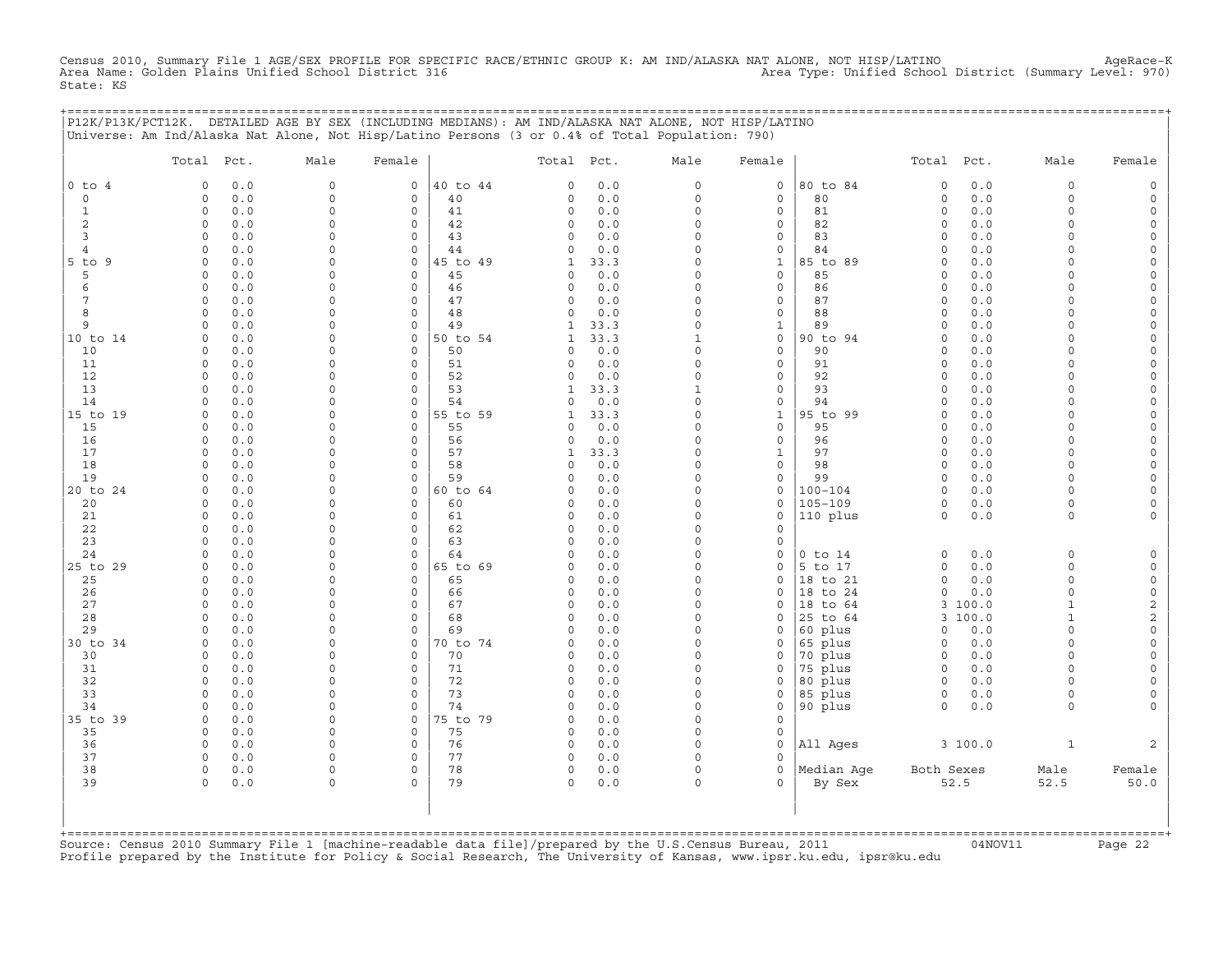Census 2010, Summary File 1 AGE/SEX PROFILE FOR SPECIFIC RACE/ETHNIC GROUP K: AM IND/ALASKA NAT ALONE, NOT HISP/LATINO AgeRace-K<br>Area Name: Golden Plains Unified School District 316 State: KS

+===================================================================================================================================================+

|                | Total Pct.                 | Male                    | Female                         |                | Total Pct.               |             | Male                     | Female                              |                    | Total Pct.             |            | Male                   | Female                   |
|----------------|----------------------------|-------------------------|--------------------------------|----------------|--------------------------|-------------|--------------------------|-------------------------------------|--------------------|------------------------|------------|------------------------|--------------------------|
| $0$ to $4$     | 0.0<br>$\Omega$            | $\Omega$                | 0                              | 40 to 44       | $\Omega$                 | 0.0         | $\circ$                  | 0                                   | 80 to 84           | $\circ$                | 0.0        | 0                      | $\mathsf O$              |
| $\circ$        | $0.0$<br>$\circ$           | $\Omega$                | $\circ$                        | 40             | 0                        | 0.0         | $\circ$                  | $\mathsf{O}\xspace$                 | 80                 | $\circ$                | 0.0        | $\Omega$               | $\mathsf O$              |
| $\mathbf{1}$   | $\circ$<br>0.0             | $\Omega$                | $\mathbf 0$                    | 41             | $\circ$                  | 0.0         | $\circ$                  | 0                                   | 81                 | $\circ$                | 0.0        | $\Omega$               | $\mathsf O$              |
| $\overline{c}$ | 0.0<br>0                   | $\Omega$                | $\circ$                        | 42             | 0                        | 0.0         | $\Omega$                 | 0                                   | 82                 | $\mathbf 0$            | 0.0        | $\Omega$               | 0                        |
| 3              | $\circ$<br>0.0             | $\Omega$                | $\circ$                        | 43             | $\Omega$                 | 0.0         | $\Omega$                 | $\mathsf{O}\xspace$                 | 83                 | $\circ$                | 0.0        | $\Omega$               | $\mathsf O$              |
| 4<br>9         | $\circ$<br>0.0<br>0.0<br>0 | $\Omega$<br>$\Omega$    | $\circ$<br>0                   | 44<br>45 to 49 | $\Omega$                 | 0.0<br>33.3 | $\Omega$<br>$\Omega$     | 0                                   | 84<br>85 to 89     | $\circ$<br>$\mathbf 0$ | 0.0<br>0.0 | $\Omega$<br>$\Omega$   | 0<br>0                   |
| $5$ to<br>5    | 0.0<br>0                   | $\Omega$                | $\mathsf{O}\xspace$            | 45             | 1<br>0                   | $0.0$       | $\Omega$                 | $\mathbf{1}$<br>$\mathsf{O}\xspace$ | 85                 | 0                      | 0.0        | $\Omega$               | $\mathsf{O}\xspace$      |
| 6              | 0.0<br>$\Omega$            | $\Omega$                | $\circ$                        | 46             | 0                        | 0.0         | $\Omega$                 | $\mathsf{O}\xspace$                 | 86                 | $\mathbf 0$            | 0.0        | $\Omega$               | 0                        |
| $\overline{7}$ | 0.0<br>$\circ$             | $\Omega$                | $\circ$                        | 47             | 0                        | 0.0         | $\Omega$                 | $\mathsf{O}\xspace$                 | 87                 | $\circ$                | 0.0        | $\Omega$               | $\mathsf{O}\xspace$      |
| 8              | $0.0$<br>$\Omega$          | $\Omega$                | 0                              | 48             | $\Omega$                 | 0.0         | $\Omega$                 | $\mathsf{O}\xspace$                 | 88                 | $\Omega$               | 0.0        | $\Omega$               | $\mathsf{O}\xspace$      |
| 9              | 0.0<br>$\Omega$            | $\Omega$                | $\circ$                        | 49             | $\mathbf{1}$             | 33.3        | $\Omega$                 | $\mathbf{1}$                        | 89                 | $\circ$                | 0.0        | $\Omega$               | 0                        |
| 10 to 14       | 0.0<br>0                   | $\Omega$                | $\mathsf O$                    | 50 to 54       | $\mathbf{1}$             | 33.3        | $\mathbf{1}$             | $\mathsf{O}\xspace$                 | 90 to 94           | $\circ$                | 0.0        | $\Omega$               | $\mathsf{O}\xspace$      |
| 10             | 0.0<br>0                   | $\Omega$                | $\mathbf 0$                    | 50             | $\Omega$                 | 0.0         | $\Omega$                 | $\mathbf 0$                         | 90                 | $\circ$                | 0.0        | $\Omega$               | $\mathsf{O}\xspace$      |
| 11             | 0.0<br>$\Omega$            | $\Omega$                | $\circ$                        | 51             | $\Omega$                 | 0.0         | $\Omega$                 | 0                                   | 91                 | $\circ$                | 0.0        | $\Omega$               | 0                        |
| 12             | $\circ$<br>0.0             | $\Omega$                | $\circ$                        | 52             | 0                        | 0.0         | $\Omega$                 | $\mathsf{O}\xspace$                 | 92                 | $\circ$                | 0.0        | $\Omega$               | $\mathsf{O}\xspace$      |
| 13             | 0.0<br>0                   | $\Omega$<br>$\Omega$    | $\Omega$                       | 53             | $\mathbf{1}$<br>$\Omega$ | 33.3        | $\mathbf{1}$<br>$\Omega$ | 0                                   | 93                 | $\Omega$               | 0.0        | $\Omega$               | 0                        |
| 14<br>15 to 19 | 0.0<br>0<br>0.0<br>0       | $\mathbf 0$             | $\circ$<br>$\mathsf{O}\xspace$ | 54<br>55 to 59 | $\mathbf{1}$             | 0.0<br>33.3 | $\mathsf{O}\xspace$      | 0<br>$\mathtt 1$                    | 94<br>95 to 99     | $\circ$<br>$\circ$     | 0.0<br>0.0 | $\circ$<br>$\mathbf 0$ | 0<br>$\mathsf{O}\xspace$ |
| 15             | 0.0<br>0                   | $\Omega$                | $\mathbf 0$                    | 55             | $\Omega$                 | 0.0         | $\Omega$                 | 0                                   | 95                 | $\mathbf 0$            | 0.0        | $\Omega$               | 0                        |
| 16             | $0.0$<br>$\circ$           | $\Omega$                | $\circ$                        | 56             | 0                        | 0.0         | $\Omega$                 | $\mathsf{O}\xspace$                 | 96                 | $\circ$                | 0.0        | $\Omega$               | $\mathsf{O}\xspace$      |
| 17             | $\circ$<br>0.0             | $\Omega$                | $\mathbf 0$                    | 57             | $\mathbf{1}$             | 33.3        | $\circ$                  | $\mathbf{1}$                        | 97                 | $\circ$                | 0.0        | $\Omega$               | $\mathsf{O}\xspace$      |
| 18             | 0.0<br>$\Omega$            | $\circ$                 | $\Omega$                       | 58             | 0                        | 0.0         | $\Omega$                 | 0                                   | 98                 | $\mathbf 0$            | 0.0        | $\Omega$               | 0                        |
| 19             | 0.0<br>$\circ$             | $\Omega$                | $\circ$                        | 59             | $\Omega$                 | 0.0         | $\Omega$                 | $\mathsf{O}\xspace$                 | 99                 | $\circ$                | 0.0        | $\Omega$               | $\mathsf{O}\xspace$      |
| 20 to 24       | 0.0<br>$\mathbf 0$         | $\Omega$                | $\mathbf 0$                    | 60 to 64       | 0                        | 0.0         | $\circ$                  | 0                                   | $100 - 104$        | $\circ$                | 0.0        | $\Omega$               | 0                        |
| 20             | 0.0<br>$\Omega$            | $\Omega$                | 0                              | 60             | $\Omega$                 | 0.0         | $\Omega$                 | 0                                   | $105 - 109$        | $\circ$                | 0.0        | $\Omega$               | 0                        |
| 21             | $\circ$<br>0.0             | $\Omega$                | $\circ$                        | 61             | 0                        | 0.0         | $\Omega$                 | $\mathsf{O}\xspace$                 | 110 plus           | $\circ$                | 0.0        | $\circ$                | $\mathsf{O}\xspace$      |
| 22             | $\circ$<br>0.0             | $\Omega$                | $\mathbf 0$                    | 62             | 0                        | 0.0         | $\Omega$                 | 0                                   |                    |                        |            |                        |                          |
| 23             | 0.0<br>0<br>$\Omega$       | $\Omega$<br>$\Omega$    | $\Omega$<br>$\Omega$           | 63<br>64       | 0<br>$\Omega$            | 0.0<br>0.0  | 0<br>$\Omega$            | $\mathsf{O}\xspace$<br>0            | $0$ to $14$        | $\circ$                | 0.0        | $\mathbf 0$            | $\mathsf O$              |
| 24<br>25 to 29 | 0.0<br>0.0<br>0            | $\Omega$                | $\mathbf 0$                    | 65 to 69       | $\mathbf 0$              | 0.0         | $\Omega$                 | 0                                   | 5 to 17            | $\circ$                | 0.0        | $\Omega$               | $\mathsf{O}$             |
| 25             | 0.0<br>$\circ$             | $\Omega$                | 0                              | 65             | 0                        | 0.0         | $\Omega$                 | $\mathsf{O}\xspace$                 | 18 to 21           | $\circ$                | 0.0        | $\circ$                | $\mathsf O$              |
| 26             | 0.0<br>0                   | $\Omega$                | $\mathbf 0$                    | 66             | $\Omega$                 | 0.0         | $\Omega$                 | $\mathbf 0$                         | 18 to 24           | $\Omega$               | 0.0        | $\Omega$               | $\mathbb O$              |
| 27             | $\Omega$<br>0.0            | $\Omega$                | $\Omega$                       | 67             | 0                        | 0.0         | $\Omega$                 | 0                                   | 18 to 64           | 3                      | 100.0      | $\mathbf{1}$           | $\mathbf 2$              |
| 28             | $\circ$<br>0.0             | $\Omega$                | $\circ$                        | 68             | 0                        | 0.0         | $\Omega$                 | 0                                   | 25 to 64           | 3                      | 100.0      | $\mathbf{1}$           | $\overline{c}$           |
| 29             | 0.0<br>$\Omega$            | $\Omega$                | $\Omega$                       | 69             | $\Omega$                 | $0.0$       | $\Omega$                 | $\mathbf 0$                         | 60 plus            | $\Omega$               | 0.0        | $\Omega$               | $\mathsf{O}\xspace$      |
| 30 to 34       | 0.0<br>$\Omega$            | $\Omega$                | $\mathbf 0$                    | 70 to 74       | $\Omega$                 | 0.0         | $\Omega$                 | 0                                   | 65 plus            | $\mathbf 0$            | 0.0        | $\Omega$               | 0                        |
| 30             | $\circ$<br>0.0             | $\mathbf 0$             | $\circ$                        | 70             | 0                        | 0.0         | $\Omega$                 | 0                                   | 70 plus            | $\circ$                | 0.0        | $\mathbf 0$            | $\mathsf{O}\xspace$      |
| 31             | 0.0<br>0                   | $\Omega$                | $\circ$                        | 71             | 0                        | 0.0         | $\Omega$                 | $\mathbf 0$                         | 75 plus            | $\mathbf 0$            | 0.0        | $\Omega$               | 0                        |
| 32             | $\circ$<br>0.0             | $\Omega$                | $\Omega$<br>$\circ$            | 72             | $\circ$                  | 0.0         | $\Omega$<br>0            | $\mathbf 0$                         | 80 plus            | $\circ$                | 0.0        | $\Omega$               | $\mathsf{O}\xspace$      |
| 33<br>34       | $\circ$<br>0.0<br>0.0<br>0 | $\mathbf 0$<br>$\Omega$ | $\circ$                        | 73<br>74       | 0<br>$\Omega$            | 0.0<br>0.0  | $\Omega$                 | 0<br>0                              | 85 plus<br>90 plus | $\circ$<br>$\circ$     | 0.0<br>0.0 | 0<br>$\circ$           | 0<br>$\mathbf 0$         |
| 35 to 39       | 0.0<br>$\circ$             | $\Omega$                | $\mathsf{O}\xspace$            | 75 to 79       | $\Omega$                 | 0.0         | $\Omega$                 | $\mathsf{O}\xspace$                 |                    |                        |            |                        |                          |
| 35             | 0.0<br>$\mathbf 0$         | $\Omega$                | $\circ$                        | 75             | 0                        | 0.0         | $\circ$                  | 0                                   |                    |                        |            |                        |                          |
| 36             | 0.0<br>0                   | $\Omega$                | 0                              | 76             | 0                        | 0.0         | $\Omega$                 | $\mathsf O$                         | All Ages           |                        | 3 100.0    | $\mathbf{1}$           | 2                        |
| 37             | $\circ$<br>0.0             | $\Omega$                | $\circ$                        | 77             | 0                        | $0.0$       | $\circ$                  | $\mathbf 0$                         |                    |                        |            |                        |                          |
| 38             | $\circ$<br>0.0             | $\Omega$                | $\mathbf 0$                    | 78             | $\circ$                  | 0.0         | $\circ$                  | $\mathbf 0$                         | Median Age         | Both Sexes             |            | Male                   | Female                   |
| 39             | 0<br>0.0                   | $\Omega$                | $\Omega$                       | 79             | $\Omega$                 | 0.0         | $\Omega$                 | $\Omega$                            | By Sex             |                        | 52.5       | 52.5                   | 50.0                     |
|                |                            |                         |                                |                |                          |             |                          |                                     |                    |                        |            |                        |                          |

+===================================================================================================================================================+Source: Census 2010 Summary File 1 [machine−readable data file]/prepared by the U.S.Census Bureau, 2011 04NOV11 Page 22 Profile prepared by the Institute for Policy & Social Research, The University of Kansas, www.ipsr.ku.edu, ipsr@ku.edu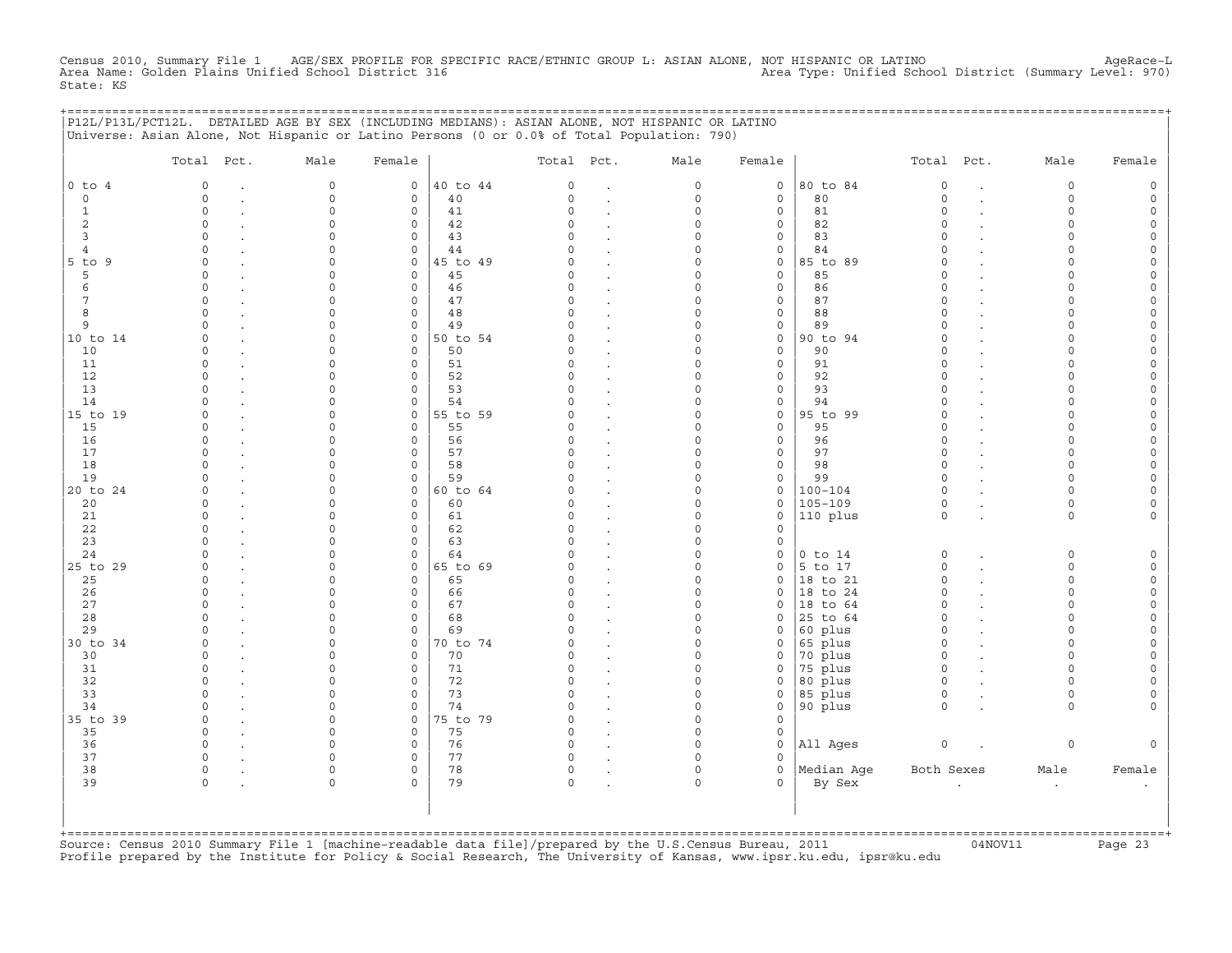Census 2010, Summary File 1 AGE/SEX PROFILE FOR SPECIFIC RACE/ETHNIC GROUP L: ASIAN ALONE, NOT HISPANIC OR LATINO<br>Area Name: Golden Plains Unified School District 316 Area Type: Unifie State: KS

+===================================================================================================================================================+

|                | P12L/P13L/PCT12L. DETAILED AGE BY SEX (INCLUDING MEDIANS): ASIAN ALONE, NOT HISPANIC OR LATINO<br>Universe: Asian Alone, Not Hispanic or Latino Persons (0 or 0.0% of Total Population: 790) |             |                     |          |          |                      |                     |                     |             |            |                      |          |                     |
|----------------|----------------------------------------------------------------------------------------------------------------------------------------------------------------------------------------------|-------------|---------------------|----------|----------|----------------------|---------------------|---------------------|-------------|------------|----------------------|----------|---------------------|
|                | Total Pct.                                                                                                                                                                                   | Male        | Female              |          | Total    | Pct.                 | Male                | Female              |             | Total      | Pct.                 | Male     | Female              |
| $0$ to $4$     | 0                                                                                                                                                                                            | 0           | 0                   | 40 to 44 | 0        |                      | $\mathsf{O}\xspace$ | $\mathsf{O}\xspace$ | 80 to 84    | $\circ$    |                      | 0        | $\circ$             |
| $\circ$        | $\Omega$                                                                                                                                                                                     | $\mathbf 0$ | $\mathsf{O}$        | 40       | $\Omega$ | $\ddot{\phantom{a}}$ | $\mathsf{O}\xspace$ | $\mathsf{O}\xspace$ | 80          | $\circ$    | $\ddot{\phantom{a}}$ | $\circ$  | $\mathsf{O}\xspace$ |
| $\mathbf{1}$   | $\circ$                                                                                                                                                                                      | $\Omega$    | 0                   | 41       | $\Omega$ | $\bullet$            | $\circ$             | 0                   | 81          | $\circ$    |                      | $\Omega$ | $\mathsf{O}$        |
| $\overline{c}$ | $\Omega$                                                                                                                                                                                     | $\Omega$    | $\mathsf{O}\xspace$ | 42       | $\Omega$ |                      | $\Omega$            | $\mathsf{O}\xspace$ | 82          | $\Omega$   |                      | 0        | $\mathsf{O}\xspace$ |
| 3              | $\Omega$                                                                                                                                                                                     | $\Omega$    | $\mathbf 0$         | 43       | $\Omega$ |                      | $\circ$             | $\mathsf{O}\xspace$ | 83          | $\Omega$   |                      | $\Omega$ | 0                   |
| $\overline{4}$ | $\Omega$                                                                                                                                                                                     | $\Omega$    | $\mathbf 0$         | 44       | $\Omega$ | $\ddot{\phantom{a}}$ | $\Omega$            | 0                   | 84          | $\Omega$   |                      | O        | 0                   |
| 5 to 9         | $\Omega$                                                                                                                                                                                     | $\Omega$    | $\mathbf 0$         | 45 to 49 | 0        | $\ddot{\phantom{0}}$ | $\Omega$            | $\mathsf{O}\xspace$ | 85 to 89    | $\Omega$   |                      | $\Omega$ | $\mathsf{O}\xspace$ |
| 5              | $\Omega$                                                                                                                                                                                     | $\Omega$    | $\mathbf 0$         | 45       | $\Omega$ |                      | $\Omega$            | $\mathsf{O}\xspace$ | 85          | $\Omega$   |                      | O        | 0                   |
| 6              | $\Omega$                                                                                                                                                                                     | $\Omega$    | $\mathbf 0$         | 46       | $\Omega$ |                      | $\Omega$            | $\mathsf{O}\xspace$ | 86          | $\Omega$   |                      | O        | 0                   |
| 7              | $\Omega$                                                                                                                                                                                     | $\Omega$    | 0                   | 47       | $\Omega$ | $\ddot{\phantom{a}}$ | 0                   | $\mathsf{O}\xspace$ | 87          | $\Omega$   |                      | O        | $\mathsf{O}\xspace$ |
| 8              | $\Omega$                                                                                                                                                                                     | $\Omega$    | $\mathsf{O}\xspace$ | 48       | $\Omega$ |                      | $\Omega$            | $\mathsf{O}\xspace$ | 88          | $\Omega$   |                      | U        | 0                   |
| 9              | $\Omega$                                                                                                                                                                                     | $\Omega$    | $\circ$             | 49       | $\Omega$ |                      | $\Omega$            | $\mathsf{O}\xspace$ | 89          | $\Omega$   |                      | O        | 0                   |
| 10 to 14       | $\Omega$                                                                                                                                                                                     | $\Omega$    | $\mathsf{O}\xspace$ | 50 to 54 | $\Omega$ |                      | $\mathsf{O}\xspace$ | $\mathsf{O}\xspace$ | 90 to 94    | $\Omega$   |                      | $\Omega$ | $\mathsf{O}\xspace$ |
| 10             | $\Omega$                                                                                                                                                                                     | $\Omega$    | $\mathsf{O}\xspace$ | 50       | $\Omega$ | $\blacksquare$       | $\mathsf{O}\xspace$ | $\mathsf{O}\xspace$ | 90          | $\Omega$   |                      | $\cap$   | $\mathsf{O}\xspace$ |
| 11             | $\Omega$                                                                                                                                                                                     | $\Omega$    | $\mathbf 0$         | 51       | $\Omega$ |                      | $\circ$             | $\mathsf{O}\xspace$ | 91          | $\Omega$   |                      | $\Omega$ | 0                   |
| 12             | $\Omega$                                                                                                                                                                                     | $\Omega$    | 0                   | 52       | $\Omega$ |                      | $\mathsf{O}\xspace$ | $\mathsf{O}\xspace$ | 92          | $\circ$    |                      | $\Omega$ | $\mathsf{O}\xspace$ |
| 13             | $\Omega$                                                                                                                                                                                     | $\mathbf 0$ | $\mathsf{O}\xspace$ | 53       | $\Omega$ |                      | 0                   | $\mathsf{O}\xspace$ | 93          | $\Omega$   |                      | $\Omega$ | 0                   |
| 14             | $\Omega$                                                                                                                                                                                     | $\Omega$    | $\mathbf 0$         | 54       | $\Omega$ | $\overline{a}$       | $\circ$             | $\mathsf{O}\xspace$ | 94          | $\circ$    |                      | $\Omega$ | $\mathsf{O}\xspace$ |
| 15 to 19       | $\Omega$                                                                                                                                                                                     | $\Omega$    | 0                   | 55 to 59 | $\Omega$ |                      | 0                   | $\mathbb O$         | 95 to 99    | $\Omega$   |                      | O        | 0                   |
| 15             | $\Omega$                                                                                                                                                                                     | $\Omega$    | $\mathbf 0$         | 55       | $\Omega$ |                      | $\circ$             | $\mathsf{O}\xspace$ | 95          | $\Omega$   |                      | $\Omega$ | $\mathsf{O}\xspace$ |
| 16             | $\Omega$                                                                                                                                                                                     | 0           | $\mathbf 0$         | 56       | $\Omega$ |                      | $\circ$             | $\mathsf{O}\xspace$ | 96          | $\circ$    |                      | $\Omega$ | 0                   |
| 17             | $\Omega$                                                                                                                                                                                     | $\Omega$    | 0                   | 57       | $\Omega$ | $\bullet$            | 0                   | 0                   | 97          | $\circ$    |                      | O        | 0                   |
| 18             | $\Omega$                                                                                                                                                                                     | $\Omega$    | $\mathbf 0$         | 58       | $\Omega$ |                      | $\Omega$            | $\mathsf{O}\xspace$ | 98          | $\Omega$   |                      | $\Omega$ | $\mathsf{O}\xspace$ |
| 19             | $\Omega$                                                                                                                                                                                     | $\Omega$    | $\mathbf 0$         | 59       | $\Omega$ |                      | $\circ$             | $\mathsf{O}\xspace$ | 99          | $\circ$    |                      | $\Omega$ | 0                   |
| 20 to 24       | $\Omega$                                                                                                                                                                                     | $\Omega$    | 0                   | 60 to 64 | $\Omega$ | $\ddot{\phantom{a}}$ | $\Omega$            | 0                   | $100 - 104$ | $\circ$    |                      | $\Omega$ | 0                   |
| 20             | $\Omega$                                                                                                                                                                                     | $\Omega$    | $\mathbf 0$         | 60       | $\Omega$ |                      | $\Omega$            | $\mathsf{O}\xspace$ | $105 - 109$ | $\circ$    |                      | $\Omega$ | $\mathsf{O}\xspace$ |
| 21             | $\Omega$                                                                                                                                                                                     | $\Omega$    | $\mathbf 0$         | 61       | $\Omega$ |                      | $\Omega$            | $\mathsf{O}\xspace$ | 110 plus    | $\Omega$   |                      | $\circ$  | 0                   |
| 22             | $\Omega$                                                                                                                                                                                     | $\Omega$    | $\mathbf 0$         | 62       | $\Omega$ | $\bullet$            | $\Omega$            | 0                   |             |            |                      |          |                     |
| 23             | $\Omega$                                                                                                                                                                                     | $\Omega$    | $\mathsf{O}\xspace$ | 63       | $\Omega$ | $\bullet$            | $\Omega$            | $\mathsf{O}\xspace$ |             |            |                      |          |                     |
| 24             | $\Omega$                                                                                                                                                                                     | $\Omega$    | $\Omega$            | 64       | 0        |                      | $\Omega$            | 0                   | $0$ to $14$ | $\circ$    |                      | $\Omega$ | $\mathsf{O}$        |
| 25 to 29       | $\Omega$                                                                                                                                                                                     | $\Omega$    | $\mathbf 0$         | 65 to 69 | $\Omega$ |                      | $\circ$             | 0                   | 5 to 17     | $\Omega$   |                      | $\circ$  | $\circ$             |
| 25             | $\Omega$                                                                                                                                                                                     | $\Omega$    | $\mathsf{O}$        | 65       | $\Omega$ | $\ddot{\phantom{a}}$ | $\circ$             | $\mathsf{O}\xspace$ | 18 to 21    | $\circ$    | $\ddot{\phantom{a}}$ | $\circ$  | $\mathsf{O}$        |
| 26             | $\Omega$                                                                                                                                                                                     | $\Omega$    | $\mathsf{O}\xspace$ | 66       | $\Omega$ | $\blacksquare$       | $\Omega$            | $\mathsf{O}\xspace$ | 18 to 24    | $\Omega$   |                      | $\Omega$ | $\mathsf{O}\xspace$ |
| 27             | $\Omega$                                                                                                                                                                                     | $\Omega$    | $\mathbf 0$         | 67       | $\Omega$ |                      | $\circ$             | $\mathbf 0$         | 18 to 64    | $\Omega$   |                      | $\Omega$ | 0                   |
| 28             | $\Omega$                                                                                                                                                                                     | $\Omega$    | $\mathsf{O}\xspace$ | 68       | $\Omega$ |                      | $\circ$             | 0                   | 25 to 64    | $\Omega$   |                      | $\Omega$ | $\mathsf{O}\xspace$ |
| 29             | $\Omega$                                                                                                                                                                                     | $\Omega$    | $\mathsf{O}\xspace$ | 69       | $\Omega$ | $\blacksquare$       | $\circ$             | $\mathsf{O}\xspace$ | 60 plus     | $\circ$    | $\ddot{\phantom{a}}$ | $\Omega$ | $\mathsf{O}\xspace$ |
| 30 to 34       | $\Omega$                                                                                                                                                                                     | $\Omega$    | $\mathsf{O}\xspace$ | 70 to 74 | $\Omega$ | $\ddot{\phantom{a}}$ | $\circ$             | 0                   | 65 plus     | $\circ$    | $\cdot$              | $\Omega$ | 0                   |
| 30             | $\Omega$                                                                                                                                                                                     | $\Omega$    | 0                   | 70       | $\Omega$ |                      | $\Omega$            | 0                   | 70 plus     | $\circ$    |                      | $\Omega$ | 0                   |
| 31             | $\Omega$                                                                                                                                                                                     | $\Omega$    | $\mathsf{O}\xspace$ | 71       | $\Omega$ |                      | $\circ$             | $\mathsf{O}\xspace$ | 75 plus     | $\circ$    |                      | $\Omega$ | $\mathsf{O}\xspace$ |
| 32             | $\Omega$                                                                                                                                                                                     | $\Omega$    | $\mathbf 0$         | 72       | 0        | $\ddot{\phantom{a}}$ | $\circ$             | $\mathsf{O}\xspace$ | 80 plus     | $\circ$    |                      | $\Omega$ | $\mathsf{O}\xspace$ |
| 33             | $\Omega$                                                                                                                                                                                     | $\Omega$    | $\mathsf O$         | 73       | $\Omega$ |                      | 0                   | 0                   | 85 plus     | $\circ$    |                      | $\Omega$ | 0                   |
| 34             | $\Omega$                                                                                                                                                                                     | $\Omega$    | $\circ$             | 74       | $\Omega$ |                      | $\circ$             | $\mathsf{O}\xspace$ | 90 plus     | $\circ$    |                      | $\circ$  | 0                   |
| 35 to 39       | $\Omega$                                                                                                                                                                                     | $\circ$     | $\mathbf 0$         | 75 to 79 | $\Omega$ |                      | $\circ$             | $\mathbf 0$         |             |            |                      |          |                     |
| 35             | $\Omega$                                                                                                                                                                                     | $\Omega$    | 0                   | 75       | 0        | $\bullet$            | $\Omega$            | 0                   |             |            |                      |          |                     |
| 36             | $\circ$                                                                                                                                                                                      | $\Omega$    | $\mathsf{O}\xspace$ | 76       | $\Omega$ |                      | $\Omega$            | $\mathsf{O}\xspace$ | All Ages    | $\circ$    |                      | 0        | $\mathsf{O}\xspace$ |
| 37             | $\circ$                                                                                                                                                                                      | $\circ$     | $\mathbf 0$         | 77       | 0        |                      | $\circ$             | $\circ$             |             |            |                      |          |                     |
| 38             | 0                                                                                                                                                                                            | $\circ$     | 0                   | 78       | 0        | $\bullet$            | 0                   | $\mathsf{O}\xspace$ | Median Aqe  | Both Sexes |                      | Male     | Female              |
| 39             | $\circ$                                                                                                                                                                                      | $\Omega$    | $\circ$             | 79       | $\circ$  |                      | $\circ$             | $\Omega$            | By Sex      |            |                      | $\cdot$  | $\bullet$           |
|                |                                                                                                                                                                                              |             |                     |          |          |                      |                     |                     |             |            |                      |          |                     |
| +=======       |                                                                                                                                                                                              |             |                     |          |          |                      |                     |                     |             |            |                      |          |                     |

+===================================================================================================================================================+Source: Census 2010 Summary File 1 [machine−readable data file]/prepared by the U.S.Census Bureau, 2011 04NOV11 Page 23 Profile prepared by the Institute for Policy & Social Research, The University of Kansas, www.ipsr.ku.edu, ipsr@ku.edu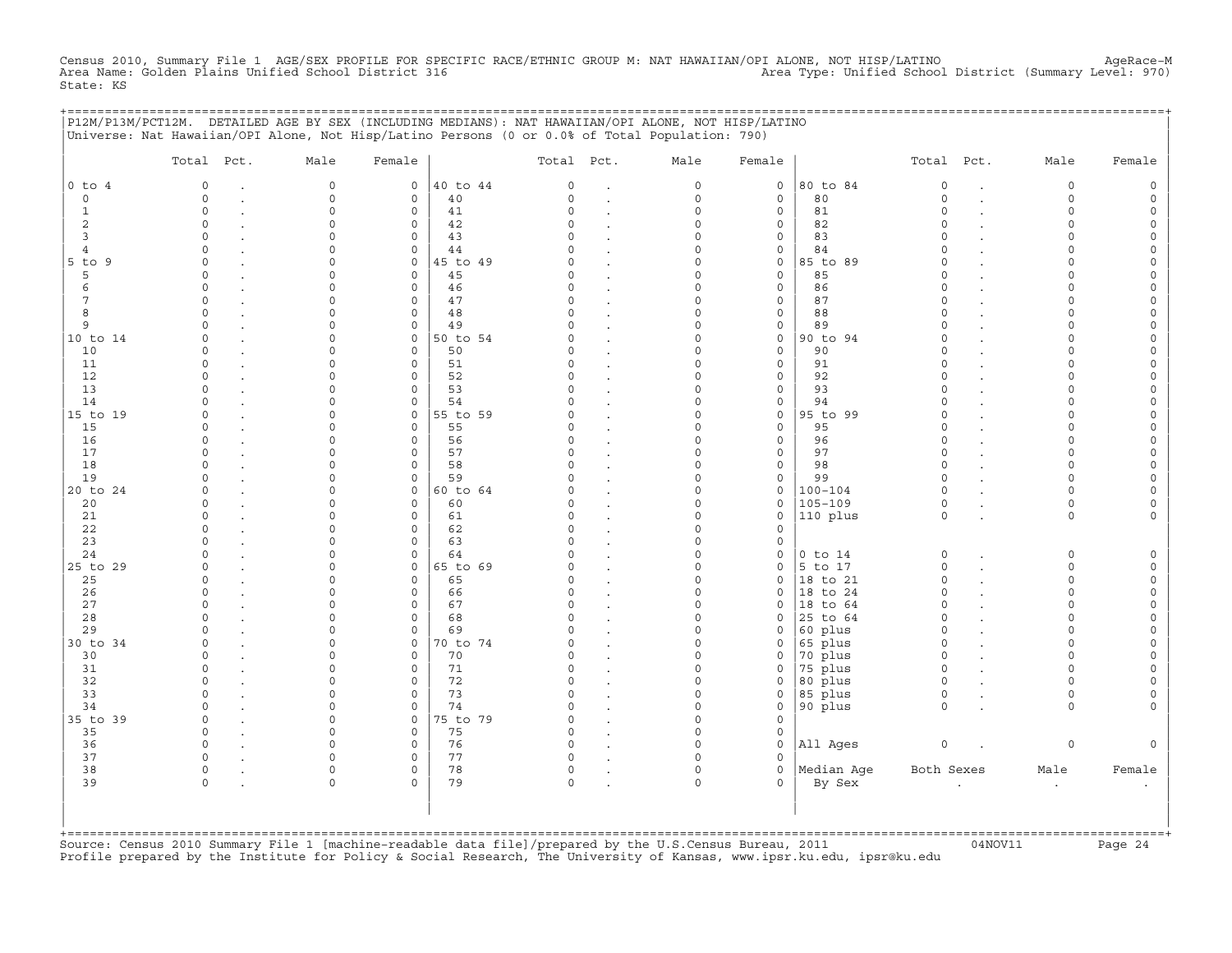Census 2010, Summary File 1 AGE/SEX PROFILE FOR SPECIFIC RACE/ETHNIC GROUP M: NAT HAWAIIAN/OPI ALONE, NOT HISP/LATINO<br>Area Name: Golden Plains Unified School District 316 Area Type: Unifie State: KS

|                     | P12M/P13M/PCT12M. DETAILED AGE BY SEX (INCLUDING MEDIANS): NAT HAWAIIAN/OPI ALONE, NOT HISP/LATINO<br>Universe: Nat Hawaiian/OPI Alone, Not Hisp/Latino Persons (0 or 0.0% of Total Population: 790) |                      |                             |                |               |                                 |                      |               | ============================= |                      |                      |        |
|---------------------|------------------------------------------------------------------------------------------------------------------------------------------------------------------------------------------------------|----------------------|-----------------------------|----------------|---------------|---------------------------------|----------------------|---------------|-------------------------------|----------------------|----------------------|--------|
|                     | Total Pct.                                                                                                                                                                                           | Male                 | Female                      |                | Total Pct.    |                                 | Male                 | Female        |                               | Total Pct.           | Male                 | Female |
| $0$ to $4$          | $\circ$                                                                                                                                                                                              | $\mathbf 0$          | $\mathsf{O}$                | 40 to 44       | $\circ$       | $\ddot{\phantom{a}}$            | $\circ$              | $\circ$       | 80 to 84                      | $\circ$              | $\circ$              |        |
| $\mathbf 0$         | $\Omega$                                                                                                                                                                                             | $\mathbf 0$          | $\mathbf{0}$                | 40             | $\Omega$      | $\cdot$                         | 0                    | $\mathbf 0$   | 80                            | $\circ$              | $\circ$              |        |
| 1                   | $\Omega$                                                                                                                                                                                             | $\Omega$             | $\mathbf 0$                 | 41             | $\Omega$      | $\cdot$                         | $\Omega$             | 0             | 81                            | $\Omega$             | $\Omega$             |        |
| 2                   | $\Omega$<br>$\cap$                                                                                                                                                                                   | $\Omega$             | $\mathbf 0$<br>$\Omega$     | 42             | $\Omega$<br>U |                                 | $\Omega$             | 0             | 82                            | $\Omega$<br>$\Omega$ | $\Omega$<br>∩        |        |
| 3<br>$\overline{4}$ | $\cap$                                                                                                                                                                                               |                      | $\mathbf{0}$                | 43<br>44       |               |                                 | $\Omega$<br>0        | 0<br>0        | 83<br>84                      | $\Omega$             | ∩                    |        |
| $5$ to $9$          | $\Omega$                                                                                                                                                                                             |                      | $\mathbf 0$                 | 45 to 49       | $\Omega$      | $\ddot{\phantom{a}}$<br>$\cdot$ | O                    | 0             | 85 to 89                      | $\Omega$             |                      |        |
| 5                   | $\Omega$                                                                                                                                                                                             |                      | $\mathbf 0$                 | 45             | C)            | $\bullet$                       | $\Omega$             | $\mathbf 0$   | 85                            | $\Omega$             |                      |        |
| 6                   | $\Omega$                                                                                                                                                                                             |                      | $\mathbf 0$                 | 46             | O             | $\ddot{\phantom{a}}$            | $\Omega$             | 0             | 86                            | $\Omega$             | $\Omega$             |        |
| 7                   | $\Omega$                                                                                                                                                                                             | $\Omega$             | $\mathbf 0$                 | 47             | $\Omega$      |                                 | $\Omega$             | $\mathbf 0$   | 87                            | $\Omega$             | $\cap$               |        |
| 8                   | $\circ$                                                                                                                                                                                              | $\Omega$             | $\mathsf{O}$                | 48             | 0             | $\cdot$                         | $\Omega$             | 0             | 88                            | $\circ$              | $\Omega$             |        |
| 9                   | $\Omega$                                                                                                                                                                                             | $\Omega$             | 0                           | 49             | $\Omega$      | $\cdot$                         | $\Omega$             | 0             | 89                            | $\Omega$             | $\cap$               |        |
| 10 to 14            | $\circ$                                                                                                                                                                                              | $\Omega$             | $\mathbf 0$                 | 50 to 54       |               | $\ddot{\phantom{a}}$            | $\Omega$             | $\mathbf 0$   | 90 to 94                      | $\Omega$             | $\Omega$             |        |
| 10<br>11            | $\Omega$<br>$\cap$                                                                                                                                                                                   | $\Omega$             | $\mathbf 0$<br>$\mathbf 0$  | 50<br>51       | 0<br>$\cap$   |                                 | $\Omega$<br>$\cap$   | 0<br>0        | 90<br>91                      | $\Omega$<br>$\cap$   | $\Omega$<br>$\cap$   |        |
| 12                  | $\cap$                                                                                                                                                                                               |                      | $\mathbf 0$                 | 52             |               |                                 | U                    | 0             | 92                            | $\Omega$             |                      |        |
| 13                  | $\cap$                                                                                                                                                                                               |                      | $\mathbf 0$                 | 53             | U             |                                 | O                    | $\Omega$      | 93                            | $\Omega$             |                      |        |
| 14                  |                                                                                                                                                                                                      |                      | $\mathbf 0$                 | 54             |               |                                 | $\Omega$             | 0             | 94                            | $\Omega$             |                      |        |
| 15 to 19            | ∩                                                                                                                                                                                                    | $\cap$               | $\mathbf{0}$                | 55 to 59       |               |                                 | $\Omega$             | 0             | 95 to 99                      | $\Omega$             | $\cap$               |        |
| 15                  | $\Omega$                                                                                                                                                                                             | $\cap$               | $\Omega$                    | 55             | U             | $\ddot{\phantom{a}}$            | $\Omega$             | $\mathbf 0$   | 95                            | $\Omega$             | $\cap$               |        |
| 16                  | $\Omega$                                                                                                                                                                                             | $\Omega$             | $\mathbf 0$                 | 56             | 0             |                                 | $\Omega$             | $\mathbf 0$   | 96                            | $\circ$              | $\cap$               |        |
| 17                  | $\Omega$                                                                                                                                                                                             |                      | 0                           | 57             | $\Omega$      | $\overline{a}$                  | 0                    | 0             | 97                            | $\circ$              | $\Omega$             |        |
| 18                  | $\cap$<br>$\Omega$                                                                                                                                                                                   | $\cap$               | 0                           | 58             | U<br>$\Omega$ |                                 | $\Omega$             | 0             | 98                            | $\Omega$<br>$\Omega$ | $\Omega$<br>$\Omega$ |        |
| 19<br>20 to 24      | $\Omega$                                                                                                                                                                                             | $\Omega$<br>$\cap$   | $\mathbf 0$<br>$\mathsf{O}$ | 59<br>60 to 64 |               |                                 | 0<br>$\Omega$        | 0<br>0        | 99<br>$100 - 104$             | $\Omega$             | $\cap$               |        |
| 20                  | $\Omega$                                                                                                                                                                                             |                      | $\mathbf 0$                 | 60             | O             |                                 | $\Omega$             | 0             | 105-109                       | $\mathbf 0$          | $\Omega$             |        |
| 21                  | $\Omega$                                                                                                                                                                                             |                      | $\mathbf 0$                 | 61             | $\Omega$      |                                 | $\Omega$             | 0             | 110 plus                      | $\circ$              | $\circ$              |        |
| 22                  | $\Omega$                                                                                                                                                                                             |                      | $\mathbf 0$                 | 62             | $\Omega$      |                                 | $\Omega$             | $\Omega$      |                               |                      |                      |        |
| 23                  |                                                                                                                                                                                                      |                      | $\mathbf 0$                 | 63             |               |                                 | $\Omega$             | 0             |                               |                      |                      |        |
| 24                  | $\cap$                                                                                                                                                                                               |                      | $\circ$                     | 64             |               |                                 | $\Omega$             | 0             | $0$ to $14$                   | 0                    | $\Omega$             |        |
| 25 to 29            | $\circ$                                                                                                                                                                                              | $\cap$               | $\mathsf{O}$                | 65 to 69       | 0             | $\ddot{\phantom{a}}$            | $\Omega$             | 0             | $5$ to 17                     | $\mathsf O$          | $\Omega$             |        |
| 25                  | $\Omega$<br>$\cap$                                                                                                                                                                                   |                      | 0<br>$\Omega$               | 65<br>66       |               | $\ddot{\phantom{a}}$            | $\Omega$<br>$\Omega$ | 0<br>$\Omega$ | 18 to 21                      | $\Omega$<br>$\Omega$ | $\Omega$<br>$\cap$   |        |
| 26<br>27            | $\Omega$                                                                                                                                                                                             | $\cap$               | $\mathbf 0$                 | 67             | $\Omega$      |                                 | $\Omega$             | 0             | 18 to 24<br>18 to 64          | $\circ$              | $\cap$               |        |
| 28                  | $\cap$                                                                                                                                                                                               | $\cap$               | $\mathbf 0$                 | 68             | $\Omega$      | $\cdot$                         | $\Omega$             | 0             | 25 to 64                      | $\mathbf 0$          | $\cap$               |        |
| 29                  |                                                                                                                                                                                                      | $\Omega$             | $\mathbf 0$                 | 69             |               | $\ddot{\phantom{a}}$            | $\Omega$             | 0             | 60 plus                       | $\Omega$             | $\Omega$             |        |
| 30 to 34            | $\Omega$                                                                                                                                                                                             | $\Omega$             | $\mathbf{0}$                | 70 to 74       | $\Omega$      | $\cdot$                         | $\Omega$             | 0             | 65 plus                       | $\mathbf 0$          | $\Omega$             |        |
| 30                  | $\Omega$                                                                                                                                                                                             |                      | 0                           | 70             | O             |                                 | $\Omega$             | 0             | 70 plus                       | $\circ$              | $\Omega$             |        |
| 31                  | $\Omega$                                                                                                                                                                                             | ∩                    | $\mathbf 0$                 | 71             | $\Omega$      | $\ddot{\phantom{a}}$            | 0                    | 0             | 75 plus                       | $\circ$              | ∩                    |        |
| 32                  | $\cap$                                                                                                                                                                                               | $\Omega$             | $\mathbf 0$                 | 72             | $\Omega$      | $\ddot{\phantom{a}}$            | $\Omega$             | $\mathbf 0$   | 80 plus                       | $\circ$              | $\cap$               |        |
| 33                  | $\Omega$                                                                                                                                                                                             | $\Omega$             | $\mathbf 0$                 | 73             | $\Omega$      | $\ddot{\phantom{a}}$            | $\Omega$             | $\mathbf 0$   | 85 plus                       | $\circ$              | $\Omega$             |        |
| 34<br>35 to 39      | $\Omega$                                                                                                                                                                                             | $\Omega$<br>$\Omega$ | $\mathbf 0$<br>$\mathbf 0$  | 74<br>75 to 79 | O<br>$\cap$   | $\ddot{\phantom{a}}$            | $\Omega$<br>$\Omega$ | 0<br>$\Omega$ | 90 plus                       | $\circ$              | $\Omega$             |        |
| 35                  | $\circ$                                                                                                                                                                                              | $\Omega$             | $\mathbf 0$                 | 75             | 0             |                                 | $\Omega$             | 0             |                               |                      |                      |        |
| 36                  | $\circ$                                                                                                                                                                                              | $\Omega$             | 0                           | 76             | $\circ$       | $\cdot$                         | $\Omega$             | 0             | All Ages                      | $\mathsf O$          | 0                    |        |
| 37                  | $\circ$                                                                                                                                                                                              | $\Omega$             | $\mathsf{O}$                | 77             | 0             |                                 | $\Omega$             | 0             |                               |                      |                      |        |
| 38                  | $\circ$                                                                                                                                                                                              | $\Omega$             | 0                           | 78             | 0             |                                 | $\Omega$             | 0             | Median Age                    | Both Sexes           | Male                 | Female |
| 39                  | $\cap$                                                                                                                                                                                               | $\Omega$             | $\Omega$                    | 79             | $\Omega$      |                                 | $\Omega$             | 0             | By Sex                        |                      | $\cdot$              |        |
|                     |                                                                                                                                                                                                      |                      |                             |                |               |                                 |                      |               |                               |                      |                      |        |
|                     |                                                                                                                                                                                                      |                      |                             |                |               |                                 |                      |               |                               |                      |                      |        |
|                     |                                                                                                                                                                                                      |                      |                             |                |               |                                 |                      |               |                               |                      |                      |        |

+===================================================================================================================================================+Source: Census 2010 Summary File 1 [machine−readable data file]/prepared by the U.S.Census Bureau, 2011 04NOV11 Page 24 Profile prepared by the Institute for Policy & Social Research, The University of Kansas, www.ipsr.ku.edu, ipsr@ku.edu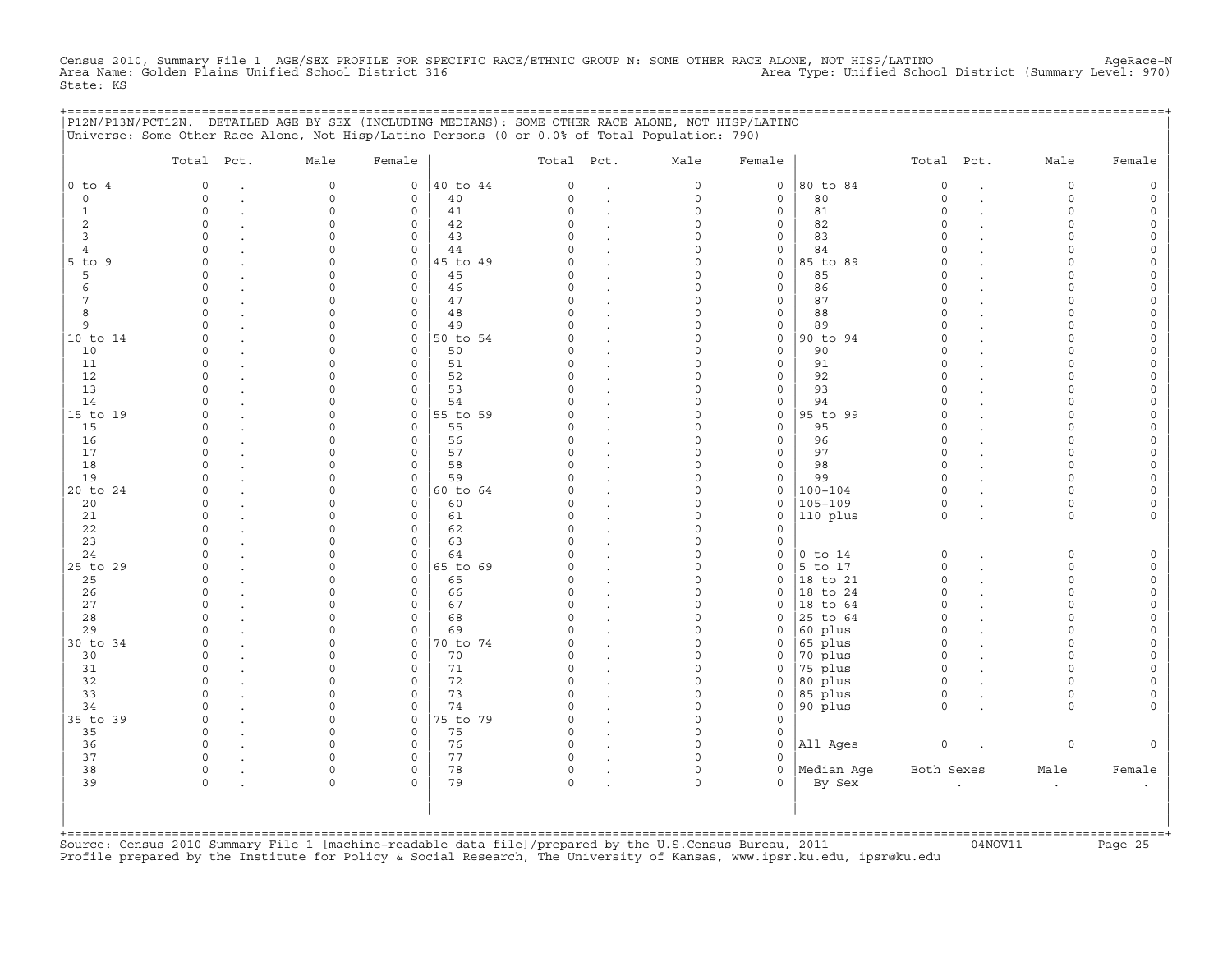Census 2010, Summary File 1 AGE/SEX PROFILE FOR SPECIFIC RACE/ETHNIC GROUP N: SOME OTHER RACE ALONE, NOT HISP/LATINO<br>Area Name: Golden Plains Unified School District 316 Area Type: Unified State: KS

+===================================================================================================================================================+

|                | Total Pct.  | Male                | Female              |          | Total Pct. |                      | Male        | Female              |             | Total Pct.          |                      | Male      | Female              |
|----------------|-------------|---------------------|---------------------|----------|------------|----------------------|-------------|---------------------|-------------|---------------------|----------------------|-----------|---------------------|
| $0$ to $4$     | $\mathbf 0$ | $\mathsf{O}\xspace$ | $\circ$             | 40 to 44 | 0          | $\cdot$              | $\mathsf O$ | $\mathsf O$         | 80 to 84    | $\mathsf{O}\xspace$ | $\ddot{\phantom{a}}$ | 0         | $\mathsf{O}\xspace$ |
| $\circ$        | $\Omega$    | $\Omega$            | $\mathbf 0$         | 40       | $\Omega$   | $\bullet$            | $\mathbf 0$ | $\mathbf 0$         | 80          | $\Omega$            | $\overline{a}$       | $\Omega$  | $\mathsf{O}\xspace$ |
| $\mathbf{1}$   | $\circ$     | $\Omega$            | 0                   | 41       | $\Omega$   |                      | $\mathbf 0$ | $\mathbf 0$         | 81          | $\circ$             |                      | $\Omega$  | $\mathsf{O}$        |
| $\overline{c}$ | $\circ$     | $\Omega$            | $\mathbf 0$         | 42       | $\Omega$   | $\cdot$              | $\Omega$    | $\mathsf{O}$        | 82          | $\circ$             |                      | $\circ$   | $\circ$             |
| $\overline{3}$ | $\circ$     | $\Omega$            | 0                   | 43       | $\cap$     | $\cdot$              | $\Omega$    | $\mathsf{O}\xspace$ | 83          | $\circ$             |                      | $\Omega$  | $\mathsf{O}$        |
| 4              | $\Omega$    | $\Omega$            | $\mathbf 0$         | 44       | U          |                      | $\Omega$    | $\mathbf 0$         | 84          | $\Omega$            |                      | $\Omega$  | 0                   |
| $5$ to $9$     | $\Omega$    | $\Omega$            | $\mathbf 0$         | 45 to 49 | U          | $\ddot{\phantom{a}}$ | $\Omega$    | $\mathsf{O}$        | 85 to 89    | $\Omega$            |                      | $\Omega$  | $\mathsf{O}\xspace$ |
| 5              | $\Omega$    | $\Omega$            | $\circ$             | 45       | C)         | $\ddot{\phantom{a}}$ | $\Omega$    | $\mathsf O$         | 85          | $\Omega$            |                      | $\Omega$  | $\mathsf{O}\xspace$ |
| 6              | $\Omega$    | $\cap$              | $\mathbf 0$         | 46       | $\cap$     | $\ddot{\phantom{a}}$ | $\Omega$    | $\mathbf{0}$        | 86          | $\Omega$            |                      | $\cap$    | $\mathsf{O}\xspace$ |
| 7              | $\Omega$    | $\Omega$            | $\mathbf 0$         | 47       | $\Omega$   | $\ddot{\phantom{a}}$ | $\Omega$    | $\mathbf 0$         | 87          | $\Omega$            |                      | $\Omega$  | 0                   |
| 8              | $\Omega$    | $\Omega$            | $\mathbf 0$         | 48       | $\Omega$   | $\ddot{\phantom{a}}$ | $\Omega$    | $\mathsf{O}\xspace$ | 88          | $\Omega$            |                      | $\Omega$  | $\mathsf{O}\xspace$ |
| 9              | $\cap$      | $\cap$              | $\mathbf 0$         | 49       | $\cap$     | $\ddot{\phantom{a}}$ | $\Omega$    | $\mathsf{O}\xspace$ | 89          | $\Omega$            |                      | $\Omega$  | $\mathsf{O}\xspace$ |
| 10 to 14       | $\Omega$    | $\Omega$            | $\mathbf{0}$        | 50 to 54 | C)         | $\sim$               | $\Omega$    | $\mathbf 0$         | 90 to 94    | $\circ$             |                      | $\Omega$  | $\mathsf{O}\xspace$ |
| 10             | $\Omega$    | $\Omega$            | $\mathbf 0$         | 50       | O.         |                      | $\Omega$    | $\mathbf 0$         | 90          | $\Omega$            |                      | $\Omega$  | 0                   |
| 11             | $\Omega$    | $\Omega$            | $\mathbf 0$         | 51       | $\Omega$   | $\ddot{\phantom{a}}$ | $\Omega$    | $\mathsf{O}\xspace$ | 91          | $\Omega$            |                      | $\Omega$  | $\mathsf{O}\xspace$ |
| 12             | $\Omega$    | $\Omega$            | $\mathbf 0$         | 52       | $\Omega$   | $\cdot$              | $\Omega$    | $\mathbf 0$         | 92          | $\Omega$            |                      | $\Omega$  | $\mathsf{O}\xspace$ |
| 13             | $\Omega$    | $\Omega$            | $\mathbf 0$         | 53       | C)         | $\ddot{\phantom{a}}$ | $\Omega$    | $\mathbf 0$         | 93          | $\Omega$            |                      | $\Omega$  | 0                   |
| 14             | $\Omega$    | $\Omega$            | $\mathbf 0$         | 54       |            |                      | $\Omega$    | $\mathsf{O}\xspace$ | 94          | $\Omega$            |                      | $\Omega$  | $\mathsf{O}\xspace$ |
| 15 to 19       | $\Omega$    | $\Omega$            | $\mathsf{O}\xspace$ | 55 to 59 | $\Omega$   |                      | $\mathbf 0$ | $\mathsf O$         | 95 to 99    | $\Omega$            |                      | $\Omega$  | $\mathsf{O}\xspace$ |
| 15             | $\Omega$    | $\Omega$            | $\mathbf 0$         | 55       | C          | $\ddot{\phantom{a}}$ | $\Omega$    | $\mathbf 0$         | 95          | $\Omega$            |                      | $\cap$    | $\mathsf{O}\xspace$ |
| 16             | $\Omega$    | $\Omega$            | $\mathbf 0$         | 56       |            | $\cdot$              | $\Omega$    | $\mathbf 0$         | 96          | $\circ$             |                      | $\Omega$  | 0                   |
| 17             | $\Omega$    | $\Omega$            | $\mathsf{O}\xspace$ | 57       | $\Omega$   |                      | $\mathbf 0$ | $\mathsf{O}\xspace$ | 97          | $\Omega$            |                      | $\Omega$  | $\mathsf{O}\xspace$ |
| 18             | $\cap$      | $\cap$              | $\Omega$            | 58       | $\cap$     | $\cdot$              | $\Omega$    | $\mathbf 0$         | 98          | $\Omega$            |                      | $\Omega$  | $\circ$             |
| 19             | $\Omega$    | $\Omega$            | $\mathbf 0$         | 59       |            | $\ddot{\phantom{a}}$ | $\Omega$    | $\mathbf 0$         | 99          | $\Omega$            |                      | $\Omega$  | $\mathsf{O}\xspace$ |
| 20 to 24       | $\Omega$    | $\Omega$            | $\mathbf{0}$        | 60 to 64 |            | $\cdot$              | $\Omega$    | $\mathsf O$         | $100 - 104$ | $\circ$             |                      | $\Omega$  | $\mathsf{O}\xspace$ |
| 20             | $\Omega$    | $\Omega$            | $\mathbf 0$         | 60       | C)         | $\ddot{\phantom{a}}$ | $\Omega$    | $\mathsf{O}$        | $105 - 109$ | $\circ$             |                      | $\circ$   | 0                   |
| 21             | $\Omega$    | $\Omega$            | $\mathbf 0$         | 61       | C)         | $\ddot{\phantom{a}}$ | $\Omega$    | $\mathbf 0$         | 110 plus    | $\circ$             |                      | $\Omega$  | $\mathbf{0}$        |
| 22             | $\Omega$    | $\Omega$            | $\mathbf 0$         | 62       | $\Omega$   | $\sim$               | $\Omega$    | $\mathbf 0$         |             |                     |                      |           |                     |
| 23             | $\Omega$    | $\Omega$            | $\mathbf 0$         | 63       | $\Omega$   | $\ddot{\phantom{a}}$ | $\Omega$    | $\mathsf O$         |             |                     |                      |           |                     |
| 24             | $\cap$      | $\Omega$            | 0                   | 64       | U          |                      | $\Omega$    | $\mathsf{O}$        | $0$ to $14$ | $\circ$             |                      | 0         | $\mathsf{O}\xspace$ |
| 25 to 29       | $\Omega$    | $\cap$              | $\mathbf 0$         | 65 to 69 | U          | $\sim$               | $\circ$     | $\mathbf 0$         | 5 to 17     | $\circ$             |                      | $\Omega$  | $\circ$             |
| 25             | $\Omega$    | $\Omega$            | $\mathbf 0$         | 65       | C)         | $\cdot$              | $\Omega$    | $\mathbf 0$         | 18 to 21    | $\circ$             |                      | $\Omega$  | $\mathbb O$         |
| 26             | $\Omega$    | 0                   | 0                   | 66       | C)         |                      | $\mathbf 0$ | $\mathbf 0$         | 18 to 24    | $\circ$             |                      | $\circ$   | $\mathsf O$         |
| 27             | $\cap$      | $\cap$              | $\Omega$            | 67       | $\cap$     |                      | $\Omega$    | $\Omega$            | 18 to 64    | $\Omega$            |                      | $\Omega$  | $\mathsf{O}\xspace$ |
| 28             | $\Omega$    | 0                   | $\mathsf{O}\xspace$ | 68       | C)         |                      | $\Omega$    | $\mathbf 0$         | 25 to 64    | $\circ$             |                      | $\Omega$  | 0                   |
| 29             |             | 0                   | $\mathbf 0$         | 69       |            | $\cdot$              | $\mathbf 0$ | $\mathbf 0$         | 60 plus     | $\circ$             |                      | $\Omega$  | $\mathsf{O}\xspace$ |
| 30 to 34       | $\cap$      | $\Omega$            | $\mathsf{O}$        | 70 to 74 |            | $\cdot$              | $\Omega$    | 0                   | 65 plus     | $\Omega$            |                      | $\cap$    | $\mathsf{O}\xspace$ |
| 30             | $\Omega$    | $\Omega$            | $\mathbf 0$         | 70       | U          |                      | $\Omega$    | $\mathbf 0$         | 70 plus     | $\Omega$            |                      | $\Omega$  | $\mathbf 0$         |
| 31             | $\Omega$    | $\Omega$            | $\mathbf 0$         | 71       | C)         | $\ddot{\phantom{a}}$ | $\mathbf 0$ | 0                   | 75 plus     | $\circ$             |                      | $\Omega$  | $\mathsf{O}\xspace$ |
| 32             | $\Omega$    | $\Omega$            | $\mathbf 0$         | 72       | $\Omega$   | $\ddot{\phantom{a}}$ | $\Omega$    | $\mathbf 0$         | 80 plus     | $\circ$             |                      | $\Omega$  | $\mathsf O$         |
| 33             | $\Omega$    | $\Omega$            | $\mathbf 0$         | 73       | $\cap$     |                      | $\Omega$    | $\mathbf 0$         | 85 plus     | $\circ$             |                      | $\Omega$  | $\mathbf 0$         |
| 34             | $\Omega$    | $\Omega$            | $\Omega$            | 74       | $\Omega$   | $\ddot{\phantom{a}}$ | $\Omega$    | $\mathbf 0$         | 90 plus     | $\Omega$            |                      | $\Omega$  | $\mathbf{0}$        |
| 35 to 39       | $\Omega$    | $\circ$             | $\circ$             | 75 to 79 | $\Omega$   | $\ddot{\phantom{a}}$ | $\Omega$    | $\mathbf 0$         |             |                     |                      |           |                     |
| 35             | $\Omega$    | $\Omega$            | $\circ$             | 75       | $\Omega$   |                      | $\mathbf 0$ | $\mathsf{O}$        |             |                     |                      |           |                     |
| 36             | $\Omega$    | $\Omega$            | $\mathbf 0$         | 76       | $\Omega$   |                      | $\Omega$    | $\mathbf 0$         | All Ages    | $\circ$             |                      | 0         | $\mathbf{0}$        |
| 37             | $\Omega$    | $\Omega$            | 0                   | 77       | C)         |                      | $\Omega$    | $\Omega$            |             |                     |                      |           |                     |
| 38             | $\Omega$    | $\Omega$            | $\circ$             | 78       | $\circ$    | $\bullet$            | $\circ$     | $\mathbf 0$         | Median Aqe  | Both Sexes          |                      | Male      | Female              |
| 39             | $\Omega$    | $\Omega$            | $\Omega$            | 79       | $\Omega$   |                      | $\Omega$    | $\Omega$            | By Sex      |                     | $\cdot$              | $\bullet$ | $\bullet$           |
|                |             |                     |                     |          |            |                      |             |                     |             |                     |                      |           |                     |

+===================================================================================================================================================+Source: Census 2010 Summary File 1 [machine−readable data file]/prepared by the U.S.Census Bureau, 2011 04NOV11 Page 25 Profile prepared by the Institute for Policy & Social Research, The University of Kansas, www.ipsr.ku.edu, ipsr@ku.edu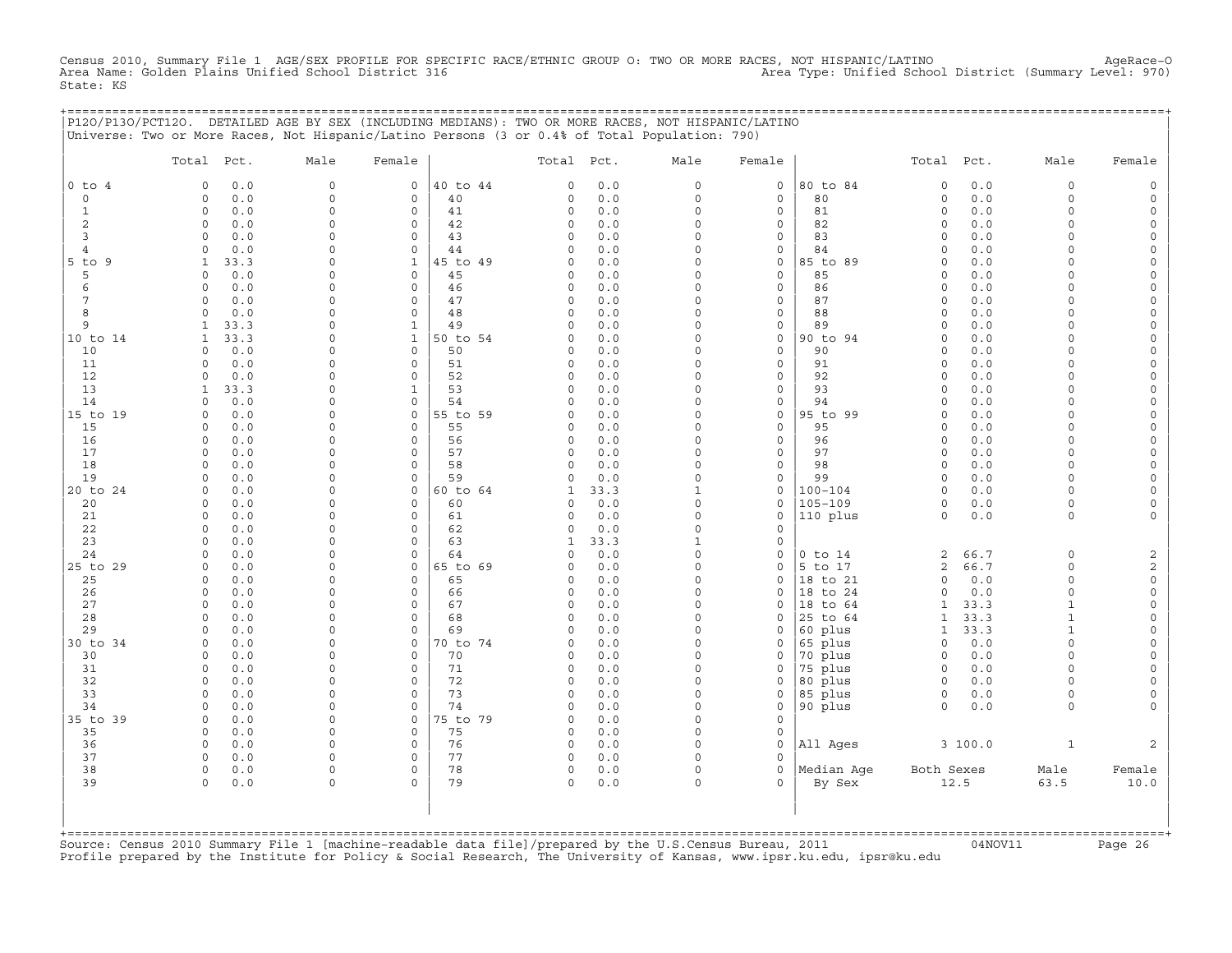Census 2010, Summary File 1 AGE/SEX PROFILE FOR SPECIFIC RACE/ETHNIC GROUP O: TWO OR MORE RACES, NOT HISPANIC/LATINO AgeRace-O<br>Area Name: Golden Plains Unified School District 316 State: KS

+===================================================================================================================================================+

|                     | P120/P130/PCT120. DETAILED AGE BY SEX (INCLUDING MEDIANS): TWO OR MORE RACES, NOT HISPANIC/LATINO<br>Universe: Two or More Races, Not Hispanic/Latino Persons (3 or 0.4% of Total Population: 790) |                         |                                    |                |               |             |                          |                                    |                      |                              |              |                      |                                            |
|---------------------|----------------------------------------------------------------------------------------------------------------------------------------------------------------------------------------------------|-------------------------|------------------------------------|----------------|---------------|-------------|--------------------------|------------------------------------|----------------------|------------------------------|--------------|----------------------|--------------------------------------------|
|                     | Total Pct.                                                                                                                                                                                         | Male                    | Female                             |                | Total Pct.    |             | Male                     | Female                             |                      | Total Pct.                   |              | Male                 | Female                                     |
| $0$ to $4$          | 0.0<br>$\Omega$                                                                                                                                                                                    | $\circ$                 | 0                                  | 40 to 44       | $\Omega$      | 0.0         | $\mathsf O$              | $\mathbf 0$                        | 80 to 84             | $\Omega$                     | 0.0          | $\circ$              | $\mathsf{O}\xspace$                        |
| $\mathbf 0$         | 0.0<br>0                                                                                                                                                                                           | $\Omega$                | $\mathbf 0$                        | 40             | 0             | 0.0         | $\Omega$                 | $\mathbf 0$                        | 80                   | $\circ$                      | 0.0          | $\circ$              | $\circ$                                    |
| $\mathbf{1}$        | 0.0<br>$\circ$                                                                                                                                                                                     | $\Omega$                | $\mathsf{O}\xspace$                | 41             | 0             | 0.0         | $\mathbf 0$              | $\mathsf{O}\xspace$                | 81                   | $\mathsf{O}\xspace$          | 0.0          | $\circ$              | $\mathsf{O}\xspace$                        |
| 2                   | 0.0<br>$\Omega$                                                                                                                                                                                    | $\Omega$                | $\mathbf 0$                        | 42             | 0             | 0.0         | $\Omega$                 | $\mathbf 0$                        | 82                   | $\circ$                      | 0.0          | $\Omega$             | 0                                          |
| 3<br>$\overline{4}$ | 0.0<br>0<br>0.0<br>$\Omega$                                                                                                                                                                        | $\Omega$<br>0           | $\mathbf 0$<br>$\mathsf{O}\xspace$ | 43<br>44       | C)<br>0       | 0.0<br>0.0  | $\Omega$<br>$\mathbf 0$  | $\mathbf 0$<br>$\mathsf{O}\xspace$ | 83<br>84             | $\circ$<br>$\Omega$          | 0.0<br>$0.0$ | $\Omega$<br>$\Omega$ | $\mathsf{O}$<br>$\mathsf{O}\xspace$        |
| $5$ to $9$          | 33.3<br>$\mathbf{1}$                                                                                                                                                                               | $\Omega$                | $\mathbf{1}$                       | 45 to 49       | $\Omega$      | 0.0         | $\Omega$                 | $\mathbf 0$                        | 85 to 89             | $\circ$                      | 0.0          | $\Omega$             | $\mathbf 0$                                |
| 5                   | 0.0<br>0                                                                                                                                                                                           | $\Omega$                | $\mathbf{0}$                       | 45             | 0             | 0.0         | $\Omega$                 | $\mathbf 0$                        | 85                   | $\circ$                      | 0.0          | $\circ$              | 0                                          |
| 6                   | 0.0<br>$\Omega$                                                                                                                                                                                    | $\Omega$                | $\mathbf 0$                        | 46             | 0             | 0.0         | $\mathbf 0$              | $\mathsf{O}\xspace$                | 86                   | $\circ$                      | 0.0          | $\Omega$             | $\mathsf{O}\xspace$                        |
| 7                   | $\Omega$<br>0.0                                                                                                                                                                                    | $\Omega$                | $\Omega$                           | 47             | 0             | 0.0         | $\Omega$                 | $\mathbf 0$                        | 87                   | $\Omega$                     | 0.0          | $\Omega$             | 0                                          |
| 8                   | 0.0<br>0                                                                                                                                                                                           | $\Omega$                | $\mathbf 0$                        | 48             | 0             | 0.0         | $\Omega$                 | $\mathsf{O}$                       | 88                   | $\circ$                      | 0.0          | $\circ$              | 0                                          |
| 9                   | 33.3<br>$\mathbf{1}$                                                                                                                                                                               | $\Omega$                | $\mathbf 1$                        | 49             | 0             | 0.0         | $\Omega$                 | $\mathsf{O}\xspace$                | 89                   | $\circ$                      | 0.0          | $\circ$              | $\mathsf{O}\xspace$                        |
| 10 to 14            | 33.3<br>$\mathbf{1}$                                                                                                                                                                               | $\Omega$                | $\mathbf{1}$                       | 50 to 54       | 0             | $0.0$       | $\Omega$                 | $\mathbf 0$                        | 90 to 94             | $\circ$                      | 0.0          | $\Omega$             | 0                                          |
| 10                  | 0.0<br>$\Omega$<br>0.0<br>$\Omega$                                                                                                                                                                 | $\Omega$<br>$\Omega$    | $\mathbf 0$<br>$\mathbf 0$         | 50<br>51       | 0<br>0        | 0.0<br>0.0  | $\Omega$<br>$\Omega$     | $\mathbf 0$<br>$\mathsf{O}\xspace$ | 90<br>91             | $\circ$<br>$\circ$           | 0.0<br>0.0   | $\circ$<br>$\circ$   | 0<br>$\mathsf{O}\xspace$                   |
| 11<br>12            | $\mathbf 0$<br>0.0                                                                                                                                                                                 | $\Omega$                | $\mathbf 0$                        | 52             | 0             | 0.0         | $\Omega$                 | $\mathbf 0$                        | 92                   | $\circ$                      | 0.0          | $\Omega$             | $\mathsf{O}\xspace$                        |
| 13                  | 33.3<br>1                                                                                                                                                                                          | $\Omega$                | 1                                  | 53             | 0             | 0.0         | $\Omega$                 | $\mathsf{O}$                       | 93                   | $\Omega$                     | 0.0          | $\Omega$             | 0                                          |
| 14                  | 0.0<br>$\Omega$                                                                                                                                                                                    | $\Omega$                | $\Omega$                           | 54             | 0             | 0.0         | $\Omega$                 | $\mathsf{O}\xspace$                | 94                   | $\circ$                      | 0.0          | $\Omega$             | $\mathsf{O}\xspace$                        |
| 15 to 19            | $\circ$<br>0.0                                                                                                                                                                                     | $\Omega$                | $\mathbf 0$                        | 55 to 59       | 0             | 0.0         | $\Omega$                 | $\mathbf 0$                        | 95 to 99             | $\circ$                      | 0.0          | $\Omega$             | $\mathsf{O}\xspace$                        |
| 15                  | 0.0<br>$\Omega$                                                                                                                                                                                    | 0                       | $\mathbf 0$                        | 55             | 0             | 0.0         | $\Omega$                 | $\mathbf 0$                        | 95                   | $\Omega$                     | 0.0          | $\Omega$             | 0                                          |
| 16                  | 0.0<br>$\Omega$                                                                                                                                                                                    | $\Omega$                | $\mathbf 0$                        | 56             | 0             | 0.0         | $\Omega$                 | $\mathsf{O}\xspace$                | 96                   | $\circ$                      | 0.0          | $\Omega$             | $\mathsf{O}\xspace$                        |
| 17                  | $\circ$<br>0.0                                                                                                                                                                                     | $\Omega$                | $\mathbf 0$                        | 57             | 0             | 0.0         | $\Omega$                 | $\mathbf 0$                        | 97                   | $\circ$                      | 0.0          | $\circ$              | $\mathsf{O}\xspace$                        |
| 18                  | 0.0<br>$\Omega$                                                                                                                                                                                    | 0                       | $\mathbf 0$                        | 58             | 0             | 0.0         | $\mathbf 0$              | $\mathbf 0$                        | 98                   | $\circ$                      | 0.0          | $\circ$              | $\mathsf{O}\xspace$                        |
| 19<br>20 to 24      | 0.0<br>$\Omega$<br>0.0<br>$\Omega$                                                                                                                                                                 | $\Omega$<br>$\Omega$    | $\circ$<br>0                       | 59<br>60 to 64 | $\Omega$<br>1 | 0.0<br>33.3 | $\Omega$<br>$\mathbf{1}$ | $\mathbf 0$<br>$\mathbf 0$         | 99<br>$100 - 104$    | $\circ$<br>$\circ$           | 0.0<br>0.0   | $\Omega$<br>$\Omega$ | $\mathsf{O}\xspace$<br>$\circ$             |
| 20                  | 0.0<br>0                                                                                                                                                                                           | $\Omega$                | $\mathbf 0$                        | 60             | 0             | 0.0         | 0                        | $\mathbf 0$                        | $105 - 109$          | 0                            | 0.0          | $\circ$              | 0                                          |
| 21                  | 0.0<br>$\circ$                                                                                                                                                                                     | $\Omega$                | $\mathbf 0$                        | 61             | $\circ$       | 0.0         | $\Omega$                 | $\mathsf{O}\xspace$                | 110 plus             | $\circ$                      | 0.0          | $\circ$              | $\mathsf{O}\xspace$                        |
| 22                  | $\Omega$<br>0.0                                                                                                                                                                                    | $\Omega$                | $\Omega$                           | 62             | 0             | 0.0         | $\Omega$                 | $\mathbf 0$                        |                      |                              |              |                      |                                            |
| 23                  | 0.0<br>$\Omega$                                                                                                                                                                                    | $\Omega$                | $\Omega$                           | 63             | 1             | 33.3        | $\mathbf{1}$             | $\mathbf 0$                        |                      |                              |              |                      |                                            |
| 24                  | 0.0<br>$\Omega$                                                                                                                                                                                    | $\Omega$                | $\mathsf{O}\xspace$                | 64             | 0             | 0.0         | $\mathbf 0$              | $\mathsf{O}\xspace$                | $0$ to $14$          | $\overline{c}$               | 66.7         | 0                    | $\sqrt{2}$                                 |
| 25 to 29            | 0.0<br>$\Omega$                                                                                                                                                                                    | $\Omega$                | $\circ$                            | 65 to 69       | $\Omega$      | 0.0         | $\Omega$                 | $\mathbf 0$                        | 5 to 17              | $\mathbf{2}$                 | 66.7         | $\Omega$             | $\overline{c}$                             |
| 25                  | 0.0<br>$\Omega$                                                                                                                                                                                    | $\Omega$                | $\mathbf 0$                        | 65             | 0             | 0.0         | $\Omega$                 | $\mathbf 0$                        | 18 to 21             | $\circ$                      | 0.0          | $\circ$              | $\mathsf{O}\xspace$                        |
| 26<br>27            | 0.0<br>0<br>0.0<br>$\Omega$                                                                                                                                                                        | $\mathbf 0$<br>$\Omega$ | 0<br>$\mathbf 0$                   | 66<br>67       | 0<br>0        | 0.0<br>0.0  | $\mathbf 0$<br>$\Omega$  | $\mathbf 0$<br>$\Omega$            | 18 to 24             | $\circ$                      | $0.0$        | 0<br>$\mathbf{1}$    | $\mathsf{O}\xspace$<br>$\mathsf{O}\xspace$ |
| 28                  | $\Omega$<br>0.0                                                                                                                                                                                    | 0                       | $\mathbf 0$                        | 68             | 0             | 0.0         | $\Omega$                 | $\mathbf 0$                        | 18 to 64<br>25 to 64 | $\mathbf{1}$<br>$\mathbf{1}$ | 33.3<br>33.3 | $\mathbf{1}$         | 0                                          |
| 29                  | 0.0<br>$\Omega$                                                                                                                                                                                    | $\Omega$                | 0                                  | 69             | 0             | 0.0         | $\Omega$                 | $\mathbf 0$                        | 60 plus              | $\mathbf{1}$                 | 33.3         | $\mathbf{1}$         | $\mathsf{O}\xspace$                        |
| 30 to 34            | 0.0<br>$\Omega$                                                                                                                                                                                    | $\Omega$                | $\mathbf 0$                        | 70 to 74       | $\Omega$      | 0.0         | $\Omega$                 | $\mathbf 0$                        | 65 plus              | $\mathbf 0$                  | 0.0          | $\Omega$             | $\mathbf 0$                                |
| 30                  | $\circ$<br>0.0                                                                                                                                                                                     | $\Omega$                | $\mathbf 0$                        | 70             | 0             | $0.0$       | $\Omega$                 | $\mathbf 0$                        | 70 plus              | $\circ$                      | 0.0          | $\circ$              | $\mathsf{O}\xspace$                        |
| 31                  | 0.0<br>$\Omega$                                                                                                                                                                                    | $\Omega$                | 0                                  | 71             | 0             | 0.0         | $\mathbf 0$              | $\mathbf 0$                        | 75 plus              | $\circ$                      | $0.0$        | $\Omega$             | $\mathsf{O}\xspace$                        |
| 32                  | 0.0<br>$\Omega$                                                                                                                                                                                    | $\Omega$                | $\Omega$                           | 72             | 0             | 0.0         | $\Omega$                 | $\Omega$                           | 80 plus              | $\mathbf 0$                  | 0.0          | $\Omega$             | $\circ$                                    |
| 33                  | $\circ$<br>0.0                                                                                                                                                                                     | $\Omega$                | $\mathbf 0$                        | 73             | 0             | 0.0         | $\Omega$                 | $\mathbf 0$                        | 85 plus              | $\circ$                      | 0.0          | $\circ$              | 0                                          |
| 34                  | 0.0<br>$\Omega$                                                                                                                                                                                    | $\mathbf 0$<br>$\Omega$ | $\mathbf 0$                        | 74             | 0             | 0.0         | $\mathbf 0$<br>$\Omega$  | $\mathbf 0$                        | 90 plus              | $\mathbf 0$                  | 0.0          | $\circ$              | $\mathbf 0$                                |
| 35 to 39<br>35      | 0.0<br>$\Omega$<br>$\circ$<br>0.0                                                                                                                                                                  | $\Omega$                | $\Omega$<br>$\mathbf 0$            | 75 to 79<br>75 | $\Omega$<br>0 | 0.0<br>0.0  | $\mathbf 0$              | $\mathbf 0$<br>$\mathbf 0$         |                      |                              |              |                      |                                            |
| 36                  | 0.0<br>$\Omega$                                                                                                                                                                                    | 0                       | 0                                  | 76             | 0             | 0.0         | $\Omega$                 | $\Omega$                           | All Ages             |                              | 3 100.0      | $\mathbf{1}$         | 2                                          |
| 37                  | 0.0<br>$\Omega$                                                                                                                                                                                    | $\Omega$                | $\Omega$                           | 77             | $\Omega$      | 0.0         | $\Omega$                 | $\Omega$                           |                      |                              |              |                      |                                            |
| 38                  | $\circ$<br>0.0                                                                                                                                                                                     | $\Omega$                | $\mathbf 0$                        | 78             | 0             | 0.0         | $\mathbf 0$              | $\mathbf 0$                        | Median Age           | Both Sexes                   |              | Male                 | Female                                     |
| 39                  | 0.0<br>$\circ$                                                                                                                                                                                     | $\Omega$                | $\Omega$                           | 79             | $\circ$       | 0.0         | $\Omega$                 | $\Omega$                           | By Sex               |                              | 12.5         | 63.5                 | 10.0                                       |
|                     |                                                                                                                                                                                                    |                         |                                    |                |               |             |                          |                                    |                      |                              |              |                      |                                            |

+===================================================================================================================================================+Source: Census 2010 Summary File 1 [machine−readable data file]/prepared by the U.S.Census Bureau, 2011 04NOV11 Page 26 Profile prepared by the Institute for Policy & Social Research, The University of Kansas, www.ipsr.ku.edu, ipsr@ku.edu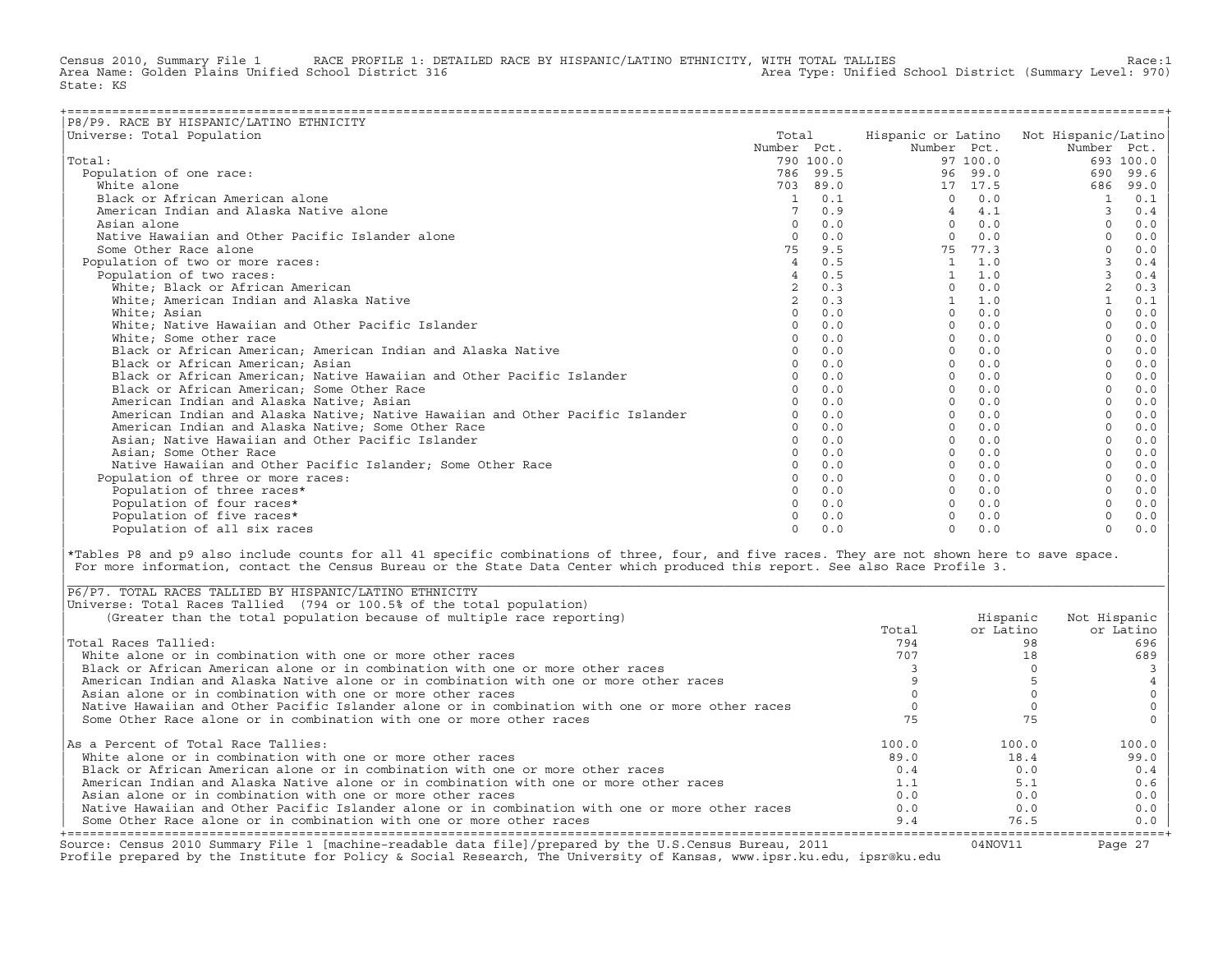Census 2010, Summary File 1 RACE PROFILE 1: DETAILED RACE BY HISPANIC/LATINO ETHNICITY, WITH TOTAL TALLIES Race:1<br>Area Name: Golden Plains Unified School District 316 area Area Type: Unified School District (Summary Level: Area Type: Unified School District (Summary Level: 970) State: KS

| P8/P9. RACE BY HISPANIC/LATINO ETHNICITY                                      |                |           |              |          |                                        |           |
|-------------------------------------------------------------------------------|----------------|-----------|--------------|----------|----------------------------------------|-----------|
| Universe: Total Population                                                    | Total          |           |              |          | Hispanic or Latino Not Hispanic/Latino |           |
|                                                                               | Number Pct.    |           | Number Pct.  |          | Number Pct.                            |           |
| Total:                                                                        |                | 790 100.0 |              | 97 100.0 |                                        | 693 100.0 |
| Population of one race:                                                       |                | 786 99.5  |              | 96 99.0  | 690                                    | 99.6      |
| White alone                                                                   | 703            | 89.0      |              | 17 17.5  | 686                                    | 99.0      |
| Black or African American alone                                               | 1              | 0.1       | $\Omega$     | 0.0      |                                        | 0.1       |
| American Indian and Alaska Native alone                                       |                | 0.9       |              | 4.1      |                                        | 0.4       |
| Asian alone                                                                   | $\Omega$       | 0.0       | $\cap$       | 0.0      |                                        | 0.0       |
| Native Hawaiian and Other Pacific Islander alone                              | $\Omega$       | 0.0       | $\Omega$     | 0.0      |                                        | 0.0       |
| Some Other Race alone                                                         | 75             | 9.5       | 75           | 77.3     | $\Omega$                               | 0.0       |
| Population of two or more races:                                              | $\overline{4}$ | 0.5       | $\mathbf{1}$ | 1.0      |                                        | 0.4       |
| Population of two races:                                                      |                | 0.5       |              | 1.0      | 3                                      | 0.4       |
| White: Black or African American                                              |                | 0.3       | $\Omega$     | 0.0      | $\overline{c}$                         | 0.3       |
| White; American Indian and Alaska Native                                      | $\overline{a}$ | 0.3       |              | 1.0      |                                        | 0.1       |
| White; Asian                                                                  | $\Omega$       | 0.0       | $\Omega$     | 0.0      | $\Omega$                               | 0.0       |
| White; Native Hawaiian and Other Pacific Islander                             | $\Omega$       | 0.0       |              | 0.0      |                                        | 0.0       |
| White; Some other race                                                        |                | 0.0       |              | 0.0      |                                        | 0.0       |
| Black or African American; American Indian and Alaska Native                  | $\Omega$       | 0.0       | $\Omega$     | 0.0      |                                        | 0.0       |
| Black or African American; Asian                                              | $\Omega$       | 0.0       | $\Omega$     | 0.0      |                                        | 0.0       |
| Black or African American; Native Hawaiian and Other Pacific Islander         | $\Omega$       | 0.0       | $\Omega$     | 0.0      |                                        | 0.0       |
| Black or African American; Some Other Race                                    |                | 0.0       | $\Omega$     | 0.0      | $\Omega$                               | 0.0       |
| American Indian and Alaska Native; Asian                                      | $\Omega$       | 0.0       | $\Omega$     | 0.0      |                                        | 0.0       |
| American Indian and Alaska Native; Native Hawaiian and Other Pacific Islander | $\Omega$       | 0.0       | $\Omega$     | 0.0      |                                        | 0.0       |
| American Indian and Alaska Native; Some Other Race                            | $\Omega$       | 0.0       | $\Omega$     | 0.0      |                                        | 0.0       |
| Asian; Native Hawaiian and Other Pacific Islander                             | $\Omega$       | 0.0       |              | 0.0      |                                        | 0.0       |
| Asian; Some Other Race                                                        |                | 0.0       |              | 0.0      |                                        | 0.0       |
| Native Hawaiian and Other Pacific Islander; Some Other Race                   |                | 0.0       |              | 0.0      |                                        | 0.0       |
| Population of three or more races:                                            |                | 0.0       |              | 0.0      |                                        | 0.0       |
| Population of three races*                                                    | $\Omega$       | 0.0       |              | 0.0      |                                        | 0.0       |
| Population of four races*                                                     |                | 0.0       |              | 0.0      |                                        | 0.0       |
| Population of five races*                                                     |                | 0.0       |              | 0.0      |                                        | 0.0       |
| Population of all six races                                                   | $\Omega$       | 0.0       | $\cap$       | 0.0      | $\Omega$                               | 0.0       |

|\*Tables P8 and p9 also include counts for all 41 specific combinations of three, four, and five races. They are not shown here to save space. | For more information, contact the Census Bureau or the State Data Center which produced this report. See also Race Profile 3.

| |

|\_\_\_\_\_\_\_\_\_\_\_\_\_\_\_\_\_\_\_\_\_\_\_\_\_\_\_\_\_\_\_\_\_\_\_\_\_\_\_\_\_\_\_\_\_\_\_\_\_\_\_\_\_\_\_\_\_\_\_\_\_\_\_\_\_\_\_\_\_\_\_\_\_\_\_\_\_\_\_\_\_\_\_\_\_\_\_\_\_\_\_\_\_\_\_\_\_\_\_\_\_\_\_\_\_\_\_\_\_\_\_\_\_\_\_\_\_\_\_\_\_\_\_\_\_\_\_\_\_\_\_\_\_\_\_\_\_\_\_\_\_\_\_\_\_\_\_|

| Source: Census 2010 Summary File 1 [machine-readable data file]/prepared by the U.S.Census Bureau, 2011<br>Profile prepared by the Institute for Policy & Social Research, The University of Kansas, www.ipsr.ku.edu, ipsr@ku.edu |       | 04NOV11   | Page 27      |
|-----------------------------------------------------------------------------------------------------------------------------------------------------------------------------------------------------------------------------------|-------|-----------|--------------|
| Some Other Race alone or in combination with one or more other races                                                                                                                                                              | 9.4   | 76.5      | $0.0$        |
| Native Hawaiian and Other Pacific Islander alone or in combination with one or more other races                                                                                                                                   | 0.0   | 0.0       | 0.0          |
| Asian alone or in combination with one or more other races                                                                                                                                                                        | 0.0   | 0.0       | 0.0          |
| American Indian and Alaska Native alone or in combination with one or more other races                                                                                                                                            | 1.1   | 5.1       | 0.6          |
| Black or African American alone or in combination with one or more other races                                                                                                                                                    | 0.4   | 0.0       | 0.4          |
| White alone or in combination with one or more other races                                                                                                                                                                        | 89.0  | 18.4      | 99.0         |
| As a Percent of Total Race Tallies:                                                                                                                                                                                               | 100.0 | 100.0     | 100.0        |
| Some Other Race alone or in combination with one or more other races                                                                                                                                                              |       | 75        |              |
| Native Hawaiian and Other Pacific Islander alone or in combination with one or more other races                                                                                                                                   |       |           |              |
| Asian alone or in combination with one or more other races                                                                                                                                                                        |       |           |              |
| American Indian and Alaska Native alone or in combination with one or more other races                                                                                                                                            |       |           |              |
| Black or African American alone or in combination with one or more other races                                                                                                                                                    |       |           |              |
| White alone or in combination with one or more other races                                                                                                                                                                        | 707   |           | 689          |
| Total Races Tallied:                                                                                                                                                                                                              | 794   | 98        | 696          |
|                                                                                                                                                                                                                                   | Total | or Latino | or Latino    |
| (Greater than the total population because of multiple race reporting)                                                                                                                                                            |       | Hispanic  | Not Hispanic |
| Universe: Total Races Tallied (794 or 100.5% of the total population)                                                                                                                                                             |       |           |              |
| P6/P7. TOTAL RACES TALLIED BY HISPANIC/LATINO ETHNICITY                                                                                                                                                                           |       |           |              |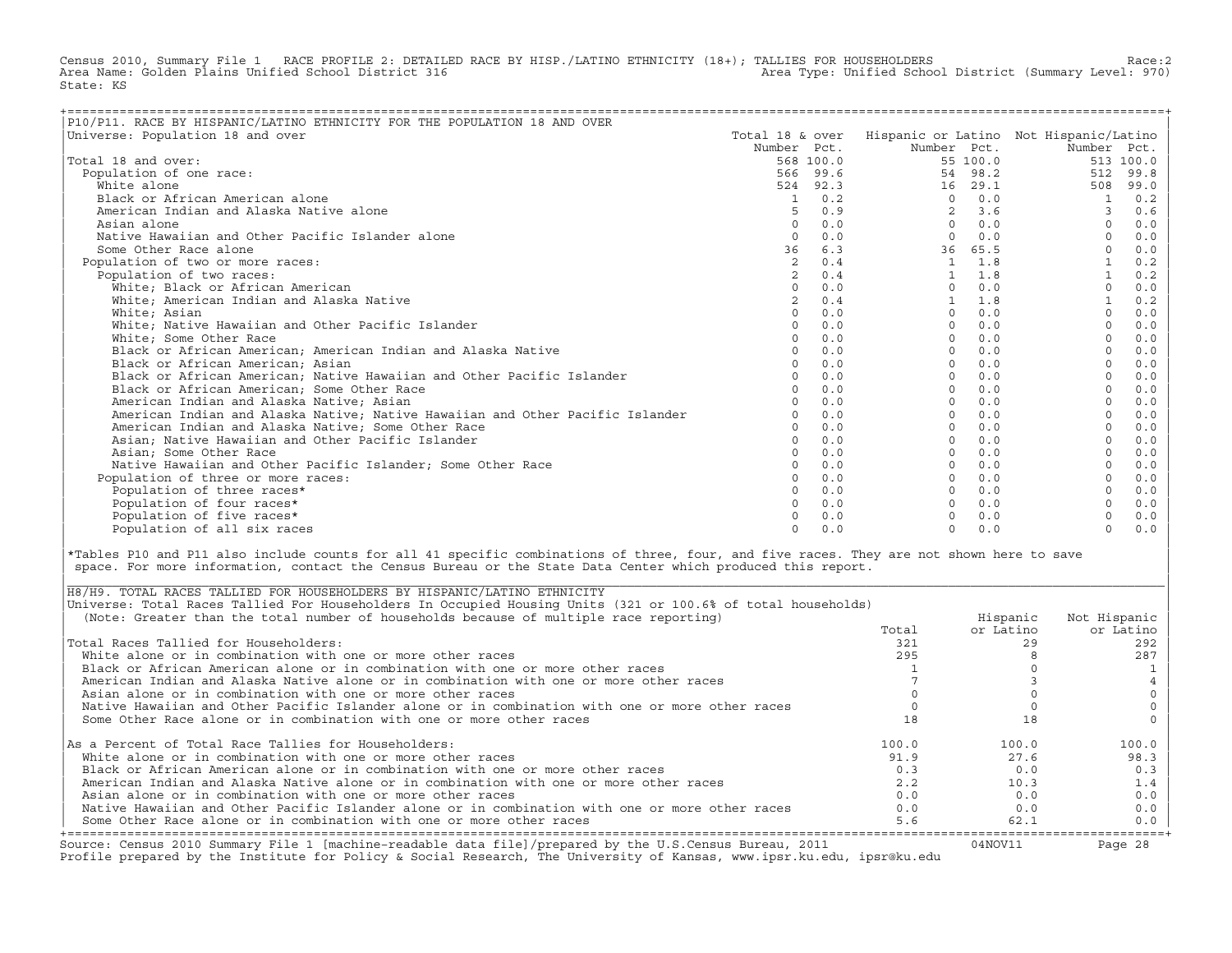Census 2010, Summary File 1 RACE PROFILE 2: DETAILED RACE BY HISP./LATINO ETHNICITY (18+); TALLIES FOR HOUSEHOLDERS Race:2<br>Area Name: Golden Plains Unified School District 316 area Area Type: Unified School District (Summa Area Type: Unified School District (Summary Level: 970) State: KS

| P10/P11. RACE BY HISPANIC/LATINO ETHNICITY FOR THE POPULATION 18 AND OVER     |                 |           |                |          |                                        |           |
|-------------------------------------------------------------------------------|-----------------|-----------|----------------|----------|----------------------------------------|-----------|
| Universe: Population 18 and over                                              | Total 18 & over |           |                |          | Hispanic or Latino Not Hispanic/Latino |           |
|                                                                               | Number Pct.     |           | Number Pct.    |          | Number Pct.                            |           |
| Total 18 and over:                                                            |                 | 568 100.0 |                | 55 100.0 |                                        | 513 100.0 |
| Population of one race:                                                       |                 | 566 99.6  |                | 54 98.2  | 512                                    | 99.8      |
| White alone                                                                   |                 | 524 92.3  | 16             | 29.1     | 508                                    | 99.0      |
| Black or African American alone                                               | 1               | 0.2       | $\Omega$       | 0.0      |                                        | 0.2       |
| American Indian and Alaska Native alone                                       |                 | 0.9       | $\mathfrak{D}$ | 3.6      | 3                                      | 0.6       |
| Asian alone                                                                   |                 | 0.0       | $\Omega$       | 0.0      |                                        | 0.0       |
| Native Hawaiian and Other Pacific Islander alone                              | $\Omega$        | 0.0       | $\Omega$       | 0.0      |                                        | 0.0       |
| Some Other Race alone                                                         | 36              | 6.3       | 36             | 65.5     |                                        | 0.0       |
| Population of two or more races:                                              | 2               | 0.4       | $\mathbf{1}$   | 1.8      |                                        | 0.2       |
| Population of two races:                                                      |                 | 0.4       |                | 1.8      |                                        | 0.2       |
| White; Black or African American                                              |                 | 0.0       | $\Omega$       | 0.0      |                                        | 0.0       |
| White; American Indian and Alaska Native                                      |                 | 0.4       |                | 1.8      |                                        | 0.2       |
| White; Asian                                                                  |                 | 0.0       | $\Omega$       | 0.0      |                                        | 0.0       |
| White; Native Hawaiian and Other Pacific Islander                             |                 | 0.0       | $\Omega$       | 0.0      |                                        | 0.0       |
| White; Some Other Race                                                        |                 | 0.0       | $\Omega$       | 0.0      |                                        | 0.0       |
| Black or African American; American Indian and Alaska Native                  |                 | 0.0       | $\Omega$       | 0.0      |                                        | 0.0       |
| Black or African American; Asian                                              |                 | 0.0       | $\Omega$       | 0.0      |                                        | 0.0       |
| Black or African American; Native Hawaiian and Other Pacific Islander         |                 | 0.0       | $\Omega$       | 0.0      |                                        | 0.0       |
| Black or African American; Some Other Race                                    |                 | 0.0       | $\Omega$       | 0.0      |                                        | 0.0       |
| American Indian and Alaska Native; Asian                                      |                 | 0.0       | $\Omega$       | 0.0      |                                        | 0.0       |
| American Indian and Alaska Native; Native Hawaiian and Other Pacific Islander |                 | 0.0       | $\Omega$       | 0.0      |                                        | 0.0       |
| American Indian and Alaska Native; Some Other Race                            |                 | 0.0       | $\Omega$       | 0.0      |                                        | 0.0       |
| Asian; Native Hawaiian and Other Pacific Islander                             | $\cap$          | 0.0       | $\Omega$       | 0.0      |                                        | 0.0       |
| Asian; Some Other Race                                                        |                 | 0.0       | $\Omega$       | 0.0      |                                        | 0.0       |
| Native Hawaiian and Other Pacific Islander: Some Other Race                   |                 | 0.0       | $\Omega$       | 0.0      |                                        | 0.0       |
| Population of three or more races:                                            |                 | 0.0       | $\Omega$       | 0.0      |                                        | 0.0       |
| Population of three races*                                                    |                 | 0.0       | $\Omega$       | 0.0      |                                        | 0.0       |
| Population of four races*                                                     |                 | 0.0       | $\Omega$       | 0.0      |                                        | 0.0       |
| Population of five races*                                                     |                 | 0.0       |                | 0.0      |                                        | 0.0       |
| Population of all six races                                                   | $\cap$          | 0.0       | $\Omega$       | 0.0      | $\Omega$                               | 0.0       |

|\*Tables P10 and P11 also include counts for all 41 specific combinations of three, four, and five races. They are not shown here to save | space. For more information, contact the Census Bureau or the State Data Center which produced this report.

| Source: Census 2010 Summary File 1 [machine-readable data file]/prepared by the U.S.Census Bureau, 2011<br>Profile prepared by the Institute for Policy & Social Research, The University of Kansas, www.ipsr.ku.edu, ipsr@ku.edu |       | 04NOV11   | Page 28      |
|-----------------------------------------------------------------------------------------------------------------------------------------------------------------------------------------------------------------------------------|-------|-----------|--------------|
| Some Other Race alone or in combination with one or more other races                                                                                                                                                              | 5.6   | 62.1      | $0.0$        |
| Native Hawaiian and Other Pacific Islander alone or in combination with one or more other races                                                                                                                                   | 0.0   | 0.0       | 0.0          |
| Asian alone or in combination with one or more other races                                                                                                                                                                        | 0.0   | 0.0       | 0.0          |
| American Indian and Alaska Native alone or in combination with one or more other races                                                                                                                                            | 2.2   | 10.3      | 1.4          |
| Black or African American alone or in combination with one or more other races                                                                                                                                                    | 0.3   | 0.0       | 0.3          |
| White alone or in combination with one or more other races                                                                                                                                                                        | 91.9  | 27.6      | 98.3         |
| As a Percent of Total Race Tallies for Householders:                                                                                                                                                                              | 100.0 | 100.0     | 100.0        |
| Some Other Race alone or in combination with one or more other races                                                                                                                                                              |       | 18        |              |
| Native Hawaiian and Other Pacific Islander alone or in combination with one or more other races                                                                                                                                   |       |           |              |
| Asian alone or in combination with one or more other races                                                                                                                                                                        |       |           |              |
| American Indian and Alaska Native alone or in combination with one or more other races                                                                                                                                            |       |           |              |
| Black or African American alone or in combination with one or more other races                                                                                                                                                    |       |           |              |
| White alone or in combination with one or more other races                                                                                                                                                                        | 295   |           | 287          |
| Total Races Tallied for Householders:                                                                                                                                                                                             | 321   |           | 292          |
|                                                                                                                                                                                                                                   | Total | or Latino | or Latino    |
| (Note: Greater than the total number of households because of multiple race reporting)                                                                                                                                            |       | Hispanic  | Not Hispanic |
| Universe: Total Races Tallied For Householders In Occupied Housing Units (321 or 100.6% of total households)                                                                                                                      |       |           |              |
| H8/H9. TOTAL RACES TALLIED FOR HOUSEHOLDERS BY HISPANIC/LATINO ETHNICITY                                                                                                                                                          |       |           |              |

| |

|\_\_\_\_\_\_\_\_\_\_\_\_\_\_\_\_\_\_\_\_\_\_\_\_\_\_\_\_\_\_\_\_\_\_\_\_\_\_\_\_\_\_\_\_\_\_\_\_\_\_\_\_\_\_\_\_\_\_\_\_\_\_\_\_\_\_\_\_\_\_\_\_\_\_\_\_\_\_\_\_\_\_\_\_\_\_\_\_\_\_\_\_\_\_\_\_\_\_\_\_\_\_\_\_\_\_\_\_\_\_\_\_\_\_\_\_\_\_\_\_\_\_\_\_\_\_\_\_\_\_\_\_\_\_\_\_\_\_\_\_\_\_\_\_\_\_\_|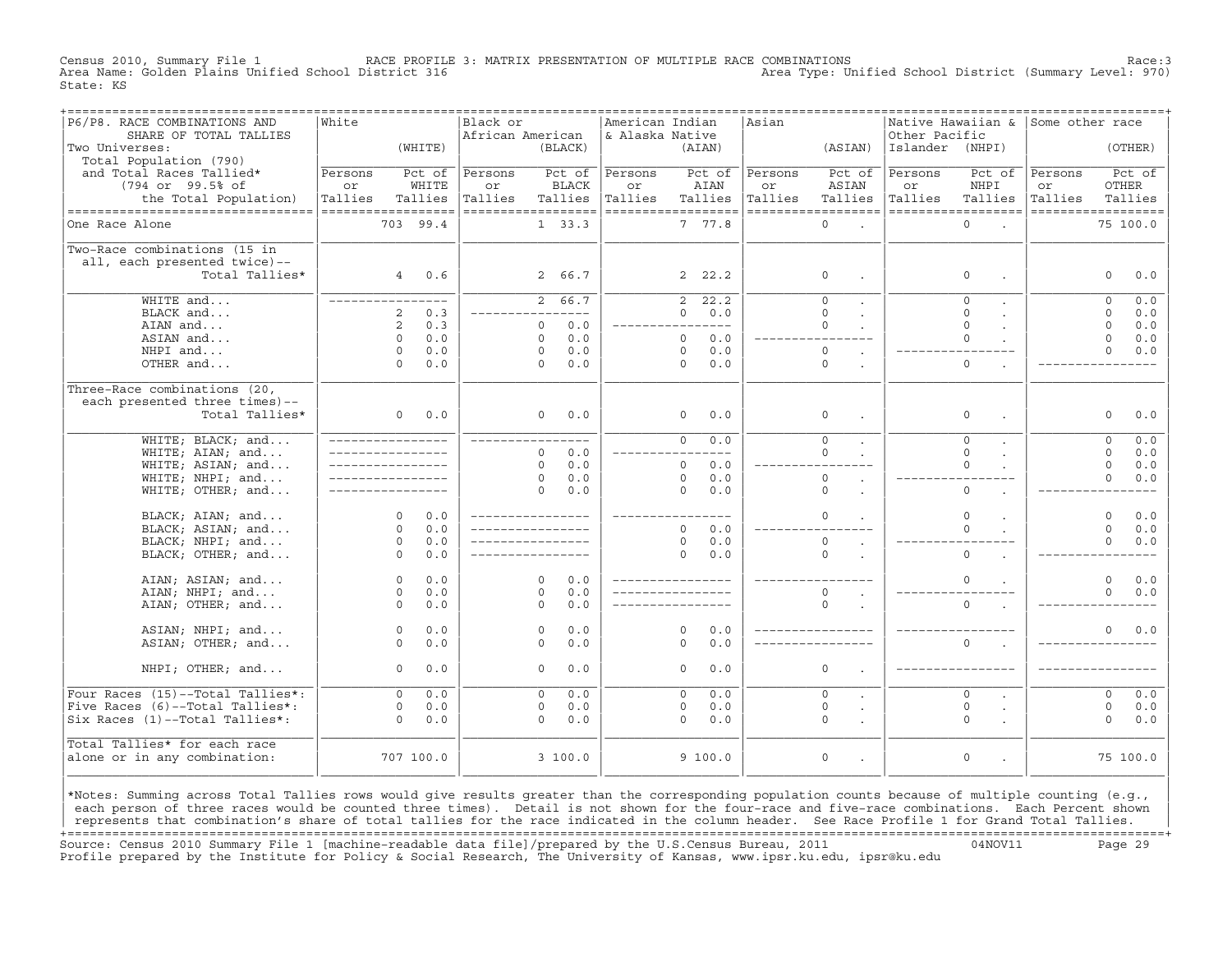Census 2010, Summary File 1 RACE PROFILE 3: MATRIX PRESENTATION OF MULTIPLE RACE COMBINATIONS Race:3 Area Type: Unified School District (Summary Level: 970) State: KS

| ------------------------------<br>P6/P8. RACE COMBINATIONS AND | ===============<br>White         |                |           | Black or           |             |              | American Indian    |                |           | =================================<br>Asian |                                            |                 |                                   |                    |          |              |
|----------------------------------------------------------------|----------------------------------|----------------|-----------|--------------------|-------------|--------------|--------------------|----------------|-----------|--------------------------------------------|--------------------------------------------|-----------------|-----------------------------------|--------------------|----------|--------------|
| SHARE OF TOTAL TALLIES                                         |                                  |                |           | African American   |             |              | & Alaska Native    |                |           |                                            |                                            | Other Pacific   | Native Hawaiian & Some other race |                    |          |              |
| Two Universes:                                                 |                                  |                | (WHITE)   |                    |             | (BLACK)      |                    |                | (AIAN)    |                                            | (ASIAN)                                    | Islander (NHPI) |                                   |                    | (OTHER)  |              |
| Total Population (790)                                         |                                  |                |           |                    |             |              |                    |                |           |                                            |                                            |                 |                                   |                    |          |              |
| and Total Races Tallied*                                       | Persons                          |                | Pct of    | Persons            |             | Pct of       | Persons            |                | Pct of    | Persons                                    | Pct of                                     | Persons         | Pct of                            | Persons            |          | Pct of       |
| (794 or 99.5% of                                               | or                               |                | WHITE     | or                 |             | <b>BLACK</b> | or                 |                | AIAN      | or                                         | ASIAN                                      | or              | NHPI                              | or                 | OTHER    |              |
| the Total Population)                                          | Tallies                          |                | Tallies   | Tallies            |             | Tallies      | Tallies            |                | Tallies   | Tallies                                    | Tallies                                    | Tallies         | Tallies                           | Tallies            |          | Tallies      |
| ----------------------------------                             | ------------------               |                |           | ------------------ |             |              | ------------------ |                |           | ------------------                         |                                            |                 | ------------------                | ------------------ |          |              |
| One Race Alone                                                 |                                  |                | 703 99.4  |                    |             | 1, 33.3      |                    |                | 7 77.8    |                                            | $\Omega$<br>$\sim$ $\sim$                  |                 | $\Omega$                          |                    | 75 100.0 |              |
|                                                                |                                  |                |           |                    |             |              |                    |                |           |                                            |                                            |                 |                                   |                    |          |              |
| Two-Race combinations (15 in                                   |                                  |                |           |                    |             |              |                    |                |           |                                            |                                            |                 |                                   |                    |          |              |
| all, each presented twice)--                                   |                                  |                |           |                    |             |              |                    |                |           |                                            |                                            |                 |                                   |                    |          |              |
| Total Tallies*                                                 |                                  |                | 40.6      |                    |             | 2 66.7       |                    |                | 2, 22.2   |                                            | $\mathbf 0$<br>$\sim$                      |                 | $\mathbf{0}$                      |                    | $\Omega$ | 0.0          |
|                                                                |                                  |                |           |                    |             |              |                    |                |           |                                            |                                            |                 |                                   |                    |          |              |
| WHITE and                                                      | _________________                |                |           |                    |             | 2, 66.7      |                    | $\overline{2}$ | 22.2      |                                            | $\Omega$<br>$\mathbf{r}$                   |                 | $\Omega$                          |                    | $\Omega$ | 0.0          |
| BLACK and                                                      |                                  | 2              | 0.3       |                    |             |              |                    | $\Omega$       | 0.0       |                                            | $\Omega$                                   |                 | $\Omega$                          |                    | $\Omega$ | 0.0          |
| AIAN and                                                       |                                  | 2              | 0.3       |                    | $\Omega$    | 0.0          |                    |                | ----      |                                            | $\Omega$                                   |                 | $\Omega$                          |                    | $\Omega$ | 0.0          |
| ASIAN and                                                      |                                  | $\Omega$       | 0.0       |                    | $\Omega$    | 0.0          |                    | $\Omega$       | 0.0       |                                            |                                            |                 | $\Omega$                          |                    | $\Omega$ | 0.0          |
| NHPI and                                                       |                                  | $\Omega$       | 0.0       |                    | $\Omega$    | 0.0          |                    | $\Omega$       | 0.0       |                                            | $\Omega$<br>$\mathbf{r}$                   |                 |                                   |                    | $\Omega$ | 0.0          |
| OTHER and                                                      |                                  | $\Omega$       | 0.0       |                    | $\Omega$    | 0.0          |                    | $\Omega$       | 0.0       |                                            | $\circ$<br>$\ddot{\phantom{a}}$            |                 | $\circ$                           |                    |          |              |
|                                                                |                                  |                |           |                    |             |              |                    |                |           |                                            |                                            |                 |                                   |                    |          |              |
| Three-Race combinations (20,                                   |                                  |                |           |                    |             |              |                    |                |           |                                            |                                            |                 |                                   |                    |          |              |
| each presented three times)--                                  |                                  |                |           |                    |             |              |                    |                |           |                                            |                                            |                 |                                   |                    |          |              |
| Total Tallies*                                                 |                                  | $\overline{0}$ | 0.0       |                    |             | $0 \t 0.0$   |                    | $\circ$        | 0.0       |                                            | $\mathbf 0$<br>$\ddot{\phantom{a}}$        |                 | $\mathbf{0}$                      |                    | $\circ$  | 0.0          |
|                                                                |                                  |                |           |                    |             |              |                    |                |           |                                            |                                            |                 |                                   |                    |          |              |
| WHITE; BLACK; and                                              | _________________                |                |           |                    |             |              |                    | $\overline{0}$ | 0.0       |                                            | $\overline{0}$                             |                 | $\overline{0}$                    |                    | $\circ$  | 0.0          |
| WHITE; AIAN; and                                               |                                  |                |           |                    | $\Omega$    | 0.0          |                    |                | $---$     |                                            | $\Omega$                                   |                 | $\Omega$                          |                    | $\Omega$ | 0.0          |
| WHITE; ASIAN; and                                              | <u>Listen kan kan kan kan</u> ka |                |           |                    | $\Omega$    | 0.0          |                    | $\Omega$       | 0.0       |                                            |                                            |                 | $\Omega$                          |                    | $\Omega$ | 0.0          |
| WHITE; NHPI; and                                               |                                  |                |           |                    | $\Omega$    | 0.0          |                    | $\Omega$       | 0.0       |                                            | $\circ$<br>$\ddot{\phantom{a}}$            |                 |                                   |                    | $\Omega$ | 0.0          |
| WHITE; OTHER; and                                              |                                  |                |           |                    | $\Omega$    | 0.0          |                    | $\Omega$       | 0.0       |                                            | $\circ$<br>$\sim$                          |                 | $\circ$                           |                    |          |              |
|                                                                |                                  | $\Omega$       | 0.0       |                    |             |              | ____________       |                | $- - - -$ |                                            | $\Omega$                                   |                 | $\Omega$                          |                    | $\Omega$ |              |
| BLACK; AIAN; and<br>BLACK; ASIAN; and                          |                                  | $\Omega$       | 0.0       |                    |             |              |                    | $\Omega$       | 0.0       |                                            |                                            |                 | $\Omega$                          |                    | $\Omega$ | $0.0$<br>0.0 |
| BLACK; NHPI; and                                               |                                  | $\circ$        | 0.0       |                    |             |              |                    | $\circ$        | 0.0       |                                            | $\circ$                                    |                 |                                   |                    | $\Omega$ | 0.0          |
| BLACK; OTHER; and                                              |                                  | $\Omega$       | 0.0       |                    |             |              |                    | $\Omega$       | 0.0       |                                            | $\ddot{\phantom{a}}$<br>$\Omega$<br>$\sim$ |                 | $\Omega$                          |                    |          |              |
|                                                                |                                  |                |           |                    |             |              |                    |                |           |                                            |                                            |                 |                                   |                    |          |              |
| AIAN; ASIAN; and                                               |                                  | $\circ$        | 0.0       |                    | $\Omega$    | 0.0          | _________________  |                |           |                                            |                                            |                 | $\Omega$                          |                    | $\Omega$ | 0.0          |
| AIAN; NHPI; and                                                |                                  | $\circ$        | 0.0       |                    | $\Omega$    | 0.0          |                    |                |           |                                            | $\circ$<br>$\sim$                          |                 |                                   |                    | $\Omega$ | 0.0          |
| AIAN; OTHER; and                                               |                                  | $\Omega$       | 0.0       |                    | $\Omega$    | 0.0          |                    |                |           |                                            | $\Omega$                                   |                 | $\Omega$                          |                    |          |              |
|                                                                |                                  |                |           |                    |             |              |                    |                |           |                                            |                                            |                 |                                   |                    |          |              |
| ASIAN; NHPI; and                                               |                                  | $\Omega$       | 0.0       |                    | $\Omega$    | 0.0          |                    | $\Omega$       | 0.0       |                                            |                                            |                 |                                   |                    | $\Omega$ | 0.0          |
| ASIAN; OTHER; and                                              |                                  | $\Omega$       | 0.0       |                    | $\Omega$    | 0.0          |                    | $\Omega$       | 0.0       |                                            |                                            |                 | $\Omega$                          |                    |          |              |
|                                                                |                                  |                |           |                    |             |              |                    |                |           |                                            |                                            |                 |                                   |                    |          |              |
| NHPI; OTHER; and                                               |                                  | $\Omega$       | 0.0       |                    | $\Omega$    | 0.0          |                    | $\Omega$       | 0.0       |                                            | $\mathbf 0$                                |                 |                                   |                    |          |              |
|                                                                |                                  |                |           |                    |             |              |                    |                |           |                                            |                                            |                 |                                   |                    |          |              |
| Four Races (15)--Total Tallies*:                               |                                  | $\Omega$       | 0.0       |                    | $\Omega$    | 0.0          |                    | $\Omega$       | 0.0       |                                            | $\Omega$<br>$\ddot{\phantom{0}}$           |                 | $\Omega$                          |                    | $\Omega$ | 0.0          |
| Five Races (6)--Total Tallies*:                                |                                  | $\circ$        | 0.0       |                    | $\mathbf 0$ | 0.0          |                    | 0              | 0.0       |                                            | $\circ$<br>$\bullet$                       |                 | $\mathbb O$                       |                    | $\circ$  | 0.0          |
| Six Races (1)--Total Tallies*:                                 |                                  | $\Omega$       | 0.0       |                    | $\Omega$    | 0.0          |                    | $\Omega$       | 0.0       |                                            | $\Omega$                                   |                 | $\Omega$                          |                    | $\Omega$ | 0.0          |
|                                                                |                                  |                |           |                    |             |              |                    |                |           |                                            |                                            |                 |                                   |                    |          |              |
| Total Tallies* for each race                                   |                                  |                |           |                    |             |              |                    |                |           |                                            |                                            |                 |                                   |                    |          |              |
| alone or in any combination:                                   |                                  |                | 707 100.0 |                    |             | 3100.0       |                    |                | 9 100.0   |                                            | $\circ$<br>$\sim$                          |                 | $\mathbb O$                       |                    | 75 100.0 |              |
|                                                                |                                  |                |           |                    |             |              |                    |                |           |                                            |                                            |                 |                                   |                    |          |              |
|                                                                |                                  |                |           |                    |             |              |                    |                |           |                                            |                                            |                 |                                   |                    |          |              |

|\*Notes: Summing across Total Tallies rows would give results greater than the corresponding population counts because of multiple counting (e.g., | each person of three races would be counted three times). Detail is not shown for the four-race and five-race combinations. Each Percent shown represents that combination's share of total tallies for the race indicated in the column header. See Race Profile 1 for Grand Total Tallies. +===================================================================================================================================================+ Source: Census 2010 Summary File 1 [machine−readable data file]/prepared by the U.S.Census Bureau, 2011 04NOV11 Page 29 Profile prepared by the Institute for Policy & Social Research, The University of Kansas, www.ipsr.ku.edu, ipsr@ku.edu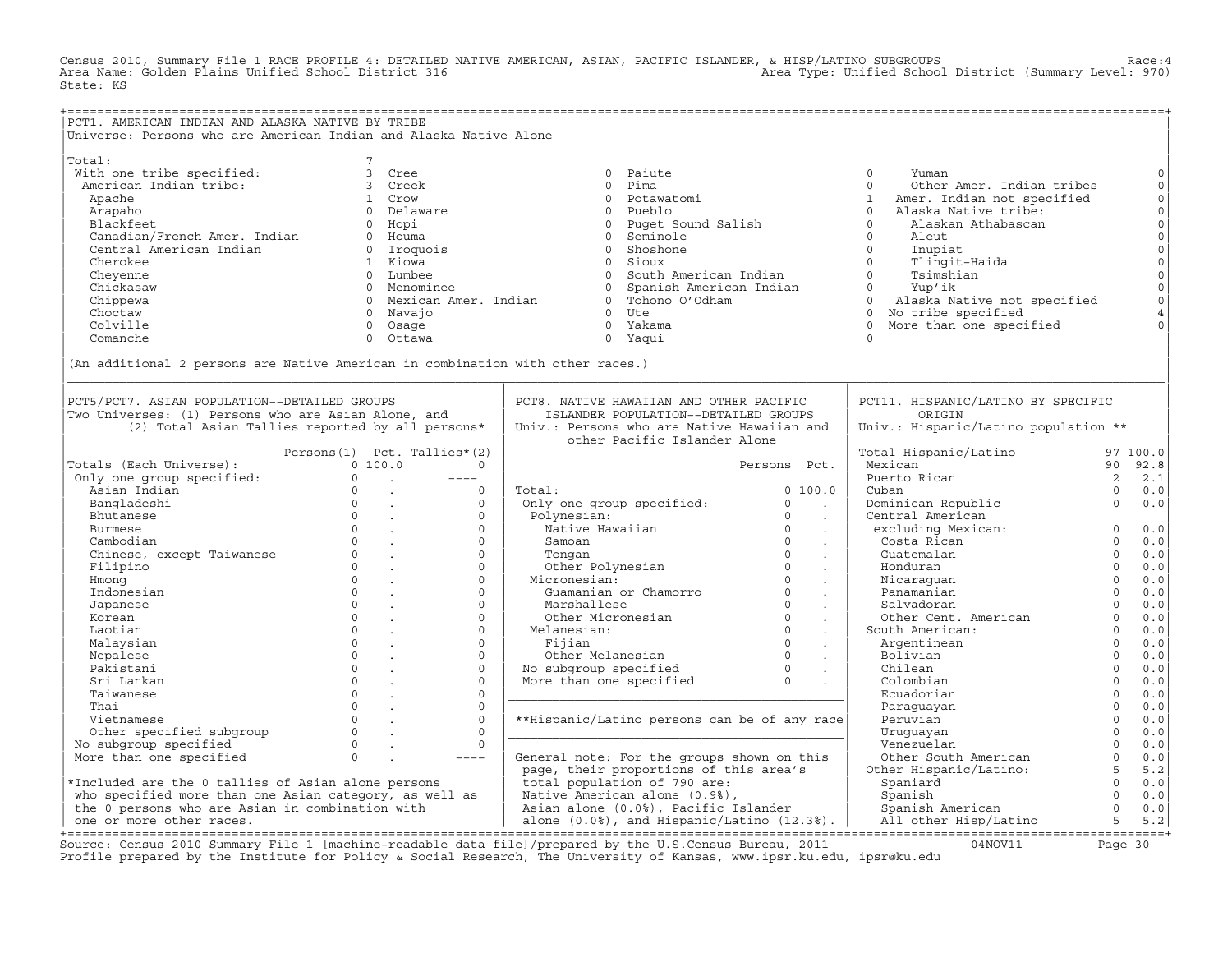Census 2010, Summary File 1 RACE PROFILE 4: DETAILED NATIVE AMERICAN, ASIAN, PACIFIC ISLANDER, & HISP/LATINO SUBGROUPS Race:4 Area Type: Unified School District (Summary Level: 970) State: KS

+===================================================================================================================================================+ |PCT1. AMERICAN INDIAN AND ALASKA NATIVE BY TRIBE | Universe: Persons who are American Indian and Alaska Native Alone | | | Total: 7 | Total: 7 | Total: 7 | Total: 7 | Total: 7 | Total: 7 | Total: 7 | Total: 7 | Total: 7 | Total: 7 | Total: 7 | Total: 7 | Total: 7 | Total: 7 | Total: 7 | Total: 7 | Total: 7 | Total: 7 | Total: 7 | Total: 7 | | With one tribe specified: 3 Cree 0 Paiute 0 Yuman 0| | American Indian tribe: 3 Creek 0 Pima 0 Other Amer. Indian tribes 0| | Apache 1 Crow 0 Potawatomi 1 Amer. Indian not specified 0| | Arapaho 0 Delaware 0 Pueblo 0 Alaska Native tribe: 0| | Blackfeet 0 Hopi 0 Puget Sound Salish 0 Alaskan Athabascan 0| | Canadian/French Amer. Indian 0 Houma 0 Seminole 0 Aleut 0| | Central American Indian 0 Iroquois 0 Shoshone 0 Inupiat 0| | Cherokee 1 Kiowa 0 Sioux 0 Tlingit−Haida 0| | Cheyenne 0 Lumbee 0 South American Indian 0 Tsimshian 0| | Chickasaw 0 Menominee 0 Spanish American Indian 0 Yup'ik 0| | Chippewa 0 Mexican Amer. Indian 0 Tohono O'Odham 0 Alaska Native not specified 0| | Choctaw 0 Navajo 0 Ute 0 No tribe specified 4| | Colville 0 Osage 0 Yakama 0 More than one specified 0| | Comanche 0 Ottawa 0 Yaqui 0 | | | |(An additional 2 persons are Native American in combination with other races.) | |\_\_\_\_\_\_\_\_\_\_\_\_\_\_\_\_\_\_\_\_\_\_\_\_\_\_\_\_\_\_\_\_\_\_\_\_\_\_\_\_\_\_\_\_\_\_\_\_\_\_\_\_\_\_\_\_\_\_\_\_\_\_\_\_\_\_\_\_\_\_\_\_\_\_\_\_\_\_\_\_\_\_\_\_\_\_\_\_\_\_\_\_\_\_\_\_\_\_\_\_\_\_\_\_\_\_\_\_\_\_\_\_\_\_\_\_\_\_\_\_\_\_\_\_\_\_\_\_\_\_\_\_\_\_\_\_\_\_\_\_\_\_\_\_\_\_\_| | | | | |PCT5/PCT7. ASIAN POPULATION−−DETAILED GROUPS | PCT8. NATIVE HAWAIIAN AND OTHER PACIFIC | PCT11. HISPANIC/LATINO BY SPECIFIC | |Two Universes: (1) Persons who are Asian Alone, and | ISLANDER POPULATION−−DETAILED GROUPS | ORIGIN | | (2) Total Asian Tallies reported by all persons\* | Univ.: Persons who are Native Hawaiian and | Univ.: Hispanic/Latino population \*\* | | | other Pacific Islander Alone | | | Persons(1) Pct. Tallies\*(2) | | Total Hispanic/Latino 97 100.0| |Totals (Each Universe): 0 100.0 0 | Persons Pct. | Mexican 90 92.8| | Only one group specified: 0 . −−−− | | Puerto Rican 2 2.1| | Asian Indian 0 . 0 | Total: 0 100.0 | Cuban 0 0.0| | Bangladeshi 0 . 0 | Only one group specified: 0 . | Dominican Republic 0 0.0| | Bhutanese 0 . 0 | Polynesian: 0 . | Central American | | Burmese 0 . 0 | Native Hawaiian 0 . | excluding Mexican: 0 0.0| | Cambodian 0 . 0 | Samoan 0 . | Costa Rican 0 0.0| | Chinese, except Taiwanese 0 . 0 | Tongan 0 . | Guatemalan 0 0.0| | Filipino 0 . 0 | Other Polynesian 0 . | Honduran 0 0.0| | Hmong 0 . 0 | Micronesian: 0 . | Nicaraguan 0 0.0| | Indonesian 0 . 0 | Guamanian or Chamorro 0 . | Panamanian 0 0.0| | Japanese 0 . 0 | Marshallese 0 . | Salvadoran 0 0.0| | Korean 0 . 0 | Other Micronesian 0 . | Other Cent. American 0 0.0| | Laotian 0 . 0 | Melanesian: 0 . | South American: 0 0.0| | Malaysian 0 . 0 | Fijian 0 . | Argentinean 0 0.0| | Nepalese 0 . 0 | Other Melanesian 0 . | Bolivian 0 0.0| | Pakistani 0 . 0 | No subgroup specified 0 . | Chilean 0 0.0| | Sri Lankan 0 . 0 | More than one specified 0 . | Colombian 0 0.0| | Taiwanese 0 . 0 |\_\_\_\_\_\_\_\_\_\_\_\_\_\_\_\_\_\_\_\_\_\_\_\_\_\_\_\_\_\_\_\_\_\_\_\_\_\_\_\_\_\_\_\_\_| Ecuadorian 0 0.0| | Thai 0 . 0 | | Paraguayan 0 0.0| | Vietnamese 0 . 0 | \*\*Hispanic/Latino persons can be of any race| Peruvian 0 0.0| | Other specified subgroup 0 . 0 |\_\_\_\_\_\_\_\_\_\_\_\_\_\_\_\_\_\_\_\_\_\_\_\_\_\_\_\_\_\_\_\_\_\_\_\_\_\_\_\_\_\_\_\_\_| Uruguayan 0 0.0| | No subgroup specified 0 . 0 | | Venezuelan 0 0.0| | More than one specified 0 . −−−− | General note: For the groups shown on this | Other South American 0 0.0| | | page, their proportions of this area's | Other Hispanic/Latino: 5 5.2| |\*Included are the 0 tallies of Asian alone persons | total population of 790 are: | Spaniard 0 0.0| | who specified more than one Asian category, as well as | Native American alone (0.9%), | Spanish 0 0.0| | the 0 persons who are Asian in combination with | Asian alone (0.0%), Pacific Islander | Spanish American 0 0.0| | one or more other races. | alone (0.0%), and Hispanic/Latino (12.3%). | All other Hisp/Latino 5 5.2| +===================================================================================================================================================+

Source: Census 2010 Summary File 1 [machine−readable data file]/prepared by the U.S.Census Bureau, 2011 04NOV11 Page 30 Profile prepared by the Institute for Policy & Social Research, The University of Kansas, www.ipsr.ku.edu, ipsr@ku.edu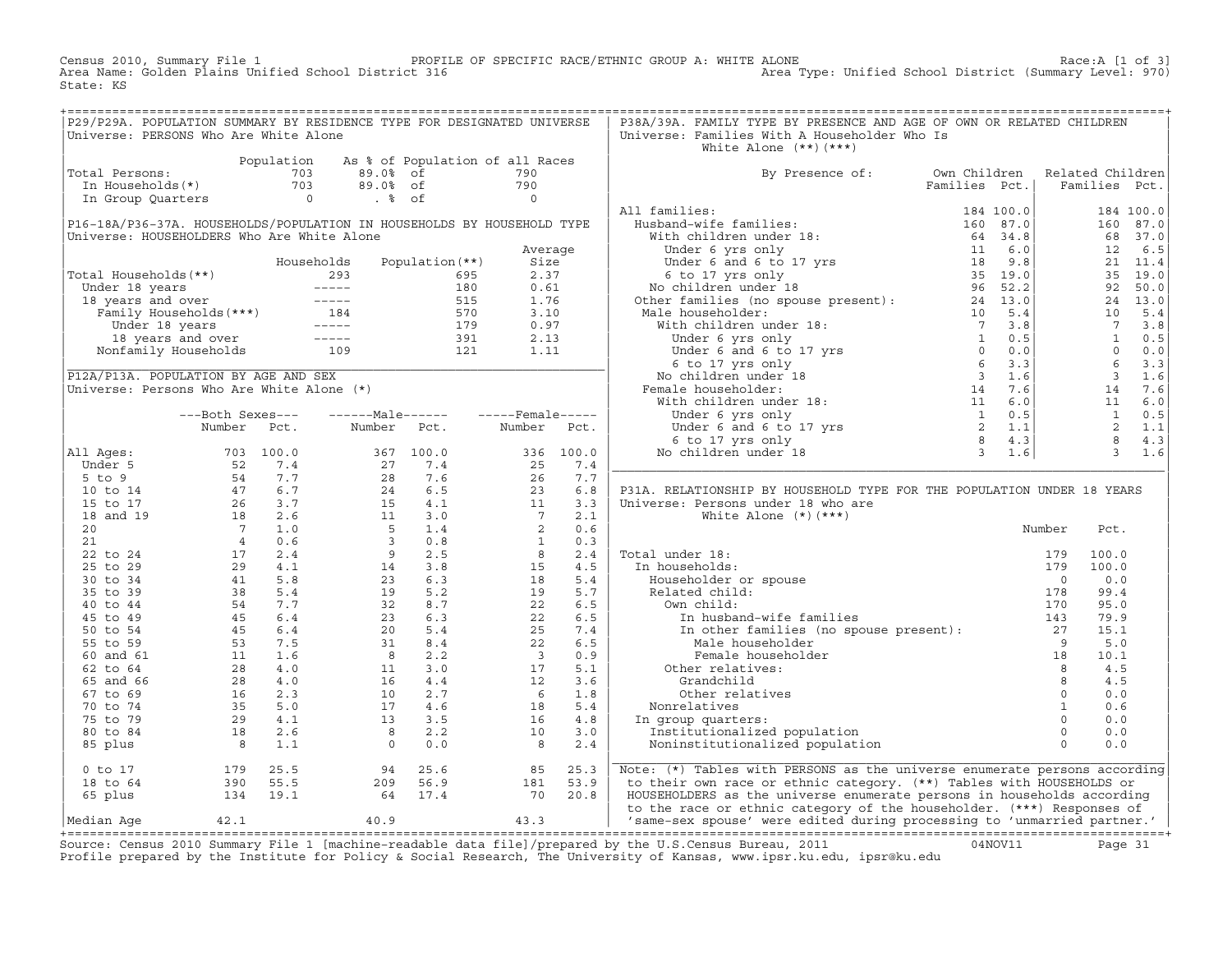Census 2010, Summary File 1 PROFILE OF SPECIFIC RACE/ETHNIC GROUP A: WHITE ALONE Race:A [1 of 3]<br>Area Name: Golden Plains Unified School District 316 area Type: Unified School District (Summary Level: 970) Area Type: Unified School District (Summary Level: 970) State: KS

+===================================================================================================================================================+|P29/P29A. POPULATION SUMMARY BY RESIDENCE TYPE FOR DESIGNATED UNIVERSE | P38A/39A. FAMILY TYPE BY PRESENCE AND AGE OF OWN OR RELATED CHILDREN<br>|Universe: PERSONS Who Are White Alone Universe: Families With A Householder Who Is White Alone  $(**)$   $(***)$ | Population As % of Population of all Races | | |Total Persons: Total Persons: The Contract of Contractor of 2013 and 2013<br>|The Households(\*) 703 89.0% of 790 | By Presence of: Own Children Related Children<br>|The Group Quarters contract of the Section of the Section of t | In Households(\*) 703 89.0% of 790 | Families Pct.| Families Pct.| | In Group Quarters 0 . % of 0 | | | | | All families: 184 100.0| 184 100.0| |P16−18A/P36−37A. HOUSEHOLDS/POPULATION IN HOUSEHOLDS BY HOUSEHOLD TYPE | Husband−wife families: 160 87.0| 160 87.0| |Universe: HOUSEHOLDERS Who Are White Alone | With children under 18: 64 34.8| 68 37.0| | Average | Under 6 yrs only 11 6.0| 12 6.5| | Households Population(\*\*) Size | Under 6 and 6 to 17 yrs 18 9.8| 21 11.4| |Total Households(\*\*) 293 695 2.37 | 6 to 17 yrs only 35 19.0| 35 19.0| | Under 18 years −−−−− 180 0.61 | No children under 18 96 52.2| 92 50.0| | 18 years and over −−−−− 515 1.76 | Other families (no spouse present): 24 13.0| 24 13.0| | Family Households(\*\*\*) 184 570 3.10 | Male householder: 10 5.4| 10 5.4| | Under 18 years −−−−− 179 0.97 | With children under 18: 7 3.8| 7 3.8| | 18 years and over −−−−− 391 2.13 | Under 6 yrs only 1 0.5| 1 0.5| | Nonfamily Households 109 121 1.11 | Under 6 and 6 to 17 yrs 0 0.0| 0 0.0| |\_\_\_\_\_\_\_\_\_\_\_\_\_\_\_\_\_\_\_\_\_\_\_\_\_\_\_\_\_\_\_\_\_\_\_\_\_\_\_\_\_\_\_\_\_\_\_\_\_\_\_\_\_\_\_\_\_\_\_\_\_\_\_\_\_\_\_\_\_\_\_\_| 6 to 17 yrs only 6 3.3| 6 3.3| |P12A/P13A. POPULATION BY AGE AND SEX | No children under 18 3 1.6| 3 1.6| 3 1.6| |Universe: Persons Who Are White Alone (\*) | Female householder: 14 7.6| 14 7.6| | With children under 18: | 11 6.0| 11 6.0| 11 6.0| 11 6.0| 11 6.0| 11 6.0| 11 6.0| 11 6.0| 11 6.0| 11 6.0| 11 6.0| 11 6.0| 11 6.0| 11 6.0| 11 6.0| 11 6.0| 11 6.0| 11 6.0| 11 6.0| 11 6.0| 11 6.0| 11 6.0| 11 6.0| 11 6.0| 11 | −−−Both Sexes−−− −−−−−−Male−−−−−− −−−−−Female−−−−− | Under 6 yrs only 1 0.5| 1 0.5| | Number Pct. Number Pct. Number Pct. | Under 6 and 6 to 17 yrs 2 1.1| 2 1.1|  $[ 6 \text{ to } 17 \text{ yrs only} 8 4.3]$  8 4.3 |All Ages: 703 100.0 367 100.0 336 100.0 | No children under 18 3 1.6| 3 1.6| | Under 5 52 7.4 27 7.4 25 7.4 |\_\_\_\_\_\_\_\_\_\_\_\_\_\_\_\_\_\_\_\_\_\_\_\_\_\_\_\_\_\_\_\_\_\_\_\_\_\_\_\_\_\_\_\_\_\_\_\_\_\_\_\_\_\_\_\_\_\_\_\_\_\_\_\_\_\_\_\_\_\_\_\_\_\_| | 5 to 9 54 7.7 28 7.6 26 7.7 | | 10 to 14  $47$  6.7  $24$  6.5  $23$  6.8 | P31A. RELATIONSHIP BY HOUSEHOLD TYPE FOR THE POPULATION UNDER 18 YEARS | 15 to 17  $26$  3.7  $15$   $4.1$   $11$   $3.3$  | Universe: Persons under 18 who are | 18 and 19 18 2.6 11 3.0 7 2.1 | White Alone (\*)(\*\*\*) | | 20 7 1.0 5 1.4 2 0.6 | Number Pct.  $\begin{array}{cccccccccccc} 21 & 4 & 0.6 & 3 & 0.8 & 1 & 0.3 \end{array}$ | 22 to 24 17 2.4 9 2.5 8 2.4 | Total under 18: 179 100.0 | | 25 to 29 29 4.1 14 3.8 15 4.5 | In households: 179 100.0 | | 30 to 34 41 5.8 23 6.3 18 5.4 | Householder or spouse 0 0.0 | | 35 to 39 38 5.4 19 5.2 19 5.7 | Related child: 178 99.4 | | 40 to 44 54 7.7 32 8.7 22 6.5 | Own child: 170 95.0 | | 45 to 49 45 6.4 23 6.3 22 6.5 | In husband−wife families 143 79.9 | | 50 to 54 45 6.4 20 5.4 25 7.4 | In other families (no spouse present): 27 15.1 | | 55 to 59 53 7.5 31 8.4 22 6.5 | Male householder 9 5.0 | | 60 and 61 11 1.6 8 2.2 3 0.9 | Female householder 18 10.1 | | 62 to 64 28 4.0 11 3.0 17 5.1 | Other relatives: 8 4.5 | | 65 and 66 28 4.0 16 4.4 12 3.6 | Grandchild 8 4.5 | | 67 to 69 16 2.3 10 2.7 6 1.8 | Other relatives 0 0.0 | | 70 to 74 35 5.0 17 4.6 18 5.4 | Nonrelatives 1 0.6 | | 75 to 79 29 4.1 13 3.5 16 4.8 | In group quarters: 0 0.0 | | 80 to 84 18 2.6 8 2.2 10 3.0 | Institutionalized population 0 0.0 | | 85 plus 8 1.1 0 0.0 8 2.4 | Noninstitutionalized population 0 0.0 | | |\_\_\_\_\_\_\_\_\_\_\_\_\_\_\_\_\_\_\_\_\_\_\_\_\_\_\_\_\_\_\_\_\_\_\_\_\_\_\_\_\_\_\_\_\_\_\_\_\_\_\_\_\_\_\_\_\_\_\_\_\_\_\_\_\_\_\_\_\_\_\_\_\_\_| | 0 to 17 179 25.5 94 25.6 85 25.3 | Note: (\*) Tables with PERSONS as the universe enumerate persons according| | 18 to 64 390 55.5 209 56.9 181 53.9 | to their own race or ethnic category. (\*\*) Tables with HOUSEHOLDS or |  $|$  65 plus  $134$   $19.1$  64  $17.4$   $70$   $20.8$   $|$  HOUSEHOLDERS as the universe enumerate persons in households according | to the race or ethnic category of the householder. (\*\*\*) Responses of |Median Age 42.1 40.9 43.3 | 'same−sex spouse' were edited during processing to 'unmarried partner.' | +===================================================================================================================================================+

Source: Census 2010 Summary File 1 [machine−readable data file]/prepared by the U.S.Census Bureau, 2011 04NOV11 Page 31 Profile prepared by the Institute for Policy & Social Research, The University of Kansas, www.ipsr.ku.edu, ipsr@ku.edu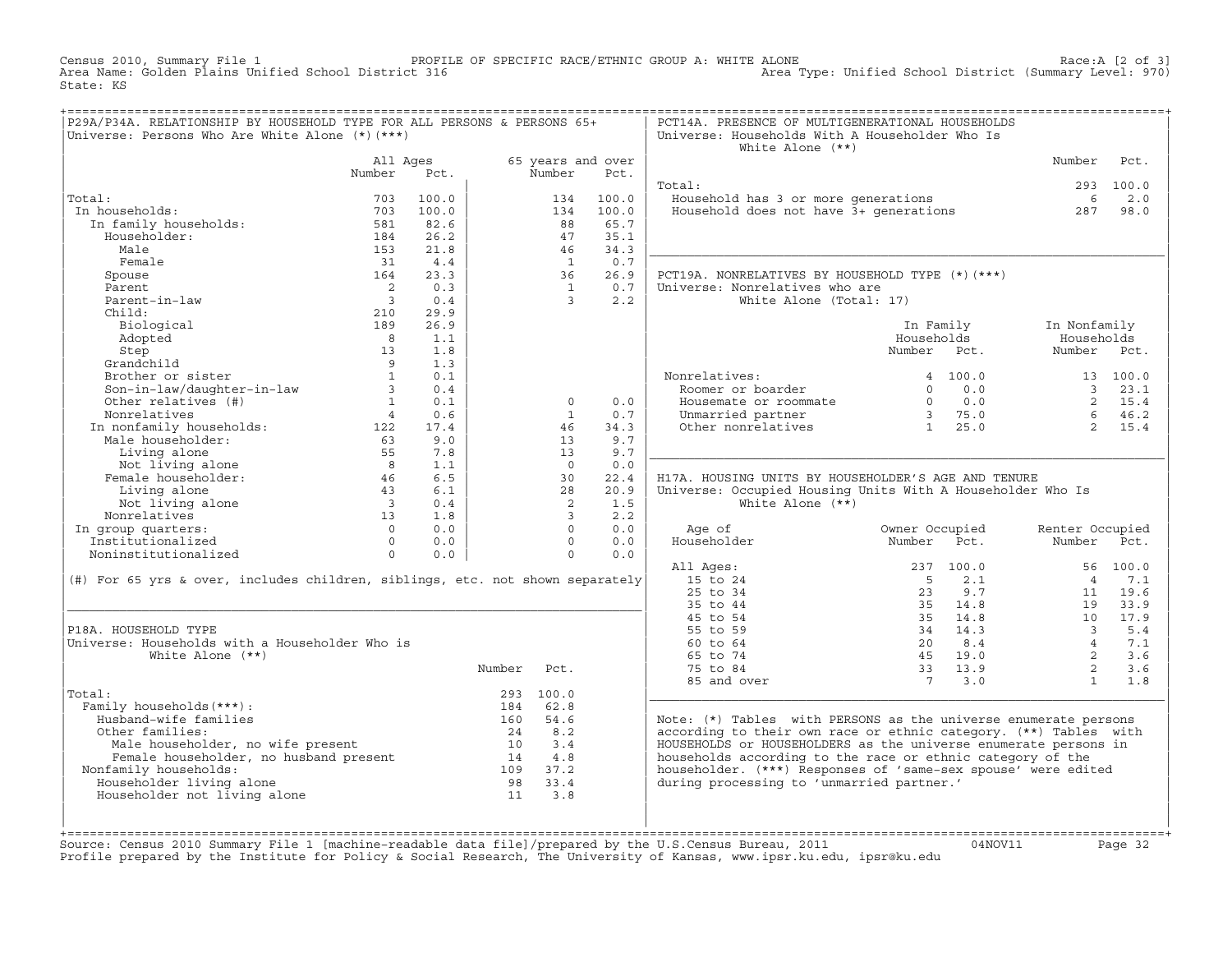Census 2010, Summary File 1 PROFILE OF SPECIFIC RACE/ETHNIC GROUP A: WHITE ALONE Race:A [2 of 3] Area Type: Unified School District (Summary Level: 970) State: KS

| 65 years and over<br>Number<br>All Ages<br>Pct.<br>Number<br>Pct.<br>Number<br>Pct.<br>293 100.0<br>Total:<br>Total:<br>100.0<br>Household has 3 or more generations<br>6<br>2.0<br>703<br>134<br>100.0<br>Housenoid has 3 or more generations<br>Household does not have 3+ generations<br>In households:<br>100.0<br>100.0<br>703<br>134<br>287<br>98.0<br>In family households:<br>581<br>82.6<br>88<br>65.7<br>Householder:<br>26.2<br>35.1<br>184<br>47<br>Male<br>34.3<br>153<br>21.8<br>46<br>Female<br>0.7<br>31<br>4.4<br>$\overline{1}$<br>26.9<br>Spouse<br>164<br>23.3<br>36<br>PCT19A. NONRELATIVES BY HOUSEHOLD TYPE (*) (***)<br>Parent<br>$\overline{\phantom{a}}$<br>0.3<br>0.7<br>Universe: Nonrelatives who are<br>$\overline{1}$<br>Parent-in-law<br>$\overline{\mathbf{3}}$<br>0.4<br>$\mathcal{S}$<br>2.2<br>White Alone (Total: 17)<br>Child:<br>29.9<br>210<br>26.9<br>Biological<br>189<br>In Family<br>In Nonfamily<br>Adopted<br>8 <sup>8</sup><br>1.1<br>Households<br>Households<br>Number Pct.<br>Step<br>13<br>1.8<br>Number Pct.<br>Grandchild<br>1.3<br>$\overline{9}$<br>Brother or sister<br>$\overline{1}$<br>0.1<br>Nonrelatives:<br>4, 100.0<br>13 100.0<br>Roomer or boarder<br>Son-in-law/daughter-in-law<br>$\overline{\mathbf{3}}$<br>0.0<br>23.1<br>0.4<br>$\Omega$<br>$\overline{3}$<br>Other relatives (#)<br>$\mathbf{1}$<br>0.1<br>0.0<br>$\begin{array}{ccc} 0 & 0.0 \\ 3 & 75.0 \end{array}$<br>$\overline{2}$<br>15.4<br>$\circ$<br>Housemate or roommate<br>$\begin{array}{cc} 3 & 75.0 \\ 1 & 25.0 \end{array}$<br>Nonrelatives<br>$\overline{4}$<br>0.6<br>$\mathbf{1}$<br>0.7<br>Unmarried partner<br>$6^{\circ}$<br>46.2<br>Other nonrelatives<br>Frame interface to the mondanily households:<br>Male householder:<br>Living alone 55<br>Not living alone 8<br>Female householder: 46<br>34.3<br>$2^{\circ}$<br>17.4<br>46<br>15.4<br>9.7<br>9.0<br>13<br>9.7<br>7.8<br>13<br>1.1<br>$\Omega$<br>0.0<br>6.5<br>46<br>30<br>22.4<br>H17A, HOUSING UNITS BY HOUSEHOLDER'S AGE AND TENURE<br>Living alone<br>6.1<br>28<br>20.9<br>Universe: Occupied Housing Units With A Householder Who Is<br>43<br>Not living alone<br>$\overline{\mathbf{3}}$<br>2<br>1.5<br>White Alone $(**)$<br>0.4<br>Nonrelatives<br>13<br>$\mathbf{3}$<br>2.2<br>1.8<br>$\Omega$<br>In group quarters:<br>$\overline{0}$<br>0.0<br>0.0<br>Owner Occupied<br>Age of<br>Renter Occupied<br>Householder<br>Institutionalized<br>$\overline{0}$<br>0.0<br>$\Omega$<br>0.0<br>Number<br>Pct.<br>Number<br>Pct.<br>Noninstitutionalized<br>0.0<br>$\overline{0}$<br>0.0<br>$\Omega$<br>All Ages:<br>237 100.0<br>56 100.0<br>15 to 24<br>(#) For 65 yrs & over, includes children, siblings, etc. not shown separately<br>$5^{\circ}$<br>2.1<br>$\overline{4}$<br>7.1<br>25 to 34<br>9.7<br>19.6<br>23<br>11<br>35 to 44<br>35 14.8<br>19<br>33.9<br>45 to 54<br>35 14.8<br>10<br>17.9<br>P18A. HOUSEHOLD TYPE<br>55 to 59<br>34 14.3<br>$\overline{3}$<br>5.4<br>Universe: Households with a Householder Who is<br>60 to 64<br>20<br>8.4<br>$\overline{4}$<br>7.1<br>White Alone $(**)$<br>65 to 74<br>45 19.0<br>$\overline{2}$<br>3.6<br>2<br>Number<br>75 to 84<br>33 13.9<br>3.6<br>Pct.<br>85 and over<br>7 3.0<br>$\mathbf{1}$<br>1.8<br>Total:<br>293 100.0<br>Family households (***) :<br>184 62.8<br>Husband-wife families<br>160<br>54.6<br>Note: $(*)$ Tables with PERSONS as the universe enumerate persons<br>according to their own race or ethnic category. (**) Tables with<br>Other families:<br>24 8.2<br>HOUSEHOLDS or HOUSEHOLDERS as the universe enumerate persons in<br>Male householder, no wife present<br>3.4<br>10<br>Female householder, no husband present<br>households according to the race or ethnic category of the<br>14 4.8<br>householder. (***) Responses of 'same-sex spouse' were edited<br>Nonfamily households:<br>109 37.2<br>during processing to 'unmarried partner.'<br>Householder living alone<br>98<br>33.4<br>Householder not living alone<br>11<br>3.8 | P29A/P34A. RELATIONSHIP BY HOUSEHOLD TYPE FOR ALL PERSONS & PERSONS 65+<br>Universe: Persons Who Are White Alone (*) (***) |  |  | PCT14A. PRESENCE OF MULTIGENERATIONAL HOUSEHOLDS<br>Universe: Households With A Householder Who Is<br>White Alone $(**)$ |  |  |
|--------------------------------------------------------------------------------------------------------------------------------------------------------------------------------------------------------------------------------------------------------------------------------------------------------------------------------------------------------------------------------------------------------------------------------------------------------------------------------------------------------------------------------------------------------------------------------------------------------------------------------------------------------------------------------------------------------------------------------------------------------------------------------------------------------------------------------------------------------------------------------------------------------------------------------------------------------------------------------------------------------------------------------------------------------------------------------------------------------------------------------------------------------------------------------------------------------------------------------------------------------------------------------------------------------------------------------------------------------------------------------------------------------------------------------------------------------------------------------------------------------------------------------------------------------------------------------------------------------------------------------------------------------------------------------------------------------------------------------------------------------------------------------------------------------------------------------------------------------------------------------------------------------------------------------------------------------------------------------------------------------------------------------------------------------------------------------------------------------------------------------------------------------------------------------------------------------------------------------------------------------------------------------------------------------------------------------------------------------------------------------------------------------------------------------------------------------------------------------------------------------------------------------------------------------------------------------------------------------------------------------------------------------------------------------------------------------------------------------------------------------------------------------------------------------------------------------------------------------------------------------------------------------------------------------------------------------------------------------------------------------------------------------------------------------------------------------------------------------------------------------------------------------------------------------------------------------------------------------------------------------------------------------------------------------------------------------------------------------------------------------------------------------------------------------------------------------------------------------------------------------------------------------------------------------------------------------------------------------------------------------------------------------------------------------------------------------------------------------------------------------------------------------------------------------------------------------------------------------------------------------------------------------------------------------------------------------------------------------------------------------------------------------------|----------------------------------------------------------------------------------------------------------------------------|--|--|--------------------------------------------------------------------------------------------------------------------------|--|--|
|                                                                                                                                                                                                                                                                                                                                                                                                                                                                                                                                                                                                                                                                                                                                                                                                                                                                                                                                                                                                                                                                                                                                                                                                                                                                                                                                                                                                                                                                                                                                                                                                                                                                                                                                                                                                                                                                                                                                                                                                                                                                                                                                                                                                                                                                                                                                                                                                                                                                                                                                                                                                                                                                                                                                                                                                                                                                                                                                                                                                                                                                                                                                                                                                                                                                                                                                                                                                                                                                                                                                                                                                                                                                                                                                                                                                                                                                                                                                                                                                                                      |                                                                                                                            |  |  |                                                                                                                          |  |  |
|                                                                                                                                                                                                                                                                                                                                                                                                                                                                                                                                                                                                                                                                                                                                                                                                                                                                                                                                                                                                                                                                                                                                                                                                                                                                                                                                                                                                                                                                                                                                                                                                                                                                                                                                                                                                                                                                                                                                                                                                                                                                                                                                                                                                                                                                                                                                                                                                                                                                                                                                                                                                                                                                                                                                                                                                                                                                                                                                                                                                                                                                                                                                                                                                                                                                                                                                                                                                                                                                                                                                                                                                                                                                                                                                                                                                                                                                                                                                                                                                                                      |                                                                                                                            |  |  |                                                                                                                          |  |  |
|                                                                                                                                                                                                                                                                                                                                                                                                                                                                                                                                                                                                                                                                                                                                                                                                                                                                                                                                                                                                                                                                                                                                                                                                                                                                                                                                                                                                                                                                                                                                                                                                                                                                                                                                                                                                                                                                                                                                                                                                                                                                                                                                                                                                                                                                                                                                                                                                                                                                                                                                                                                                                                                                                                                                                                                                                                                                                                                                                                                                                                                                                                                                                                                                                                                                                                                                                                                                                                                                                                                                                                                                                                                                                                                                                                                                                                                                                                                                                                                                                                      |                                                                                                                            |  |  |                                                                                                                          |  |  |
|                                                                                                                                                                                                                                                                                                                                                                                                                                                                                                                                                                                                                                                                                                                                                                                                                                                                                                                                                                                                                                                                                                                                                                                                                                                                                                                                                                                                                                                                                                                                                                                                                                                                                                                                                                                                                                                                                                                                                                                                                                                                                                                                                                                                                                                                                                                                                                                                                                                                                                                                                                                                                                                                                                                                                                                                                                                                                                                                                                                                                                                                                                                                                                                                                                                                                                                                                                                                                                                                                                                                                                                                                                                                                                                                                                                                                                                                                                                                                                                                                                      |                                                                                                                            |  |  |                                                                                                                          |  |  |
|                                                                                                                                                                                                                                                                                                                                                                                                                                                                                                                                                                                                                                                                                                                                                                                                                                                                                                                                                                                                                                                                                                                                                                                                                                                                                                                                                                                                                                                                                                                                                                                                                                                                                                                                                                                                                                                                                                                                                                                                                                                                                                                                                                                                                                                                                                                                                                                                                                                                                                                                                                                                                                                                                                                                                                                                                                                                                                                                                                                                                                                                                                                                                                                                                                                                                                                                                                                                                                                                                                                                                                                                                                                                                                                                                                                                                                                                                                                                                                                                                                      |                                                                                                                            |  |  |                                                                                                                          |  |  |
|                                                                                                                                                                                                                                                                                                                                                                                                                                                                                                                                                                                                                                                                                                                                                                                                                                                                                                                                                                                                                                                                                                                                                                                                                                                                                                                                                                                                                                                                                                                                                                                                                                                                                                                                                                                                                                                                                                                                                                                                                                                                                                                                                                                                                                                                                                                                                                                                                                                                                                                                                                                                                                                                                                                                                                                                                                                                                                                                                                                                                                                                                                                                                                                                                                                                                                                                                                                                                                                                                                                                                                                                                                                                                                                                                                                                                                                                                                                                                                                                                                      |                                                                                                                            |  |  |                                                                                                                          |  |  |
|                                                                                                                                                                                                                                                                                                                                                                                                                                                                                                                                                                                                                                                                                                                                                                                                                                                                                                                                                                                                                                                                                                                                                                                                                                                                                                                                                                                                                                                                                                                                                                                                                                                                                                                                                                                                                                                                                                                                                                                                                                                                                                                                                                                                                                                                                                                                                                                                                                                                                                                                                                                                                                                                                                                                                                                                                                                                                                                                                                                                                                                                                                                                                                                                                                                                                                                                                                                                                                                                                                                                                                                                                                                                                                                                                                                                                                                                                                                                                                                                                                      |                                                                                                                            |  |  |                                                                                                                          |  |  |
|                                                                                                                                                                                                                                                                                                                                                                                                                                                                                                                                                                                                                                                                                                                                                                                                                                                                                                                                                                                                                                                                                                                                                                                                                                                                                                                                                                                                                                                                                                                                                                                                                                                                                                                                                                                                                                                                                                                                                                                                                                                                                                                                                                                                                                                                                                                                                                                                                                                                                                                                                                                                                                                                                                                                                                                                                                                                                                                                                                                                                                                                                                                                                                                                                                                                                                                                                                                                                                                                                                                                                                                                                                                                                                                                                                                                                                                                                                                                                                                                                                      |                                                                                                                            |  |  |                                                                                                                          |  |  |
|                                                                                                                                                                                                                                                                                                                                                                                                                                                                                                                                                                                                                                                                                                                                                                                                                                                                                                                                                                                                                                                                                                                                                                                                                                                                                                                                                                                                                                                                                                                                                                                                                                                                                                                                                                                                                                                                                                                                                                                                                                                                                                                                                                                                                                                                                                                                                                                                                                                                                                                                                                                                                                                                                                                                                                                                                                                                                                                                                                                                                                                                                                                                                                                                                                                                                                                                                                                                                                                                                                                                                                                                                                                                                                                                                                                                                                                                                                                                                                                                                                      |                                                                                                                            |  |  |                                                                                                                          |  |  |
|                                                                                                                                                                                                                                                                                                                                                                                                                                                                                                                                                                                                                                                                                                                                                                                                                                                                                                                                                                                                                                                                                                                                                                                                                                                                                                                                                                                                                                                                                                                                                                                                                                                                                                                                                                                                                                                                                                                                                                                                                                                                                                                                                                                                                                                                                                                                                                                                                                                                                                                                                                                                                                                                                                                                                                                                                                                                                                                                                                                                                                                                                                                                                                                                                                                                                                                                                                                                                                                                                                                                                                                                                                                                                                                                                                                                                                                                                                                                                                                                                                      |                                                                                                                            |  |  |                                                                                                                          |  |  |
|                                                                                                                                                                                                                                                                                                                                                                                                                                                                                                                                                                                                                                                                                                                                                                                                                                                                                                                                                                                                                                                                                                                                                                                                                                                                                                                                                                                                                                                                                                                                                                                                                                                                                                                                                                                                                                                                                                                                                                                                                                                                                                                                                                                                                                                                                                                                                                                                                                                                                                                                                                                                                                                                                                                                                                                                                                                                                                                                                                                                                                                                                                                                                                                                                                                                                                                                                                                                                                                                                                                                                                                                                                                                                                                                                                                                                                                                                                                                                                                                                                      |                                                                                                                            |  |  |                                                                                                                          |  |  |
|                                                                                                                                                                                                                                                                                                                                                                                                                                                                                                                                                                                                                                                                                                                                                                                                                                                                                                                                                                                                                                                                                                                                                                                                                                                                                                                                                                                                                                                                                                                                                                                                                                                                                                                                                                                                                                                                                                                                                                                                                                                                                                                                                                                                                                                                                                                                                                                                                                                                                                                                                                                                                                                                                                                                                                                                                                                                                                                                                                                                                                                                                                                                                                                                                                                                                                                                                                                                                                                                                                                                                                                                                                                                                                                                                                                                                                                                                                                                                                                                                                      |                                                                                                                            |  |  |                                                                                                                          |  |  |
|                                                                                                                                                                                                                                                                                                                                                                                                                                                                                                                                                                                                                                                                                                                                                                                                                                                                                                                                                                                                                                                                                                                                                                                                                                                                                                                                                                                                                                                                                                                                                                                                                                                                                                                                                                                                                                                                                                                                                                                                                                                                                                                                                                                                                                                                                                                                                                                                                                                                                                                                                                                                                                                                                                                                                                                                                                                                                                                                                                                                                                                                                                                                                                                                                                                                                                                                                                                                                                                                                                                                                                                                                                                                                                                                                                                                                                                                                                                                                                                                                                      |                                                                                                                            |  |  |                                                                                                                          |  |  |
|                                                                                                                                                                                                                                                                                                                                                                                                                                                                                                                                                                                                                                                                                                                                                                                                                                                                                                                                                                                                                                                                                                                                                                                                                                                                                                                                                                                                                                                                                                                                                                                                                                                                                                                                                                                                                                                                                                                                                                                                                                                                                                                                                                                                                                                                                                                                                                                                                                                                                                                                                                                                                                                                                                                                                                                                                                                                                                                                                                                                                                                                                                                                                                                                                                                                                                                                                                                                                                                                                                                                                                                                                                                                                                                                                                                                                                                                                                                                                                                                                                      |                                                                                                                            |  |  |                                                                                                                          |  |  |
|                                                                                                                                                                                                                                                                                                                                                                                                                                                                                                                                                                                                                                                                                                                                                                                                                                                                                                                                                                                                                                                                                                                                                                                                                                                                                                                                                                                                                                                                                                                                                                                                                                                                                                                                                                                                                                                                                                                                                                                                                                                                                                                                                                                                                                                                                                                                                                                                                                                                                                                                                                                                                                                                                                                                                                                                                                                                                                                                                                                                                                                                                                                                                                                                                                                                                                                                                                                                                                                                                                                                                                                                                                                                                                                                                                                                                                                                                                                                                                                                                                      |                                                                                                                            |  |  |                                                                                                                          |  |  |
|                                                                                                                                                                                                                                                                                                                                                                                                                                                                                                                                                                                                                                                                                                                                                                                                                                                                                                                                                                                                                                                                                                                                                                                                                                                                                                                                                                                                                                                                                                                                                                                                                                                                                                                                                                                                                                                                                                                                                                                                                                                                                                                                                                                                                                                                                                                                                                                                                                                                                                                                                                                                                                                                                                                                                                                                                                                                                                                                                                                                                                                                                                                                                                                                                                                                                                                                                                                                                                                                                                                                                                                                                                                                                                                                                                                                                                                                                                                                                                                                                                      |                                                                                                                            |  |  |                                                                                                                          |  |  |
|                                                                                                                                                                                                                                                                                                                                                                                                                                                                                                                                                                                                                                                                                                                                                                                                                                                                                                                                                                                                                                                                                                                                                                                                                                                                                                                                                                                                                                                                                                                                                                                                                                                                                                                                                                                                                                                                                                                                                                                                                                                                                                                                                                                                                                                                                                                                                                                                                                                                                                                                                                                                                                                                                                                                                                                                                                                                                                                                                                                                                                                                                                                                                                                                                                                                                                                                                                                                                                                                                                                                                                                                                                                                                                                                                                                                                                                                                                                                                                                                                                      |                                                                                                                            |  |  |                                                                                                                          |  |  |
|                                                                                                                                                                                                                                                                                                                                                                                                                                                                                                                                                                                                                                                                                                                                                                                                                                                                                                                                                                                                                                                                                                                                                                                                                                                                                                                                                                                                                                                                                                                                                                                                                                                                                                                                                                                                                                                                                                                                                                                                                                                                                                                                                                                                                                                                                                                                                                                                                                                                                                                                                                                                                                                                                                                                                                                                                                                                                                                                                                                                                                                                                                                                                                                                                                                                                                                                                                                                                                                                                                                                                                                                                                                                                                                                                                                                                                                                                                                                                                                                                                      |                                                                                                                            |  |  |                                                                                                                          |  |  |
|                                                                                                                                                                                                                                                                                                                                                                                                                                                                                                                                                                                                                                                                                                                                                                                                                                                                                                                                                                                                                                                                                                                                                                                                                                                                                                                                                                                                                                                                                                                                                                                                                                                                                                                                                                                                                                                                                                                                                                                                                                                                                                                                                                                                                                                                                                                                                                                                                                                                                                                                                                                                                                                                                                                                                                                                                                                                                                                                                                                                                                                                                                                                                                                                                                                                                                                                                                                                                                                                                                                                                                                                                                                                                                                                                                                                                                                                                                                                                                                                                                      |                                                                                                                            |  |  |                                                                                                                          |  |  |
|                                                                                                                                                                                                                                                                                                                                                                                                                                                                                                                                                                                                                                                                                                                                                                                                                                                                                                                                                                                                                                                                                                                                                                                                                                                                                                                                                                                                                                                                                                                                                                                                                                                                                                                                                                                                                                                                                                                                                                                                                                                                                                                                                                                                                                                                                                                                                                                                                                                                                                                                                                                                                                                                                                                                                                                                                                                                                                                                                                                                                                                                                                                                                                                                                                                                                                                                                                                                                                                                                                                                                                                                                                                                                                                                                                                                                                                                                                                                                                                                                                      |                                                                                                                            |  |  |                                                                                                                          |  |  |
|                                                                                                                                                                                                                                                                                                                                                                                                                                                                                                                                                                                                                                                                                                                                                                                                                                                                                                                                                                                                                                                                                                                                                                                                                                                                                                                                                                                                                                                                                                                                                                                                                                                                                                                                                                                                                                                                                                                                                                                                                                                                                                                                                                                                                                                                                                                                                                                                                                                                                                                                                                                                                                                                                                                                                                                                                                                                                                                                                                                                                                                                                                                                                                                                                                                                                                                                                                                                                                                                                                                                                                                                                                                                                                                                                                                                                                                                                                                                                                                                                                      |                                                                                                                            |  |  |                                                                                                                          |  |  |
|                                                                                                                                                                                                                                                                                                                                                                                                                                                                                                                                                                                                                                                                                                                                                                                                                                                                                                                                                                                                                                                                                                                                                                                                                                                                                                                                                                                                                                                                                                                                                                                                                                                                                                                                                                                                                                                                                                                                                                                                                                                                                                                                                                                                                                                                                                                                                                                                                                                                                                                                                                                                                                                                                                                                                                                                                                                                                                                                                                                                                                                                                                                                                                                                                                                                                                                                                                                                                                                                                                                                                                                                                                                                                                                                                                                                                                                                                                                                                                                                                                      |                                                                                                                            |  |  |                                                                                                                          |  |  |
|                                                                                                                                                                                                                                                                                                                                                                                                                                                                                                                                                                                                                                                                                                                                                                                                                                                                                                                                                                                                                                                                                                                                                                                                                                                                                                                                                                                                                                                                                                                                                                                                                                                                                                                                                                                                                                                                                                                                                                                                                                                                                                                                                                                                                                                                                                                                                                                                                                                                                                                                                                                                                                                                                                                                                                                                                                                                                                                                                                                                                                                                                                                                                                                                                                                                                                                                                                                                                                                                                                                                                                                                                                                                                                                                                                                                                                                                                                                                                                                                                                      |                                                                                                                            |  |  |                                                                                                                          |  |  |
|                                                                                                                                                                                                                                                                                                                                                                                                                                                                                                                                                                                                                                                                                                                                                                                                                                                                                                                                                                                                                                                                                                                                                                                                                                                                                                                                                                                                                                                                                                                                                                                                                                                                                                                                                                                                                                                                                                                                                                                                                                                                                                                                                                                                                                                                                                                                                                                                                                                                                                                                                                                                                                                                                                                                                                                                                                                                                                                                                                                                                                                                                                                                                                                                                                                                                                                                                                                                                                                                                                                                                                                                                                                                                                                                                                                                                                                                                                                                                                                                                                      |                                                                                                                            |  |  |                                                                                                                          |  |  |
|                                                                                                                                                                                                                                                                                                                                                                                                                                                                                                                                                                                                                                                                                                                                                                                                                                                                                                                                                                                                                                                                                                                                                                                                                                                                                                                                                                                                                                                                                                                                                                                                                                                                                                                                                                                                                                                                                                                                                                                                                                                                                                                                                                                                                                                                                                                                                                                                                                                                                                                                                                                                                                                                                                                                                                                                                                                                                                                                                                                                                                                                                                                                                                                                                                                                                                                                                                                                                                                                                                                                                                                                                                                                                                                                                                                                                                                                                                                                                                                                                                      |                                                                                                                            |  |  |                                                                                                                          |  |  |
|                                                                                                                                                                                                                                                                                                                                                                                                                                                                                                                                                                                                                                                                                                                                                                                                                                                                                                                                                                                                                                                                                                                                                                                                                                                                                                                                                                                                                                                                                                                                                                                                                                                                                                                                                                                                                                                                                                                                                                                                                                                                                                                                                                                                                                                                                                                                                                                                                                                                                                                                                                                                                                                                                                                                                                                                                                                                                                                                                                                                                                                                                                                                                                                                                                                                                                                                                                                                                                                                                                                                                                                                                                                                                                                                                                                                                                                                                                                                                                                                                                      |                                                                                                                            |  |  |                                                                                                                          |  |  |
|                                                                                                                                                                                                                                                                                                                                                                                                                                                                                                                                                                                                                                                                                                                                                                                                                                                                                                                                                                                                                                                                                                                                                                                                                                                                                                                                                                                                                                                                                                                                                                                                                                                                                                                                                                                                                                                                                                                                                                                                                                                                                                                                                                                                                                                                                                                                                                                                                                                                                                                                                                                                                                                                                                                                                                                                                                                                                                                                                                                                                                                                                                                                                                                                                                                                                                                                                                                                                                                                                                                                                                                                                                                                                                                                                                                                                                                                                                                                                                                                                                      |                                                                                                                            |  |  |                                                                                                                          |  |  |
|                                                                                                                                                                                                                                                                                                                                                                                                                                                                                                                                                                                                                                                                                                                                                                                                                                                                                                                                                                                                                                                                                                                                                                                                                                                                                                                                                                                                                                                                                                                                                                                                                                                                                                                                                                                                                                                                                                                                                                                                                                                                                                                                                                                                                                                                                                                                                                                                                                                                                                                                                                                                                                                                                                                                                                                                                                                                                                                                                                                                                                                                                                                                                                                                                                                                                                                                                                                                                                                                                                                                                                                                                                                                                                                                                                                                                                                                                                                                                                                                                                      |                                                                                                                            |  |  |                                                                                                                          |  |  |
|                                                                                                                                                                                                                                                                                                                                                                                                                                                                                                                                                                                                                                                                                                                                                                                                                                                                                                                                                                                                                                                                                                                                                                                                                                                                                                                                                                                                                                                                                                                                                                                                                                                                                                                                                                                                                                                                                                                                                                                                                                                                                                                                                                                                                                                                                                                                                                                                                                                                                                                                                                                                                                                                                                                                                                                                                                                                                                                                                                                                                                                                                                                                                                                                                                                                                                                                                                                                                                                                                                                                                                                                                                                                                                                                                                                                                                                                                                                                                                                                                                      |                                                                                                                            |  |  |                                                                                                                          |  |  |
|                                                                                                                                                                                                                                                                                                                                                                                                                                                                                                                                                                                                                                                                                                                                                                                                                                                                                                                                                                                                                                                                                                                                                                                                                                                                                                                                                                                                                                                                                                                                                                                                                                                                                                                                                                                                                                                                                                                                                                                                                                                                                                                                                                                                                                                                                                                                                                                                                                                                                                                                                                                                                                                                                                                                                                                                                                                                                                                                                                                                                                                                                                                                                                                                                                                                                                                                                                                                                                                                                                                                                                                                                                                                                                                                                                                                                                                                                                                                                                                                                                      |                                                                                                                            |  |  |                                                                                                                          |  |  |
|                                                                                                                                                                                                                                                                                                                                                                                                                                                                                                                                                                                                                                                                                                                                                                                                                                                                                                                                                                                                                                                                                                                                                                                                                                                                                                                                                                                                                                                                                                                                                                                                                                                                                                                                                                                                                                                                                                                                                                                                                                                                                                                                                                                                                                                                                                                                                                                                                                                                                                                                                                                                                                                                                                                                                                                                                                                                                                                                                                                                                                                                                                                                                                                                                                                                                                                                                                                                                                                                                                                                                                                                                                                                                                                                                                                                                                                                                                                                                                                                                                      |                                                                                                                            |  |  |                                                                                                                          |  |  |
|                                                                                                                                                                                                                                                                                                                                                                                                                                                                                                                                                                                                                                                                                                                                                                                                                                                                                                                                                                                                                                                                                                                                                                                                                                                                                                                                                                                                                                                                                                                                                                                                                                                                                                                                                                                                                                                                                                                                                                                                                                                                                                                                                                                                                                                                                                                                                                                                                                                                                                                                                                                                                                                                                                                                                                                                                                                                                                                                                                                                                                                                                                                                                                                                                                                                                                                                                                                                                                                                                                                                                                                                                                                                                                                                                                                                                                                                                                                                                                                                                                      |                                                                                                                            |  |  |                                                                                                                          |  |  |
|                                                                                                                                                                                                                                                                                                                                                                                                                                                                                                                                                                                                                                                                                                                                                                                                                                                                                                                                                                                                                                                                                                                                                                                                                                                                                                                                                                                                                                                                                                                                                                                                                                                                                                                                                                                                                                                                                                                                                                                                                                                                                                                                                                                                                                                                                                                                                                                                                                                                                                                                                                                                                                                                                                                                                                                                                                                                                                                                                                                                                                                                                                                                                                                                                                                                                                                                                                                                                                                                                                                                                                                                                                                                                                                                                                                                                                                                                                                                                                                                                                      |                                                                                                                            |  |  |                                                                                                                          |  |  |
|                                                                                                                                                                                                                                                                                                                                                                                                                                                                                                                                                                                                                                                                                                                                                                                                                                                                                                                                                                                                                                                                                                                                                                                                                                                                                                                                                                                                                                                                                                                                                                                                                                                                                                                                                                                                                                                                                                                                                                                                                                                                                                                                                                                                                                                                                                                                                                                                                                                                                                                                                                                                                                                                                                                                                                                                                                                                                                                                                                                                                                                                                                                                                                                                                                                                                                                                                                                                                                                                                                                                                                                                                                                                                                                                                                                                                                                                                                                                                                                                                                      |                                                                                                                            |  |  |                                                                                                                          |  |  |
|                                                                                                                                                                                                                                                                                                                                                                                                                                                                                                                                                                                                                                                                                                                                                                                                                                                                                                                                                                                                                                                                                                                                                                                                                                                                                                                                                                                                                                                                                                                                                                                                                                                                                                                                                                                                                                                                                                                                                                                                                                                                                                                                                                                                                                                                                                                                                                                                                                                                                                                                                                                                                                                                                                                                                                                                                                                                                                                                                                                                                                                                                                                                                                                                                                                                                                                                                                                                                                                                                                                                                                                                                                                                                                                                                                                                                                                                                                                                                                                                                                      |                                                                                                                            |  |  |                                                                                                                          |  |  |
|                                                                                                                                                                                                                                                                                                                                                                                                                                                                                                                                                                                                                                                                                                                                                                                                                                                                                                                                                                                                                                                                                                                                                                                                                                                                                                                                                                                                                                                                                                                                                                                                                                                                                                                                                                                                                                                                                                                                                                                                                                                                                                                                                                                                                                                                                                                                                                                                                                                                                                                                                                                                                                                                                                                                                                                                                                                                                                                                                                                                                                                                                                                                                                                                                                                                                                                                                                                                                                                                                                                                                                                                                                                                                                                                                                                                                                                                                                                                                                                                                                      |                                                                                                                            |  |  |                                                                                                                          |  |  |
|                                                                                                                                                                                                                                                                                                                                                                                                                                                                                                                                                                                                                                                                                                                                                                                                                                                                                                                                                                                                                                                                                                                                                                                                                                                                                                                                                                                                                                                                                                                                                                                                                                                                                                                                                                                                                                                                                                                                                                                                                                                                                                                                                                                                                                                                                                                                                                                                                                                                                                                                                                                                                                                                                                                                                                                                                                                                                                                                                                                                                                                                                                                                                                                                                                                                                                                                                                                                                                                                                                                                                                                                                                                                                                                                                                                                                                                                                                                                                                                                                                      |                                                                                                                            |  |  |                                                                                                                          |  |  |
|                                                                                                                                                                                                                                                                                                                                                                                                                                                                                                                                                                                                                                                                                                                                                                                                                                                                                                                                                                                                                                                                                                                                                                                                                                                                                                                                                                                                                                                                                                                                                                                                                                                                                                                                                                                                                                                                                                                                                                                                                                                                                                                                                                                                                                                                                                                                                                                                                                                                                                                                                                                                                                                                                                                                                                                                                                                                                                                                                                                                                                                                                                                                                                                                                                                                                                                                                                                                                                                                                                                                                                                                                                                                                                                                                                                                                                                                                                                                                                                                                                      |                                                                                                                            |  |  |                                                                                                                          |  |  |
|                                                                                                                                                                                                                                                                                                                                                                                                                                                                                                                                                                                                                                                                                                                                                                                                                                                                                                                                                                                                                                                                                                                                                                                                                                                                                                                                                                                                                                                                                                                                                                                                                                                                                                                                                                                                                                                                                                                                                                                                                                                                                                                                                                                                                                                                                                                                                                                                                                                                                                                                                                                                                                                                                                                                                                                                                                                                                                                                                                                                                                                                                                                                                                                                                                                                                                                                                                                                                                                                                                                                                                                                                                                                                                                                                                                                                                                                                                                                                                                                                                      |                                                                                                                            |  |  |                                                                                                                          |  |  |
|                                                                                                                                                                                                                                                                                                                                                                                                                                                                                                                                                                                                                                                                                                                                                                                                                                                                                                                                                                                                                                                                                                                                                                                                                                                                                                                                                                                                                                                                                                                                                                                                                                                                                                                                                                                                                                                                                                                                                                                                                                                                                                                                                                                                                                                                                                                                                                                                                                                                                                                                                                                                                                                                                                                                                                                                                                                                                                                                                                                                                                                                                                                                                                                                                                                                                                                                                                                                                                                                                                                                                                                                                                                                                                                                                                                                                                                                                                                                                                                                                                      |                                                                                                                            |  |  |                                                                                                                          |  |  |
|                                                                                                                                                                                                                                                                                                                                                                                                                                                                                                                                                                                                                                                                                                                                                                                                                                                                                                                                                                                                                                                                                                                                                                                                                                                                                                                                                                                                                                                                                                                                                                                                                                                                                                                                                                                                                                                                                                                                                                                                                                                                                                                                                                                                                                                                                                                                                                                                                                                                                                                                                                                                                                                                                                                                                                                                                                                                                                                                                                                                                                                                                                                                                                                                                                                                                                                                                                                                                                                                                                                                                                                                                                                                                                                                                                                                                                                                                                                                                                                                                                      |                                                                                                                            |  |  |                                                                                                                          |  |  |
|                                                                                                                                                                                                                                                                                                                                                                                                                                                                                                                                                                                                                                                                                                                                                                                                                                                                                                                                                                                                                                                                                                                                                                                                                                                                                                                                                                                                                                                                                                                                                                                                                                                                                                                                                                                                                                                                                                                                                                                                                                                                                                                                                                                                                                                                                                                                                                                                                                                                                                                                                                                                                                                                                                                                                                                                                                                                                                                                                                                                                                                                                                                                                                                                                                                                                                                                                                                                                                                                                                                                                                                                                                                                                                                                                                                                                                                                                                                                                                                                                                      |                                                                                                                            |  |  |                                                                                                                          |  |  |
|                                                                                                                                                                                                                                                                                                                                                                                                                                                                                                                                                                                                                                                                                                                                                                                                                                                                                                                                                                                                                                                                                                                                                                                                                                                                                                                                                                                                                                                                                                                                                                                                                                                                                                                                                                                                                                                                                                                                                                                                                                                                                                                                                                                                                                                                                                                                                                                                                                                                                                                                                                                                                                                                                                                                                                                                                                                                                                                                                                                                                                                                                                                                                                                                                                                                                                                                                                                                                                                                                                                                                                                                                                                                                                                                                                                                                                                                                                                                                                                                                                      |                                                                                                                            |  |  |                                                                                                                          |  |  |
|                                                                                                                                                                                                                                                                                                                                                                                                                                                                                                                                                                                                                                                                                                                                                                                                                                                                                                                                                                                                                                                                                                                                                                                                                                                                                                                                                                                                                                                                                                                                                                                                                                                                                                                                                                                                                                                                                                                                                                                                                                                                                                                                                                                                                                                                                                                                                                                                                                                                                                                                                                                                                                                                                                                                                                                                                                                                                                                                                                                                                                                                                                                                                                                                                                                                                                                                                                                                                                                                                                                                                                                                                                                                                                                                                                                                                                                                                                                                                                                                                                      |                                                                                                                            |  |  |                                                                                                                          |  |  |
|                                                                                                                                                                                                                                                                                                                                                                                                                                                                                                                                                                                                                                                                                                                                                                                                                                                                                                                                                                                                                                                                                                                                                                                                                                                                                                                                                                                                                                                                                                                                                                                                                                                                                                                                                                                                                                                                                                                                                                                                                                                                                                                                                                                                                                                                                                                                                                                                                                                                                                                                                                                                                                                                                                                                                                                                                                                                                                                                                                                                                                                                                                                                                                                                                                                                                                                                                                                                                                                                                                                                                                                                                                                                                                                                                                                                                                                                                                                                                                                                                                      |                                                                                                                            |  |  |                                                                                                                          |  |  |
|                                                                                                                                                                                                                                                                                                                                                                                                                                                                                                                                                                                                                                                                                                                                                                                                                                                                                                                                                                                                                                                                                                                                                                                                                                                                                                                                                                                                                                                                                                                                                                                                                                                                                                                                                                                                                                                                                                                                                                                                                                                                                                                                                                                                                                                                                                                                                                                                                                                                                                                                                                                                                                                                                                                                                                                                                                                                                                                                                                                                                                                                                                                                                                                                                                                                                                                                                                                                                                                                                                                                                                                                                                                                                                                                                                                                                                                                                                                                                                                                                                      |                                                                                                                            |  |  |                                                                                                                          |  |  |
|                                                                                                                                                                                                                                                                                                                                                                                                                                                                                                                                                                                                                                                                                                                                                                                                                                                                                                                                                                                                                                                                                                                                                                                                                                                                                                                                                                                                                                                                                                                                                                                                                                                                                                                                                                                                                                                                                                                                                                                                                                                                                                                                                                                                                                                                                                                                                                                                                                                                                                                                                                                                                                                                                                                                                                                                                                                                                                                                                                                                                                                                                                                                                                                                                                                                                                                                                                                                                                                                                                                                                                                                                                                                                                                                                                                                                                                                                                                                                                                                                                      |                                                                                                                            |  |  |                                                                                                                          |  |  |
|                                                                                                                                                                                                                                                                                                                                                                                                                                                                                                                                                                                                                                                                                                                                                                                                                                                                                                                                                                                                                                                                                                                                                                                                                                                                                                                                                                                                                                                                                                                                                                                                                                                                                                                                                                                                                                                                                                                                                                                                                                                                                                                                                                                                                                                                                                                                                                                                                                                                                                                                                                                                                                                                                                                                                                                                                                                                                                                                                                                                                                                                                                                                                                                                                                                                                                                                                                                                                                                                                                                                                                                                                                                                                                                                                                                                                                                                                                                                                                                                                                      |                                                                                                                            |  |  |                                                                                                                          |  |  |
|                                                                                                                                                                                                                                                                                                                                                                                                                                                                                                                                                                                                                                                                                                                                                                                                                                                                                                                                                                                                                                                                                                                                                                                                                                                                                                                                                                                                                                                                                                                                                                                                                                                                                                                                                                                                                                                                                                                                                                                                                                                                                                                                                                                                                                                                                                                                                                                                                                                                                                                                                                                                                                                                                                                                                                                                                                                                                                                                                                                                                                                                                                                                                                                                                                                                                                                                                                                                                                                                                                                                                                                                                                                                                                                                                                                                                                                                                                                                                                                                                                      |                                                                                                                            |  |  |                                                                                                                          |  |  |
|                                                                                                                                                                                                                                                                                                                                                                                                                                                                                                                                                                                                                                                                                                                                                                                                                                                                                                                                                                                                                                                                                                                                                                                                                                                                                                                                                                                                                                                                                                                                                                                                                                                                                                                                                                                                                                                                                                                                                                                                                                                                                                                                                                                                                                                                                                                                                                                                                                                                                                                                                                                                                                                                                                                                                                                                                                                                                                                                                                                                                                                                                                                                                                                                                                                                                                                                                                                                                                                                                                                                                                                                                                                                                                                                                                                                                                                                                                                                                                                                                                      |                                                                                                                            |  |  |                                                                                                                          |  |  |

+===================================================================================================================================================+Source: Census 2010 Summary File 1 [machine−readable data file]/prepared by the U.S.Census Bureau, 2011 04NOV11 Page 32 Profile prepared by the Institute for Policy & Social Research, The University of Kansas, www.ipsr.ku.edu, ipsr@ku.edu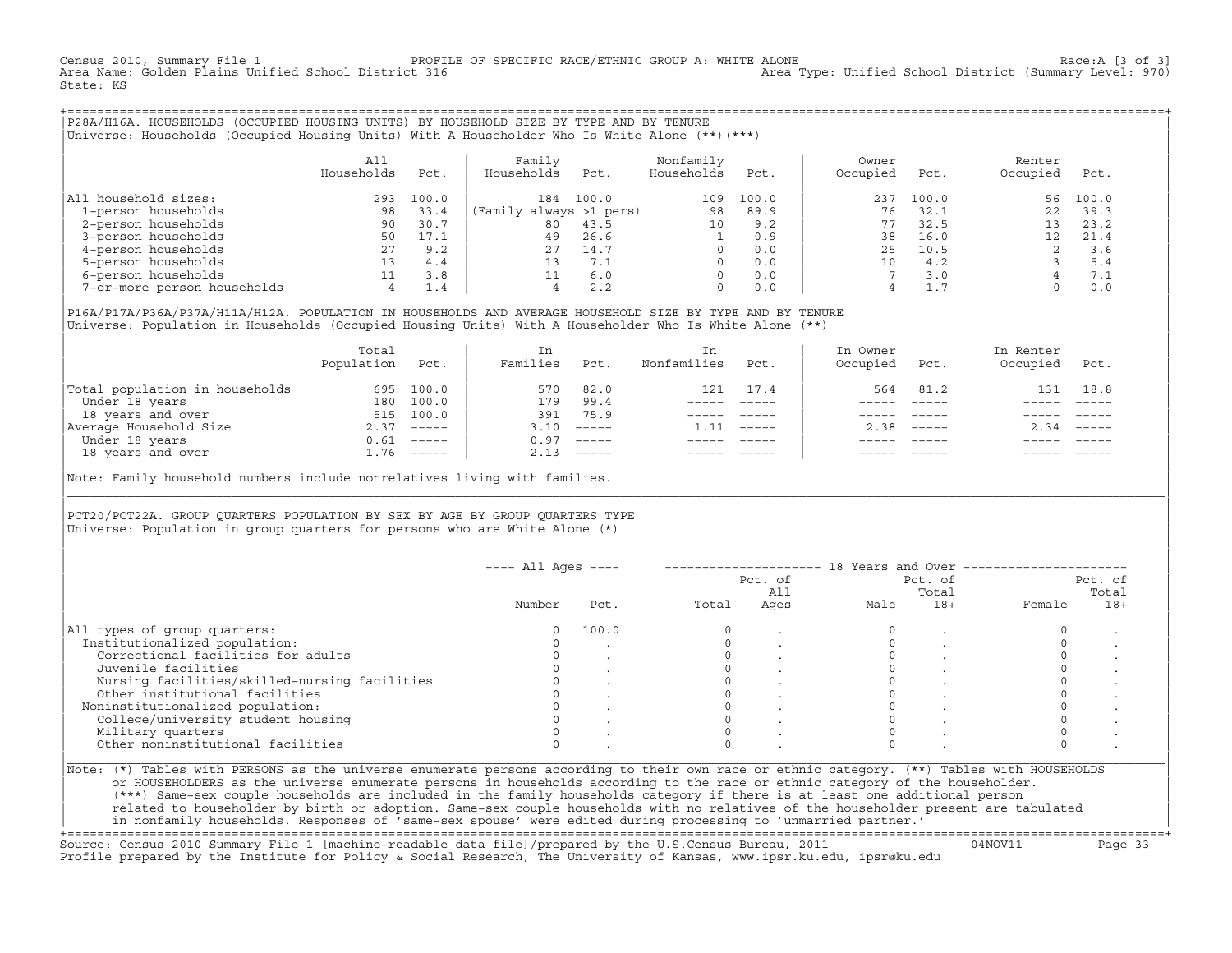Census 2010, Summary File 1 [3 of 3] PROFILE OF SPECIFIC RACE/ETHNIC GROUP A: WHITE ALONE [3 of 3]<br>Area Name: Golden Plains Unified School District 316 [3 of 3] Area Type: Unified School District (Summary Level: 970) Area Type: Unified School District (Summary Level: 970) State: KS

+===================================================================================================================================================+|P28A/H16A. HOUSEHOLDS (OCCUPIED HOUSING UNITS) BY HOUSEHOLD SIZE BY TYPE AND BY TENURE | |Universe: Households (Occupied Housing Units) With A Householder Who Is White Alone (\*\*)(\*\*\*) |

|                             | All<br>Households | Pct.  | Family<br>Households<br>Pct. | Nonfamily<br>Households | Pct.  | Owner<br>Occupied | Pct.  | Renter<br>Occupied | Pct.  |  |
|-----------------------------|-------------------|-------|------------------------------|-------------------------|-------|-------------------|-------|--------------------|-------|--|
| All household sizes:        | 293               | 100.0 | 100.0<br>184                 | 109                     | 100.0 | 237               | 100.0 | 56                 | 100.0 |  |
| 1-person households         | 98                | 33.4  | (Family always >1 pers)      | 98                      | 89.9  | 76                | 32.1  |                    | 39.3  |  |
| 2-person households         | 90                | 30.7  | 80<br>43.5                   | 10                      | 9.2   |                   | 32.5  |                    | 23.2  |  |
| 3-person households         | 50                | 17.1  | 26.6<br>49                   |                         | 0.9   | 38                | 16.0  |                    | 21.4  |  |
| 4-person households         | 27                | 9.2   | 14.7<br>27                   |                         | 0.0   | 25                | 10.5  |                    | 3.6   |  |
| 5-person households         | 13 <sup>°</sup>   | 4.4   | 7.1                          |                         | 0.0   | 10                | 4.2   |                    | 5.4   |  |
| 6-person households         |                   | 3.8   | 6.0                          |                         | 0.0   |                   | 3.0   |                    | 7.1   |  |
| 7-or-more person households | $4^{\circ}$       | 1.4   | 2.2                          |                         | 0.0   |                   |       |                    | 0.0   |  |

| | |P16A/P17A/P36A/P37A/H11A/H12A. POPULATION IN HOUSEHOLDS AND AVERAGE HOUSEHOLD SIZE BY TYPE AND BY TENURE | |Universe: Population in Households (Occupied Housing Units) With A Householder Who Is White Alone (\*\*) |

|                                | Total<br>Population | Pct.         | In<br>Families | Pct.     | In.<br>Nonfamilies | Pct.     | In Owner<br>Occupied | Pct.                      | In Renter<br>Occupied | Pct.        |
|--------------------------------|---------------------|--------------|----------------|----------|--------------------|----------|----------------------|---------------------------|-----------------------|-------------|
| Total population in households | 695                 | 100.0        | 570            | 82.0     | 121                | 17.4     | 564                  | 81.2                      | 131                   | 18.8        |
| Under 18 years                 | 180                 | 100.0        | 179            | 99.4     |                    |          |                      |                           |                       |             |
| 18 years and over              | 515                 | 100.0        | 391            | 75.9     |                    |          |                      |                           |                       |             |
| Average Household Size         |                     | $2.37$ ----- | 3.10           | $------$ | 1.11               | $------$ | 2.38                 | $\qquad \qquad - - - - -$ | 2.34                  | $------$    |
| Under 18 years                 | 0.61                | $------$     | 0.97           | $------$ |                    |          |                      |                           |                       |             |
| 18 years and over              |                     | $1.76$ ----- | 2.13           |          |                    |          |                      | $- - - - -$               |                       | $- - - - -$ |
|                                |                     |              |                |          |                    |          |                      |                           |                       |             |

Note: Family household numbers include nonrelatives living with families.

## | | PCT20/PCT22A. GROUP OUARTERS POPULATION BY SEX BY AGE BY GROUP OUARTERS TYPE Universe: Population in group quarters for persons who are White Alone  $(*)$

|                                               |        |       |       | Pct. of<br>All |      | Pct. of<br>Total |        | Pct. of<br>Total |
|-----------------------------------------------|--------|-------|-------|----------------|------|------------------|--------|------------------|
|                                               | Number | Pct.  | Total | Ages           | Male | $18+$            | Female | $18+$            |
| All types of group quarters:                  |        | 100.0 |       |                |      |                  |        |                  |
| Institutionalized population:                 |        |       |       |                |      |                  |        |                  |
| Correctional facilities for adults            |        |       |       |                |      |                  |        |                  |
| Juvenile facilities                           |        |       |       |                |      |                  |        |                  |
| Nursing facilities/skilled-nursing facilities |        |       |       |                |      |                  |        |                  |
| Other institutional facilities                |        |       |       |                |      |                  |        |                  |
| Noninstitutionalized population:              |        |       |       |                |      |                  |        |                  |
| College/university student housing            |        |       |       |                |      |                  |        |                  |
| Military quarters                             |        |       |       |                |      |                  |        |                  |
| Other noninstitutional facilities             |        |       |       |                |      |                  |        |                  |

|\_\_\_\_\_\_\_\_\_\_\_\_\_\_\_\_\_\_\_\_\_\_\_\_\_\_\_\_\_\_\_\_\_\_\_\_\_\_\_\_\_\_\_\_\_\_\_\_\_\_\_\_\_\_\_\_\_\_\_\_\_\_\_\_\_\_\_\_\_\_\_\_\_\_\_\_\_\_\_\_\_\_\_\_\_\_\_\_\_\_\_\_\_\_\_\_\_\_\_\_\_\_\_\_\_\_\_\_\_\_\_\_\_\_\_\_\_\_\_\_\_\_\_\_\_\_\_\_\_\_\_\_\_\_\_\_\_\_\_\_\_\_\_\_\_\_\_|

| |

| or HOUSEHOLDERS as the universe enumerate persons in households according to the race or ethnic category of the householder. | | (\*\*\*) Same−sex couple households are included in the family households category if there is at least one additional person | | related to householder by birth or adoption. Same−sex couple households with no relatives of the householder present are tabulated | | in nonfamily households. Responses of 'same−sex spouse' were edited during processing to 'unmarried partner.' |

+===================================================================================================================================================+ Source: Census 2010 Summary File 1 [machine−readable data file]/prepared by the U.S.Census Bureau, 2011 04NOV11 Page 33 Profile prepared by the Institute for Policy & Social Research, The University of Kansas, www.ipsr.ku.edu, ipsr@ku.edu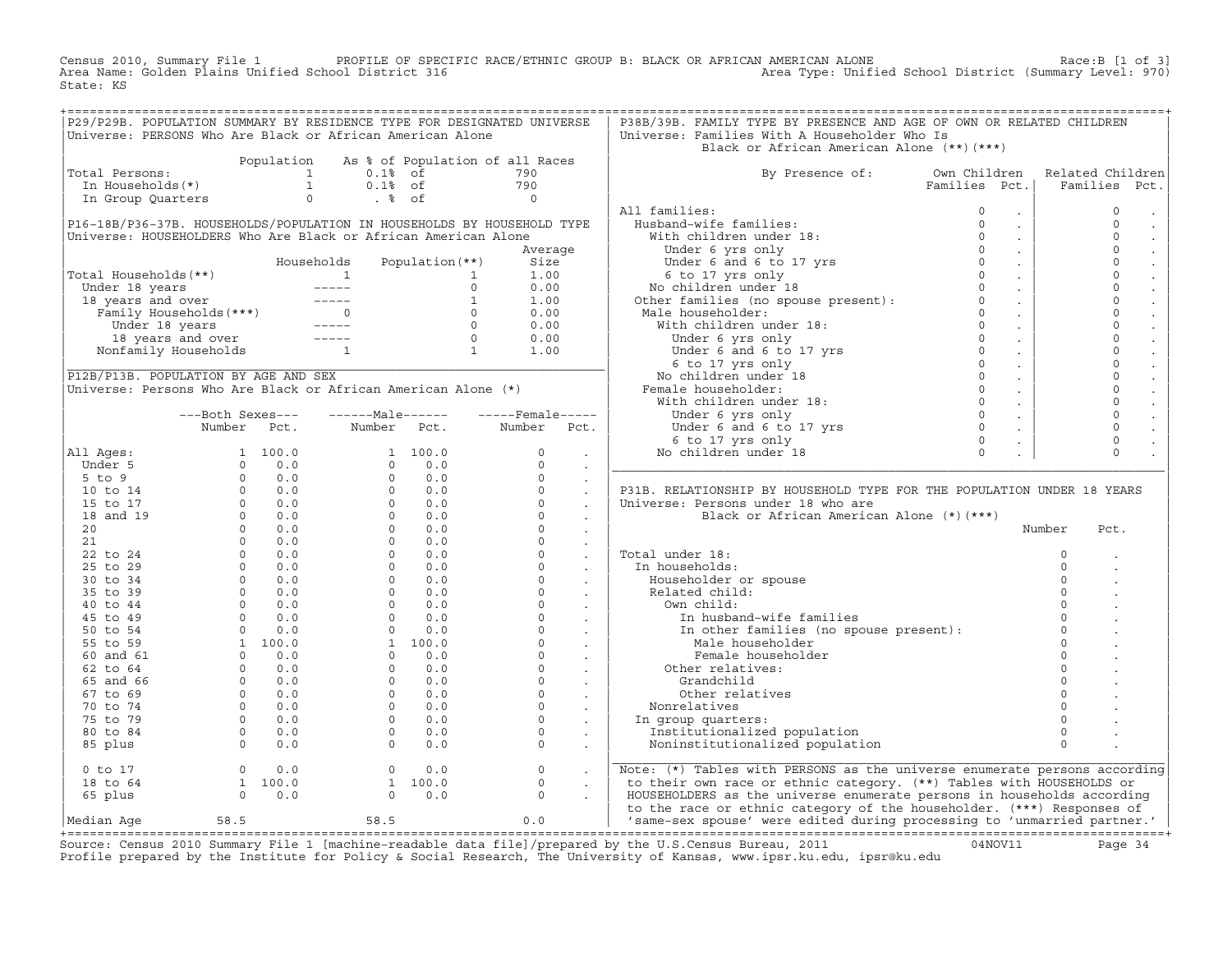Census 2010, Summary File 1 PROFILE OF SPECIFIC RACE/ETHNIC GROUP B: BLACK OR AFRICAN AMERICAN ALONE Race:B [1 of 3]<br>Area Name: Golden Plains Unified School District 316 area Type: Unified School District (Summary Level: 9 Area Type: Unified School District (Summary Level: 970) State: KS

|                                                                                                                                                                                                                                                                                                                                                                                    |                                                                  | P29/P29B. POPULATION SUMMARY BY RESIDENCE TYPE FOR DESIGNATED UNIVERSE                                                                                                                                                             |                                                                                    | P38B/39B. FAMILY TYPE BY PRESENCE AND AGE OF OWN OR RELATED CHILDREN                                                                                                                                                                                                             |                           |                                     |
|------------------------------------------------------------------------------------------------------------------------------------------------------------------------------------------------------------------------------------------------------------------------------------------------------------------------------------------------------------------------------------|------------------------------------------------------------------|------------------------------------------------------------------------------------------------------------------------------------------------------------------------------------------------------------------------------------|------------------------------------------------------------------------------------|----------------------------------------------------------------------------------------------------------------------------------------------------------------------------------------------------------------------------------------------------------------------------------|---------------------------|-------------------------------------|
|                                                                                                                                                                                                                                                                                                                                                                                    |                                                                  | Universe: PERSONS Who Are Black or African American Alone                                                                                                                                                                          |                                                                                    | Universe: Families With A Householder Who Is                                                                                                                                                                                                                                     |                           |                                     |
|                                                                                                                                                                                                                                                                                                                                                                                    |                                                                  |                                                                                                                                                                                                                                    |                                                                                    | Black or African American Alone (**)(***)                                                                                                                                                                                                                                        |                           |                                     |
|                                                                                                                                                                                                                                                                                                                                                                                    |                                                                  | Population As % of Population of all Races                                                                                                                                                                                         |                                                                                    |                                                                                                                                                                                                                                                                                  |                           |                                     |
| Total Persons:                                                                                                                                                                                                                                                                                                                                                                     |                                                                  |                                                                                                                                                                                                                                    |                                                                                    | By Presence of: Own Children                                                                                                                                                                                                                                                     |                           | Related Children                    |
|                                                                                                                                                                                                                                                                                                                                                                                    |                                                                  |                                                                                                                                                                                                                                    |                                                                                    |                                                                                                                                                                                                                                                                                  | Families Pct.             | Families Pct.                       |
|                                                                                                                                                                                                                                                                                                                                                                                    |                                                                  | otal Persons:<br>In Households (*)<br>In Group Quarters and the Community of the Community of the Community of the Community of the Community of the Community of the Community of the Community of the Community of the Community |                                                                                    |                                                                                                                                                                                                                                                                                  |                           |                                     |
|                                                                                                                                                                                                                                                                                                                                                                                    |                                                                  |                                                                                                                                                                                                                                    |                                                                                    | All families:<br>11 families:<br>Husband-wife families:<br>0<br>With children under 18:<br>Under 6 yrs only<br>Under 6 and 6 to 17 yrs<br>0<br>6 to 17 yrs only<br>No children under 18<br>Other families (no spouse present):<br>0<br>Male householder:<br>0<br>0<br>0<br>2<br> | $\Omega$<br>$\sim 100$    | $\mathbf 0$<br>$\sim$               |
|                                                                                                                                                                                                                                                                                                                                                                                    |                                                                  | P16-18B/P36-37B. HOUSEHOLDS/POPULATION IN HOUSEHOLDS BY HOUSEHOLD TYPE                                                                                                                                                             |                                                                                    |                                                                                                                                                                                                                                                                                  | $\sim 100$                | $\Omega$<br>$\sim$                  |
|                                                                                                                                                                                                                                                                                                                                                                                    |                                                                  | Universe: HOUSEHOLDERS Who Are Black or African American Alone                                                                                                                                                                     |                                                                                    |                                                                                                                                                                                                                                                                                  | $\sim$                    | $\Omega$<br>$\bullet$               |
|                                                                                                                                                                                                                                                                                                                                                                                    |                                                                  |                                                                                                                                                                                                                                    |                                                                                    |                                                                                                                                                                                                                                                                                  | $\sim$ .                  | $\mathbf 0$                         |
|                                                                                                                                                                                                                                                                                                                                                                                    |                                                                  |                                                                                                                                                                                                                                    |                                                                                    |                                                                                                                                                                                                                                                                                  | $\sim 100$                | $\mathbf 0$                         |
|                                                                                                                                                                                                                                                                                                                                                                                    |                                                                  |                                                                                                                                                                                                                                    |                                                                                    |                                                                                                                                                                                                                                                                                  | $\sim 100$                | $\circ$<br>$\Box$                   |
|                                                                                                                                                                                                                                                                                                                                                                                    |                                                                  |                                                                                                                                                                                                                                    |                                                                                    |                                                                                                                                                                                                                                                                                  | $\sim 10^7$               | $\Omega$<br>$\bullet$               |
| Total Households (**)<br>Total Households (**)<br>Under 18 years and over<br>18 years and over<br>Eamily Households (***)<br>18 years and over<br>18 years and over<br>18 years and over<br>18 years and over<br>18 years and over<br>19 years and                                                                                                                                 |                                                                  |                                                                                                                                                                                                                                    |                                                                                    | Male householder:<br>With children under 18:<br>With children under 18:<br>Under 6 yrs only<br>Under 6 and 6 to 17 yrs<br>6 to 17 yrs only<br>No children under 18<br>Female householder:<br>With children under 18:<br>Under 6 yrs only<br>Under                                | $\sim 10^6$               | $\Omega$<br>$\Box$                  |
|                                                                                                                                                                                                                                                                                                                                                                                    |                                                                  |                                                                                                                                                                                                                                    |                                                                                    |                                                                                                                                                                                                                                                                                  | $\sim 10^7$               | $\mathsf{O}\xspace$                 |
|                                                                                                                                                                                                                                                                                                                                                                                    |                                                                  |                                                                                                                                                                                                                                    |                                                                                    |                                                                                                                                                                                                                                                                                  | $\sim 100$                | $\Omega$                            |
|                                                                                                                                                                                                                                                                                                                                                                                    |                                                                  |                                                                                                                                                                                                                                    |                                                                                    |                                                                                                                                                                                                                                                                                  | $\sim 10^{-1}$            | $\circ$                             |
|                                                                                                                                                                                                                                                                                                                                                                                    |                                                                  |                                                                                                                                                                                                                                    |                                                                                    |                                                                                                                                                                                                                                                                                  | $\sim 100$                | $\mathbf 0$<br>$\ddot{\phantom{a}}$ |
|                                                                                                                                                                                                                                                                                                                                                                                    |                                                                  |                                                                                                                                                                                                                                    |                                                                                    |                                                                                                                                                                                                                                                                                  | $\sim 100$                | $\circ$<br>$\bullet$                |
|                                                                                                                                                                                                                                                                                                                                                                                    |                                                                  |                                                                                                                                                                                                                                    |                                                                                    |                                                                                                                                                                                                                                                                                  | $\sim 100$                | $\circ$                             |
|                                                                                                                                                                                                                                                                                                                                                                                    |                                                                  | Universe: Persons Who Are Black or African American Alone (*)                                                                                                                                                                      |                                                                                    |                                                                                                                                                                                                                                                                                  |                           | $\mathbf 0$                         |
|                                                                                                                                                                                                                                                                                                                                                                                    |                                                                  |                                                                                                                                                                                                                                    |                                                                                    |                                                                                                                                                                                                                                                                                  | $\sim 100$                | $\mathsf{O}\xspace$                 |
|                                                                                                                                                                                                                                                                                                                                                                                    | ---Both Sexes---                                                 |                                                                                                                                                                                                                                    |                                                                                    |                                                                                                                                                                                                                                                                                  | $\sim 100$                | $\mathbf 0$<br>$\Box$               |
|                                                                                                                                                                                                                                                                                                                                                                                    | Number Pct.                                                      | Number Pct.                                                                                                                                                                                                                        | Number Pct.                                                                        |                                                                                                                                                                                                                                                                                  | $\sim 10^{-1}$            | $\circ$                             |
|                                                                                                                                                                                                                                                                                                                                                                                    |                                                                  |                                                                                                                                                                                                                                    |                                                                                    |                                                                                                                                                                                                                                                                                  | $\sim 10$                 | $\circ$                             |
|                                                                                                                                                                                                                                                                                                                                                                                    |                                                                  |                                                                                                                                                                                                                                    |                                                                                    |                                                                                                                                                                                                                                                                                  | $\mathbb{Z}^{\mathbb{Z}}$ | $\Omega$                            |
|                                                                                                                                                                                                                                                                                                                                                                                    |                                                                  |                                                                                                                                                                                                                                    |                                                                                    |                                                                                                                                                                                                                                                                                  |                           |                                     |
|                                                                                                                                                                                                                                                                                                                                                                                    |                                                                  |                                                                                                                                                                                                                                    |                                                                                    |                                                                                                                                                                                                                                                                                  |                           |                                     |
|                                                                                                                                                                                                                                                                                                                                                                                    |                                                                  |                                                                                                                                                                                                                                    |                                                                                    | P31B. RELATIONSHIP BY HOUSEHOLD TYPE FOR THE POPULATION UNDER 18 YEARS                                                                                                                                                                                                           |                           |                                     |
|                                                                                                                                                                                                                                                                                                                                                                                    |                                                                  |                                                                                                                                                                                                                                    |                                                                                    | Universe: Persons under 18 who are                                                                                                                                                                                                                                               |                           |                                     |
|                                                                                                                                                                                                                                                                                                                                                                                    |                                                                  |                                                                                                                                                                                                                                    |                                                                                    | Black or African American Alone (*) (***)                                                                                                                                                                                                                                        |                           |                                     |
|                                                                                                                                                                                                                                                                                                                                                                                    |                                                                  |                                                                                                                                                                                                                                    |                                                                                    |                                                                                                                                                                                                                                                                                  |                           | Number<br>Pct.                      |
|                                                                                                                                                                                                                                                                                                                                                                                    |                                                                  |                                                                                                                                                                                                                                    |                                                                                    |                                                                                                                                                                                                                                                                                  |                           |                                     |
|                                                                                                                                                                                                                                                                                                                                                                                    |                                                                  |                                                                                                                                                                                                                                    |                                                                                    | Total under 18:                                                                                                                                                                                                                                                                  |                           | $\circ$                             |
|                                                                                                                                                                                                                                                                                                                                                                                    |                                                                  |                                                                                                                                                                                                                                    |                                                                                    | In households:                                                                                                                                                                                                                                                                   |                           | $\Omega$                            |
|                                                                                                                                                                                                                                                                                                                                                                                    |                                                                  |                                                                                                                                                                                                                                    |                                                                                    | Householder or spouse                                                                                                                                                                                                                                                            |                           | $\Omega$                            |
|                                                                                                                                                                                                                                                                                                                                                                                    |                                                                  |                                                                                                                                                                                                                                    |                                                                                    | Related child:                                                                                                                                                                                                                                                                   |                           | $\Omega$                            |
|                                                                                                                                                                                                                                                                                                                                                                                    |                                                                  |                                                                                                                                                                                                                                    |                                                                                    | Own child:                                                                                                                                                                                                                                                                       |                           | $\Omega$                            |
|                                                                                                                                                                                                                                                                                                                                                                                    |                                                                  |                                                                                                                                                                                                                                    |                                                                                    |                                                                                                                                                                                                                                                                                  |                           | $\Omega$                            |
|                                                                                                                                                                                                                                                                                                                                                                                    |                                                                  |                                                                                                                                                                                                                                    |                                                                                    | In husband-wife families<br>In other families (no spouse present):                                                                                                                                                                                                               |                           | $\circ$                             |
|                                                                                                                                                                                                                                                                                                                                                                                    |                                                                  |                                                                                                                                                                                                                                    |                                                                                    | Male householder                                                                                                                                                                                                                                                                 |                           | $\Omega$                            |
|                                                                                                                                                                                                                                                                                                                                                                                    |                                                                  |                                                                                                                                                                                                                                    |                                                                                    | Female householder                                                                                                                                                                                                                                                               |                           | $\Omega$                            |
|                                                                                                                                                                                                                                                                                                                                                                                    |                                                                  |                                                                                                                                                                                                                                    |                                                                                    | Other relatives:                                                                                                                                                                                                                                                                 |                           | $\Omega$                            |
|                                                                                                                                                                                                                                                                                                                                                                                    |                                                                  |                                                                                                                                                                                                                                    |                                                                                    | Grandchild                                                                                                                                                                                                                                                                       |                           | $\Omega$                            |
|                                                                                                                                                                                                                                                                                                                                                                                    |                                                                  |                                                                                                                                                                                                                                    |                                                                                    | Other relatives                                                                                                                                                                                                                                                                  |                           | $\Omega$                            |
|                                                                                                                                                                                                                                                                                                                                                                                    |                                                                  |                                                                                                                                                                                                                                    |                                                                                    | Nonrelatives                                                                                                                                                                                                                                                                     |                           | $\Omega$                            |
|                                                                                                                                                                                                                                                                                                                                                                                    |                                                                  |                                                                                                                                                                                                                                    |                                                                                    | In group quarters:                                                                                                                                                                                                                                                               |                           | $\circ$                             |
|                                                                                                                                                                                                                                                                                                                                                                                    |                                                                  |                                                                                                                                                                                                                                    |                                                                                    | Institutionalized population                                                                                                                                                                                                                                                     |                           | $\Omega$                            |
| $\begin{bmatrix} \text{All } \text{Ages}: & \text{Number} & \text{Pct.} & \text{Number} & \text{Pct.} & \text{Number} & \text{Pct.} \\ \text{Under 5} & 1 & 100.0 & 1 & 100.0 & 0 \\ 5 \text{ to } 9 & 0 & 0.0 & 0 & 0 & 0 \\ 10 \text{ to } 14 & 0 & 0.0 & 0 & 0 & 0 \\ 10 \text{ to } 14 & 0 & 0.0 & 0 & 0 & 0 \\ 15 \text{ to } 17 & 0 & 0.0 & 0 & 0 & 0 \\ 20 & 0 & 0.0 & 0 &$ |                                                                  |                                                                                                                                                                                                                                    |                                                                                    | Noninstitutionalized population                                                                                                                                                                                                                                                  |                           | $\Omega$                            |
| $0$ to $17$                                                                                                                                                                                                                                                                                                                                                                        | $\begin{array}{ccc} 0 & 0.0 \\ 1 & 100.0 \\ 0 & 0.0 \end{array}$ | $\begin{bmatrix} 0 & 0 & 0 \ 1 & 100 & 0 \ 0 & 0 & 0 \end{bmatrix}$                                                                                                                                                                | $\begin{array}{ccc} & 0 & & \cdot \\ & 0 & & \cdot \\ & & 0 & & \cdot \end{array}$ | Note: (*) Tables with PERSONS as the universe enumerate persons according                                                                                                                                                                                                        |                           |                                     |
| 18 to 64                                                                                                                                                                                                                                                                                                                                                                           |                                                                  |                                                                                                                                                                                                                                    |                                                                                    | to their own race or ethnic category. (**) Tables with HOUSEHOLDS or                                                                                                                                                                                                             |                           |                                     |
| 65 plus                                                                                                                                                                                                                                                                                                                                                                            |                                                                  |                                                                                                                                                                                                                                    |                                                                                    | HOUSEHOLDERS as the universe enumerate persons in households according                                                                                                                                                                                                           |                           |                                     |
|                                                                                                                                                                                                                                                                                                                                                                                    |                                                                  |                                                                                                                                                                                                                                    |                                                                                    | to the race or ethnic category of the householder. (***) Responses of                                                                                                                                                                                                            |                           |                                     |
| Median Aqe                                                                                                                                                                                                                                                                                                                                                                         | 58.5                                                             | $58.5$ 0.0                                                                                                                                                                                                                         |                                                                                    | 'same-sex spouse' were edited during processing to 'unmarried partner.'                                                                                                                                                                                                          |                           |                                     |
|                                                                                                                                                                                                                                                                                                                                                                                    |                                                                  |                                                                                                                                                                                                                                    |                                                                                    |                                                                                                                                                                                                                                                                                  |                           |                                     |

+===================================================================================================================================================+Source: Census 2010 Summary File 1 [machine−readable data file]/prepared by the U.S.Census Bureau, 2011 04NOV11 Page 34 Profile prepared by the Institute for Policy & Social Research, The University of Kansas, www.ipsr.ku.edu, ipsr@ku.edu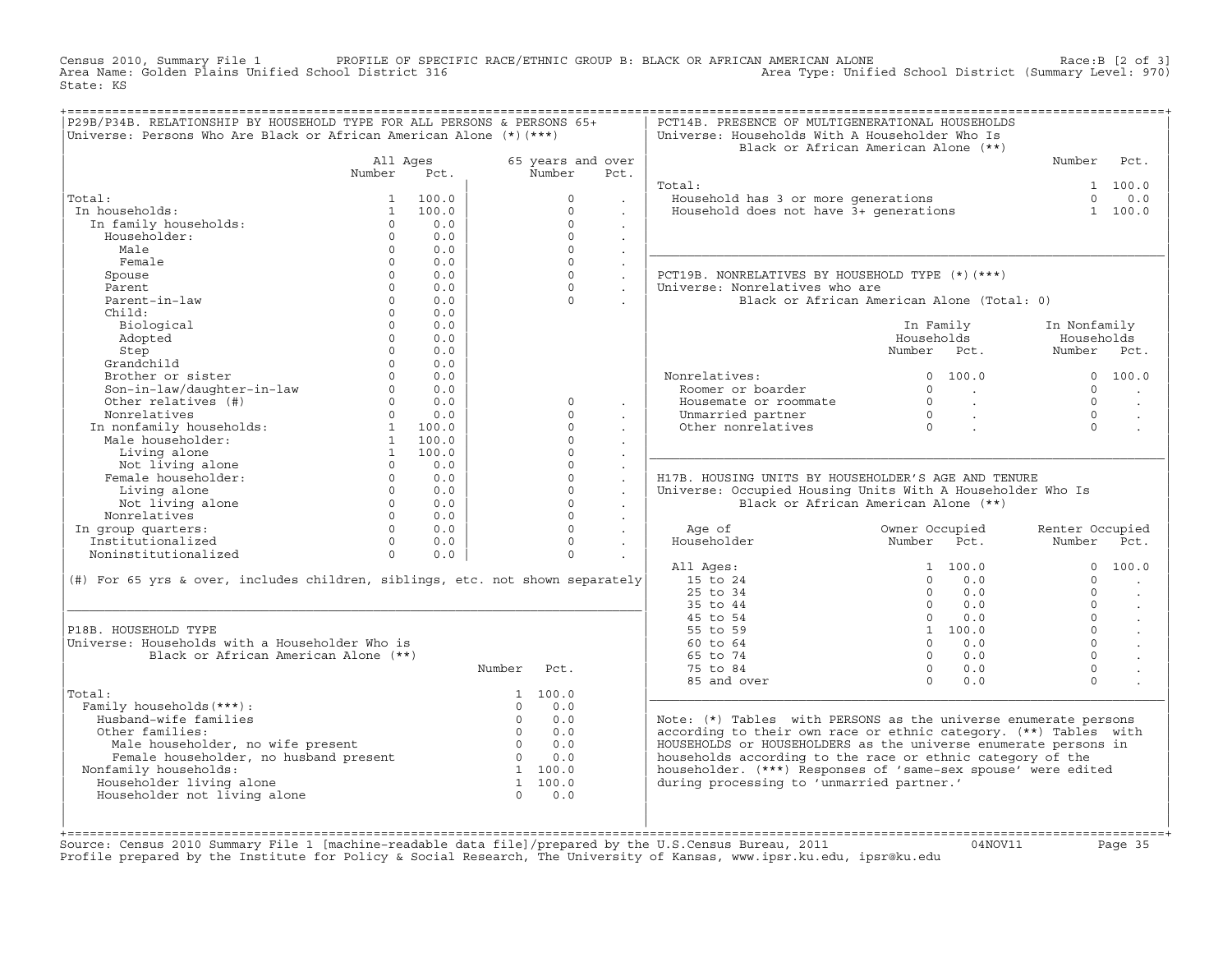Census 2010, Summary File 1 PROFILE OF SPECIFIC RACE/ETHNIC GROUP B: BLACK OR AFRICAN AMERICAN ALONE Race:B [2 of 3]<br>Area Name: Golden Plains Unified School District 316 area Type: Unified School District (Summary Level: 9 Area Type: Unified School District (Summary Level: 970) State: KS

| P29B/P34B. RELATIONSHIP BY HOUSEHOLD TYPE FOR ALL PERSONS & PERSONS 65+<br>Universe: Persons Who Are Black or African American Alone (*) (***) |                    |                          |                |                             |                                | PCT14B. PRESENCE OF MULTIGENERATIONAL HOUSEHOLDS<br>Universe: Households With A Householder Who Is |                                                                                    |                                  |
|------------------------------------------------------------------------------------------------------------------------------------------------|--------------------|--------------------------|----------------|-----------------------------|--------------------------------|----------------------------------------------------------------------------------------------------|------------------------------------------------------------------------------------|----------------------------------|
|                                                                                                                                                |                    |                          |                |                             |                                |                                                                                                    | Black or African American Alone (**)                                               |                                  |
|                                                                                                                                                | All Ages<br>Number | Pct.                     |                | 65 years and over<br>Number | Pct.                           |                                                                                                    |                                                                                    | Number<br>Pct.                   |
|                                                                                                                                                |                    |                          |                |                             |                                | Total:                                                                                             |                                                                                    | 1 100.0                          |
| Total:                                                                                                                                         | 1                  | 100.0                    |                | $\Omega$                    |                                |                                                                                                    |                                                                                    | $\Omega$<br>0.0                  |
| In households:                                                                                                                                 | 1                  | 100.0                    |                | $\circ$                     |                                | Household has 3 or more generations<br>Household does not have 3+ generations                      |                                                                                    | 1 100.0                          |
| In family households:                                                                                                                          | $\Omega$           | 0.0                      |                | $\Omega$                    | $\ddot{\phantom{a}}$           |                                                                                                    |                                                                                    |                                  |
| Householder:                                                                                                                                   | $\Omega$           | 0.0                      |                | $\Omega$                    | $\ddot{\phantom{a}}$           |                                                                                                    |                                                                                    |                                  |
| Male                                                                                                                                           | $\Omega$           | 0.0                      |                | $\Omega$                    | $\sim$                         |                                                                                                    |                                                                                    |                                  |
| Female                                                                                                                                         | $\Omega$           | 0.0                      |                | $\Omega$                    | $\ddot{\phantom{a}}$<br>$\sim$ |                                                                                                    |                                                                                    |                                  |
| Spouse                                                                                                                                         | $\Omega$           | 0.0                      |                | $\Omega$                    | $\mathcal{L}^{\text{max}}$     | PCT19B. NONRELATIVES BY HOUSEHOLD TYPE (*) (***)                                                   |                                                                                    |                                  |
| Parent                                                                                                                                         | $\Omega$           | 0.0                      |                | $\Omega$                    | $\sim$                         | Universe: Nonrelatives who are                                                                     |                                                                                    |                                  |
| Parent-in-law                                                                                                                                  | $\Omega$           | 0.0                      |                | $\Omega$                    |                                |                                                                                                    | Black or African American Alone (Total: 0)                                         |                                  |
| Child:                                                                                                                                         | $\Omega$           | 0.0                      |                |                             |                                |                                                                                                    |                                                                                    |                                  |
| Biological                                                                                                                                     | $\Omega$           | 0.0                      |                |                             |                                |                                                                                                    | In Family                                                                          | In Nonfamily                     |
| Adopted                                                                                                                                        | $\Omega$           | 0.0                      |                |                             |                                |                                                                                                    | Households                                                                         | Households                       |
| Step                                                                                                                                           | $\Omega$           | 0.0                      |                |                             |                                |                                                                                                    | Number Pct.                                                                        | Number Pct.                      |
| Grandchild                                                                                                                                     | $\cap$             | 0.0                      |                |                             |                                |                                                                                                    |                                                                                    |                                  |
| Brother or sister                                                                                                                              | $\Omega$           | 0.0                      |                |                             |                                | Nonrelatives:                                                                                      | 0 100.0                                                                            | 0 100.0                          |
|                                                                                                                                                | $\Omega$           | 0.0                      |                |                             |                                | Roomer or boarder                                                                                  | $\Omega$<br>$\mathcal{L}^{\text{max}}$                                             | $\Omega$<br>$\sim$               |
| Son-in-law/daughter-in-law<br>Other relatives (#)<br>Nonrolatives (#)                                                                          | $\Omega$           | 0.0                      |                | $\Omega$                    | $\mathbf{r}$                   | Housemate or roommate                                                                              |                                                                                    | $\Omega$<br>$\ddot{\phantom{a}}$ |
|                                                                                                                                                | $\Omega$           | 0.0                      |                | $\Omega$                    |                                | Unmarried partner                                                                                  | $\begin{matrix} 0 & & \cdot \\ & & 0 \\ & & & \cdot \\ 0 & & & \cdot \end{matrix}$ | $\Omega$                         |
|                                                                                                                                                |                    | 1 100.0                  |                | $\Omega$                    | $\ddot{\phantom{0}}$           | Other nonrelatives                                                                                 |                                                                                    | $\Omega$                         |
|                                                                                                                                                |                    | 1 100.0                  |                | $\circ$                     | $\sim$                         |                                                                                                    |                                                                                    |                                  |
| Nonrelatives<br>In nonfamily households:<br>"ale householder:<br>Living alone                                                                  | $\mathbf{1}$       | 100.0                    |                | $\Omega$                    | $\sim$                         |                                                                                                    |                                                                                    |                                  |
| Not living alone                                                                                                                               | $\Omega$           | 0.0                      |                | $\Omega$                    | $\mathbb{Z}^2$                 |                                                                                                    |                                                                                    |                                  |
| Female householder:                                                                                                                            | $\Omega$           | 0.0                      |                | $\circ$                     | $\ddot{\phantom{a}}$           | H17B. HOUSING UNITS BY HOUSEHOLDER'S AGE AND TENURE                                                |                                                                                    |                                  |
| Living alone                                                                                                                                   |                    | $\Omega$<br>0.0          |                | $\Omega$                    | $\ddot{\phantom{a}}$           | Universe: Occupied Housing Units With A Householder Who Is                                         |                                                                                    |                                  |
| Not living alone                                                                                                                               |                    | $0 \qquad \qquad$<br>0.0 |                | $\circ$                     | $\sim$                         |                                                                                                    | Black or African American Alone (**)                                               |                                  |
| Nonrelatives                                                                                                                                   | $\Omega$           | 0.0                      |                | $\circ$                     |                                |                                                                                                    |                                                                                    |                                  |
| In group quarters:                                                                                                                             |                    | $\Omega$<br>0.0          |                | $\Omega$                    | $\sim$                         | Age of                                                                                             | Owner Occupied                                                                     | Renter Occupied                  |
| Institutionalized                                                                                                                              |                    | $\Omega$<br>0.0          |                | $\Omega$                    | $\Box$                         | Householder                                                                                        | Number Pct.                                                                        | Number Pct.                      |
| Noninstitutionalized                                                                                                                           | $\Omega$           | 0.0                      |                | $\Omega$                    |                                |                                                                                                    |                                                                                    |                                  |
|                                                                                                                                                |                    |                          |                |                             |                                | All Ages:                                                                                          | 1 100.0                                                                            | 0 100.0                          |
| (#) For 65 yrs & over, includes children, siblings, etc. not shown separately                                                                  |                    |                          |                |                             |                                | $15$ to $24$                                                                                       | $\Omega$<br>0.0                                                                    | $\Omega$                         |
|                                                                                                                                                |                    |                          |                |                             |                                | $25$ to $34$                                                                                       | $\Omega$<br>0.0                                                                    | $\Omega$<br>$\ddot{\phantom{a}}$ |
|                                                                                                                                                |                    |                          |                |                             |                                | 35 to 44                                                                                           | $\Omega$<br>0.0                                                                    | $\Omega$<br>$\sim$               |
|                                                                                                                                                |                    |                          |                |                             |                                | 45 to 54                                                                                           | $\Omega$<br>0.0                                                                    | $\cap$<br>$\ddot{\phantom{a}}$   |
| P18B. HOUSEHOLD TYPE                                                                                                                           |                    |                          |                |                             |                                | 55 to 59                                                                                           | 1 100.0                                                                            | $\Omega$<br>$\ddot{\phantom{a}}$ |
| Universe: Households with a Householder Who is                                                                                                 |                    |                          |                |                             |                                | 60 to 64                                                                                           | 0.0<br>$\Omega$                                                                    | $\Omega$<br>$\ddot{\phantom{a}}$ |
| Black or African American Alone (**)                                                                                                           |                    |                          |                |                             |                                | 65 to 74                                                                                           | $\Omega$<br>0.0                                                                    | $\Omega$                         |
|                                                                                                                                                |                    |                          | Number         | Pct.                        |                                | 75 to 84                                                                                           | $\Omega$<br>0.0                                                                    | $\mathbf 0$                      |
|                                                                                                                                                |                    |                          |                |                             |                                | 85 and over                                                                                        | $\Omega$<br>0.0                                                                    | $\Omega$                         |
| Total:                                                                                                                                         |                    |                          |                | 1 100.0                     |                                |                                                                                                    |                                                                                    |                                  |
| Family households (***) :                                                                                                                      |                    |                          | $\Omega$       | 0.0                         |                                |                                                                                                    |                                                                                    |                                  |
| Husband-wife families                                                                                                                          |                    |                          | $\Omega$       | 0.0                         |                                | Note: $(*)$ Tables with PERSONS as the universe enumerate persons                                  |                                                                                    |                                  |
| Other families:                                                                                                                                |                    |                          | $\overline{0}$ | 0.0                         |                                | according to their own race or ethnic category. (**) Tables with                                   |                                                                                    |                                  |
|                                                                                                                                                |                    |                          | $\overline{0}$ | 0.0                         |                                | HOUSEHOLDS or HOUSEHOLDERS as the universe enumerate persons in                                    |                                                                                    |                                  |
| Male householder, no wife present<br>Female householder, no husband present<br>Femilu bouseholder, no husband present                          |                    |                          | $\overline{0}$ | 0.0                         |                                | households according to the race or ethnic category of the                                         |                                                                                    |                                  |
| Nonfamily households:                                                                                                                          |                    |                          |                | 1 100.0                     |                                | householder. (***) Responses of 'same-sex spouse' were edited                                      |                                                                                    |                                  |
| Householder living alone                                                                                                                       |                    |                          |                | 1 100.0                     |                                | during processing to 'unmarried partner.'                                                          |                                                                                    |                                  |
| Householder not living alone                                                                                                                   |                    |                          | $\Omega$       | 0.0                         |                                |                                                                                                    |                                                                                    |                                  |
|                                                                                                                                                |                    |                          |                |                             |                                |                                                                                                    |                                                                                    |                                  |
|                                                                                                                                                |                    |                          |                |                             |                                |                                                                                                    |                                                                                    |                                  |
|                                                                                                                                                |                    |                          |                |                             |                                |                                                                                                    |                                                                                    |                                  |

+===================================================================================================================================================+Source: Census 2010 Summary File 1 [machine−readable data file]/prepared by the U.S.Census Bureau, 2011 04NOV11 Page 35 Profile prepared by the Institute for Policy & Social Research, The University of Kansas, www.ipsr.ku.edu, ipsr@ku.edu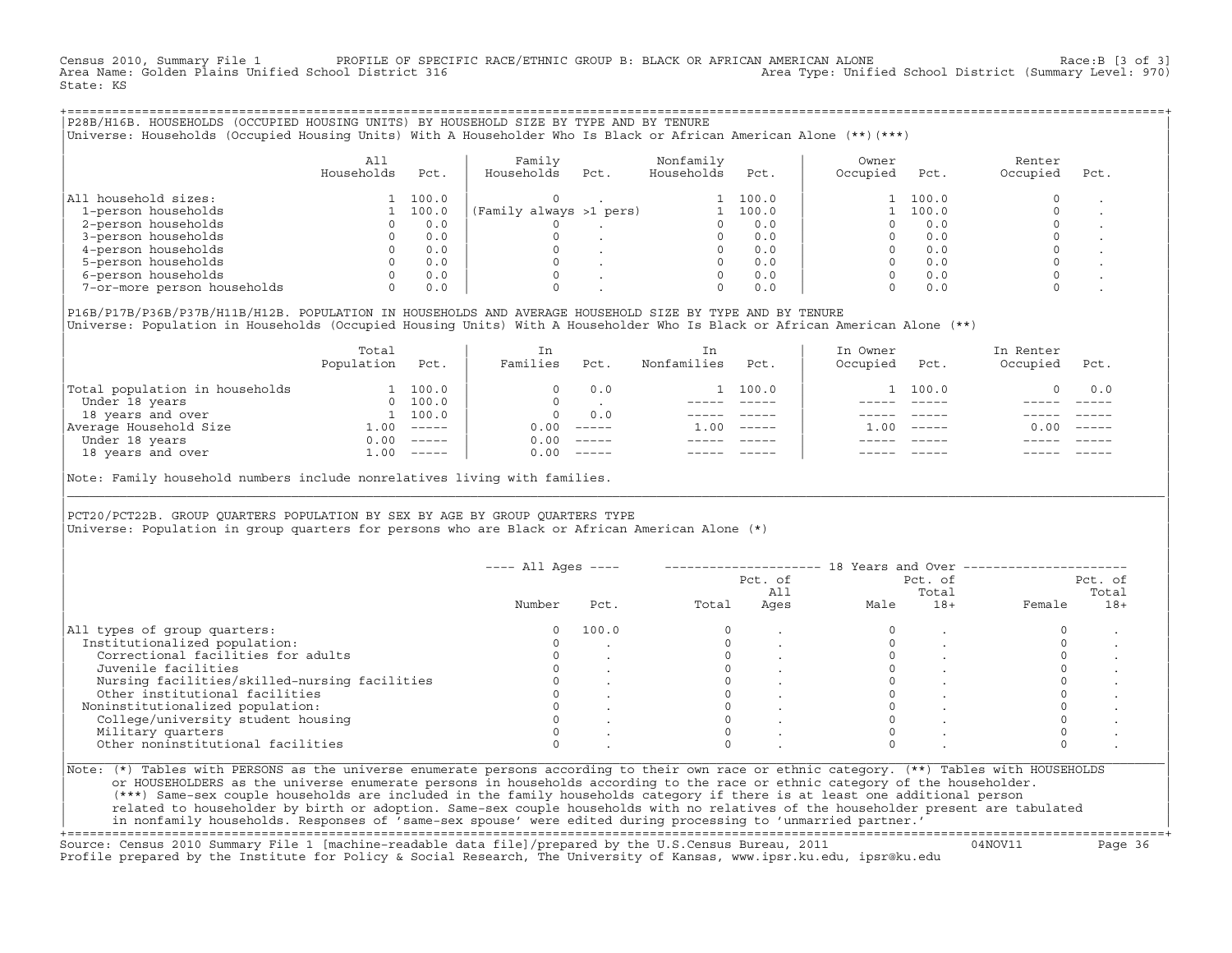Census 2010, Summary File 1 PROFILE OF SPECIFIC RACE/ETHNIC GROUP B: BLACK OR AFRICAN AMERICAN ALONE Race:B [3 of 3]<br>Area Name: Golden Plains Unified School District 316 area Type: Unified School District (Summary Level: 9 Area Type: Unified School District (Summary Level: 970) State: KS

+===================================================================================================================================================+|P28B/H16B. HOUSEHOLDS (OCCUPIED HOUSING UNITS) BY HOUSEHOLD SIZE BY TYPE AND BY TENURE | |Universe: Households (Occupied Housing Units) With A Householder Who Is Black or African American Alone (\*\*)(\*\*\*) |

|                             | A11<br>Households | Pct.  | Family<br>Households    | Pct. | Nonfamily<br>Households | Pct.  | Owner<br>Occupied | Pct.  | Renter<br>Occupied | Pct. |
|-----------------------------|-------------------|-------|-------------------------|------|-------------------------|-------|-------------------|-------|--------------------|------|
| All household sizes:        |                   | 100.0 |                         |      |                         | 100.0 |                   | 100.0 |                    |      |
| 1-person households         |                   | 100.0 | (Family always >1 pers) |      |                         | 100.0 |                   | 100.0 |                    |      |
| 2-person households         |                   | 0.0   |                         |      |                         | 0.0   |                   | 0.0   |                    |      |
| 3-person households         |                   | 0.0   |                         |      |                         | 0.0   |                   | 0.0   |                    |      |
| 4-person households         |                   | 0.0   |                         |      |                         | 0.0   |                   | 0.0   |                    |      |
| 5-person households         |                   | 0.0   |                         |      |                         | 0.0   |                   | 0.0   |                    |      |
| 6-person households         |                   | 0.0   |                         |      |                         | 0.0   |                   | 0.0   |                    |      |
| 7-or-more person households | 0                 | 0.0   |                         |      | $\Omega$                | 0.0   |                   | 0.0   |                    |      |

|P16B/P17B/P36B/P37B/H11B/H12B. POPULATION IN HOUSEHOLDS AND AVERAGE HOUSEHOLD SIZE BY TYPE AND BY TENURE | Universe: Population in Households (Occupied Housing Units) With A Householder Who Is Black or African American Alone (\*\*)

|                                | Total<br>Population | Pct.     | In<br>Families | Pct.     | In.<br>Nonfamilies | Pct.     | In Owner<br>Occupied | Pct.          | In Renter<br>Occupied | Pct.     |  |
|--------------------------------|---------------------|----------|----------------|----------|--------------------|----------|----------------------|---------------|-----------------------|----------|--|
| Total population in households |                     | 100.0    |                | 0.0      |                    | 100.0    |                      | 1 100.0       |                       | 0.0      |  |
| Under 18 years                 | $\Omega$            | 100.0    |                |          |                    |          |                      |               |                       |          |  |
| 18 years and over              |                     | 1 100.0  | $\Omega$       | 0.0      |                    |          |                      |               |                       |          |  |
| Average Household Size         | 1.00                | $------$ | 0.00           | $------$ | 1.00               | $------$ | .00                  | $- - - - - -$ | 0.00                  | $------$ |  |
| Under 18 years                 | 0.00                | $------$ | 0.00           | $------$ |                    |          |                      |               |                       |          |  |
| 18 years and over              | 1.00                | $------$ | 0.00           | $------$ |                    |          |                      | $- - - - -$   |                       | $------$ |  |
|                                |                     |          |                |          |                    |          |                      |               |                       |          |  |

Note: Family household numbers include nonrelatives living with families.

| | PCT20/PCT22B. GROUP OUARTERS POPULATION BY SEX BY AGE BY GROUP OUARTERS TYPE Universe: Population in group quarters for persons who are Black or African American Alone (\*)

|                                               |        |       |       | Pct. of<br>All |      | Pct. of<br>Total |        | Pct. of<br>Total |
|-----------------------------------------------|--------|-------|-------|----------------|------|------------------|--------|------------------|
|                                               | Number | Pct.  | Total | Ages           | Male | $18+$            | Female | $18+$            |
| All types of group quarters:                  |        | 100.0 |       |                |      |                  |        |                  |
| Institutionalized population:                 |        |       |       |                |      |                  |        |                  |
| Correctional facilities for adults            |        |       |       |                |      |                  |        |                  |
| Juvenile facilities                           |        |       |       |                |      |                  |        |                  |
| Nursing facilities/skilled-nursing facilities |        |       |       |                |      |                  |        |                  |
| Other institutional facilities                |        |       |       |                |      |                  |        |                  |
| Noninstitutionalized population:              |        |       |       |                |      |                  |        |                  |
| College/university student housing            |        |       |       |                |      |                  |        |                  |
| Military quarters                             |        |       |       |                |      |                  |        |                  |
| Other noninstitutional facilities             |        |       |       |                |      |                  |        |                  |

|\_\_\_\_\_\_\_\_\_\_\_\_\_\_\_\_\_\_\_\_\_\_\_\_\_\_\_\_\_\_\_\_\_\_\_\_\_\_\_\_\_\_\_\_\_\_\_\_\_\_\_\_\_\_\_\_\_\_\_\_\_\_\_\_\_\_\_\_\_\_\_\_\_\_\_\_\_\_\_\_\_\_\_\_\_\_\_\_\_\_\_\_\_\_\_\_\_\_\_\_\_\_\_\_\_\_\_\_\_\_\_\_\_\_\_\_\_\_\_\_\_\_\_\_\_\_\_\_\_\_\_\_\_\_\_\_\_\_\_\_\_\_\_\_\_\_\_|

| |

or HOUSEHOLDERS as the universe enumerate persons in households according to the race or ethnic category of the householder. | (\*\*\*) Same−sex couple households are included in the family households category if there is at least one additional person | | related to householder by birth or adoption. Same−sex couple households with no relatives of the householder present are tabulated | | in nonfamily households. Responses of 'same−sex spouse' were edited during processing to 'unmarried partner.' |

+===================================================================================================================================================+ Source: Census 2010 Summary File 1 [machine−readable data file]/prepared by the U.S.Census Bureau, 2011 04NOV11 Page 36 Profile prepared by the Institute for Policy & Social Research, The University of Kansas, www.ipsr.ku.edu, ipsr@ku.edu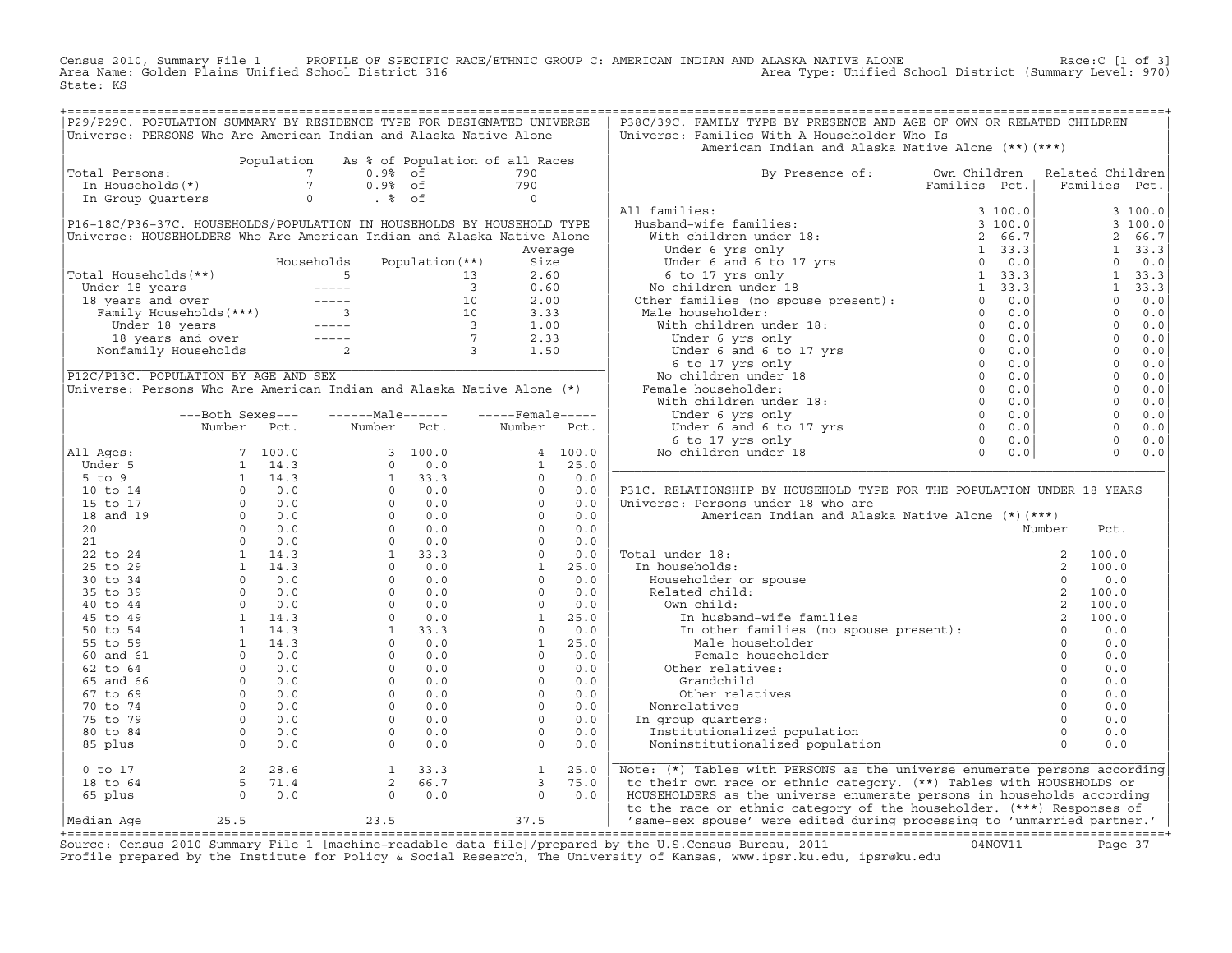Census 2010, Summary File 1 PROFILE OF SPECIFIC RACE/ETHNIC GROUP C: AMERICAN INDIAN AND ALASKA NATIVE ALONE<br>Area Name: Golden Plains Unified School District 316 Area Type: Unified Schoo State: KS

|                                                                                                                                                                                                                                                                                                                                                                                                                                               |                                                                 |            | P29/P29C. POPULATION SUMMARY BY RESIDENCE TYPE FOR DESIGNATED UNIVERSE<br>Universe: PERSONS Who Are American Indian and Alaska Native Alone |                   |                                                                                                                                                                                                                                                                                                                                                                                                                              |         |                   | P38C/39C. FAMILY TYPE BY PRESENCE AND AGE OF OWN OR RELATED CHILDREN<br>Universe: Families With A Householder Who Is                                                                                                                                                                                                                                                                                                          |                                                                |        |                |         |
|-----------------------------------------------------------------------------------------------------------------------------------------------------------------------------------------------------------------------------------------------------------------------------------------------------------------------------------------------------------------------------------------------------------------------------------------------|-----------------------------------------------------------------|------------|---------------------------------------------------------------------------------------------------------------------------------------------|-------------------|------------------------------------------------------------------------------------------------------------------------------------------------------------------------------------------------------------------------------------------------------------------------------------------------------------------------------------------------------------------------------------------------------------------------------|---------|-------------------|-------------------------------------------------------------------------------------------------------------------------------------------------------------------------------------------------------------------------------------------------------------------------------------------------------------------------------------------------------------------------------------------------------------------------------|----------------------------------------------------------------|--------|----------------|---------|
|                                                                                                                                                                                                                                                                                                                                                                                                                                               |                                                                 |            |                                                                                                                                             |                   |                                                                                                                                                                                                                                                                                                                                                                                                                              |         |                   | American Indian and Alaska Native Alone (**) (***)                                                                                                                                                                                                                                                                                                                                                                            |                                                                |        |                |         |
| Total Persons:                                                                                                                                                                                                                                                                                                                                                                                                                                |                                                                 | Population |                                                                                                                                             |                   | As % of Population of all Races                                                                                                                                                                                                                                                                                                                                                                                              |         |                   | By Presence of: Own Children Related Children                                                                                                                                                                                                                                                                                                                                                                                 |                                                                |        |                |         |
| 31 Dersons:<br>1990 In Households (*) 1990<br>1990 In Group Quarters 1990 10 1991<br>1990 1990 1991<br>1990 1990 1991                                                                                                                                                                                                                                                                                                                         |                                                                 |            |                                                                                                                                             |                   |                                                                                                                                                                                                                                                                                                                                                                                                                              |         |                   |                                                                                                                                                                                                                                                                                                                                                                                                                               | Families Pct.                                                  |        | Families Pct.  |         |
|                                                                                                                                                                                                                                                                                                                                                                                                                                               |                                                                 |            |                                                                                                                                             |                   |                                                                                                                                                                                                                                                                                                                                                                                                                              |         |                   |                                                                                                                                                                                                                                                                                                                                                                                                                               |                                                                |        |                |         |
|                                                                                                                                                                                                                                                                                                                                                                                                                                               |                                                                 |            |                                                                                                                                             |                   |                                                                                                                                                                                                                                                                                                                                                                                                                              |         |                   | All families:                                                                                                                                                                                                                                                                                                                                                                                                                 |                                                                |        |                | 3100.0  |
| P16-18C/P36-37C. HOUSEHOLDS/POPULATION IN HOUSEHOLDS BY HOUSEHOLD TYPE                                                                                                                                                                                                                                                                                                                                                                        |                                                                 |            |                                                                                                                                             |                   |                                                                                                                                                                                                                                                                                                                                                                                                                              |         |                   |                                                                                                                                                                                                                                                                                                                                                                                                                               |                                                                |        |                | 3100.0  |
| Universe: HOUSEHOLDERS Who Are American Indian and Alaska Native Alone                                                                                                                                                                                                                                                                                                                                                                        |                                                                 |            |                                                                                                                                             |                   |                                                                                                                                                                                                                                                                                                                                                                                                                              |         |                   |                                                                                                                                                                                                                                                                                                                                                                                                                               |                                                                |        | $\overline{a}$ | 66.7    |
|                                                                                                                                                                                                                                                                                                                                                                                                                                               |                                                                 |            |                                                                                                                                             |                   |                                                                                                                                                                                                                                                                                                                                                                                                                              | Average |                   |                                                                                                                                                                                                                                                                                                                                                                                                                               |                                                                |        |                | 1, 33.3 |
|                                                                                                                                                                                                                                                                                                                                                                                                                                               |                                                                 |            | Households                                                                                                                                  | Population $(**)$ |                                                                                                                                                                                                                                                                                                                                                                                                                              | Size    |                   |                                                                                                                                                                                                                                                                                                                                                                                                                               |                                                                |        | $\circ$        | 0.0     |
| Total Households(**)                                                                                                                                                                                                                                                                                                                                                                                                                          |                                                                 |            |                                                                                                                                             |                   |                                                                                                                                                                                                                                                                                                                                                                                                                              |         |                   |                                                                                                                                                                                                                                                                                                                                                                                                                               |                                                                |        |                | 1, 33.3 |
|                                                                                                                                                                                                                                                                                                                                                                                                                                               |                                                                 |            |                                                                                                                                             |                   |                                                                                                                                                                                                                                                                                                                                                                                                                              |         |                   |                                                                                                                                                                                                                                                                                                                                                                                                                               |                                                                |        |                | 1, 33.3 |
|                                                                                                                                                                                                                                                                                                                                                                                                                                               |                                                                 |            |                                                                                                                                             |                   |                                                                                                                                                                                                                                                                                                                                                                                                                              |         |                   |                                                                                                                                                                                                                                                                                                                                                                                                                               |                                                                |        | $\Omega$       | 0.0     |
|                                                                                                                                                                                                                                                                                                                                                                                                                                               |                                                                 |            |                                                                                                                                             |                   |                                                                                                                                                                                                                                                                                                                                                                                                                              |         |                   |                                                                                                                                                                                                                                                                                                                                                                                                                               |                                                                |        | $\Omega$       | 0.0     |
|                                                                                                                                                                                                                                                                                                                                                                                                                                               |                                                                 |            |                                                                                                                                             |                   |                                                                                                                                                                                                                                                                                                                                                                                                                              |         |                   |                                                                                                                                                                                                                                                                                                                                                                                                                               |                                                                |        | $\overline{0}$ | 0.0     |
|                                                                                                                                                                                                                                                                                                                                                                                                                                               |                                                                 |            |                                                                                                                                             |                   |                                                                                                                                                                                                                                                                                                                                                                                                                              |         |                   |                                                                                                                                                                                                                                                                                                                                                                                                                               |                                                                |        | $\overline{0}$ | 0.0     |
| dial Households (**)<br>$\begin{array}{cccccc} \text{Housenolas}} & \text{Housenolas} & \text{Fopulation} & \text{Mousen} & \text{Mousen} \\ \text{Under 18 years} & & & & & 13 & 2.60 \\ 18 years and over & & & & & & 10 & 0.60 \\ 18 years and over & & & & & 10 & 2.00 \\ 18 years and over & & & & & 10 & 3.33 \\ 100 & 18 years and over & & & & 1 & 1.00 \\ 18 years and over & & & & & 1 & 2.33 \\ 100 & 18 years and over & & & & 7$ |                                                                 |            |                                                                                                                                             |                   |                                                                                                                                                                                                                                                                                                                                                                                                                              |         |                   |                                                                                                                                                                                                                                                                                                                                                                                                                               |                                                                |        | $\overline{0}$ | 0.0     |
|                                                                                                                                                                                                                                                                                                                                                                                                                                               |                                                                 |            |                                                                                                                                             |                   |                                                                                                                                                                                                                                                                                                                                                                                                                              |         |                   |                                                                                                                                                                                                                                                                                                                                                                                                                               |                                                                |        | $\overline{0}$ | 0.0     |
| P12C/P13C. POPULATION BY AGE AND SEX                                                                                                                                                                                                                                                                                                                                                                                                          |                                                                 |            |                                                                                                                                             |                   |                                                                                                                                                                                                                                                                                                                                                                                                                              |         |                   |                                                                                                                                                                                                                                                                                                                                                                                                                               |                                                                |        | $\overline{0}$ | 0.0     |
| Universe: Persons Who Are American Indian and Alaska Native Alone (*)                                                                                                                                                                                                                                                                                                                                                                         |                                                                 |            |                                                                                                                                             |                   |                                                                                                                                                                                                                                                                                                                                                                                                                              |         |                   |                                                                                                                                                                                                                                                                                                                                                                                                                               |                                                                |        | $\overline{0}$ | 0.0     |
|                                                                                                                                                                                                                                                                                                                                                                                                                                               |                                                                 |            |                                                                                                                                             |                   |                                                                                                                                                                                                                                                                                                                                                                                                                              |         |                   |                                                                                                                                                                                                                                                                                                                                                                                                                               |                                                                |        | $\overline{0}$ | 0.0     |
|                                                                                                                                                                                                                                                                                                                                                                                                                                               | ---Both Sexes---                                                |            | $---Male----$                                                                                                                               |                   |                                                                                                                                                                                                                                                                                                                                                                                                                              |         | $---$ Female----- |                                                                                                                                                                                                                                                                                                                                                                                                                               |                                                                |        | $\overline{0}$ | 0.0     |
|                                                                                                                                                                                                                                                                                                                                                                                                                                               | Number Pct.                                                     |            |                                                                                                                                             | Number Pct.       | Number Pct.                                                                                                                                                                                                                                                                                                                                                                                                                  |         |                   |                                                                                                                                                                                                                                                                                                                                                                                                                               |                                                                |        | $\Omega$       | 0.0     |
|                                                                                                                                                                                                                                                                                                                                                                                                                                               |                                                                 |            |                                                                                                                                             |                   |                                                                                                                                                                                                                                                                                                                                                                                                                              |         |                   |                                                                                                                                                                                                                                                                                                                                                                                                                               |                                                                |        | $\Omega$       | 0.0     |
| All Ages:                                                                                                                                                                                                                                                                                                                                                                                                                                     |                                                                 |            |                                                                                                                                             |                   |                                                                                                                                                                                                                                                                                                                                                                                                                              |         |                   |                                                                                                                                                                                                                                                                                                                                                                                                                               |                                                                |        | $\Omega$       | 0.0     |
|                                                                                                                                                                                                                                                                                                                                                                                                                                               |                                                                 |            |                                                                                                                                             |                   |                                                                                                                                                                                                                                                                                                                                                                                                                              |         |                   |                                                                                                                                                                                                                                                                                                                                                                                                                               |                                                                |        |                |         |
|                                                                                                                                                                                                                                                                                                                                                                                                                                               |                                                                 |            |                                                                                                                                             |                   |                                                                                                                                                                                                                                                                                                                                                                                                                              |         |                   |                                                                                                                                                                                                                                                                                                                                                                                                                               |                                                                |        |                |         |
|                                                                                                                                                                                                                                                                                                                                                                                                                                               |                                                                 |            |                                                                                                                                             |                   |                                                                                                                                                                                                                                                                                                                                                                                                                              |         |                   |                                                                                                                                                                                                                                                                                                                                                                                                                               |                                                                |        |                |         |
|                                                                                                                                                                                                                                                                                                                                                                                                                                               |                                                                 |            |                                                                                                                                             |                   |                                                                                                                                                                                                                                                                                                                                                                                                                              |         |                   | P31C. RELATIONSHIP BY HOUSEHOLD TYPE FOR THE POPULATION UNDER 18 YEARS                                                                                                                                                                                                                                                                                                                                                        |                                                                |        |                |         |
|                                                                                                                                                                                                                                                                                                                                                                                                                                               |                                                                 |            |                                                                                                                                             |                   |                                                                                                                                                                                                                                                                                                                                                                                                                              |         |                   | Universe: Persons under 18 who are                                                                                                                                                                                                                                                                                                                                                                                            |                                                                |        |                |         |
|                                                                                                                                                                                                                                                                                                                                                                                                                                               |                                                                 |            |                                                                                                                                             |                   |                                                                                                                                                                                                                                                                                                                                                                                                                              |         |                   | American Indian and Alaska Native Alone (*) (***)                                                                                                                                                                                                                                                                                                                                                                             |                                                                |        |                |         |
|                                                                                                                                                                                                                                                                                                                                                                                                                                               |                                                                 |            |                                                                                                                                             |                   |                                                                                                                                                                                                                                                                                                                                                                                                                              |         |                   |                                                                                                                                                                                                                                                                                                                                                                                                                               |                                                                | Number | Pct.           |         |
|                                                                                                                                                                                                                                                                                                                                                                                                                                               |                                                                 |            |                                                                                                                                             |                   |                                                                                                                                                                                                                                                                                                                                                                                                                              |         |                   |                                                                                                                                                                                                                                                                                                                                                                                                                               |                                                                |        |                |         |
|                                                                                                                                                                                                                                                                                                                                                                                                                                               |                                                                 |            |                                                                                                                                             |                   |                                                                                                                                                                                                                                                                                                                                                                                                                              |         |                   | Total under 18:                                                                                                                                                                                                                                                                                                                                                                                                               |                                                                |        |                |         |
|                                                                                                                                                                                                                                                                                                                                                                                                                                               |                                                                 |            |                                                                                                                                             |                   |                                                                                                                                                                                                                                                                                                                                                                                                                              |         |                   |                                                                                                                                                                                                                                                                                                                                                                                                                               |                                                                |        |                |         |
|                                                                                                                                                                                                                                                                                                                                                                                                                                               |                                                                 |            |                                                                                                                                             |                   |                                                                                                                                                                                                                                                                                                                                                                                                                              |         |                   | In households:                                                                                                                                                                                                                                                                                                                                                                                                                |                                                                |        |                |         |
|                                                                                                                                                                                                                                                                                                                                                                                                                                               |                                                                 |            |                                                                                                                                             |                   |                                                                                                                                                                                                                                                                                                                                                                                                                              |         |                   |                                                                                                                                                                                                                                                                                                                                                                                                                               |                                                                |        |                |         |
|                                                                                                                                                                                                                                                                                                                                                                                                                                               |                                                                 |            |                                                                                                                                             |                   |                                                                                                                                                                                                                                                                                                                                                                                                                              |         |                   |                                                                                                                                                                                                                                                                                                                                                                                                                               |                                                                |        |                |         |
|                                                                                                                                                                                                                                                                                                                                                                                                                                               |                                                                 |            |                                                                                                                                             |                   |                                                                                                                                                                                                                                                                                                                                                                                                                              |         |                   |                                                                                                                                                                                                                                                                                                                                                                                                                               |                                                                |        |                |         |
|                                                                                                                                                                                                                                                                                                                                                                                                                                               |                                                                 |            |                                                                                                                                             |                   |                                                                                                                                                                                                                                                                                                                                                                                                                              |         |                   |                                                                                                                                                                                                                                                                                                                                                                                                                               |                                                                |        |                |         |
|                                                                                                                                                                                                                                                                                                                                                                                                                                               |                                                                 |            |                                                                                                                                             |                   |                                                                                                                                                                                                                                                                                                                                                                                                                              |         |                   |                                                                                                                                                                                                                                                                                                                                                                                                                               |                                                                |        |                |         |
|                                                                                                                                                                                                                                                                                                                                                                                                                                               |                                                                 |            |                                                                                                                                             |                   |                                                                                                                                                                                                                                                                                                                                                                                                                              |         |                   | $\begin{tabular}{lllllllllll} \texttt{all under 18:} & & & & & 2 & 100.0 \\ \texttt{in households:} & & & & 2 & 100.0 \\ \texttt{Householder or spouse} & & & 0 & 0.0 \\ \texttt{Related child:} & & & 2 & 100.0 \\ \texttt{0w} & & & 2 & 100.0 \\ \texttt{m} & & 2 & 100.0 \\ \texttt{m} & & 2 & 100.0 \\ \texttt{m} & & 2 & 100.0 \\ \texttt{m} & & 2 & 100.0 \\ \texttt{m} & & 2 & 100.0 \\ \texttt$<br>Female householder |                                                                |        | 0.0            |         |
|                                                                                                                                                                                                                                                                                                                                                                                                                                               |                                                                 |            |                                                                                                                                             |                   |                                                                                                                                                                                                                                                                                                                                                                                                                              |         |                   | Other relatives:                                                                                                                                                                                                                                                                                                                                                                                                              |                                                                |        | 0.0            |         |
|                                                                                                                                                                                                                                                                                                                                                                                                                                               |                                                                 |            |                                                                                                                                             |                   |                                                                                                                                                                                                                                                                                                                                                                                                                              |         |                   | Grandchild                                                                                                                                                                                                                                                                                                                                                                                                                    |                                                                |        | 0.0            |         |
|                                                                                                                                                                                                                                                                                                                                                                                                                                               |                                                                 |            |                                                                                                                                             |                   |                                                                                                                                                                                                                                                                                                                                                                                                                              |         |                   | Other relatives                                                                                                                                                                                                                                                                                                                                                                                                               |                                                                |        | 0.0            |         |
|                                                                                                                                                                                                                                                                                                                                                                                                                                               |                                                                 |            |                                                                                                                                             |                   |                                                                                                                                                                                                                                                                                                                                                                                                                              |         |                   | Nonrelatives                                                                                                                                                                                                                                                                                                                                                                                                                  |                                                                |        | 0.0            |         |
|                                                                                                                                                                                                                                                                                                                                                                                                                                               |                                                                 |            |                                                                                                                                             |                   |                                                                                                                                                                                                                                                                                                                                                                                                                              |         |                   | In group quarters:                                                                                                                                                                                                                                                                                                                                                                                                            | $\begin{array}{c} 0 \\ 0 \\ 0 \\ 0 \\ 0 \\ \vdots \end{array}$ |        | 0.0            |         |
|                                                                                                                                                                                                                                                                                                                                                                                                                                               |                                                                 |            |                                                                                                                                             |                   |                                                                                                                                                                                                                                                                                                                                                                                                                              |         |                   | Institutionalized population                                                                                                                                                                                                                                                                                                                                                                                                  |                                                                |        | 0.0            |         |
|                                                                                                                                                                                                                                                                                                                                                                                                                                               |                                                                 |            |                                                                                                                                             |                   |                                                                                                                                                                                                                                                                                                                                                                                                                              |         |                   | Noninstitutionalized population                                                                                                                                                                                                                                                                                                                                                                                               |                                                                |        | 0.0            |         |
| $0$ to 17                                                                                                                                                                                                                                                                                                                                                                                                                                     |                                                                 |            |                                                                                                                                             |                   | $\begin{array}{cccccc} \text{Number} & & \text{FCC} \, \text{.} & & \text{100.0} & \text{1} & \text{25.0} & \text{0} & \text{0} & \text{0} & \text{0} & \text{0} & \text{0} & \text{0} & \text{0} & \text{0} & \text{0} & \text{0} & \text{0} & \text{0} & \text{0} & \text{0} & \text{0} & \text{0} & \text{0} & \text{0} & \text{0} & \text{0} & \text{0} & \text{0} & \text{0} & \text{0} & \text{0} & \text{0} & \text{$ |         | 25.0              | $\begin{array}{ccc} & & & & 0 \\ \text{pulation} & & & & 0 \\ \text{moulation} & & & & 0 \\ \end{array}$<br>Note: (*) Tables with PERSONS as the universe enumerate persons according                                                                                                                                                                                                                                         |                                                                |        |                |         |
| 18 to 64                                                                                                                                                                                                                                                                                                                                                                                                                                      |                                                                 |            |                                                                                                                                             |                   |                                                                                                                                                                                                                                                                                                                                                                                                                              |         | 75.0              |                                                                                                                                                                                                                                                                                                                                                                                                                               |                                                                |        |                |         |
| 65 plus                                                                                                                                                                                                                                                                                                                                                                                                                                       | $\begin{array}{cc} 2 & 28.6 \\ 5 & 71.4 \\ 0 & 0.0 \end{array}$ |            |                                                                                                                                             |                   |                                                                                                                                                                                                                                                                                                                                                                                                                              |         | 0.0               | to their own race or ethnic category. (**) Tables with HOUSEHOLDS or<br>HOUSEHOLDERS as the universe enumerate persons in households according                                                                                                                                                                                                                                                                                |                                                                |        |                |         |
| Median Aqe                                                                                                                                                                                                                                                                                                                                                                                                                                    |                                                                 |            | $\begin{array}{ccc} 1 & 33.3 \\ 2 & 66.7 \\ 0 & 0.0 \end{array}$                                                                            |                   | $\begin{array}{c} 1 \\ 3 \\ 0 \end{array}$                                                                                                                                                                                                                                                                                                                                                                                   |         |                   | to the race or ethnic category of the householder. (***) Responses of<br>25.5 23.5 37.5 37.5 Same-sex spouse' were edited during processing to 'unmarried partner.'                                                                                                                                                                                                                                                           |                                                                |        |                |         |

Source: Census 2010 Summary File 1 [machine-readable data file]/prepared by the U.S.Census Bureau, 2011 Page 37<br>Profile prepared by the Institute for Policy & Social Research, The University of Kansas, www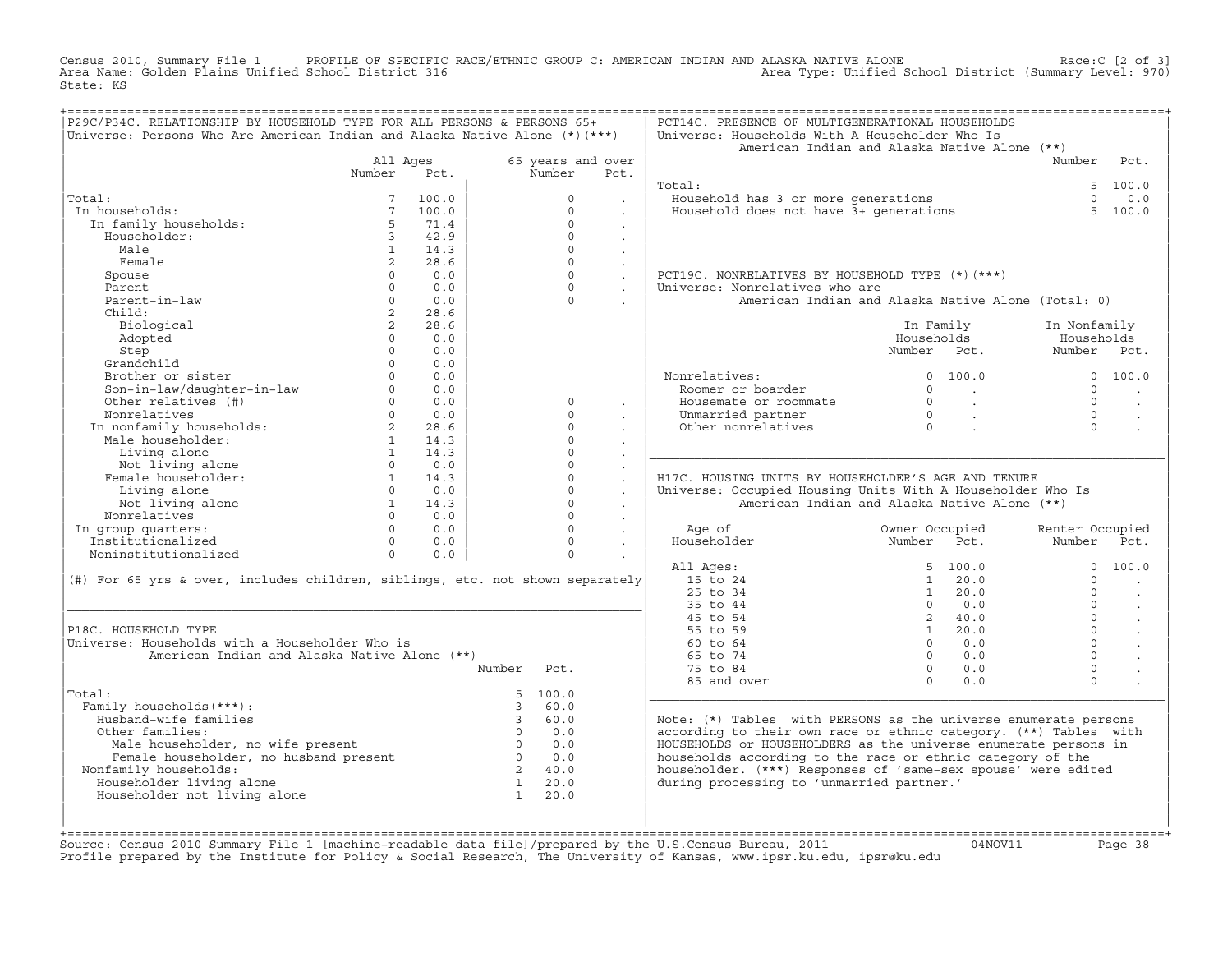Census 2010, Summary File 1 PROFILE OF SPECIFIC RACE/ETHNIC GROUP C: AMERICAN INDIAN AND ALASKA NATIVE ALONE<br>Area Name: Golden Plains Unified School District 316 Area Type: Unified Schoo State: KS

| 65 years and over<br>Number<br>All Ages<br>Number<br>Number<br>Pct.<br>Pct.<br>Total:<br>5 100.0<br>Fousehold has 3 or more generations<br>Household does not have 3+ generations<br>Total:<br>100.0<br>$\Omega$<br>$\Omega$<br>0.0<br>In households:<br>$7^{\circ}$<br>100.0<br>$\Omega$<br>5, 100.0<br>In family households:<br>5<br>$\Omega$<br>71.4<br>$\sim$<br>Householder:<br>$\overline{3}$<br>42.9<br>$\Omega$<br>$\sim$<br>$\Omega$<br>Male<br>1<br>14.3<br>$\sim$<br>Female<br>$\overline{2}$<br>28.6<br>$\Omega$<br>$\sim$<br>$\Omega$<br>PCT19C. NONRELATIVES BY HOUSEHOLD TYPE (*) (***)<br>Spouse<br>$\Omega$<br>0.0<br>$\sim$<br>$\Omega$<br>Universe: Nonrelatives who are<br>Parent<br>$\Omega$<br>0.0<br>$\sim$<br>Parent-in-law<br>$\Omega$<br>0.0<br>$\Omega$<br>American Indian and Alaska Native Alone (Total: 0)<br>$\mathbf{r}$<br>$2^{\circ}$<br>28.6<br>Child:<br>2<br>Biological<br>28.6<br>In Family<br>In Nonfamily<br>Adopted<br>$\Omega$<br>0.0<br>Households<br>Households<br>$\Omega$<br>0.0<br>Number Pct.<br>Number Pct.<br>Step<br>Grandchild<br>$\Omega$<br>0.0<br>Brother or sister<br>$\Omega$<br>0.0<br>Nonrelatives:<br>0 100.0<br>0, 100, 0<br>Son-in-law/daughter-in-law<br>Other relatives (#)<br>$\Omega$<br>0.0<br>Roomer or boarder<br>$\Omega$<br>$\Omega$<br><b>Contractor</b><br>$\Omega$<br>0.0<br>$\overline{0}$<br>$\Omega$<br>$\circ$<br>Housemate or roommate<br>$\sim 10^{11}$ km $^{-1}$<br>$\sim$<br>$\sim$<br>Nonrelatives<br>$\Omega$<br>0.0<br>$\Omega$<br>Unmarried partner<br>$\begin{matrix}0\\0\end{matrix}$<br>$\Omega$<br><b>Contract Contract</b><br>$\mathbf{r}$<br>$\ddot{\phantom{a}}$<br>NONFEIALIVES<br>In nonfamily households:<br>Male householder:<br>Other nonrelatives<br>$2 \rightarrow$<br>28.6<br>$\Omega$<br>$\Omega$<br>$\mathbf{r}$<br>$\ddot{\phantom{a}}$<br>$\Omega$<br>$\mathbf{1}$<br>14.3<br>$\ddot{\phantom{a}}$<br>$\overline{1}$<br>Living alone<br>14.3<br>$\Omega$<br>Not living alone<br>Female householder:<br>Timing and property<br>$\Omega$<br>0.0<br>$\Omega$<br>$\mathbf{r}$<br>1<br>$\Omega$<br>14.3<br>H17C, HOUSING UNITS BY HOUSEHOLDER'S AGE AND TENURE<br>$\ddot{\phantom{a}}$<br>$\Omega$<br>Living alone<br>$0 \t 0.0$<br>Universe: Occupied Housing Units With A Householder Who Is<br>$\sim$<br>Not living alone<br>$\Omega$<br>$1 \t 14.3$<br>American Indian and Alaska Native Alone (**)<br>$\sim$<br>Nonrelatives<br>$\Omega$<br>$\Omega$<br>0.0<br>$\sim$<br>$0 \t 0.0$<br>$\Omega$<br>In group quarters:<br>Owner Occupied<br>Age of<br>Renter Occupied<br>$\ddot{\phantom{a}}$<br>Number Pct.<br>Householder<br>$0 \t 0.0$<br>$\Omega$<br>Institutionalized<br>Number<br>$\sim$<br>Noninstitutionalized<br>$\Omega$<br>$\Omega$<br>0.0<br>All Ages:<br>5, 100.0<br>$\Omega$<br>15 to 24<br>(#) For 65 yrs & over, includes children, siblings, etc. not shown separately<br>$1 \ 20.0$<br>$\Omega$<br>$25$ to $34$<br>$1 \t 20.0$<br>$\cap$<br>$\sim$<br>35 to 44<br>$\Omega$<br>0.0<br>$\Omega$<br>$\sim$<br>2, 40.0<br>$\Omega$<br>45 to 54<br>$\ddot{\phantom{a}}$<br>$\Omega$<br>P18C. HOUSEHOLD TYPE<br>55 to 59<br>$1 \t 20.0$<br>Universe: Households with a Householder Who is<br>60 to 64<br>$\Omega$<br>$\Omega$<br>0.0<br>$\cdot$<br>$\Omega$<br>American Indian and Alaska Native Alone (**)<br>65 to 74<br>$0 \t 0.0$<br>$0 \qquad 0.0$<br>$\mathbf 0$<br>Number<br>75 to 84<br>Pct.<br>$\Omega$<br>85 and over<br>0.0<br>$\Omega$<br>5 100.0<br>Total:<br>Family households (***) :<br>$\mathcal{R}$<br>60.0<br>Husband-wife families<br>$\overline{3}$<br>60.0<br>Note: (*) Tables with PERSONS as the universe enumerate persons<br>$0 \qquad 0.0$<br>according to their own race or ethnic category. (**) Tables with<br>Other families:<br>Male householder, no wife present<br>Female householder, no husband present<br>Female householder, no husband present<br>Semile householder, no husband present<br>HOUSEHOLDS or HOUSEHOLDERS as the universe enumerate persons in<br>$0 \t 0.0$<br>0.0<br>households according to the race or ethnic category of the<br>householder. (***) Responses of 'same-sex spouse' were edited<br>Nonfamily households:<br>$\overline{2}$<br>40.0<br>Householder living alone<br>during processing to 'unmarried partner.'<br>$\mathbf{1}$<br>20.0<br>$\mathbf{1}$<br>Householder not living alone<br>20.0 | P29C/P34C. RELATIONSHIP BY HOUSEHOLD TYPE FOR ALL PERSONS & PERSONS 65+<br>Universe: Persons Who Are American Indian and Alaska Native Alone (*) (***) |  |  | PCT14C. PRESENCE OF MULTIGENERATIONAL HOUSEHOLDS<br>Universe: Households With A Householder Who Is<br>American Indian and Alaska Native Alone (**) |  |       |
|-----------------------------------------------------------------------------------------------------------------------------------------------------------------------------------------------------------------------------------------------------------------------------------------------------------------------------------------------------------------------------------------------------------------------------------------------------------------------------------------------------------------------------------------------------------------------------------------------------------------------------------------------------------------------------------------------------------------------------------------------------------------------------------------------------------------------------------------------------------------------------------------------------------------------------------------------------------------------------------------------------------------------------------------------------------------------------------------------------------------------------------------------------------------------------------------------------------------------------------------------------------------------------------------------------------------------------------------------------------------------------------------------------------------------------------------------------------------------------------------------------------------------------------------------------------------------------------------------------------------------------------------------------------------------------------------------------------------------------------------------------------------------------------------------------------------------------------------------------------------------------------------------------------------------------------------------------------------------------------------------------------------------------------------------------------------------------------------------------------------------------------------------------------------------------------------------------------------------------------------------------------------------------------------------------------------------------------------------------------------------------------------------------------------------------------------------------------------------------------------------------------------------------------------------------------------------------------------------------------------------------------------------------------------------------------------------------------------------------------------------------------------------------------------------------------------------------------------------------------------------------------------------------------------------------------------------------------------------------------------------------------------------------------------------------------------------------------------------------------------------------------------------------------------------------------------------------------------------------------------------------------------------------------------------------------------------------------------------------------------------------------------------------------------------------------------------------------------------------------------------------------------------------------------------------------------------------------------------------------------------------------------------------------------------------------------------------------------------------------------------------------------------------------------------------------------------------------------------------------------------------------------------------------------------------------------------------------------------------------------------------------------------------------------------------------------------------------------------------------------------------------------------------------------------------------------------------------------------------------------------------------------------------------------------------------------------------------------------------------------------------------------|--------------------------------------------------------------------------------------------------------------------------------------------------------|--|--|----------------------------------------------------------------------------------------------------------------------------------------------------|--|-------|
|                                                                                                                                                                                                                                                                                                                                                                                                                                                                                                                                                                                                                                                                                                                                                                                                                                                                                                                                                                                                                                                                                                                                                                                                                                                                                                                                                                                                                                                                                                                                                                                                                                                                                                                                                                                                                                                                                                                                                                                                                                                                                                                                                                                                                                                                                                                                                                                                                                                                                                                                                                                                                                                                                                                                                                                                                                                                                                                                                                                                                                                                                                                                                                                                                                                                                                                                                                                                                                                                                                                                                                                                                                                                                                                                                                                                                                                                                                                                                                                                                                                                                                                                                                                                                                                                                                                                                                                         |                                                                                                                                                        |  |  |                                                                                                                                                    |  | Pct.  |
|                                                                                                                                                                                                                                                                                                                                                                                                                                                                                                                                                                                                                                                                                                                                                                                                                                                                                                                                                                                                                                                                                                                                                                                                                                                                                                                                                                                                                                                                                                                                                                                                                                                                                                                                                                                                                                                                                                                                                                                                                                                                                                                                                                                                                                                                                                                                                                                                                                                                                                                                                                                                                                                                                                                                                                                                                                                                                                                                                                                                                                                                                                                                                                                                                                                                                                                                                                                                                                                                                                                                                                                                                                                                                                                                                                                                                                                                                                                                                                                                                                                                                                                                                                                                                                                                                                                                                                                         |                                                                                                                                                        |  |  |                                                                                                                                                    |  |       |
|                                                                                                                                                                                                                                                                                                                                                                                                                                                                                                                                                                                                                                                                                                                                                                                                                                                                                                                                                                                                                                                                                                                                                                                                                                                                                                                                                                                                                                                                                                                                                                                                                                                                                                                                                                                                                                                                                                                                                                                                                                                                                                                                                                                                                                                                                                                                                                                                                                                                                                                                                                                                                                                                                                                                                                                                                                                                                                                                                                                                                                                                                                                                                                                                                                                                                                                                                                                                                                                                                                                                                                                                                                                                                                                                                                                                                                                                                                                                                                                                                                                                                                                                                                                                                                                                                                                                                                                         |                                                                                                                                                        |  |  |                                                                                                                                                    |  |       |
|                                                                                                                                                                                                                                                                                                                                                                                                                                                                                                                                                                                                                                                                                                                                                                                                                                                                                                                                                                                                                                                                                                                                                                                                                                                                                                                                                                                                                                                                                                                                                                                                                                                                                                                                                                                                                                                                                                                                                                                                                                                                                                                                                                                                                                                                                                                                                                                                                                                                                                                                                                                                                                                                                                                                                                                                                                                                                                                                                                                                                                                                                                                                                                                                                                                                                                                                                                                                                                                                                                                                                                                                                                                                                                                                                                                                                                                                                                                                                                                                                                                                                                                                                                                                                                                                                                                                                                                         |                                                                                                                                                        |  |  |                                                                                                                                                    |  |       |
|                                                                                                                                                                                                                                                                                                                                                                                                                                                                                                                                                                                                                                                                                                                                                                                                                                                                                                                                                                                                                                                                                                                                                                                                                                                                                                                                                                                                                                                                                                                                                                                                                                                                                                                                                                                                                                                                                                                                                                                                                                                                                                                                                                                                                                                                                                                                                                                                                                                                                                                                                                                                                                                                                                                                                                                                                                                                                                                                                                                                                                                                                                                                                                                                                                                                                                                                                                                                                                                                                                                                                                                                                                                                                                                                                                                                                                                                                                                                                                                                                                                                                                                                                                                                                                                                                                                                                                                         |                                                                                                                                                        |  |  |                                                                                                                                                    |  |       |
|                                                                                                                                                                                                                                                                                                                                                                                                                                                                                                                                                                                                                                                                                                                                                                                                                                                                                                                                                                                                                                                                                                                                                                                                                                                                                                                                                                                                                                                                                                                                                                                                                                                                                                                                                                                                                                                                                                                                                                                                                                                                                                                                                                                                                                                                                                                                                                                                                                                                                                                                                                                                                                                                                                                                                                                                                                                                                                                                                                                                                                                                                                                                                                                                                                                                                                                                                                                                                                                                                                                                                                                                                                                                                                                                                                                                                                                                                                                                                                                                                                                                                                                                                                                                                                                                                                                                                                                         |                                                                                                                                                        |  |  |                                                                                                                                                    |  |       |
|                                                                                                                                                                                                                                                                                                                                                                                                                                                                                                                                                                                                                                                                                                                                                                                                                                                                                                                                                                                                                                                                                                                                                                                                                                                                                                                                                                                                                                                                                                                                                                                                                                                                                                                                                                                                                                                                                                                                                                                                                                                                                                                                                                                                                                                                                                                                                                                                                                                                                                                                                                                                                                                                                                                                                                                                                                                                                                                                                                                                                                                                                                                                                                                                                                                                                                                                                                                                                                                                                                                                                                                                                                                                                                                                                                                                                                                                                                                                                                                                                                                                                                                                                                                                                                                                                                                                                                                         |                                                                                                                                                        |  |  |                                                                                                                                                    |  |       |
|                                                                                                                                                                                                                                                                                                                                                                                                                                                                                                                                                                                                                                                                                                                                                                                                                                                                                                                                                                                                                                                                                                                                                                                                                                                                                                                                                                                                                                                                                                                                                                                                                                                                                                                                                                                                                                                                                                                                                                                                                                                                                                                                                                                                                                                                                                                                                                                                                                                                                                                                                                                                                                                                                                                                                                                                                                                                                                                                                                                                                                                                                                                                                                                                                                                                                                                                                                                                                                                                                                                                                                                                                                                                                                                                                                                                                                                                                                                                                                                                                                                                                                                                                                                                                                                                                                                                                                                         |                                                                                                                                                        |  |  |                                                                                                                                                    |  |       |
|                                                                                                                                                                                                                                                                                                                                                                                                                                                                                                                                                                                                                                                                                                                                                                                                                                                                                                                                                                                                                                                                                                                                                                                                                                                                                                                                                                                                                                                                                                                                                                                                                                                                                                                                                                                                                                                                                                                                                                                                                                                                                                                                                                                                                                                                                                                                                                                                                                                                                                                                                                                                                                                                                                                                                                                                                                                                                                                                                                                                                                                                                                                                                                                                                                                                                                                                                                                                                                                                                                                                                                                                                                                                                                                                                                                                                                                                                                                                                                                                                                                                                                                                                                                                                                                                                                                                                                                         |                                                                                                                                                        |  |  |                                                                                                                                                    |  |       |
|                                                                                                                                                                                                                                                                                                                                                                                                                                                                                                                                                                                                                                                                                                                                                                                                                                                                                                                                                                                                                                                                                                                                                                                                                                                                                                                                                                                                                                                                                                                                                                                                                                                                                                                                                                                                                                                                                                                                                                                                                                                                                                                                                                                                                                                                                                                                                                                                                                                                                                                                                                                                                                                                                                                                                                                                                                                                                                                                                                                                                                                                                                                                                                                                                                                                                                                                                                                                                                                                                                                                                                                                                                                                                                                                                                                                                                                                                                                                                                                                                                                                                                                                                                                                                                                                                                                                                                                         |                                                                                                                                                        |  |  |                                                                                                                                                    |  |       |
|                                                                                                                                                                                                                                                                                                                                                                                                                                                                                                                                                                                                                                                                                                                                                                                                                                                                                                                                                                                                                                                                                                                                                                                                                                                                                                                                                                                                                                                                                                                                                                                                                                                                                                                                                                                                                                                                                                                                                                                                                                                                                                                                                                                                                                                                                                                                                                                                                                                                                                                                                                                                                                                                                                                                                                                                                                                                                                                                                                                                                                                                                                                                                                                                                                                                                                                                                                                                                                                                                                                                                                                                                                                                                                                                                                                                                                                                                                                                                                                                                                                                                                                                                                                                                                                                                                                                                                                         |                                                                                                                                                        |  |  |                                                                                                                                                    |  |       |
|                                                                                                                                                                                                                                                                                                                                                                                                                                                                                                                                                                                                                                                                                                                                                                                                                                                                                                                                                                                                                                                                                                                                                                                                                                                                                                                                                                                                                                                                                                                                                                                                                                                                                                                                                                                                                                                                                                                                                                                                                                                                                                                                                                                                                                                                                                                                                                                                                                                                                                                                                                                                                                                                                                                                                                                                                                                                                                                                                                                                                                                                                                                                                                                                                                                                                                                                                                                                                                                                                                                                                                                                                                                                                                                                                                                                                                                                                                                                                                                                                                                                                                                                                                                                                                                                                                                                                                                         |                                                                                                                                                        |  |  |                                                                                                                                                    |  |       |
|                                                                                                                                                                                                                                                                                                                                                                                                                                                                                                                                                                                                                                                                                                                                                                                                                                                                                                                                                                                                                                                                                                                                                                                                                                                                                                                                                                                                                                                                                                                                                                                                                                                                                                                                                                                                                                                                                                                                                                                                                                                                                                                                                                                                                                                                                                                                                                                                                                                                                                                                                                                                                                                                                                                                                                                                                                                                                                                                                                                                                                                                                                                                                                                                                                                                                                                                                                                                                                                                                                                                                                                                                                                                                                                                                                                                                                                                                                                                                                                                                                                                                                                                                                                                                                                                                                                                                                                         |                                                                                                                                                        |  |  |                                                                                                                                                    |  |       |
|                                                                                                                                                                                                                                                                                                                                                                                                                                                                                                                                                                                                                                                                                                                                                                                                                                                                                                                                                                                                                                                                                                                                                                                                                                                                                                                                                                                                                                                                                                                                                                                                                                                                                                                                                                                                                                                                                                                                                                                                                                                                                                                                                                                                                                                                                                                                                                                                                                                                                                                                                                                                                                                                                                                                                                                                                                                                                                                                                                                                                                                                                                                                                                                                                                                                                                                                                                                                                                                                                                                                                                                                                                                                                                                                                                                                                                                                                                                                                                                                                                                                                                                                                                                                                                                                                                                                                                                         |                                                                                                                                                        |  |  |                                                                                                                                                    |  |       |
|                                                                                                                                                                                                                                                                                                                                                                                                                                                                                                                                                                                                                                                                                                                                                                                                                                                                                                                                                                                                                                                                                                                                                                                                                                                                                                                                                                                                                                                                                                                                                                                                                                                                                                                                                                                                                                                                                                                                                                                                                                                                                                                                                                                                                                                                                                                                                                                                                                                                                                                                                                                                                                                                                                                                                                                                                                                                                                                                                                                                                                                                                                                                                                                                                                                                                                                                                                                                                                                                                                                                                                                                                                                                                                                                                                                                                                                                                                                                                                                                                                                                                                                                                                                                                                                                                                                                                                                         |                                                                                                                                                        |  |  |                                                                                                                                                    |  |       |
|                                                                                                                                                                                                                                                                                                                                                                                                                                                                                                                                                                                                                                                                                                                                                                                                                                                                                                                                                                                                                                                                                                                                                                                                                                                                                                                                                                                                                                                                                                                                                                                                                                                                                                                                                                                                                                                                                                                                                                                                                                                                                                                                                                                                                                                                                                                                                                                                                                                                                                                                                                                                                                                                                                                                                                                                                                                                                                                                                                                                                                                                                                                                                                                                                                                                                                                                                                                                                                                                                                                                                                                                                                                                                                                                                                                                                                                                                                                                                                                                                                                                                                                                                                                                                                                                                                                                                                                         |                                                                                                                                                        |  |  |                                                                                                                                                    |  |       |
|                                                                                                                                                                                                                                                                                                                                                                                                                                                                                                                                                                                                                                                                                                                                                                                                                                                                                                                                                                                                                                                                                                                                                                                                                                                                                                                                                                                                                                                                                                                                                                                                                                                                                                                                                                                                                                                                                                                                                                                                                                                                                                                                                                                                                                                                                                                                                                                                                                                                                                                                                                                                                                                                                                                                                                                                                                                                                                                                                                                                                                                                                                                                                                                                                                                                                                                                                                                                                                                                                                                                                                                                                                                                                                                                                                                                                                                                                                                                                                                                                                                                                                                                                                                                                                                                                                                                                                                         |                                                                                                                                                        |  |  |                                                                                                                                                    |  |       |
|                                                                                                                                                                                                                                                                                                                                                                                                                                                                                                                                                                                                                                                                                                                                                                                                                                                                                                                                                                                                                                                                                                                                                                                                                                                                                                                                                                                                                                                                                                                                                                                                                                                                                                                                                                                                                                                                                                                                                                                                                                                                                                                                                                                                                                                                                                                                                                                                                                                                                                                                                                                                                                                                                                                                                                                                                                                                                                                                                                                                                                                                                                                                                                                                                                                                                                                                                                                                                                                                                                                                                                                                                                                                                                                                                                                                                                                                                                                                                                                                                                                                                                                                                                                                                                                                                                                                                                                         |                                                                                                                                                        |  |  |                                                                                                                                                    |  |       |
|                                                                                                                                                                                                                                                                                                                                                                                                                                                                                                                                                                                                                                                                                                                                                                                                                                                                                                                                                                                                                                                                                                                                                                                                                                                                                                                                                                                                                                                                                                                                                                                                                                                                                                                                                                                                                                                                                                                                                                                                                                                                                                                                                                                                                                                                                                                                                                                                                                                                                                                                                                                                                                                                                                                                                                                                                                                                                                                                                                                                                                                                                                                                                                                                                                                                                                                                                                                                                                                                                                                                                                                                                                                                                                                                                                                                                                                                                                                                                                                                                                                                                                                                                                                                                                                                                                                                                                                         |                                                                                                                                                        |  |  |                                                                                                                                                    |  |       |
|                                                                                                                                                                                                                                                                                                                                                                                                                                                                                                                                                                                                                                                                                                                                                                                                                                                                                                                                                                                                                                                                                                                                                                                                                                                                                                                                                                                                                                                                                                                                                                                                                                                                                                                                                                                                                                                                                                                                                                                                                                                                                                                                                                                                                                                                                                                                                                                                                                                                                                                                                                                                                                                                                                                                                                                                                                                                                                                                                                                                                                                                                                                                                                                                                                                                                                                                                                                                                                                                                                                                                                                                                                                                                                                                                                                                                                                                                                                                                                                                                                                                                                                                                                                                                                                                                                                                                                                         |                                                                                                                                                        |  |  |                                                                                                                                                    |  |       |
|                                                                                                                                                                                                                                                                                                                                                                                                                                                                                                                                                                                                                                                                                                                                                                                                                                                                                                                                                                                                                                                                                                                                                                                                                                                                                                                                                                                                                                                                                                                                                                                                                                                                                                                                                                                                                                                                                                                                                                                                                                                                                                                                                                                                                                                                                                                                                                                                                                                                                                                                                                                                                                                                                                                                                                                                                                                                                                                                                                                                                                                                                                                                                                                                                                                                                                                                                                                                                                                                                                                                                                                                                                                                                                                                                                                                                                                                                                                                                                                                                                                                                                                                                                                                                                                                                                                                                                                         |                                                                                                                                                        |  |  |                                                                                                                                                    |  |       |
|                                                                                                                                                                                                                                                                                                                                                                                                                                                                                                                                                                                                                                                                                                                                                                                                                                                                                                                                                                                                                                                                                                                                                                                                                                                                                                                                                                                                                                                                                                                                                                                                                                                                                                                                                                                                                                                                                                                                                                                                                                                                                                                                                                                                                                                                                                                                                                                                                                                                                                                                                                                                                                                                                                                                                                                                                                                                                                                                                                                                                                                                                                                                                                                                                                                                                                                                                                                                                                                                                                                                                                                                                                                                                                                                                                                                                                                                                                                                                                                                                                                                                                                                                                                                                                                                                                                                                                                         |                                                                                                                                                        |  |  |                                                                                                                                                    |  |       |
|                                                                                                                                                                                                                                                                                                                                                                                                                                                                                                                                                                                                                                                                                                                                                                                                                                                                                                                                                                                                                                                                                                                                                                                                                                                                                                                                                                                                                                                                                                                                                                                                                                                                                                                                                                                                                                                                                                                                                                                                                                                                                                                                                                                                                                                                                                                                                                                                                                                                                                                                                                                                                                                                                                                                                                                                                                                                                                                                                                                                                                                                                                                                                                                                                                                                                                                                                                                                                                                                                                                                                                                                                                                                                                                                                                                                                                                                                                                                                                                                                                                                                                                                                                                                                                                                                                                                                                                         |                                                                                                                                                        |  |  |                                                                                                                                                    |  |       |
|                                                                                                                                                                                                                                                                                                                                                                                                                                                                                                                                                                                                                                                                                                                                                                                                                                                                                                                                                                                                                                                                                                                                                                                                                                                                                                                                                                                                                                                                                                                                                                                                                                                                                                                                                                                                                                                                                                                                                                                                                                                                                                                                                                                                                                                                                                                                                                                                                                                                                                                                                                                                                                                                                                                                                                                                                                                                                                                                                                                                                                                                                                                                                                                                                                                                                                                                                                                                                                                                                                                                                                                                                                                                                                                                                                                                                                                                                                                                                                                                                                                                                                                                                                                                                                                                                                                                                                                         |                                                                                                                                                        |  |  |                                                                                                                                                    |  |       |
|                                                                                                                                                                                                                                                                                                                                                                                                                                                                                                                                                                                                                                                                                                                                                                                                                                                                                                                                                                                                                                                                                                                                                                                                                                                                                                                                                                                                                                                                                                                                                                                                                                                                                                                                                                                                                                                                                                                                                                                                                                                                                                                                                                                                                                                                                                                                                                                                                                                                                                                                                                                                                                                                                                                                                                                                                                                                                                                                                                                                                                                                                                                                                                                                                                                                                                                                                                                                                                                                                                                                                                                                                                                                                                                                                                                                                                                                                                                                                                                                                                                                                                                                                                                                                                                                                                                                                                                         |                                                                                                                                                        |  |  |                                                                                                                                                    |  |       |
|                                                                                                                                                                                                                                                                                                                                                                                                                                                                                                                                                                                                                                                                                                                                                                                                                                                                                                                                                                                                                                                                                                                                                                                                                                                                                                                                                                                                                                                                                                                                                                                                                                                                                                                                                                                                                                                                                                                                                                                                                                                                                                                                                                                                                                                                                                                                                                                                                                                                                                                                                                                                                                                                                                                                                                                                                                                                                                                                                                                                                                                                                                                                                                                                                                                                                                                                                                                                                                                                                                                                                                                                                                                                                                                                                                                                                                                                                                                                                                                                                                                                                                                                                                                                                                                                                                                                                                                         |                                                                                                                                                        |  |  |                                                                                                                                                    |  |       |
|                                                                                                                                                                                                                                                                                                                                                                                                                                                                                                                                                                                                                                                                                                                                                                                                                                                                                                                                                                                                                                                                                                                                                                                                                                                                                                                                                                                                                                                                                                                                                                                                                                                                                                                                                                                                                                                                                                                                                                                                                                                                                                                                                                                                                                                                                                                                                                                                                                                                                                                                                                                                                                                                                                                                                                                                                                                                                                                                                                                                                                                                                                                                                                                                                                                                                                                                                                                                                                                                                                                                                                                                                                                                                                                                                                                                                                                                                                                                                                                                                                                                                                                                                                                                                                                                                                                                                                                         |                                                                                                                                                        |  |  |                                                                                                                                                    |  |       |
|                                                                                                                                                                                                                                                                                                                                                                                                                                                                                                                                                                                                                                                                                                                                                                                                                                                                                                                                                                                                                                                                                                                                                                                                                                                                                                                                                                                                                                                                                                                                                                                                                                                                                                                                                                                                                                                                                                                                                                                                                                                                                                                                                                                                                                                                                                                                                                                                                                                                                                                                                                                                                                                                                                                                                                                                                                                                                                                                                                                                                                                                                                                                                                                                                                                                                                                                                                                                                                                                                                                                                                                                                                                                                                                                                                                                                                                                                                                                                                                                                                                                                                                                                                                                                                                                                                                                                                                         |                                                                                                                                                        |  |  |                                                                                                                                                    |  |       |
|                                                                                                                                                                                                                                                                                                                                                                                                                                                                                                                                                                                                                                                                                                                                                                                                                                                                                                                                                                                                                                                                                                                                                                                                                                                                                                                                                                                                                                                                                                                                                                                                                                                                                                                                                                                                                                                                                                                                                                                                                                                                                                                                                                                                                                                                                                                                                                                                                                                                                                                                                                                                                                                                                                                                                                                                                                                                                                                                                                                                                                                                                                                                                                                                                                                                                                                                                                                                                                                                                                                                                                                                                                                                                                                                                                                                                                                                                                                                                                                                                                                                                                                                                                                                                                                                                                                                                                                         |                                                                                                                                                        |  |  |                                                                                                                                                    |  | Pct.  |
|                                                                                                                                                                                                                                                                                                                                                                                                                                                                                                                                                                                                                                                                                                                                                                                                                                                                                                                                                                                                                                                                                                                                                                                                                                                                                                                                                                                                                                                                                                                                                                                                                                                                                                                                                                                                                                                                                                                                                                                                                                                                                                                                                                                                                                                                                                                                                                                                                                                                                                                                                                                                                                                                                                                                                                                                                                                                                                                                                                                                                                                                                                                                                                                                                                                                                                                                                                                                                                                                                                                                                                                                                                                                                                                                                                                                                                                                                                                                                                                                                                                                                                                                                                                                                                                                                                                                                                                         |                                                                                                                                                        |  |  |                                                                                                                                                    |  |       |
|                                                                                                                                                                                                                                                                                                                                                                                                                                                                                                                                                                                                                                                                                                                                                                                                                                                                                                                                                                                                                                                                                                                                                                                                                                                                                                                                                                                                                                                                                                                                                                                                                                                                                                                                                                                                                                                                                                                                                                                                                                                                                                                                                                                                                                                                                                                                                                                                                                                                                                                                                                                                                                                                                                                                                                                                                                                                                                                                                                                                                                                                                                                                                                                                                                                                                                                                                                                                                                                                                                                                                                                                                                                                                                                                                                                                                                                                                                                                                                                                                                                                                                                                                                                                                                                                                                                                                                                         |                                                                                                                                                        |  |  |                                                                                                                                                    |  | 100.0 |
|                                                                                                                                                                                                                                                                                                                                                                                                                                                                                                                                                                                                                                                                                                                                                                                                                                                                                                                                                                                                                                                                                                                                                                                                                                                                                                                                                                                                                                                                                                                                                                                                                                                                                                                                                                                                                                                                                                                                                                                                                                                                                                                                                                                                                                                                                                                                                                                                                                                                                                                                                                                                                                                                                                                                                                                                                                                                                                                                                                                                                                                                                                                                                                                                                                                                                                                                                                                                                                                                                                                                                                                                                                                                                                                                                                                                                                                                                                                                                                                                                                                                                                                                                                                                                                                                                                                                                                                         |                                                                                                                                                        |  |  |                                                                                                                                                    |  |       |
|                                                                                                                                                                                                                                                                                                                                                                                                                                                                                                                                                                                                                                                                                                                                                                                                                                                                                                                                                                                                                                                                                                                                                                                                                                                                                                                                                                                                                                                                                                                                                                                                                                                                                                                                                                                                                                                                                                                                                                                                                                                                                                                                                                                                                                                                                                                                                                                                                                                                                                                                                                                                                                                                                                                                                                                                                                                                                                                                                                                                                                                                                                                                                                                                                                                                                                                                                                                                                                                                                                                                                                                                                                                                                                                                                                                                                                                                                                                                                                                                                                                                                                                                                                                                                                                                                                                                                                                         |                                                                                                                                                        |  |  |                                                                                                                                                    |  |       |
|                                                                                                                                                                                                                                                                                                                                                                                                                                                                                                                                                                                                                                                                                                                                                                                                                                                                                                                                                                                                                                                                                                                                                                                                                                                                                                                                                                                                                                                                                                                                                                                                                                                                                                                                                                                                                                                                                                                                                                                                                                                                                                                                                                                                                                                                                                                                                                                                                                                                                                                                                                                                                                                                                                                                                                                                                                                                                                                                                                                                                                                                                                                                                                                                                                                                                                                                                                                                                                                                                                                                                                                                                                                                                                                                                                                                                                                                                                                                                                                                                                                                                                                                                                                                                                                                                                                                                                                         |                                                                                                                                                        |  |  |                                                                                                                                                    |  |       |
|                                                                                                                                                                                                                                                                                                                                                                                                                                                                                                                                                                                                                                                                                                                                                                                                                                                                                                                                                                                                                                                                                                                                                                                                                                                                                                                                                                                                                                                                                                                                                                                                                                                                                                                                                                                                                                                                                                                                                                                                                                                                                                                                                                                                                                                                                                                                                                                                                                                                                                                                                                                                                                                                                                                                                                                                                                                                                                                                                                                                                                                                                                                                                                                                                                                                                                                                                                                                                                                                                                                                                                                                                                                                                                                                                                                                                                                                                                                                                                                                                                                                                                                                                                                                                                                                                                                                                                                         |                                                                                                                                                        |  |  |                                                                                                                                                    |  |       |
|                                                                                                                                                                                                                                                                                                                                                                                                                                                                                                                                                                                                                                                                                                                                                                                                                                                                                                                                                                                                                                                                                                                                                                                                                                                                                                                                                                                                                                                                                                                                                                                                                                                                                                                                                                                                                                                                                                                                                                                                                                                                                                                                                                                                                                                                                                                                                                                                                                                                                                                                                                                                                                                                                                                                                                                                                                                                                                                                                                                                                                                                                                                                                                                                                                                                                                                                                                                                                                                                                                                                                                                                                                                                                                                                                                                                                                                                                                                                                                                                                                                                                                                                                                                                                                                                                                                                                                                         |                                                                                                                                                        |  |  |                                                                                                                                                    |  |       |
|                                                                                                                                                                                                                                                                                                                                                                                                                                                                                                                                                                                                                                                                                                                                                                                                                                                                                                                                                                                                                                                                                                                                                                                                                                                                                                                                                                                                                                                                                                                                                                                                                                                                                                                                                                                                                                                                                                                                                                                                                                                                                                                                                                                                                                                                                                                                                                                                                                                                                                                                                                                                                                                                                                                                                                                                                                                                                                                                                                                                                                                                                                                                                                                                                                                                                                                                                                                                                                                                                                                                                                                                                                                                                                                                                                                                                                                                                                                                                                                                                                                                                                                                                                                                                                                                                                                                                                                         |                                                                                                                                                        |  |  |                                                                                                                                                    |  |       |
|                                                                                                                                                                                                                                                                                                                                                                                                                                                                                                                                                                                                                                                                                                                                                                                                                                                                                                                                                                                                                                                                                                                                                                                                                                                                                                                                                                                                                                                                                                                                                                                                                                                                                                                                                                                                                                                                                                                                                                                                                                                                                                                                                                                                                                                                                                                                                                                                                                                                                                                                                                                                                                                                                                                                                                                                                                                                                                                                                                                                                                                                                                                                                                                                                                                                                                                                                                                                                                                                                                                                                                                                                                                                                                                                                                                                                                                                                                                                                                                                                                                                                                                                                                                                                                                                                                                                                                                         |                                                                                                                                                        |  |  |                                                                                                                                                    |  |       |
|                                                                                                                                                                                                                                                                                                                                                                                                                                                                                                                                                                                                                                                                                                                                                                                                                                                                                                                                                                                                                                                                                                                                                                                                                                                                                                                                                                                                                                                                                                                                                                                                                                                                                                                                                                                                                                                                                                                                                                                                                                                                                                                                                                                                                                                                                                                                                                                                                                                                                                                                                                                                                                                                                                                                                                                                                                                                                                                                                                                                                                                                                                                                                                                                                                                                                                                                                                                                                                                                                                                                                                                                                                                                                                                                                                                                                                                                                                                                                                                                                                                                                                                                                                                                                                                                                                                                                                                         |                                                                                                                                                        |  |  |                                                                                                                                                    |  |       |
|                                                                                                                                                                                                                                                                                                                                                                                                                                                                                                                                                                                                                                                                                                                                                                                                                                                                                                                                                                                                                                                                                                                                                                                                                                                                                                                                                                                                                                                                                                                                                                                                                                                                                                                                                                                                                                                                                                                                                                                                                                                                                                                                                                                                                                                                                                                                                                                                                                                                                                                                                                                                                                                                                                                                                                                                                                                                                                                                                                                                                                                                                                                                                                                                                                                                                                                                                                                                                                                                                                                                                                                                                                                                                                                                                                                                                                                                                                                                                                                                                                                                                                                                                                                                                                                                                                                                                                                         |                                                                                                                                                        |  |  |                                                                                                                                                    |  |       |
|                                                                                                                                                                                                                                                                                                                                                                                                                                                                                                                                                                                                                                                                                                                                                                                                                                                                                                                                                                                                                                                                                                                                                                                                                                                                                                                                                                                                                                                                                                                                                                                                                                                                                                                                                                                                                                                                                                                                                                                                                                                                                                                                                                                                                                                                                                                                                                                                                                                                                                                                                                                                                                                                                                                                                                                                                                                                                                                                                                                                                                                                                                                                                                                                                                                                                                                                                                                                                                                                                                                                                                                                                                                                                                                                                                                                                                                                                                                                                                                                                                                                                                                                                                                                                                                                                                                                                                                         |                                                                                                                                                        |  |  |                                                                                                                                                    |  |       |
|                                                                                                                                                                                                                                                                                                                                                                                                                                                                                                                                                                                                                                                                                                                                                                                                                                                                                                                                                                                                                                                                                                                                                                                                                                                                                                                                                                                                                                                                                                                                                                                                                                                                                                                                                                                                                                                                                                                                                                                                                                                                                                                                                                                                                                                                                                                                                                                                                                                                                                                                                                                                                                                                                                                                                                                                                                                                                                                                                                                                                                                                                                                                                                                                                                                                                                                                                                                                                                                                                                                                                                                                                                                                                                                                                                                                                                                                                                                                                                                                                                                                                                                                                                                                                                                                                                                                                                                         |                                                                                                                                                        |  |  |                                                                                                                                                    |  |       |
|                                                                                                                                                                                                                                                                                                                                                                                                                                                                                                                                                                                                                                                                                                                                                                                                                                                                                                                                                                                                                                                                                                                                                                                                                                                                                                                                                                                                                                                                                                                                                                                                                                                                                                                                                                                                                                                                                                                                                                                                                                                                                                                                                                                                                                                                                                                                                                                                                                                                                                                                                                                                                                                                                                                                                                                                                                                                                                                                                                                                                                                                                                                                                                                                                                                                                                                                                                                                                                                                                                                                                                                                                                                                                                                                                                                                                                                                                                                                                                                                                                                                                                                                                                                                                                                                                                                                                                                         |                                                                                                                                                        |  |  |                                                                                                                                                    |  |       |
|                                                                                                                                                                                                                                                                                                                                                                                                                                                                                                                                                                                                                                                                                                                                                                                                                                                                                                                                                                                                                                                                                                                                                                                                                                                                                                                                                                                                                                                                                                                                                                                                                                                                                                                                                                                                                                                                                                                                                                                                                                                                                                                                                                                                                                                                                                                                                                                                                                                                                                                                                                                                                                                                                                                                                                                                                                                                                                                                                                                                                                                                                                                                                                                                                                                                                                                                                                                                                                                                                                                                                                                                                                                                                                                                                                                                                                                                                                                                                                                                                                                                                                                                                                                                                                                                                                                                                                                         |                                                                                                                                                        |  |  |                                                                                                                                                    |  |       |
|                                                                                                                                                                                                                                                                                                                                                                                                                                                                                                                                                                                                                                                                                                                                                                                                                                                                                                                                                                                                                                                                                                                                                                                                                                                                                                                                                                                                                                                                                                                                                                                                                                                                                                                                                                                                                                                                                                                                                                                                                                                                                                                                                                                                                                                                                                                                                                                                                                                                                                                                                                                                                                                                                                                                                                                                                                                                                                                                                                                                                                                                                                                                                                                                                                                                                                                                                                                                                                                                                                                                                                                                                                                                                                                                                                                                                                                                                                                                                                                                                                                                                                                                                                                                                                                                                                                                                                                         |                                                                                                                                                        |  |  |                                                                                                                                                    |  |       |
|                                                                                                                                                                                                                                                                                                                                                                                                                                                                                                                                                                                                                                                                                                                                                                                                                                                                                                                                                                                                                                                                                                                                                                                                                                                                                                                                                                                                                                                                                                                                                                                                                                                                                                                                                                                                                                                                                                                                                                                                                                                                                                                                                                                                                                                                                                                                                                                                                                                                                                                                                                                                                                                                                                                                                                                                                                                                                                                                                                                                                                                                                                                                                                                                                                                                                                                                                                                                                                                                                                                                                                                                                                                                                                                                                                                                                                                                                                                                                                                                                                                                                                                                                                                                                                                                                                                                                                                         |                                                                                                                                                        |  |  |                                                                                                                                                    |  |       |
|                                                                                                                                                                                                                                                                                                                                                                                                                                                                                                                                                                                                                                                                                                                                                                                                                                                                                                                                                                                                                                                                                                                                                                                                                                                                                                                                                                                                                                                                                                                                                                                                                                                                                                                                                                                                                                                                                                                                                                                                                                                                                                                                                                                                                                                                                                                                                                                                                                                                                                                                                                                                                                                                                                                                                                                                                                                                                                                                                                                                                                                                                                                                                                                                                                                                                                                                                                                                                                                                                                                                                                                                                                                                                                                                                                                                                                                                                                                                                                                                                                                                                                                                                                                                                                                                                                                                                                                         |                                                                                                                                                        |  |  |                                                                                                                                                    |  |       |
|                                                                                                                                                                                                                                                                                                                                                                                                                                                                                                                                                                                                                                                                                                                                                                                                                                                                                                                                                                                                                                                                                                                                                                                                                                                                                                                                                                                                                                                                                                                                                                                                                                                                                                                                                                                                                                                                                                                                                                                                                                                                                                                                                                                                                                                                                                                                                                                                                                                                                                                                                                                                                                                                                                                                                                                                                                                                                                                                                                                                                                                                                                                                                                                                                                                                                                                                                                                                                                                                                                                                                                                                                                                                                                                                                                                                                                                                                                                                                                                                                                                                                                                                                                                                                                                                                                                                                                                         |                                                                                                                                                        |  |  |                                                                                                                                                    |  |       |
|                                                                                                                                                                                                                                                                                                                                                                                                                                                                                                                                                                                                                                                                                                                                                                                                                                                                                                                                                                                                                                                                                                                                                                                                                                                                                                                                                                                                                                                                                                                                                                                                                                                                                                                                                                                                                                                                                                                                                                                                                                                                                                                                                                                                                                                                                                                                                                                                                                                                                                                                                                                                                                                                                                                                                                                                                                                                                                                                                                                                                                                                                                                                                                                                                                                                                                                                                                                                                                                                                                                                                                                                                                                                                                                                                                                                                                                                                                                                                                                                                                                                                                                                                                                                                                                                                                                                                                                         |                                                                                                                                                        |  |  |                                                                                                                                                    |  |       |

+===================================================================================================================================================+Source: Census 2010 Summary File 1 [machine−readable data file]/prepared by the U.S.Census Bureau, 2011 04NOV11 Page 38 Profile prepared by the Institute for Policy & Social Research, The University of Kansas, www.ipsr.ku.edu, ipsr@ku.edu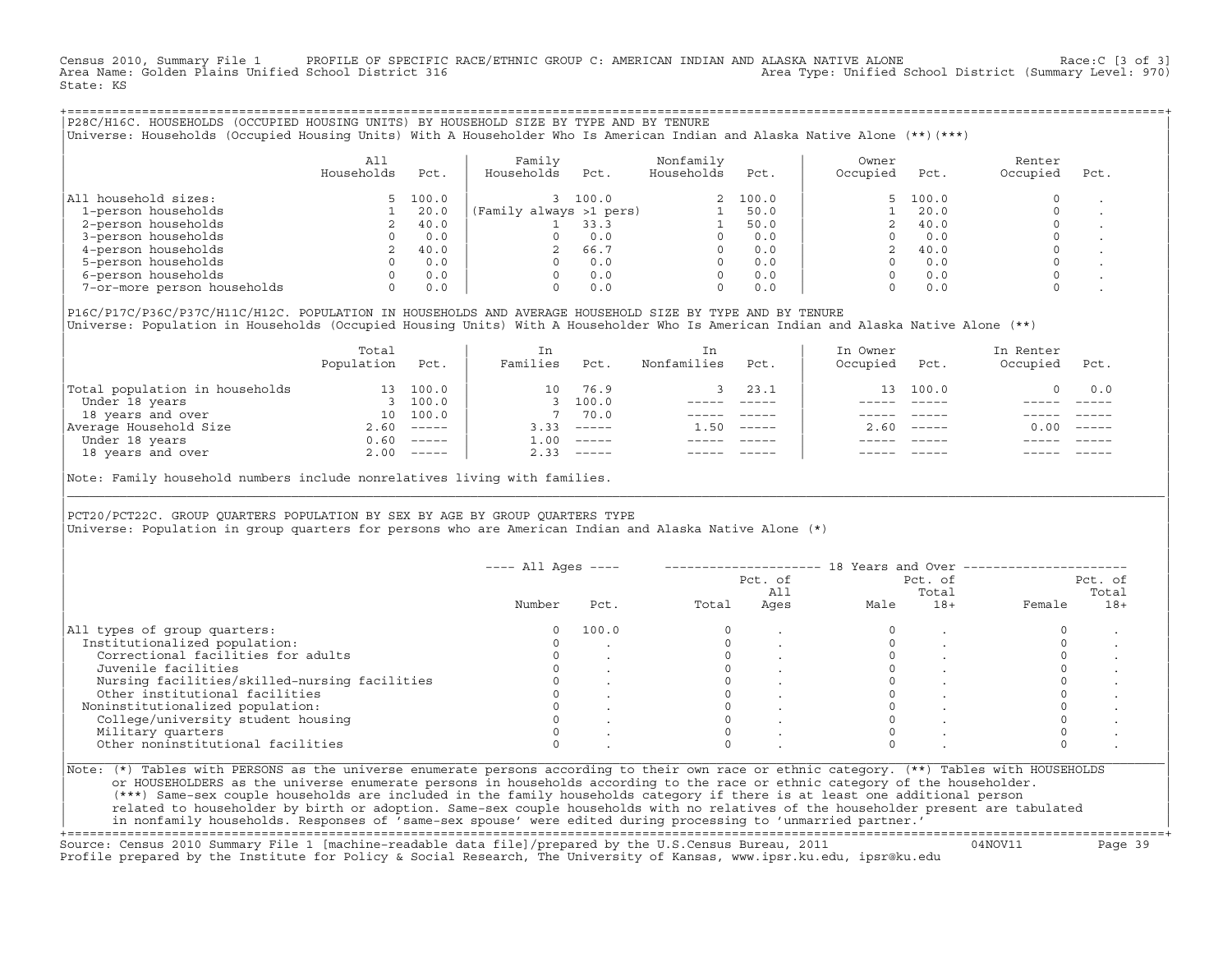Census 2010, Summary File 1 PROFILE OF SPECIFIC RACE/ETHNIC GROUP C: AMERICAN INDIAN AND ALASKA NATIVE ALONE Race:C [3 of 3]<br>Area Name: Golden Plains Unified School District 316 200 Area Type: Unified School District (Summary Level: 970) State: KS

+===================================================================================================================================================+|P28C/H16C. HOUSEHOLDS (OCCUPIED HOUSING UNITS) BY HOUSEHOLD SIZE BY TYPE AND BY TENURE | |Universe: Households (Occupied Housing Units) With A Householder Who Is American Indian and Alaska Native Alone (\*\*)(\*\*\*) |

|                             | A11<br>Households | Pct.    | Family<br>Households    | Pct.  | Nonfamily<br>Households | Pct.  | Owner<br>Occupied | Pct.     | Renter<br>Occupied | Pct. |
|-----------------------------|-------------------|---------|-------------------------|-------|-------------------------|-------|-------------------|----------|--------------------|------|
| All household sizes:        |                   | 5 100.0 |                         | 100.0 |                         | 100.0 |                   | 5, 100.0 |                    |      |
| 1-person households         |                   | 20.0    | (Family always >1 pers) |       |                         | 50.0  |                   | 20.0     |                    |      |
| 2-person households         |                   | 40.0    |                         | 33.3  |                         | 50.0  |                   | 40.0     |                    |      |
| 3-person households         |                   | 0.0     |                         | 0.0   |                         | 0.0   |                   | 0.0      |                    |      |
| 4-person households         |                   | 40.0    |                         | 66.7  |                         | 0.0   |                   | 40.0     |                    |      |
| 5-person households         |                   | 0.0     |                         | 0.0   |                         | 0.0   |                   | 0.0      |                    |      |
| 6-person households         |                   | 0.0     |                         | 0.0   | $\Omega$                | 0.0   |                   | 0.0      |                    |      |
| 7-or-more person households | 0                 | 0.0     |                         | 0.0   | $\Omega$                | 0.0   |                   | 0.0      |                    |      |

|P16C/P17C/P36C/P37C/H11C/H12C. POPULATION IN HOUSEHOLDS AND AVERAGE HOUSEHOLD SIZE BY TYPE AND BY TENURE | Universe: Population in Households (Occupied Housing Units) With A Householder Who Is American Indian and Alaska Native Alone (\*\*)

|                                | Total<br>Population | Pct.         | In<br>Families     | Pct.     | In.<br>Nonfamilies | Pct.     | In Owner<br>Occupied | Pct.                      | In Renter<br>Occupied | Pct.                      |
|--------------------------------|---------------------|--------------|--------------------|----------|--------------------|----------|----------------------|---------------------------|-----------------------|---------------------------|
| Total population in households | 13                  | 100.0        | 10                 | 76.9     |                    | 23.1     |                      | 13 100.0                  |                       | 0.0                       |
| Under 18 years                 |                     | 100.0        |                    | 100.0    |                    |          |                      |                           |                       |                           |
| 18 years and over              | 10                  | 100.0        |                    | 70.0     |                    |          |                      |                           |                       |                           |
| Average Household Size         | 2.60                | $------$     | 3.33               | $------$ | 1.50               | $------$ | 2.60                 | $\qquad \qquad - - - - -$ | 0.00                  | $\qquad \qquad - - - - -$ |
| Under 18 years                 | 0.60                | $------$     | $\overline{1}$ .00 | $------$ |                    |          |                      |                           |                       |                           |
| 18 years and over              |                     | $2.00$ ----- | 2.33               |          |                    |          |                      | $- - - - -$               |                       | $- - - - -$               |
|                                |                     |              |                    |          |                    |          |                      |                           |                       |                           |

Note: Family household numbers include nonrelatives living with families.

| | PCT20/PCT22C. GROUP OUARTERS POPULATION BY SEX BY AGE BY GROUP OUARTERS TYPE Universe: Population in group quarters for persons who are American Indian and Alaska Native Alone (\*)

|                                               |        |       |       | Pct. of<br>All |      | Pct. of<br>Total |        | Pct. of<br>Total |
|-----------------------------------------------|--------|-------|-------|----------------|------|------------------|--------|------------------|
|                                               | Number | Pct.  | Total | Ages           | Male | $18+$            | Female | $18+$            |
| All types of group quarters:                  |        | 100.0 |       |                |      |                  |        |                  |
| Institutionalized population:                 |        |       |       |                |      |                  |        |                  |
| Correctional facilities for adults            |        |       |       |                |      |                  |        |                  |
| Juvenile facilities                           |        |       |       |                |      |                  |        |                  |
| Nursing facilities/skilled-nursing facilities |        |       |       |                |      |                  |        |                  |
| Other institutional facilities                |        |       |       |                |      |                  |        |                  |
| Noninstitutionalized population:              |        |       |       |                |      |                  |        |                  |
| College/university student housing            |        |       |       |                |      |                  |        |                  |
| Military quarters                             |        |       |       |                |      |                  |        |                  |
| Other noninstitutional facilities             |        |       |       |                |      |                  |        |                  |

|\_\_\_\_\_\_\_\_\_\_\_\_\_\_\_\_\_\_\_\_\_\_\_\_\_\_\_\_\_\_\_\_\_\_\_\_\_\_\_\_\_\_\_\_\_\_\_\_\_\_\_\_\_\_\_\_\_\_\_\_\_\_\_\_\_\_\_\_\_\_\_\_\_\_\_\_\_\_\_\_\_\_\_\_\_\_\_\_\_\_\_\_\_\_\_\_\_\_\_\_\_\_\_\_\_\_\_\_\_\_\_\_\_\_\_\_\_\_\_\_\_\_\_\_\_\_\_\_\_\_\_\_\_\_\_\_\_\_\_\_\_\_\_\_\_\_\_|

| |

| or HOUSEHOLDERS as the universe enumerate persons in households according to the race or ethnic category of the householder. | | (\*\*\*) Same−sex couple households are included in the family households category if there is at least one additional person | | related to householder by birth or adoption. Same−sex couple households with no relatives of the householder present are tabulated | | in nonfamily households. Responses of 'same−sex spouse' were edited during processing to 'unmarried partner.' | +===================================================================================================================================================+

Source: Census 2010 Summary File 1 [machine−readable data file]/prepared by the U.S.Census Bureau, 2011 04NOV11 Page 39 Profile prepared by the Institute for Policy & Social Research, The University of Kansas, www.ipsr.ku.edu, ipsr@ku.edu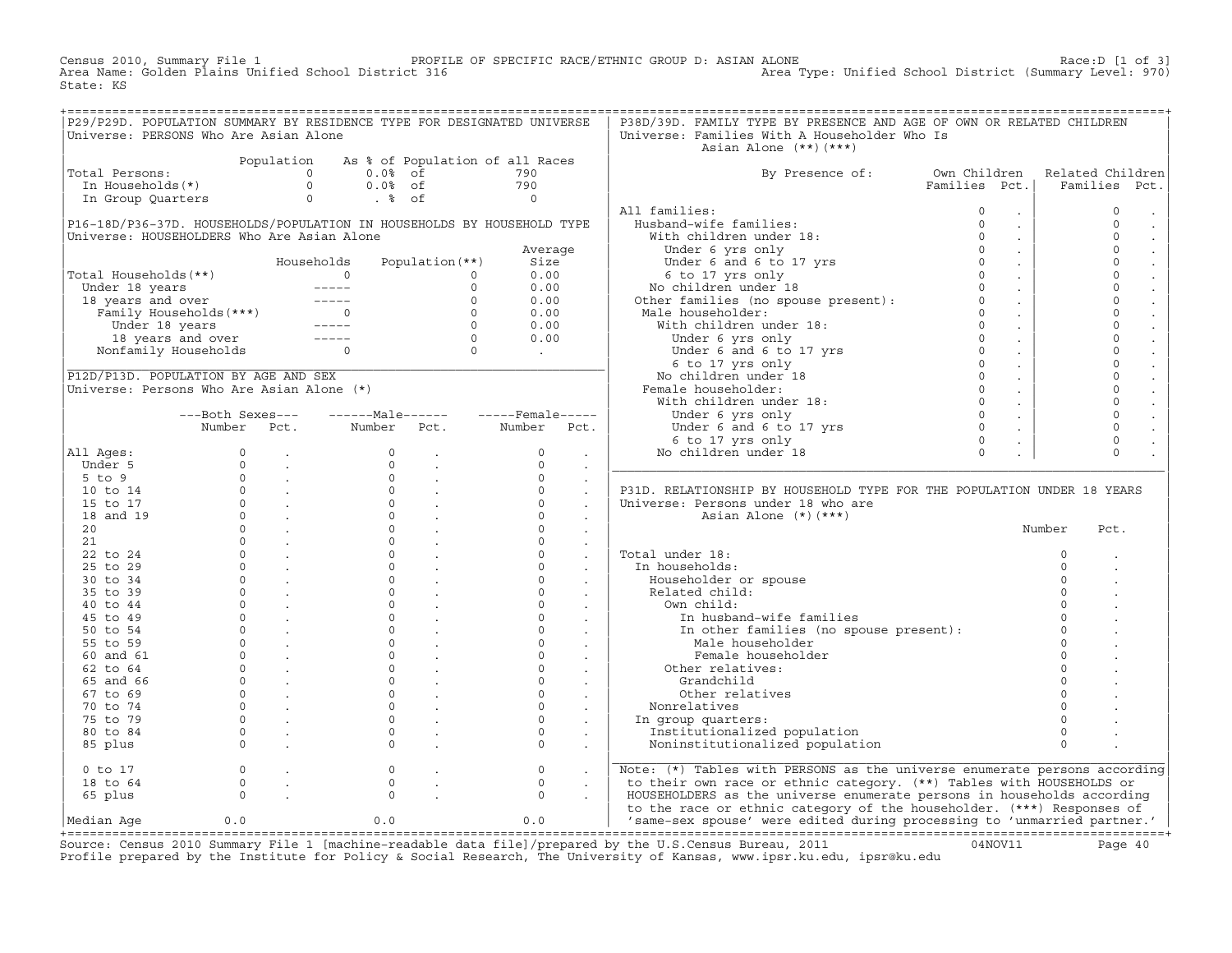Census 2010, Summary File 1 PROFILE OF SPECIFIC RACE/ETHNIC GROUP D: ASIAN ALONE Race:D [1 of 3] Area Name: Golden Plains Unified School District 316 Area Type: Unified School District (Summary Level: 970) State: KS

| P29/P29D. POPULATION SUMMARY BY RESIDENCE TYPE FOR DESIGNATED UNIVERSE |                                                                           |                                                   |                        |                                           |                         |                             | P38D/39D. FAMILY TYPE BY PRESENCE AND AGE OF OWN OR RELATED CHILDREN                                                                                                                                                                                                                              |                                |          |                                      |
|------------------------------------------------------------------------|---------------------------------------------------------------------------|---------------------------------------------------|------------------------|-------------------------------------------|-------------------------|-----------------------------|---------------------------------------------------------------------------------------------------------------------------------------------------------------------------------------------------------------------------------------------------------------------------------------------------|--------------------------------|----------|--------------------------------------|
| Universe: PERSONS Who Are Asian Alone                                  |                                                                           |                                                   |                        |                                           |                         |                             | Universe: Families With A Householder Who Is<br>Asian Alone $(**)$ $(***)$                                                                                                                                                                                                                        |                                |          |                                      |
|                                                                        |                                                                           | Population                                        |                        | As % of Population of all Races           |                         |                             |                                                                                                                                                                                                                                                                                                   |                                |          |                                      |
| Total Persons:                                                         |                                                                           |                                                   | $\Omega$<br>$0.0$ % of |                                           | 790                     |                             | By Presence of:                                                                                                                                                                                                                                                                                   | Own Children                   |          | Related Children                     |
|                                                                        |                                                                           |                                                   | $0.0%$ of              |                                           | 790                     |                             |                                                                                                                                                                                                                                                                                                   | Families Pct.                  |          | Families Pct.                        |
|                                                                        | otal Persons: 0<br>In Households(*) 0<br>In Group Quarters 0              |                                                   | $. \circ$ of           |                                           | $\overline{0}$          |                             |                                                                                                                                                                                                                                                                                                   |                                |          |                                      |
|                                                                        |                                                                           |                                                   |                        |                                           |                         |                             | All families:                                                                                                                                                                                                                                                                                     | $\circ$<br>$\sim$              |          | $\mathbf 0$<br>$\sim$                |
| P16-18D/P36-37D. HOUSEHOLDS/POPULATION IN HOUSEHOLDS BY HOUSEHOLD TYPE |                                                                           |                                                   |                        |                                           |                         |                             | -aumerator<br>usband-wife families:<br>With children under 18:<br>Husband-wife families:<br>Husband-wife families:<br>With children under 18:<br>Under 6 and 6 to 17 yrs<br>6 to 17 yrs only<br>6 to 17 yrs only<br>No children under 18<br>Other families (no spouse present):<br>"Il husbanden" | $\Omega$<br>$\sim$             |          | $\Omega$<br>$\sim$                   |
| Universe: HOUSEHOLDERS Who Are Asian Alone                             |                                                                           |                                                   |                        |                                           |                         |                             |                                                                                                                                                                                                                                                                                                   | $\Omega$<br>$\sim$             |          | $\Omega$<br>$\mathbb{Z}^2$           |
|                                                                        |                                                                           |                                                   |                        |                                           | Average                 |                             |                                                                                                                                                                                                                                                                                                   | $\circ$<br>$\sim$              |          | $\circ$<br>$\mathcal{L}$             |
|                                                                        |                                                                           |                                                   | Households             | Population (**)                           | Size                    |                             |                                                                                                                                                                                                                                                                                                   | $\Omega$<br>$\sim$             |          | $\mathbf{0}$<br>$\mathbb{Z}^2$       |
| Total Households (**)                                                  |                                                                           |                                                   |                        | $\circ$                                   | 0.00                    |                             |                                                                                                                                                                                                                                                                                                   | $\Omega$<br>$\sim$ $\sim$      |          | $\Omega$<br>$\mathcal{L}$            |
|                                                                        |                                                                           |                                                   |                        | $\circ$                                   | 0.00                    |                             |                                                                                                                                                                                                                                                                                                   | $\circ$<br>$\sim$ .            |          | $\circ$<br>$\Box$                    |
|                                                                        |                                                                           |                                                   |                        | $\Omega$                                  | 0.00                    |                             |                                                                                                                                                                                                                                                                                                   | $\Omega$<br>$\sim$ $\sim$      |          | $\mathbf{0}$<br>$\ddot{\phantom{0}}$ |
|                                                                        |                                                                           |                                                   |                        | $\Omega$                                  | 0.00                    |                             | Male householder:                                                                                                                                                                                                                                                                                 | $\Omega$<br>$\sim 10^{-1}$     |          | $\Omega$<br>$\ddot{\phantom{a}}$     |
|                                                                        | Under 18 years -----<br>18 years and over -----<br>Nonfamily Households 0 |                                                   |                        | $\begin{matrix} 0 \\ 0 \\ 0 \end{matrix}$ | 0.00                    |                             | :<br>: householder:<br>ith children under 18:<br>Under 6 yrs only<br>Under 6 and 6 to 17 yrs<br>Inder 19 was only<br>With children under 18:                                                                                                                                                      | $\Omega$<br>$\sim$             |          | $\Omega$<br>$\ddot{\phantom{a}}$     |
|                                                                        |                                                                           |                                                   | $- - - - -$            |                                           | 0.00                    |                             |                                                                                                                                                                                                                                                                                                   | $\Omega$<br>$\sim$             |          | $\circ$<br>$\mathbb{Z}^2$            |
|                                                                        |                                                                           |                                                   |                        |                                           | $\sim 100$ km s $^{-1}$ |                             |                                                                                                                                                                                                                                                                                                   | $\circ$<br>$\sim 10^{-1}$      |          | $\circ$<br>$\mathbb{Z}^2$            |
|                                                                        |                                                                           |                                                   |                        |                                           |                         |                             |                                                                                                                                                                                                                                                                                                   | $\Omega$<br>$\sim 10^{-1}$     |          | $\Omega$<br>$\ddot{\phantom{0}}$     |
| P12D/P13D. POPULATION BY AGE AND SEX                                   |                                                                           |                                                   |                        |                                           |                         |                             | No children under 18                                                                                                                                                                                                                                                                              | $\Omega$<br>$\sim$<br>$\Omega$ |          | $\Omega$<br>$\mathcal{L}$<br>$\circ$ |
| Universe: Persons Who Are Asian Alone (*)                              |                                                                           |                                                   |                        |                                           |                         |                             | Female householder:                                                                                                                                                                                                                                                                               | $\sim 10^{-1}$<br>$\Omega$     |          | $\ddot{\phantom{a}}$<br>$\Omega$     |
|                                                                        |                                                                           |                                                   |                        |                                           |                         |                             | With children under 18:                                                                                                                                                                                                                                                                           | $\sim$ $\sim$<br>$\circ$       |          | $\ddot{\phantom{a}}$<br>$\circ$      |
|                                                                        | ---Both Sexes---                                                          |                                                   |                        |                                           |                         |                             | Under 6 yrs only<br>Under 6 yrs only 0<br>Under 6 and 6 to 17 yrs 0<br>6 to 17 yrs only 0<br>0 children under 18 0                                                                                                                                                                                | $\sim 10^{-1}$                 |          | $\ddot{\phantom{a}}$                 |
|                                                                        | Number Pct.                                                               |                                                   | Number Pct.            |                                           | Number Pct.             |                             |                                                                                                                                                                                                                                                                                                   | $\sim 10^{-1}$                 |          | $\mathbf{0}$<br>$\Box$<br>$\Omega$   |
|                                                                        | $\Omega$                                                                  |                                                   | $\Omega$               |                                           | $\Omega$                |                             |                                                                                                                                                                                                                                                                                                   | $\sim$                         |          | $\mathbb{Z}^2$<br>$\Omega$           |
| All Ages:<br>Under 5                                                   | $\Omega$                                                                  |                                                   | $\circ$                | $\ddot{\phantom{a}}$                      | $\Omega$                |                             | No children under 18                                                                                                                                                                                                                                                                              |                                |          |                                      |
| $5$ to $9$                                                             |                                                                           | <b>Contract</b><br>$0 \qquad \qquad .$            | $\circ$                | $\sim 10^{-11}$                           | $\Omega$                | $\sim$                      |                                                                                                                                                                                                                                                                                                   |                                |          |                                      |
| 10 to 14                                                               |                                                                           | $\begin{matrix} 0 & \cdots & \cdots \end{matrix}$ | $\circ$                | $\sim$<br>$\sim 10^{11}$ km $^{-1}$       | $\circ$                 | $\sim$                      | P31D. RELATIONSHIP BY HOUSEHOLD TYPE FOR THE POPULATION UNDER 18 YEARS                                                                                                                                                                                                                            |                                |          |                                      |
| 15 to 17                                                               |                                                                           | $\overline{0}$ .                                  | $\circ$                | <b>Contract</b>                           | $\Omega$                | $\mathcal{L}$               | Universe: Persons under 18 who are                                                                                                                                                                                                                                                                |                                |          |                                      |
| 18 and 19                                                              | $\Omega$                                                                  | <b>Contract</b>                                   | $\circ$                | $\sim$ $\sim$                             | $\Omega$                | $\mathcal{L}$<br>$\sim$     | Asian Alone $(*)$ $(***)$                                                                                                                                                                                                                                                                         |                                |          |                                      |
| 20                                                                     | $\Omega$                                                                  | $\mathcal{L} = \mathcal{L}$                       | $\Omega$               | $\sim$ 100 $\mu$                          | $\Omega$                | $\sim$                      |                                                                                                                                                                                                                                                                                                   |                                | Number   | Pct.                                 |
| 21                                                                     |                                                                           | $\begin{matrix} 0 & \cdots & \cdots \end{matrix}$ | $\circ$                | $\sim 10^{11}$ km $^{-1}$                 | $\circ$                 | $\sim$                      |                                                                                                                                                                                                                                                                                                   |                                |          |                                      |
| 22 to 24                                                               | $\circ$                                                                   | $\sim$                                            | $\circ$                | $\mathcal{L}^{\pm}$                       | $\circ$                 | $\mathcal{L}$               | Total under 18:                                                                                                                                                                                                                                                                                   |                                | $\circ$  |                                      |
| 25 to 29                                                               | $\Omega$                                                                  | <b>Contract</b>                                   | $\Omega$               |                                           | $\Omega$                | $\sim$                      | In households:                                                                                                                                                                                                                                                                                    |                                | $\Omega$ |                                      |
| 30 to 34                                                               | $\Omega$                                                                  | $\sim$ 100 $\pm$                                  | $\Omega$               | $\mathbf{r}$                              | $\Omega$                | $\sim$                      | Householder or spouse                                                                                                                                                                                                                                                                             |                                | $\Omega$ |                                      |
| 35 to 39                                                               | $\Omega$                                                                  | $\mathcal{L} = \mathcal{L}$                       | $\circ$                | $\mathbf{r}$                              | $\circ$                 | $\sim$                      | Related child:                                                                                                                                                                                                                                                                                    |                                | $\Omega$ |                                      |
| 40 to 44                                                               | $\Omega$                                                                  | $\sim 10^{11}$ km $^{-1}$                         | $\Omega$               | $\sim$                                    | $\Omega$                | $\mathbb{Z}^2$              | Own child:                                                                                                                                                                                                                                                                                        |                                | $\Omega$ |                                      |
| 45 to 49                                                               | $\Omega$                                                                  | $\sim$                                            | $\mathsf{O}$           | $\mathbb{Z}^2$                            | $\circ$                 |                             | In husband-wife families                                                                                                                                                                                                                                                                          |                                | $\Omega$ |                                      |
| 50 to 54                                                               | $\Omega$                                                                  | $\sim$                                            | $\circ$                | $\mathcal{L}$                             | $\circ$                 | $\sim$                      | In other families (no spouse present):<br>In other families (no spouse present):<br>Male bougoboldow                                                                                                                                                                                              |                                | $\circ$  |                                      |
| 55 to 59                                                               | $\Omega$                                                                  | $\sim 100$ km s $^{-1}$                           | $\Omega$               | $\mathcal{L}$                             | $\Omega$                | $\sim$                      | Male householder                                                                                                                                                                                                                                                                                  |                                | $\Omega$ |                                      |
| 60 and 61                                                              | $\Omega$                                                                  | $\sim$                                            | $\Omega$               | $\mathbf{r}$                              | $\Omega$                |                             | Female householder                                                                                                                                                                                                                                                                                |                                | $\Omega$ |                                      |
| 62 to 64                                                               | $\Omega$                                                                  | $\sim$                                            | $\Omega$               | $\sim$                                    | $\Omega$                | $\mathcal{L}^{\mathcal{L}}$ | Other relatives:                                                                                                                                                                                                                                                                                  |                                | $\Omega$ |                                      |
| 65 and 66                                                              | $\Omega$                                                                  | $\sim 10^{11}$ km s $^{-1}$                       | $\circ$                | $\sim$ $\sim$                             | $\circ$                 | $\sim$                      | Grandchild                                                                                                                                                                                                                                                                                        |                                | $\Omega$ |                                      |
| 67 to 69                                                               | $\Omega$                                                                  | $\sim 100$ km s $^{-1}$                           | $\circ$                | $\sim$ $\sim$                             | $\Omega$                | $\sim$                      | Other relatives                                                                                                                                                                                                                                                                                   |                                | $\Omega$ |                                      |
| 70 to 74                                                               | $\circ$                                                                   | $\sim 100$ km s $^{-1}$                           | $\circ$                | $\sim 100$ km s $^{-1}$                   | $\circ$                 | $\sim$                      | Nonrelatives                                                                                                                                                                                                                                                                                      |                                | $\Omega$ |                                      |
| 75 to 79                                                               | $\Omega$                                                                  | $\sim$                                            | $\circ$                | $\sim$                                    | $\Omega$                | $\Box$                      | In group quarters:                                                                                                                                                                                                                                                                                |                                | $\Omega$ |                                      |
| 80 to 84                                                               | $\Omega$                                                                  |                                                   | $\Omega$               |                                           | $\Omega$                | $\sim$                      | Institutionalized population                                                                                                                                                                                                                                                                      |                                | $\Omega$ |                                      |
| 85 plus                                                                | $\Omega$                                                                  | $\mathbf{r}$                                      | $\Omega$               | $\mathbf{r}$                              | $\Omega$                | $\sim$                      | Noninstitutionalized population                                                                                                                                                                                                                                                                   |                                | $\Omega$ |                                      |
| $0$ to $17$                                                            | $\circ$                                                                   |                                                   | $\circ$                |                                           | $\circ$                 | $\sim$                      | Note: (*) Tables with PERSONS as the universe enumerate persons according                                                                                                                                                                                                                         |                                |          |                                      |
| 18 to 64                                                               | $\mathbf{0}$                                                              |                                                   | $\mathsf{O}\xspace$    |                                           | $\circ$                 |                             | to their own race or ethnic category. (**) Tables with HOUSEHOLDS or                                                                                                                                                                                                                              |                                |          |                                      |
| 65 plus                                                                | $\Omega$                                                                  |                                                   | $\Omega$               |                                           | $\Omega$                |                             | HOUSEHOLDERS as the universe enumerate persons in households according                                                                                                                                                                                                                            |                                |          |                                      |
|                                                                        |                                                                           |                                                   |                        |                                           |                         |                             | to the race or ethnic category of the householder. (***) Responses of                                                                                                                                                                                                                             |                                |          |                                      |
| Median Aqe                                                             | 0.0                                                                       |                                                   | 0.0                    |                                           | 0.0                     |                             | 'same-sex spouse' were edited during processing to 'unmarried partner.'                                                                                                                                                                                                                           |                                |          |                                      |

|Median Age 0.0 0.0 0.0 | 'same−sex spouse' were edited during processing to 'unmarried partner.' | +===================================================================================================================================================+ Source: Census 2010 Summary File 1 [machine−readable data file]/prepared by the U.S.Census Bureau, 2011 04NOV11 Page 40 Profile prepared by the Institute for Policy & Social Research, The University of Kansas, www.ipsr.ku.edu, ipsr@ku.edu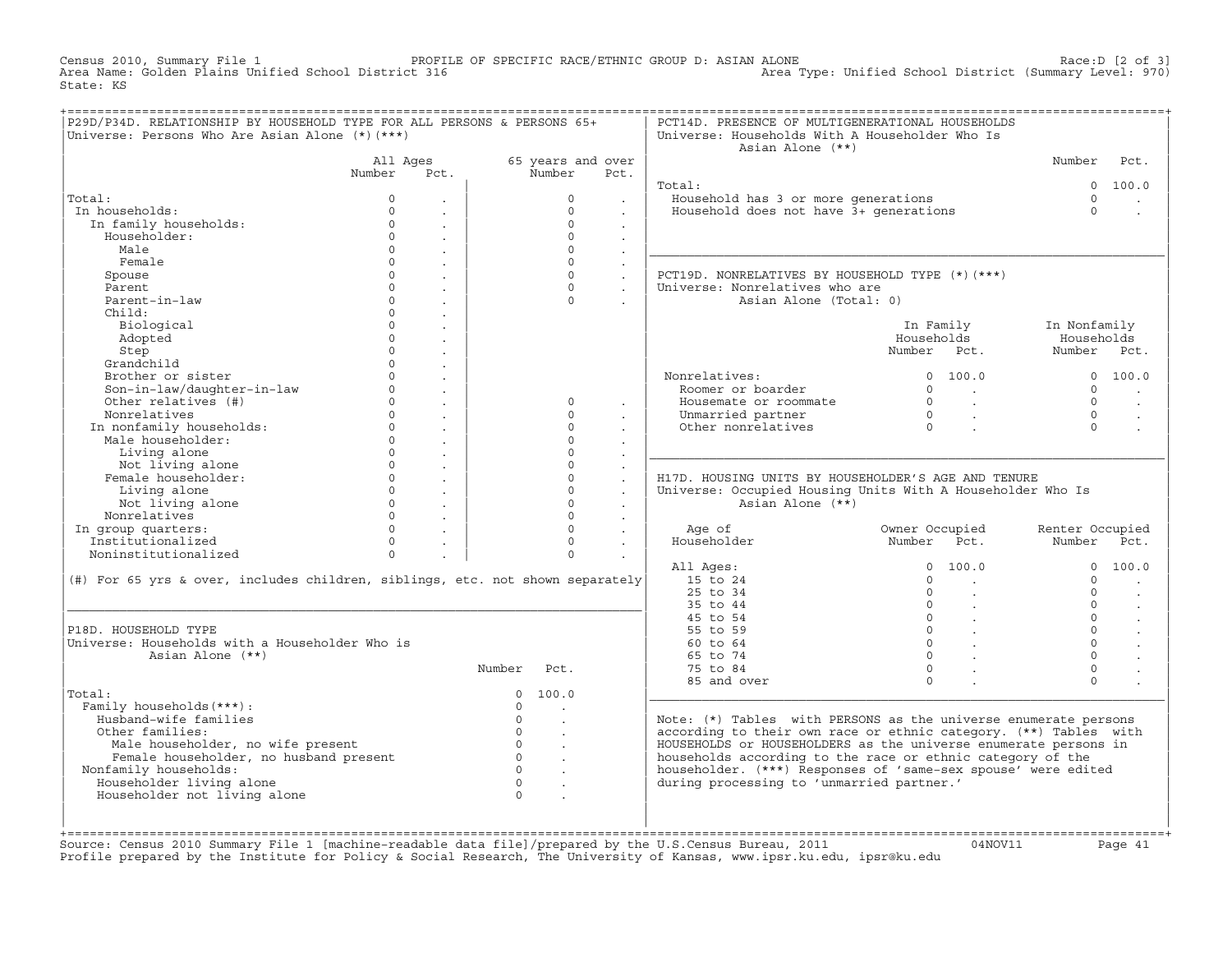Census 2010, Summary File 1 PROFILE OF SPECIFIC RACE/ETHNIC GROUP D: ASIAN ALONE RACE:D [2 of 3]<br>Area Name: Golden Plains Unified School District 316 Area Type: Unified School District (Summary Level: 970) Area Type: Unified School District (Summary Level: 970) State: KS

| P29D/P34D. RELATIONSHIP BY HOUSEHOLD TYPE FOR ALL PERSONS & PERSONS 65+<br>Universe: Persons Who Are Asian Alone (*) (***) |          |                      |                |                                  |                      | PCT14D. PRESENCE OF MULTIGENERATIONAL HOUSEHOLDS<br>Universe: Households With A Householder Who Is<br>Asian Alone (**) |                                                            |                 |         |
|----------------------------------------------------------------------------------------------------------------------------|----------|----------------------|----------------|----------------------------------|----------------------|------------------------------------------------------------------------------------------------------------------------|------------------------------------------------------------|-----------------|---------|
|                                                                                                                            | All Ages |                      |                | 65 years and over                |                      |                                                                                                                        |                                                            | Number          | Pct.    |
|                                                                                                                            | Number   | Pct.                 |                | Number                           | Pct.                 |                                                                                                                        |                                                            |                 |         |
|                                                                                                                            |          |                      |                |                                  |                      | Total:                                                                                                                 |                                                            |                 | 0 100.0 |
| Total:                                                                                                                     | $\Omega$ |                      |                | $\Omega$                         |                      | Household has 3 or more generations                                                                                    |                                                            | $\Omega$        |         |
| In households:                                                                                                             | $\cap$   | $\sim$               |                | $\Omega$                         |                      | Household does not have 3+ generations                                                                                 |                                                            | $\Omega$        |         |
| In family households:                                                                                                      | $\Omega$ | $\sim$               |                | $\Omega$                         | $\mathbf{r}$         |                                                                                                                        |                                                            |                 |         |
| Householder:                                                                                                               | $\Omega$ | $\sim$               |                | $\Omega$                         |                      |                                                                                                                        |                                                            |                 |         |
| Male                                                                                                                       | $\Omega$ | $\mathbb{Z}^2$       |                | $\Omega$                         |                      |                                                                                                                        |                                                            |                 |         |
| Female                                                                                                                     | $\circ$  | $\ddot{\phantom{a}}$ |                | $\Omega$                         | $\ddot{\phantom{a}}$ |                                                                                                                        |                                                            |                 |         |
| Spouse                                                                                                                     | $\circ$  | $\sim$               |                | $\Omega$                         | $\ddot{\phantom{a}}$ | PCT19D. NONRELATIVES BY HOUSEHOLD TYPE (*) (***)                                                                       |                                                            |                 |         |
| Parent                                                                                                                     | $\Omega$ | $\ddot{\phantom{a}}$ |                | $\circ$                          | $\ddot{\phantom{a}}$ | Universe: Nonrelatives who are                                                                                         |                                                            |                 |         |
| Parent-in-law                                                                                                              | $\Omega$ |                      |                | $\Omega$                         |                      | Asian Alone (Total: 0)                                                                                                 |                                                            |                 |         |
| Child:                                                                                                                     | $\Omega$ | $\mathcal{L}$        |                |                                  |                      |                                                                                                                        |                                                            |                 |         |
| Biological                                                                                                                 | $\circ$  | $\ddot{\phantom{a}}$ |                |                                  |                      |                                                                                                                        | In Family                                                  | In Nonfamily    |         |
| Adopted                                                                                                                    | $\Omega$ | $\mathbf{r}$         |                |                                  |                      |                                                                                                                        | Households                                                 | Households      |         |
| Step                                                                                                                       | $\Omega$ |                      |                |                                  |                      |                                                                                                                        | Number Pct.                                                | Number Pct.     |         |
| Grandchild                                                                                                                 | $\Omega$ |                      |                |                                  |                      |                                                                                                                        |                                                            |                 |         |
| Brother or sister                                                                                                          | $\Omega$ |                      |                |                                  |                      | Nonrelatives:                                                                                                          |                                                            |                 | 0 100.0 |
|                                                                                                                            |          | $\sim$               |                |                                  |                      |                                                                                                                        | 0 100.0                                                    | $\Omega$        |         |
| Son-in-law/daughter-in-law                                                                                                 | $\circ$  | $\ddot{\phantom{a}}$ |                |                                  |                      | Roomer or boarder                                                                                                      | $0 \qquad \qquad .$                                        |                 |         |
| Other relatives (#)                                                                                                        | $\circ$  | $\ddot{\phantom{a}}$ |                | $\Omega$                         |                      | Housemate or roommate                                                                                                  | $\begin{array}{ccc} & & 0 & \end{array}$                   | $\Omega$        | $\sim$  |
| Nonrelatives                                                                                                               | $\Omega$ | $\mathbb{Z}^2$       |                | $\Omega$                         |                      | Unmarried partner                                                                                                      | $\begin{matrix} 0 & & \cdot \\ & & 0 \end{matrix}$         | $\Omega$        |         |
| In nonfamily households:                                                                                                   | $\circ$  |                      |                | $\circ$                          |                      | Other nonrelatives                                                                                                     |                                                            | $\Omega$        |         |
| Male householder:                                                                                                          | $\Omega$ | $\sim$               |                | $\Omega$                         |                      |                                                                                                                        |                                                            |                 |         |
| Living alone                                                                                                               | $\Omega$ | $\ddot{\phantom{a}}$ |                | $\Omega$                         |                      |                                                                                                                        |                                                            |                 |         |
| Not living alone                                                                                                           | $\Omega$ | $\ddot{\phantom{a}}$ |                | $\Omega$                         |                      |                                                                                                                        |                                                            |                 |         |
| Female householder:                                                                                                        | $\Omega$ | $\sim$               |                | $\Omega$                         |                      | H17D. HOUSING UNITS BY HOUSEHOLDER'S AGE AND TENURE                                                                    |                                                            |                 |         |
| Living alone                                                                                                               | $\Omega$ | $\ddot{\phantom{a}}$ |                | $\Omega$                         |                      | Universe: Occupied Housing Units With A Householder Who Is                                                             |                                                            |                 |         |
| Not living alone                                                                                                           | $\Omega$ | $\sim$               |                | $\Omega$                         |                      | Asian Alone (**)                                                                                                       |                                                            |                 |         |
| Nonrelatives                                                                                                               | $\Omega$ | $\sim$               |                | $\Omega$                         | $\ddot{\phantom{a}}$ |                                                                                                                        |                                                            |                 |         |
| In group quarters:                                                                                                         | $\Omega$ | $\sim$               |                | $\Omega$                         | $\ddot{\phantom{0}}$ | Age of                                                                                                                 | Owner Occupied                                             | Renter Occupied |         |
| Institutionalized                                                                                                          | $\Omega$ | $\sim$               |                | $\Omega$                         |                      | Householder                                                                                                            | Number Pct.                                                | Number Pct.     |         |
| Noninstitutionalized                                                                                                       | $\Omega$ |                      |                | $\Omega$                         |                      |                                                                                                                        |                                                            |                 |         |
|                                                                                                                            |          |                      |                |                                  |                      | All Ages:                                                                                                              | 0, 100, 0                                                  |                 | 0 100.0 |
| (#) For 65 yrs & over, includes children, siblings, etc. not shown separately                                              |          |                      |                |                                  |                      | 15 to 24                                                                                                               | $\Omega$<br><b>Contract Contract</b>                       | $\Omega$        |         |
|                                                                                                                            |          |                      |                |                                  |                      | 25 to 34                                                                                                               | $\circ$                                                    | $\Omega$        |         |
|                                                                                                                            |          |                      |                |                                  |                      | 35 to 44                                                                                                               | $\Omega$                                                   | $\Omega$        |         |
|                                                                                                                            |          |                      |                |                                  |                      | 45 to 54                                                                                                               | $\begin{matrix} 0 & \cdots & \cdots & \cdots \end{matrix}$ | $\Omega$        |         |
| P18D. HOUSEHOLD TYPE                                                                                                       |          |                      |                |                                  |                      | 55 to 59                                                                                                               | $\begin{array}{ccc} 0 & & \end{array}$                     | $\Omega$        | $\sim$  |
| Universe: Households with a Householder Who is                                                                             |          |                      |                |                                  |                      | 60 to 64                                                                                                               | $\begin{matrix} 0 & \cdots & \cdots \end{matrix}$          | $\Omega$        |         |
| Asian Alone (**)                                                                                                           |          |                      |                |                                  |                      | 65 to 74                                                                                                               | $\circ$                                                    | $\Omega$        |         |
|                                                                                                                            |          |                      |                | Pct.                             |                      |                                                                                                                        | $\Omega$                                                   | $\Omega$        |         |
|                                                                                                                            |          |                      | Number         |                                  |                      | 75 to 84                                                                                                               |                                                            |                 |         |
|                                                                                                                            |          |                      |                |                                  |                      | 85 and over                                                                                                            | $\Omega$                                                   | $\Omega$        |         |
| Total:                                                                                                                     |          |                      | $\circ$        | 100.0                            |                      |                                                                                                                        |                                                            |                 |         |
| Family households (***) :                                                                                                  |          |                      | $\Omega$       | $\sim$                           |                      |                                                                                                                        |                                                            |                 |         |
| Husband-wife families                                                                                                      |          |                      | $\Omega$       | $\sim$                           |                      | Note: (*) Tables with PERSONS as the universe enumerate persons                                                        |                                                            |                 |         |
| Other families:                                                                                                            |          |                      |                | $\Omega$                         |                      | according to their own race or ethnic category. (**) Tables with                                                       |                                                            |                 |         |
| Male householder, no wife present                                                                                          |          |                      |                | $\Omega$<br>$\sim$               |                      | HOUSEHOLDS or HOUSEHOLDERS as the universe enumerate persons in                                                        |                                                            |                 |         |
| Female householder, no husband present                                                                                     |          |                      | $\overline{0}$ | $\sim$                           |                      | households according to the race or ethnic category of the                                                             |                                                            |                 |         |
| Nonfamily households:                                                                                                      |          |                      |                | $\Omega$<br>$\mathbf{r}$         |                      | householder. (***) Responses of 'same-sex spouse' were edited                                                          |                                                            |                 |         |
| Householder living alone                                                                                                   |          |                      |                | $\Omega$<br>$\ddot{\phantom{a}}$ |                      | during processing to 'unmarried partner.'                                                                              |                                                            |                 |         |
| Householder not living alone                                                                                               |          |                      | $\bigcap$      |                                  |                      |                                                                                                                        |                                                            |                 |         |
|                                                                                                                            |          |                      |                |                                  |                      |                                                                                                                        |                                                            |                 |         |
|                                                                                                                            |          |                      |                |                                  |                      |                                                                                                                        |                                                            |                 |         |
|                                                                                                                            |          |                      |                |                                  |                      |                                                                                                                        |                                                            |                 |         |

+===================================================================================================================================================+Source: Census 2010 Summary File 1 [machine−readable data file]/prepared by the U.S.Census Bureau, 2011 04NOV11 Page 41 Profile prepared by the Institute for Policy & Social Research, The University of Kansas, www.ipsr.ku.edu, ipsr@ku.edu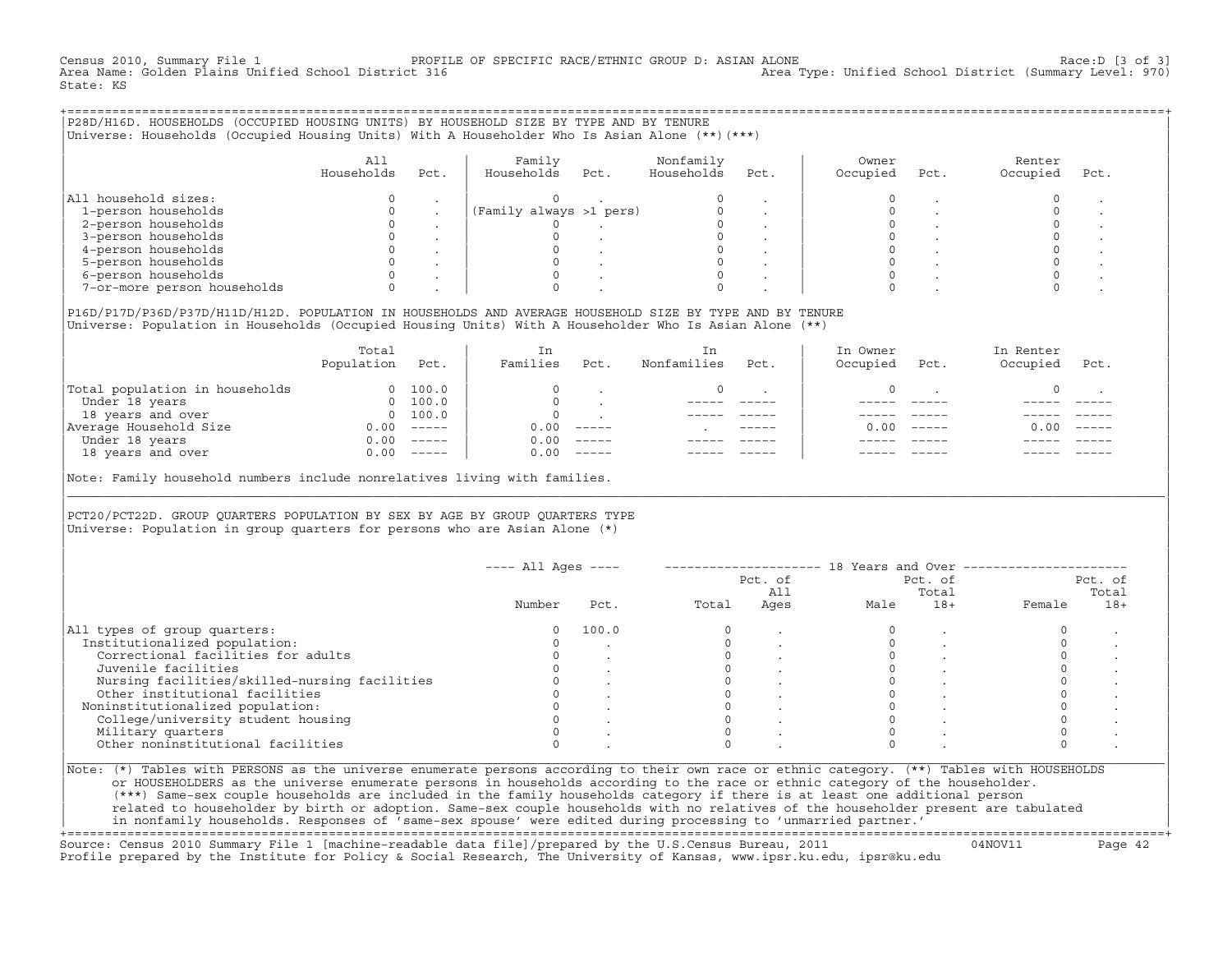Census 2010, Summary File 1 PROFILE OF SPECIFIC RACE/ETHNIC GROUP D: ASIAN ALONE RACE: D [3 of 3]<br>Area Name: Golden Plains Unified School District 316 area Type: Unified School District (Summary Level: 970) Area Type: Unified School District (Summary Level: 970) State: KS

+===================================================================================================================================================+|P28D/H16D. HOUSEHOLDS (OCCUPIED HOUSING UNITS) BY HOUSEHOLD SIZE BY TYPE AND BY TENURE | |Universe: Households (Occupied Housing Units) With A Householder Who Is Asian Alone (\*\*)(\*\*\*) |

|                             | All<br>Households | Pct. | Family<br>Households    | Pct. | Nonfamily<br>Households | Pct. | Owner<br>Occupied | Pct. | Renter<br>Occupied | Pct. |
|-----------------------------|-------------------|------|-------------------------|------|-------------------------|------|-------------------|------|--------------------|------|
| All household sizes:        |                   |      |                         |      |                         |      |                   |      |                    |      |
| 1-person households         |                   |      | (Family always >1 pers) |      |                         |      |                   |      |                    |      |
| 2-person households         |                   |      |                         |      |                         |      |                   |      |                    |      |
| 3-person households         |                   |      |                         |      |                         |      |                   |      |                    |      |
| 4-person households         |                   |      |                         |      |                         |      |                   |      |                    |      |
| 5-person households         |                   |      |                         |      |                         |      |                   |      |                    |      |
| 6-person households         |                   |      |                         |      |                         |      |                   |      |                    |      |
| 7-or-more person households |                   |      |                         |      |                         |      |                   |      |                    |      |

| | |P16D/P17D/P36D/P37D/H11D/H12D. POPULATION IN HOUSEHOLDS AND AVERAGE HOUSEHOLD SIZE BY TYPE AND BY TENURE | |Universe: Population in Households (Occupied Housing Units) With A Householder Who Is Asian Alone (\*\*) |

|                                | Total<br>Population | Pct.                                                                                                                                                                                                                                                                                                                                                                                                                                                                                 | In<br>Families | Pct.     | In.<br>Nonfamilies | Pct.          | In Owner<br>Occupied | Pct.          | In Renter<br>Occupied | Pct.     |  |
|--------------------------------|---------------------|--------------------------------------------------------------------------------------------------------------------------------------------------------------------------------------------------------------------------------------------------------------------------------------------------------------------------------------------------------------------------------------------------------------------------------------------------------------------------------------|----------------|----------|--------------------|---------------|----------------------|---------------|-----------------------|----------|--|
| Total population in households | $\Omega$            | 100.0                                                                                                                                                                                                                                                                                                                                                                                                                                                                                |                |          |                    |               |                      |               |                       |          |  |
| Under 18 years                 | $\Omega$            | 100.0                                                                                                                                                                                                                                                                                                                                                                                                                                                                                |                |          |                    |               |                      |               |                       |          |  |
| 18 years and over              |                     | 0 100.0                                                                                                                                                                                                                                                                                                                                                                                                                                                                              |                |          |                    |               |                      |               |                       |          |  |
| Average Household Size         | 0.00                | $------$                                                                                                                                                                                                                                                                                                                                                                                                                                                                             | 0.00           | $------$ |                    | $- - - - - -$ | 0. OO -              | $\frac{1}{2}$ | 0.00                  | $------$ |  |
| Under 18 years                 | 0.00                | $------$                                                                                                                                                                                                                                                                                                                                                                                                                                                                             | 0.00           | $------$ |                    |               |                      |               |                       |          |  |
| 18 years and over              | 0.00                | $\begin{tabular}{cccccc} \multicolumn{2}{c}{} & \multicolumn{2}{c}{} & \multicolumn{2}{c}{} & \multicolumn{2}{c}{} & \multicolumn{2}{c}{} & \multicolumn{2}{c}{} & \multicolumn{2}{c}{} & \multicolumn{2}{c}{} & \multicolumn{2}{c}{} & \multicolumn{2}{c}{} & \multicolumn{2}{c}{} & \multicolumn{2}{c}{} & \multicolumn{2}{c}{} & \multicolumn{2}{c}{} & \multicolumn{2}{c}{} & \multicolumn{2}{c}{} & \multicolumn{2}{c}{} & \multicolumn{2}{c}{} & \multicolumn{2}{c}{} & \mult$ | 0.00           | $------$ |                    |               |                      |               |                       | ------   |  |
|                                |                     |                                                                                                                                                                                                                                                                                                                                                                                                                                                                                      |                |          |                    |               |                      |               |                       |          |  |

Note: Family household numbers include nonrelatives living with families.

| | PCT20/PCT22D. GROUP OUARTERS POPULATION BY SEX BY AGE BY GROUP OUARTERS TYPE Universe: Population in group quarters for persons who are Asian Alone  $(*)$ 

|                                               |        |       |       | Pct. of<br>All |      | Pct. of<br>Total |        | Pct. of<br>Total |
|-----------------------------------------------|--------|-------|-------|----------------|------|------------------|--------|------------------|
|                                               | Number | Pct.  | Total | Ages           | Male | $18+$            | Female | $18+$            |
| All types of group quarters:                  | 0      | 100.0 |       |                |      |                  |        |                  |
| Institutionalized population:                 |        |       |       |                |      |                  |        |                  |
| Correctional facilities for adults            |        |       |       |                |      |                  |        |                  |
| Juvenile facilities                           |        |       |       |                |      |                  |        |                  |
| Nursing facilities/skilled-nursing facilities |        |       |       |                |      |                  |        |                  |
| Other institutional facilities                |        |       |       |                |      |                  |        |                  |
| Noninstitutionalized population:              |        |       |       |                |      |                  |        |                  |
| College/university student housing            |        |       |       |                |      |                  |        |                  |
| Military quarters                             |        |       |       |                |      |                  |        |                  |
| Other noninstitutional facilities             |        |       |       |                |      |                  |        |                  |

|\_\_\_\_\_\_\_\_\_\_\_\_\_\_\_\_\_\_\_\_\_\_\_\_\_\_\_\_\_\_\_\_\_\_\_\_\_\_\_\_\_\_\_\_\_\_\_\_\_\_\_\_\_\_\_\_\_\_\_\_\_\_\_\_\_\_\_\_\_\_\_\_\_\_\_\_\_\_\_\_\_\_\_\_\_\_\_\_\_\_\_\_\_\_\_\_\_\_\_\_\_\_\_\_\_\_\_\_\_\_\_\_\_\_\_\_\_\_\_\_\_\_\_\_\_\_\_\_\_\_\_\_\_\_\_\_\_\_\_\_\_\_\_\_\_\_\_|

| |

or HOUSEHOLDERS as the universe enumerate persons in households according to the race or ethnic category of the householder. | (\*\*\*) Same−sex couple households are included in the family households category if there is at least one additional person | | related to householder by birth or adoption. Same−sex couple households with no relatives of the householder present are tabulated | | in nonfamily households. Responses of 'same−sex spouse' were edited during processing to 'unmarried partner.' |

+===================================================================================================================================================+ Source: Census 2010 Summary File 1 [machine−readable data file]/prepared by the U.S.Census Bureau, 2011 04NOV11 Page 42 Profile prepared by the Institute for Policy & Social Research, The University of Kansas, www.ipsr.ku.edu, ipsr@ku.edu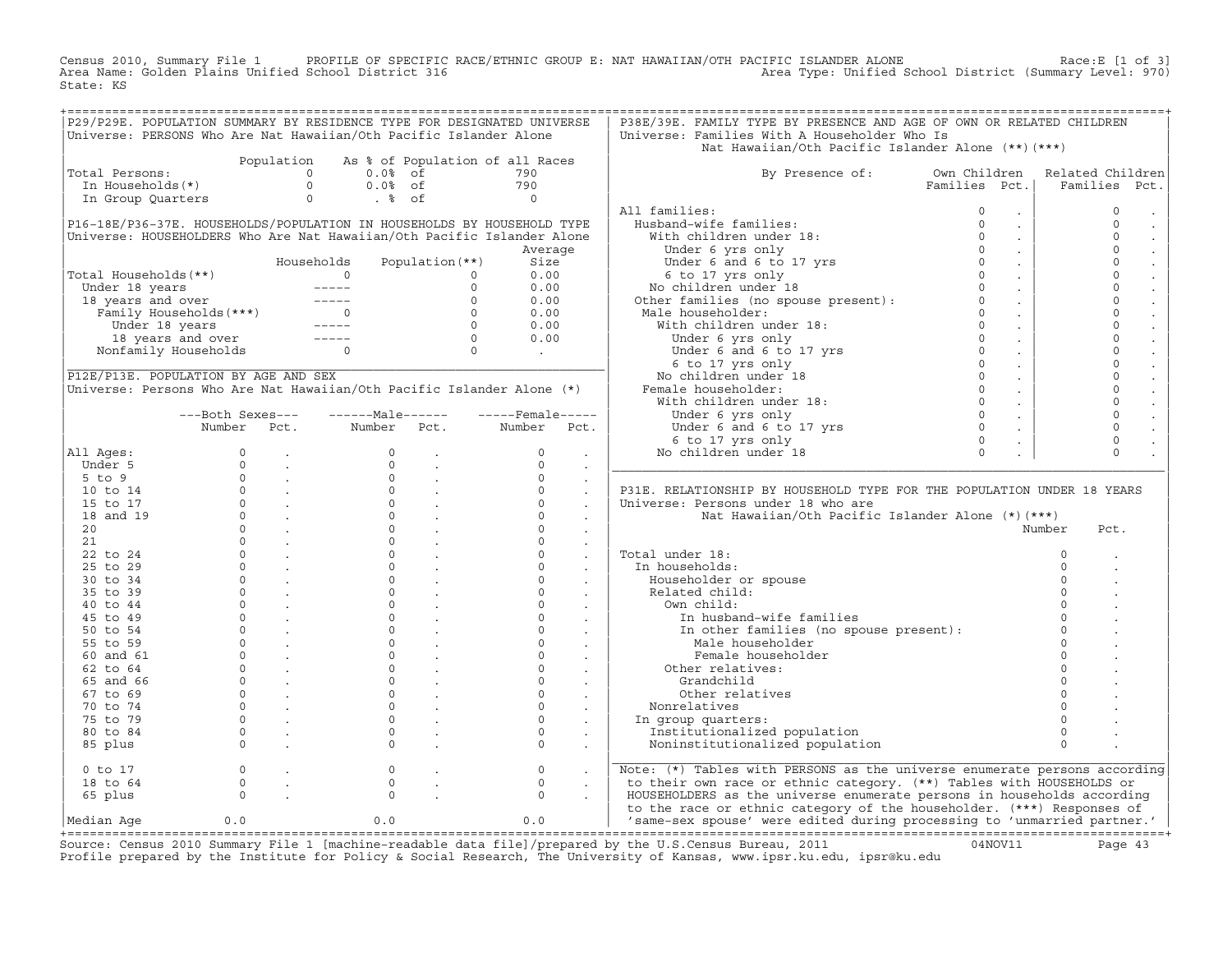Census 2010, Summary File 1 PROFILE OF SPECIFIC RACE/ETHNIC GROUP E: NAT HAWAIIAN/OTH PACIFIC ISLANDER ALONE<br>Area Name: Golden Plains Unified School District 316 Area Type: Unified Schoo State: KS

|                                                                                                                                                                                                                                                            |                                     |                                                       |                       |                 | P29/P29E. POPULATION SUMMARY BY RESIDENCE TYPE FOR DESIGNATED UNIVERSE | P38E/39E. FAMILY TYPE BY PRESENCE AND AGE OF OWN OR RELATED CHILDREN                                                                                                                                                                             |               |                             |                  |
|------------------------------------------------------------------------------------------------------------------------------------------------------------------------------------------------------------------------------------------------------------|-------------------------------------|-------------------------------------------------------|-----------------------|-----------------|------------------------------------------------------------------------|--------------------------------------------------------------------------------------------------------------------------------------------------------------------------------------------------------------------------------------------------|---------------|-----------------------------|------------------|
| Universe: PERSONS Who Are Nat Hawaiian/Oth Pacific Islander Alone                                                                                                                                                                                          |                                     |                                                       |                       |                 |                                                                        | Universe: Families With A Householder Who Is                                                                                                                                                                                                     |               |                             |                  |
|                                                                                                                                                                                                                                                            |                                     |                                                       |                       |                 |                                                                        | Nat Hawaiian/Oth Pacific Islander Alone (**) (***)                                                                                                                                                                                               |               |                             |                  |
|                                                                                                                                                                                                                                                            |                                     | Population                                            |                       |                 | As % of Population of all Races                                        |                                                                                                                                                                                                                                                  |               |                             |                  |
| Total Persons:                                                                                                                                                                                                                                             |                                     |                                                       | $0.0$ % of            |                 | 790                                                                    | By Presence of: Own Children                                                                                                                                                                                                                     |               |                             | Related Children |
|                                                                                                                                                                                                                                                            |                                     |                                                       | $0.0%$ of             |                 |                                                                        |                                                                                                                                                                                                                                                  | Families Pct. |                             | Families Pct.    |
|                                                                                                                                                                                                                                                            |                                     |                                                       | $\ddot{\text{ }8}$ of |                 | $\begin{array}{c} 790 \\ 0 \end{array}$                                |                                                                                                                                                                                                                                                  |               |                             |                  |
|                                                                                                                                                                                                                                                            |                                     |                                                       |                       |                 |                                                                        | All families:<br>11 families: 0<br>Husband-wife families: 0<br>With children under 18: 0<br>Under 6 yrs only 0<br>Under 6 and 6 to 17 yrs 0<br>6 to 17 yrs only 0<br>No children under 18 0<br>0                                                 |               |                             | $\mathbb O$      |
|                                                                                                                                                                                                                                                            |                                     |                                                       |                       |                 | P16-18E/P36-37E. HOUSEHOLDS/POPULATION IN HOUSEHOLDS BY HOUSEHOLD TYPE |                                                                                                                                                                                                                                                  |               | $\sim$                      | $\circ$          |
|                                                                                                                                                                                                                                                            |                                     |                                                       |                       |                 | Universe: HOUSEHOLDERS Who Are Nat Hawaiian/Oth Pacific Islander Alone |                                                                                                                                                                                                                                                  |               | $\sim$                      | $\circ$          |
|                                                                                                                                                                                                                                                            |                                     |                                                       |                       |                 | Average                                                                |                                                                                                                                                                                                                                                  |               | $\sim$                      | $\Omega$         |
|                                                                                                                                                                                                                                                            |                                     |                                                       | Households            | Population (**) | Size                                                                   |                                                                                                                                                                                                                                                  |               | $\sim$                      | $\mathsf{O}$     |
| Total Households(**)                                                                                                                                                                                                                                       |                                     |                                                       |                       |                 | 0.00                                                                   |                                                                                                                                                                                                                                                  |               | $\sim 100$                  | $\mathsf{O}$     |
|                                                                                                                                                                                                                                                            |                                     |                                                       |                       |                 | 0.00                                                                   |                                                                                                                                                                                                                                                  |               | $\sim$                      | $\circ$          |
|                                                                                                                                                                                                                                                            |                                     |                                                       |                       |                 | 0.00                                                                   |                                                                                                                                                                                                                                                  |               | $\sim 10$                   | $\circ$          |
|                                                                                                                                                                                                                                                            |                                     |                                                       |                       |                 | 0.00                                                                   |                                                                                                                                                                                                                                                  |               | $\sim 10$                   | $\mathbf{0}$     |
|                                                                                                                                                                                                                                                            |                                     |                                                       |                       |                 | 0.00                                                                   |                                                                                                                                                                                                                                                  |               | $\sim 100$                  | $\Omega$         |
| otal Households (**)<br>Under 18 years<br>18 years and over<br>Family Households (***)<br>Under 18 years<br>Under 18 years<br>18 years and over<br>18 years and over<br>18 years and over<br>18 years and over<br>Nonfamily Households<br>0<br>0<br>0<br>0 |                                     |                                                       |                       |                 | 0.00                                                                   |                                                                                                                                                                                                                                                  |               | $\sim 10$                   | $\circ$          |
|                                                                                                                                                                                                                                                            |                                     |                                                       |                       |                 |                                                                        |                                                                                                                                                                                                                                                  |               | $\sim$                      | $\mathbf 0$      |
|                                                                                                                                                                                                                                                            |                                     |                                                       |                       |                 | $\begin{array}{c} 0 \\ \hline \end{array}$                             |                                                                                                                                                                                                                                                  |               | $\sim$                      | $\circ$          |
| P12E/P13E. POPULATION BY AGE AND SEX                                                                                                                                                                                                                       |                                     |                                                       |                       |                 |                                                                        |                                                                                                                                                                                                                                                  |               | $\sim$                      | $\circ$          |
| Universe: Persons Who Are Nat Hawaiian/Oth Pacific Islander Alone (*)                                                                                                                                                                                      |                                     |                                                       |                       |                 |                                                                        |                                                                                                                                                                                                                                                  |               | $\sim$                      | $\circ$          |
|                                                                                                                                                                                                                                                            |                                     |                                                       |                       |                 |                                                                        |                                                                                                                                                                                                                                                  |               | $\sim 10^{-1}$              | $\circ$          |
|                                                                                                                                                                                                                                                            | ---Both Sexes---                    |                                                       | $---Male----$         |                 | $---$ Female -----                                                     |                                                                                                                                                                                                                                                  |               | $\sim$                      | $\mathbf{0}$     |
|                                                                                                                                                                                                                                                            | Number                              | Pct.                                                  | Number                | Pct.            | Number<br>Pct.                                                         |                                                                                                                                                                                                                                                  |               |                             | $\circ$          |
|                                                                                                                                                                                                                                                            |                                     |                                                       |                       |                 |                                                                        |                                                                                                                                                                                                                                                  |               | $\mathcal{L}^{\mathcal{L}}$ | $\circ$          |
| All Ages:                                                                                                                                                                                                                                                  |                                     |                                                       |                       |                 | $\circ$                                                                |                                                                                                                                                                                                                                                  |               | $\sim$                      | $\Omega$         |
|                                                                                                                                                                                                                                                            |                                     |                                                       |                       |                 | $\sim$                                                                 |                                                                                                                                                                                                                                                  |               |                             |                  |
|                                                                                                                                                                                                                                                            |                                     |                                                       |                       |                 |                                                                        |                                                                                                                                                                                                                                                  |               |                             |                  |
| Under 5                                                                                                                                                                                                                                                    |                                     |                                                       |                       |                 | $\Omega$<br>$\sim$                                                     | onder b and b to 1/ yrs 0<br>6 to 17 yrs 0<br>Wo children under 18<br>Other families (no spouse present):<br>Male householder:<br>With children under 18:<br>Under 6 yrs only<br>Under 6 at 6 to 17 yrs 0<br>6 to 17 yrs only<br>No children und |               |                             |                  |
| $5$ to $9$                                                                                                                                                                                                                                                 |                                     |                                                       |                       |                 | $\circ$                                                                |                                                                                                                                                                                                                                                  |               |                             |                  |
| 10 to 14                                                                                                                                                                                                                                                   |                                     |                                                       |                       |                 | $\Omega$<br>$\blacksquare$                                             | P31E. RELATIONSHIP BY HOUSEHOLD TYPE FOR THE POPULATION UNDER 18 YEARS                                                                                                                                                                           |               |                             |                  |
| 15 to 17                                                                                                                                                                                                                                                   |                                     |                                                       |                       |                 | $\circ$                                                                | Universe: Persons under 18 who are                                                                                                                                                                                                               |               |                             |                  |
| 18 and 19                                                                                                                                                                                                                                                  |                                     |                                                       |                       |                 | $\Omega$<br>$\ddot{\phantom{a}}$                                       | Nat Hawaiian/Oth Pacific Islander Alone (*)(***)                                                                                                                                                                                                 |               |                             |                  |
| 20                                                                                                                                                                                                                                                         |                                     |                                                       |                       |                 | $\Omega$<br>$\sim$                                                     |                                                                                                                                                                                                                                                  |               | Number                      | Pct.             |
| 21                                                                                                                                                                                                                                                         |                                     |                                                       |                       |                 | $\Omega$<br>$\Box$                                                     |                                                                                                                                                                                                                                                  |               |                             |                  |
| 22 to 24                                                                                                                                                                                                                                                   |                                     |                                                       |                       |                 | $\circ$<br>$\sim$                                                      | Total under 18:                                                                                                                                                                                                                                  |               |                             | $\circ$          |
| 25 to 29                                                                                                                                                                                                                                                   |                                     |                                                       |                       |                 | $\circ$<br>$\sim$                                                      | In households:                                                                                                                                                                                                                                   |               |                             |                  |
| 30 to 34                                                                                                                                                                                                                                                   |                                     |                                                       |                       |                 | $\Omega$                                                               | Householder or spouse                                                                                                                                                                                                                            |               |                             |                  |
| 35 to 39                                                                                                                                                                                                                                                   |                                     |                                                       |                       |                 | $\circ$                                                                | Related child:                                                                                                                                                                                                                                   |               |                             |                  |
| 40 to 44                                                                                                                                                                                                                                                   |                                     |                                                       |                       |                 | $\Omega$                                                               | Own child:                                                                                                                                                                                                                                       |               |                             |                  |
| 45 to 49                                                                                                                                                                                                                                                   |                                     |                                                       |                       |                 | $\circ$<br>$\sim$                                                      | In husband-wife families                                                                                                                                                                                                                         |               |                             |                  |
| 50 to 54                                                                                                                                                                                                                                                   |                                     |                                                       |                       |                 | $\circ$<br>$\sim$ $-$                                                  |                                                                                                                                                                                                                                                  |               |                             | $\Omega$         |
| 55 to 59                                                                                                                                                                                                                                                   |                                     |                                                       |                       |                 | $\circ$<br>$\sim 10^{-11}$                                             | In other families (no spouse present):<br>Male householder                                                                                                                                                                                       |               |                             | $\Omega$         |
| 60 and 61                                                                                                                                                                                                                                                  |                                     |                                                       |                       |                 | $\circ$<br>$\sim 10$                                                   | Female householder                                                                                                                                                                                                                               |               |                             |                  |
| 62 to 64                                                                                                                                                                                                                                                   |                                     |                                                       |                       |                 | $\Omega$<br>$\sim$                                                     | Other relatives:                                                                                                                                                                                                                                 |               |                             |                  |
| 65 and 66                                                                                                                                                                                                                                                  |                                     |                                                       |                       |                 | $\circ$<br>$\sim$                                                      | Grandchild                                                                                                                                                                                                                                       |               |                             |                  |
| 67 to 69                                                                                                                                                                                                                                                   |                                     |                                                       |                       |                 | $\circ$<br>$\sim$                                                      | Other relatives                                                                                                                                                                                                                                  |               |                             |                  |
| 70 to 74                                                                                                                                                                                                                                                   |                                     |                                                       |                       |                 | $\circ$<br>$\ddot{\phantom{a}}$                                        | Nonrelatives                                                                                                                                                                                                                                     |               |                             |                  |
| 75 to 79                                                                                                                                                                                                                                                   |                                     |                                                       |                       |                 | $\circ$<br>$\sim$                                                      |                                                                                                                                                                                                                                                  |               |                             |                  |
| 80 to 84                                                                                                                                                                                                                                                   |                                     |                                                       |                       |                 | $\Omega$                                                               | In group quarters:                                                                                                                                                                                                                               |               |                             | $\Omega$         |
| 85 plus                                                                                                                                                                                                                                                    |                                     |                                                       |                       |                 | $\ddot{\phantom{a}}$<br>$\Omega$                                       | Institutionalized population<br>Noninstitutionalized population                                                                                                                                                                                  |               |                             | $\Omega$         |
|                                                                                                                                                                                                                                                            |                                     |                                                       |                       |                 |                                                                        |                                                                                                                                                                                                                                                  |               |                             |                  |
| $0$ to $17$                                                                                                                                                                                                                                                |                                     | $\begin{matrix} 0 & 0 \\ 0 & 0 \\ 0 & 0 \end{matrix}$ | $\mathsf{O}\xspace$   |                 | $\circ$                                                                | Note: (*) Tables with PERSONS as the universe enumerate persons according                                                                                                                                                                        |               |                             |                  |
| 18 to 64                                                                                                                                                                                                                                                   |                                     |                                                       | $\circ$               |                 | $\circ$                                                                | to their own race or ethnic category. (**) Tables with HOUSEHOLDS or                                                                                                                                                                             |               |                             |                  |
| 65 plus                                                                                                                                                                                                                                                    | $\begin{matrix}0\\0\\0\end{matrix}$ |                                                       | $\Omega$              |                 | $\Omega$                                                               | HOUSEHOLDERS as the universe enumerate persons in households according                                                                                                                                                                           |               |                             |                  |
| Median Aqe                                                                                                                                                                                                                                                 | 0.0                                 |                                                       | 0.0                   |                 | 0.0                                                                    | to the race or ethnic category of the householder. (***) Responses of<br>'same-sex spouse' were edited during processing to 'unmarried partner.'                                                                                                 |               |                             |                  |

Source: Census 2010 Summary File 1 [machine-readable data file]/prepared by the U.S.Census Bureau, 2011 Page 43<br>Profile prepared by the Institute for Policy & Social Research, The University of Kansas, www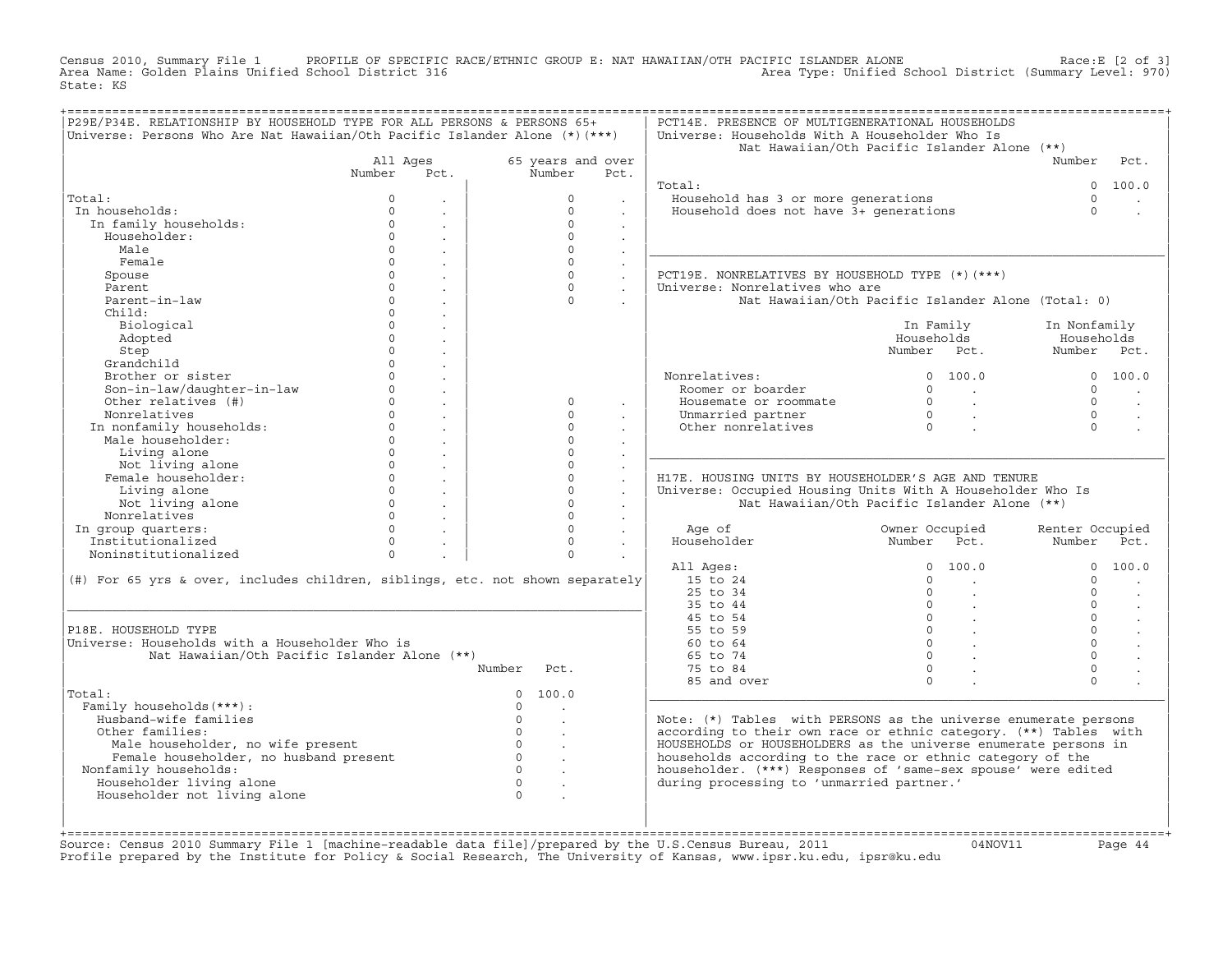Census 2010, Summary File 1 PROFILE OF SPECIFIC RACE/ETHNIC GROUP E: NAT HAWAIIAN/OTH PACIFIC ISLANDER ALONE<br>Area Name: Golden Plains Unified School District 316 Area Type: Unified Schoo State: KS

| P29E/P34E. RELATIONSHIP BY HOUSEHOLD TYPE FOR ALL PERSONS & PERSONS 65+<br>Universe: Persons Who Are Nat Hawaiian/Oth Pacific Islander Alone $(*)$ (***) |                      |                             |                                               |                                                 |                      | PCT14E. PRESENCE OF MULTIGENERATIONAL HOUSEHOLDS<br>Universe: Households With A Householder Who Is |                                                              |                 |                      |
|----------------------------------------------------------------------------------------------------------------------------------------------------------|----------------------|-----------------------------|-----------------------------------------------|-------------------------------------------------|----------------------|----------------------------------------------------------------------------------------------------|--------------------------------------------------------------|-----------------|----------------------|
|                                                                                                                                                          |                      |                             |                                               |                                                 |                      |                                                                                                    | Nat Hawaiian/Oth Pacific Islander Alone (**)                 |                 |                      |
|                                                                                                                                                          | All Ages             |                             |                                               | 65 years and over                               |                      |                                                                                                    |                                                              | Number          | Pct.                 |
|                                                                                                                                                          | Number               | Pct.                        |                                               | Number                                          | Pct.                 |                                                                                                    |                                                              |                 |                      |
|                                                                                                                                                          |                      |                             |                                               |                                                 |                      | Total:                                                                                             |                                                              |                 | 0 100.0              |
| Total:                                                                                                                                                   | $\Omega$             |                             |                                               | $\Omega$                                        |                      | Household has 3 or more generations                                                                |                                                              | $\Omega$        |                      |
| In households:                                                                                                                                           | $\Omega$<br>$\Omega$ |                             |                                               | $\Omega$<br>$\Omega$                            | $\sim$               | Household does not have 3+ generations                                                             |                                                              | $\Omega$        |                      |
| In family households:                                                                                                                                    | $\Omega$             | $\sim$                      |                                               | $\Omega$                                        | $\sim$               |                                                                                                    |                                                              |                 |                      |
| Householder:                                                                                                                                             | $\Omega$             |                             |                                               |                                                 |                      |                                                                                                    |                                                              |                 |                      |
| Male<br>Female                                                                                                                                           | $\Omega$             |                             |                                               | $\Omega$<br>$\Omega$                            | $\sim$               |                                                                                                    |                                                              |                 |                      |
|                                                                                                                                                          | $\Omega$             | $\mathcal{L}^{\text{max}}$  |                                               | $\Omega$                                        | $\ddot{\phantom{a}}$ | PCT19E. NONRELATIVES BY HOUSEHOLD TYPE (*)(***)                                                    |                                                              |                 |                      |
| Spouse<br>Parent                                                                                                                                         | $\Omega$             | $\sim$                      |                                               | $\Omega$                                        | $\sim$               | Universe: Nonrelatives who are                                                                     |                                                              |                 |                      |
| Parent-in-law                                                                                                                                            | $\Omega$             | $\sim$                      |                                               | $\Omega$                                        | $\sim$               |                                                                                                    | Nat Hawaiian/Oth Pacific Islander Alone (Total: 0)           |                 |                      |
| Child:                                                                                                                                                   | $\Omega$             |                             |                                               |                                                 |                      |                                                                                                    |                                                              |                 |                      |
| Biological                                                                                                                                               | $\Omega$             |                             |                                               |                                                 |                      |                                                                                                    | In Family                                                    | In Nonfamily    |                      |
| Adopted                                                                                                                                                  | $\Omega$             |                             |                                               |                                                 |                      |                                                                                                    | Households                                                   | Households      |                      |
| Step                                                                                                                                                     | $\Omega$             |                             |                                               |                                                 |                      |                                                                                                    | Number Pct.                                                  | Number Pct.     |                      |
| Grandchild                                                                                                                                               | $\Omega$             |                             |                                               |                                                 |                      |                                                                                                    |                                                              |                 |                      |
| Brother or sister                                                                                                                                        | $\Omega$             |                             |                                               |                                                 |                      | Nonrelatives:                                                                                      | 0, 100.0                                                     |                 | 0 100.0              |
| Son-in-law/daughter-in-law                                                                                                                               |                      | $0 \qquad \qquad$           |                                               |                                                 |                      | Roomer or boarder                                                                                  | $\begin{array}{ccc} 0 & & \end{array}$                       | $\cap$          |                      |
| Other relatives (#)                                                                                                                                      | $\Omega$             | $\sim$                      |                                               | $\Omega$                                        | $\sim$               | Housemate or roommate                                                                              |                                                              | $\Omega$        | $\sim$               |
| Nonrelatives                                                                                                                                             | $\Omega$             | $\sim$                      |                                               | $\Omega$                                        |                      | Unmarried partner                                                                                  | $\begin{matrix}0&\cdot\cr 0&\cdot\cr 0&\cdot\cr\end{matrix}$ | $\Omega$        |                      |
| In nonfamily households:                                                                                                                                 |                      | $0 \qquad \qquad$<br>$\sim$ |                                               | $\Omega$                                        | $\sim$               | Other nonrelatives                                                                                 |                                                              | $\Omega$        |                      |
| Male householder:                                                                                                                                        | $\Omega$             | $\sim$                      |                                               | $\Omega$                                        |                      |                                                                                                    |                                                              |                 |                      |
| Living alone                                                                                                                                             | $\Omega$             |                             |                                               | $\Omega$                                        |                      |                                                                                                    |                                                              |                 |                      |
| Not living alone                                                                                                                                         | $\Omega$             | $\sim$                      |                                               | $\Omega$                                        | $\sim$               |                                                                                                    |                                                              |                 |                      |
| Female householder:                                                                                                                                      | $\Omega$             | $\sim$                      |                                               | $\Omega$                                        | $\ddot{\phantom{a}}$ | H17E. HOUSING UNITS BY HOUSEHOLDER'S AGE AND TENURE                                                |                                                              |                 |                      |
| Living alone                                                                                                                                             | $\Omega$             | <b>Contract</b>             |                                               | $\Omega$                                        | $\ddot{\phantom{a}}$ | Universe: Occupied Housing Units With A Householder Who Is                                         |                                                              |                 |                      |
| Not living alone                                                                                                                                         |                      | $\Omega$<br>$\sim$          |                                               | $\Omega$                                        |                      |                                                                                                    | Nat Hawaiian/Oth Pacific Islander Alone (**)                 |                 |                      |
| Nonrelatives                                                                                                                                             | $\Omega$             | $\mathcal{L}^{\text{max}}$  |                                               | $\Omega$                                        | $\sim$               |                                                                                                    |                                                              |                 |                      |
| In group quarters:                                                                                                                                       | $\Omega$             | $\sim$                      |                                               | $\Omega$                                        | $\sim$               | Age of                                                                                             | Owner Occupied                                               | Renter Occupied |                      |
| Institutionalized                                                                                                                                        | $\Omega$             | $\sim$                      |                                               | $\Omega$                                        | $\sim$               | Householder                                                                                        | Number Pct.                                                  | Number Pct.     |                      |
| Noninstitutionalized                                                                                                                                     | $\Omega$             |                             |                                               | $\Omega$                                        |                      |                                                                                                    |                                                              |                 |                      |
|                                                                                                                                                          |                      |                             |                                               |                                                 |                      | All Ages:                                                                                          | 0, 100, 0                                                    |                 | 0, 100, 0            |
| (#) For 65 yrs & over, includes children, siblings, etc. not shown separately                                                                            |                      |                             |                                               |                                                 |                      | 15 to 24                                                                                           | $\Omega$<br><b>Contract</b>                                  | $\cap$          |                      |
|                                                                                                                                                          |                      |                             |                                               |                                                 |                      | 25 to 34                                                                                           | $\Omega$<br>$\sim 100$ km s $^{-1}$                          | $\cap$          |                      |
|                                                                                                                                                          |                      |                             |                                               |                                                 |                      | 35 to 44                                                                                           | $\overline{0}$ .                                             | $\cap$          | $\sim$               |
|                                                                                                                                                          |                      |                             |                                               |                                                 |                      | 45 to 54                                                                                           | $\begin{array}{ccc} & & & \\ & & & \end{array}$              | $\Omega$        | $\ddot{\phantom{a}}$ |
| P18E. HOUSEHOLD TYPE                                                                                                                                     |                      |                             |                                               |                                                 |                      | 55 to 59                                                                                           | $\begin{array}{ccccccc}\n & & 0 & & & \end{array}$           | $\Omega$        |                      |
| Universe: Households with a Householder Who is                                                                                                           |                      |                             |                                               |                                                 |                      | 60 to 64                                                                                           | $\overline{0}$                                               | $\Omega$        |                      |
| Nat Hawaiian/Oth Pacific Islander Alone (**)                                                                                                             |                      |                             |                                               |                                                 |                      | 65 to 74                                                                                           | $0 \qquad \qquad$                                            | $\Omega$        |                      |
|                                                                                                                                                          |                      |                             | Number                                        | Pct.                                            |                      | 75 to 84                                                                                           | $\Omega$                                                     | $\Omega$        |                      |
|                                                                                                                                                          |                      |                             |                                               |                                                 |                      | 85 and over                                                                                        | $\Omega$                                                     | $\Omega$        |                      |
| Total:                                                                                                                                                   |                      |                             | $\Omega$                                      | 100.0                                           |                      |                                                                                                    |                                                              |                 |                      |
| Family households (***) :                                                                                                                                |                      |                             | $\Omega$                                      | $\sim$ $\sim$                                   |                      |                                                                                                    |                                                              |                 |                      |
| Husband-wife families                                                                                                                                    |                      |                             | $\Omega$                                      |                                                 |                      | Note: $(*)$ Tables with PERSONS as the universe enumerate persons                                  |                                                              |                 |                      |
| Other families:                                                                                                                                          |                      |                             | $\overline{0}$                                | $\sim$                                          |                      | according to their own race or ethnic category. (**) Tables with                                   |                                                              |                 |                      |
| Male householder, no wife present                                                                                                                        |                      |                             |                                               | $\begin{array}{ccc} & & & \\ & & & \end{array}$ |                      | HOUSEHOLDS or HOUSEHOLDERS as the universe enumerate persons in                                    |                                                              |                 |                      |
| Male householder, no wife present<br>Female householder, no husband present<br>Family households:                                                        |                      |                             | $\begin{array}{ccccccc}\n0 & & & \end{array}$ |                                                 |                      | households according to the race or ethnic category of the                                         |                                                              |                 |                      |
| Nonfamily households:                                                                                                                                    |                      |                             |                                               | $\Omega$<br>$\sim$                              |                      | householder. (***) Responses of 'same-sex spouse' were edited                                      |                                                              |                 |                      |
| Householder living alone                                                                                                                                 |                      |                             | $\Omega$                                      | $\mathbf{r}$                                    |                      | during processing to 'unmarried partner.'                                                          |                                                              |                 |                      |
| Householder not living alone                                                                                                                             |                      |                             | $\overline{a}$                                |                                                 |                      |                                                                                                    |                                                              |                 |                      |
|                                                                                                                                                          |                      |                             |                                               |                                                 |                      |                                                                                                    |                                                              |                 |                      |
|                                                                                                                                                          |                      |                             |                                               |                                                 |                      |                                                                                                    |                                                              |                 |                      |

+===================================================================================================================================================+Source: Census 2010 Summary File 1 [machine−readable data file]/prepared by the U.S.Census Bureau, 2011 04NOV11 Page 44 Profile prepared by the Institute for Policy & Social Research, The University of Kansas, www.ipsr.ku.edu, ipsr@ku.edu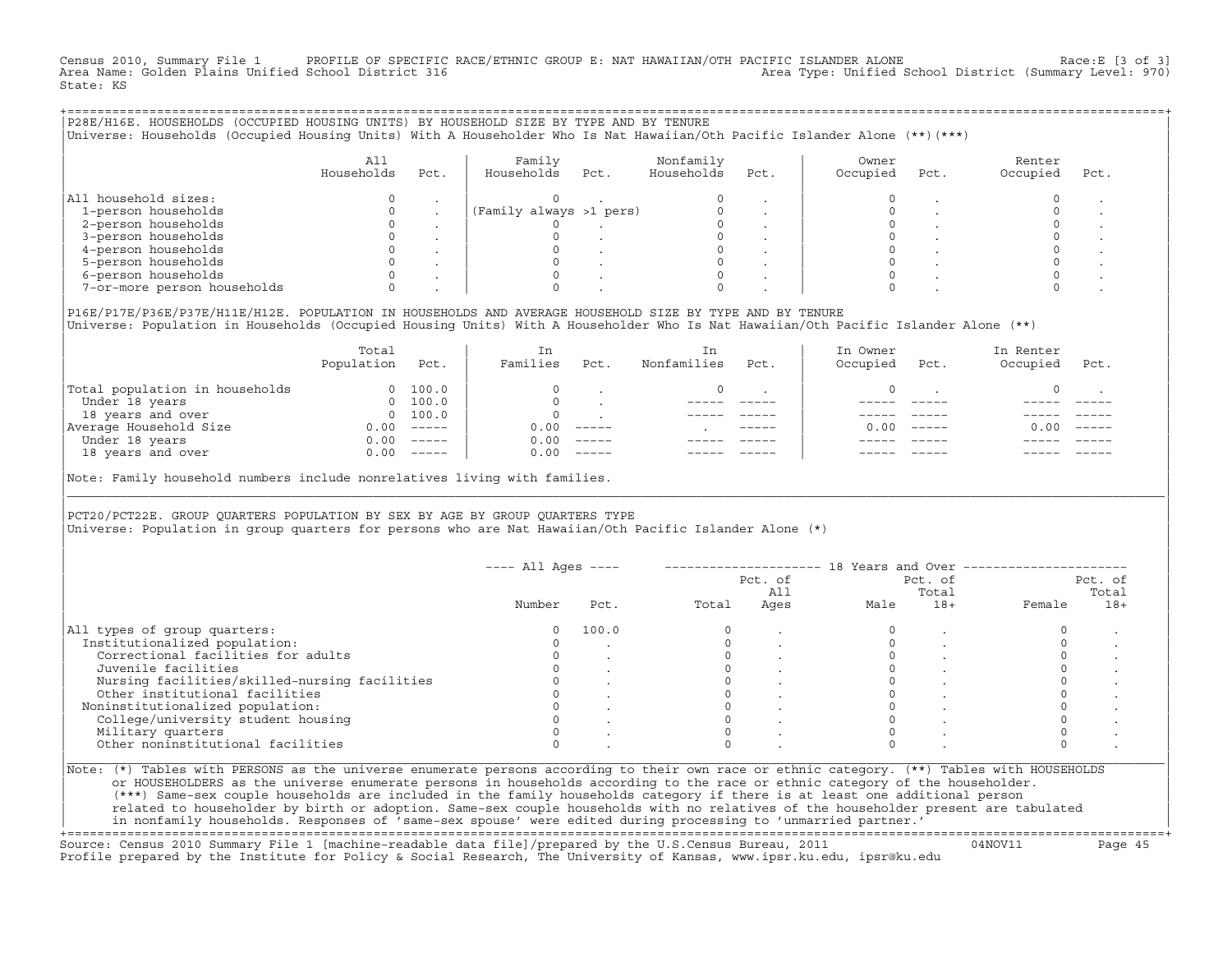Census 2010, Summary File 1 PROFILE OF SPECIFIC RACE/ETHNIC GROUP E: NAT HAWAIIAN/OTH PACIFIC ISLANDER ALONE Race:E [3 of 3]<br>Area Name: Golden Plains Unified School District 316 Area Type: Unified School District (Summary Level: 970) State: KS

| P28E/H16E. HOUSEHOLDS (OCCUPIED HOUSING UNITS) BY HOUSEHOLD SIZE BY TYPE AND BY TENURE<br>Universe: Households (Occupied Housing Units) With A Householder Who Is Nat Hawaiian/Oth Pacific Islander Alone (**)(***) |                           |            |                         |                         |      |                   |      |                    |      |
|---------------------------------------------------------------------------------------------------------------------------------------------------------------------------------------------------------------------|---------------------------|------------|-------------------------|-------------------------|------|-------------------|------|--------------------|------|
|                                                                                                                                                                                                                     | All<br>Households<br>Pct. | Households | Family<br>Pct.          | Nonfamily<br>Households | Pct. | Owner<br>Occupied | Pct. | Renter<br>Occupied | Pct. |
| All household sizes:                                                                                                                                                                                                |                           |            |                         |                         |      |                   |      |                    |      |
| 1-person households                                                                                                                                                                                                 |                           |            | (Family always >1 pers) |                         |      |                   |      |                    |      |
| 2-person households                                                                                                                                                                                                 |                           |            |                         |                         |      |                   |      |                    |      |
| 3-person households                                                                                                                                                                                                 |                           |            |                         |                         |      |                   |      |                    |      |
| 4-person households                                                                                                                                                                                                 |                           |            |                         |                         |      |                   |      |                    |      |
| 5-person households                                                                                                                                                                                                 |                           |            |                         |                         |      |                   |      |                    |      |
| 6-person households                                                                                                                                                                                                 |                           |            |                         |                         |      |                   |      |                    |      |
| 7-or-more person households                                                                                                                                                                                         |                           |            |                         |                         |      |                   |      |                    |      |
|                                                                                                                                                                                                                     |                           |            |                         |                         |      |                   |      |                    |      |

|P16E/P17E/P36E/P37E/H11E/H12E. POPULATION IN HOUSEHOLDS AND AVERAGE HOUSEHOLD SIZE BY TYPE AND BY TENURE | |Universe: Population in Households (Occupied Housing Units) With A Householder Who Is Nat Hawaiian/Oth Pacific Islander Alone (\*\*) |

|                                | Total<br>Population | Pct.                                                                                                                                                                                                                                                                                                                                                                                                                                                                                 | In<br>Families | Pct.     | In.<br>Nonfamilies | Pct.          | In Owner<br>Occupied | Pct.          | In Renter<br>Occupied | Pct.     |  |
|--------------------------------|---------------------|--------------------------------------------------------------------------------------------------------------------------------------------------------------------------------------------------------------------------------------------------------------------------------------------------------------------------------------------------------------------------------------------------------------------------------------------------------------------------------------|----------------|----------|--------------------|---------------|----------------------|---------------|-----------------------|----------|--|
| Total population in households | $\Omega$            | 100.0                                                                                                                                                                                                                                                                                                                                                                                                                                                                                |                |          |                    |               |                      |               |                       |          |  |
| Under 18 years                 | $\Omega$            | 100.0                                                                                                                                                                                                                                                                                                                                                                                                                                                                                |                |          |                    |               |                      |               |                       |          |  |
| 18 years and over              |                     | 0 100.0                                                                                                                                                                                                                                                                                                                                                                                                                                                                              |                |          |                    |               |                      |               |                       |          |  |
| Average Household Size         | 0.00                | $------$                                                                                                                                                                                                                                                                                                                                                                                                                                                                             | 0.00           | $------$ |                    | $- - - - - -$ | 0. OO -              | $\frac{1}{2}$ | 0.00                  | $------$ |  |
| Under 18 years                 | 0.00                | $------$                                                                                                                                                                                                                                                                                                                                                                                                                                                                             | 0.00           | $------$ |                    |               |                      |               |                       |          |  |
| 18 years and over              | 0.00                | $\begin{tabular}{cccccc} \multicolumn{2}{c}{} & \multicolumn{2}{c}{} & \multicolumn{2}{c}{} & \multicolumn{2}{c}{} & \multicolumn{2}{c}{} & \multicolumn{2}{c}{} & \multicolumn{2}{c}{} & \multicolumn{2}{c}{} & \multicolumn{2}{c}{} & \multicolumn{2}{c}{} & \multicolumn{2}{c}{} & \multicolumn{2}{c}{} & \multicolumn{2}{c}{} & \multicolumn{2}{c}{} & \multicolumn{2}{c}{} & \multicolumn{2}{c}{} & \multicolumn{2}{c}{} & \multicolumn{2}{c}{} & \multicolumn{2}{c}{} & \mult$ | 0.00           | $------$ |                    |               |                      |               |                       | ------   |  |
|                                |                     |                                                                                                                                                                                                                                                                                                                                                                                                                                                                                      |                |          |                    |               |                      |               |                       |          |  |

|Note: Family household numbers include nonrelatives living with families. |

| | PCT20/PCT22E. GROUP OUARTERS POPULATION BY SEX BY AGE BY GROUP OUARTERS TYPE |Universe: Population in group quarters for persons who are Nat Hawaiian/Oth Pacific Islander Alone (\*) |

|                                               |        |       |       | Pct. of<br>All |      | Pct. of<br>Total | Pct. of<br>Total |       |
|-----------------------------------------------|--------|-------|-------|----------------|------|------------------|------------------|-------|
|                                               | Number | Pct.  | Total | Ages           | Male | $18+$            | Female           | $18+$ |
| All types of group quarters:                  |        | 100.0 |       |                |      |                  |                  |       |
| Institutionalized population:                 |        |       |       |                |      |                  |                  |       |
| Correctional facilities for adults            |        |       |       |                |      |                  |                  |       |
| Juvenile facilities                           |        |       |       |                |      |                  |                  |       |
| Nursing facilities/skilled-nursing facilities |        |       |       |                |      |                  |                  |       |
| Other institutional facilities                |        |       |       |                |      |                  |                  |       |
| Noninstitutionalized population:              |        |       |       |                |      |                  |                  |       |
| College/university student housing            |        |       |       |                |      |                  |                  |       |
| Military quarters                             |        |       |       |                |      |                  |                  |       |
| Other noninstitutional facilities             |        |       |       |                |      |                  |                  |       |

|\_\_\_\_\_\_\_\_\_\_\_\_\_\_\_\_\_\_\_\_\_\_\_\_\_\_\_\_\_\_\_\_\_\_\_\_\_\_\_\_\_\_\_\_\_\_\_\_\_\_\_\_\_\_\_\_\_\_\_\_\_\_\_\_\_\_\_\_\_\_\_\_\_\_\_\_\_\_\_\_\_\_\_\_\_\_\_\_\_\_\_\_\_\_\_\_\_\_\_\_\_\_\_\_\_\_\_\_\_\_\_\_\_\_\_\_\_\_\_\_\_\_\_\_\_\_\_\_\_\_\_\_\_\_\_\_\_\_\_\_\_\_\_\_\_\_\_|

| |

| (\*\*\*) Same−sex couple households are included in the family households category if there is at least one additional person | | related to householder by birth or adoption. Same−sex couple households with no relatives of the householder present are tabulated | | in nonfamily households. Responses of 'same−sex spouse' were edited during processing to 'unmarried partner.' | +===================================================================================================================================================+

Source: Census 2010 Summary File 1 [machine−readable data file]/prepared by the U.S.Census Bureau, 2011 04NOV11 Page 45 Profile prepared by the Institute for Policy & Social Research, The University of Kansas, www.ipsr.ku.edu, ipsr@ku.edu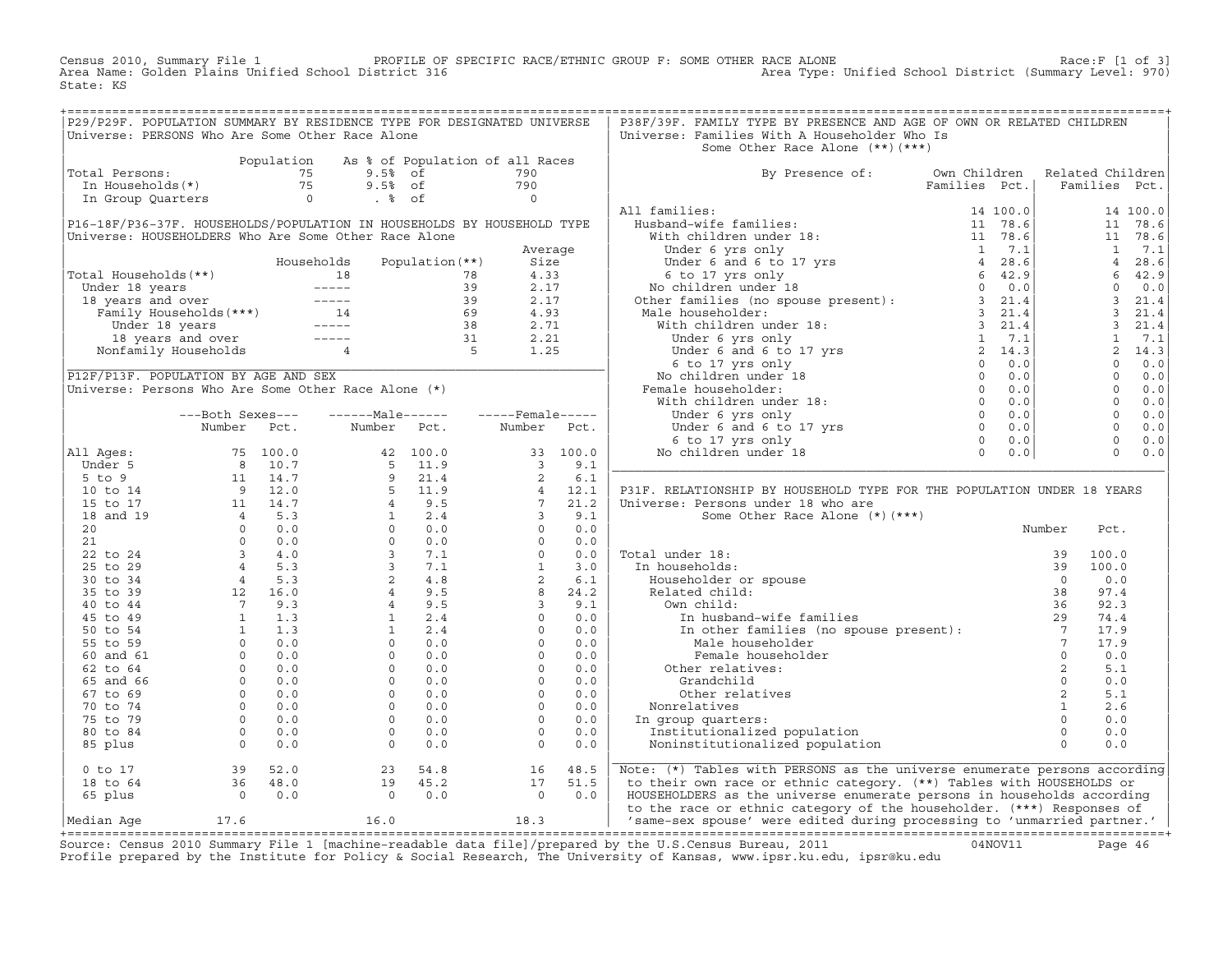Census 2010, Summary File 1 PROFILE OF SPECIFIC RACE/ETHNIC GROUP F: SOME OTHER RACE ALONE Race:F [1 of 3] Area Name: Golden Plains Unified School District 316 Area Type: Unified School District (Summary Level: 970) State: KS

+===================================================================================================================================================+

|                                                       |                                                                                                                                                                                                 |             | P29/P29F. POPULATION SUMMARY BY RESIDENCE TYPE FOR DESIGNATED UNIVERSE                                     |                                         |                         |          | P38F/39F. FAMILY TYPE BY PRESENCE AND AGE OF OWN OR RELATED CHILDREN                                                                            |              |                  |                |          |
|-------------------------------------------------------|-------------------------------------------------------------------------------------------------------------------------------------------------------------------------------------------------|-------------|------------------------------------------------------------------------------------------------------------|-----------------------------------------|-------------------------|----------|-------------------------------------------------------------------------------------------------------------------------------------------------|--------------|------------------|----------------|----------|
|                                                       |                                                                                                                                                                                                 |             | Universe: PERSONS Who Are Some Other Race Alone                                                            |                                         |                         |          | Universe: Families With A Householder Who Is                                                                                                    |              |                  |                |          |
|                                                       |                                                                                                                                                                                                 |             |                                                                                                            |                                         |                         |          | Some Other Race Alone (**) (***)                                                                                                                |              |                  |                |          |
|                                                       |                                                                                                                                                                                                 | Population  |                                                                                                            | As % of Population of all Races         |                         |          |                                                                                                                                                 |              |                  |                |          |
| Total Persons:                                        |                                                                                                                                                                                                 | 75          | $9.5%$ of                                                                                                  |                                         | 790                     |          | By Presence of:                                                                                                                                 | Own Children | Related Children |                |          |
| In Households(*)                                      |                                                                                                                                                                                                 | 75          | $9.5%$ of                                                                                                  |                                         | 790                     |          |                                                                                                                                                 |              |                  | Families Pct.  |          |
| In Group Quarters                                     |                                                                                                                                                                                                 |             | $\overline{0}$<br>$. \circ$ of                                                                             |                                         | $\overline{0}$          |          |                                                                                                                                                 |              |                  |                |          |
|                                                       |                                                                                                                                                                                                 |             |                                                                                                            |                                         |                         |          |                                                                                                                                                 |              |                  |                | 14 100.0 |
|                                                       |                                                                                                                                                                                                 |             | P16-18F/P36-37F. HOUSEHOLDS/POPULATION IN HOUSEHOLDS BY HOUSEHOLD TYPE                                     |                                         |                         |          |                                                                                                                                                 |              |                  | 11             | 78.6     |
| Universe: HOUSEHOLDERS Who Are Some Other Race Alone  |                                                                                                                                                                                                 |             |                                                                                                            |                                         |                         |          |                                                                                                                                                 |              |                  | 11             | 78.6     |
|                                                       |                                                                                                                                                                                                 |             |                                                                                                            |                                         | Average                 |          |                                                                                                                                                 |              |                  | $\mathbf{1}$   | 7.1      |
|                                                       |                                                                                                                                                                                                 |             | Households                                                                                                 | Population (**)                         | Size                    |          |                                                                                                                                                 |              |                  | $\overline{4}$ | 28.6     |
| Total Households (**)                                 |                                                                                                                                                                                                 |             | 18                                                                                                         | 78                                      | 4.33                    |          |                                                                                                                                                 |              |                  | 6              | 42.9     |
|                                                       |                                                                                                                                                                                                 |             |                                                                                                            | 39                                      | 2.17                    |          |                                                                                                                                                 |              |                  | $\circ$        | 0.0      |
|                                                       |                                                                                                                                                                                                 |             |                                                                                                            | 39                                      | 2.17                    |          |                                                                                                                                                 |              |                  | $\overline{3}$ | 21.4     |
|                                                       |                                                                                                                                                                                                 |             |                                                                                                            | 69                                      | 4.93                    |          |                                                                                                                                                 |              |                  | $\mathbf{3}$   | 21.4     |
|                                                       |                                                                                                                                                                                                 |             |                                                                                                            | $\begin{array}{c} 38 \\ 31 \end{array}$ | 2.71                    |          |                                                                                                                                                 |              |                  | $\overline{3}$ | 21.4     |
|                                                       | 18 years and over -----                                                                                                                                                                         |             |                                                                                                            |                                         | 2.21                    |          |                                                                                                                                                 |              |                  | $\mathbf{1}$   | 7.1      |
|                                                       | Nonfamily Households                                                                                                                                                                            |             | $\overline{4}$                                                                                             | $\overline{5}$                          | 1.25                    |          |                                                                                                                                                 |              |                  | 2              | 14.3     |
|                                                       |                                                                                                                                                                                                 |             |                                                                                                            |                                         |                         |          |                                                                                                                                                 |              |                  | $\overline{0}$ | 0.0      |
| P12F/P13F. POPULATION BY AGE AND SEX                  |                                                                                                                                                                                                 |             |                                                                                                            |                                         |                         |          |                                                                                                                                                 |              |                  | $\Omega$       | 0.0      |
| Universe: Persons Who Are Some Other Race Alone $(*)$ |                                                                                                                                                                                                 |             |                                                                                                            |                                         |                         |          |                                                                                                                                                 |              |                  | $\circ$        | 0.0      |
|                                                       |                                                                                                                                                                                                 |             |                                                                                                            |                                         |                         |          |                                                                                                                                                 |              |                  | $\Omega$       | 0.0      |
|                                                       | ---Both Sexes---                                                                                                                                                                                |             | $---Male----$                                                                                              |                                         | $---$ Female -----      |          | Under 6 yrs only<br>Under 6 yrs only<br>Under 6 and 6 to 17 yrs<br>6 to 17 yrs only<br>0 children under 18<br>0                                 |              |                  | $\Omega$       | 0.0      |
|                                                       | Number Pct.                                                                                                                                                                                     |             | Number Pct.                                                                                                |                                         | Number                  | Pct.     |                                                                                                                                                 |              |                  | $\circ$        | 0.0      |
|                                                       |                                                                                                                                                                                                 |             |                                                                                                            |                                         |                         |          |                                                                                                                                                 | 0.0          |                  | $\circ$        | 0.0      |
| All Ages:                                             |                                                                                                                                                                                                 | 75 100.0    |                                                                                                            | 42 100.0                                |                         | 33 100.0 | No children under 18                                                                                                                            | 0.0          |                  | $\Omega$       | 0.0      |
| Under 5                                               |                                                                                                                                                                                                 | 8 10.7      |                                                                                                            | $5 \t11.9$                              | $\overline{\mathbf{3}}$ | 9.1      |                                                                                                                                                 |              |                  |                |          |
| $5$ to $9$                                            |                                                                                                                                                                                                 | 11 14.7     | 9 21.4<br>5 11.9<br>4 9.5<br>1 2.4<br>0 0.0<br>0 1.0<br>3 7.1<br>3 7.1<br>2 4.8<br>4 9.5<br>4 9.5<br>1 2.4 |                                         | 2                       | 6.1      |                                                                                                                                                 |              |                  |                |          |
| 10 to 14                                              |                                                                                                                                                                                                 | $9 \t 12.0$ |                                                                                                            |                                         | $\overline{4}$          | 12.1     | P31F. RELATIONSHIP BY HOUSEHOLD TYPE FOR THE POPULATION UNDER 18 YEARS                                                                          |              |                  |                |          |
| 15 to 17                                              | $\begin{array}{cccc} 11 & 14 \ . \ 7 \\ 4 & 5 \ . \ 3 \\ 0 & 0 \ . \ 0 \\ 3 & 4 \ . \ 0 \\ 4 & 5 \ . \ 3 \\ 4 & 5 \ . \ 3 \\ 12 & 16 \ . \  \, 0 \\ 7 & 9 \ . \  \, 0 \\ 1 & 1 \ . \end{array}$ |             |                                                                                                            |                                         | $7^{\circ}$             | 21.2     | Universe: Persons under 18 who are                                                                                                              |              |                  |                |          |
| 18 and 19                                             |                                                                                                                                                                                                 |             |                                                                                                            |                                         | $\overline{\mathbf{3}}$ | 9.1      | Some Other Race Alone (*) (***)                                                                                                                 |              |                  |                |          |
| 20                                                    |                                                                                                                                                                                                 |             |                                                                                                            |                                         | $\Omega$                | 0.0      |                                                                                                                                                 |              | Number           | Pct.           |          |
| 21                                                    |                                                                                                                                                                                                 |             |                                                                                                            |                                         | $\Omega$                | 0.0      |                                                                                                                                                 |              |                  |                |          |
| 22 to 24                                              |                                                                                                                                                                                                 |             |                                                                                                            |                                         | $\Omega$                | 0.0      | Total under 18:                                                                                                                                 |              | 39               | 100.0          |          |
| 25 to 29                                              |                                                                                                                                                                                                 |             |                                                                                                            |                                         | 1                       | 3.0      | In households:                                                                                                                                  |              | 39               | 100.0          |          |
| 30 to 34                                              |                                                                                                                                                                                                 |             |                                                                                                            |                                         | 2                       | 6.1      | Householder or spouse                                                                                                                           |              | $\Omega$         | 0.0            |          |
| 35 to 39                                              |                                                                                                                                                                                                 |             |                                                                                                            |                                         | 8                       | 24.2     | Related child:                                                                                                                                  |              | 38               | 97.4           |          |
| 40 to 44                                              |                                                                                                                                                                                                 |             |                                                                                                            |                                         | $\overline{\mathbf{3}}$ | 9.1      | Own child:                                                                                                                                      |              | 36               | 92.3           |          |
| 45 to 49                                              |                                                                                                                                                                                                 |             |                                                                                                            |                                         | $\circ$                 | 0.0      | In husband-wife families 29<br>In other families (no spouse present): 7<br>Male householder 7<br>Female householder 0<br>ther relatives: 0<br>2 |              |                  | 74.4           |          |
| 50 to 54                                              |                                                                                                                                                                                                 |             | 1                                                                                                          | 2.4                                     | $\Omega$                | 0.0      |                                                                                                                                                 |              |                  | 17.9           |          |
| 55 to 59                                              |                                                                                                                                                                                                 |             | $\circ$                                                                                                    | 0.0                                     | $\circ$                 | 0.0      |                                                                                                                                                 |              |                  | 17.9           |          |
| 60 and 61                                             |                                                                                                                                                                                                 |             | $\Omega$                                                                                                   | 0.0                                     | $\Omega$                | 0.0      |                                                                                                                                                 |              |                  | 0.0            |          |
| 62 to 64                                              |                                                                                                                                                                                                 |             | $\Omega$                                                                                                   | 0.0                                     | $\Omega$                | 0.0      | Other relatives:                                                                                                                                |              | 2                | 5.1            |          |
| 65 and 66                                             |                                                                                                                                                                                                 |             | $\circ$                                                                                                    | 0.0                                     | $\circ$                 | 0.0      | Grandchild                                                                                                                                      |              | $\circ$          | 0.0            |          |
| 67 to 69                                              |                                                                                                                                                                                                 |             | $\Omega$                                                                                                   | 0.0                                     | $\Omega$                | 0.0      | Other relatives                                                                                                                                 |              | 2                | 5.1            |          |
| 70 to 74                                              | $\circ$                                                                                                                                                                                         | 0.0         | $\circ$                                                                                                    | 0.0                                     | $\circ$                 | 0.0      | Nonrelatives                                                                                                                                    |              | $\mathbf{1}$     | 2.6            |          |
| 75 to 79                                              | $\circ$                                                                                                                                                                                         | 0.0         | $\Omega$                                                                                                   | 0.0                                     | $\Omega$                | 0.0      | In group quarters:                                                                                                                              |              | $\Omega$         | 0.0            |          |
| 80 to 84                                              | $\Omega$                                                                                                                                                                                        | 0.0         | $\Omega$                                                                                                   | 0.0                                     | $\Omega$                | 0.0      | Institutionalized population                                                                                                                    |              | $\Omega$         | 0.0            |          |
| 85 plus                                               | $\circ$                                                                                                                                                                                         | 0.0         | $\circ$                                                                                                    | 0.0                                     | $\circ$                 | 0.0      | Noninstitutionalized population                                                                                                                 |              | $\circ$          | 0.0            |          |
|                                                       |                                                                                                                                                                                                 |             |                                                                                                            |                                         |                         |          |                                                                                                                                                 |              |                  |                |          |
| $0$ to $17$                                           | 39                                                                                                                                                                                              | 52.0        | 23                                                                                                         | 54.8                                    | 16                      | 48.5     | Note: (*) Tables with PERSONS as the universe enumerate persons according                                                                       |              |                  |                |          |
| 18 to 64                                              | 36                                                                                                                                                                                              | 48.0        | 19                                                                                                         | 45.2                                    | 17                      | 51.5     | to their own race or ethnic category. (**) Tables with HOUSEHOLDS or                                                                            |              |                  |                |          |
| 65 plus                                               | $\overline{0}$                                                                                                                                                                                  | 0.0         | $\circ$                                                                                                    | 0.0                                     | $\Omega$                | 0.0      | HOUSEHOLDERS as the universe enumerate persons in households according                                                                          |              |                  |                |          |
|                                                       |                                                                                                                                                                                                 |             |                                                                                                            |                                         |                         |          | to the race or ethnic category of the householder. (***) Responses of                                                                           |              |                  |                |          |
| Median Aqe                                            | 17.6                                                                                                                                                                                            |             | 16.0                                                                                                       |                                         | 18.3                    |          | 'same-sex spouse' were edited during processing to 'unmarried partner.'                                                                         |              |                  |                |          |

|Median Age 17.6 16.0 18.3 | 'same−sex spouse' were edited during processing to 'unmarried partner.' | +===================================================================================================================================================+ Source: Census 2010 Summary File 1 [machine−readable data file]/prepared by the U.S.Census Bureau, 2011 04NOV11 Page 46 Profile prepared by the Institute for Policy & Social Research, The University of Kansas, www.ipsr.ku.edu, ipsr@ku.edu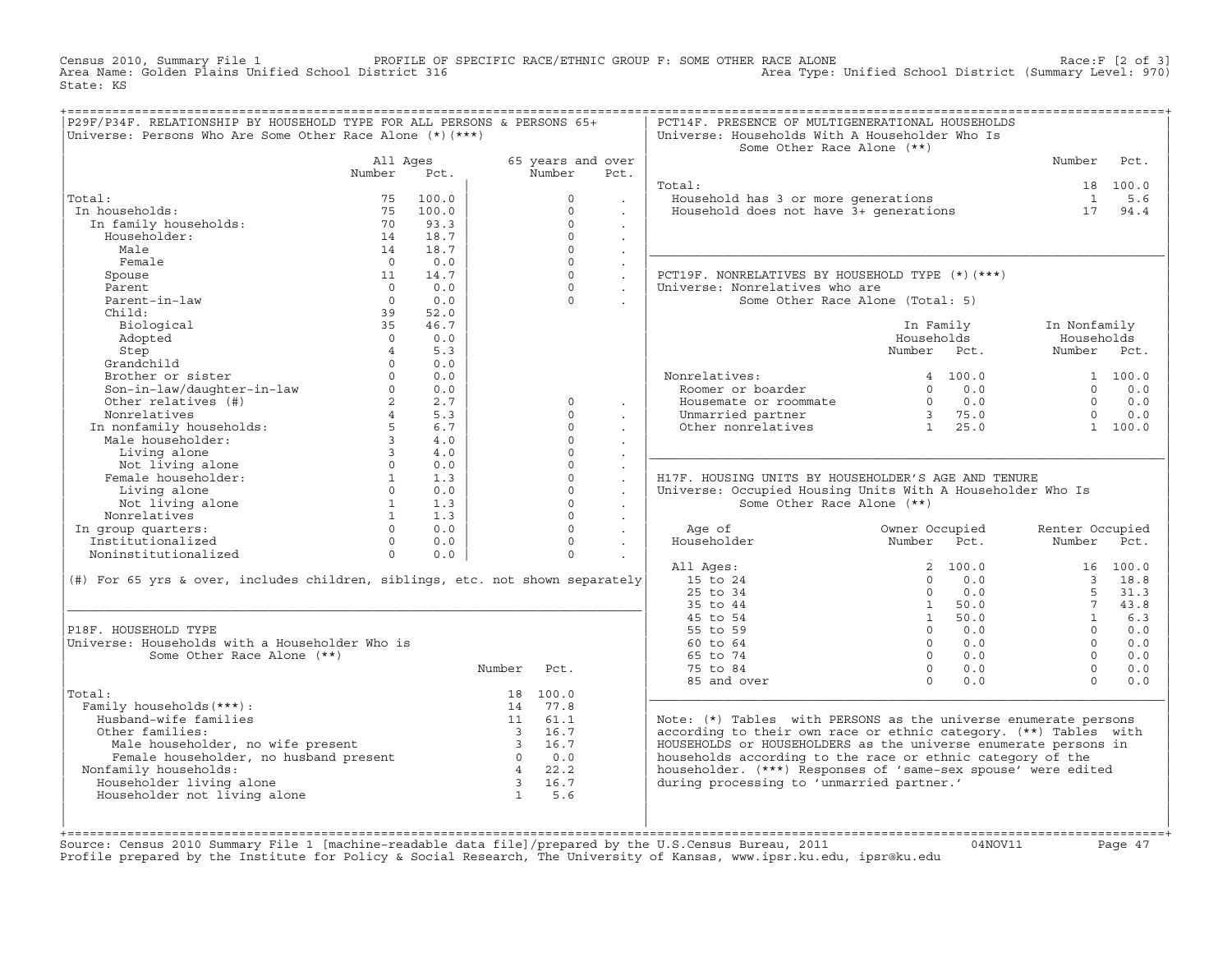Census 2010, Summary File 1 PROFILE OF SPECIFIC RACE/ETHNIC GROUP F: SOME OTHER RACE ALONE Race:F [2 of 3] Area Name: Golden Plains Unified School District 316 Area Type: Unified School District (Summary Level: 970) State: KS

| P29F/P34F. RELATIONSHIP BY HOUSEHOLD TYPE FOR ALL PERSONS & PERSONS 65+<br>Universe: Persons Who Are Some Other Race Alone $(*)$ $(***)$                                                                                                                                                                                                                                                                                             |                                             |                |             |                |                                                 | PCT14F. PRESENCE OF MULTIGENERATIONAL HOUSEHOLDS<br>Universe: Households With A Householder Who Is<br>Some Other Race Alone (**)                                                                                                                                               |            |                                      |          |
|--------------------------------------------------------------------------------------------------------------------------------------------------------------------------------------------------------------------------------------------------------------------------------------------------------------------------------------------------------------------------------------------------------------------------------------|---------------------------------------------|----------------|-------------|----------------|-------------------------------------------------|--------------------------------------------------------------------------------------------------------------------------------------------------------------------------------------------------------------------------------------------------------------------------------|------------|--------------------------------------|----------|
|                                                                                                                                                                                                                                                                                                                                                                                                                                      |                                             | All Ages       |             |                | 65 years and over                               |                                                                                                                                                                                                                                                                                |            | Number Pct.                          |          |
|                                                                                                                                                                                                                                                                                                                                                                                                                                      | Number Pct.                                 |                |             | Number         | Pct.                                            |                                                                                                                                                                                                                                                                                |            |                                      |          |
|                                                                                                                                                                                                                                                                                                                                                                                                                                      |                                             |                |             |                |                                                 | Total:                                                                                                                                                                                                                                                                         |            |                                      | 18 100.0 |
| 12. 1:<br>12. 13. 100.0<br>11. 12. 13. 100.0<br>14. 18.7<br>14. 18.7<br>14. 18.7<br>14. 18.7<br>14. 18.7<br>14. 18.7<br>14. 18.7<br>14. 18.7<br>14. 18.7<br>14. 18.7<br>Total:                                                                                                                                                                                                                                                       |                                             |                |             | $\overline{0}$ | <b>Contract</b>                                 | Court.<br>Household has 3 or more generations and the set of the set of the set of the set of the set of the set of the<br>Household does not have 3+ generations and the set of the set of the set of the set of the set of the set                                           |            |                                      |          |
| In households:                                                                                                                                                                                                                                                                                                                                                                                                                       |                                             |                |             | $\Omega$       | <b>Contract</b>                                 |                                                                                                                                                                                                                                                                                |            |                                      |          |
|                                                                                                                                                                                                                                                                                                                                                                                                                                      |                                             |                |             | $\circ$        | $\sim$                                          |                                                                                                                                                                                                                                                                                |            |                                      |          |
|                                                                                                                                                                                                                                                                                                                                                                                                                                      |                                             |                |             | $\Omega$       | $\sim$                                          |                                                                                                                                                                                                                                                                                |            |                                      |          |
|                                                                                                                                                                                                                                                                                                                                                                                                                                      |                                             |                |             | $\Omega$       | $\sim$                                          |                                                                                                                                                                                                                                                                                |            |                                      |          |
| Female                                                                                                                                                                                                                                                                                                                                                                                                                               |                                             | $0 \qquad 0.0$ |             | $\circ$        | $\sim$                                          |                                                                                                                                                                                                                                                                                |            |                                      |          |
| Spouse                                                                                                                                                                                                                                                                                                                                                                                                                               | $\begin{array}{c} 0 \\ 11 \\ 0 \end{array}$ | 14.7           |             |                | $\overline{0}$<br>$\sim$                        | PCT19F. NONRELATIVES BY HOUSEHOLD TYPE (*)(***)                                                                                                                                                                                                                                |            |                                      |          |
| Parent<br>Parent<br>Parent-in-law<br>Child:                                                                                                                                                                                                                                                                                                                                                                                          |                                             | $0 \qquad 0.0$ |             |                | $\begin{array}{ccc} & & & \\ & & & \end{array}$ | Universe: Nonrelatives who are                                                                                                                                                                                                                                                 |            |                                      |          |
|                                                                                                                                                                                                                                                                                                                                                                                                                                      | $\overline{0}$                              | 0.0            |             | $\Omega$       | $\sim$                                          | Some Other Race Alone (Total: 5)                                                                                                                                                                                                                                               |            |                                      |          |
| Child:<br>Biological                                                                                                                                                                                                                                                                                                                                                                                                                 | $39 \t 52.0$<br>35 46.7                     | 35 46.7        |             |                |                                                 |                                                                                                                                                                                                                                                                                |            |                                      |          |
| Adopted                                                                                                                                                                                                                                                                                                                                                                                                                              |                                             | $0 \qquad 0.0$ |             |                |                                                 |                                                                                                                                                                                                                                                                                | Households | In Family 1n Nonfamily<br>Households |          |
|                                                                                                                                                                                                                                                                                                                                                                                                                                      |                                             |                |             |                |                                                 |                                                                                                                                                                                                                                                                                |            |                                      |          |
|                                                                                                                                                                                                                                                                                                                                                                                                                                      |                                             |                |             |                |                                                 |                                                                                                                                                                                                                                                                                |            | Number Pct. Number Pct.              |          |
|                                                                                                                                                                                                                                                                                                                                                                                                                                      |                                             |                |             |                |                                                 | Nonrelatives:<br>Roomer or boarder<br>Housemate or roommate<br>0 0.0 0 0.0<br>0 0.0<br>0 0.0<br>0 0.0<br>0 0.0<br>0 0.0<br>Other nonrelatives<br>1 25.0<br>1 100.0<br>1 100.0                                                                                                  |            |                                      |          |
|                                                                                                                                                                                                                                                                                                                                                                                                                                      |                                             |                |             |                |                                                 |                                                                                                                                                                                                                                                                                |            |                                      |          |
|                                                                                                                                                                                                                                                                                                                                                                                                                                      |                                             |                |             | $\overline{0}$ | $\sim$                                          |                                                                                                                                                                                                                                                                                |            |                                      |          |
|                                                                                                                                                                                                                                                                                                                                                                                                                                      |                                             |                |             | $\Omega$       | $\sim$                                          |                                                                                                                                                                                                                                                                                |            |                                      |          |
|                                                                                                                                                                                                                                                                                                                                                                                                                                      |                                             |                |             | $\Omega$       | $\sim$                                          |                                                                                                                                                                                                                                                                                |            |                                      |          |
|                                                                                                                                                                                                                                                                                                                                                                                                                                      |                                             |                |             | $\Omega$       | $\sim$                                          |                                                                                                                                                                                                                                                                                |            |                                      |          |
|                                                                                                                                                                                                                                                                                                                                                                                                                                      |                                             |                |             | $\Omega$       | $\sim$                                          |                                                                                                                                                                                                                                                                                |            |                                      |          |
|                                                                                                                                                                                                                                                                                                                                                                                                                                      |                                             |                |             | $\Omega$       | $\ddot{\phantom{a}}$                            |                                                                                                                                                                                                                                                                                |            |                                      |          |
| Biological<br>Adopted<br>Step<br>Step<br>Step<br>Strandchild<br>Scrandchild<br>Son-in-law/daughter-in-law<br>$\begin{array}{cccccc} 0 & 0.0 \\ 4 & 5.3 \\ 5.3 & 5.3 \\ 8.3 & 5.3 \\ 8.3 & 6.3 \\ 7.4 & 5.3 \\ 9.0 & 0.0 \\ 1 & 0.0 \\ 1 & 0.0 \\ 1 & 0.0 \\ 1 & 0.0 \\ 1 & 0.0 \\ 1 & 0.0 \\ 1 & 0.$                                                                                                                                 |                                             |                |             |                |                                                 | H17F. HOUSING UNITS BY HOUSEHOLDER'S AGE AND TENURE                                                                                                                                                                                                                            |            |                                      |          |
|                                                                                                                                                                                                                                                                                                                                                                                                                                      |                                             |                |             |                |                                                 | Universe: Occupied Housing Units With A Householder Who Is                                                                                                                                                                                                                     |            |                                      |          |
|                                                                                                                                                                                                                                                                                                                                                                                                                                      |                                             |                |             |                |                                                 | Some Other Race Alone (**)                                                                                                                                                                                                                                                     |            |                                      |          |
|                                                                                                                                                                                                                                                                                                                                                                                                                                      |                                             |                |             |                |                                                 |                                                                                                                                                                                                                                                                                |            |                                      |          |
|                                                                                                                                                                                                                                                                                                                                                                                                                                      |                                             |                |             |                |                                                 | Age of                                                                                                                                                                                                                                                                         |            | Renter Occupied                      |          |
|                                                                                                                                                                                                                                                                                                                                                                                                                                      |                                             |                |             |                |                                                 |                                                                                                                                                                                                                                                                                |            |                                      |          |
|                                                                                                                                                                                                                                                                                                                                                                                                                                      |                                             |                |             |                |                                                 |                                                                                                                                                                                                                                                                                |            |                                      |          |
|                                                                                                                                                                                                                                                                                                                                                                                                                                      |                                             |                |             |                |                                                 | All Ages:                                                                                                                                                                                                                                                                      |            |                                      |          |
| (#) For 65 yrs & over, includes children, siblings, etc. not shown separately 15 to 24                                                                                                                                                                                                                                                                                                                                               |                                             |                |             |                |                                                 |                                                                                                                                                                                                                                                                                |            |                                      |          |
|                                                                                                                                                                                                                                                                                                                                                                                                                                      |                                             |                |             |                |                                                 | 25 to 34                                                                                                                                                                                                                                                                       |            |                                      |          |
|                                                                                                                                                                                                                                                                                                                                                                                                                                      |                                             |                |             |                |                                                 | 35 to 44                                                                                                                                                                                                                                                                       |            |                                      |          |
|                                                                                                                                                                                                                                                                                                                                                                                                                                      |                                             |                |             |                |                                                 | $\begin{array}{cccccc} 2& 100.0 & & & & 16& 100.0 \\ 0& 0.0 & & & 3& 18.8 \\ 0& 0.0 & & & 5& 31.3 \\ 1& 50.0 & & & 7& 43.8 \\ 1& 50.0 & & & 7& 43.8 \\ 0& 0.0 & & & 0& 0& 0.0 \\ 0& 0.0 & & & 0& 0.0 \\ 0& 0.0 & & & 0& 0.0 \\ 0& 0.0 & & & 0& 0.0 \\ \end{array}$<br>45 to 54 |            |                                      |          |
| P18F. HOUSEHOLD TYPE                                                                                                                                                                                                                                                                                                                                                                                                                 |                                             |                |             |                |                                                 | 55 to 59                                                                                                                                                                                                                                                                       |            |                                      |          |
| Universe: Households with a Householder Who is                                                                                                                                                                                                                                                                                                                                                                                       |                                             |                |             |                |                                                 | 60 to 64                                                                                                                                                                                                                                                                       |            |                                      |          |
| Some Other Race Alone (**)                                                                                                                                                                                                                                                                                                                                                                                                           |                                             |                |             |                |                                                 | 65 to 74                                                                                                                                                                                                                                                                       |            |                                      |          |
|                                                                                                                                                                                                                                                                                                                                                                                                                                      |                                             |                | Number Pct. |                |                                                 | 75 to 84                                                                                                                                                                                                                                                                       |            |                                      |          |
|                                                                                                                                                                                                                                                                                                                                                                                                                                      |                                             |                |             |                |                                                 | 85 and over                                                                                                                                                                                                                                                                    |            |                                      |          |
| Total:                                                                                                                                                                                                                                                                                                                                                                                                                               |                                             |                |             | 18 100.0       |                                                 |                                                                                                                                                                                                                                                                                |            |                                      |          |
| Family households (***) :                                                                                                                                                                                                                                                                                                                                                                                                            |                                             |                |             |                |                                                 |                                                                                                                                                                                                                                                                                |            |                                      |          |
| Husband-wife families                                                                                                                                                                                                                                                                                                                                                                                                                |                                             |                |             |                |                                                 | Note: $(*)$ Tables with PERSONS as the universe enumerate persons                                                                                                                                                                                                              |            |                                      |          |
| Other families:                                                                                                                                                                                                                                                                                                                                                                                                                      |                                             |                |             |                |                                                 | according to their own race or ethnic category. (**) Tables with                                                                                                                                                                                                               |            |                                      |          |
|                                                                                                                                                                                                                                                                                                                                                                                                                                      |                                             |                |             |                |                                                 | HOUSEHOLDS or HOUSEHOLDERS as the universe enumerate persons in<br>households according to the race or ethnic category of the                                                                                                                                                  |            |                                      |          |
| Nonfamily households:                                                                                                                                                                                                                                                                                                                                                                                                                |                                             |                |             |                |                                                 | householder. (***) Responses of 'same-sex spouse' were edited                                                                                                                                                                                                                  |            |                                      |          |
| Householder living alone                                                                                                                                                                                                                                                                                                                                                                                                             |                                             |                |             |                |                                                 | during processing to 'unmarried partner.'                                                                                                                                                                                                                                      |            |                                      |          |
| $\begin{tabular}{ll} i. & i. & j. & j. & j. \\ i. & i. & j. & j. & j. \\ i. & i. & j. & j. & j. \\ i. & j. & j. & j. & j. \\ i. & j. & j. & j. & j. \\ j. & j. & j. & j. & j. \\ j. & j. & j. & j. & j. \\ j. & j. & j. & j. & j. \\ j. & j. & j. & j. & j. \\ j. & j. & j. & j. & j. \\ j. & j. & j. & j. & j. \\ j. & j. & j. & j. & j. \\ j. & j. & j. & j. & j. \\ j. & k. & j. & j. & j. \\ j.$<br>Householder not living alone |                                             |                |             |                |                                                 |                                                                                                                                                                                                                                                                                |            |                                      |          |
|                                                                                                                                                                                                                                                                                                                                                                                                                                      |                                             |                |             |                |                                                 |                                                                                                                                                                                                                                                                                |            |                                      |          |
|                                                                                                                                                                                                                                                                                                                                                                                                                                      |                                             |                |             |                |                                                 |                                                                                                                                                                                                                                                                                |            |                                      |          |
|                                                                                                                                                                                                                                                                                                                                                                                                                                      |                                             |                |             |                |                                                 |                                                                                                                                                                                                                                                                                |            |                                      |          |

| | | +===================================================================================================================================================+Source: Census 2010 Summary File 1 [machine−readable data file]/prepared by the U.S.Census Bureau, 2011 04NOV11 Page 47 Profile prepared by the Institute for Policy & Social Research, The University of Kansas, www.ipsr.ku.edu, ipsr@ku.edu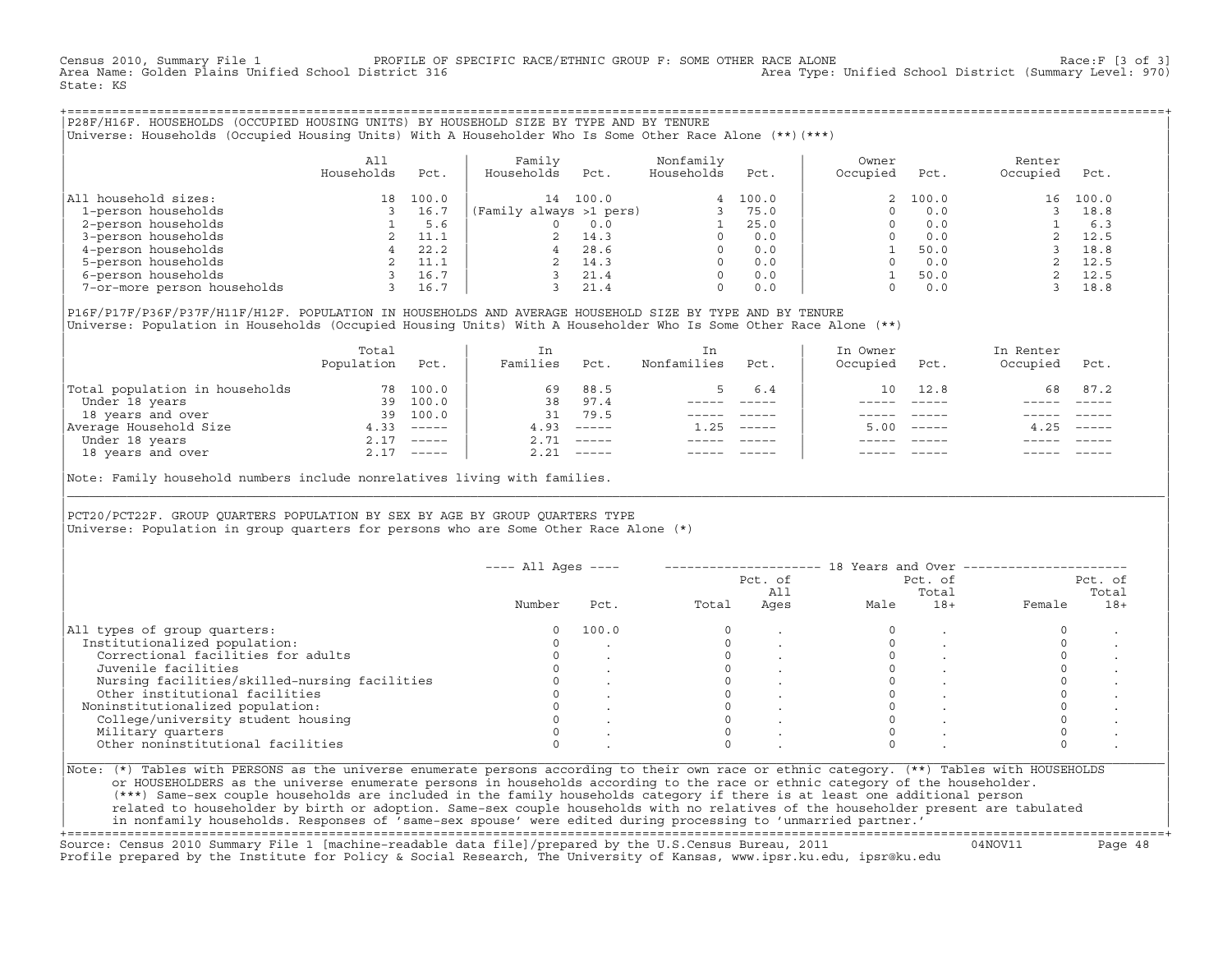Census 2010, Summary File 1 PROFILE OF SPECIFIC RACE/ETHNIC GROUP F: SOME OTHER RACE ALONE Race:F [3 of 3]<br>Area Name: Golden Plains Unified School District 316 area Type: Unified School District (Summary Level: 970) Area Type: Unified School District (Summary Level: 970) State: KS

+===================================================================================================================================================+|P28F/H16F. HOUSEHOLDS (OCCUPIED HOUSING UNITS) BY HOUSEHOLD SIZE BY TYPE AND BY TENURE | |Universe: Households (Occupied Housing Units) With A Householder Who Is Some Other Race Alone (\*\*)(\*\*\*) |

|                             | A11<br>Households | Pct.  | Family<br>Households    | Pct.  | Nonfamily<br>Households | Pct.  | Owner<br>Occupied | Pct.     | Renter<br>Occupied | Pct.  |  |
|-----------------------------|-------------------|-------|-------------------------|-------|-------------------------|-------|-------------------|----------|--------------------|-------|--|
| All household sizes:        | 18                | 100.0 | 14                      | 100.0 | 4                       | 100.0 |                   | 2, 100.0 | 16                 | 100.0 |  |
| 1-person households         |                   | 16.7  | (Family always >1 pers) |       |                         | 75.0  |                   | 0.0      |                    | 18.8  |  |
| 2-person households         |                   | 5.6   |                         | 0.0   |                         | 25.0  |                   | 0.0      |                    | 6.3   |  |
| 3-person households         |                   | 11.1  |                         | 14.3  |                         | 0.0   |                   | 0.0      |                    | 12.5  |  |
| 4-person households         |                   | 22.2  | 4                       | 28.6  | $\Omega$                | 0.0   |                   | 50.0     |                    | 18.8  |  |
| 5-person households         |                   | 11.1  |                         | 14.3  |                         | 0.0   |                   | 0.0      |                    | 12.5  |  |
| 6-person households         |                   | 16.7  |                         | 21.4  | $\Omega$                | 0.0   |                   | 50.0     |                    | 12.5  |  |
| 7-or-more person households |                   | 16.7  |                         | 21.4  | 0                       | 0.0   |                   | 0.0      |                    | 18.8  |  |

|P16F/P17F/P36F/P37F/H11F/H12F. POPULATION IN HOUSEHOLDS AND AVERAGE HOUSEHOLD SIZE BY TYPE AND BY TENURE | Universe: Population in Households (Occupied Housing Units) With A Householder Who Is Some Other Race Alone (\*\*)

|                                | Total<br>Population | Pct.         | In<br>Families | Pct.     | In.<br>Nonfamilies | Pct.     | In Owner<br>Occupied | Pct.                      | In Renter<br>Occupied | Pct.        |
|--------------------------------|---------------------|--------------|----------------|----------|--------------------|----------|----------------------|---------------------------|-----------------------|-------------|
| Total population in households | 78                  | 100.0        | 69             | 88.5     | $5 -$              | 6.4      | 10                   | 12.8                      |                       | 68 87.2     |
| Under 18 years                 | 39                  | 100.0        | 38             | 97.4     |                    |          |                      |                           |                       |             |
| 18 years and over              | 39                  | 100.0        | 31             | 79.5     |                    |          |                      |                           |                       |             |
| Average Household Size         | 4.33                | $------$     | 4.93           | $------$ | 1.25               | $------$ | 5.00                 | $\qquad \qquad - - - - -$ | 4.25                  | $------$    |
| Under 18 years                 | 2.17                | $- - - - -$  | 2.71           | $------$ |                    |          |                      |                           |                       |             |
| 18 years and over              |                     | $2.17$ ----- | 2.21           |          |                    |          |                      | $- - - - -$               |                       | $- - - - -$ |
|                                |                     |              |                |          |                    |          |                      |                           |                       |             |

Note: Family household numbers include nonrelatives living with families.

| | PCT20/PCT22F. GROUP OUARTERS POPULATION BY SEX BY AGE BY GROUP OUARTERS TYPE Universe: Population in group quarters for persons who are Some Other Race Alone (\*)

|                                               | $---$ All Ages $---$ |       |       | Pct. of<br>All |      | Pct. of<br>Total |        | Pct. of<br>Total |
|-----------------------------------------------|----------------------|-------|-------|----------------|------|------------------|--------|------------------|
|                                               | Number               | Pct.  | Total | Ages           | Male | $18+$            | Female | $18+$            |
| All types of group quarters:                  |                      | 100.0 |       |                |      |                  |        |                  |
| Institutionalized population:                 |                      |       |       |                |      |                  |        |                  |
| Correctional facilities for adults            |                      |       |       |                |      |                  |        |                  |
| Juvenile facilities                           |                      |       |       |                |      |                  |        |                  |
| Nursing facilities/skilled-nursing facilities |                      |       |       |                |      |                  |        |                  |
| Other institutional facilities                |                      |       |       |                |      |                  |        |                  |
| Noninstitutionalized population:              |                      |       |       |                |      |                  |        |                  |
| College/university student housing            |                      |       |       |                |      |                  |        |                  |
| Military quarters                             |                      |       |       |                |      |                  |        |                  |
| Other noninstitutional facilities             |                      |       |       |                |      |                  |        |                  |

|\_\_\_\_\_\_\_\_\_\_\_\_\_\_\_\_\_\_\_\_\_\_\_\_\_\_\_\_\_\_\_\_\_\_\_\_\_\_\_\_\_\_\_\_\_\_\_\_\_\_\_\_\_\_\_\_\_\_\_\_\_\_\_\_\_\_\_\_\_\_\_\_\_\_\_\_\_\_\_\_\_\_\_\_\_\_\_\_\_\_\_\_\_\_\_\_\_\_\_\_\_\_\_\_\_\_\_\_\_\_\_\_\_\_\_\_\_\_\_\_\_\_\_\_\_\_\_\_\_\_\_\_\_\_\_\_\_\_\_\_\_\_\_\_\_\_\_|

| |

or HOUSEHOLDERS as the universe enumerate persons in households according to the race or ethnic category of the householder. | (\*\*\*) Same−sex couple households are included in the family households category if there is at least one additional person | | related to householder by birth or adoption. Same−sex couple households with no relatives of the householder present are tabulated | | in nonfamily households. Responses of 'same−sex spouse' were edited during processing to 'unmarried partner.' |

+===================================================================================================================================================+ Source: Census 2010 Summary File 1 [machine−readable data file]/prepared by the U.S.Census Bureau, 2011 04NOV11 Page 48 Profile prepared by the Institute for Policy & Social Research, The University of Kansas, www.ipsr.ku.edu, ipsr@ku.edu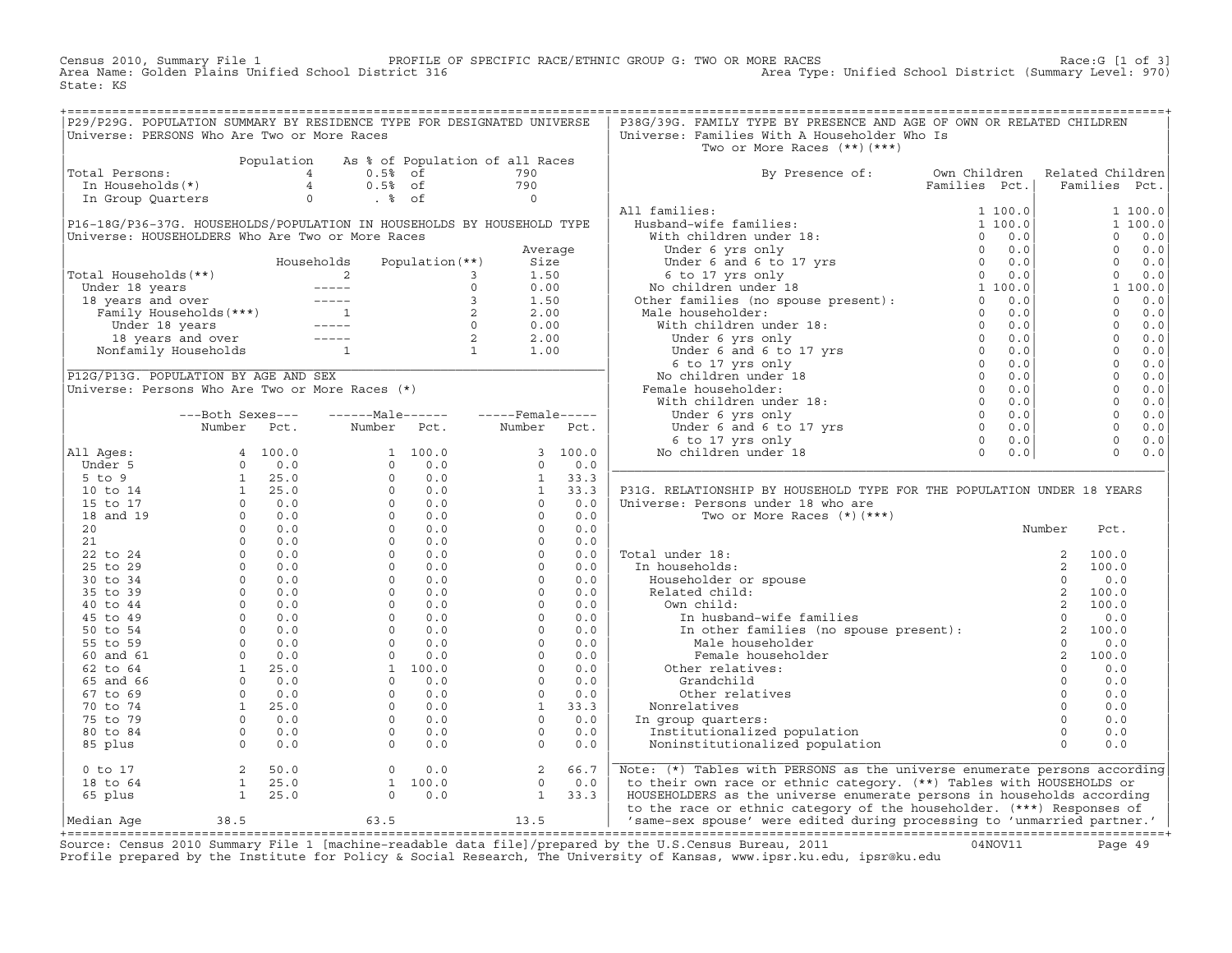Census 2010, Summary File 1 PROFILE OF SPECIFIC RACE/ETHNIC GROUP G: TWO OR MORE RACES Race:G [1 of 3] Area Name: Golden Plains Unified School District 316 Area Type: Unified School District (Summary Level: 970) State: KS

+===================================================================================================================================================+

|                                                  |                                        |             | P29/P29G. POPULATION SUMMARY BY RESIDENCE TYPE FOR DESIGNATED UNIVERSE                                                                                                                                                                                                                                                                                                                       |                                            |                      |            | P38G/39G. FAMILY TYPE BY PRESENCE AND AGE OF OWN OR RELATED CHILDREN                     |                                    |                      |                      |            |
|--------------------------------------------------|----------------------------------------|-------------|----------------------------------------------------------------------------------------------------------------------------------------------------------------------------------------------------------------------------------------------------------------------------------------------------------------------------------------------------------------------------------------------|--------------------------------------------|----------------------|------------|------------------------------------------------------------------------------------------|------------------------------------|----------------------|----------------------|------------|
| Universe: PERSONS Who Are Two or More Races      |                                        |             |                                                                                                                                                                                                                                                                                                                                                                                              |                                            |                      |            | Universe: Families With A Householder Who Is                                             |                                    |                      |                      |            |
|                                                  |                                        |             |                                                                                                                                                                                                                                                                                                                                                                                              |                                            |                      |            | Two or More Races $(**)$ $(***)$                                                         |                                    |                      |                      |            |
| Total Persons:                                   |                                        | Population  | $\overline{4}$<br>$0.5%$ of                                                                                                                                                                                                                                                                                                                                                                  | As % of Population of all Races            | 790                  |            | By Presence of:                                                                          | Own Children                       |                      | Related Children     |            |
| In Households(*)                                 |                                        |             | $0.5%$ of<br>$\overline{4}$                                                                                                                                                                                                                                                                                                                                                                  |                                            | 790                  |            |                                                                                          | Families Pct.                      |                      | Families Pct.        |            |
| In Group Quarters                                |                                        |             | $\circ$<br>$. \circ$ of                                                                                                                                                                                                                                                                                                                                                                      |                                            | $\circ$              |            |                                                                                          |                                    |                      |                      |            |
|                                                  |                                        |             |                                                                                                                                                                                                                                                                                                                                                                                              |                                            |                      |            | All families:                                                                            | 1 100.0                            |                      |                      | 1 100.0    |
|                                                  |                                        |             | P16-18G/P36-37G. HOUSEHOLDS/POPULATION IN HOUSEHOLDS BY HOUSEHOLD TYPE                                                                                                                                                                                                                                                                                                                       |                                            |                      |            | Husband-wife families:                                                                   | 1 100.0                            |                      |                      | 1 100.0    |
| Universe: HOUSEHOLDERS Who Are Two or More Races |                                        |             |                                                                                                                                                                                                                                                                                                                                                                                              |                                            |                      |            | With children under 18:                                                                  | $\Omega$<br>0.0                    |                      | $\mathbf{0}$         | 0.0        |
|                                                  |                                        |             |                                                                                                                                                                                                                                                                                                                                                                                              |                                            | Average              |            | Under 6 yrs only                                                                         | $\Omega$<br>0.0                    |                      | $\mathbf{0}$         | 0.0        |
|                                                  |                                        |             | Households                                                                                                                                                                                                                                                                                                                                                                                   | Population $(**)$                          | Size                 |            | Under 6 and 6 to 17 yrs                                                                  | 0.0<br>$\Omega$                    |                      | $\Omega$             | 0.0        |
| Total Households(**)                             |                                        |             | 2                                                                                                                                                                                                                                                                                                                                                                                            | 3                                          | 1.50                 |            |                                                                                          | $\circ$<br>0.0                     |                      | $\mathbf{0}$         | 0.0        |
| Under 18 years                                   |                                        |             |                                                                                                                                                                                                                                                                                                                                                                                              | $\circ$                                    | 0.00                 |            |                                                                                          | 1 100.0                            |                      |                      | 1 100.0    |
| 18 years and over                                |                                        |             | $\qquad \qquad - - - - -$                                                                                                                                                                                                                                                                                                                                                                    | 3                                          | 1.50                 |            | 6 to 17 yrs only<br>No children under 18<br>Other families (no spouse present):          | 0.0<br>$\Omega$                    |                      | $\Omega$             | 0.0        |
|                                                  | Family Households(***)                 |             |                                                                                                                                                                                                                                                                                                                                                                                              | 2                                          | 2.00                 |            | Male householder:                                                                        | $\Omega$<br>0.0                    |                      | $\Omega$             | 0.0        |
|                                                  | Under 18 years                         |             | $\frac{1}{2} \frac{1}{2} \frac{1}{2} \frac{1}{2} \frac{1}{2} \frac{1}{2} \frac{1}{2} \frac{1}{2} \frac{1}{2} \frac{1}{2} \frac{1}{2} \frac{1}{2} \frac{1}{2} \frac{1}{2} \frac{1}{2} \frac{1}{2} \frac{1}{2} \frac{1}{2} \frac{1}{2} \frac{1}{2} \frac{1}{2} \frac{1}{2} \frac{1}{2} \frac{1}{2} \frac{1}{2} \frac{1}{2} \frac{1}{2} \frac{1}{2} \frac{1}{2} \frac{1}{2} \frac{1}{2} \frac{$ | $\circ$                                    | 0.00                 |            | With children under 18:                                                                  | $\Omega$<br>0.0                    |                      | $\Omega$             | 0.0        |
|                                                  | 18 years and over                      |             | $\frac{1}{2} \frac{1}{2} \frac{1}{2} \frac{1}{2} \frac{1}{2} \frac{1}{2} \frac{1}{2} \frac{1}{2} \frac{1}{2} \frac{1}{2} \frac{1}{2} \frac{1}{2} \frac{1}{2} \frac{1}{2} \frac{1}{2} \frac{1}{2} \frac{1}{2} \frac{1}{2} \frac{1}{2} \frac{1}{2} \frac{1}{2} \frac{1}{2} \frac{1}{2} \frac{1}{2} \frac{1}{2} \frac{1}{2} \frac{1}{2} \frac{1}{2} \frac{1}{2} \frac{1}{2} \frac{1}{2} \frac{$ | 2<br>$\begin{array}{c} 2 \\ 1 \end{array}$ | 2.00                 |            | Under 6 yrs only                                                                         | $\overline{0}$<br>0.0              |                      | $\Omega$             | 0.0        |
|                                                  | Nonfamily Households                   |             | $\mathbf{1}$                                                                                                                                                                                                                                                                                                                                                                                 |                                            | 1.00                 |            | Under 6 and 6 to 17 yrs $\begin{array}{c} 0 \\ 6 \text{ to } 17 \text{ yrs} \end{array}$ | 0.0                                |                      | $\Omega$             | 0.0        |
|                                                  |                                        |             |                                                                                                                                                                                                                                                                                                                                                                                              |                                            |                      |            | 6 to 17 yrs only                                                                         | 0.0                                |                      | $\Omega$             | 0.0        |
| P12G/P13G. POPULATION BY AGE AND SEX             |                                        |             |                                                                                                                                                                                                                                                                                                                                                                                              |                                            |                      |            | No children under 18                                                                     | $\Omega$<br>0.0                    |                      | $\Omega$             | 0.0        |
|                                                  |                                        |             | Universe: Persons Who Are Two or More Races (*)                                                                                                                                                                                                                                                                                                                                              |                                            |                      |            | Female householder:                                                                      | $\overline{0}$<br>0.0              |                      | $\Omega$             | 0.0        |
|                                                  |                                        |             |                                                                                                                                                                                                                                                                                                                                                                                              |                                            |                      |            | With children under 18:                                                                  | $\Omega$<br>0.0                    |                      | $\Omega$             | 0.0        |
|                                                  | ---Both Sexes---                       |             | $---Male----$                                                                                                                                                                                                                                                                                                                                                                                |                                            | $---$ Female -----   |            | Under 6 yrs only                                                                         | $\Omega$<br>0.0                    |                      | $\Omega$             | 0.0        |
|                                                  | Number                                 | Pct.        | Number Pct.                                                                                                                                                                                                                                                                                                                                                                                  |                                            | Number               | Pct.       | Under $6$ and $6$ to 17 yrs<br>$6$ to 17 yrs only                                        | $\Omega$<br>0.0<br>$\Omega$<br>0.0 |                      | $\Omega$<br>$\Omega$ | 0.0<br>0.0 |
|                                                  |                                        | 4 100.0     |                                                                                                                                                                                                                                                                                                                                                                                              | 1 100.0                                    |                      | 3 100.0    |                                                                                          | $\Omega$<br>0.0                    |                      | $\Omega$             | 0.0        |
| All Ages:<br>Under 5                             | $\circ$                                | 0.0         | $\Omega$                                                                                                                                                                                                                                                                                                                                                                                     | 0.0                                        | $\Omega$             | 0.0        | No children under 18                                                                     |                                    |                      |                      |            |
| $5$ to 9                                         | $\mathbf{1}$                           | 25.0        | $\Omega$                                                                                                                                                                                                                                                                                                                                                                                     | 0.0                                        | $\mathbf{1}$         | 33.3       |                                                                                          |                                    |                      |                      |            |
| 10 to 14                                         | 1                                      | 25.0        | $\Omega$                                                                                                                                                                                                                                                                                                                                                                                     | 0.0                                        | $\mathbf{1}$         | 33.3       | P31G. RELATIONSHIP BY HOUSEHOLD TYPE FOR THE POPULATION UNDER 18 YEARS                   |                                    |                      |                      |            |
| 15 to 17                                         | $\circ$                                | 0.0         | $\Omega$                                                                                                                                                                                                                                                                                                                                                                                     | 0.0                                        | $\Omega$             | 0.0        | Universe: Persons under 18 who are                                                       |                                    |                      |                      |            |
| 18 and 19                                        | $\Omega$                               | 0.0         | $\Omega$                                                                                                                                                                                                                                                                                                                                                                                     | 0.0                                        | $\Omega$             | 0.0        | Two or More Races $(*)$ $(***)$                                                          |                                    |                      |                      |            |
| 20                                               | $\circ$                                | 0.0         | $\Omega$                                                                                                                                                                                                                                                                                                                                                                                     | 0.0                                        | $\Omega$             | 0.0        |                                                                                          |                                    | Number               | Pct.                 |            |
| 21                                               | $\Omega$                               | 0.0         | $\Omega$                                                                                                                                                                                                                                                                                                                                                                                     | 0.0                                        | $\Omega$             | 0.0        |                                                                                          |                                    |                      |                      |            |
| 22 to 24                                         | $\circ$                                | 0.0         | $\Omega$                                                                                                                                                                                                                                                                                                                                                                                     | 0.0                                        | $\Omega$             | 0.0        | Total under 18:                                                                          |                                    | 2                    | 100.0                |            |
| 25 to 29                                         | $\circ$                                | 0.0         | $\circ$                                                                                                                                                                                                                                                                                                                                                                                      | 0.0                                        | $\Omega$             | 0.0        | In households:                                                                           |                                    | 2                    | 100.0                |            |
| 30 to 34                                         | $\Omega$                               | 0.0         | $\Omega$                                                                                                                                                                                                                                                                                                                                                                                     | 0.0                                        | $\Omega$             | 0.0        | Householder or spouse                                                                    |                                    | $\Omega$             | 0.0                  |            |
| 35 to 39                                         | $\circ$                                | 0.0         | $\Omega$                                                                                                                                                                                                                                                                                                                                                                                     | 0.0                                        | $\Omega$             | 0.0        | Related child:                                                                           |                                    | 2                    | 100.0                |            |
| 40 to 44                                         | $\circ$                                | 0.0         | $\circ$                                                                                                                                                                                                                                                                                                                                                                                      | 0.0                                        | $\circ$              | 0.0        | Own child:                                                                               |                                    | 2                    | 100.0                |            |
| 45 to 49                                         | $\circ$                                | 0.0         | $\circ$                                                                                                                                                                                                                                                                                                                                                                                      | 0.0                                        | $\circ$              | 0.0        | In husband-wife families                                                                 |                                    | $\Omega$             | 0.0                  |            |
| 50 to 54                                         | $\Omega$                               | 0.0         | $\Omega$                                                                                                                                                                                                                                                                                                                                                                                     | 0.0                                        | $\Omega$             | 0.0        | In other families (no spouse present):<br>Male householder                               |                                    | 2                    | 100.0                |            |
| 55 to 59                                         | $\circ$                                | 0.0         | $\circ$                                                                                                                                                                                                                                                                                                                                                                                      | 0.0                                        | $\circ$              | 0.0        | Male householder                                                                         |                                    | $\Omega$             | 0.0                  |            |
| 60 and 61                                        | $\circ$                                | 0.0         | $\circ$                                                                                                                                                                                                                                                                                                                                                                                      | $0.0$                                      | $\circ$              | 0.0        | Female householder                                                                       |                                    | 2                    | 100.0                |            |
| 62 to 64                                         | $\mathbf{1}$<br>$\circ$                | 25.0<br>0.0 | $\Omega$                                                                                                                                                                                                                                                                                                                                                                                     | 1 100.0<br>0.0                             | $\Omega$<br>$\Omega$ | 0.0<br>0.0 | Other relatives:                                                                         |                                    | $\Omega$<br>$\Omega$ | 0.0<br>0.0           |            |
| 65 and 66<br>67 to 69                            | $\circ$                                | 0.0         | $\circ$                                                                                                                                                                                                                                                                                                                                                                                      | 0.0                                        | $\circ$              | 0.0        | Grandchild<br>Other relatives                                                            |                                    | $\circ$              | 0.0                  |            |
| 70 to 74                                         | 1                                      | 25.0        | $\Omega$                                                                                                                                                                                                                                                                                                                                                                                     | 0.0                                        | $\mathbf{1}$         | 33.3       | Nonrelatives                                                                             |                                    | $\Omega$             | 0.0                  |            |
| 75 to 79                                         | $\circ$                                | 0.0         | $\circ$                                                                                                                                                                                                                                                                                                                                                                                      | 0.0                                        | $\Omega$             | 0.0        | In group quarters:                                                                       |                                    | $\Omega$             | 0.0                  |            |
| 80 to 84                                         | $\circ$                                | 0.0         | $\circ$                                                                                                                                                                                                                                                                                                                                                                                      | 0.0                                        | $\Omega$             | 0.0        | Institutionalized population                                                             |                                    | $\Omega$             | 0.0                  |            |
| 85 plus                                          | $\Omega$                               | 0.0         | $\Omega$                                                                                                                                                                                                                                                                                                                                                                                     | 0.0                                        | $\Omega$             | 0.0        | Noninstitutionalized population                                                          |                                    | $\Omega$             | 0.0                  |            |
|                                                  |                                        |             |                                                                                                                                                                                                                                                                                                                                                                                              |                                            |                      |            |                                                                                          |                                    |                      |                      |            |
| $0$ to $17$                                      | 2                                      | 50.0        | $\circ$                                                                                                                                                                                                                                                                                                                                                                                      | 0.0                                        | 2                    | 66.7       | Note: (*) Tables with PERSONS as the universe enumerate persons according                |                                    |                      |                      |            |
| 18 to 64                                         | $\mathbf{1}$                           | 25.0        |                                                                                                                                                                                                                                                                                                                                                                                              | 1 100.0                                    | $\Omega$             | 0.0        | to their own race or ethnic category. (**) Tables with HOUSEHOLDS or                     |                                    |                      |                      |            |
| 65 plus                                          | $\mathbf{1}$                           | 25.0        | $\circ$                                                                                                                                                                                                                                                                                                                                                                                      | 0.0                                        | $\mathbf{1}$         | 33.3       | HOUSEHOLDERS as the universe enumerate persons in households according                   |                                    |                      |                      |            |
|                                                  |                                        |             |                                                                                                                                                                                                                                                                                                                                                                                              |                                            |                      |            | to the race or ethnic category of the householder. (***) Responses of                    |                                    |                      |                      |            |
| Median Aqe                                       | 38.5<br>______________________________ |             | 63.5                                                                                                                                                                                                                                                                                                                                                                                         |                                            | 13.5                 |            | 'same-sex spouse' were edited during processing to 'unmarried partner.'                  |                                    |                      |                      |            |

|Median Age 38.5 63.5 13.5 | 'same−sex spouse' were edited during processing to 'unmarried partner.' | +===================================================================================================================================================+ Source: Census 2010 Summary File 1 [machine−readable data file]/prepared by the U.S.Census Bureau, 2011 04NOV11 Page 49 Profile prepared by the Institute for Policy & Social Research, The University of Kansas, www.ipsr.ku.edu, ipsr@ku.edu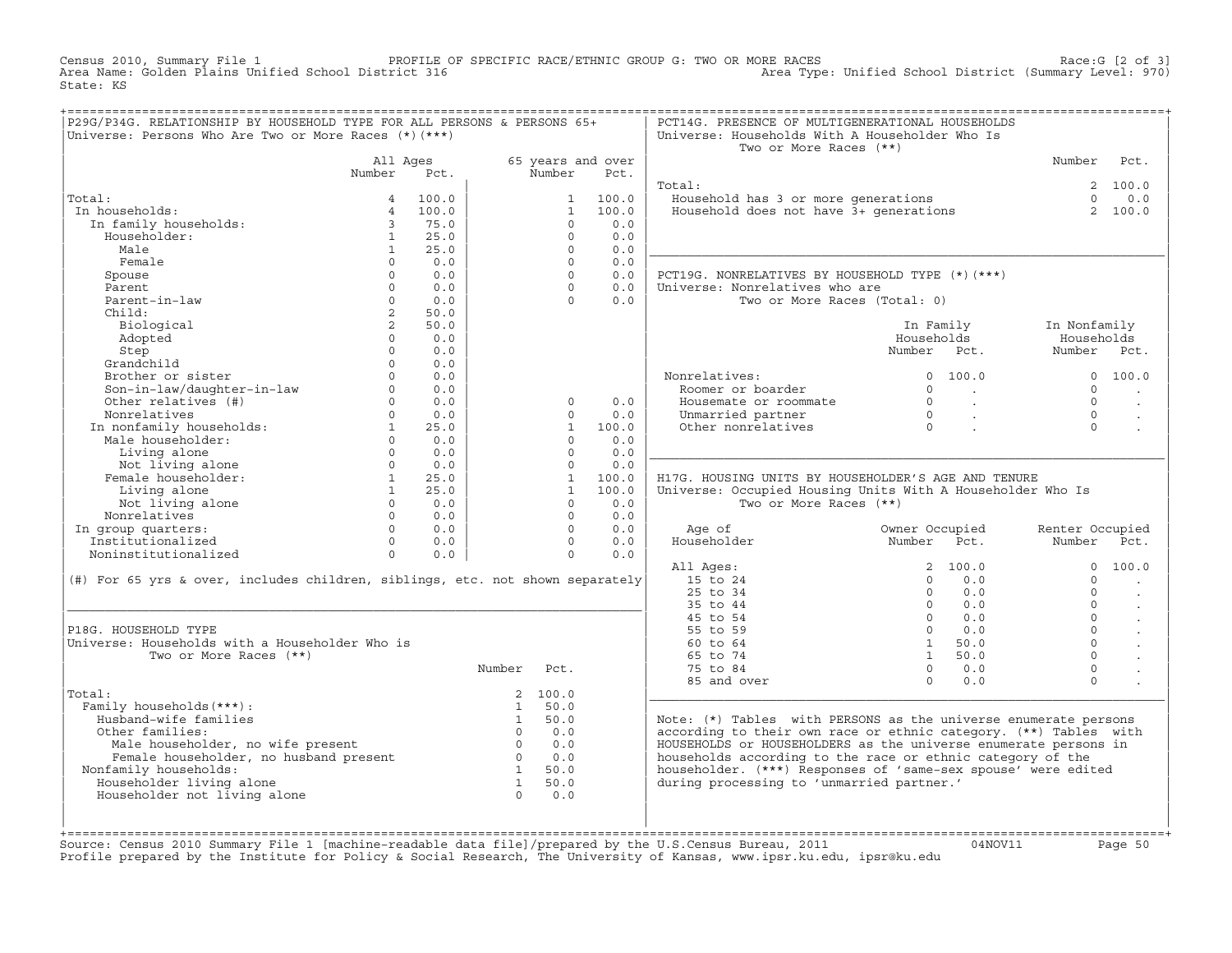Census 2010, Summary File 1 PROFILE OF SPECIFIC RACE/ETHNIC GROUP G: TWO OR MORE RACES Race:G [2 of 3] Area Name: Golden Plains Unified School District 316 Area Type: Unified School District (Summary Level: 970) State: KS

| P29G/P34G. RELATIONSHIP BY HOUSEHOLD TYPE FOR ALL PERSONS & PERSONS 65+<br>Universe: Persons Who Are Two or More Races (*) (***)                                                                                                                                                                                                                                   |                         |                |                                                                                                                                 |                |                                                                  | PCT14G. PRESENCE OF MULTIGENERATIONAL HOUSEHOLDS<br>Universe: Households With A Householder Who Is                                                                                                                                                  |                                                                                                                  |                                                                                          |                |
|--------------------------------------------------------------------------------------------------------------------------------------------------------------------------------------------------------------------------------------------------------------------------------------------------------------------------------------------------------------------|-------------------------|----------------|---------------------------------------------------------------------------------------------------------------------------------|----------------|------------------------------------------------------------------|-----------------------------------------------------------------------------------------------------------------------------------------------------------------------------------------------------------------------------------------------------|------------------------------------------------------------------------------------------------------------------|------------------------------------------------------------------------------------------|----------------|
|                                                                                                                                                                                                                                                                                                                                                                    |                         |                |                                                                                                                                 |                |                                                                  | Two or More Races (**)                                                                                                                                                                                                                              |                                                                                                                  |                                                                                          |                |
|                                                                                                                                                                                                                                                                                                                                                                    | All Ages<br>Number Pct. |                |                                                                                                                                 | Number         | 65 years and over<br>Pct.                                        |                                                                                                                                                                                                                                                     |                                                                                                                  | Number Pct.                                                                              |                |
| $\begin{tabular}{llllll} \bf{.} & & & & & 4 & 100.0 \\ \bf{.} & \bf{.} & \bf{.} & \bf{.} & \bf{.} \\ & \bf{.} & \bf{.} & \bf{.} & \bf{.} \\ & \bf{.} & \bf{.} & \bf{.} \\ & \bf{.} & \bf{.} & \bf{.} \\ & \bf{.} & \bf{.} & \bf{.} \\ & \bf{.} & \bf{.} & \bf{.} \\ & \bf{.} & \bf{.} & \bf{.} \\ & \bf{.} & \bf{.} & \bf{.} \\ & \bf{.} & \bf{.} & \bf{.} \\ & \$ |                         |                |                                                                                                                                 |                |                                                                  | Total:                                                                                                                                                                                                                                              |                                                                                                                  |                                                                                          | 2 100.0        |
| Total:                                                                                                                                                                                                                                                                                                                                                             |                         |                |                                                                                                                                 |                |                                                                  | Cal:<br>Household has 3 or more generations $\begin{array}{ccc} 2 & 1 & 0 & 0 \\ 0 & 0 & 0 & 0 \\ 0 & 0 & 0 & 0 \end{array}$                                                                                                                        |                                                                                                                  |                                                                                          |                |
| In households:                                                                                                                                                                                                                                                                                                                                                     |                         |                |                                                                                                                                 |                | $\begin{array}{ccc} 1 & 100.0 \\ 1 & 100.0 \end{array}$          |                                                                                                                                                                                                                                                     |                                                                                                                  |                                                                                          |                |
|                                                                                                                                                                                                                                                                                                                                                                    |                         |                |                                                                                                                                 | $\Omega$       | 0.0                                                              |                                                                                                                                                                                                                                                     |                                                                                                                  |                                                                                          |                |
|                                                                                                                                                                                                                                                                                                                                                                    |                         |                |                                                                                                                                 | $\circ$        | 0.0                                                              |                                                                                                                                                                                                                                                     |                                                                                                                  |                                                                                          |                |
|                                                                                                                                                                                                                                                                                                                                                                    |                         |                |                                                                                                                                 | $\circ$        | 0.0                                                              |                                                                                                                                                                                                                                                     |                                                                                                                  |                                                                                          |                |
| Female                                                                                                                                                                                                                                                                                                                                                             |                         | $0 \qquad 0.0$ |                                                                                                                                 | $\Omega$       | 0.0                                                              |                                                                                                                                                                                                                                                     |                                                                                                                  |                                                                                          |                |
| Spouse                                                                                                                                                                                                                                                                                                                                                             | $\Omega$                | 0.0            |                                                                                                                                 | $\overline{0}$ | 0.0                                                              | PCT19G. NONRELATIVES BY HOUSEHOLD TYPE $(*)$ (***)                                                                                                                                                                                                  |                                                                                                                  |                                                                                          |                |
| Parent                                                                                                                                                                                                                                                                                                                                                             |                         | $0 \t 0.0$     |                                                                                                                                 |                | $\begin{matrix} 0 && 0\, . \, 0 \\ 0 && 0\, . \, 0 \end{matrix}$ | Universe: Nonrelatives who are                                                                                                                                                                                                                      |                                                                                                                  |                                                                                          |                |
| Parent-in-law                                                                                                                                                                                                                                                                                                                                                      |                         | $0 \qquad 0.0$ |                                                                                                                                 |                |                                                                  | Two or More Races (Total: 0)                                                                                                                                                                                                                        |                                                                                                                  |                                                                                          |                |
| Child:                                                                                                                                                                                                                                                                                                                                                             |                         | 2 50.0         |                                                                                                                                 |                |                                                                  |                                                                                                                                                                                                                                                     |                                                                                                                  |                                                                                          |                |
| Biological                                                                                                                                                                                                                                                                                                                                                         | $2^{\circ}$             | 50.0           |                                                                                                                                 |                |                                                                  |                                                                                                                                                                                                                                                     |                                                                                                                  |                                                                                          |                |
| Adopted                                                                                                                                                                                                                                                                                                                                                            |                         | $0 \t 0.0$     |                                                                                                                                 |                |                                                                  |                                                                                                                                                                                                                                                     | Households                                                                                                       |                                                                                          |                |
| Step                                                                                                                                                                                                                                                                                                                                                               |                         | $0 \t 0.0$     |                                                                                                                                 |                |                                                                  |                                                                                                                                                                                                                                                     |                                                                                                                  | Number Pct. Number Pct.                                                                  |                |
|                                                                                                                                                                                                                                                                                                                                                                    |                         |                |                                                                                                                                 |                |                                                                  |                                                                                                                                                                                                                                                     |                                                                                                                  |                                                                                          |                |
|                                                                                                                                                                                                                                                                                                                                                                    |                         |                |                                                                                                                                 |                |                                                                  |                                                                                                                                                                                                                                                     |                                                                                                                  |                                                                                          |                |
|                                                                                                                                                                                                                                                                                                                                                                    |                         |                |                                                                                                                                 |                |                                                                  |                                                                                                                                                                                                                                                     |                                                                                                                  |                                                                                          |                |
|                                                                                                                                                                                                                                                                                                                                                                    |                         |                |                                                                                                                                 | $\Omega$       | 0.0                                                              | Nonrelatives:<br>Roomer or boarder<br>Housemate or roommate<br>Unmarried partner<br>O ther nonrelatives<br>Cher nonrelatives<br>Cher nonrelatives<br>Commate and Communicatives<br>Communicatives<br>Communicatives<br>Communicatives<br>Communicat |                                                                                                                  |                                                                                          |                |
|                                                                                                                                                                                                                                                                                                                                                                    |                         |                |                                                                                                                                 | $\Omega$       | 0.0                                                              |                                                                                                                                                                                                                                                     |                                                                                                                  |                                                                                          |                |
|                                                                                                                                                                                                                                                                                                                                                                    |                         |                |                                                                                                                                 |                | 1 100.0                                                          |                                                                                                                                                                                                                                                     |                                                                                                                  |                                                                                          |                |
|                                                                                                                                                                                                                                                                                                                                                                    |                         |                |                                                                                                                                 |                |                                                                  |                                                                                                                                                                                                                                                     |                                                                                                                  |                                                                                          |                |
|                                                                                                                                                                                                                                                                                                                                                                    |                         |                | $\begin{array}{cccc} 1 & 100.0 \ 0 & 0.0 \ 0 & 0.0 \ 0 & 0.0 \ 1 & 100.0 \ 1 & 100.0 \ 0 & 0.0 \ 0 & 0.0 \ 0 & 0.0 \end{array}$ |                |                                                                  |                                                                                                                                                                                                                                                     |                                                                                                                  |                                                                                          |                |
|                                                                                                                                                                                                                                                                                                                                                                    |                         |                |                                                                                                                                 |                |                                                                  |                                                                                                                                                                                                                                                     |                                                                                                                  |                                                                                          |                |
|                                                                                                                                                                                                                                                                                                                                                                    |                         |                |                                                                                                                                 |                |                                                                  | H17G. HOUSING UNITS BY HOUSEHOLDER'S AGE AND TENURE                                                                                                                                                                                                 |                                                                                                                  |                                                                                          |                |
|                                                                                                                                                                                                                                                                                                                                                                    |                         |                |                                                                                                                                 |                |                                                                  | Universe: Occupied Housing Units With A Householder Who Is                                                                                                                                                                                          |                                                                                                                  |                                                                                          |                |
|                                                                                                                                                                                                                                                                                                                                                                    |                         |                |                                                                                                                                 |                |                                                                  | Two or More Races (**)                                                                                                                                                                                                                              |                                                                                                                  |                                                                                          |                |
|                                                                                                                                                                                                                                                                                                                                                                    |                         |                |                                                                                                                                 |                | $0 \qquad 0.0$                                                   |                                                                                                                                                                                                                                                     |                                                                                                                  |                                                                                          |                |
|                                                                                                                                                                                                                                                                                                                                                                    |                         |                |                                                                                                                                 |                |                                                                  |                                                                                                                                                                                                                                                     |                                                                                                                  | Renter Occupied                                                                          |                |
|                                                                                                                                                                                                                                                                                                                                                                    |                         |                |                                                                                                                                 |                | $\begin{bmatrix} 0 & 0 & 0 \\ 0 & 0 & 0 \end{bmatrix}$           |                                                                                                                                                                                                                                                     |                                                                                                                  |                                                                                          |                |
|                                                                                                                                                                                                                                                                                                                                                                    |                         |                |                                                                                                                                 |                |                                                                  | All Ages:                                                                                                                                                                                                                                           |                                                                                                                  |                                                                                          |                |
| (#) For 65 yrs & over, includes children, siblings, etc. not shown separately                                                                                                                                                                                                                                                                                      |                         |                |                                                                                                                                 |                |                                                                  | 15 to 24                                                                                                                                                                                                                                            |                                                                                                                  | $\begin{array}{ccccccc} 2 & 100.0 & & & & 0 & 100.0 \ 0 & 0.0 & & & & 0 & . \end{array}$ |                |
|                                                                                                                                                                                                                                                                                                                                                                    |                         |                |                                                                                                                                 |                |                                                                  | 25 to 34                                                                                                                                                                                                                                            |                                                                                                                  | $\Omega$                                                                                 |                |
|                                                                                                                                                                                                                                                                                                                                                                    |                         |                |                                                                                                                                 |                |                                                                  | 35 to 44                                                                                                                                                                                                                                            |                                                                                                                  | $\Omega$                                                                                 | $\blacksquare$ |
|                                                                                                                                                                                                                                                                                                                                                                    |                         |                |                                                                                                                                 |                |                                                                  | 45 to 54                                                                                                                                                                                                                                            |                                                                                                                  | $\Omega$                                                                                 | $\sim$         |
| P18G. HOUSEHOLD TYPE                                                                                                                                                                                                                                                                                                                                               |                         |                |                                                                                                                                 |                |                                                                  | 55 to 59                                                                                                                                                                                                                                            | $\begin{bmatrix} 2 & 100.0 \\ 0 & 0.0 \\ 0 & 0.0 \\ 0 & 0.0 \\ 0 & 0.0 \\ 1 & 50.0 \\ 1 & 50.0 \\ \end{bmatrix}$ | $\Omega$                                                                                 |                |
| Universe: Households with a Householder Who is                                                                                                                                                                                                                                                                                                                     |                         |                |                                                                                                                                 |                |                                                                  | 60 to 64                                                                                                                                                                                                                                            |                                                                                                                  | $\mathbf 0$                                                                              |                |
| Two or More Races (**)                                                                                                                                                                                                                                                                                                                                             |                         |                |                                                                                                                                 |                |                                                                  | 65 to 74                                                                                                                                                                                                                                            |                                                                                                                  | $\Omega$                                                                                 |                |
|                                                                                                                                                                                                                                                                                                                                                                    |                         |                | Number Pct.                                                                                                                     |                |                                                                  | 75 to 84                                                                                                                                                                                                                                            |                                                                                                                  | $\Omega$                                                                                 |                |
|                                                                                                                                                                                                                                                                                                                                                                    |                         |                |                                                                                                                                 |                |                                                                  | 85 and over                                                                                                                                                                                                                                         | $\begin{array}{ccc} 1 & 50.0 \\ 0 & 0.0 \\ 0 & 0.0 \end{array}$                                                  | $\Omega$                                                                                 |                |
| Total:                                                                                                                                                                                                                                                                                                                                                             |                         |                |                                                                                                                                 | 2 100.0        |                                                                  |                                                                                                                                                                                                                                                     |                                                                                                                  |                                                                                          |                |
| Family households (***) :                                                                                                                                                                                                                                                                                                                                          |                         |                |                                                                                                                                 | 1 50.0         |                                                                  |                                                                                                                                                                                                                                                     |                                                                                                                  |                                                                                          |                |
| Husband-wife families                                                                                                                                                                                                                                                                                                                                              |                         |                |                                                                                                                                 | 1 50.0         |                                                                  | Note: (*) Tables with PERSONS as the universe enumerate persons                                                                                                                                                                                     |                                                                                                                  |                                                                                          |                |
| Other families:                                                                                                                                                                                                                                                                                                                                                    |                         |                | $\begin{array}{ccc} 1 & 50.0 \\ 0 & 0.0 \end{array}$                                                                            |                |                                                                  | according to their own race or ethnic category. (**) Tables with                                                                                                                                                                                    |                                                                                                                  |                                                                                          |                |
|                                                                                                                                                                                                                                                                                                                                                                    |                         |                |                                                                                                                                 |                |                                                                  | HOUSEHOLDS or HOUSEHOLDERS as the universe enumerate persons in                                                                                                                                                                                     |                                                                                                                  |                                                                                          |                |
|                                                                                                                                                                                                                                                                                                                                                                    |                         |                |                                                                                                                                 |                |                                                                  | households according to the race or ethnic category of the                                                                                                                                                                                          |                                                                                                                  |                                                                                          |                |
| Nonfamily households:                                                                                                                                                                                                                                                                                                                                              |                         |                |                                                                                                                                 |                |                                                                  | householder. (***) Responses of 'same-sex spouse' were edited                                                                                                                                                                                       |                                                                                                                  |                                                                                          |                |
| Householder living alone                                                                                                                                                                                                                                                                                                                                           |                         |                |                                                                                                                                 |                |                                                                  | during processing to 'unmarried partner.'                                                                                                                                                                                                           |                                                                                                                  |                                                                                          |                |
| union the families:<br>Male householder, no wife present<br>Female householder, no husband present<br>family households:<br>1 50.0<br>solouseholder living alone<br>1 50.0<br>the control of the control of the control of the control of th<br>Householder not living alone                                                                                       |                         |                |                                                                                                                                 |                |                                                                  |                                                                                                                                                                                                                                                     |                                                                                                                  |                                                                                          |                |
|                                                                                                                                                                                                                                                                                                                                                                    |                         |                |                                                                                                                                 |                |                                                                  |                                                                                                                                                                                                                                                     |                                                                                                                  |                                                                                          |                |
|                                                                                                                                                                                                                                                                                                                                                                    |                         |                |                                                                                                                                 |                |                                                                  |                                                                                                                                                                                                                                                     |                                                                                                                  |                                                                                          |                |

+===================================================================================================================================================+Source: Census 2010 Summary File 1 [machine−readable data file]/prepared by the U.S.Census Bureau, 2011 04NOV11 Page 50 Profile prepared by the Institute for Policy & Social Research, The University of Kansas, www.ipsr.ku.edu, ipsr@ku.edu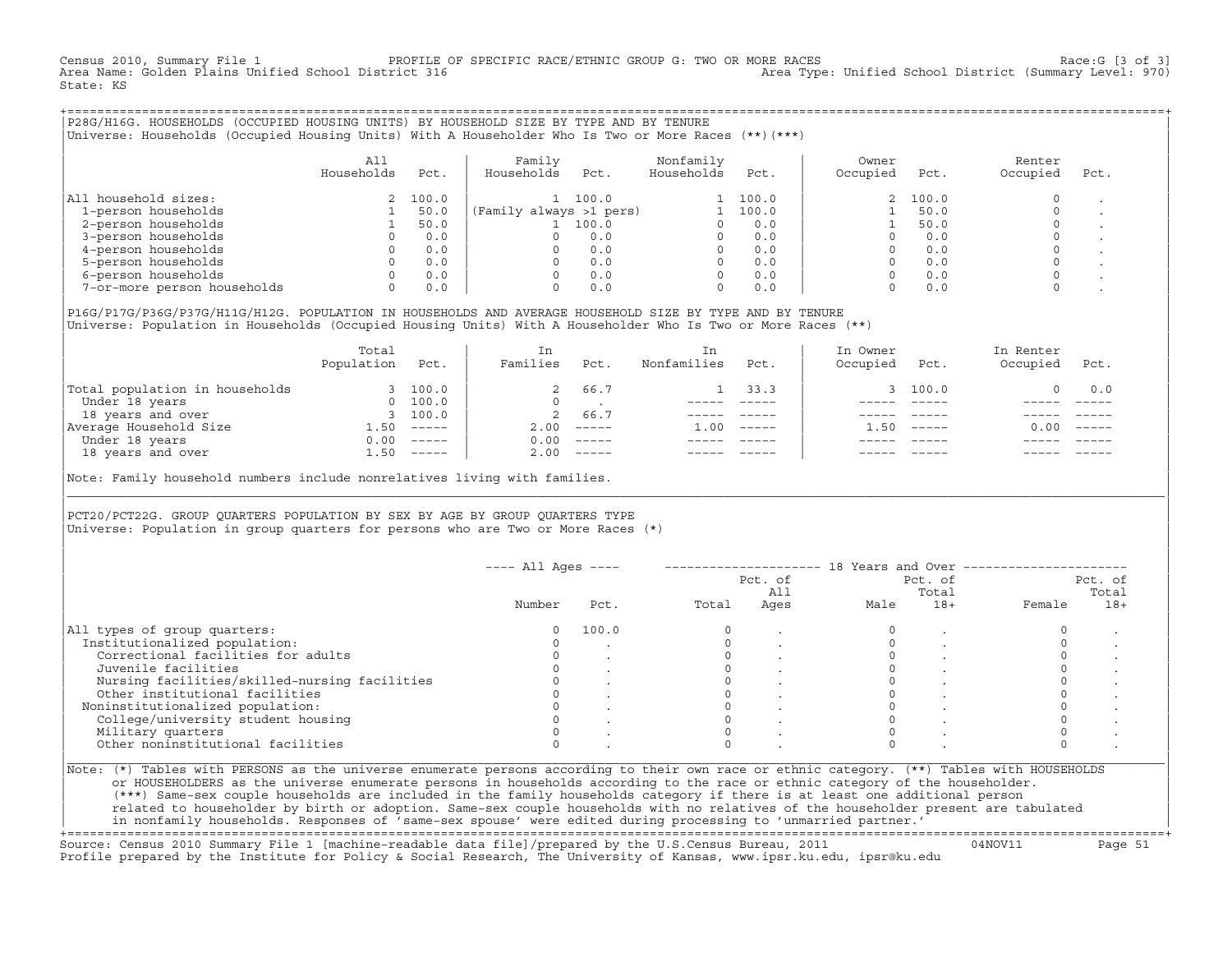Census 2010, Summary File 1 PROFILE OF SPECIFIC RACE/ETHNIC GROUP G: TWO OR MORE RACES [3 of 3]<br>Area Name: Golden Plains Unified School District 316 200 Area Type: Unified School District (Summary Level: 970 Area Type: Unified School District (Summary Level: 970) State: KS

+===================================================================================================================================================+|P28G/H16G. HOUSEHOLDS (OCCUPIED HOUSING UNITS) BY HOUSEHOLD SIZE BY TYPE AND BY TENURE | |Universe: Households (Occupied Housing Units) With A Householder Who Is Two or More Races (\*\*)(\*\*\*) |

|                             | A11<br>Households | Pct.  | Family<br>Households    | Pct.  | Nonfamily<br>Households | Pct.  | Owner<br>Occupied | Pct.     | Renter<br>Occupied | Pct. |
|-----------------------------|-------------------|-------|-------------------------|-------|-------------------------|-------|-------------------|----------|--------------------|------|
| All household sizes:        |                   | 100.0 |                         | 100.0 |                         | 100.0 |                   | 2, 100.0 |                    |      |
| 1-person households         |                   | 50.0  | (Family always >1 pers) |       |                         | 100.0 |                   | 50.0     |                    |      |
| 2-person households         |                   | 50.0  |                         | 100.0 |                         | 0.0   |                   | 50.0     |                    |      |
| 3-person households         |                   | 0.0   |                         | 0.0   |                         | 0.0   |                   | 0.0      |                    |      |
| 4-person households         |                   | 0.0   |                         | 0.0   |                         | 0.0   |                   | 0.0      |                    |      |
| 5-person households         |                   | 0.0   |                         | 0.0   |                         | 0.0   |                   | 0.0      |                    |      |
| 6-person households         |                   | 0.0   |                         | 0.0   | $\Omega$                | 0.0   |                   | 0.0      |                    |      |
| 7-or-more person households | 0                 | 0.0   |                         | 0.0   | $\Omega$                | 0.0   |                   | 0.0      |                    |      |

|P16G/P17G/P36G/P37G/H11G/H12G. POPULATION IN HOUSEHOLDS AND AVERAGE HOUSEHOLD SIZE BY TYPE AND BY TENURE | Universe: Population in Households (Occupied Housing Units) With A Householder Who Is Two or More Races (\*\*)

|                                | Total<br>Population | Pct.     | In<br>Families | Pct.                      | In<br>Nonfamilies | Pct.     | In Owner<br>Occupied | Pct.          | In Renter<br>Occupied | Pct.     |  |
|--------------------------------|---------------------|----------|----------------|---------------------------|-------------------|----------|----------------------|---------------|-----------------------|----------|--|
| Total population in households |                     | 3 100.0  | 2              | 66.7                      |                   | 33.3     |                      | 3 100.0       |                       | 0.0      |  |
| Under 18 years                 | $\Omega$            | 100.0    | $\Omega$       |                           |                   |          |                      |               |                       |          |  |
| 18 years and over              |                     | 3, 100.0 | $\overline{2}$ | 66.7                      |                   |          |                      |               |                       |          |  |
| Average Household Size         | .50                 | $------$ | 2.00           | $------$                  | 1.00              | $------$ | .50                  | $- - - - - -$ | 0.00                  | $------$ |  |
| Under 18 years                 | 0.00                | $------$ | 0.00           | $------$                  |                   |          |                      |               |                       |          |  |
| 18 years and over              | 1.50                |          | 2.00           | $\qquad \qquad - - - - -$ |                   |          |                      |               |                       | $------$ |  |
|                                |                     |          |                |                           |                   |          |                      |               |                       |          |  |

Note: Family household numbers include nonrelatives living with families.

| | PCT20/PCT22G. GROUP OUARTERS POPULATION BY SEX BY AGE BY GROUP OUARTERS TYPE Universe: Population in group quarters for persons who are Two or More Races  $(*)$ 

|                                               |        |       |       | Pct. of<br>All |      | Pct. of<br>Total |        | Pct. of<br>Total |
|-----------------------------------------------|--------|-------|-------|----------------|------|------------------|--------|------------------|
|                                               | Number | Pct.  | Total | Ages           | Male | $18+$            | Female | $18+$            |
| All types of group quarters:                  |        | 100.0 |       |                |      |                  |        |                  |
| Institutionalized population:                 |        |       |       |                |      |                  |        |                  |
| Correctional facilities for adults            |        |       |       |                |      |                  |        |                  |
| Juvenile facilities                           |        |       |       |                |      |                  |        |                  |
| Nursing facilities/skilled-nursing facilities |        |       |       |                |      |                  |        |                  |
| Other institutional facilities                |        |       |       |                |      |                  |        |                  |
| Noninstitutionalized population:              |        |       |       |                |      |                  |        |                  |
| College/university student housing            |        |       |       |                |      |                  |        |                  |
| Military quarters                             |        |       |       |                |      |                  |        |                  |
| Other noninstitutional facilities             |        |       |       |                |      |                  |        |                  |

|\_\_\_\_\_\_\_\_\_\_\_\_\_\_\_\_\_\_\_\_\_\_\_\_\_\_\_\_\_\_\_\_\_\_\_\_\_\_\_\_\_\_\_\_\_\_\_\_\_\_\_\_\_\_\_\_\_\_\_\_\_\_\_\_\_\_\_\_\_\_\_\_\_\_\_\_\_\_\_\_\_\_\_\_\_\_\_\_\_\_\_\_\_\_\_\_\_\_\_\_\_\_\_\_\_\_\_\_\_\_\_\_\_\_\_\_\_\_\_\_\_\_\_\_\_\_\_\_\_\_\_\_\_\_\_\_\_\_\_\_\_\_\_\_\_\_\_|

| |

or HOUSEHOLDERS as the universe enumerate persons in households according to the race or ethnic category of the householder. | (\*\*\*) Same−sex couple households are included in the family households category if there is at least one additional person | | related to householder by birth or adoption. Same−sex couple households with no relatives of the householder present are tabulated | | in nonfamily households. Responses of 'same−sex spouse' were edited during processing to 'unmarried partner.' |

+===================================================================================================================================================+ Source: Census 2010 Summary File 1 [machine−readable data file]/prepared by the U.S.Census Bureau, 2011 04NOV11 Page 51 Profile prepared by the Institute for Policy & Social Research, The University of Kansas, www.ipsr.ku.edu, ipsr@ku.edu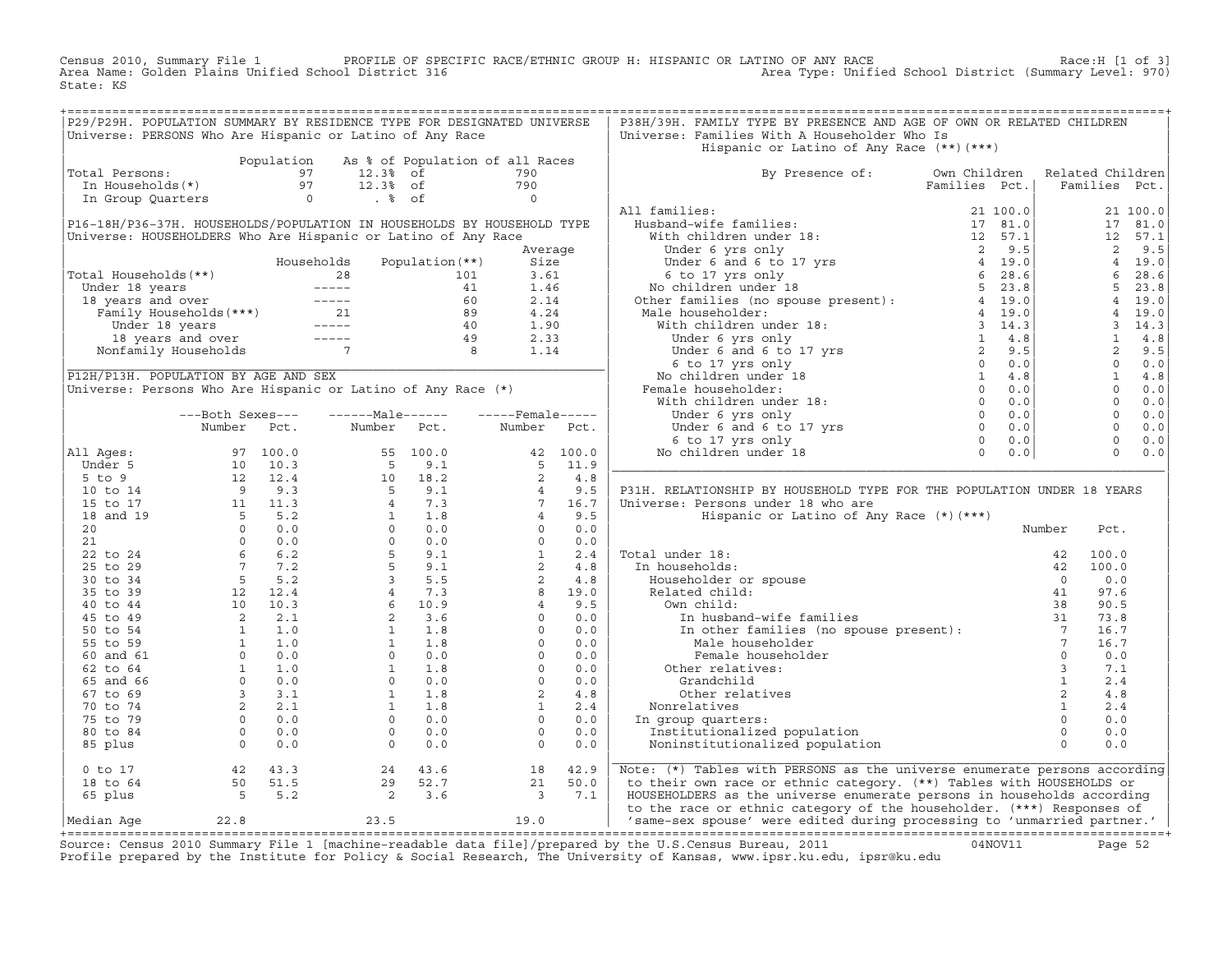Census 2010, Summary File 1 PROFILE OF SPECIFIC RACE/ETHNIC GROUP H: HISPANIC OR LATINO OF ANY RACE Race:H [1 of 3] Area Name: Golden Plains Unified School District 316 Area Type: Unified School District (Summary Level: 970) State: KS

| P29/P29H. POPULATION SUMMARY BY RESIDENCE TYPE FOR DESIGNATED UNIVERSE<br>P38H/39H. FAMILY TYPE BY PRESENCE AND AGE OF OWN OR RELATED CHILDREN<br>Universe: PERSONS Who Are Hispanic or Latino of Any Race<br>Universe: Families With A Householder Who Is<br>Hispanic or Latino of Any Race (**) (***)                                                                                                                                                                                                                                   |  |        |                        |  |
|-------------------------------------------------------------------------------------------------------------------------------------------------------------------------------------------------------------------------------------------------------------------------------------------------------------------------------------------------------------------------------------------------------------------------------------------------------------------------------------------------------------------------------------------|--|--------|------------------------|--|
|                                                                                                                                                                                                                                                                                                                                                                                                                                                                                                                                           |  |        |                        |  |
|                                                                                                                                                                                                                                                                                                                                                                                                                                                                                                                                           |  |        |                        |  |
|                                                                                                                                                                                                                                                                                                                                                                                                                                                                                                                                           |  |        |                        |  |
| Total Persons:<br>By Presence of: Own Children Related Children                                                                                                                                                                                                                                                                                                                                                                                                                                                                           |  |        |                        |  |
|                                                                                                                                                                                                                                                                                                                                                                                                                                                                                                                                           |  |        |                        |  |
| Population As % of Population of all Races<br>190 In Households(*)<br>190 In Group Quarters<br>190 In Group Quarters<br>190 Changes and Markov Changes of the Changes of the Changes of the Changes of the Changes of the Changes of t                                                                                                                                                                                                                                                                                                    |  |        |                        |  |
|                                                                                                                                                                                                                                                                                                                                                                                                                                                                                                                                           |  |        |                        |  |
|                                                                                                                                                                                                                                                                                                                                                                                                                                                                                                                                           |  |        |                        |  |
|                                                                                                                                                                                                                                                                                                                                                                                                                                                                                                                                           |  |        |                        |  |
|                                                                                                                                                                                                                                                                                                                                                                                                                                                                                                                                           |  |        |                        |  |
|                                                                                                                                                                                                                                                                                                                                                                                                                                                                                                                                           |  |        |                        |  |
|                                                                                                                                                                                                                                                                                                                                                                                                                                                                                                                                           |  |        |                        |  |
|                                                                                                                                                                                                                                                                                                                                                                                                                                                                                                                                           |  |        |                        |  |
|                                                                                                                                                                                                                                                                                                                                                                                                                                                                                                                                           |  |        |                        |  |
|                                                                                                                                                                                                                                                                                                                                                                                                                                                                                                                                           |  |        |                        |  |
|                                                                                                                                                                                                                                                                                                                                                                                                                                                                                                                                           |  |        |                        |  |
|                                                                                                                                                                                                                                                                                                                                                                                                                                                                                                                                           |  |        |                        |  |
|                                                                                                                                                                                                                                                                                                                                                                                                                                                                                                                                           |  |        |                        |  |
|                                                                                                                                                                                                                                                                                                                                                                                                                                                                                                                                           |  |        |                        |  |
|                                                                                                                                                                                                                                                                                                                                                                                                                                                                                                                                           |  |        |                        |  |
|                                                                                                                                                                                                                                                                                                                                                                                                                                                                                                                                           |  |        |                        |  |
|                                                                                                                                                                                                                                                                                                                                                                                                                                                                                                                                           |  |        |                        |  |
|                                                                                                                                                                                                                                                                                                                                                                                                                                                                                                                                           |  |        |                        |  |
|                                                                                                                                                                                                                                                                                                                                                                                                                                                                                                                                           |  |        |                        |  |
|                                                                                                                                                                                                                                                                                                                                                                                                                                                                                                                                           |  |        |                        |  |
|                                                                                                                                                                                                                                                                                                                                                                                                                                                                                                                                           |  |        |                        |  |
|                                                                                                                                                                                                                                                                                                                                                                                                                                                                                                                                           |  |        |                        |  |
| P31H. RELATIONSHIP BY HOUSEHOLD TYPE FOR THE POPULATION UNDER 18 YEARS                                                                                                                                                                                                                                                                                                                                                                                                                                                                    |  |        |                        |  |
| Universe: Persons under 18 who are                                                                                                                                                                                                                                                                                                                                                                                                                                                                                                        |  |        |                        |  |
| Hispanic or Latino of Any Race (*) (***)                                                                                                                                                                                                                                                                                                                                                                                                                                                                                                  |  |        |                        |  |
|                                                                                                                                                                                                                                                                                                                                                                                                                                                                                                                                           |  | Number | Pct.                   |  |
|                                                                                                                                                                                                                                                                                                                                                                                                                                                                                                                                           |  |        |                        |  |
|                                                                                                                                                                                                                                                                                                                                                                                                                                                                                                                                           |  |        | 100.0                  |  |
|                                                                                                                                                                                                                                                                                                                                                                                                                                                                                                                                           |  |        | 42 100.0               |  |
|                                                                                                                                                                                                                                                                                                                                                                                                                                                                                                                                           |  |        | $0 \qquad 0.0$<br>97.6 |  |
|                                                                                                                                                                                                                                                                                                                                                                                                                                                                                                                                           |  |        | 90.5                   |  |
|                                                                                                                                                                                                                                                                                                                                                                                                                                                                                                                                           |  |        | 73.8                   |  |
|                                                                                                                                                                                                                                                                                                                                                                                                                                                                                                                                           |  |        |                        |  |
|                                                                                                                                                                                                                                                                                                                                                                                                                                                                                                                                           |  |        |                        |  |
| $\begin{tabular}{ l l } \hline Total under 18: & \cr In households: & \cr \hline In householders or spouse & \cr Related child: & \cr 0 & \cr related child: & \cr 1 & \cr 0 & \cr 1 & \cr 2 & \cr 3 & \cr 42 & \cr 1 & \cr 42 & \cr 1 & \cr 5 & \cr 6 & \cr 7 & \cr 8 & \cr 8 & \cr 8 & \cr 9 & \cr 1 & \cr 1 & \cr 1 & \cr 2 & \cr 3 & \cr 4 & \cr 5 & \cr 6 & \cr 6 & \cr 7 & \cr 8 & \cr 9 & \cr 1 & \cr 1 & \cr 2 & \cr 3 & \$                                                                                                       |  |        |                        |  |
|                                                                                                                                                                                                                                                                                                                                                                                                                                                                                                                                           |  |        |                        |  |
| Grandchild                                                                                                                                                                                                                                                                                                                                                                                                                                                                                                                                |  |        |                        |  |
| Other relatives                                                                                                                                                                                                                                                                                                                                                                                                                                                                                                                           |  |        |                        |  |
| Nonrelatives                                                                                                                                                                                                                                                                                                                                                                                                                                                                                                                              |  |        |                        |  |
| In group quarters:                                                                                                                                                                                                                                                                                                                                                                                                                                                                                                                        |  |        |                        |  |
| Institutionalized population                                                                                                                                                                                                                                                                                                                                                                                                                                                                                                              |  |        |                        |  |
| ${\small \begin{array}{ cccc cccc } \hline \\ \text{All } \text{Ages}: & \text{Number} & \text{Pct.} & \text{Number} & \text{Pct.} & \text{Number} & \text{Pct.} \\ \hline \\ \text{Under 5} & 97 & 100.0 & 55 & 100.0 & 42 & 100.0 \\ 5 \text{ to 9} & 12 & 12.4 & 10 & 18.2 & 2 & 4.8 \\ 10 \text{ to 14} & 9 & 9.3 & 5 & 9.1 & 2 & 4.6 \\ 15 \text{ to 17} & 11 & 11.3 & 4 & 7.3 &$<br>Noninstitutionalized population                                                                                                                 |  |        |                        |  |
| 0 to 17<br>18 to 64<br>65 plus 5 5.2<br>$\begin{bmatrix} 24 & 43.6 \\ 29 & 52.7 \\ 2 & 3.6 \end{bmatrix} \hspace{.5in} \begin{bmatrix} 18 & 42.9 \\ 21 & 50.0 \\ 3 & 7.1 \end{bmatrix}$<br>Note: (*) Tables with PERSONS as the universe enumerate persons according                                                                                                                                                                                                                                                                      |  |        |                        |  |
| to their own race or ethnic category. (**) Tables with HOUSEHOLDS or                                                                                                                                                                                                                                                                                                                                                                                                                                                                      |  |        |                        |  |
| HOUSEHOLDERS as the universe enumerate persons in households according<br>to the race or ethnic category of the householder. (***) Responses of                                                                                                                                                                                                                                                                                                                                                                                           |  |        |                        |  |
| $\begin{tabular}{lllllll} \multicolumn{2}{c}{\text{\textbf{1}}}\\ \multicolumn{2}{c}{\begin{tabular}{c} \multicolumn{2}{c}{\begin{tabular}{c} \multicolumn{2}{c}{\textbf{0} & 0.0} \\ \multicolumn{2}{c}{\begin{tabular}{c} \multicolumn{2}{c}{\textbf{0} & 0.0} \\ \multicolumn{2}{c}{\begin{tabular}{c} \multicolumn{2}{c}{\textbf{0} & 0.0} \\ \multicolumn{2}{c}{\textbf{0} & 0.0} \\ \multicolumn{2}{c}{\textbf{0} & 0.0} \\ \multicolumn{2}{c}{\textbf{$<br>'same-sex spouse' were edited during processing to 'unmarried partner.' |  |        |                        |  |

+===================================================================================================================================================+Source: Census 2010 Summary File 1 [machine−readable data file]/prepared by the U.S.Census Bureau, 2011 04NOV11 Page 52 Profile prepared by the Institute for Policy & Social Research, The University of Kansas, www.ipsr.ku.edu, ipsr@ku.edu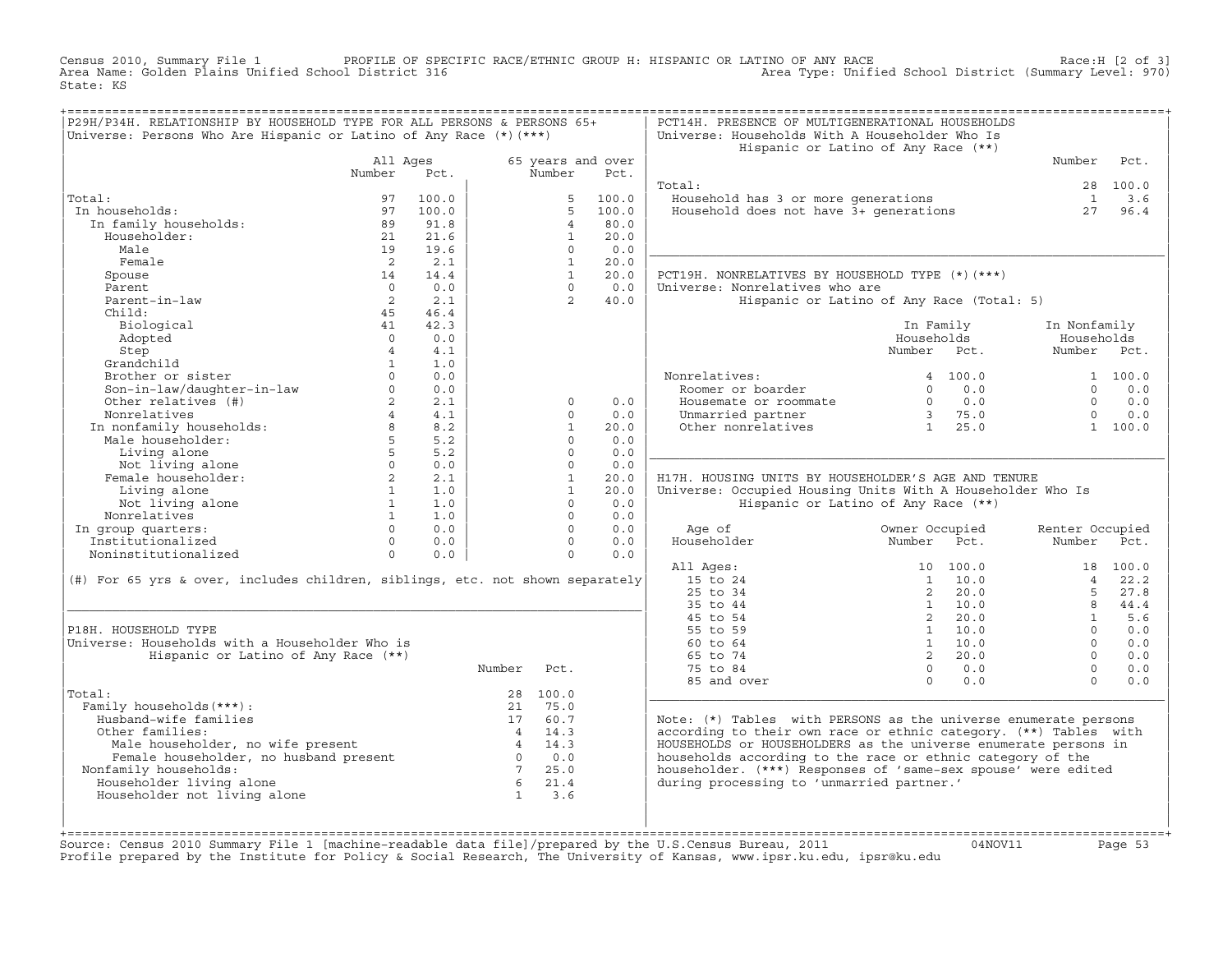Census 2010, Summary File 1 PROFILE OF SPECIFIC RACE/ETHNIC GROUP H: HISPANIC OR LATINO OF ANY RACE Race:H [2 of 3]<br>Area Name: Golden Plains Unified School District 316 area Type: Unified School District (Summary Level: 97 Area Type: Unified School District (Summary Level: 970) State: KS

| P29H/P34H. RELATIONSHIP BY HOUSEHOLD TYPE FOR ALL PERSONS & PERSONS 65+<br>Universe: Persons Who Are Hispanic or Latino of Any Race $(*)$ (***) |                            |            |                                   |                      |                           | PCT14H. PRESENCE OF MULTIGENERATIONAL HOUSEHOLDS<br>Universe: Households With A Householder Who Is         | Hispanic or Latino of Any Race (**)       |                 |          |
|-------------------------------------------------------------------------------------------------------------------------------------------------|----------------------------|------------|-----------------------------------|----------------------|---------------------------|------------------------------------------------------------------------------------------------------------|-------------------------------------------|-----------------|----------|
|                                                                                                                                                 | All Ages<br>Number         | Pct.       |                                   | Number               | 65 years and over<br>Pct. |                                                                                                            |                                           | Number          | Pct.     |
|                                                                                                                                                 |                            |            |                                   |                      |                           | Total:                                                                                                     |                                           |                 | 28 100.0 |
| Total:                                                                                                                                          | 97                         | 100.0      |                                   | 5                    | 100.0                     | Household has 3 or more generations                                                                        |                                           | $\mathbf{1}$    | 3.6      |
| In households:                                                                                                                                  | 97                         | 100.0      |                                   | 5                    | 100.0                     | Housenoid has 3 or more generations<br>Household does not have 3+ generations                              |                                           | 27              | 96.4     |
| In family households:                                                                                                                           | 89                         | 91.8       |                                   | $\overline{4}$       | 80.0                      |                                                                                                            |                                           |                 |          |
| Householder:                                                                                                                                    | 21                         | 21.6       |                                   | $\mathbf{1}$         | 20.0                      |                                                                                                            |                                           |                 |          |
| Male                                                                                                                                            | 19                         | 19.6       |                                   | $\Omega$             | 0.0                       |                                                                                                            |                                           |                 |          |
| Female                                                                                                                                          | $\overline{2}$             | 2.1        |                                   | $\mathbf{1}$         | 20.0                      |                                                                                                            |                                           |                 |          |
| Spouse                                                                                                                                          | 14                         | 14.4       |                                   | $\overline{1}$       | 20.0                      | PCT19H. NONRELATIVES BY HOUSEHOLD TYPE (*) (***)                                                           |                                           |                 |          |
| Parent                                                                                                                                          | $\cap$                     | 0.0        |                                   | $\cap$               | 0.0                       | Universe: Nonrelatives who are                                                                             |                                           |                 |          |
| Parent-in-law                                                                                                                                   | $\overline{2}$             | 2.1        |                                   | $\overline{2}$       | 40.0                      |                                                                                                            | Hispanic or Latino of Any Race (Total: 5) |                 |          |
| Child:                                                                                                                                          | 45                         | 46.4       |                                   |                      |                           |                                                                                                            |                                           |                 |          |
| Biological                                                                                                                                      | 41                         | 42.3       |                                   |                      |                           |                                                                                                            | In Family                                 | In Nonfamily    |          |
| Adopted                                                                                                                                         | $\Omega$                   | 0.0        |                                   |                      |                           |                                                                                                            | Households                                | Households      |          |
| Step                                                                                                                                            | $\overline{4}$             | 4.1        |                                   |                      |                           |                                                                                                            | Number Pct.                               | Number Pct.     |          |
| Grandchild                                                                                                                                      | $\mathbf{1}$               | 1.0        |                                   |                      |                           |                                                                                                            |                                           |                 |          |
| Brother or sister                                                                                                                               |                            | 0.0        |                                   |                      |                           | Nonrelatives:                                                                                              | 4 100.0                                   |                 | 1 100.0  |
| Son-in-law/daughter-in-law                                                                                                                      | $\circ$                    | 0.0        |                                   |                      |                           | Roomer or boarder                                                                                          | 0.0<br>$\Omega$                           | $\Omega$        | 0.0      |
| Other relatives (#)                                                                                                                             | $2^{\circ}$                | 2.1        |                                   | $\mathbf 0$          | 0.0                       | Housemate or roommate                                                                                      | $0 \qquad 0.0$                            | $\Omega$        | 0.0      |
| Nonrelatives                                                                                                                                    | $\overline{4}$             | 4.1        |                                   | $\Omega$             | 0.0                       | Unmarried partner                                                                                          | 3 75.0                                    | $\cap$          | 0.0      |
| In nonfamily households:<br>Male householder:                                                                                                   | 8                          | 8.2        |                                   | $\mathbf{1}$         | 20.0                      | Other nonrelatives                                                                                         | $1 \t 25.0$                               |                 | 1 100.0  |
|                                                                                                                                                 | $5^{\circ}$<br>$5^{\circ}$ | 5.2        |                                   | $\Omega$<br>$\Omega$ | 0.0<br>0.0                |                                                                                                            |                                           |                 |          |
| Living alone                                                                                                                                    | $\circ$                    | 5.2<br>0.0 |                                   | $\circ$              | 0.0                       |                                                                                                            |                                           |                 |          |
| Not living alone<br>Female householder:                                                                                                         | $2^{\circ}$                | 2.1        |                                   | $\mathbf{1}$         | 20.0                      | H17H. HOUSING UNITS BY HOUSEHOLDER'S AGE AND TENURE                                                        |                                           |                 |          |
| Living alone                                                                                                                                    | 1                          | 1.0        |                                   | $\mathbf{1}$         | 20.0                      | Universe: Occupied Housing Units With A Householder Who Is                                                 |                                           |                 |          |
| Not living alone                                                                                                                                | <sup>1</sup>               | 1.0        |                                   | $\Omega$             | 0.0                       |                                                                                                            | Hispanic or Latino of Any Race (**)       |                 |          |
| Nonrelatives                                                                                                                                    | $\mathbf{1}$               | 1.0        |                                   | $\Omega$             | 0.0                       |                                                                                                            |                                           |                 |          |
| In group quarters:                                                                                                                              | $\Omega$                   | 0.0        |                                   | $\Omega$             | 0.0                       | Age of                                                                                                     | Owner Occupied                            | Renter Occupied |          |
| Institutionalized                                                                                                                               | $\Omega$                   | 0.0        |                                   | $\Omega$             | 0.0                       | Householder                                                                                                | Number<br>Pct.                            | Number          | Pct.     |
| Noninstitutionalized                                                                                                                            | $\Omega$                   | 0.0        |                                   | $\Omega$             | 0.0                       |                                                                                                            |                                           |                 |          |
|                                                                                                                                                 |                            |            |                                   |                      |                           | All Ages:                                                                                                  | 10 100.0                                  |                 | 18 100.0 |
| (#) For 65 yrs & over, includes children, siblings, etc. not shown separately                                                                   |                            |            |                                   |                      |                           | 15 to 24                                                                                                   | $1 \quad 10.0$                            | $\overline{4}$  | 22.2     |
|                                                                                                                                                 |                            |            |                                   |                      |                           | 25 to 34                                                                                                   | $2^{\circ}$<br>20.0                       | 5               | 27.8     |
|                                                                                                                                                 |                            |            |                                   |                      |                           | 35 to 44                                                                                                   | 1 10.0                                    | 8               | 44.4     |
|                                                                                                                                                 |                            |            |                                   |                      |                           | 45 to 54                                                                                                   | 2, 20, 0                                  | $\mathbf{1}$    | 5.6      |
| P18H. HOUSEHOLD TYPE                                                                                                                            |                            |            |                                   |                      |                           | 55 to 59                                                                                                   | $1 \quad 10.0$                            | $\Omega$        | 0.0      |
| Universe: Households with a Householder Who is                                                                                                  |                            |            |                                   |                      |                           | 60 to 64                                                                                                   | 1 10.0                                    | $\Omega$        | 0.0      |
| Hispanic or Latino of Any Race (**)                                                                                                             |                            |            |                                   |                      |                           | 65 to 74                                                                                                   | 2, 20.0                                   | $\Omega$        | 0.0      |
|                                                                                                                                                 |                            |            | Number                            | Pct.                 |                           | 75 to 84                                                                                                   | 0.0<br>$\Omega$                           | $\Omega$        | 0.0      |
|                                                                                                                                                 |                            |            |                                   |                      |                           | 85 and over                                                                                                | $\Omega$<br>0.0                           | $\Omega$        | 0.0      |
| Total:                                                                                                                                          |                            |            |                                   | 28 100.0             |                           |                                                                                                            |                                           |                 |          |
| Family households (***) :                                                                                                                       |                            |            | 21                                | 75.0                 |                           |                                                                                                            |                                           |                 |          |
| Husband-wife families                                                                                                                           |                            |            |                                   | 17 60.7              |                           | Note: (*) Tables with PERSONS as the universe enumerate persons                                            |                                           |                 |          |
| Other families:                                                                                                                                 |                            |            |                                   | 4 14.3               |                           | according to their own race or ethnic category. (**) Tables with                                           |                                           |                 |          |
| Male householder, no wife present<br>Female householder, no husband present                                                                     |                            |            |                                   | 4 14.3               |                           | HOUSEHOLDS or HOUSEHOLDERS as the universe enumerate persons in                                            |                                           |                 |          |
|                                                                                                                                                 |                            |            | $\overline{0}$<br>$7\overline{ }$ | 0.0<br>25.0          |                           | households according to the race or ethnic category of the                                                 |                                           |                 |          |
| Nonfamily households:<br>Householder living alone                                                                                               |                            |            | 6 <sup>6</sup>                    | 21.4                 |                           | householder. (***) Responses of 'same-sex spouse' were edited<br>during processing to 'unmarried partner.' |                                           |                 |          |
| Householder not living alone                                                                                                                    |                            |            | $\mathbf{1}$                      | 3.6                  |                           |                                                                                                            |                                           |                 |          |
|                                                                                                                                                 |                            |            |                                   |                      |                           |                                                                                                            |                                           |                 |          |
|                                                                                                                                                 |                            |            |                                   |                      |                           |                                                                                                            |                                           |                 |          |
|                                                                                                                                                 |                            |            |                                   |                      |                           |                                                                                                            |                                           |                 |          |

+===================================================================================================================================================+Source: Census 2010 Summary File 1 [machine−readable data file]/prepared by the U.S.Census Bureau, 2011 04NOV11 Page 53 Profile prepared by the Institute for Policy & Social Research, The University of Kansas, www.ipsr.ku.edu, ipsr@ku.edu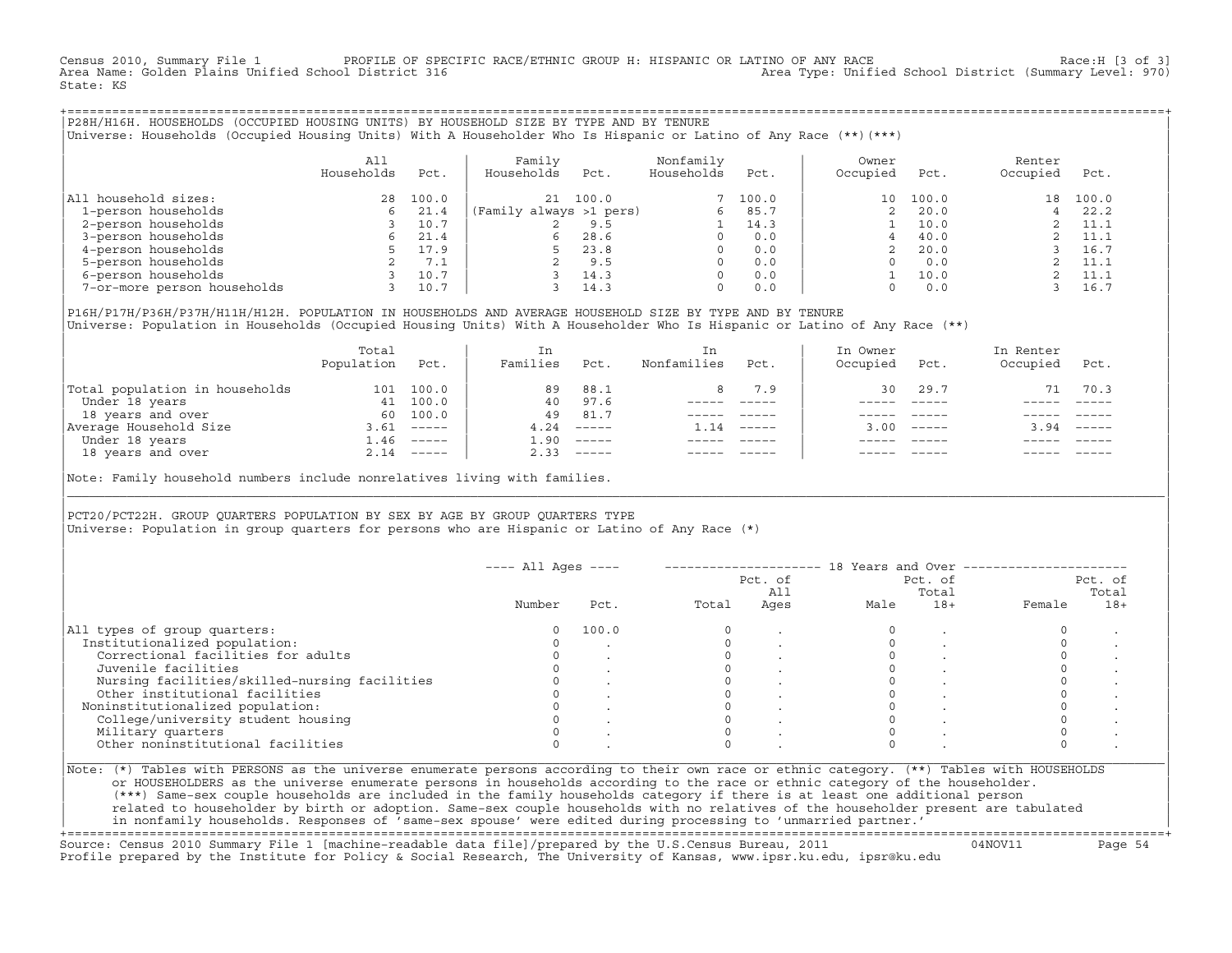Census 2010, Summary File 1 PROFILE OF SPECIFIC RACE/ETHNIC GROUP H: HISPANIC OR LATINO OF ANY RACE Race:H [3 of 3]<br>Area Name: Golden Plains Unified School District 316 area Type: Unified School District (Summary Level: 97 Area Type: Unified School District (Summary Level: 970) State: KS

+===================================================================================================================================================+|P28H/H16H. HOUSEHOLDS (OCCUPIED HOUSING UNITS) BY HOUSEHOLD SIZE BY TYPE AND BY TENURE | |Universe: Households (Occupied Housing Units) With A Householder Who Is Hispanic or Latino of Any Race (\*\*)(\*\*\*) |

|                             | All<br>Households | Pct.  | Family<br>Households    | Pct.  | Nonfamily<br>Households | Pct.  | Owner<br>Occupied | Pct.  | Renter<br>Occupied | Pct.  |
|-----------------------------|-------------------|-------|-------------------------|-------|-------------------------|-------|-------------------|-------|--------------------|-------|
| All household sizes:        | 28                | 100.0 | 21                      | 100.0 |                         | 100.0 | 10                | 100.0 | 18                 | 100.0 |
| 1-person households         | 6                 | 21.4  | (Family always >1 pers) |       | 6                       | 85.7  |                   | 20.0  |                    | 22.2  |
| 2-person households         |                   | 10.7  |                         | 9.5   |                         | 14.3  |                   | 10.0  |                    | 11.1  |
| 3-person households         |                   | 21.4  | 6.                      | 28.6  | $\Omega$                | 0.0   |                   | 40.0  |                    | 11.1  |
| 4-person households         |                   | 17.9  |                         | 23.8  | $\Omega$                | 0.0   |                   | 20.0  |                    | 16.7  |
| 5-person households         |                   | 7.1   |                         | 9.5   | $\Omega$                | 0.0   |                   | 0.0   |                    | 11.1  |
| 6-person households         |                   | 10.7  |                         | 14.3  | $\Omega$                | 0.0   |                   | 10.0  |                    | 11.1  |
| 7-or-more person households |                   | 10.7  |                         | 14.3  | $\mathbf 0$             | 0.0   |                   | 0.0   |                    | 16.7  |

|P16H/P17H/P36H/P37H/H11H/H12H. POPULATION IN HOUSEHOLDS AND AVERAGE HOUSEHOLD SIZE BY TYPE AND BY TENURE | Universe: Population in Households (Occupied Housing Units) With A Householder Who Is Hispanic or Latino of Any Race (\*\*)

|                                | Total<br>Population | Pct.         | In<br>Families | Pct.     | In.<br>Nonfamilies | Pct.     | In Owner<br>Occupied | Pct.         | In Renter<br>Occupied | Pct.                      |
|--------------------------------|---------------------|--------------|----------------|----------|--------------------|----------|----------------------|--------------|-----------------------|---------------------------|
| Total population in households | 101                 | 100.0        | 89             | 88.1     | 8                  | 7.9      | 30                   | 29.7         | 71                    | 70.3                      |
| Under 18 years                 | 41                  | 100.0        | 40             | 97.6     |                    |          |                      |              |                       |                           |
| 18 years and over              | 60.                 | 100.0        | 49             | 81.7     |                    |          |                      |              |                       |                           |
| Average Household Size         | 3.61                | $------$     | 4.24           | $------$ | 1.14               | $------$ |                      | $3.00$ ----- | 3.94                  | $\qquad \qquad - - - - -$ |
| Under 18 years                 | 1.46                | $------$     | .90            | $------$ |                    |          |                      |              |                       |                           |
| 18 years and over              |                     | $2.14$ ----- | 2.33           |          |                    |          |                      | $- - - - -$  |                       | $- - - - -$               |
|                                |                     |              |                |          |                    |          |                      |              |                       |                           |

Note: Family household numbers include nonrelatives living with families.

| | PCT20/PCT22H. GROUP OUARTERS POPULATION BY SEX BY AGE BY GROUP OUARTERS TYPE Universe: Population in group quarters for persons who are Hispanic or Latino of Any Race (\*)

|                                               |        |       |       | Pct. of<br>All | Pct. of<br>Total |       | Pct. of<br>Total |       |
|-----------------------------------------------|--------|-------|-------|----------------|------------------|-------|------------------|-------|
|                                               | Number | Pct.  | Total | Ages           | Male             | $18+$ | Female           | $18+$ |
| All types of group quarters:                  | 0      | 100.0 |       |                |                  |       |                  |       |
| Institutionalized population:                 |        |       |       |                |                  |       |                  |       |
| Correctional facilities for adults            |        |       |       |                |                  |       |                  |       |
| Juvenile facilities                           |        |       |       |                |                  |       |                  |       |
| Nursing facilities/skilled-nursing facilities |        |       |       |                |                  |       |                  |       |
| Other institutional facilities                |        |       |       |                |                  |       |                  |       |
| Noninstitutionalized population:              |        |       |       |                |                  |       |                  |       |
| College/university student housing            |        |       |       |                |                  |       |                  |       |
| Military quarters                             |        |       |       |                |                  |       |                  |       |
| Other noninstitutional facilities             |        |       |       |                |                  |       |                  |       |

|\_\_\_\_\_\_\_\_\_\_\_\_\_\_\_\_\_\_\_\_\_\_\_\_\_\_\_\_\_\_\_\_\_\_\_\_\_\_\_\_\_\_\_\_\_\_\_\_\_\_\_\_\_\_\_\_\_\_\_\_\_\_\_\_\_\_\_\_\_\_\_\_\_\_\_\_\_\_\_\_\_\_\_\_\_\_\_\_\_\_\_\_\_\_\_\_\_\_\_\_\_\_\_\_\_\_\_\_\_\_\_\_\_\_\_\_\_\_\_\_\_\_\_\_\_\_\_\_\_\_\_\_\_\_\_\_\_\_\_\_\_\_\_\_\_\_\_|

| |

or HOUSEHOLDERS as the universe enumerate persons in households according to the race or ethnic category of the householder. | (\*\*\*) Same−sex couple households are included in the family households category if there is at least one additional person | | related to householder by birth or adoption. Same−sex couple households with no relatives of the householder present are tabulated | | in nonfamily households. Responses of 'same−sex spouse' were edited during processing to 'unmarried partner.' |

+===================================================================================================================================================+ Source: Census 2010 Summary File 1 [machine−readable data file]/prepared by the U.S.Census Bureau, 2011 04NOV11 Page 54 Profile prepared by the Institute for Policy & Social Research, The University of Kansas, www.ipsr.ku.edu, ipsr@ku.edu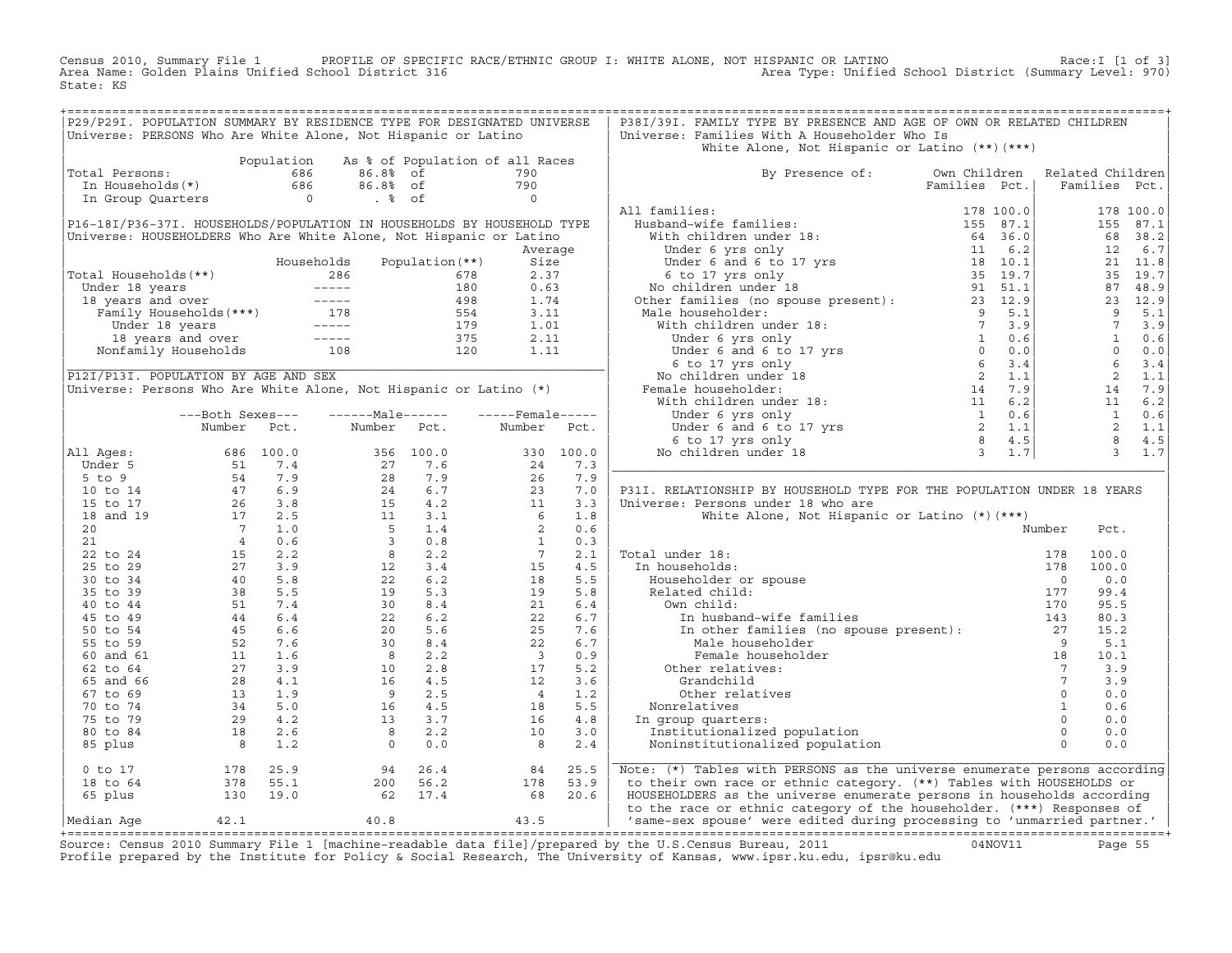Census 2010, Summary File 1 PROFILE OF SPECIFIC RACE/ETHNIC GROUP I: WHITE ALONE, NOT HISPANIC OR LATINO<br>Area Name: Golden Plains Unified School District 316 Area Type: Unified Sch State: KS

| P29/P29I. POPULATION SUMMARY BY RESIDENCE TYPE FOR DESIGNATED UNIVERSE<br>Universe: PERSONS Who Are White Alone, Not Hispanic or Latino                                                                                                                                                 |                                  |            |                                                                                                                                                                                                                                                                                                                  |             |                                                                                                                                |           | P38I/39I. FAMILY TYPE BY PRESENCE AND AGE OF OWN OR RELATED CHILDREN<br>Universe: Families With A Householder Who Is<br>White Alone, Not Hispanic or Latino $(**)$ $(***)$                                          |               |                                                                                 |                         |               |
|-----------------------------------------------------------------------------------------------------------------------------------------------------------------------------------------------------------------------------------------------------------------------------------------|----------------------------------|------------|------------------------------------------------------------------------------------------------------------------------------------------------------------------------------------------------------------------------------------------------------------------------------------------------------------------|-------------|--------------------------------------------------------------------------------------------------------------------------------|-----------|---------------------------------------------------------------------------------------------------------------------------------------------------------------------------------------------------------------------|---------------|---------------------------------------------------------------------------------|-------------------------|---------------|
|                                                                                                                                                                                                                                                                                         |                                  | Population |                                                                                                                                                                                                                                                                                                                  |             | As % of Population of all Races                                                                                                |           |                                                                                                                                                                                                                     |               |                                                                                 |                         |               |
| Total Persons:                                                                                                                                                                                                                                                                          |                                  |            |                                                                                                                                                                                                                                                                                                                  |             | 790                                                                                                                            |           | By Presence of: Own Children Related Children                                                                                                                                                                       |               |                                                                                 |                         |               |
| otal Persons: $\begin{array}{cccc} 686 & 86.88 & \text{of} \\ \text{In Households(*)} & 686 & 86.88 & \text{of} \\ \text{In Group Quatters} & 0 & .8 & \text{of} \\ \end{array}$                                                                                                        |                                  |            |                                                                                                                                                                                                                                                                                                                  |             |                                                                                                                                |           |                                                                                                                                                                                                                     | Families Pct. |                                                                                 |                         | Families Pct. |
|                                                                                                                                                                                                                                                                                         |                                  |            |                                                                                                                                                                                                                                                                                                                  |             | $\begin{array}{c} 790 \\ 0 \end{array}$                                                                                        |           |                                                                                                                                                                                                                     |               |                                                                                 |                         |               |
|                                                                                                                                                                                                                                                                                         |                                  |            |                                                                                                                                                                                                                                                                                                                  |             |                                                                                                                                |           | All families:                                                                                                                                                                                                       |               |                                                                                 |                         |               |
|                                                                                                                                                                                                                                                                                         |                                  |            |                                                                                                                                                                                                                                                                                                                  |             |                                                                                                                                |           |                                                                                                                                                                                                                     |               |                                                                                 |                         | 178 100.0     |
| P16-18I/P36-37I. HOUSEHOLDS/POPULATION IN HOUSEHOLDS BY HOUSEHOLD TYPE                                                                                                                                                                                                                  |                                  |            |                                                                                                                                                                                                                                                                                                                  |             |                                                                                                                                |           |                                                                                                                                                                                                                     |               |                                                                                 |                         | 155 87.1      |
| Universe: HOUSEHOLDERS Who Are White Alone, Not Hispanic or Latino                                                                                                                                                                                                                      |                                  |            |                                                                                                                                                                                                                                                                                                                  |             |                                                                                                                                |           |                                                                                                                                                                                                                     |               |                                                                                 |                         | 68 38.2       |
|                                                                                                                                                                                                                                                                                         |                                  |            |                                                                                                                                                                                                                                                                                                                  |             |                                                                                                                                | Average   |                                                                                                                                                                                                                     |               |                                                                                 | 12                      | 6.7           |
|                                                                                                                                                                                                                                                                                         |                                  |            |                                                                                                                                                                                                                                                                                                                  |             |                                                                                                                                |           |                                                                                                                                                                                                                     |               |                                                                                 |                         | 21 11.8       |
| Total Households(**)                                                                                                                                                                                                                                                                    |                                  |            |                                                                                                                                                                                                                                                                                                                  |             |                                                                                                                                |           |                                                                                                                                                                                                                     |               |                                                                                 |                         | 35 19.7       |
|                                                                                                                                                                                                                                                                                         |                                  |            |                                                                                                                                                                                                                                                                                                                  |             |                                                                                                                                |           |                                                                                                                                                                                                                     |               | $87$ 4 c<br>23 12.9<br>9 5.1                                                    |                         |               |
|                                                                                                                                                                                                                                                                                         |                                  |            |                                                                                                                                                                                                                                                                                                                  |             |                                                                                                                                |           |                                                                                                                                                                                                                     |               |                                                                                 |                         |               |
|                                                                                                                                                                                                                                                                                         |                                  |            |                                                                                                                                                                                                                                                                                                                  |             |                                                                                                                                |           |                                                                                                                                                                                                                     |               |                                                                                 |                         |               |
|                                                                                                                                                                                                                                                                                         |                                  |            |                                                                                                                                                                                                                                                                                                                  |             |                                                                                                                                |           |                                                                                                                                                                                                                     |               |                                                                                 |                         | $7 \t3.9$     |
|                                                                                                                                                                                                                                                                                         |                                  |            |                                                                                                                                                                                                                                                                                                                  |             |                                                                                                                                |           |                                                                                                                                                                                                                     |               |                                                                                 |                         | 0.6           |
|                                                                                                                                                                                                                                                                                         |                                  |            |                                                                                                                                                                                                                                                                                                                  |             |                                                                                                                                |           |                                                                                                                                                                                                                     |               | $\begin{array}{c} .1 \\ 3.9 \\ 0.6 \\ .0 \\ 4 \\ 14 \\ 11 \\ 11 \\ \end{array}$ |                         | $0 \t 0.0$    |
|                                                                                                                                                                                                                                                                                         |                                  |            |                                                                                                                                                                                                                                                                                                                  |             |                                                                                                                                |           |                                                                                                                                                                                                                     |               |                                                                                 |                         | 3.4           |
| P12I/P13I. POPULATION BY AGE AND SEX                                                                                                                                                                                                                                                    |                                  |            |                                                                                                                                                                                                                                                                                                                  |             |                                                                                                                                |           |                                                                                                                                                                                                                     |               |                                                                                 |                         | 1.1           |
| Universe: Persons Who Are White Alone, Not Hispanic or Latino (*)                                                                                                                                                                                                                       |                                  |            |                                                                                                                                                                                                                                                                                                                  |             |                                                                                                                                |           |                                                                                                                                                                                                                     |               |                                                                                 |                         | 7.9           |
|                                                                                                                                                                                                                                                                                         |                                  |            |                                                                                                                                                                                                                                                                                                                  |             |                                                                                                                                |           |                                                                                                                                                                                                                     |               |                                                                                 |                         | 11 6.2        |
|                                                                                                                                                                                                                                                                                         | ---Both Sexes---                 |            | ------Male------                                                                                                                                                                                                                                                                                                 |             | $---$ Female-----                                                                                                              |           |                                                                                                                                                                                                                     |               |                                                                                 | 1                       | 0.6           |
|                                                                                                                                                                                                                                                                                         | Number                           | Pct.       |                                                                                                                                                                                                                                                                                                                  | Number Pct. | Number                                                                                                                         | Pct.      |                                                                                                                                                                                                                     |               |                                                                                 | $\overline{\mathbf{2}}$ | 1.1           |
|                                                                                                                                                                                                                                                                                         |                                  |            |                                                                                                                                                                                                                                                                                                                  |             |                                                                                                                                |           |                                                                                                                                                                                                                     |               |                                                                                 |                         | 8 4.5         |
| All Ages:                                                                                                                                                                                                                                                                               |                                  |            |                                                                                                                                                                                                                                                                                                                  |             |                                                                                                                                | 330 100.0 |                                                                                                                                                                                                                     |               |                                                                                 |                         | $3 \t 1.7$    |
|                                                                                                                                                                                                                                                                                         |                                  |            |                                                                                                                                                                                                                                                                                                                  |             |                                                                                                                                | 7.3       |                                                                                                                                                                                                                     |               |                                                                                 |                         |               |
|                                                                                                                                                                                                                                                                                         |                                  |            |                                                                                                                                                                                                                                                                                                                  |             |                                                                                                                                | 7.9       |                                                                                                                                                                                                                     |               |                                                                                 |                         |               |
|                                                                                                                                                                                                                                                                                         |                                  |            |                                                                                                                                                                                                                                                                                                                  |             | $\begin{array}{r} 3 \, 3 \, 0 \\ 2 \, 4 \\ 2 \, 6 \\ 2 \, 3 \\ 1 \\ 1 \\ 6 \\ 2 \\ 1 \\ 7 \\ 15 \\ 18 \\ 19 \\ 21 \end{array}$ | 7.0       | P31I. RELATIONSHIP BY HOUSEHOLD TYPE FOR THE POPULATION UNDER 18 YEARS                                                                                                                                              |               |                                                                                 |                         |               |
|                                                                                                                                                                                                                                                                                         |                                  |            |                                                                                                                                                                                                                                                                                                                  |             |                                                                                                                                | 3.3       | Universe: Persons under 18 who are                                                                                                                                                                                  |               |                                                                                 |                         |               |
|                                                                                                                                                                                                                                                                                         |                                  |            |                                                                                                                                                                                                                                                                                                                  |             |                                                                                                                                | 1.8       |                                                                                                                                                                                                                     |               |                                                                                 |                         |               |
|                                                                                                                                                                                                                                                                                         |                                  |            |                                                                                                                                                                                                                                                                                                                  |             |                                                                                                                                | 0.6       | White Alone, Not Hispanic or Latino (*) (***)                                                                                                                                                                       |               |                                                                                 |                         |               |
|                                                                                                                                                                                                                                                                                         |                                  |            |                                                                                                                                                                                                                                                                                                                  |             |                                                                                                                                |           |                                                                                                                                                                                                                     |               | Number                                                                          | Pct.                    |               |
|                                                                                                                                                                                                                                                                                         |                                  |            |                                                                                                                                                                                                                                                                                                                  |             |                                                                                                                                | 0.3       |                                                                                                                                                                                                                     |               |                                                                                 |                         |               |
|                                                                                                                                                                                                                                                                                         |                                  |            |                                                                                                                                                                                                                                                                                                                  |             |                                                                                                                                | 2.1       | Total under 18:                                                                                                                                                                                                     |               |                                                                                 | 100.0                   |               |
|                                                                                                                                                                                                                                                                                         |                                  |            |                                                                                                                                                                                                                                                                                                                  |             |                                                                                                                                | 4.5       | In households:                                                                                                                                                                                                      |               |                                                                                 | 100.0                   |               |
|                                                                                                                                                                                                                                                                                         |                                  |            |                                                                                                                                                                                                                                                                                                                  |             |                                                                                                                                | 5.5       |                                                                                                                                                                                                                     |               |                                                                                 | 0.0                     |               |
|                                                                                                                                                                                                                                                                                         |                                  |            |                                                                                                                                                                                                                                                                                                                  |             |                                                                                                                                | 5.8       |                                                                                                                                                                                                                     |               |                                                                                 | 99.4                    |               |
|                                                                                                                                                                                                                                                                                         |                                  |            |                                                                                                                                                                                                                                                                                                                  |             | 21                                                                                                                             | 6.4       |                                                                                                                                                                                                                     |               |                                                                                 | 95.5                    |               |
|                                                                                                                                                                                                                                                                                         |                                  |            |                                                                                                                                                                                                                                                                                                                  |             | 22                                                                                                                             | 6.7       |                                                                                                                                                                                                                     |               |                                                                                 | 80.3                    |               |
|                                                                                                                                                                                                                                                                                         |                                  |            |                                                                                                                                                                                                                                                                                                                  |             | 25                                                                                                                             | 7.6       |                                                                                                                                                                                                                     |               |                                                                                 | 15.2                    |               |
|                                                                                                                                                                                                                                                                                         |                                  |            | $\begin{array}{cccc} 356 & 100.0 \\ 27 & 7.6 \\ 28 & 7.9 \\ 24 & 6.7 \\ 15 & 4.2 \\ 11 & 3.1 \\ 5 & 1.4 \\ 3 & 0.8 \\ 8 & 2.2 \\ 22 & 6.2 \\ 22 & 6.2 \\ 29 & 5.3 \\ 30 & 8.4 \\ 22 & 6.2 \\ 20 & 5.6 \\ 30 & 8.4 \\ 30 & 8.4 \\ 30 & 8.4 \\ 30 & 8.4 \\ 30 & 8.4 \\ 30 & 8.4 \\ 30 & 8.4 \\ 30 & 8.4 \\ 30 & 8$ |             | 22                                                                                                                             | 6.7       | al under 18:<br>n households:<br>Householder or spouse<br>Related child:<br>Own child:<br>ITO In husband-wife families<br>In other families (no spouse present):<br>Male householder<br>27<br>Male householder<br>9 |               |                                                                                 | 5.1                     |               |
|                                                                                                                                                                                                                                                                                         |                                  |            |                                                                                                                                                                                                                                                                                                                  |             | $\begin{array}{c} 22 \\ 3 \\ 17 \\ 12 \\ 4 \\ 18 \\ 16 \\ 10 \end{array}$                                                      | 0.9       | $\begin{array}{c} 9 \\ 18 \\ 7 \end{array}$<br>Female householder                                                                                                                                                   |               |                                                                                 | 10.1                    |               |
|                                                                                                                                                                                                                                                                                         |                                  |            |                                                                                                                                                                                                                                                                                                                  |             |                                                                                                                                | 5.2       | Other relatives:                                                                                                                                                                                                    |               |                                                                                 | 3.9                     |               |
|                                                                                                                                                                                                                                                                                         |                                  |            |                                                                                                                                                                                                                                                                                                                  |             |                                                                                                                                | 3.6       |                                                                                                                                                                                                                     |               | $\overline{7}$                                                                  | 3.9                     |               |
|                                                                                                                                                                                                                                                                                         |                                  |            |                                                                                                                                                                                                                                                                                                                  |             |                                                                                                                                | 1.2       |                                                                                                                                                                                                                     |               | $\circ$                                                                         | 0.0                     |               |
|                                                                                                                                                                                                                                                                                         |                                  |            |                                                                                                                                                                                                                                                                                                                  |             |                                                                                                                                | 5.5       |                                                                                                                                                                                                                     |               | $\overline{1}$                                                                  | 0.6                     |               |
|                                                                                                                                                                                                                                                                                         |                                  |            |                                                                                                                                                                                                                                                                                                                  |             |                                                                                                                                | $4.8$     | In group quarters:                                                                                                                                                                                                  |               | $\Omega$                                                                        | 0.0                     |               |
|                                                                                                                                                                                                                                                                                         |                                  |            |                                                                                                                                                                                                                                                                                                                  |             | 10                                                                                                                             | 3.0       |                                                                                                                                                                                                                     |               | $\Omega$                                                                        | 0.0                     |               |
|                                                                                                                                                                                                                                                                                         |                                  |            | $\begin{array}{cccc} 30 & 8.4 \\ 8 & 2.2 \\ 10 & 2.8 \\ 16 & 4.5 \\ 9 & 2.5 \\ 16 & 4.5 \\ 13 & 3.7 \\ 8 & 2.2 \\ 0 & 0.0 \end{array}$                                                                                                                                                                           |             | 8                                                                                                                              | 2.4       | Grandchild<br>Other relatives<br>Nonrelatives<br>n group quarters:<br>Institutionalized population<br>Noninstitutionalized population                                                                               |               | $\Omega$                                                                        | 0.0                     |               |
|                                                                                                                                                                                                                                                                                         |                                  |            | $94$ $26.4$<br>200 56.2                                                                                                                                                                                                                                                                                          |             | 84                                                                                                                             | 25.5      | Note: (*) Tables with PERSONS as the universe enumerate persons according                                                                                                                                           |               |                                                                                 |                         |               |
| Number FCC:<br>11 Ages: 686 100.0<br>5 to 9<br>5 to 17<br>16 to 17<br>18 and 19<br>17 2.5<br>21<br>22 to 24<br>25 to 29<br>27 1.06<br>25 to 29<br>30 to 34<br>40 5.8<br>35 to 44<br>45 to 49<br>40 5.8<br>55 to 54<br>46 6.4<br>50 to 54<br>45 6.6<br>55 to 59<br>62 to 64<br>$0$ to 17 |                                  |            |                                                                                                                                                                                                                                                                                                                  |             | 178                                                                                                                            | 53.9      | to their own race or ethnic category. (**) Tables with HOUSEHOLDS or                                                                                                                                                |               |                                                                                 |                         |               |
|                                                                                                                                                                                                                                                                                         |                                  |            |                                                                                                                                                                                                                                                                                                                  |             |                                                                                                                                |           |                                                                                                                                                                                                                     |               |                                                                                 |                         |               |
| 18 to 64<br>65 plus                                                                                                                                                                                                                                                                     | 178 25.9<br>378 55.1<br>130 19.0 |            | 62 17.4                                                                                                                                                                                                                                                                                                          |             | 68 20.6                                                                                                                        |           | HOUSEHOLDERS as the universe enumerate persons in households according                                                                                                                                              |               |                                                                                 |                         |               |
| Median Age                                                                                                                                                                                                                                                                              | 42.1                             |            | 40.8                                                                                                                                                                                                                                                                                                             |             | 43.5                                                                                                                           |           | to the race or ethnic category of the householder. (***) Responses of<br>  'same-sex spouse' were edited during processing to 'unmarried partner.'                                                                  |               |                                                                                 |                         |               |

+===================================================================================================================================================+Source: Census 2010 Summary File 1 [machine−readable data file]/prepared by the U.S.Census Bureau, 2011 04NOV11 Page 55 Profile prepared by the Institute for Policy & Social Research, The University of Kansas, www.ipsr.ku.edu, ipsr@ku.edu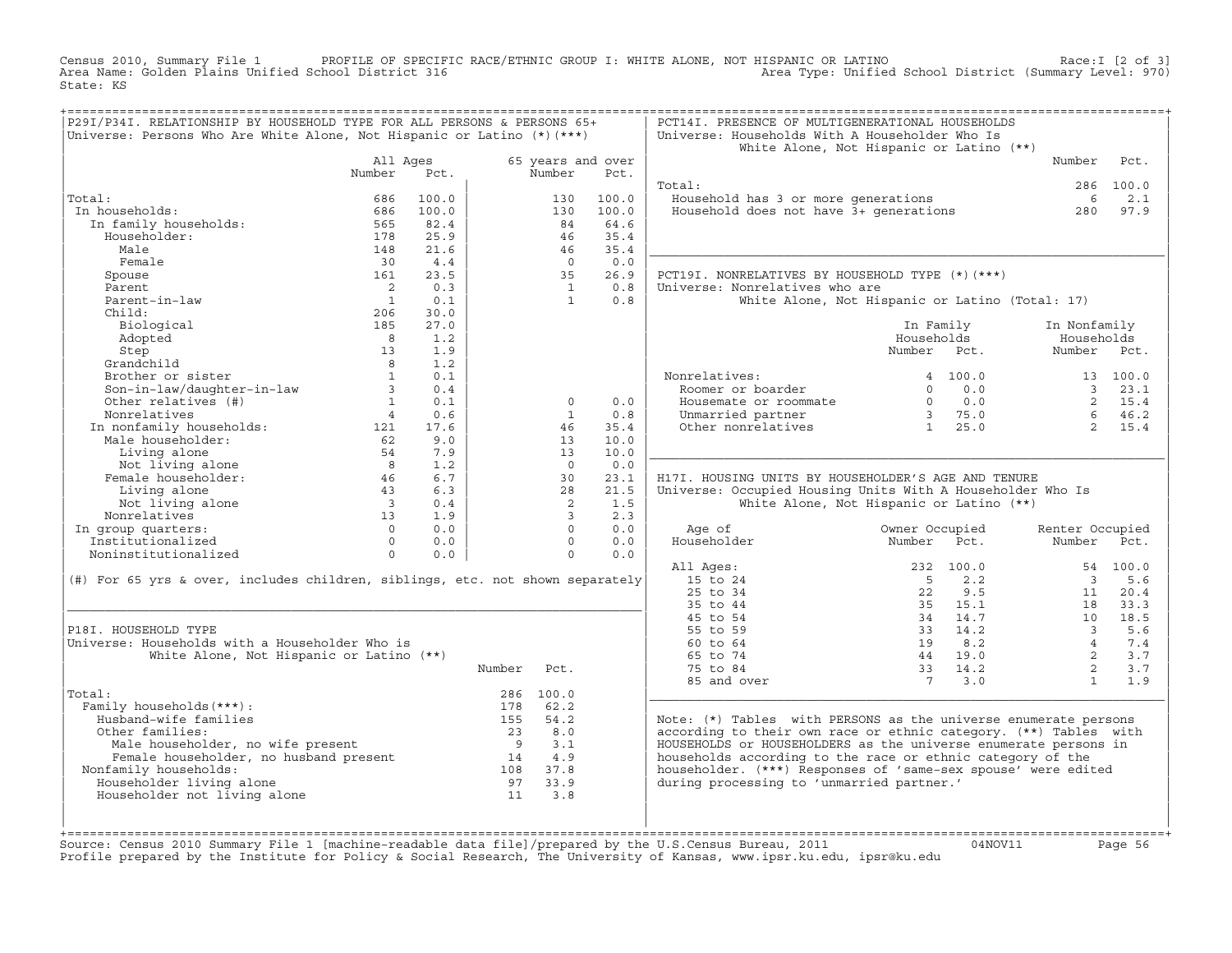Census 2010, Summary File 1 PROFILE OF SPECIFIC RACE/ETHNIC GROUP I: WHITE ALONE, NOT HISPANIC OR LATINO<br>Area Name: Golden Plains Unified School District 316 Area Type: Unified School State: KS

| P29I/P34I. RELATIONSHIP BY HOUSEHOLD TYPE FOR ALL PERSONS & PERSONS 65+                       |                          |            |                |                   |              | PCT14I. PRESENCE OF MULTIGENERATIONAL HOUSEHOLDS                 |                |           |                         |          |
|-----------------------------------------------------------------------------------------------|--------------------------|------------|----------------|-------------------|--------------|------------------------------------------------------------------|----------------|-----------|-------------------------|----------|
| Universe: Persons Who Are White Alone, Not Hispanic or Latino $(*)$ (***)                     |                          |            |                |                   |              | Universe: Households With A Householder Who Is                   |                |           |                         |          |
|                                                                                               | All Ages                 |            |                | 65 years and over |              | White Alone, Not Hispanic or Latino (**)                         |                |           | Number                  | Pct.     |
|                                                                                               | Number                   | Pct.       |                | Number            | Pct.         |                                                                  |                |           |                         |          |
|                                                                                               |                          |            |                |                   |              | Total:                                                           |                |           | 286                     | 100.0    |
| Total:                                                                                        | 686                      | 100.0      |                | 130               | 100.0        | Household has 3 or more generations                              |                |           | 6                       | 2.1      |
| In households:                                                                                | 686                      | 100.0      |                | 130               | 100.0        | Household does not have $3+$ generations                         |                |           | 280                     | 97.9     |
| In family households:                                                                         | 565                      | 82.4       |                | 84                | 64.6         |                                                                  |                |           |                         |          |
| Householder:                                                                                  | 178                      | 25.9       |                | 46                | 35.4         |                                                                  |                |           |                         |          |
| Male                                                                                          | 148                      | 21.6       |                | 46                | 35.4         |                                                                  |                |           |                         |          |
| Female                                                                                        | 30                       | 4.4        |                | $\Omega$          | 0.0          |                                                                  |                |           |                         |          |
| Spouse                                                                                        | 161                      | 23.5       |                | 3.5               | 26.9         | PCT19I. NONRELATIVES BY HOUSEHOLD TYPE (*) (***)                 |                |           |                         |          |
| Parent                                                                                        | $\overline{\phantom{a}}$ | 0.3        |                | $\mathbf{1}$      | 0.8          | Universe: Nonrelatives who are                                   |                |           |                         |          |
| Parent-in-law                                                                                 | $\overline{1}$           | 0.1        |                | $\mathbf{1}$      | 0.8          | White Alone, Not Hispanic or Latino (Total: 17)                  |                |           |                         |          |
| Child:                                                                                        | 206                      | 30.0       |                |                   |              |                                                                  |                |           |                         |          |
| Biological                                                                                    | 185                      | 27.0       |                |                   |              |                                                                  | In Family      |           | In Nonfamily            |          |
| Adopted                                                                                       | 8                        | 1.2        |                |                   |              |                                                                  | Households     |           | Households              |          |
| Step                                                                                          | 13                       | 1.9        |                |                   |              |                                                                  | Number Pct.    |           | Number                  | Pct.     |
| Grandchild                                                                                    | 8                        | 1.2        |                |                   |              |                                                                  |                |           |                         |          |
| Brother or sister                                                                             | $\overline{1}$           | 0.1        |                |                   |              | Nonrelatives:                                                    |                | 4, 100, 0 |                         | 13 100.0 |
| Son-in-law/daughter-in-law                                                                    | $\overline{3}$           | 0.4        |                |                   |              | Roomer or boarder                                                | $\Omega$       | 0.0       | $\mathbf{3}$            | 23.1     |
| Other relatives (#)                                                                           | $\mathbf{1}$             | 0.1        |                | $\circ$           | 0.0          | Housemate or roommate                                            | $0 \qquad 0.0$ |           | $2^{\circ}$             | 15.4     |
| Nonrelatives                                                                                  | $\overline{4}$           | 0.6        |                | $\mathbf{1}$      | 0.8          | Unmarried partner                                                |                | 3 75.0    | 6                       | 46.2     |
| Non-einervor<br>In nonfamily households:                                                      | 121                      | 17.6       |                | 46                | 35.4         | Other nonrelatives                                               | $\mathbf{1}$   | 25.0      | $\overline{2}$          | 15.4     |
| Male householder:                                                                             | 62<br>54                 | 9.0<br>7.9 |                | 13                | 10.0<br>10.0 |                                                                  |                |           |                         |          |
| Living alone                                                                                  |                          | 1.2        |                | 13<br>$\Omega$    | 0.0          |                                                                  |                |           |                         |          |
| Not living alone<br>Female householder:                                                       | 8<br>46                  | 6.7        |                | 30                | 23.1         | H17I. HOUSING UNITS BY HOUSEHOLDER'S AGE AND TENURE              |                |           |                         |          |
| Living alone                                                                                  | 43                       | 6.3        |                | 28                | 21.5         | Universe: Occupied Housing Units With A Householder Who Is       |                |           |                         |          |
| Not living alone                                                                              | $\overline{\mathbf{3}}$  | 0.4        |                | 2                 | 1.5          | White Alone, Not Hispanic or Latino (**)                         |                |           |                         |          |
| Nonrelatives                                                                                  | 13                       | 1.9        |                | $\overline{3}$    | 2.3          |                                                                  |                |           |                         |          |
| In group quarters:                                                                            | $\overline{0}$           | 0.0        |                | $\Omega$          | 0.0          | Age of                                                           | Owner Occupied |           | Renter Occupied         |          |
| Institutionalized                                                                             | $\Omega$                 | 0.0        |                | $\Omega$          | 0.0          | Householder                                                      | Number         | Pct.      | Number                  | Pct.     |
| Noninstitutionalized                                                                          | $\Omega$                 | 0.0        |                | $\Omega$          | 0.0          |                                                                  |                |           |                         |          |
|                                                                                               |                          |            |                |                   |              | All Ages:                                                        | 232 100.0      |           |                         | 54 100.0 |
| (#) For 65 yrs & over, includes children, siblings, etc. not shown separately                 |                          |            |                |                   |              | 15 to 24                                                         | $-5$           | 2.2       | $\overline{3}$          | 5.6      |
|                                                                                               |                          |            |                |                   |              | 25 to 34                                                         | 22             | 9.5       | 11                      | 20.4     |
|                                                                                               |                          |            |                |                   |              | 35 to 44                                                         | 35             | 15.1      | 18                      | 33.3     |
|                                                                                               |                          |            |                |                   |              | 45 to 54                                                         | 34 14.7        |           | 10                      | 18.5     |
| P18I. HOUSEHOLD TYPE                                                                          |                          |            |                |                   |              | 55 to 59                                                         | 33             | 14.2      | $\overline{\mathbf{3}}$ | 5.6      |
| Universe: Households with a Householder Who is                                                |                          |            |                |                   |              | 60 to 64                                                         | 19             | 8.2       | $\overline{4}$          | 7.4      |
| White Alone, Not Hispanic or Latino (**)                                                      |                          |            |                |                   |              | 65 to 74                                                         | 44 19.0        |           | 2                       | 3.7      |
|                                                                                               |                          |            | Number         | Pct.              |              | 75 to 84                                                         |                | 33 14.2   | 2                       | 3.7      |
|                                                                                               |                          |            |                |                   |              | 85 and over                                                      | $\overline{7}$ | 3.0       | $\mathbf{1}$            | 1.9      |
| Total:                                                                                        |                          |            |                | 286 100.0         |              |                                                                  |                |           |                         |          |
| Family households (***) :                                                                     |                          |            | 178            | 62.2              |              |                                                                  |                |           |                         |          |
| Husband-wife families                                                                         |                          |            | 155            | 54.2              |              | Note: (*) Tables with PERSONS as the universe enumerate persons  |                |           |                         |          |
| Other families:                                                                               |                          |            | 23             | 8.0               |              | according to their own race or ethnic category. (**) Tables with |                |           |                         |          |
|                                                                                               |                          |            | $\overline{9}$ | 3.1               |              | HOUSEHOLDS or HOUSEHOLDERS as the universe enumerate persons in  |                |           |                         |          |
| :her ramilies:<br>Male householder, no wife present<br>Female householder, no husband present |                          |            | 14             | 4.9               |              | households according to the race or ethnic category of the       |                |           |                         |          |
| Nonfamily households:                                                                         |                          |            | 108            | 37.8              |              | householder. (***) Responses of 'same-sex spouse' were edited    |                |           |                         |          |
| Householder living alone                                                                      |                          |            | 97             | 33.9              |              | during processing to 'unmarried partner.'                        |                |           |                         |          |
| Householder not living alone                                                                  |                          |            | 11             | 3.8               |              |                                                                  |                |           |                         |          |
|                                                                                               |                          |            |                |                   |              |                                                                  |                |           |                         |          |
|                                                                                               |                          |            |                |                   |              |                                                                  |                |           |                         |          |

+===================================================================================================================================================+Source: Census 2010 Summary File 1 [machine−readable data file]/prepared by the U.S.Census Bureau, 2011 04NOV11 Page 56 Profile prepared by the Institute for Policy & Social Research, The University of Kansas, www.ipsr.ku.edu, ipsr@ku.edu